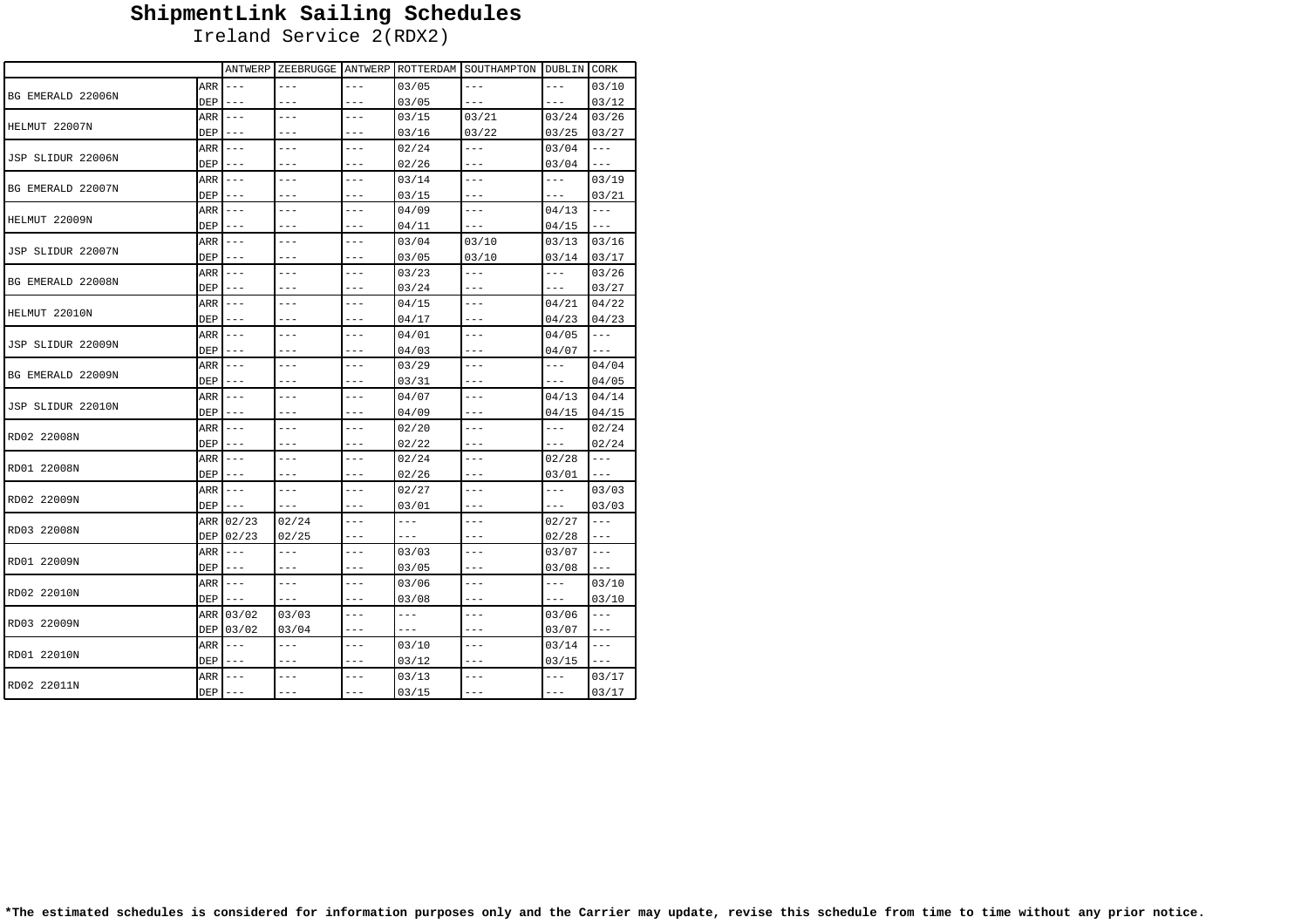Ireland Service 2(RDX2)

|                   |            |           |         |         |       | ANTWERP ZEEBRUGGE ANTWERP ROTTERDAM SOUTHAMPTON DUBLIN CORK |         |         |
|-------------------|------------|-----------|---------|---------|-------|-------------------------------------------------------------|---------|---------|
|                   | <b>ARR</b> | $- - -$   | $- - -$ | $- - -$ | 03/05 | $- - -$                                                     |         | 03/10   |
| BG EMERALD 22006N | DEP        | $---$     | $---$   | $---$   | 03/05 | $---$                                                       | $---$   | 03/12   |
|                   | <b>ARR</b> | $---$     | $- - -$ | $- - -$ | 03/15 | 03/21                                                       | 03/24   | 03/26   |
| HELMUT 22007N     | DEP        | $-- -$    | $- - -$ | $- - -$ | 03/16 | 03/22                                                       | 03/25   | 03/27   |
|                   | ARR        | $- - -$   | $- - -$ | $- - -$ | 02/24 | $- - -$                                                     | 03/04   | $- - -$ |
| JSP SLIDUR 22006N | <b>DEP</b> | $---$     | $- - -$ | $---$   | 02/26 | $- - -$                                                     | 03/04   | $- - -$ |
|                   | <b>ARR</b> | $---$     | $---$   | $---$   | 03/14 | $- - -$                                                     | $- - -$ | 03/19   |
| BG EMERALD 22007N | DEP        | $---$     | $- - -$ | $- - -$ | 03/15 | $- - -$                                                     | $- - -$ | 03/21   |
|                   | ARR        | $---$     | $- - -$ | $---$   | 04/09 | $- - -$                                                     | 04/13   | $---$   |
| HELMUT 22009N     | DEP        | $---$     | $- - -$ | $- - -$ | 04/11 | $- - -$                                                     | 04/15   | $- - -$ |
|                   | ARR        | $- - -$   | $---$   | $- - -$ | 03/04 | 03/10                                                       | 03/13   | 03/16   |
| JSP SLIDUR 22007N | DEP        | $-- -$    | $---$   | $---$   | 03/05 | 03/10                                                       | 03/14   | 03/17   |
|                   | ARR        | $---$     | $- - -$ | $---$   | 03/23 | $---$                                                       | $---$   | 03/26   |
| BG EMERALD 22008N | DEP        | ---       | $---$   | $- - -$ | 03/24 | $- - -$                                                     | $- - -$ | 03/27   |
|                   | <b>ARR</b> | $---$     | $- - -$ | $---$   | 04/15 | $- - -$                                                     | 04/21   | 04/22   |
| HELMUT 22010N     | DEP        | $---$     | $- - -$ | $- - -$ | 04/17 | $- - -$                                                     | 04/23   | 04/23   |
|                   | <b>ARR</b> | $---$     | $- - -$ | $---$   | 04/01 | $- - -$                                                     | 04/05   | $- - -$ |
| JSP SLIDUR 22009N | DEP        | $- - -$   | $- - -$ | $- - -$ | 04/03 | $- - -$                                                     | 04/07   | $- - -$ |
|                   | <b>ARR</b> | $- - -$   | $- - -$ | $- - -$ | 03/29 | $---$                                                       | $- - -$ | 04/04   |
| BG EMERALD 22009N | DEP        | $- - -$   | $- - -$ | $- - -$ | 03/31 | $- - -$                                                     | $- - -$ | 04/05   |
|                   | ARR        |           | $- - -$ | $- - -$ | 04/07 | $- - -$                                                     | 04/13   | 04/14   |
| JSP SLIDUR 22010N | DEP        | $---$     | $- - -$ | $---$   | 04/09 | $- - -$                                                     | 04/15   | 04/15   |
|                   | ARR        | $---$     | $- - -$ | $---$   | 02/20 | $- - -$                                                     | $- - -$ | 02/24   |
| RD02 22008N       | DEP        | $- - -$   | $- - -$ | $- - -$ | 02/22 | $- - -$                                                     | $- - -$ | 02/24   |
|                   | <b>ARR</b> | $---$     | $- - -$ | $---$   | 02/24 | $- - -$                                                     | 02/28   | $- - -$ |
| RD01 22008N       | DEP        | $-- -$    | $- - -$ | $- - -$ | 02/26 | $- - -$                                                     | 03/01   | $- - -$ |
|                   | ARR        | $---$     | $- - -$ | $---$   | 02/27 | $- - -$                                                     | $- - -$ | 03/03   |
| RD02 22009N       | DEP        | $- - -$   | $- - -$ | $- - -$ | 03/01 | $- - -$                                                     | $- - -$ | 03/03   |
|                   |            | ARR 02/23 | 02/24   | $---$   | $---$ | $- - -$                                                     | 02/27   | $---$   |
| RD03 22008N       | DEP        | 02/23     | 02/25   | $---$   | $---$ | $- - -$                                                     | 02/28   | $--$    |
|                   | ARR        | $- - -$   | $- - -$ | $---$   | 03/03 | $- - -$                                                     | 03/07   | $- - -$ |
| RD01 22009N       | DEP        | $- - -$   | $- - -$ | $- - -$ | 03/05 | $- - -$                                                     | 03/08   | $- - -$ |
|                   | <b>ARR</b> | $---$     | $---$   | $---$   | 03/06 | $- - -$                                                     | $- - -$ | 03/10   |
| RD02 22010N       | DEP        | $---$     | $- - -$ | $---$   | 03/08 | $- - -$                                                     | $---$   | 03/10   |
|                   |            | ARR 03/02 | 03/03   | $- - -$ | $---$ | $- - -$                                                     | 03/06   | $- - -$ |
| RD03 22009N       | DEP        | 03/02     | 03/04   | $---$   | $---$ | $- - -$                                                     | 03/07   | $---$   |
|                   | <b>ARR</b> | $- - -$   | $- - -$ | $- - -$ | 03/10 | $- - -$                                                     | 03/14   | $- - -$ |
| RD01 22010N       | DEP        | $- - -$   | $- - -$ | $---$   | 03/12 | $- - -$                                                     | 03/15   | $- - -$ |
|                   | ARR        | ---       | $- - -$ | $- - -$ | 03/13 | $- - -$                                                     | $- - -$ | 03/17   |
| RD02 22011N       | DEP        | $---$     |         | $- - -$ | 03/15 |                                                             | $- - -$ | 03/17   |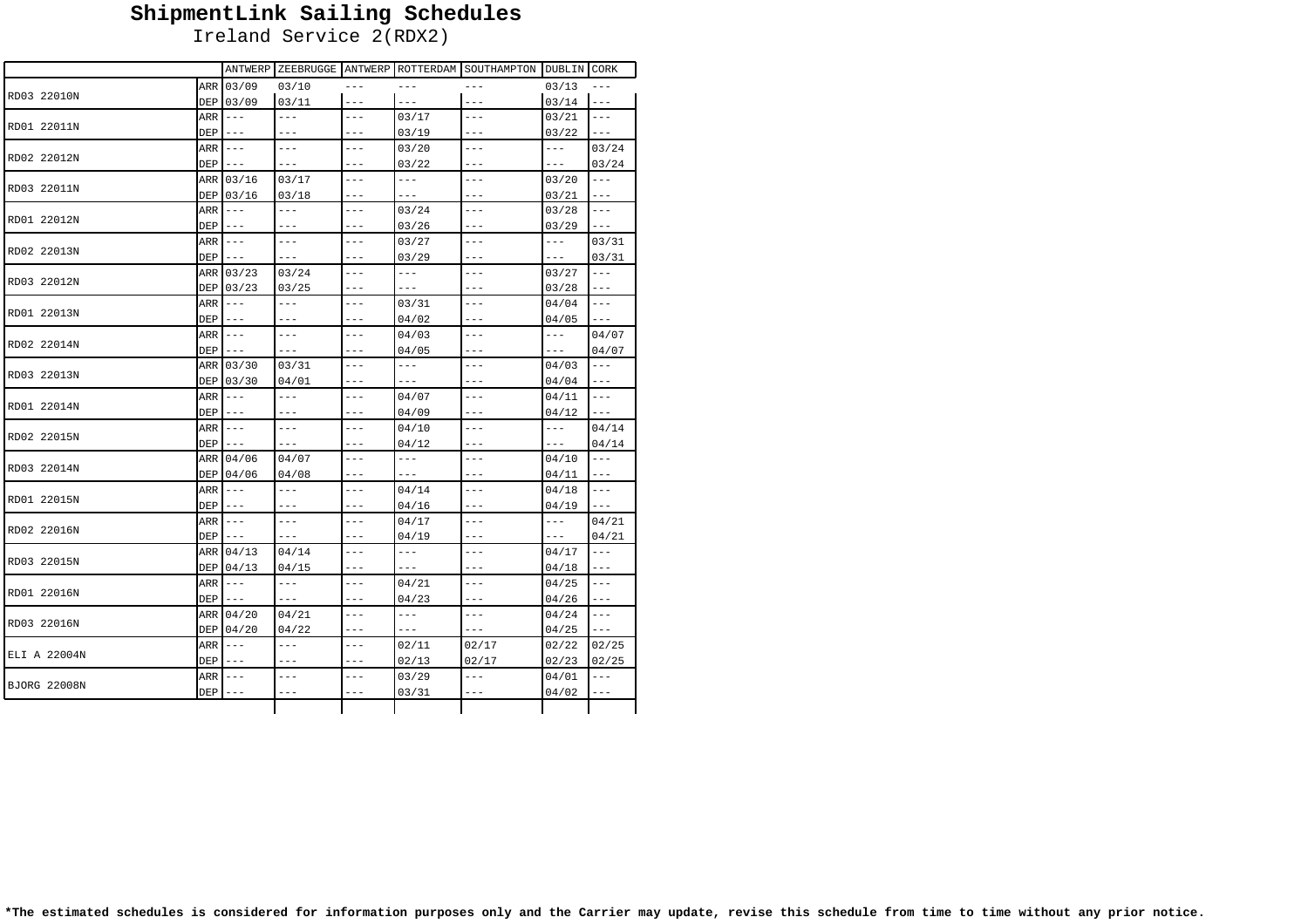Ireland Service 2(RDX2)

|                     |            |                     |         |                     |         | ANTWERP ZEEBRUGGE ANTWERP ROTTERDAM SOUTHAMPTON DUBLIN CORK |       |         |
|---------------------|------------|---------------------|---------|---------------------|---------|-------------------------------------------------------------|-------|---------|
|                     |            | ARR 03/09           | 03/10   | $- - -$             | $---$   | $---$                                                       | 03/13 | $- - -$ |
| RD03 22010N         |            | DEP 03/09           | 03/11   | $---$               | $---$   | $- - -$                                                     | 03/14 | $- - -$ |
|                     | ARR        | $---$               | $- - -$ | $---$               | 03/17   | $---$                                                       | 03/21 | $---$   |
| RD01 22011N         | DEP        | $---$               | $---$   | $---$               | 03/19   | $---$                                                       | 03/22 | $--$    |
|                     | ARR        | $---$               | $---$   | $---$               | 03/20   | $---$                                                       | $---$ | 03/24   |
| RD02 22012N         | <b>DEP</b> | $\qquad \qquad - -$ | $---$   | $---$               | 03/22   | $---$                                                       | $---$ | 03/24   |
|                     |            | ARR 03/16           | 03/17   | $---$               | $---$   | $- - -$                                                     | 03/20 | $---$   |
| RD03 22011N         | <b>DEP</b> | 03/16               | 03/18   | $---$               | $---$   | $---$                                                       | 03/21 | $---$   |
|                     | ARR        | $---$               | $---$   | $---$               | 03/24   | $- - -$                                                     | 03/28 | $---$   |
| RD01 22012N         | DEP        | $---$               | $---$   | $---$               | 03/26   | $---$                                                       | 03/29 | $---$   |
|                     | ARR        | $\qquad \qquad - -$ | $---$   | $---$               | 03/27   | $---$                                                       | $---$ | 03/31   |
| RD02 22013N         | DEP        | $---$               | $- - -$ | $---$               | 03/29   | $- - -$                                                     | $---$ | 03/31   |
|                     |            | ARR 03/23           | 03/24   | $---$               | $---$   | $---$                                                       | 03/27 | $---$   |
| RD03 22012N         | DEP        | 03/23               | 03/25   | $---$               | $---$   | $---$                                                       | 03/28 | $---$   |
|                     | <b>ARR</b> | $\qquad \qquad - -$ | $- - -$ | $---$               | 03/31   | $---$                                                       | 04/04 | $---$   |
| RD01 22013N         | DEP        | $---$               | $- - -$ | $---$               | 04/02   | $- - -$                                                     | 04/05 | $---$   |
|                     | ARR        | $---$               | $- - -$ | $- - -$             | 04/03   | $- - -$                                                     | $---$ | 04/07   |
| RD02 22014N         | DEP        | $- - -$             | $- - -$ | $---$               | 04/05   | $---$                                                       | $---$ | 04/07   |
|                     |            | ARR 03/30           | 03/31   | $---$               | $---$   | $---$                                                       | 04/03 | $---$   |
| RD03 22013N         |            | DEP 03/30           | 04/01   | $- - -$             | $- - -$ | $- - -$                                                     | 04/04 | $- - -$ |
|                     | ARR        | $---$               | $---$   | $---$               | 04/07   | $- - -$                                                     | 04/11 | $---$   |
| RD01 22014N         | DEP        | $- - -$             | $- - -$ | $---$               | 04/09   | $- - -$                                                     | 04/12 | $- -$   |
|                     | ARR        | $- - -$             | $---$   | $---$               | 04/10   | $---$                                                       | $---$ | 04/14   |
| RD02 22015N         | DEP        | $---$               | $- - -$ | $---$               | 04/12   | $---$                                                       | $---$ | 04/14   |
|                     |            | ARR 04/06           | 04/07   | $---$               | $---$   | $---$                                                       | 04/10 | $---$   |
| RD03 22014N         |            | DEP 04/06           | 04/08   | $---$               | $---$   | $- - -$                                                     | 04/11 | $---$   |
|                     | <b>ARR</b> | $---$               | $---$   | $---$               | 04/14   | $---$                                                       | 04/18 | $---$   |
| RD01 22015N         | DEP        | $---$               | $---$   | $\qquad \qquad - -$ | 04/16   | $---$                                                       | 04/19 | $---$   |
|                     | <b>ARR</b> | $  -$               | $- - -$ | $---$               | 04/17   | $---$                                                       | $---$ | 04/21   |
| RD02 22016N         | DEP        | $  -$               | $- - -$ | $---$               | 04/19   | $---$                                                       | $---$ | 04/21   |
|                     |            | ARR 04/13           | 04/14   | $---$               | $---$   | $- - -$                                                     | 04/17 | $---$   |
| RD03 22015N         | DEP        | 04/13               | 04/15   | $---$               | $- - -$ | $- - -$                                                     | 04/18 | $- - -$ |
|                     | ARR        | $---$               | $---$   | $---$               | 04/21   | $---$                                                       | 04/25 | $---$   |
| RD01 22016N         | <b>DEP</b> | $- - -$             | $- - -$ | $- - -$             | 04/23   | $- - -$                                                     | 04/26 | $- - -$ |
|                     |            | ARR 04/20           | 04/21   | $---$               | $---$   | $---$                                                       | 04/24 | $---$   |
| RD03 22016N         | DEP        | 04/20               | 04/22   | $- - -$             | $---$   | $---$                                                       | 04/25 | $---$   |
|                     | ARR        | $---$               | $- - -$ | $---$               | 02/11   | 02/17                                                       | 02/22 | 02/25   |
| ELI A 22004N        | DEP        | $---$               | $---$   | $---$               | 02/13   | 02/17                                                       | 02/23 | 02/25   |
|                     | ARR        | $- - -$             | $- - -$ | $---$               | 03/29   | $---$                                                       | 04/01 | $---$   |
| <b>BJORG 22008N</b> |            |                     |         |                     |         |                                                             |       |         |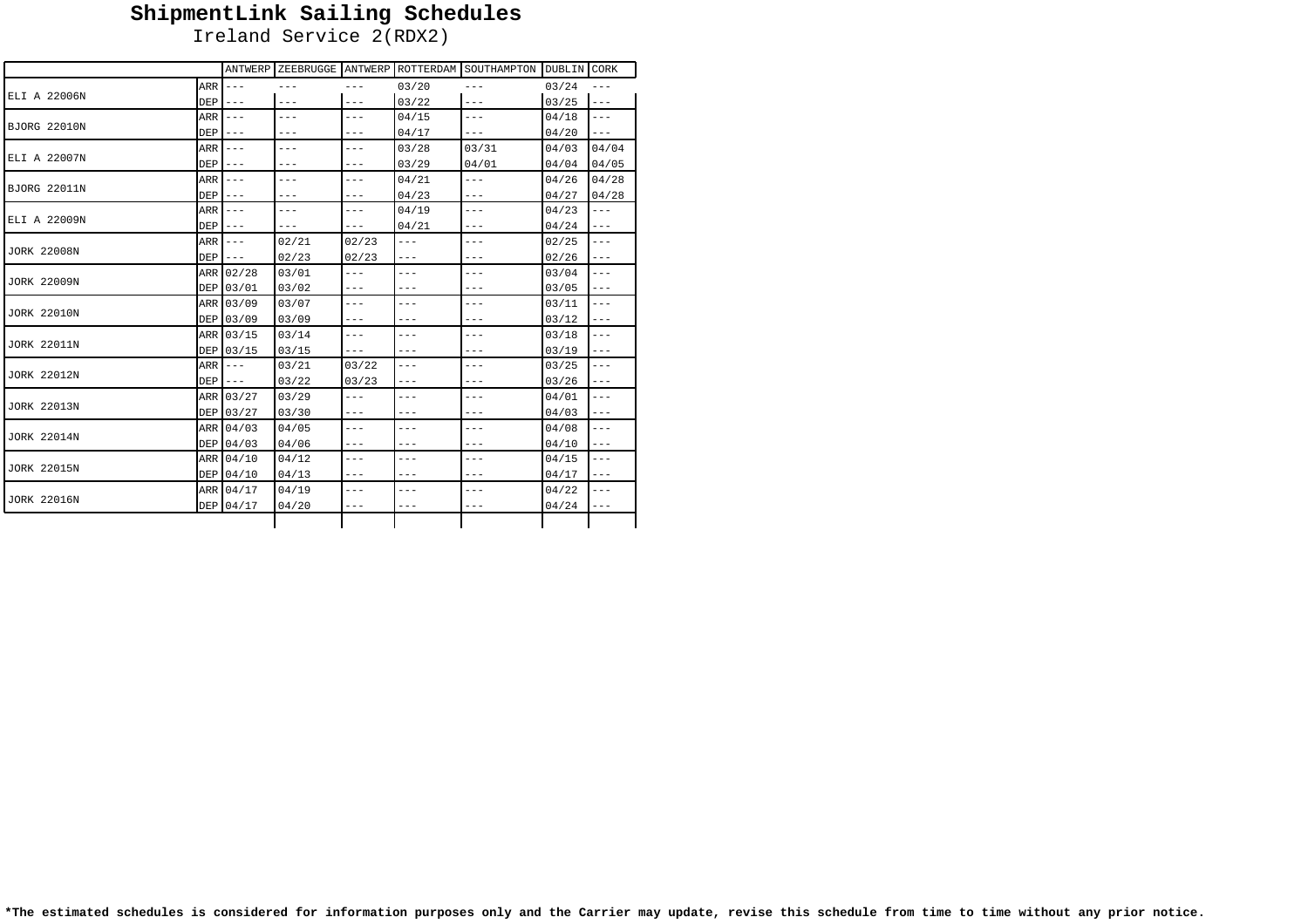Ireland Service 2(RDX2)

|                     |                  |           |         |         |         | ANTWERP ZEEBRUGGE ANTWERP ROTTERDAM SOUTHAMPTON DUBLIN CORK |       |         |
|---------------------|------------------|-----------|---------|---------|---------|-------------------------------------------------------------|-------|---------|
|                     | ARR I            | $---$     | $---$   | $- - -$ | 03/20   | $- - -$                                                     | 03/24 | $- - -$ |
| ELI A 22006N        | <b>DEP</b>       | $---$     | $---$   | $---$   | 03/22   | $---$                                                       | 03/25 | $---$   |
|                     | <b>ARR</b>       | $---$     | $---$   | $---$   | 04/15   | $- - -$                                                     | 04/18 | $- - -$ |
| <b>BJORG 22010N</b> | <b>DEP</b>       | $- - -$   | $---$   | $---$   | 04/17   | $---$                                                       | 04/20 | $---$   |
|                     | ARR <sup>I</sup> | $---$     | $---$   | $---$   | 03/28   | 03/31                                                       | 04/03 | 04/04   |
| ELI A 22007N        | <b>DEP</b>       | $- - -$   | ---     | ---     | 03/29   | 04/01                                                       | 04/04 | 04/05   |
|                     | ARR              | $---$     | $- - -$ | $---$   | 04/21   | $---$                                                       | 04/26 | 04/28   |
| BJORG 22011N        | <b>DEP</b>       | $- - -$   | $---$   | ---     | 04/23   | $---$                                                       | 04/27 | 04/28   |
|                     | <b>ARR</b>       | $---$     | $- - -$ | $---$   | 04/19   | $---$                                                       | 04/23 | $---$   |
| ELI A 22009N        | DEP              | $---$     | $---$   | $---$   | 04/21   | $---$                                                       | 04/24 | $---$   |
|                     | <b>ARR</b>       | $---$     | 02/21   | 02/23   | $---$   | $---$                                                       | 02/25 | $- - -$ |
| <b>JORK 22008N</b>  | <b>DEP</b>       | $- - -$   | 02/23   | 02/23   | $---$   | $---$                                                       | 02/26 | $- - -$ |
|                     |                  | ARR 02/28 | 03/01   | $---$   | $---$   | $---$                                                       | 03/04 | $- - -$ |
| <b>JORK 22009N</b>  |                  | DEP 03/01 | 03/02   | $---$   | $---$   | $---$                                                       | 03/05 | ---     |
|                     |                  | ARR 03/09 | 03/07   | $---$   | $---$   | $---$                                                       | 03/11 | $- - -$ |
| <b>JORK 22010N</b>  |                  | DEP 03/09 | 03/09   | $- - -$ | $---$   | $---$                                                       | 03/12 | $--$    |
|                     |                  | ARR 03/15 | 03/14   | $---$   | $- - -$ | $---$                                                       | 03/18 | $- - -$ |
| <b>JORK 22011N</b>  |                  | DEP 03/15 | 03/15   | $---$   | $---$   | $---$                                                       | 03/19 | $- - -$ |
|                     | <b>ARR</b>       | $---$     | 03/21   | 03/22   | $---$   | $---$                                                       | 03/25 | $- - -$ |
| <b>JORK 22012N</b>  | <b>DEP</b>       | $---$     | 03/22   | 03/23   | $---$   | $---$                                                       | 03/26 | $--$    |
|                     |                  | ARR 03/27 | 03/29   | $---$   | $- - -$ | $- - -$                                                     | 04/01 | $- - -$ |
| <b>JORK 22013N</b>  |                  | DEP 03/27 | 03/30   | $---$   | $---$   | $---$                                                       | 04/03 | $--$    |
|                     |                  | ARR 04/03 | 04/05   | $---$   | $- - -$ | $---$                                                       | 04/08 | $- - -$ |
| <b>JORK 22014N</b>  |                  | DEP 04/03 | 04/06   | $---$   | $---$   | $---$                                                       | 04/10 | $- - -$ |
|                     |                  | ARR 04/10 | 04/12   | $- - -$ | $- - -$ | $---$                                                       | 04/15 | $- - -$ |
| <b>JORK 22015N</b>  |                  | DEP 04/10 | 04/13   | $---$   | $---$   | $---$                                                       | 04/17 | $---$   |
|                     |                  | ARR 04/17 | 04/19   | $---$   | $---$   | $---$                                                       | 04/22 | $- - -$ |
| <b>JORK 22016N</b>  |                  | DEP 04/17 | 04/20   | ---     | $---$   | ---                                                         | 04/24 | $--$    |
|                     |                  |           |         |         |         |                                                             |       |         |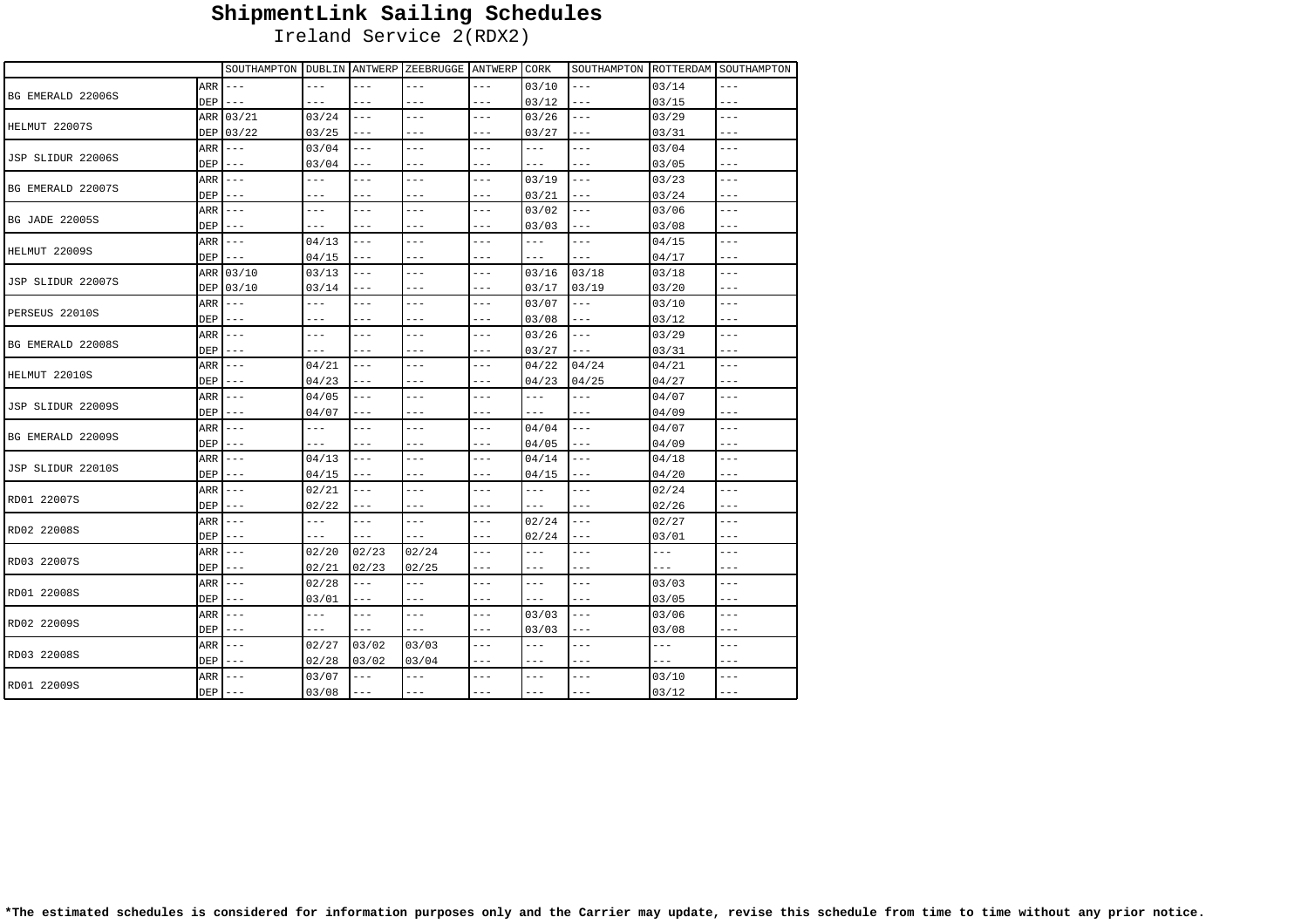Ireland Service 2(RDX2)

|                   |            | SOUTHAMPTON DUBLIN ANTWERP ZEEBRUGGE ANTWERP CORK |         |         |         |         |         | SOUTHAMPTON ROTTERDAM SOUTHAMPTON |       |         |
|-------------------|------------|---------------------------------------------------|---------|---------|---------|---------|---------|-----------------------------------|-------|---------|
|                   | ARR        | $- - -$                                           |         |         | $- - -$ | $- - -$ | 03/10   | $---$                             | 03/14 |         |
| BG EMERALD 22006S | DEP        | $- - -$                                           | $---$   | $---$   | $---$   | $---$   | 03/12   | $---$                             | 03/15 | $---$   |
|                   | ARR        | 03/21                                             | 03/24   | $---$   | $- - -$ | $- - -$ | 03/26   | $---$                             | 03/29 | $---$   |
| HELMUT 22007S     | DEP        | 03/22                                             | 03/25   | $- - -$ | $- - -$ | $- - -$ | 03/27   | $- - -$                           | 03/31 | $---$   |
|                   | ARR        | $---$                                             | 03/04   | $- - -$ | $- - -$ | $- - -$ | $- - -$ | $- - -$                           | 03/04 | $---$   |
| JSP SLIDUR 22006S | DEP        | $---$                                             | 03/04   | $- - -$ | $- - -$ | $- - -$ | $- - -$ |                                   | 03/05 | $- - -$ |
|                   | <b>ARR</b> | $- - -$                                           | $---$   | $---$   | $---$   | $---$   | 03/19   | $- - -$                           | 03/23 | $- - -$ |
| BG EMERALD 22007S | DEP        | $---$                                             | $---$   | $- - -$ | $- - -$ | $- - -$ | 03/21   | $---$                             | 03/24 | $-- -$  |
|                   | ARR        | $- - -$                                           | $- - -$ | $- - -$ | $- - -$ | $---$   | 03/02   | $---$                             | 03/06 | $---$   |
| BG JADE 22005S    | DEP        | $- - -$                                           |         | $- - -$ | $- - -$ | $- - -$ | 03/03   | $- - -$                           | 03/08 | $- - -$ |
|                   | ARR        | $---$                                             | 04/13   | $- - -$ | $- - -$ | $- - -$ | $- - -$ | $- - -$                           | 04/15 | $- - -$ |
| HELMUT 22009S     | DEP        | $- - -$                                           | 04/15   | $--$    | $- - -$ | $- - -$ | $--$    | $---$                             | 04/17 | $---$   |
|                   |            | ARR 03/10                                         | 03/13   | $---$   | $- - -$ | $---$   | 03/16   | 03/18                             | 03/18 | $---$   |
| JSP SLIDUR 22007S | DEP        | 03/10                                             | 03/14   | $---$   | $---$   | $- - -$ | 03/17   | 03/19                             | 03/20 | $- - -$ |
|                   | ARR        | $- - -$                                           | $---$   | $---$   | $- - -$ | $---$   | 03/07   | $- - -$                           | 03/10 | $---$   |
| PERSEUS 22010S    | DEP        | $- - -$                                           | $- - -$ | $- - -$ | $- - -$ | $- - -$ | 03/08   | $- - -$                           | 03/12 | $- - -$ |
|                   | ARR        | $- - -$                                           | $- - -$ | $- - -$ | $- - -$ | $- - -$ | 03/26   | $- - -$                           | 03/29 | $-- -$  |
| BG EMERALD 22008S | DEP        | $---$                                             | $- - -$ | $- - -$ | $- - -$ | $- - -$ | 03/27   | $---$                             | 03/31 | $- - -$ |
|                   | ARR        | $---$                                             | 04/21   | $---$   | $- - -$ | $---$   | 04/22   | 04/24                             | 04/21 | $---$   |
| HELMUT 22010S     | DEP        | $- - -$                                           | 04/23   | $---$   | $---$   | $---$   | 04/23   | 04/25                             | 04/27 | $- - -$ |
|                   | ARR        | $---$                                             | 04/05   | $---$   | $- - -$ | $- - -$ | $---$   | $---$                             | 04/07 | $---$   |
| JSP SLIDUR 22009S | DEP        | $- - -$                                           | 04/07   | $- - -$ | $- - -$ | $---$   | $--$    | $- - -$                           | 04/09 | $---$   |
|                   | ARR        | $---$                                             | $- - -$ | $- - -$ | $- - -$ | $- - -$ | 04/04   | $- - -$                           | 04/07 | $---$   |
| BG EMERALD 22009S | DEP        | $- - -$                                           | $---$   | $- - -$ | $- - -$ | $- - -$ | 04/05   | $---$                             | 04/09 | $---$   |
|                   | ARR        | $- - -$                                           | 04/13   | $---$   | $- - -$ | $---$   | 04/14   | $---$                             | 04/18 | $---$   |
| JSP SLIDUR 22010S | DEP        | $---$                                             | 04/15   | $---$   | $- - -$ | $- - -$ | 04/15   | $---$                             | 04/20 | $-- -$  |
|                   | ARR        | $- - -$                                           | 02/21   | $---$   | $- - -$ | $- - -$ | $- - -$ | $---$                             | 02/24 | $---$   |
| RD01 22007S       | DEP        | $- - -$                                           | 02/22   | $--$    | $- - -$ | $---$   | $--$    | $- - -$                           | 02/26 | $- - -$ |
|                   | <b>ARR</b> | $---$                                             | $---$   | $- - -$ | $--$    | $- - -$ | 02/24   | $- - -$                           | 02/27 | $-- -$  |
| RD02 22008S       | DEP        | $- - -$                                           |         |         | $- - -$ | $- - -$ | 02/24   | $- - -$                           | 03/01 | $- - -$ |
|                   | ARR        | $- - -$                                           | 02/20   | 02/23   | 02/24   | $---$   | $---$   | $---$                             | $---$ | $---$   |
| RD03 22007S       | DEP        | $- - -$                                           | 02/21   | 02/23   | 02/25   | $---$   | $--$    | $---$                             | $---$ | $- - -$ |
|                   | ARR        | $\qquad \qquad - -$                               | 02/28   | $---$   | $- - -$ | $---$   | $- - -$ | $---$                             | 03/03 | $---$   |
| RD01 22008S       | DEP        | $- - -$                                           | 03/01   | $- - -$ | $- - -$ | $- - -$ | $- - -$ | $- - -$                           | 03/05 | $- - -$ |
|                   | ARR        | $- - -$                                           | $---$   | $---$   | $---$   | $- - -$ | 03/03   | $---$                             | 03/06 | $---$   |
| RD02 22009S       | DEP        | $---$                                             | $---$   | $- - -$ | $- - -$ | $- - -$ | 03/03   | $- - -$                           | 03/08 | $---$   |
|                   | ARR        | $- - -$                                           | 02/27   | 03/02   | 03/03   | $---$   | $---$   | $---$                             | $---$ | $---$   |
| RD03 22008S       | DEP        | $---$                                             | 02/28   | 03/02   | 03/04   | $- - -$ | $- - -$ | $---$                             | $---$ | $-- -$  |
|                   | ARR        | $---$                                             | 03/07   | $---$   | $---$   | $- - -$ | $- - -$ | $---$                             | 03/10 | $---$   |
| RD01 22009S       |            | $DEP$ ---                                         | 03/08   | $- - -$ | $- - -$ | $- - -$ | $- - -$ | $- - -$                           | 03/12 | $---$   |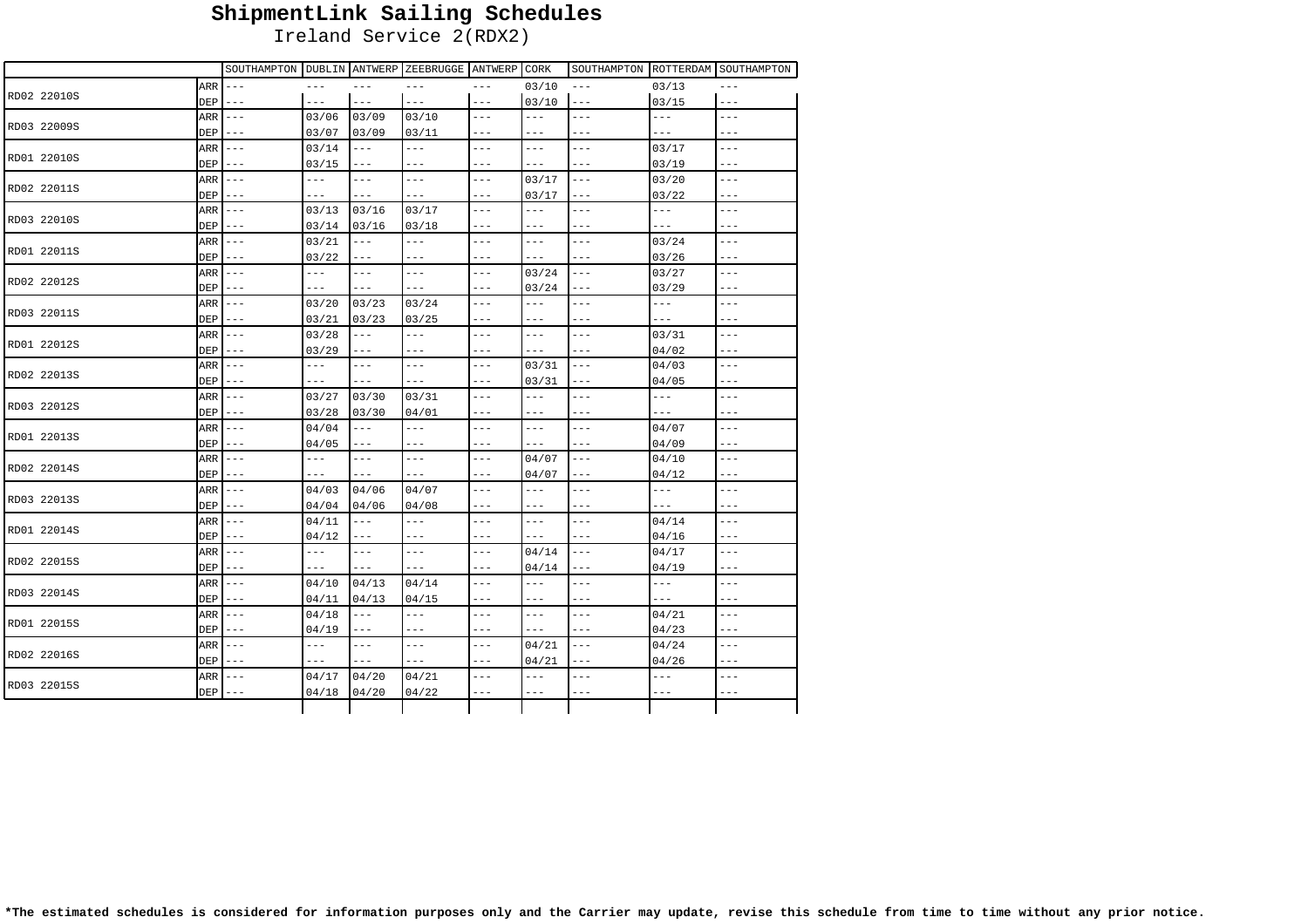Ireland Service 2(RDX2)

|             |            | SOUTHAMPTON DUBLIN ANTWERP ZEEBRUGGE ANTWERP CORK |         |         |               |         |         | SOUTHAMPTON ROTTERDAM SOUTHAMPTON |         |         |
|-------------|------------|---------------------------------------------------|---------|---------|---------------|---------|---------|-----------------------------------|---------|---------|
|             | ARR        | $---$                                             | $---$   | $- - -$ | $- - -$       | $---$   | 03/10   | $\qquad \qquad - -$               | 03/13   | $---$   |
| RD02 22010S | DEP        | $---$                                             | $---$   | $- - -$ | $---$         | $---$   | 03/10   | $---$                             | 03/15   | $---$   |
|             | <b>ARR</b> | $---$                                             | 03/06   | 03/09   | 03/10         | $---$   | $---$   | $---$                             | $---$   | $---$   |
| RD03 22009S | DEP        | $-- -$                                            | 03/07   | 03/09   | 03/11         | $---$   | $---$   | $---$                             | $---$   | $- - -$ |
|             | ARR        | $---$                                             | 03/14   | $- - -$ | $---$         | $- - -$ | $---$   | $---$                             | 03/17   | $---$   |
| RD01 22010S | DEP        | $- - -$                                           | 03/15   | $---$   | $- - -$       | $- - -$ | $- - -$ | $- - -$                           | 03/19   | $---$   |
|             | <b>ARR</b> | $---$                                             | $---$   | $---$   | $---$         | $---$   | 03/17   | $---$                             | 03/20   | $---$   |
| RD02 22011S | DEP        | $---$                                             | $---$   | $---$   | $---$         | $- - -$ | 03/17   | $---$                             | 03/22   | $---$   |
|             | <b>ARR</b> | $---$                                             | 03/13   | 03/16   | 03/17         | $---$   | $---$   | $---$                             | $---$   | $---$   |
| RD03 22010S | DEP        | $---$                                             | 03/14   | 03/16   | 03/18         | $---$   | $---$   | $---$                             | $---$   | $---$   |
|             | <b>ARR</b> | $-- -$                                            | 03/21   | $---$   | $---$         | $---$   | $- - -$ | $---$                             | 03/24   | $---$   |
| RD01 22011S | DEP        | $- - -$                                           | 03/22   | $- - -$ | $- - -$       | $- - -$ | $- - -$ | $- - -$                           | 03/26   | $---$   |
|             | <b>ARR</b> | $---$                                             | $---$   | $- - -$ | $---$         | $---$   | 03/24   | $- - -$                           | 03/27   | $---$   |
| RD02 22012S | DEP        | $-- -$                                            | $- - -$ | $- - -$ | $- - -$       | $- - -$ | 03/24   | $- - -$                           | 03/29   | $---$   |
|             | <b>ARR</b> | $---$                                             | 03/20   | 03/23   | 03/24         | $---$   | $---$   | $---$                             | $---$   | $---$   |
| RD03 22011S | DEP        | $-- -$                                            | 03/21   | 03/23   | 03/25         | $- - -$ | $- - -$ | $- - -$                           | $---$   | $- - -$ |
|             | <b>ARR</b> | $---$                                             | 03/28   | $---$   | $---$         | $---$   | $---$   | $- - -$                           | 03/31   | $---$   |
| RD01 22012S | DEP        | $-- -$                                            | 03/29   | $--$    | $---$         | $---$   | $---$   | $---$                             | 04/02   | $---$   |
|             | <b>ARR</b> | $---$                                             | $---$   | $---$   | $---$         | $---$   | 03/31   | $---$                             | 04/03   | $---$   |
| RD02 22013S | DEP        | $---$                                             | $---$   | $---$   | $---$         | $---$   | 03/31   | $---$                             | 04/05   | $---$   |
|             | <b>ARR</b> | $---$                                             | 03/27   | 03/30   | 03/31         | $---$   | $---$   | $- - -$                           | $---$   | $---$   |
| RD03 22012S | DEP        | $---$                                             | 03/28   | 03/30   | 04/01         | $- - -$ | $- - -$ | $- - -$                           | $---$   | $- - -$ |
|             | <b>ARR</b> | $---$                                             | 04/04   | $---$   | $---$         | $---$   | $---$   | $---$                             | 04/07   | $---$   |
| RD01 22013S | DEP        | $- - -$                                           | 04/05   | $- - -$ | $---$         | $---$   | $---$   | $- - -$                           | 04/09   | $---$   |
|             | ARR        | $- - -$                                           | $---$   | $---$   | $- - -$       | $- - -$ | 04/07   | $---$                             | 04/10   | $---$   |
| RD02 22014S | DEP        | $- - -$                                           |         |         | $---$         | $- - -$ | 04/07   |                                   | 04/12   | $- - -$ |
|             | ARR        | $---$                                             | 04/03   | 04/06   | 04/07         | $- - -$ | $---$   | $- - -$                           | $---$   | $---$   |
| RD03 22013S | DEP        | $- -$                                             | 04/04   | 04/06   | 04/08         | $- - -$ | $---$   | $- - -$                           | $---$   | $---$   |
|             | ARR        | $---$                                             | 04/11   | $---$   | $---$         | $---$   | $---$   | $---$                             | 04/14   | $- - -$ |
| RD01 22014S | DEP        | $---$                                             | 04/12   | $---$   | $---$         | $---$   | $---$   | $---$                             | 04/16   | $---$   |
|             | <b>ARR</b> | $- - -$                                           | $---$   | $---$   | $---$         | $---$   | 04/14   | $---$                             | 04/17   | $- - -$ |
| RD02 22015S | DEP        | $- - -$                                           | $- - -$ | $- -$   | $- - -$       | $- - -$ | 04/14   | $- - -$                           | 04/19   | $- - -$ |
|             | <b>ARR</b> | $---$                                             | 04/10   | 04/13   | 04/14         | $---$   | $---$   | $---$                             | $---$   | $---$   |
| RD03 22014S | DEP        | $---$                                             | 04/11   | 04/13   | 04/15         | $---$   | $---$   | $- - -$                           | $---$   | $---$   |
|             | <b>ARR</b> | $---$                                             | 04/18   | $---$   | $\frac{1}{2}$ | $---$   | $---$   | $---$                             | 04/21   | $---$   |
| RD01 22015S | DEP        | $-- -$                                            | 04/19   | $- - -$ | $- - -$       | ---     | $- - -$ | $- - -$                           | 04/23   | $-- -$  |
|             | ARR        | $---$                                             | $---$   | $---$   | $---$         | $---$   | 04/21   | $---$                             | 04/24   | $---$   |
| RD02 22016S | DEP        | $-- -$                                            | $---$   | $---$   | $---$         | ---     | 04/21   | $---$                             | 04/26   | $---$   |
|             | <b>ARR</b> | $- -$                                             | 04/17   | 04/20   | 04/21         | $---$   | $- - -$ | $---$                             | $---$   | $---$   |
| RD03 22015S | DEP        | $- -$                                             | 04/18   | 04/20   | 04/22         | $- - -$ | $- - -$ | $- - -$                           | $- - -$ | $---$   |
|             |            |                                                   |         |         |               |         |         |                                   |         |         |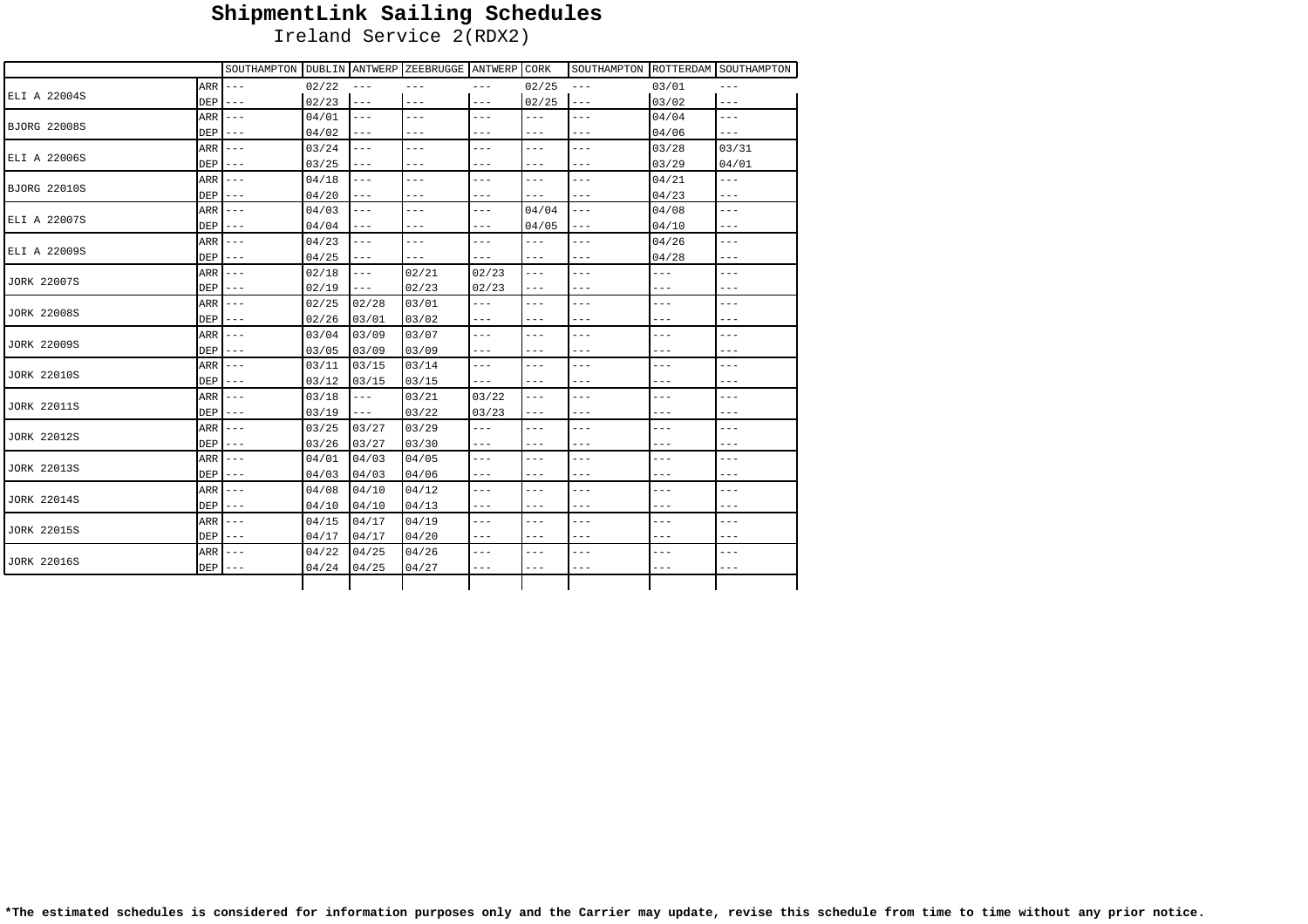Ireland Service 2(RDX2)

|                     |                  | SOUTHAMPTON DUBLIN ANTWERP ZEEBRUGGE ANTWERP CORK |       |         |       |         |         | SOUTHAMPTON ROTTERDAM SOUTHAMPTON |       |         |
|---------------------|------------------|---------------------------------------------------|-------|---------|-------|---------|---------|-----------------------------------|-------|---------|
|                     | $ARR$ $---$      |                                                   | 02/22 | $---$   | $---$ | $---$   | 02/25   | $---$                             | 03/01 | $---$   |
| ELI A 22004S        | <b>DEP</b>       | $---$                                             | 02/23 | $- - -$ | $---$ | $- - -$ | 02/25   | $- - -$                           | 03/02 | $---$   |
|                     | $ARR$ $---$      |                                                   | 04/01 | $- - -$ | $---$ | $- - -$ | $---$   | $---$                             | 04/04 | $---$   |
| <b>BJORG 22008S</b> | <b>DEP</b>       | $---$                                             | 04/02 | $---$   | $---$ | $---$   | $---$   | $- - -$                           | 04/06 | $---$   |
|                     | <b>ARR</b>       | $---$                                             | 03/24 | $---$   | $---$ | $- - -$ | $---$   | $- - -$                           | 03/28 | 03/31   |
| ELI A 22006S        |                  | $DEP$ $---$                                       | 03/25 | $---$   | $---$ | $---$   | $---$   | $---$                             | 03/29 | 04/01   |
|                     | <b>ARR</b>       | $- - -$                                           | 04/18 | $---$   | $---$ | $- - -$ | $- - -$ | $---$                             | 04/21 | $---$   |
| <b>BJORG 22010S</b> | <b>DEP</b>       | $---$                                             | 04/20 | $---$   | $---$ | ---     | $---$   | $---$                             | 04/23 | $---$   |
|                     | <b>ARR</b>       | $---$                                             | 04/03 | $---$   | $---$ | $---$   | 04/04   | $---$                             | 04/08 | $---$   |
| ELI A 22007S        | $DEP$ $---$      |                                                   | 04/04 | $---$   | ---   | ---     | 04/05   | $---$                             | 04/10 | $---$   |
|                     | <b>ARR</b>       | $---$                                             | 04/23 | $---$   | $---$ | $---$   | $- - -$ | $- - -$                           | 04/26 | $---$   |
| ELI A 22009S        | <b>DEP</b>       | $---$                                             | 04/25 | $---$   | $---$ | $---$   | ---     | $---$                             | 04/28 | $---$   |
|                     | ARR              | $---$                                             | 02/18 | $---$   | 02/21 | 02/23   | $- - -$ | $---$                             | $---$ | $---$   |
| <b>JORK 22007S</b>  | $DEP$ $---$      |                                                   | 02/19 | $---$   | 02/23 | 02/23   | $- - -$ | $---$                             | $---$ | $---$   |
|                     | ARR              | $---$                                             | 02/25 | 02/28   | 03/01 | $---$   | $- - -$ | $---$                             | $---$ | $---$   |
| <b>JORK 22008S</b>  | <b>DEP</b>       | $---$                                             | 02/26 | 03/01   | 03/02 | $- - -$ | $- - -$ | $- - -$                           | $---$ | $---$   |
|                     | <b>ARR</b>       | $- - -$                                           | 03/04 | 03/09   | 03/07 | $- - -$ | $- - -$ | $- - -$                           | $---$ | $-- -$  |
| JORK 22009S         | $DEP$ $---$      |                                                   | 03/05 | 03/09   | 03/09 | $- - -$ | $- - -$ | $---$                             | $---$ | $- - -$ |
|                     | <b>ARR</b>       | $---$                                             | 03/11 | 03/15   | 03/14 | $- - -$ | $- - -$ | $- - -$                           | $---$ | $---$   |
| JORK 22010S         | <b>DEP</b>       | $---$                                             | 03/12 | 03/15   | 03/15 | $---$   | ---     | $---$                             | $---$ | $---$   |
| <b>JORK 22011S</b>  | ARR <sup>I</sup> | $---$                                             | 03/18 | $---$   | 03/21 | 03/22   | $- - -$ | $---$                             | $---$ | $---$   |
|                     | DEP              | $---$                                             | 03/19 | $---$   | 03/22 | 03/23   | ---     | $---$                             | $---$ | $---$   |
| <b>JORK 22012S</b>  | <b>ARR</b>       | $- - -$                                           | 03/25 | 03/27   | 03/29 | $---$   | $- - -$ | $- - -$                           | $---$ | $---$   |
|                     | $DEP$ $---$      |                                                   | 03/26 | 03/27   | 03/30 | $---$   | $---$   | $---$                             | $---$ | $---$   |
|                     | ARR <sup>I</sup> | $- - -$                                           | 04/01 | 04/03   | 04/05 | $---$   | $- - -$ | $---$                             | $---$ | $---$   |
| <b>JORK 22013S</b>  |                  | $DEP$ $---$                                       | 04/03 | 04/03   | 04/06 | $---$   | ---     | $---$                             | $---$ | $---$   |
| <b>JORK 22014S</b>  | <b>ARR</b>       | $---$                                             | 04/08 | 04/10   | 04/12 | $- - -$ | $- - -$ | $- - -$                           | $---$ | $---$   |
|                     | $DEP$ $---$      |                                                   | 04/10 | 04/10   | 04/13 | $---$   | $---$   | $---$                             | $---$ | $---$   |
|                     | <b>ARR</b>       | $- - -$                                           | 04/15 | 04/17   | 04/19 | $- - -$ | $- - -$ | $- - -$                           | $---$ | $- - -$ |
| JORK 22015S         | <b>DEP</b>       | $- - -$                                           | 04/17 | 04/17   | 04/20 | $---$   | ---     | $---$                             | $---$ | $---$   |
|                     | <b>ARR</b>       | $---$                                             | 04/22 | 04/25   | 04/26 | $- - -$ | $- - -$ | $- - -$                           | $---$ | $-- -$  |
| <b>JORK 22016S</b>  | $DEP$ $---$      |                                                   | 04/24 | 04/25   | 04/27 | $---$   | $---$   | $---$                             | $---$ | ---     |
|                     |                  |                                                   |       |         |       |         |         |                                   |       |         |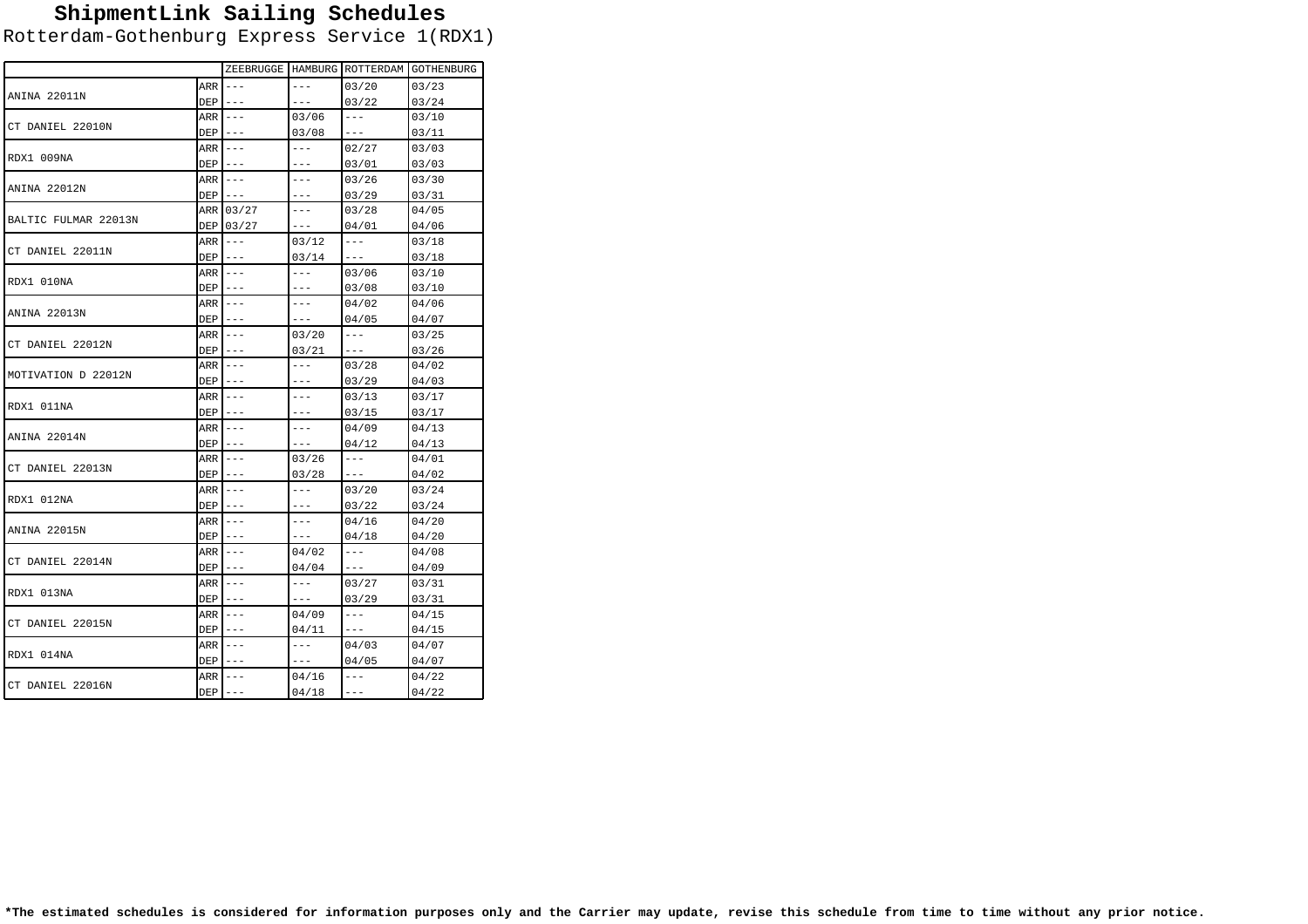Rotterdam-Gothenburg Express Service 1(RDX1)

|                      |            |             |         | ZEEBRUGGE HAMBURG ROTTERDAM | GOTHENBURG |
|----------------------|------------|-------------|---------|-----------------------------|------------|
|                      | ARR        | $- - -$     | $- - -$ | 03/20                       | 03/23      |
| ANINA 22011N         | <b>DEP</b> | $---$       | $---$   | 03/22                       | 03/24      |
|                      | ARR I      | $---$       | 03/06   | $---$                       | 03/10      |
| CT DANIEL 22010N     | DEP        | $- - -$     | 03/08   | $---$                       | 03/11      |
|                      | ARR        | $---$       | $- - -$ | 02/27                       | 03/03      |
| RDX1 009NA           | DEP        | $---$       | $---$   | 03/01                       | 03/03      |
|                      | ARR        | $---$       | $---$   | 03/26                       | 03/30      |
| <b>ANINA 22012N</b>  | DEP        | $---$       | $---$   | 03/29                       | 03/31      |
|                      |            | ARR 03/27   | $- - -$ | 03/28                       | 04/05      |
| BALTIC FULMAR 22013N | <b>DEP</b> | 03/27       | $- - -$ | 04/01                       | 04/06      |
|                      | ARR        | $- - -$     | 03/12   | $- - -$                     | 03/18      |
| CT DANIEL 22011N     | DEP        | $---$       | 03/14   | $---$                       | 03/18      |
|                      | <b>ARR</b> | $---$       | $---$   | 03/06                       | 03/10      |
| RDX1 010NA           | DEP        | $---$       | $---$   | 03/08                       | 03/10      |
|                      | ARR I      | $---$       | $---$   | 04/02                       | 04/06      |
| ANINA 22013N         | DEP        | $---$       | $---$   | 04/05                       | 04/07      |
|                      | ARR        | $- - -$     | 03/20   | $---$                       | 03/25      |
| CT DANIEL 22012N     | DEP        | $- - -$     | 03/21   | $---$                       | 03/26      |
|                      | ARR        | $---$       | $---$   | 03/28                       | 04/02      |
| MOTIVATION D 22012N  | DEP        | $---$       | $---$   | 03/29                       | 04/03      |
|                      | ARR I      | $---$       | $- - -$ | 03/13                       | 03/17      |
| RDX1 011NA           | DEP        | $- - -$     |         | 03/15                       | 03/17      |
|                      | ARR        | $- - -$     | $- - -$ | 04/09                       | 04/13      |
| <b>ANINA 22014N</b>  | DEP        | $---$       | $- - -$ | 04/12                       | 04/13      |
|                      | ARR        | $- - -$     | 03/26   | $---$                       | 04/01      |
| CT DANIEL 22013N     | DEP        | $---$       | 03/28   | $---$                       | 04/02      |
|                      | ARR        | $---$       | $---$   | 03/20                       | 03/24      |
| RDX1 012NA           | DEP        | $- - -$     |         | 03/22                       | 03/24      |
|                      | ARR        | $---$       | $- - -$ | 04/16                       | 04/20      |
| <b>ANINA 22015N</b>  | DEP        | $- - -$     | $- - -$ | 04/18                       | 04/20      |
|                      | ARR        | $---$       | 04/02   | $---$                       | 04/08      |
| CT DANIEL 22014N     | DEP        | $---$       | 04/04   | $---$                       | 04/09      |
|                      | ARR        | $---$       | $---$   | 03/27                       | 03/31      |
| RDX1 013NA           | DEP        | $- - -$     | $---$   | 03/29                       | 03/31      |
|                      | ARR        | $- - -$     | 04/09   | $- - -$                     | 04/15      |
| CT DANIEL 22015N     | DEP        | $---$       | 04/11   | $---$                       | 04/15      |
|                      | ARR        | $- - -$     | $---$   | 04/03                       | 04/07      |
| RDX1 014NA           | DEP        | $---$       | $---$   | 04/05                       | 04/07      |
|                      | ARR        | $---$       | 04/16   | $---$                       | 04/22      |
| CT DANIEL 22016N     |            | $DEP$ $---$ | 04/18   | $---$                       | 04/22      |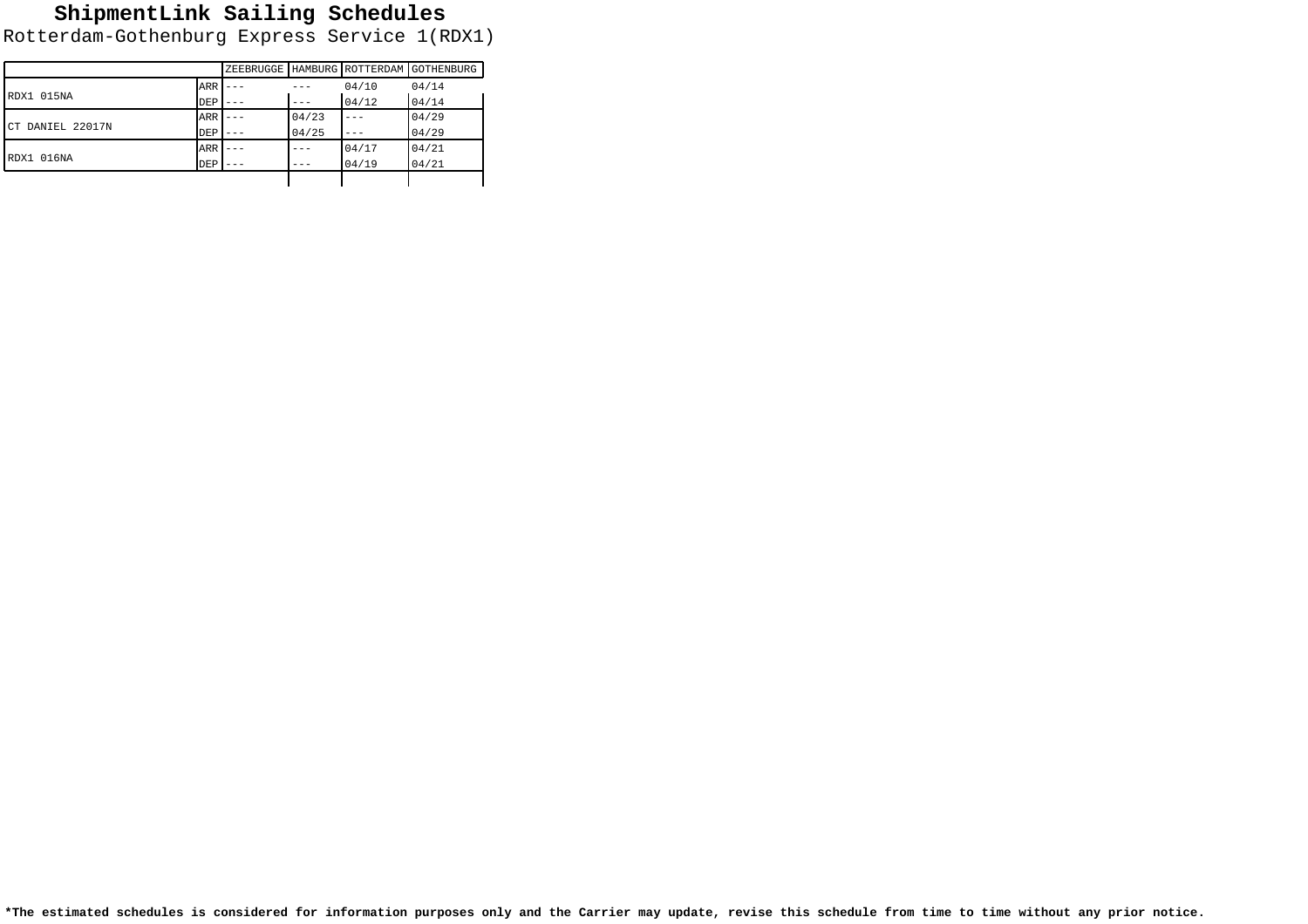Rotterdam-Gothenburg Express Service 1(RDX1)

|                  |            | ZEEBRUGGE |       | HAMBURG ROTTERDAM | <b>GOTHENBURG</b> |
|------------------|------------|-----------|-------|-------------------|-------------------|
|                  | <b>ARR</b> |           |       | 04/10             | 04/14             |
| RDX1 015NA       | <b>DEP</b> |           |       | 04/12             | 04/14             |
|                  | <b>ARR</b> |           | 04/23 |                   | 04/29             |
| CT DANIEL 22017N | <b>DEP</b> |           | 04/25 |                   | 04/29             |
|                  | <b>ARR</b> |           |       | 04/17             | 04/21             |
| RDX1<br>016NA    | <b>DEP</b> |           |       | 04/19             | 04/21             |
|                  |            |           |       |                   |                   |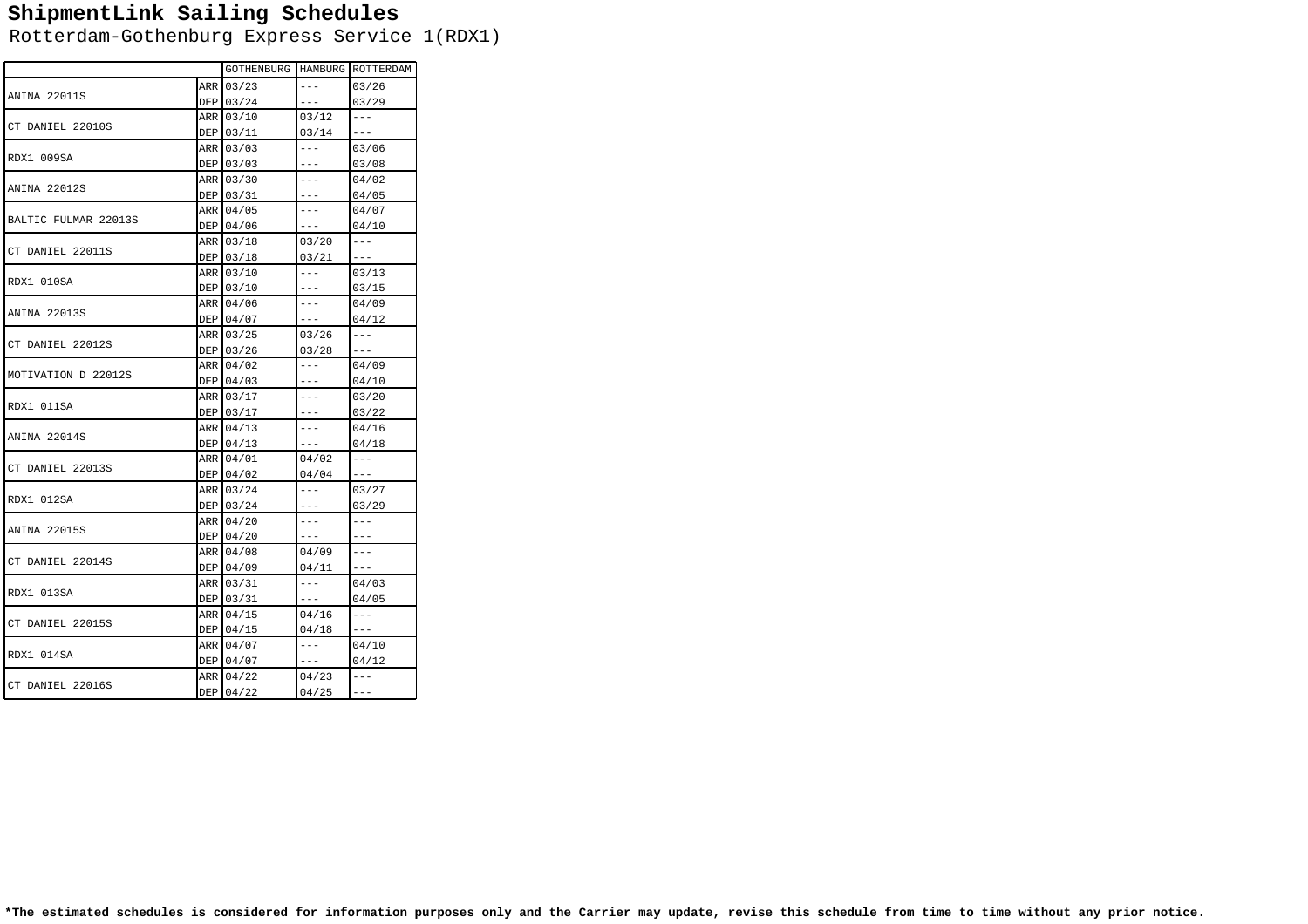Rotterdam-Gothenburg Express Service 1(RDX1)

|                      |            | GOTHENBURG |         | HAMBURG ROTTERDAM   |
|----------------------|------------|------------|---------|---------------------|
|                      |            | ARR 03/23  | $- - -$ | 03/26               |
| <b>ANINA 22011S</b>  |            | DEP 03/24  | $---$   | 03/29               |
|                      |            | ARR 03/10  | 03/12   | $  -$               |
| CT DANIEL 22010S     |            | DEP 03/11  | 03/14   | $- - -$             |
|                      |            | ARR 03/03  | $- - -$ | 03/06               |
| RDX1 009SA           | <b>DEP</b> | 03/03      | $---$   | 03/08               |
|                      | ARR I      | 03/30      | $---$   | 04/02               |
| ANINA 22012S         |            | DEP 03/31  | $---$   | 04/05               |
|                      |            | ARR 04/05  | $- - -$ | 04/07               |
| BALTIC FULMAR 22013S |            | DEP 04/06  | $---$   | 04/10               |
|                      |            | ARR 03/18  | 03/20   | $---$               |
| CT DANIEL 22011S     |            | DEP 03/18  | 03/21   | $---$               |
|                      | <b>ARR</b> | 03/10      | $---$   | 03/13               |
| RDX1 010SA           |            | DEP 03/10  | $---$   | 03/15               |
|                      |            | ARR 04/06  | $---$   | 04/09               |
| <b>ANINA 22013S</b>  |            | DEP 04/07  | $---$   | 04/12               |
|                      |            | ARR 03/25  | 03/26   | $---$               |
| CT DANIEL 22012S     | <b>DEP</b> | 03/26      | 03/28   | $---$               |
|                      | ARR I      | 04/02      | $---$   | 04/09               |
| MOTIVATION D 22012S  | <b>DEP</b> | 04/03      | $---$   | 04/10               |
|                      |            | ARR 03/17  | $- - -$ | 03/20               |
| RDX1 011SA           |            | DEP 03/17  | $- - -$ | 03/22               |
|                      |            | ARR 04/13  | $- - -$ | 04/16               |
| <b>ANINA 22014S</b>  |            | DEP 04/13  | $---$   | 04/18               |
|                      |            | ARR 04/01  | 04/02   | $  -$               |
| CT DANIEL 22013S     |            | DEP 04/02  | 04/04   | $- - -$             |
|                      |            | ARR 03/24  | $---$   | 03/27               |
| RDX1 012SA           |            | DEP 03/24  | $---$   | 03/29               |
|                      |            | ARR 04/20  | $- - -$ | $---$               |
| ANINA 22015S         | DEP        | 04/20      | $- - -$ | $---$               |
|                      | <b>ARR</b> | 04/08      | 04/09   | $\qquad \qquad - -$ |
| CT DANIEL 22014S     | DEP        | 04/09      | 04/11   | $---$               |
|                      | <b>ARR</b> | 03/31      | $---$   | 04/03               |
| RDX1 013SA           | DEP        | 03/31      | $---$   | 04/05               |
|                      |            | ARR 04/15  | 04/16   | $---$               |
| CT DANIEL 22015S     | <b>DEP</b> | 04/15      | 04/18   | $---$               |
|                      | ARR I      | 04/07      | $---$   | 04/10               |
| RDX1 014SA           |            | DEP 04/07  | $---$   | 04/12               |
|                      |            | ARR 04/22  | 04/23   | $- - -$             |
| CT DANIEL 22016S     |            | DEP 04/22  | 04/25   | $---$               |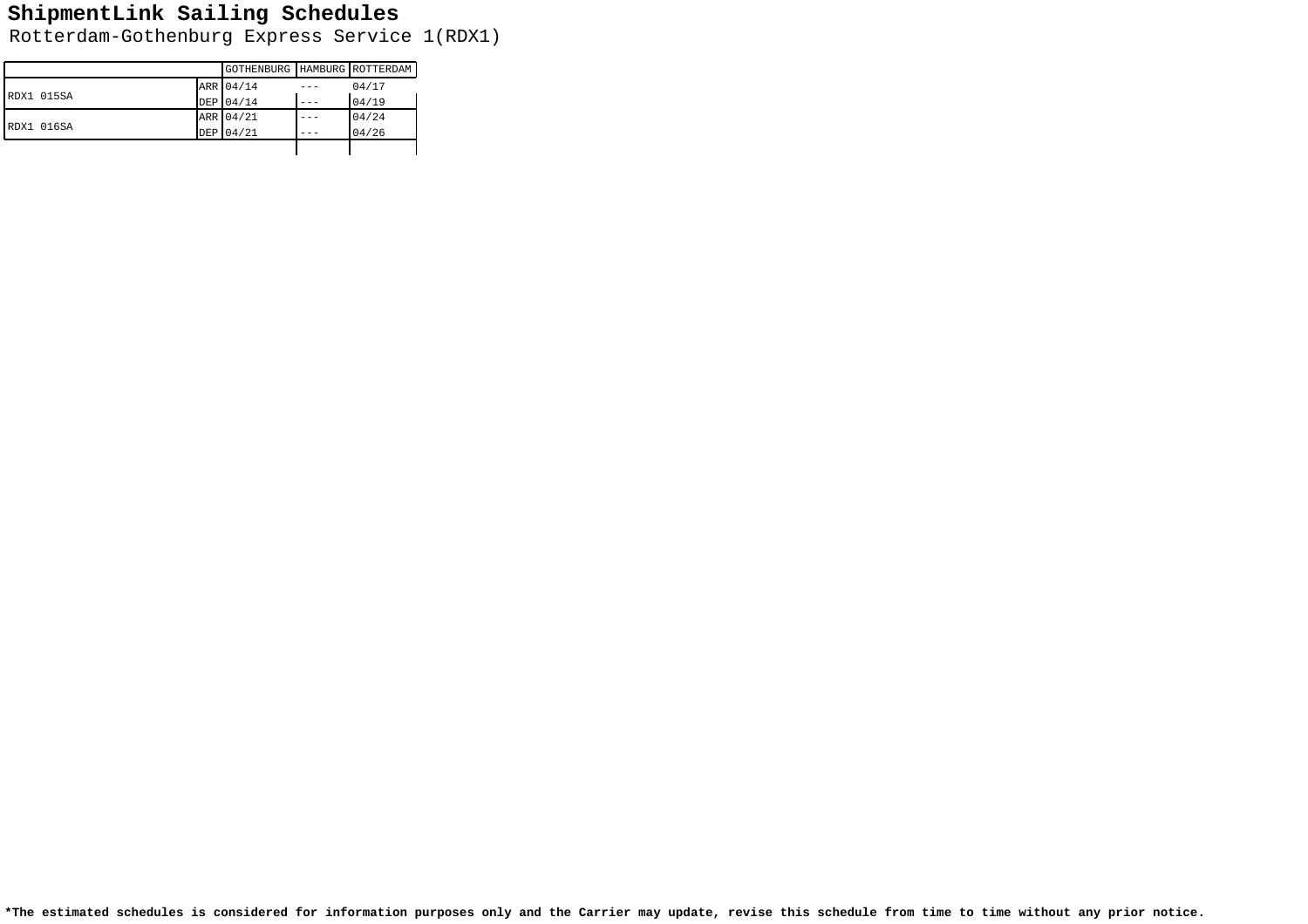Rotterdam-Gothenburg Express Service 1(RDX1)

|            | GOTHENBURG HAMBURG ROTTERDAM |       |
|------------|------------------------------|-------|
|            | ARR 04/14                    | 04/17 |
| RDX1 015SA | DEP 04/14                    | 04/19 |
|            | ARR 04/21                    | 04/24 |
| RDX1 016SA | DEP 04/21                    | 04/26 |
|            |                              |       |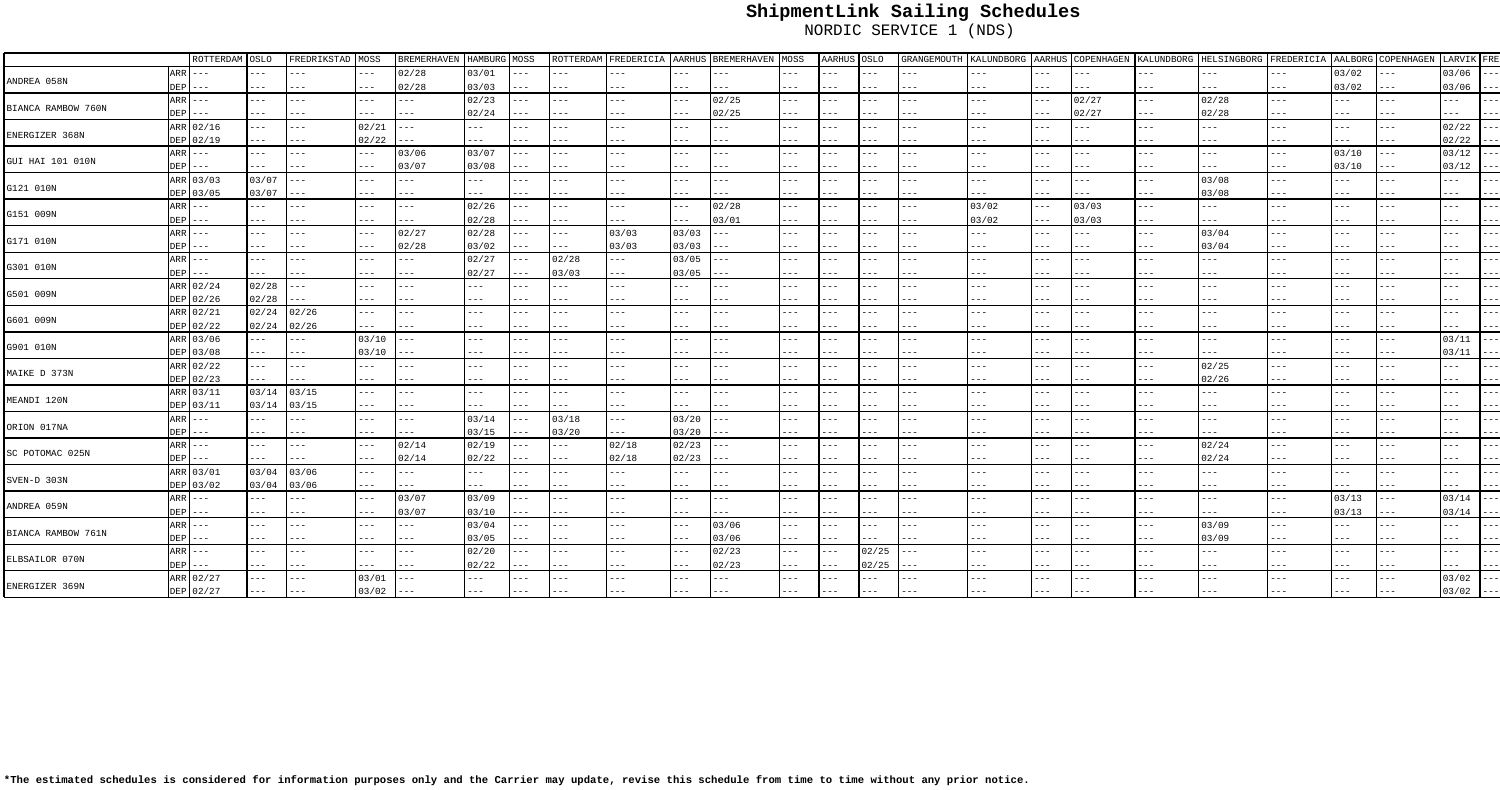| ARR<br>02/28<br>03/02<br>03/01<br>03/06<br>$- - -$<br>$- - -$<br>$- -$<br>$-- -$<br>$---$<br>$---$<br>$---$<br>$- - -$<br>$---$<br>$- - -$<br>$- - -$<br>$---$<br>$---$<br>$--$<br>$- -$<br>$- - -$<br>$- - -$<br>$- - -$<br>03/06<br><b>DEP</b><br>02/28<br>03/02<br>03/03<br>$- -$<br>$--$<br>$---$<br>$- - -$<br>$-- -$<br>$---$<br>$- -$<br>$- - -$<br>$- - -$<br>$- -$<br>$- - -$<br>$- -$<br>$-- -$<br>$- -$<br>$--$<br>$- -$<br>$-- -$<br>$-- -$<br>ARR <sup>I</sup><br>02/23<br>02/25<br>02/27<br>02/28<br>$- -$<br>$---$<br>$---$<br>$- - -$<br>$-- -$<br>$- - -$<br>$- - -$<br>$- - -$<br>$- - -$<br>$- - -$<br>$-- -$<br>$-- -$<br>$---$<br>$---$<br>$- - -$<br>$-- -$<br>$- - - -$<br>$- -$<br>$- - -$<br>$- - -$<br>02/28<br>02/24<br>02/25<br>02/27<br>DEP.<br>$---$<br>$- - -$<br>$- -$<br>$- -$<br>$- -$<br>$- -$<br>ARR 02/16<br>02/21<br>02/22<br>$---$<br>$---$<br>$---$<br>$- - -$<br>$- - -$<br>$-- -$<br>$-- -$<br>$- - -$<br>$- - -$<br>$- - -$<br>$- - -$<br>$---$<br>$- - -$<br>$- -$<br>$- -$<br>$---$<br>$-- -$<br>$- -$<br>$- - -$<br>$-- -$<br>$---$<br>ENERGIZER 368N<br>DEP 02/19<br>02/22<br>02/22<br>$- -$<br>$---$<br>$---$<br>$- - -$<br>$- - -$<br>$- -$<br>$- -$<br>$- - -$<br>$- -$<br>$- - -$<br>$- -$<br>$- -$<br>$- - -$<br>.<br>.<br>$- -$<br>$- - -$<br>$- - -$<br>ARR <sup>I</sup><br>03/07<br>03/12<br>03/06<br>03/10<br>$-- -$<br>$---$<br>$---$<br>$---$<br>$---$<br>$- - -$<br>$---$<br>$-- -$<br>$- - -$<br>$- -$<br>$---$<br>$-- -$<br>$- -$<br>$- - -$<br>$- - -$<br>$- - -$<br>$---$<br>$---$<br>---<br>$- - -$<br>GUI HAI 101 010N<br>03/07<br>03/12<br>DEP.<br>03/08<br>03/10<br>$-- -$<br>$-- -$<br>$- - -$<br>$- -$<br>$- - -$<br>$- - -$<br>$- -$<br>$- -$<br>$\qquad \qquad -$<br>$- -$<br>$- -$<br>ARR 03/03<br>03/07<br>03/08<br>$---$<br>$- - -$<br>$---$<br>$---$<br>$---$<br>$---$<br>$---$<br>$---$<br>$---$<br>$- - -$<br>$---$<br>$---$<br>$---$<br>$---$<br>$- - -$<br>$---$<br>$- - -$<br>$- - -$<br>$- - -$<br>$- - -$<br>$- - -$<br>G121 010N<br>03/07<br>03/08<br>DEP 03/05<br>$---$<br>$- - -$<br>$- - -$<br>$- - -$<br>$- -$<br>$- -$<br>$- -$<br>$- -$<br>$- -$<br>$- - -$<br>$- -$<br>$- - -$<br>$- - -$<br>$- -$<br>$ -$<br>ARR <sup>I</sup><br>02/26<br>03/02<br>02/28<br>03/03<br>$---$<br>$---$<br>$---$<br>$- - -$<br>$---$<br>$- - -$<br>$---$<br>$---$<br>$-- -$<br>$- - - -$<br>$---$<br>$-- -$<br>$---$<br>$---$<br>$---$<br>$---$<br>$---$<br>$---$<br>$---$<br>$--$<br>G151 009N<br>02/28<br>03/01<br>03/02<br>03/03<br>DEP<br>$---$<br>$---$<br>$- - -$<br>$-- -$<br>$-- -$<br>$- - -$<br>$-- -$<br>$\qquad \qquad - -$<br>$-- -$<br>$- - -$<br>$-- -$<br>$\qquad \qquad -$<br>$- -$<br>$- -$<br>02/27<br>02/28<br>03/03<br>03/03<br>03/04<br><b>ARR</b><br>$-- -$<br>$-- -$<br>$-- -$<br>$- - -$<br>$- - -$<br>$- - -$<br>$- - - -$<br>$---$<br>$---$<br>$- -$<br>$---$<br>$---$<br>$---$<br>$-- -$<br>$- -$<br>$--$<br>$---$<br>$---$<br>$- - -$<br>G171 010N<br><b>DEP</b><br>02/28<br>03/03<br>03/03<br>03/04<br>03/02<br>$---$<br>$- - -$<br>$- - -$<br>$- -$<br>$- -$<br>$---$<br>$- - -$<br>$- -$<br>$- -$<br>$- - -$<br>$- - -$<br>$- - -$<br>$- -$<br>$- -$<br>$- - -$<br>$- - -$<br>$ARR$ ---<br>02/27<br>02/28<br>03/05<br>$---$<br>$---$<br>$---$<br>$---$<br>$- - -$<br>$-- -$<br>$-- -$<br>$- - -$<br>$- - -$<br>$---$<br>$- - -$<br>$---$<br>$---$<br>$-- -$<br>$---$<br>$- - -$<br>$- - -$<br>$- - -$<br>$- - -$<br>G301 010N<br>02/27<br>03/03<br>03/05<br>DEP<br>$- -$<br>$- - -$<br>$---$<br>$---$<br>$--$<br>$-- -$<br>$- -$<br>$\qquad \qquad -$<br>$---$<br>$--$<br>$- -$<br>$-$<br>$---$<br>$-- -$<br>$- -$<br>$- -$<br>$- -$<br>ARR 02/24<br>02/28<br>$---$<br>$---$<br>$---$<br>$---$<br>$- - -$<br>$---$<br>$---$<br>$---$<br>$-- -$<br>$---$<br>$---$<br>$- - -$<br>$- - -$<br>$- - -$<br>$---$<br>$- - -$<br>$- - -$<br>$---$<br>$---$<br>$- - -$<br>$- - -$<br>$---$<br>G501 009N<br>02/28<br>DEP 02/26<br>$- - -$<br>$- - -$<br>$- - -$<br>$- -$<br>$- -$<br>$ -$<br>$- -$<br>$- -$<br>$- -$<br>$- - -$<br>---<br>$- -$<br>$- -$<br>$- -$<br>02/24<br>ARR 02/21<br>02/26<br>$---$<br>$---$<br>$---$<br>$---$<br>$---$<br>$---$<br>$---$<br>$-- -$<br>$-- -$<br>$---$<br>$---$<br>$---$<br>$---$<br>$---$<br>$---$<br>$---$<br>$---$<br>$---$<br>$---$<br>$---$<br>$---$<br>G601 009N<br>DEP 02/22<br>02/24<br>02/26<br>$- - -$<br>$- - -$<br>$- -$<br>$- -$<br>$-- -$<br>$- -$<br>$- - -$<br>$- - -$<br>$- -$<br>$- - -$<br>$- -$<br>$- - -$<br>$- -$<br>$- -$<br>03/11<br>ARR 03/06<br>03/10<br>$---$<br>$- - -$<br>$- - -$<br>$---$<br>$- -$<br>$-- -$<br>$- - -$<br>$-- -$<br>$-- -$<br>$-- -$<br>$-- -$<br>$- - -$<br>$- - -$<br>$-- -$<br>$---$<br>$-- -$<br>$- - -$<br>$- -$<br>$-- -$<br>$- - -$<br>$-- -$<br>G901 010N<br>DEP 03/08<br>03/11<br>03/10<br>$---$<br>$---$<br>$- - -$<br>$---$<br>$-- -$<br>---<br>$-- -$<br>$- - -$<br>$- -$<br>$-- -$<br>$- - -$<br>$- -$<br>$- - -$<br>$--$<br>$- -$<br>$- -$<br>$---$<br>$- -$<br>$--$<br>$- -$<br>$- -$<br>02/25<br>ARR 02/22<br>$---$<br>$---$<br>$---$<br>$---$<br>$- - -$<br>$- -$<br>$- - -$<br>$- -$<br>$---$<br>$---$<br>$- - -$<br>$- - -$<br>$- - -$<br>$- - -$<br>$- - -$<br>$---$<br>$- - -$<br>$- - -$<br>---<br>$- - -$<br>$- - -$<br>$- - -$<br>DEP 02/23<br>02/26<br>$-- -$<br>$---$<br>$- - -$<br>$---$<br>$- -$<br>$--$<br>$- -$<br>$- -$<br>$- -$<br>$- -$<br>$- -$<br>$- -$<br>$- -$<br>$--$<br>$- -$<br>$- - -$<br>ARR 03/11<br>03/14<br>03/15<br>$-- -$<br>$---$<br>$- - -$<br>$---$<br>$---$<br>$---$<br>$-- -$<br>$-- -$<br>$-- -$<br>$---$<br>$---$<br>$---$<br>$---$<br>$---$<br>$- - -$<br>$---$<br>$---$<br>$---$<br>$---$<br>$---$<br>$---$<br>DEP 03/11<br>03/14<br>03/15<br>$- - -$<br>$- - -$<br>$- - -$<br>$- -$<br>$- -$<br>$- -$<br>$- -$<br>$- -$<br>$- -$<br>$- - -$<br>$--$<br>$- -$<br>$- - -$<br>$- -$<br>ARR <sup>I</sup><br>03/20<br>03/14<br>03/18<br>$-- -$<br>$---$<br>$---$<br>$---$<br>$---$<br>$---$<br>$---$<br>$---$<br>$-- -$<br>$---$<br>$-- -$<br>$---$<br>$---$<br>$---$<br>$-- -$<br>$---$<br>$-- -$<br>$-- -$<br>$- - -$<br>$---$<br>$---$<br>03/15<br>03/20<br>03/20<br>DEP I<br>$---$<br>$- - -$<br>$- - -$<br>$---$<br>$---$<br>$- - -$<br>$- -$<br>$-- -$<br>$- - -$<br>$--$<br>$- -$<br>$--$<br>$---$<br>$-- -$<br>$-- -$<br>$- - -$<br>$- - -$<br>$- -$<br>$- - -$<br>$--$<br>ARR <sup>I</sup><br>02/14<br>02/19<br>02/24<br>02/18<br>02/23<br>$---$<br>$- -$<br>$- - -$<br>$---$<br>$---$<br>$- - -$<br>$- - -$<br>$- - -$<br>$- -$<br>$- -$<br>$---$<br>$- - -$<br>$- -$<br>$- - -$<br>$---$<br>$---$<br>$- - -$<br>$- - -$<br>$- -$<br>02/14<br>02/18<br>02/23<br>02/24<br>DEP.<br>02/22<br>$- - -$<br>$-- -$<br>$- - -$<br>$- - -$<br>$- - -$<br>$- - -$<br>$- - -$<br>$- -$<br>$- -$<br>$- - -$<br>$- - -$<br>$- - -$<br>$- -$<br>ARR 03/01<br>03/04<br>03/06<br>$---$<br>$---$<br>$---$<br>$---$<br>$---$<br>$-1$<br>$- -$<br>$---$<br>$---$<br>$---$<br>$---$<br>$- -$<br>$---$<br>$- - -$<br>$- - -$<br>$-- -$<br>$---$<br>$---$<br>$---$<br>$---$<br>$- - -$<br>$---$<br>DEP 03/02<br>03/04<br>03/06<br>$- - -$<br>$-- -$<br>$- - -$<br>$- -$<br>$- -$<br>$- - -$<br>$- -$<br>$- -$<br>$- - -$<br>$- - -$<br>$- - -$<br>ARR <sup>I</sup><br>03/14<br>03/07<br>03/09<br>03/13<br>$- - -$<br>$---$<br>$- - -$<br>$---$<br>$---$<br>$---$<br>$-- -$<br>$-- -$<br>$---$<br>$-- -$<br>$- - -$<br>$- - -$<br>$-- -$<br>$-- -$<br>$-- -$<br>$-- -$<br>$---$<br>$---$<br>$-- -$<br>$---$<br>03/07<br>03/13<br>03/14<br>dep  <br>03/10<br>$\qquad \qquad - -$<br>$-- -$<br>$---$<br>$- - -$<br>$- - -$<br>$- -$<br>$-- -$<br>$- -$<br>$- -$<br>$- -$<br>$- - -$<br>$-- -$<br>$- -$<br>ARR<br>03/06<br>03/09<br>03/04<br>$- - -$<br>$- - - -$<br>$-- -$<br>$-- -$<br>$- - -$<br>$- -$<br>$- - -$<br>$---$<br>$---$<br>$- - -$<br>$- -$<br>$- - -$<br>$- - -$<br>$- - -$<br>$- - -$<br>$- - -$<br>$- -$<br>DEP <sup>I</sup><br>03/06<br>03/09<br>03/05<br>$-- -$<br>$-- -$<br>$- - -$<br>$- - - -$<br>$---$<br>$---$<br>$-- -$<br>$- - -$<br>$---$<br>$---$<br>$- -$<br>$- -$<br>$--$<br>$- - -$<br>$- - -$<br>$- - -$<br>ARR<br>02/20<br>02/25<br>02/23<br>$---$<br>$- -$<br>$- - -$<br>$---$<br>$---$<br>$---$<br>$---$<br>$---$<br>$---$<br>$---$<br>$---$<br>$---$<br>$- - -$<br>$- -$<br>$- - -$<br>$---$<br>$- -$<br>$- - -$<br>$- - -$<br>$--$<br>02/22<br>02/23<br>02/25<br><b>DEP</b><br>$- -$<br>$- -$<br>$ -$<br>$- - -$<br>$- - -$<br>$- -$<br>$- -$<br>$- -$<br>ARR 02/27<br>$- - -$<br>$- - -$<br>$- -$<br>$- -$<br>$- -$<br>$---$<br>$---$<br>$---$<br>$---$<br>$- - -$ |                    | ROTTERDAM OSLO |       | FREDRIKSTAD MOSS |       | <b>BREMERHAVEN</b> | HAMBURG MOSS | ROTTERDAM | FREDERICIA | AARHUS | BREMERHAVEN MOSS | AARHUS OSLO | GRANGEMOUTH | KALUNDBORG | <b>AARHUS</b> | COPENHAGEN | KALUNDBORG | HELSINGBORG FREDERICIA |         | AALBORG | COPENHAGEN | LARVIK FRE |  |
|---------------------------------------------------------------------------------------------------------------------------------------------------------------------------------------------------------------------------------------------------------------------------------------------------------------------------------------------------------------------------------------------------------------------------------------------------------------------------------------------------------------------------------------------------------------------------------------------------------------------------------------------------------------------------------------------------------------------------------------------------------------------------------------------------------------------------------------------------------------------------------------------------------------------------------------------------------------------------------------------------------------------------------------------------------------------------------------------------------------------------------------------------------------------------------------------------------------------------------------------------------------------------------------------------------------------------------------------------------------------------------------------------------------------------------------------------------------------------------------------------------------------------------------------------------------------------------------------------------------------------------------------------------------------------------------------------------------------------------------------------------------------------------------------------------------------------------------------------------------------------------------------------------------------------------------------------------------------------------------------------------------------------------------------------------------------------------------------------------------------------------------------------------------------------------------------------------------------------------------------------------------------------------------------------------------------------------------------------------------------------------------------------------------------------------------------------------------------------------------------------------------------------------------------------------------------------------------------------------------------------------------------------------------------------------------------------------------------------------------------------------------------------------------------------------------------------------------------------------------------------------------------------------------------------------------------------------------------------------------------------------------------------------------------------------------------------------------------------------------------------------------------------------------------------------------------------------------------------------------------------------------------------------------------------------------------------------------------------------------------------------------------------------------------------------------------------------------------------------------------------------------------------------------------------------------------------------------------------------------------------------------------------------------------------------------------------------------------------------------------------------------------------------------------------------------------------------------------------------------------------------------------------------------------------------------------------------------------------------------------------------------------------------------------------------------------------------------------------------------------------------------------------------------------------------------------------------------------------------------------------------------------------------------------------------------------------------------------------------------------------------------------------------------------------------------------------------------------------------------------------------------------------------------------------------------------------------------------------------------------------------------------------------------------------------------------------------------------------------------------------------------------------------------------------------------------------------------------------------------------------------------------------------------------------------------------------------------------------------------------------------------------------------------------------------------------------------------------------------------------------------------------------------------------------------------------------------------------------------------------------------------------------------------------------------------------------------------------------------------------------------------------------------------------------------------------------------------------------------------------------------------------------------------------------------------------------------------------------------------------------------------------------------------------------------------------------------------------------------------------------------------------------------------------------------------------------------------------------------------------------------------------------------------------------------------------------------------------------------------------------------------------------------------------------------------------------------------------------------------------------------------------------------------------------------------------------------------------------------------------------------------------------------------------------------------------------------------------------------------------------------------------------------------------------------------------------------------------------------------------------------------------------------------------------------------------------------------------------------------------------------------------------------------------------------------------------------------------------------------------------------------------------------------------------------------------------------------------------------------------------------------------------------------------------------------------------------------------------------------------------------------------------------------------------------------------------------------------------------------------------------------------------------------------------------------------------------------------------------------------------------------------------------------------------------------------------------------------------------------------------------------------------------------------------------------------------------------------------------------------------------------------------------------------------------------------------------------------------------------------------------------------------------------------------------------------------------------------------------------------------------------------------------------------------------------------------------------------------------------------------------------------------------------------------------------------------------------------------------------------------------------------------------------------------------------------------------------------------------------------------------------------------------------------------------------------------------------------------------------------------------------------------------------------------------------------------------------------------------------------------------------------------------------------------------------------------------------------------------------------------------------------------------|--------------------|----------------|-------|------------------|-------|--------------------|--------------|-----------|------------|--------|------------------|-------------|-------------|------------|---------------|------------|------------|------------------------|---------|---------|------------|------------|--|
|                                                                                                                                                                                                                                                                                                                                                                                                                                                                                                                                                                                                                                                                                                                                                                                                                                                                                                                                                                                                                                                                                                                                                                                                                                                                                                                                                                                                                                                                                                                                                                                                                                                                                                                                                                                                                                                                                                                                                                                                                                                                                                                                                                                                                                                                                                                                                                                                                                                                                                                                                                                                                                                                                                                                                                                                                                                                                                                                                                                                                                                                                                                                                                                                                                                                                                                                                                                                                                                                                                                                                                                                                                                                                                                                                                                                                                                                                                                                                                                                                                                                                                                                                                                                                                                                                                                                                                                                                                                                                                                                                                                                                                                                                                                                                                                                                                                                                                                                                                                                                                                                                                                                                                                                                                                                                                                                                                                                                                                                                                                                                                                                                                                                                                                                                                                                                                                                                                                                                                                                                                                                                                                                                                                                                                                                                                                                                                                                                                                                                                                                                                                                                                                                                                                                                                                                                                                                                                                                                                                                                                                                                                                                                                                                                                                                                                                                                                                                                                                                                                                                                                                                                                                                                                                                                                                                                                                                                                                                                                                                                                                                                                                                                                                                                                                                                                                                                                                                                                                                                                                                 |                    |                |       |                  |       |                    |              |           |            |        |                  |             |             |            |               |            |            |                        |         |         |            |            |  |
|                                                                                                                                                                                                                                                                                                                                                                                                                                                                                                                                                                                                                                                                                                                                                                                                                                                                                                                                                                                                                                                                                                                                                                                                                                                                                                                                                                                                                                                                                                                                                                                                                                                                                                                                                                                                                                                                                                                                                                                                                                                                                                                                                                                                                                                                                                                                                                                                                                                                                                                                                                                                                                                                                                                                                                                                                                                                                                                                                                                                                                                                                                                                                                                                                                                                                                                                                                                                                                                                                                                                                                                                                                                                                                                                                                                                                                                                                                                                                                                                                                                                                                                                                                                                                                                                                                                                                                                                                                                                                                                                                                                                                                                                                                                                                                                                                                                                                                                                                                                                                                                                                                                                                                                                                                                                                                                                                                                                                                                                                                                                                                                                                                                                                                                                                                                                                                                                                                                                                                                                                                                                                                                                                                                                                                                                                                                                                                                                                                                                                                                                                                                                                                                                                                                                                                                                                                                                                                                                                                                                                                                                                                                                                                                                                                                                                                                                                                                                                                                                                                                                                                                                                                                                                                                                                                                                                                                                                                                                                                                                                                                                                                                                                                                                                                                                                                                                                                                                                                                                                                                                 | ANDREA 058N        |                |       |                  |       |                    |              |           |            |        |                  |             |             |            |               |            |            |                        |         |         |            |            |  |
|                                                                                                                                                                                                                                                                                                                                                                                                                                                                                                                                                                                                                                                                                                                                                                                                                                                                                                                                                                                                                                                                                                                                                                                                                                                                                                                                                                                                                                                                                                                                                                                                                                                                                                                                                                                                                                                                                                                                                                                                                                                                                                                                                                                                                                                                                                                                                                                                                                                                                                                                                                                                                                                                                                                                                                                                                                                                                                                                                                                                                                                                                                                                                                                                                                                                                                                                                                                                                                                                                                                                                                                                                                                                                                                                                                                                                                                                                                                                                                                                                                                                                                                                                                                                                                                                                                                                                                                                                                                                                                                                                                                                                                                                                                                                                                                                                                                                                                                                                                                                                                                                                                                                                                                                                                                                                                                                                                                                                                                                                                                                                                                                                                                                                                                                                                                                                                                                                                                                                                                                                                                                                                                                                                                                                                                                                                                                                                                                                                                                                                                                                                                                                                                                                                                                                                                                                                                                                                                                                                                                                                                                                                                                                                                                                                                                                                                                                                                                                                                                                                                                                                                                                                                                                                                                                                                                                                                                                                                                                                                                                                                                                                                                                                                                                                                                                                                                                                                                                                                                                                                                 |                    |                |       |                  |       |                    |              |           |            |        |                  |             |             |            |               |            |            |                        |         |         |            |            |  |
|                                                                                                                                                                                                                                                                                                                                                                                                                                                                                                                                                                                                                                                                                                                                                                                                                                                                                                                                                                                                                                                                                                                                                                                                                                                                                                                                                                                                                                                                                                                                                                                                                                                                                                                                                                                                                                                                                                                                                                                                                                                                                                                                                                                                                                                                                                                                                                                                                                                                                                                                                                                                                                                                                                                                                                                                                                                                                                                                                                                                                                                                                                                                                                                                                                                                                                                                                                                                                                                                                                                                                                                                                                                                                                                                                                                                                                                                                                                                                                                                                                                                                                                                                                                                                                                                                                                                                                                                                                                                                                                                                                                                                                                                                                                                                                                                                                                                                                                                                                                                                                                                                                                                                                                                                                                                                                                                                                                                                                                                                                                                                                                                                                                                                                                                                                                                                                                                                                                                                                                                                                                                                                                                                                                                                                                                                                                                                                                                                                                                                                                                                                                                                                                                                                                                                                                                                                                                                                                                                                                                                                                                                                                                                                                                                                                                                                                                                                                                                                                                                                                                                                                                                                                                                                                                                                                                                                                                                                                                                                                                                                                                                                                                                                                                                                                                                                                                                                                                                                                                                                                                 | BIANCA RAMBOW 760N |                |       |                  |       |                    |              |           |            |        |                  |             |             |            |               |            |            |                        |         |         |            |            |  |
|                                                                                                                                                                                                                                                                                                                                                                                                                                                                                                                                                                                                                                                                                                                                                                                                                                                                                                                                                                                                                                                                                                                                                                                                                                                                                                                                                                                                                                                                                                                                                                                                                                                                                                                                                                                                                                                                                                                                                                                                                                                                                                                                                                                                                                                                                                                                                                                                                                                                                                                                                                                                                                                                                                                                                                                                                                                                                                                                                                                                                                                                                                                                                                                                                                                                                                                                                                                                                                                                                                                                                                                                                                                                                                                                                                                                                                                                                                                                                                                                                                                                                                                                                                                                                                                                                                                                                                                                                                                                                                                                                                                                                                                                                                                                                                                                                                                                                                                                                                                                                                                                                                                                                                                                                                                                                                                                                                                                                                                                                                                                                                                                                                                                                                                                                                                                                                                                                                                                                                                                                                                                                                                                                                                                                                                                                                                                                                                                                                                                                                                                                                                                                                                                                                                                                                                                                                                                                                                                                                                                                                                                                                                                                                                                                                                                                                                                                                                                                                                                                                                                                                                                                                                                                                                                                                                                                                                                                                                                                                                                                                                                                                                                                                                                                                                                                                                                                                                                                                                                                                                                 |                    |                |       |                  |       |                    |              |           |            |        |                  |             |             |            |               |            |            |                        |         |         |            |            |  |
|                                                                                                                                                                                                                                                                                                                                                                                                                                                                                                                                                                                                                                                                                                                                                                                                                                                                                                                                                                                                                                                                                                                                                                                                                                                                                                                                                                                                                                                                                                                                                                                                                                                                                                                                                                                                                                                                                                                                                                                                                                                                                                                                                                                                                                                                                                                                                                                                                                                                                                                                                                                                                                                                                                                                                                                                                                                                                                                                                                                                                                                                                                                                                                                                                                                                                                                                                                                                                                                                                                                                                                                                                                                                                                                                                                                                                                                                                                                                                                                                                                                                                                                                                                                                                                                                                                                                                                                                                                                                                                                                                                                                                                                                                                                                                                                                                                                                                                                                                                                                                                                                                                                                                                                                                                                                                                                                                                                                                                                                                                                                                                                                                                                                                                                                                                                                                                                                                                                                                                                                                                                                                                                                                                                                                                                                                                                                                                                                                                                                                                                                                                                                                                                                                                                                                                                                                                                                                                                                                                                                                                                                                                                                                                                                                                                                                                                                                                                                                                                                                                                                                                                                                                                                                                                                                                                                                                                                                                                                                                                                                                                                                                                                                                                                                                                                                                                                                                                                                                                                                                                                 |                    |                |       |                  |       |                    |              |           |            |        |                  |             |             |            |               |            |            |                        |         |         |            |            |  |
|                                                                                                                                                                                                                                                                                                                                                                                                                                                                                                                                                                                                                                                                                                                                                                                                                                                                                                                                                                                                                                                                                                                                                                                                                                                                                                                                                                                                                                                                                                                                                                                                                                                                                                                                                                                                                                                                                                                                                                                                                                                                                                                                                                                                                                                                                                                                                                                                                                                                                                                                                                                                                                                                                                                                                                                                                                                                                                                                                                                                                                                                                                                                                                                                                                                                                                                                                                                                                                                                                                                                                                                                                                                                                                                                                                                                                                                                                                                                                                                                                                                                                                                                                                                                                                                                                                                                                                                                                                                                                                                                                                                                                                                                                                                                                                                                                                                                                                                                                                                                                                                                                                                                                                                                                                                                                                                                                                                                                                                                                                                                                                                                                                                                                                                                                                                                                                                                                                                                                                                                                                                                                                                                                                                                                                                                                                                                                                                                                                                                                                                                                                                                                                                                                                                                                                                                                                                                                                                                                                                                                                                                                                                                                                                                                                                                                                                                                                                                                                                                                                                                                                                                                                                                                                                                                                                                                                                                                                                                                                                                                                                                                                                                                                                                                                                                                                                                                                                                                                                                                                                                 |                    |                |       |                  |       |                    |              |           |            |        |                  |             |             |            |               |            |            |                        |         |         |            |            |  |
|                                                                                                                                                                                                                                                                                                                                                                                                                                                                                                                                                                                                                                                                                                                                                                                                                                                                                                                                                                                                                                                                                                                                                                                                                                                                                                                                                                                                                                                                                                                                                                                                                                                                                                                                                                                                                                                                                                                                                                                                                                                                                                                                                                                                                                                                                                                                                                                                                                                                                                                                                                                                                                                                                                                                                                                                                                                                                                                                                                                                                                                                                                                                                                                                                                                                                                                                                                                                                                                                                                                                                                                                                                                                                                                                                                                                                                                                                                                                                                                                                                                                                                                                                                                                                                                                                                                                                                                                                                                                                                                                                                                                                                                                                                                                                                                                                                                                                                                                                                                                                                                                                                                                                                                                                                                                                                                                                                                                                                                                                                                                                                                                                                                                                                                                                                                                                                                                                                                                                                                                                                                                                                                                                                                                                                                                                                                                                                                                                                                                                                                                                                                                                                                                                                                                                                                                                                                                                                                                                                                                                                                                                                                                                                                                                                                                                                                                                                                                                                                                                                                                                                                                                                                                                                                                                                                                                                                                                                                                                                                                                                                                                                                                                                                                                                                                                                                                                                                                                                                                                                                                 |                    |                |       |                  |       |                    |              |           |            |        |                  |             |             |            |               |            |            |                        |         |         |            |            |  |
|                                                                                                                                                                                                                                                                                                                                                                                                                                                                                                                                                                                                                                                                                                                                                                                                                                                                                                                                                                                                                                                                                                                                                                                                                                                                                                                                                                                                                                                                                                                                                                                                                                                                                                                                                                                                                                                                                                                                                                                                                                                                                                                                                                                                                                                                                                                                                                                                                                                                                                                                                                                                                                                                                                                                                                                                                                                                                                                                                                                                                                                                                                                                                                                                                                                                                                                                                                                                                                                                                                                                                                                                                                                                                                                                                                                                                                                                                                                                                                                                                                                                                                                                                                                                                                                                                                                                                                                                                                                                                                                                                                                                                                                                                                                                                                                                                                                                                                                                                                                                                                                                                                                                                                                                                                                                                                                                                                                                                                                                                                                                                                                                                                                                                                                                                                                                                                                                                                                                                                                                                                                                                                                                                                                                                                                                                                                                                                                                                                                                                                                                                                                                                                                                                                                                                                                                                                                                                                                                                                                                                                                                                                                                                                                                                                                                                                                                                                                                                                                                                                                                                                                                                                                                                                                                                                                                                                                                                                                                                                                                                                                                                                                                                                                                                                                                                                                                                                                                                                                                                                                                 |                    |                |       |                  |       |                    |              |           |            |        |                  |             |             |            |               |            |            |                        |         |         |            |            |  |
|                                                                                                                                                                                                                                                                                                                                                                                                                                                                                                                                                                                                                                                                                                                                                                                                                                                                                                                                                                                                                                                                                                                                                                                                                                                                                                                                                                                                                                                                                                                                                                                                                                                                                                                                                                                                                                                                                                                                                                                                                                                                                                                                                                                                                                                                                                                                                                                                                                                                                                                                                                                                                                                                                                                                                                                                                                                                                                                                                                                                                                                                                                                                                                                                                                                                                                                                                                                                                                                                                                                                                                                                                                                                                                                                                                                                                                                                                                                                                                                                                                                                                                                                                                                                                                                                                                                                                                                                                                                                                                                                                                                                                                                                                                                                                                                                                                                                                                                                                                                                                                                                                                                                                                                                                                                                                                                                                                                                                                                                                                                                                                                                                                                                                                                                                                                                                                                                                                                                                                                                                                                                                                                                                                                                                                                                                                                                                                                                                                                                                                                                                                                                                                                                                                                                                                                                                                                                                                                                                                                                                                                                                                                                                                                                                                                                                                                                                                                                                                                                                                                                                                                                                                                                                                                                                                                                                                                                                                                                                                                                                                                                                                                                                                                                                                                                                                                                                                                                                                                                                                                                 |                    |                |       |                  |       |                    |              |           |            |        |                  |             |             |            |               |            |            |                        |         |         |            |            |  |
|                                                                                                                                                                                                                                                                                                                                                                                                                                                                                                                                                                                                                                                                                                                                                                                                                                                                                                                                                                                                                                                                                                                                                                                                                                                                                                                                                                                                                                                                                                                                                                                                                                                                                                                                                                                                                                                                                                                                                                                                                                                                                                                                                                                                                                                                                                                                                                                                                                                                                                                                                                                                                                                                                                                                                                                                                                                                                                                                                                                                                                                                                                                                                                                                                                                                                                                                                                                                                                                                                                                                                                                                                                                                                                                                                                                                                                                                                                                                                                                                                                                                                                                                                                                                                                                                                                                                                                                                                                                                                                                                                                                                                                                                                                                                                                                                                                                                                                                                                                                                                                                                                                                                                                                                                                                                                                                                                                                                                                                                                                                                                                                                                                                                                                                                                                                                                                                                                                                                                                                                                                                                                                                                                                                                                                                                                                                                                                                                                                                                                                                                                                                                                                                                                                                                                                                                                                                                                                                                                                                                                                                                                                                                                                                                                                                                                                                                                                                                                                                                                                                                                                                                                                                                                                                                                                                                                                                                                                                                                                                                                                                                                                                                                                                                                                                                                                                                                                                                                                                                                                                                 |                    |                |       |                  |       |                    |              |           |            |        |                  |             |             |            |               |            |            |                        |         |         |            |            |  |
|                                                                                                                                                                                                                                                                                                                                                                                                                                                                                                                                                                                                                                                                                                                                                                                                                                                                                                                                                                                                                                                                                                                                                                                                                                                                                                                                                                                                                                                                                                                                                                                                                                                                                                                                                                                                                                                                                                                                                                                                                                                                                                                                                                                                                                                                                                                                                                                                                                                                                                                                                                                                                                                                                                                                                                                                                                                                                                                                                                                                                                                                                                                                                                                                                                                                                                                                                                                                                                                                                                                                                                                                                                                                                                                                                                                                                                                                                                                                                                                                                                                                                                                                                                                                                                                                                                                                                                                                                                                                                                                                                                                                                                                                                                                                                                                                                                                                                                                                                                                                                                                                                                                                                                                                                                                                                                                                                                                                                                                                                                                                                                                                                                                                                                                                                                                                                                                                                                                                                                                                                                                                                                                                                                                                                                                                                                                                                                                                                                                                                                                                                                                                                                                                                                                                                                                                                                                                                                                                                                                                                                                                                                                                                                                                                                                                                                                                                                                                                                                                                                                                                                                                                                                                                                                                                                                                                                                                                                                                                                                                                                                                                                                                                                                                                                                                                                                                                                                                                                                                                                                                 |                    |                |       |                  |       |                    |              |           |            |        |                  |             |             |            |               |            |            |                        |         |         |            |            |  |
|                                                                                                                                                                                                                                                                                                                                                                                                                                                                                                                                                                                                                                                                                                                                                                                                                                                                                                                                                                                                                                                                                                                                                                                                                                                                                                                                                                                                                                                                                                                                                                                                                                                                                                                                                                                                                                                                                                                                                                                                                                                                                                                                                                                                                                                                                                                                                                                                                                                                                                                                                                                                                                                                                                                                                                                                                                                                                                                                                                                                                                                                                                                                                                                                                                                                                                                                                                                                                                                                                                                                                                                                                                                                                                                                                                                                                                                                                                                                                                                                                                                                                                                                                                                                                                                                                                                                                                                                                                                                                                                                                                                                                                                                                                                                                                                                                                                                                                                                                                                                                                                                                                                                                                                                                                                                                                                                                                                                                                                                                                                                                                                                                                                                                                                                                                                                                                                                                                                                                                                                                                                                                                                                                                                                                                                                                                                                                                                                                                                                                                                                                                                                                                                                                                                                                                                                                                                                                                                                                                                                                                                                                                                                                                                                                                                                                                                                                                                                                                                                                                                                                                                                                                                                                                                                                                                                                                                                                                                                                                                                                                                                                                                                                                                                                                                                                                                                                                                                                                                                                                                                 |                    |                |       |                  |       |                    |              |           |            |        |                  |             |             |            |               |            |            |                        |         |         |            |            |  |
|                                                                                                                                                                                                                                                                                                                                                                                                                                                                                                                                                                                                                                                                                                                                                                                                                                                                                                                                                                                                                                                                                                                                                                                                                                                                                                                                                                                                                                                                                                                                                                                                                                                                                                                                                                                                                                                                                                                                                                                                                                                                                                                                                                                                                                                                                                                                                                                                                                                                                                                                                                                                                                                                                                                                                                                                                                                                                                                                                                                                                                                                                                                                                                                                                                                                                                                                                                                                                                                                                                                                                                                                                                                                                                                                                                                                                                                                                                                                                                                                                                                                                                                                                                                                                                                                                                                                                                                                                                                                                                                                                                                                                                                                                                                                                                                                                                                                                                                                                                                                                                                                                                                                                                                                                                                                                                                                                                                                                                                                                                                                                                                                                                                                                                                                                                                                                                                                                                                                                                                                                                                                                                                                                                                                                                                                                                                                                                                                                                                                                                                                                                                                                                                                                                                                                                                                                                                                                                                                                                                                                                                                                                                                                                                                                                                                                                                                                                                                                                                                                                                                                                                                                                                                                                                                                                                                                                                                                                                                                                                                                                                                                                                                                                                                                                                                                                                                                                                                                                                                                                                                 |                    |                |       |                  |       |                    |              |           |            |        |                  |             |             |            |               |            |            |                        |         |         |            |            |  |
|                                                                                                                                                                                                                                                                                                                                                                                                                                                                                                                                                                                                                                                                                                                                                                                                                                                                                                                                                                                                                                                                                                                                                                                                                                                                                                                                                                                                                                                                                                                                                                                                                                                                                                                                                                                                                                                                                                                                                                                                                                                                                                                                                                                                                                                                                                                                                                                                                                                                                                                                                                                                                                                                                                                                                                                                                                                                                                                                                                                                                                                                                                                                                                                                                                                                                                                                                                                                                                                                                                                                                                                                                                                                                                                                                                                                                                                                                                                                                                                                                                                                                                                                                                                                                                                                                                                                                                                                                                                                                                                                                                                                                                                                                                                                                                                                                                                                                                                                                                                                                                                                                                                                                                                                                                                                                                                                                                                                                                                                                                                                                                                                                                                                                                                                                                                                                                                                                                                                                                                                                                                                                                                                                                                                                                                                                                                                                                                                                                                                                                                                                                                                                                                                                                                                                                                                                                                                                                                                                                                                                                                                                                                                                                                                                                                                                                                                                                                                                                                                                                                                                                                                                                                                                                                                                                                                                                                                                                                                                                                                                                                                                                                                                                                                                                                                                                                                                                                                                                                                                                                                 |                    |                |       |                  |       |                    |              |           |            |        |                  |             |             |            |               |            |            |                        |         |         |            |            |  |
|                                                                                                                                                                                                                                                                                                                                                                                                                                                                                                                                                                                                                                                                                                                                                                                                                                                                                                                                                                                                                                                                                                                                                                                                                                                                                                                                                                                                                                                                                                                                                                                                                                                                                                                                                                                                                                                                                                                                                                                                                                                                                                                                                                                                                                                                                                                                                                                                                                                                                                                                                                                                                                                                                                                                                                                                                                                                                                                                                                                                                                                                                                                                                                                                                                                                                                                                                                                                                                                                                                                                                                                                                                                                                                                                                                                                                                                                                                                                                                                                                                                                                                                                                                                                                                                                                                                                                                                                                                                                                                                                                                                                                                                                                                                                                                                                                                                                                                                                                                                                                                                                                                                                                                                                                                                                                                                                                                                                                                                                                                                                                                                                                                                                                                                                                                                                                                                                                                                                                                                                                                                                                                                                                                                                                                                                                                                                                                                                                                                                                                                                                                                                                                                                                                                                                                                                                                                                                                                                                                                                                                                                                                                                                                                                                                                                                                                                                                                                                                                                                                                                                                                                                                                                                                                                                                                                                                                                                                                                                                                                                                                                                                                                                                                                                                                                                                                                                                                                                                                                                                                                 |                    |                |       |                  |       |                    |              |           |            |        |                  |             |             |            |               |            |            |                        |         |         |            |            |  |
|                                                                                                                                                                                                                                                                                                                                                                                                                                                                                                                                                                                                                                                                                                                                                                                                                                                                                                                                                                                                                                                                                                                                                                                                                                                                                                                                                                                                                                                                                                                                                                                                                                                                                                                                                                                                                                                                                                                                                                                                                                                                                                                                                                                                                                                                                                                                                                                                                                                                                                                                                                                                                                                                                                                                                                                                                                                                                                                                                                                                                                                                                                                                                                                                                                                                                                                                                                                                                                                                                                                                                                                                                                                                                                                                                                                                                                                                                                                                                                                                                                                                                                                                                                                                                                                                                                                                                                                                                                                                                                                                                                                                                                                                                                                                                                                                                                                                                                                                                                                                                                                                                                                                                                                                                                                                                                                                                                                                                                                                                                                                                                                                                                                                                                                                                                                                                                                                                                                                                                                                                                                                                                                                                                                                                                                                                                                                                                                                                                                                                                                                                                                                                                                                                                                                                                                                                                                                                                                                                                                                                                                                                                                                                                                                                                                                                                                                                                                                                                                                                                                                                                                                                                                                                                                                                                                                                                                                                                                                                                                                                                                                                                                                                                                                                                                                                                                                                                                                                                                                                                                                 |                    |                |       |                  |       |                    |              |           |            |        |                  |             |             |            |               |            |            |                        |         |         |            |            |  |
|                                                                                                                                                                                                                                                                                                                                                                                                                                                                                                                                                                                                                                                                                                                                                                                                                                                                                                                                                                                                                                                                                                                                                                                                                                                                                                                                                                                                                                                                                                                                                                                                                                                                                                                                                                                                                                                                                                                                                                                                                                                                                                                                                                                                                                                                                                                                                                                                                                                                                                                                                                                                                                                                                                                                                                                                                                                                                                                                                                                                                                                                                                                                                                                                                                                                                                                                                                                                                                                                                                                                                                                                                                                                                                                                                                                                                                                                                                                                                                                                                                                                                                                                                                                                                                                                                                                                                                                                                                                                                                                                                                                                                                                                                                                                                                                                                                                                                                                                                                                                                                                                                                                                                                                                                                                                                                                                                                                                                                                                                                                                                                                                                                                                                                                                                                                                                                                                                                                                                                                                                                                                                                                                                                                                                                                                                                                                                                                                                                                                                                                                                                                                                                                                                                                                                                                                                                                                                                                                                                                                                                                                                                                                                                                                                                                                                                                                                                                                                                                                                                                                                                                                                                                                                                                                                                                                                                                                                                                                                                                                                                                                                                                                                                                                                                                                                                                                                                                                                                                                                                                                 |                    |                |       |                  |       |                    |              |           |            |        |                  |             |             |            |               |            |            |                        |         |         |            |            |  |
|                                                                                                                                                                                                                                                                                                                                                                                                                                                                                                                                                                                                                                                                                                                                                                                                                                                                                                                                                                                                                                                                                                                                                                                                                                                                                                                                                                                                                                                                                                                                                                                                                                                                                                                                                                                                                                                                                                                                                                                                                                                                                                                                                                                                                                                                                                                                                                                                                                                                                                                                                                                                                                                                                                                                                                                                                                                                                                                                                                                                                                                                                                                                                                                                                                                                                                                                                                                                                                                                                                                                                                                                                                                                                                                                                                                                                                                                                                                                                                                                                                                                                                                                                                                                                                                                                                                                                                                                                                                                                                                                                                                                                                                                                                                                                                                                                                                                                                                                                                                                                                                                                                                                                                                                                                                                                                                                                                                                                                                                                                                                                                                                                                                                                                                                                                                                                                                                                                                                                                                                                                                                                                                                                                                                                                                                                                                                                                                                                                                                                                                                                                                                                                                                                                                                                                                                                                                                                                                                                                                                                                                                                                                                                                                                                                                                                                                                                                                                                                                                                                                                                                                                                                                                                                                                                                                                                                                                                                                                                                                                                                                                                                                                                                                                                                                                                                                                                                                                                                                                                                                                 |                    |                |       |                  |       |                    |              |           |            |        |                  |             |             |            |               |            |            |                        |         |         |            |            |  |
|                                                                                                                                                                                                                                                                                                                                                                                                                                                                                                                                                                                                                                                                                                                                                                                                                                                                                                                                                                                                                                                                                                                                                                                                                                                                                                                                                                                                                                                                                                                                                                                                                                                                                                                                                                                                                                                                                                                                                                                                                                                                                                                                                                                                                                                                                                                                                                                                                                                                                                                                                                                                                                                                                                                                                                                                                                                                                                                                                                                                                                                                                                                                                                                                                                                                                                                                                                                                                                                                                                                                                                                                                                                                                                                                                                                                                                                                                                                                                                                                                                                                                                                                                                                                                                                                                                                                                                                                                                                                                                                                                                                                                                                                                                                                                                                                                                                                                                                                                                                                                                                                                                                                                                                                                                                                                                                                                                                                                                                                                                                                                                                                                                                                                                                                                                                                                                                                                                                                                                                                                                                                                                                                                                                                                                                                                                                                                                                                                                                                                                                                                                                                                                                                                                                                                                                                                                                                                                                                                                                                                                                                                                                                                                                                                                                                                                                                                                                                                                                                                                                                                                                                                                                                                                                                                                                                                                                                                                                                                                                                                                                                                                                                                                                                                                                                                                                                                                                                                                                                                                                                 |                    |                |       |                  |       |                    |              |           |            |        |                  |             |             |            |               |            |            |                        |         |         |            |            |  |
|                                                                                                                                                                                                                                                                                                                                                                                                                                                                                                                                                                                                                                                                                                                                                                                                                                                                                                                                                                                                                                                                                                                                                                                                                                                                                                                                                                                                                                                                                                                                                                                                                                                                                                                                                                                                                                                                                                                                                                                                                                                                                                                                                                                                                                                                                                                                                                                                                                                                                                                                                                                                                                                                                                                                                                                                                                                                                                                                                                                                                                                                                                                                                                                                                                                                                                                                                                                                                                                                                                                                                                                                                                                                                                                                                                                                                                                                                                                                                                                                                                                                                                                                                                                                                                                                                                                                                                                                                                                                                                                                                                                                                                                                                                                                                                                                                                                                                                                                                                                                                                                                                                                                                                                                                                                                                                                                                                                                                                                                                                                                                                                                                                                                                                                                                                                                                                                                                                                                                                                                                                                                                                                                                                                                                                                                                                                                                                                                                                                                                                                                                                                                                                                                                                                                                                                                                                                                                                                                                                                                                                                                                                                                                                                                                                                                                                                                                                                                                                                                                                                                                                                                                                                                                                                                                                                                                                                                                                                                                                                                                                                                                                                                                                                                                                                                                                                                                                                                                                                                                                                                 |                    |                |       |                  |       |                    |              |           |            |        |                  |             |             |            |               |            |            |                        |         |         |            |            |  |
|                                                                                                                                                                                                                                                                                                                                                                                                                                                                                                                                                                                                                                                                                                                                                                                                                                                                                                                                                                                                                                                                                                                                                                                                                                                                                                                                                                                                                                                                                                                                                                                                                                                                                                                                                                                                                                                                                                                                                                                                                                                                                                                                                                                                                                                                                                                                                                                                                                                                                                                                                                                                                                                                                                                                                                                                                                                                                                                                                                                                                                                                                                                                                                                                                                                                                                                                                                                                                                                                                                                                                                                                                                                                                                                                                                                                                                                                                                                                                                                                                                                                                                                                                                                                                                                                                                                                                                                                                                                                                                                                                                                                                                                                                                                                                                                                                                                                                                                                                                                                                                                                                                                                                                                                                                                                                                                                                                                                                                                                                                                                                                                                                                                                                                                                                                                                                                                                                                                                                                                                                                                                                                                                                                                                                                                                                                                                                                                                                                                                                                                                                                                                                                                                                                                                                                                                                                                                                                                                                                                                                                                                                                                                                                                                                                                                                                                                                                                                                                                                                                                                                                                                                                                                                                                                                                                                                                                                                                                                                                                                                                                                                                                                                                                                                                                                                                                                                                                                                                                                                                                                 |                    |                |       |                  |       |                    |              |           |            |        |                  |             |             |            |               |            |            |                        |         |         |            |            |  |
|                                                                                                                                                                                                                                                                                                                                                                                                                                                                                                                                                                                                                                                                                                                                                                                                                                                                                                                                                                                                                                                                                                                                                                                                                                                                                                                                                                                                                                                                                                                                                                                                                                                                                                                                                                                                                                                                                                                                                                                                                                                                                                                                                                                                                                                                                                                                                                                                                                                                                                                                                                                                                                                                                                                                                                                                                                                                                                                                                                                                                                                                                                                                                                                                                                                                                                                                                                                                                                                                                                                                                                                                                                                                                                                                                                                                                                                                                                                                                                                                                                                                                                                                                                                                                                                                                                                                                                                                                                                                                                                                                                                                                                                                                                                                                                                                                                                                                                                                                                                                                                                                                                                                                                                                                                                                                                                                                                                                                                                                                                                                                                                                                                                                                                                                                                                                                                                                                                                                                                                                                                                                                                                                                                                                                                                                                                                                                                                                                                                                                                                                                                                                                                                                                                                                                                                                                                                                                                                                                                                                                                                                                                                                                                                                                                                                                                                                                                                                                                                                                                                                                                                                                                                                                                                                                                                                                                                                                                                                                                                                                                                                                                                                                                                                                                                                                                                                                                                                                                                                                                                                 | MAIKE D 373N       |                |       |                  |       |                    |              |           |            |        |                  |             |             |            |               |            |            |                        |         |         |            |            |  |
|                                                                                                                                                                                                                                                                                                                                                                                                                                                                                                                                                                                                                                                                                                                                                                                                                                                                                                                                                                                                                                                                                                                                                                                                                                                                                                                                                                                                                                                                                                                                                                                                                                                                                                                                                                                                                                                                                                                                                                                                                                                                                                                                                                                                                                                                                                                                                                                                                                                                                                                                                                                                                                                                                                                                                                                                                                                                                                                                                                                                                                                                                                                                                                                                                                                                                                                                                                                                                                                                                                                                                                                                                                                                                                                                                                                                                                                                                                                                                                                                                                                                                                                                                                                                                                                                                                                                                                                                                                                                                                                                                                                                                                                                                                                                                                                                                                                                                                                                                                                                                                                                                                                                                                                                                                                                                                                                                                                                                                                                                                                                                                                                                                                                                                                                                                                                                                                                                                                                                                                                                                                                                                                                                                                                                                                                                                                                                                                                                                                                                                                                                                                                                                                                                                                                                                                                                                                                                                                                                                                                                                                                                                                                                                                                                                                                                                                                                                                                                                                                                                                                                                                                                                                                                                                                                                                                                                                                                                                                                                                                                                                                                                                                                                                                                                                                                                                                                                                                                                                                                                                                 |                    |                |       |                  |       |                    |              |           |            |        |                  |             |             |            |               |            |            |                        |         |         |            |            |  |
|                                                                                                                                                                                                                                                                                                                                                                                                                                                                                                                                                                                                                                                                                                                                                                                                                                                                                                                                                                                                                                                                                                                                                                                                                                                                                                                                                                                                                                                                                                                                                                                                                                                                                                                                                                                                                                                                                                                                                                                                                                                                                                                                                                                                                                                                                                                                                                                                                                                                                                                                                                                                                                                                                                                                                                                                                                                                                                                                                                                                                                                                                                                                                                                                                                                                                                                                                                                                                                                                                                                                                                                                                                                                                                                                                                                                                                                                                                                                                                                                                                                                                                                                                                                                                                                                                                                                                                                                                                                                                                                                                                                                                                                                                                                                                                                                                                                                                                                                                                                                                                                                                                                                                                                                                                                                                                                                                                                                                                                                                                                                                                                                                                                                                                                                                                                                                                                                                                                                                                                                                                                                                                                                                                                                                                                                                                                                                                                                                                                                                                                                                                                                                                                                                                                                                                                                                                                                                                                                                                                                                                                                                                                                                                                                                                                                                                                                                                                                                                                                                                                                                                                                                                                                                                                                                                                                                                                                                                                                                                                                                                                                                                                                                                                                                                                                                                                                                                                                                                                                                                                                 | MEANDI 120N        |                |       |                  |       |                    |              |           |            |        |                  |             |             |            |               |            |            |                        |         |         |            |            |  |
|                                                                                                                                                                                                                                                                                                                                                                                                                                                                                                                                                                                                                                                                                                                                                                                                                                                                                                                                                                                                                                                                                                                                                                                                                                                                                                                                                                                                                                                                                                                                                                                                                                                                                                                                                                                                                                                                                                                                                                                                                                                                                                                                                                                                                                                                                                                                                                                                                                                                                                                                                                                                                                                                                                                                                                                                                                                                                                                                                                                                                                                                                                                                                                                                                                                                                                                                                                                                                                                                                                                                                                                                                                                                                                                                                                                                                                                                                                                                                                                                                                                                                                                                                                                                                                                                                                                                                                                                                                                                                                                                                                                                                                                                                                                                                                                                                                                                                                                                                                                                                                                                                                                                                                                                                                                                                                                                                                                                                                                                                                                                                                                                                                                                                                                                                                                                                                                                                                                                                                                                                                                                                                                                                                                                                                                                                                                                                                                                                                                                                                                                                                                                                                                                                                                                                                                                                                                                                                                                                                                                                                                                                                                                                                                                                                                                                                                                                                                                                                                                                                                                                                                                                                                                                                                                                                                                                                                                                                                                                                                                                                                                                                                                                                                                                                                                                                                                                                                                                                                                                                                                 |                    |                |       |                  |       |                    |              |           |            |        |                  |             |             |            |               |            |            |                        |         |         |            |            |  |
|                                                                                                                                                                                                                                                                                                                                                                                                                                                                                                                                                                                                                                                                                                                                                                                                                                                                                                                                                                                                                                                                                                                                                                                                                                                                                                                                                                                                                                                                                                                                                                                                                                                                                                                                                                                                                                                                                                                                                                                                                                                                                                                                                                                                                                                                                                                                                                                                                                                                                                                                                                                                                                                                                                                                                                                                                                                                                                                                                                                                                                                                                                                                                                                                                                                                                                                                                                                                                                                                                                                                                                                                                                                                                                                                                                                                                                                                                                                                                                                                                                                                                                                                                                                                                                                                                                                                                                                                                                                                                                                                                                                                                                                                                                                                                                                                                                                                                                                                                                                                                                                                                                                                                                                                                                                                                                                                                                                                                                                                                                                                                                                                                                                                                                                                                                                                                                                                                                                                                                                                                                                                                                                                                                                                                                                                                                                                                                                                                                                                                                                                                                                                                                                                                                                                                                                                                                                                                                                                                                                                                                                                                                                                                                                                                                                                                                                                                                                                                                                                                                                                                                                                                                                                                                                                                                                                                                                                                                                                                                                                                                                                                                                                                                                                                                                                                                                                                                                                                                                                                                                                 | ORION 017NA        |                |       |                  |       |                    |              |           |            |        |                  |             |             |            |               |            |            |                        |         |         |            |            |  |
|                                                                                                                                                                                                                                                                                                                                                                                                                                                                                                                                                                                                                                                                                                                                                                                                                                                                                                                                                                                                                                                                                                                                                                                                                                                                                                                                                                                                                                                                                                                                                                                                                                                                                                                                                                                                                                                                                                                                                                                                                                                                                                                                                                                                                                                                                                                                                                                                                                                                                                                                                                                                                                                                                                                                                                                                                                                                                                                                                                                                                                                                                                                                                                                                                                                                                                                                                                                                                                                                                                                                                                                                                                                                                                                                                                                                                                                                                                                                                                                                                                                                                                                                                                                                                                                                                                                                                                                                                                                                                                                                                                                                                                                                                                                                                                                                                                                                                                                                                                                                                                                                                                                                                                                                                                                                                                                                                                                                                                                                                                                                                                                                                                                                                                                                                                                                                                                                                                                                                                                                                                                                                                                                                                                                                                                                                                                                                                                                                                                                                                                                                                                                                                                                                                                                                                                                                                                                                                                                                                                                                                                                                                                                                                                                                                                                                                                                                                                                                                                                                                                                                                                                                                                                                                                                                                                                                                                                                                                                                                                                                                                                                                                                                                                                                                                                                                                                                                                                                                                                                                                                 |                    |                |       |                  |       |                    |              |           |            |        |                  |             |             |            |               |            |            |                        |         |         |            |            |  |
|                                                                                                                                                                                                                                                                                                                                                                                                                                                                                                                                                                                                                                                                                                                                                                                                                                                                                                                                                                                                                                                                                                                                                                                                                                                                                                                                                                                                                                                                                                                                                                                                                                                                                                                                                                                                                                                                                                                                                                                                                                                                                                                                                                                                                                                                                                                                                                                                                                                                                                                                                                                                                                                                                                                                                                                                                                                                                                                                                                                                                                                                                                                                                                                                                                                                                                                                                                                                                                                                                                                                                                                                                                                                                                                                                                                                                                                                                                                                                                                                                                                                                                                                                                                                                                                                                                                                                                                                                                                                                                                                                                                                                                                                                                                                                                                                                                                                                                                                                                                                                                                                                                                                                                                                                                                                                                                                                                                                                                                                                                                                                                                                                                                                                                                                                                                                                                                                                                                                                                                                                                                                                                                                                                                                                                                                                                                                                                                                                                                                                                                                                                                                                                                                                                                                                                                                                                                                                                                                                                                                                                                                                                                                                                                                                                                                                                                                                                                                                                                                                                                                                                                                                                                                                                                                                                                                                                                                                                                                                                                                                                                                                                                                                                                                                                                                                                                                                                                                                                                                                                                                 | SC POTOMAC 025N    |                |       |                  |       |                    |              |           |            |        |                  |             |             |            |               |            |            |                        |         |         |            |            |  |
|                                                                                                                                                                                                                                                                                                                                                                                                                                                                                                                                                                                                                                                                                                                                                                                                                                                                                                                                                                                                                                                                                                                                                                                                                                                                                                                                                                                                                                                                                                                                                                                                                                                                                                                                                                                                                                                                                                                                                                                                                                                                                                                                                                                                                                                                                                                                                                                                                                                                                                                                                                                                                                                                                                                                                                                                                                                                                                                                                                                                                                                                                                                                                                                                                                                                                                                                                                                                                                                                                                                                                                                                                                                                                                                                                                                                                                                                                                                                                                                                                                                                                                                                                                                                                                                                                                                                                                                                                                                                                                                                                                                                                                                                                                                                                                                                                                                                                                                                                                                                                                                                                                                                                                                                                                                                                                                                                                                                                                                                                                                                                                                                                                                                                                                                                                                                                                                                                                                                                                                                                                                                                                                                                                                                                                                                                                                                                                                                                                                                                                                                                                                                                                                                                                                                                                                                                                                                                                                                                                                                                                                                                                                                                                                                                                                                                                                                                                                                                                                                                                                                                                                                                                                                                                                                                                                                                                                                                                                                                                                                                                                                                                                                                                                                                                                                                                                                                                                                                                                                                                                                 |                    |                |       |                  |       |                    |              |           |            |        |                  |             |             |            |               |            |            |                        |         |         |            |            |  |
|                                                                                                                                                                                                                                                                                                                                                                                                                                                                                                                                                                                                                                                                                                                                                                                                                                                                                                                                                                                                                                                                                                                                                                                                                                                                                                                                                                                                                                                                                                                                                                                                                                                                                                                                                                                                                                                                                                                                                                                                                                                                                                                                                                                                                                                                                                                                                                                                                                                                                                                                                                                                                                                                                                                                                                                                                                                                                                                                                                                                                                                                                                                                                                                                                                                                                                                                                                                                                                                                                                                                                                                                                                                                                                                                                                                                                                                                                                                                                                                                                                                                                                                                                                                                                                                                                                                                                                                                                                                                                                                                                                                                                                                                                                                                                                                                                                                                                                                                                                                                                                                                                                                                                                                                                                                                                                                                                                                                                                                                                                                                                                                                                                                                                                                                                                                                                                                                                                                                                                                                                                                                                                                                                                                                                                                                                                                                                                                                                                                                                                                                                                                                                                                                                                                                                                                                                                                                                                                                                                                                                                                                                                                                                                                                                                                                                                                                                                                                                                                                                                                                                                                                                                                                                                                                                                                                                                                                                                                                                                                                                                                                                                                                                                                                                                                                                                                                                                                                                                                                                                                                 | SVEN-D 303N        |                |       |                  |       |                    |              |           |            |        |                  |             |             |            |               |            |            |                        |         |         |            |            |  |
|                                                                                                                                                                                                                                                                                                                                                                                                                                                                                                                                                                                                                                                                                                                                                                                                                                                                                                                                                                                                                                                                                                                                                                                                                                                                                                                                                                                                                                                                                                                                                                                                                                                                                                                                                                                                                                                                                                                                                                                                                                                                                                                                                                                                                                                                                                                                                                                                                                                                                                                                                                                                                                                                                                                                                                                                                                                                                                                                                                                                                                                                                                                                                                                                                                                                                                                                                                                                                                                                                                                                                                                                                                                                                                                                                                                                                                                                                                                                                                                                                                                                                                                                                                                                                                                                                                                                                                                                                                                                                                                                                                                                                                                                                                                                                                                                                                                                                                                                                                                                                                                                                                                                                                                                                                                                                                                                                                                                                                                                                                                                                                                                                                                                                                                                                                                                                                                                                                                                                                                                                                                                                                                                                                                                                                                                                                                                                                                                                                                                                                                                                                                                                                                                                                                                                                                                                                                                                                                                                                                                                                                                                                                                                                                                                                                                                                                                                                                                                                                                                                                                                                                                                                                                                                                                                                                                                                                                                                                                                                                                                                                                                                                                                                                                                                                                                                                                                                                                                                                                                                                                 |                    |                |       |                  |       |                    |              |           |            |        |                  |             |             |            |               |            |            |                        |         |         |            |            |  |
|                                                                                                                                                                                                                                                                                                                                                                                                                                                                                                                                                                                                                                                                                                                                                                                                                                                                                                                                                                                                                                                                                                                                                                                                                                                                                                                                                                                                                                                                                                                                                                                                                                                                                                                                                                                                                                                                                                                                                                                                                                                                                                                                                                                                                                                                                                                                                                                                                                                                                                                                                                                                                                                                                                                                                                                                                                                                                                                                                                                                                                                                                                                                                                                                                                                                                                                                                                                                                                                                                                                                                                                                                                                                                                                                                                                                                                                                                                                                                                                                                                                                                                                                                                                                                                                                                                                                                                                                                                                                                                                                                                                                                                                                                                                                                                                                                                                                                                                                                                                                                                                                                                                                                                                                                                                                                                                                                                                                                                                                                                                                                                                                                                                                                                                                                                                                                                                                                                                                                                                                                                                                                                                                                                                                                                                                                                                                                                                                                                                                                                                                                                                                                                                                                                                                                                                                                                                                                                                                                                                                                                                                                                                                                                                                                                                                                                                                                                                                                                                                                                                                                                                                                                                                                                                                                                                                                                                                                                                                                                                                                                                                                                                                                                                                                                                                                                                                                                                                                                                                                                                                 | ANDREA 059N        |                |       |                  |       |                    |              |           |            |        |                  |             |             |            |               |            |            |                        |         |         |            |            |  |
|                                                                                                                                                                                                                                                                                                                                                                                                                                                                                                                                                                                                                                                                                                                                                                                                                                                                                                                                                                                                                                                                                                                                                                                                                                                                                                                                                                                                                                                                                                                                                                                                                                                                                                                                                                                                                                                                                                                                                                                                                                                                                                                                                                                                                                                                                                                                                                                                                                                                                                                                                                                                                                                                                                                                                                                                                                                                                                                                                                                                                                                                                                                                                                                                                                                                                                                                                                                                                                                                                                                                                                                                                                                                                                                                                                                                                                                                                                                                                                                                                                                                                                                                                                                                                                                                                                                                                                                                                                                                                                                                                                                                                                                                                                                                                                                                                                                                                                                                                                                                                                                                                                                                                                                                                                                                                                                                                                                                                                                                                                                                                                                                                                                                                                                                                                                                                                                                                                                                                                                                                                                                                                                                                                                                                                                                                                                                                                                                                                                                                                                                                                                                                                                                                                                                                                                                                                                                                                                                                                                                                                                                                                                                                                                                                                                                                                                                                                                                                                                                                                                                                                                                                                                                                                                                                                                                                                                                                                                                                                                                                                                                                                                                                                                                                                                                                                                                                                                                                                                                                                                                 |                    |                |       |                  |       |                    |              |           |            |        |                  |             |             |            |               |            |            |                        |         |         |            |            |  |
|                                                                                                                                                                                                                                                                                                                                                                                                                                                                                                                                                                                                                                                                                                                                                                                                                                                                                                                                                                                                                                                                                                                                                                                                                                                                                                                                                                                                                                                                                                                                                                                                                                                                                                                                                                                                                                                                                                                                                                                                                                                                                                                                                                                                                                                                                                                                                                                                                                                                                                                                                                                                                                                                                                                                                                                                                                                                                                                                                                                                                                                                                                                                                                                                                                                                                                                                                                                                                                                                                                                                                                                                                                                                                                                                                                                                                                                                                                                                                                                                                                                                                                                                                                                                                                                                                                                                                                                                                                                                                                                                                                                                                                                                                                                                                                                                                                                                                                                                                                                                                                                                                                                                                                                                                                                                                                                                                                                                                                                                                                                                                                                                                                                                                                                                                                                                                                                                                                                                                                                                                                                                                                                                                                                                                                                                                                                                                                                                                                                                                                                                                                                                                                                                                                                                                                                                                                                                                                                                                                                                                                                                                                                                                                                                                                                                                                                                                                                                                                                                                                                                                                                                                                                                                                                                                                                                                                                                                                                                                                                                                                                                                                                                                                                                                                                                                                                                                                                                                                                                                                                                 | BIANCA RAMBOW 761N |                |       |                  |       |                    |              |           |            |        |                  |             |             |            |               |            |            |                        |         |         |            |            |  |
|                                                                                                                                                                                                                                                                                                                                                                                                                                                                                                                                                                                                                                                                                                                                                                                                                                                                                                                                                                                                                                                                                                                                                                                                                                                                                                                                                                                                                                                                                                                                                                                                                                                                                                                                                                                                                                                                                                                                                                                                                                                                                                                                                                                                                                                                                                                                                                                                                                                                                                                                                                                                                                                                                                                                                                                                                                                                                                                                                                                                                                                                                                                                                                                                                                                                                                                                                                                                                                                                                                                                                                                                                                                                                                                                                                                                                                                                                                                                                                                                                                                                                                                                                                                                                                                                                                                                                                                                                                                                                                                                                                                                                                                                                                                                                                                                                                                                                                                                                                                                                                                                                                                                                                                                                                                                                                                                                                                                                                                                                                                                                                                                                                                                                                                                                                                                                                                                                                                                                                                                                                                                                                                                                                                                                                                                                                                                                                                                                                                                                                                                                                                                                                                                                                                                                                                                                                                                                                                                                                                                                                                                                                                                                                                                                                                                                                                                                                                                                                                                                                                                                                                                                                                                                                                                                                                                                                                                                                                                                                                                                                                                                                                                                                                                                                                                                                                                                                                                                                                                                                                                 |                    |                |       |                  |       |                    |              |           |            |        |                  |             |             |            |               |            |            |                        |         |         |            |            |  |
|                                                                                                                                                                                                                                                                                                                                                                                                                                                                                                                                                                                                                                                                                                                                                                                                                                                                                                                                                                                                                                                                                                                                                                                                                                                                                                                                                                                                                                                                                                                                                                                                                                                                                                                                                                                                                                                                                                                                                                                                                                                                                                                                                                                                                                                                                                                                                                                                                                                                                                                                                                                                                                                                                                                                                                                                                                                                                                                                                                                                                                                                                                                                                                                                                                                                                                                                                                                                                                                                                                                                                                                                                                                                                                                                                                                                                                                                                                                                                                                                                                                                                                                                                                                                                                                                                                                                                                                                                                                                                                                                                                                                                                                                                                                                                                                                                                                                                                                                                                                                                                                                                                                                                                                                                                                                                                                                                                                                                                                                                                                                                                                                                                                                                                                                                                                                                                                                                                                                                                                                                                                                                                                                                                                                                                                                                                                                                                                                                                                                                                                                                                                                                                                                                                                                                                                                                                                                                                                                                                                                                                                                                                                                                                                                                                                                                                                                                                                                                                                                                                                                                                                                                                                                                                                                                                                                                                                                                                                                                                                                                                                                                                                                                                                                                                                                                                                                                                                                                                                                                                                                 | ELBSAILOR 070N     |                |       |                  |       |                    |              |           |            |        |                  |             |             |            |               |            |            |                        |         |         |            |            |  |
|                                                                                                                                                                                                                                                                                                                                                                                                                                                                                                                                                                                                                                                                                                                                                                                                                                                                                                                                                                                                                                                                                                                                                                                                                                                                                                                                                                                                                                                                                                                                                                                                                                                                                                                                                                                                                                                                                                                                                                                                                                                                                                                                                                                                                                                                                                                                                                                                                                                                                                                                                                                                                                                                                                                                                                                                                                                                                                                                                                                                                                                                                                                                                                                                                                                                                                                                                                                                                                                                                                                                                                                                                                                                                                                                                                                                                                                                                                                                                                                                                                                                                                                                                                                                                                                                                                                                                                                                                                                                                                                                                                                                                                                                                                                                                                                                                                                                                                                                                                                                                                                                                                                                                                                                                                                                                                                                                                                                                                                                                                                                                                                                                                                                                                                                                                                                                                                                                                                                                                                                                                                                                                                                                                                                                                                                                                                                                                                                                                                                                                                                                                                                                                                                                                                                                                                                                                                                                                                                                                                                                                                                                                                                                                                                                                                                                                                                                                                                                                                                                                                                                                                                                                                                                                                                                                                                                                                                                                                                                                                                                                                                                                                                                                                                                                                                                                                                                                                                                                                                                                                                 |                    |                | $---$ | $---$            | 03/01 | $-- -$             | $- - -$      |           |            |        |                  |             |             | $-- -$     | $- -$         | $- - -$    |            | $---$                  | $- - -$ | $---$   | $-- -$     | 03/02      |  |
| DEP 02/27<br>03/02<br>03/02                                                                                                                                                                                                                                                                                                                                                                                                                                                                                                                                                                                                                                                                                                                                                                                                                                                                                                                                                                                                                                                                                                                                                                                                                                                                                                                                                                                                                                                                                                                                                                                                                                                                                                                                                                                                                                                                                                                                                                                                                                                                                                                                                                                                                                                                                                                                                                                                                                                                                                                                                                                                                                                                                                                                                                                                                                                                                                                                                                                                                                                                                                                                                                                                                                                                                                                                                                                                                                                                                                                                                                                                                                                                                                                                                                                                                                                                                                                                                                                                                                                                                                                                                                                                                                                                                                                                                                                                                                                                                                                                                                                                                                                                                                                                                                                                                                                                                                                                                                                                                                                                                                                                                                                                                                                                                                                                                                                                                                                                                                                                                                                                                                                                                                                                                                                                                                                                                                                                                                                                                                                                                                                                                                                                                                                                                                                                                                                                                                                                                                                                                                                                                                                                                                                                                                                                                                                                                                                                                                                                                                                                                                                                                                                                                                                                                                                                                                                                                                                                                                                                                                                                                                                                                                                                                                                                                                                                                                                                                                                                                                                                                                                                                                                                                                                                                                                                                                                                                                                                                                     | ENERGIZER 369N     |                |       |                  |       |                    |              |           |            |        |                  |             |             |            |               |            |            |                        |         |         |            |            |  |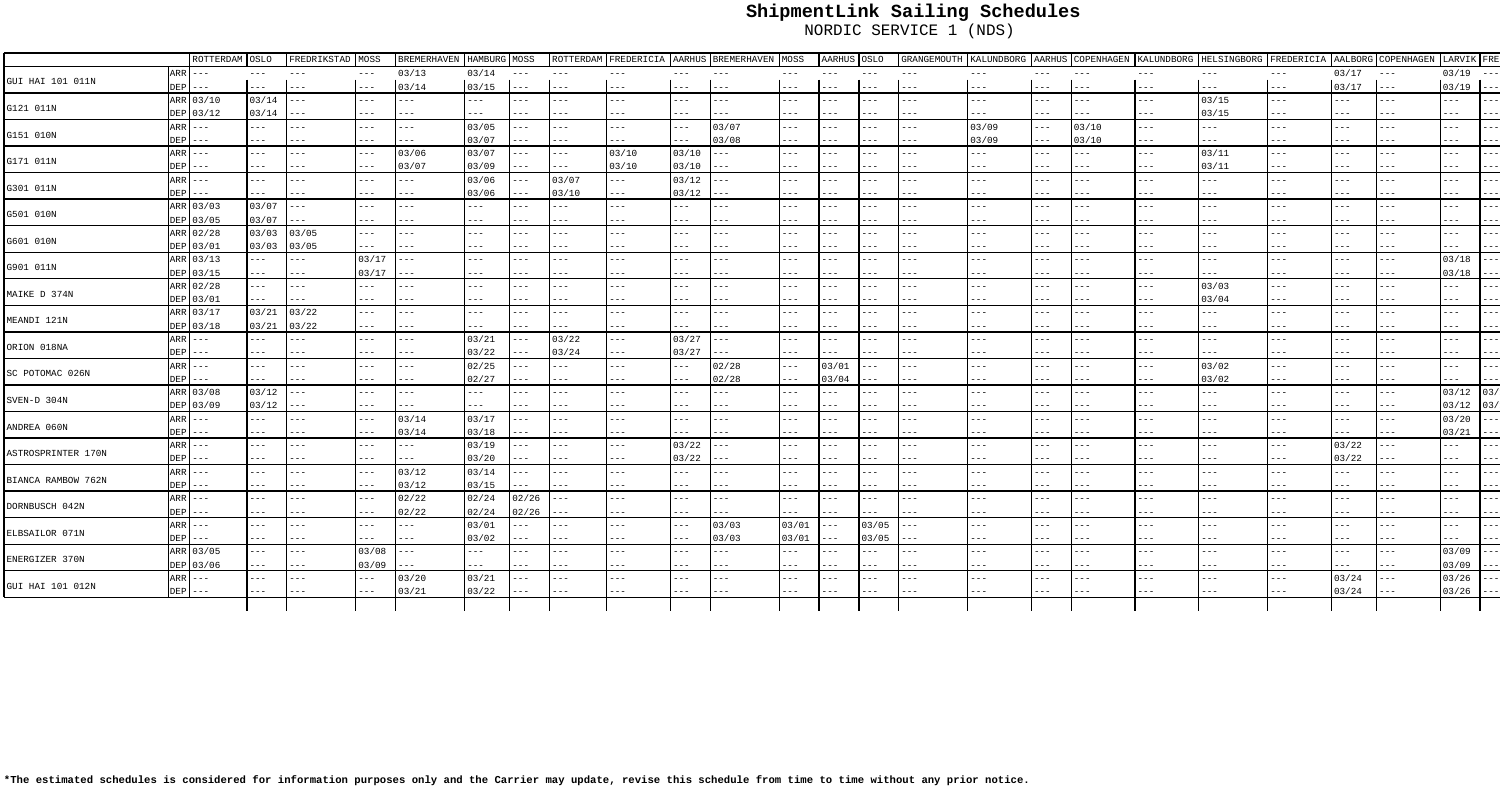|                    |                    | ROTTERDAM              | OSLO              | FREDRIKSTAD       | MOSS               | <b>BREMERHAVEN</b> | HAMBURG MOSS    |                  |                  | ROTTERDAM FREDERICIA | <b>AARHUS</b>      | BREMERHAVEN MOSS  |                    | AARHUS OSLO        |                | GRANGEMOUTH        | KALUNDBORG         | AARHUS          | COPENHAGEN       | KALUNDBORG       | HELSINGBORG FREDERICIA |                   |                 | AALBORG COPENHAGEN | LARVIK FRE       |         |
|--------------------|--------------------|------------------------|-------------------|-------------------|--------------------|--------------------|-----------------|------------------|------------------|----------------------|--------------------|-------------------|--------------------|--------------------|----------------|--------------------|--------------------|-----------------|------------------|------------------|------------------------|-------------------|-----------------|--------------------|------------------|---------|
| GUI HAI 101 011N   | <b>ARR</b>         |                        | $---$             | $- - -$           | $---$              | 03/13              | 03/14           | $- - -$          | $- - -$          | $\frac{1}{2}$        | $- - -$            | $- - -$           | $- - -$            | $- - -$            |                |                    | $- - -$            | $---$           | $- - -$          | $- - -$          | $- - -$                | $- - -$           | 03/17           | $---$              | $03/19$ ---      |         |
|                    | DEP                |                        | $-- -$            | $-- -$            | $-- -$             | 03/14              | 03/15           | $- -$            | $-- -$           | $- - -$              | $---$              | $---$             | $- - -$            | $-- -$             | $---$          | $- - -$            | $-- -$             | $- -$           | $- -$            | $---$            | $-- -$                 | $- - -$           | 03/17           | $---$              | 03/19            | $- - -$ |
| G121 011N          |                    | ARR 03/10              | 03/14             | $--$              | $- - -$            | $- - -$            | $- - -$         | $- - -$          | $- - -$          | $- - -$              | $- - -$            | $- - -$           | $- - -$            |                    |                |                    | $---$              | $- -$           | $---$            | $--$             | 03/15                  | $---$             | $- -$           | $- - -$            | $- - -$          |         |
|                    | ARR                | DEP 03/12<br>$---$     | 03/14<br>$---$    | $---$             | $- - -$<br>$- - -$ | $- - -$<br>$-- -$  | 03/05           | $- - -$          | $---$            | $---$                | $---$              | $- -$<br>03/07    | $---$              | $---$              | $---$          | $---$              | $- - -$<br>03/09   | $- -$<br>$-- -$ | $- -$<br>03/10   | $- - -$          | 03/15<br>$---$         | $- -$<br>$---$    | $- -$<br>$-- -$ | $---$              | $- -$<br>$---$   |         |
| G151 010N          | DEP                | $- - -$                | $- - -$           | $--$              | $- -$              | $- - -$            | 03/07           |                  |                  |                      | $- - -$            | 03/08             |                    |                    |                |                    | 13/09              | $- -$           | 03/10            | $- -$            | $--$                   | $- -$             | $- -$           |                    | $- -$            |         |
|                    | <b>ARR</b>         | $- - -$                | $- - -$           | $--$              | $-- -$             | 03/06              | 03/07           | $- -$            | $- - -$          | 03/10                | 03/10              | $---$             | $- - -$            | $- - -$            | $-- -$         |                    | $- -$              | $- -$           | $- -$            | $- - -$          | 03/11                  | $- - -$           | $- -$           | $- -$              | $-- -$           |         |
| G171 011N          | DEP                | $- - -$                | $-- -$            | $--$              | $- - -$            | 03/07              | 03/09           |                  | $- -$            | 03/10                | 03/10              | $-- -$            | $--$               | $- - -$            | $- - -$        | $- -$              | $-- -$             | $- -$           | $- -$            | $- - -$          | 03/11                  | $- -$             | $- -$           |                    | $- - -$          |         |
| G301 011N          | ARR                | $- - -$                | $- - -$           | $- - -$           | $- - -$            | $--$               | 03/06           | $- -$            | 03/07            | $---$                | 03/12              | $- -$             | $- - -$            | $- -$              | $- -$          |                    | $- -$              | $- -$           | $--$             | $- - -$          | $- -$                  | $- - -$           | $- -$           |                    | $-- -$           |         |
|                    | dep I              | $---$                  | $-- -$            | $--$              | $-- -$             | $-- -$             | 03/06           |                  | 03/10            | $-- -$               | 03/12              | $---$             | $- - -$            | ---                |                |                    | $--$               | $- -$           | $- -$            | $-- -$           | $---$                  | $- - -$           | $- - -$         |                    | $- - -$          |         |
| G501 010N          |                    | ARR 03/03<br>DEP 03/05 | 03/07<br>03/07    | $- - -$           | $- - -$<br>$- - -$ | $---$<br>$- -$     | $- -$<br>$- -$  |                  | $- -$            | $- -$<br>$- -$       | $- - -$<br>$- - -$ | $---$<br>$- - -$  | $- -$              | $- -$              | $- -$          |                    | $- -$<br>$- -$     | $- -$<br>$- -$  | $--$<br>$- -$    | $- - -$<br>$- -$ | $- - -$<br>$-- -$      | $- -$             | $- -$<br>$- -$  |                    | $- -$<br>$- -$   |         |
|                    |                    | ARR 02/28              | 03/03             | 03/05             | $- - -$            | $- -$              | $- - -$         | $- - -$          | $- -$            | $-- -$               | $-- -$             | $-- -$            | $- -$              | $- -$              | $- - -$        |                    | $- - -$            | $- -$           | $--$             | $---$            | $---$                  | $-- -$            | $---$           | $--$               | $---$            |         |
| G601 010N          |                    | DEP 03/01              | 03/03             | 03/05             | $-- -$             | $-- -$             | $--$            |                  | $- - -$          | $-- -$               | $- - -$            | $- - -$           | $--$               |                    |                |                    | $- -$              | $- -$           | $- -$            | $- - -$          | $-- -$                 | $- -$             | $- -$           |                    | $- -$            |         |
|                    |                    | ARR 03/13              | $-- -$            | $- - -$           | 03/17              | $- -$              | $- -$           | $- -$            | $- - -$          | $--$                 | $-- -$             | $-- -$            | $---$              | $---$              | $---$          |                    | $- -$              | $- -$           | $--$             | $---$            | $- - -$                | $- - -$           | $---$           |                    | 03/18            |         |
| G901 011N          |                    | DEP 03/15              | $- - -$           | $--$              | 03/17              | $--$               | $- - -$         |                  | $- -$            | $- -$                | $---$              | $---$             | $- - -$            | $- - -$            | $- - -$        | $- - -$            | $- - -$            | $- -$           | $- -$            | $- - -$          | $-- -$                 | $- -$             | $- - -$         | $- -$              | 03/18            |         |
| MAIKE D 374N       |                    | ARR 02/28              | $- - -$           | $-- -$            | $- - -$            | $---$              | $- - -$         | $- -$            | $- -$            | $- - -$              | $-- -$             | $-- -$            | $- -$              | $---$              | $---$          |                    | $- -$              | $- -$           | $--$             | $---$            | 03/03                  | $-- -$            | $- -$           | $- -$              | $- -$            |         |
|                    |                    | DEP 03/01              | $- - -$           | $- - -$           | $-- -$             | $---$              | $--$            |                  | $- - -$          | $- - -$              | $- - -$            | $---$             | $-- -$             | $- - -$            | $- - -$        | $- - -$            | $- - -$            | $- -$           | $- -$            | $--$             | 03/04                  | $- -$             | $- - -$         | $- -$              | $-- -$           |         |
| MEANDI 121N        |                    | ARR 03/17              | 03/21             | 03/22             | $- -$<br>$-- -$    | $---$<br>$---$     | $---$<br>$- -$  | $- - -$          | $- - -$          | $---$<br>$- -$       | $---$<br>$---$     | $---$<br>$- - -$  | $- - -$<br>$- - -$ | $---$              | $- - -$        | $-- -$             | $- - -$<br>$- - -$ | $- -$<br>$- -$  | $- -$<br>$- -$   | $---$<br>$- - -$ | $---$<br>$---$         | $- - -$           | $- -$<br>$- -$  | $- - -$            | $- - -$<br>$- -$ |         |
|                    | ARR I              | DEP 03/18<br>$---$     | 03/21<br>$- - -$  | 03/22<br>$- - -$  | $---$              | $---$              | 03/21           | $- -$            | 03/22            | $---$                | 03/27              | $- - -$           | $---$              | $- - -$<br>$- - -$ | $- - -$        | $- -$              | $---$              | $- -$           | $- -$            | $---$            | $---$                  | $ -$<br>$- - -$   | $- -$           | $- - -$            | $- - -$          |         |
| ORION 018NA        | DEP                | $- - -$                | $- - -$           | $- - -$           | $- - -$            | $--$               | 03/22           |                  | 03/24            | $- -$                | 03/27              | $ -$              | $- - -$            |                    |                |                    | $- - -$            | $- -$           | $- -$            | $- - -$          | $--$                   | $- -$             | $- - -$         |                    | $- - -$          |         |
|                    | <b>ARR</b>         | $---$                  | $- - -$           | $- - -$           | $- -$              | $- -$              | 02/25           | $- -$            | $- - -$          | $---$                | $---$              | 02/28             | $- - -$            | 03/01              | $- -$          | $- - -$            | $- -$              | $- -$           | $- -$            | $- - -$          | 03/02                  | $- - -$           | $- -$           | $- - -$            | $- -$            |         |
| SC POTOMAC 026N    | <b>DEP</b>         |                        |                   |                   |                    | $- -$              | 02/27           |                  |                  | $- -$                |                    | 02/28             |                    | 03/04              |                |                    |                    | $- -$           | $- -$            |                  | 03/02                  | $- -$             | $- -$           |                    | $- -$            |         |
| SVEN-D 304N        |                    | ARR 03/08              | 03/12             | $--$              | $---$              | $---$              | $---$           | $- - -$          | $---$            | $---$                | $---$              | $---$             | $-- -$             | $---$              | $---$          | $---$              | $-- -$             | $- - -$         | $- - -$          | $---$            | $---$                  | $---$             | $-- -$          | $---$              | $03/12$ 03/      |         |
|                    |                    | DEP 03/09              | 03/12             |                   | $-- -$             | $- - -$            | $- -$           |                  |                  | $- - -$              |                    | $--$              |                    |                    |                |                    | $- -$              | $- -$           | $- -$            | $- -$            | $-- -$                 | $\qquad \qquad -$ | $- -$           | $--$               | 03/12            |         |
| ANDREA 060N        | ARR                | $---$                  | $- - -$           | $- - -$           | $-- -$             | 03/14              | 03/17           | $- -$            | $---$            | $---$                | $---$              | $- - -$           | $-- -$             | $---$              | $---$          | $- - -$            | $-- -$             | $- - -$         | $- - -$          | $---$            | $---$                  | $-- -$            | $- -$           | $---$              | 03/20            |         |
|                    | DEP.<br><b>ARR</b> | $-- -$<br>$- - -$      | $-- -$<br>$- - -$ | $- - -$<br>$-- -$ | $-- -$<br>$- - -$  | 03/14<br>$---$     | 03/18<br>03/19  | $- -$<br>$- -$   | $- - -$<br>$---$ | $- - -$<br>$- - -$   | $- - -$<br>03/22   | $-- -$<br>$- - -$ | $---$              | $---$              | $---$          | $---$              | $- -$<br>$-- -$    | $- -$<br>$- -$  | $- -$<br>$- - -$ | $- -$<br>$---$   | $---$<br>$---$         | $- -$<br>$---$    | $- -$<br>03/22  | $- - -$            | 03/21<br>$---$   |         |
| ASTROSPRINTER 170N | <b>DEP</b>         | $- -$                  | $-- -$            | $- -$             | $- -$              | $- - -$            | 03/20           |                  | $- -$            | $- - -$              | 03/22              |                   | $--$               |                    |                |                    | $- -$              | $- -$           | $- -$            | $- -$            | $-- -$                 | $- -$             | 03/22           |                    | $- -$            |         |
|                    | ARR                | $---$                  | $- - -$           | $---$             | $---$              | 03/12              | 03/14           | $-- -$           | $   \,$          | $---$                | $---$              | $---$             | $---$              | $---$              | $---$          | $---$              | $---$              | $- -$           | $---$            | $---$            | $\cdots$               | $---$             | $---$           | $---$              | $---$            |         |
| BIANCA RAMBOW 762N | <b>DEP</b>         | $- -$                  | $- - -$           | $- -$             | $-- -$             | 03/12              | 03/15           |                  |                  | $- -$                |                    | $- - -$           |                    |                    |                |                    | $- -$              | $- -$           | $- -$            | $- -$            | $--$                   | $- -$             | $- -$           |                    | $- -$            |         |
| DORNBUSCH 042N     | ARR                | $---$                  | $---$             | $-- -$            | $---$              | 02/22              | 02/24           | 02/26            | $- -$            | $---$                | $---$              | $---$             | $---$              | $---$              | $---$          | $- - -$            | $---$              | $---$           | $---$            | $---$            | $---$                  | $- - -$           | $---$           | $---$              | $---$            |         |
|                    | DEP.               | $- - -$                | $-- -$            | $--$              | $-- -$             | 02/22              | 02/24           | 02/26            | $- - -$          | $-- -$               | $- - -$            | $-- -$            | $- - -$            | $- - -$            | $- - -$        |                    | $- - -$            | $- -$           | $- -$            | $-- -$           | $-- -$                 | $- -$             | $- -$           | $- - -$            | $- - -$          |         |
| ELBSAILOR 071N     | ARR                | $---$                  | $-- -$            | $---$             | $---$              | $-- -$             | 03/01           | $- -$            | $---$            | $---$                | $- - - -$          | 03/03             | 03/01              | $---$              | 03/05          | $---$              | $---$              | $- - -$         | $---$            | $---$            | $-- -$                 | $---$             | $-- -$          | $---$              | $---$            |         |
|                    | DE P               | $---$<br>ARR 03/05     | $- - -$<br>$---$  | $--$<br>$---$     | $- - -$<br>03/08   | $- - -$<br>$-- -$  | 03/02<br>$-- -$ | $- -$<br>$- - -$ | $- -$<br>$---$   | $- -$<br>$---$       | $- - -$<br>$---$   | 03/03<br>$---$    | 03/01<br>$---$     | $-- -$<br>$---$    | 03/05<br>$---$ | $- - -$<br>$- - -$ | $-- -$<br>$- - -$  | $- -$<br>$-- -$ | $- -$<br>$- - -$ | $-- -$<br>$---$  | $---$<br>$---$         | $- -$<br>$---$    | $- -$<br>$-- -$ | $- - -$<br>$---$   | $- -$            |         |
| ENERGIZER 370N     |                    | DEP 03/06              | $- - -$           | $- - -$           | 03/09              | $- -$              |                 |                  | $- -$            | $- -$                |                    | $- - -$           | $- - -$            |                    |                |                    | $- - -$            | $- -$           | $- -$            | $- -$            | $---$                  | $- -$             | $- -$           | $- -$              | 03/09<br>03/09   |         |
|                    | <b>ARR</b>         | $---$                  | $---$             | $---$             | $---$              | 03/20              | 03/21           | $- - -$          | $---$            | $---$                | $---$              | $---$             | $---$              | $---$              | $---$          | $---$              | $---$              | $- - -$         | $---$            | $- - -$          | $-- -$                 | $---$             | 03/24           | $---$              | 03/26            |         |
| GUI HAI 101 012N   |                    | $DEP$ $---$            | $- - -$           | $- -$             | $- - -$            | 03/21              | 03/22           |                  | $- - -$          |                      |                    |                   |                    |                    |                |                    |                    | $- -$           | $- -$            | $-- -$           | $-- -$                 | $- -$             | 03/24           |                    | 03/26            |         |
|                    |                    |                        |                   |                   |                    |                    |                 |                  |                  |                      |                    |                   |                    |                    |                |                    |                    |                 |                  |                  |                        |                   |                 |                    |                  |         |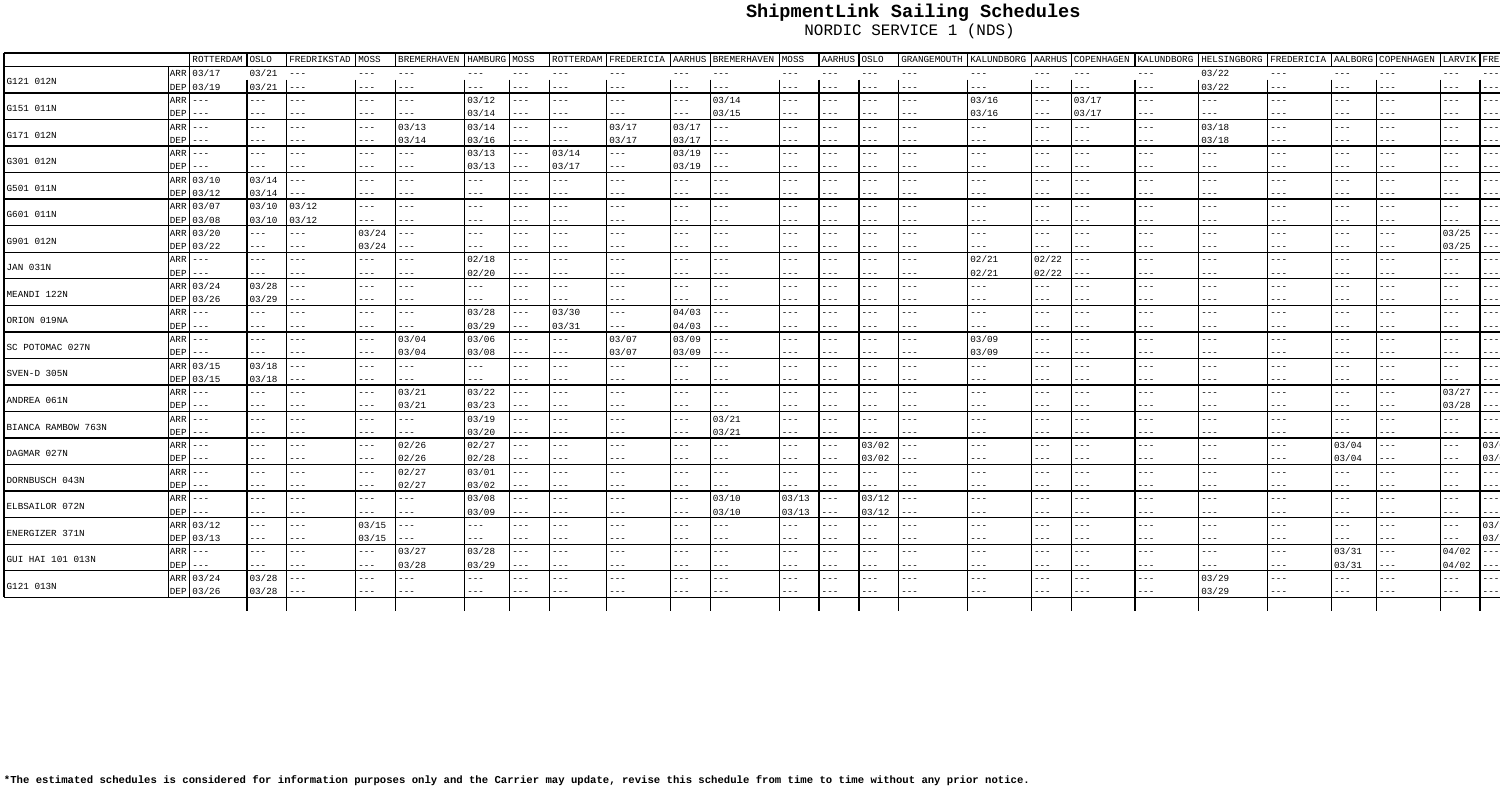NORDIC SERVICE 1 (NDS)

|                    |                      | ROTTERDAM OSLO      |                 | FREDRIKSTAD MOSS |                    | <b>BREMERHAVEN</b> | HAMBURG MOSS   |                |                  | ROTTERDAM FREDERICIA | <b>AARHUS</b>  | BREMERHAVEN MOSS  |                  | AARHUS OSLO |                  | GRANGEMOUTH | KALUNDBORG       | <b>AARHUS</b>    | COPENHAGEN       | KALUNDBORG         | HELSINGBORG FREDERICIA |                   |                    | AALBORG COPENHAGEN | LARVIK FRE        |            |
|--------------------|----------------------|---------------------|-----------------|------------------|--------------------|--------------------|----------------|----------------|------------------|----------------------|----------------|-------------------|------------------|-------------|------------------|-------------|------------------|------------------|------------------|--------------------|------------------------|-------------------|--------------------|--------------------|-------------------|------------|
|                    |                      | ARR 03/17           | $03/21$ ---     |                  | $---$              | $- - -$            | $- - -$        | $- - -$        | $- - -$          | $- - -$              | $- - -$        | $- - -$           | $- - -$          |             |                  |             | $- - -$          | $---$            | $- - -$          | $\frac{1}{2}$      | 03/22                  | $- - -$           | $---$              |                    | $---$             |            |
| G121 012N          |                      | DEP 03/19           | 03/21           | $1 - - -$        | $- -$              | $- - -$            | $- - -$        | $-- -$         | $---$            | $-- -$               | $- -$          | $- - -$           | $---$            | $-- -$      | $---$            | $---$       | $- - -$          | $- -$            | $---$            | $---$              | 03/22                  | $- - -$           | $- -$              | $- - -$            | $- -$             |            |
| G151 011N          | ARR                  | $\qquad \qquad - -$ | $---$           | $---$            | $- - -$            | $---$              | 03/12          | $- -$          | $- - -$          | $- - -$              | $- - -$        | 03/14             | $- - -$          |             |                  |             | 03/16            | $- - -$          | 03/17            | $---$              | $- - -$                | $- - -$           | $- -$              |                    | $- - -$           |            |
|                    | DEP <sup></sup>      | $---$               | $-- -$          | $- -$            |                    | $- - -$            | 03/14          |                |                  |                      | $- -$          | 03/15             |                  |             |                  |             | 03/16            | $- -$            | 03/17            | $- - -$            | $--$                   | $- -$             | $- -$              |                    | $- -$             |            |
| G171 012N          | $ARR$ ---            |                     | $---$           | $---$            | $---$              | 03/13              | 03/14          | $- - -$        | $---$            | 03/17                | 03/17          | $-- -$            | $---$            | $---$       | $---$            | $---$       | $---$            | $- - -$          | $-- -$           | $---$              | 03/18                  | $---$             | $-- -$             | $---$              | $---$             |            |
|                    | DEP <sup></sup>      | $---$               | $-- -$          | $- - -$          | $- - -$            | 03/14              | 03/16          |                | $- -$            | 03/17                | 03/17          | $- -$             |                  |             |                  |             | $- -$            | $- -$            | $- -$            | $- - -$            | 03/18                  | $- -$             | $- -$              |                    | $- -$             |            |
| G301 012N          | ARR<br>DEP.          | $- - - -$<br>$---$  | $-- -$<br>$---$ | $---$<br>$--$    | $- - -$<br>$- - -$ | $-- -$<br>$--$     | 03/13<br>03/13 | $- -$          | 03/14<br>03/17   | $- - -$<br>$- - -$   | 03/19<br>03/19 | $- -$<br>$- -$    | $- - -$<br>$- -$ | $- - -$     | $- - -$<br>$- -$ | $- -$       | $- -$<br>$- - -$ | $- - -$<br>$- -$ | $- - -$<br>$- -$ | $- - -$<br>$- - -$ | $- - -$<br>$-- -$      | $- - -$<br>$- -$  | $- - -$<br>$- - -$ | $- -$              | $-- -$<br>$- - -$ |            |
|                    |                      | ARR 03/10           | 03/14           | $---$            | $- -$              | $- -$              | $- - -$        | $- -$          | $- - -$          | $- -$                | $- -$          | $- -$             | $- - -$          | $- - -$     | $- - -$          |             | $- -$            | $- -$            | $- -$            | $- - -$            | $- -$                  | $- - -$           | $- -$              | $- -$              | $- -$             |            |
| G501 011N          |                      | DEP 03/12           | 03/14           | $---$            | $-- -$             | $-- -$             | $--$           |                | $- -$            | $- - -$              | $- - -$        | $---$             |                  |             |                  |             | $- -$            | $- -$            | $- -$            | $--$               | $---$                  | $- -$             | $- - -$            |                    | $- - -$           |            |
|                    |                      | ARR 03/07           | 03/10           | 03/12            | $- - -$            | $- - -$            | $- - -$        | $- -$          | $- -$            | $- -$                | $- -$          | $- -$             | $- -$            |             | $- -$            |             | $- -$            | $- -$            | $- -$            | $- - -$            | $- - -$                | $- -$             | $- -$              |                    | $---$             |            |
| G601 011N          |                      | DEP 03/08           | 03/10           | 03/12            | $- - -$            | $- -$              | $- -$          |                |                  | $- -$                | $- -$          | $- - -$           |                  |             |                  |             | $- - -$          | $- -$            | $- -$            | $- - -$            | $-- -$                 |                   | $- -$              |                    | $- -$             |            |
|                    |                      | ARR 03/20           | $---$           | $---$            | 03/24              | $- - -$            | $- - -$        | $-- -$         | $- - -$          | $-- -$               | $- - -$        | $- - -$           | $- - -$          | $---$       | $- - -$          | $---$       | $- - -$          | $- -$            | $- -$            | $---$              | $- - -$                | $-- -$            | $-- -$             | $--$               | 03/25             |            |
| G901 012N          |                      | DEP 03/22           | $---$           | $---$            | 03/24              | $-- -$             | $- - -$        |                | $- -$            | $- -$                | $- -$          | $- - -$           | $- - -$          |             |                  |             | $- - -$          | $- -$            | $- -$            | $--$               | $-- -$                 | $- -$             | $- -$              |                    | 03/25             |            |
|                    | <b>ARR</b>           | $- - - -$           | $---$           | $---$            | $- -$              | $---$              | 02/18          |                | $- -$            | $- -$                | $- -$          | $--$              | $---$            | $---$       | $---$            |             | 02/21            | 02/22            | $- -$            |                    | $- - -$                | $- - -$           | $--$               |                    | $- -$             |            |
| JAN 031N           | DE P                 |                     | $---$           | $--$             | $- - -$            | $---$              | 02/20          |                | $- - -$          | $- -$                | $- - -$        | $- - -$           | $- - -$          |             | $- - -$          |             | 02/21            | 02/22            | $- -$            | $--$               | $-- -$                 | $- -$             | $- - -$            |                    | $- - -$           |            |
| MEANDI 122N        |                      | ARR 03/24           | 03/28           | $---$            | $- - -$            | $- -$              | $- - -$        | $- -$          | $- - -$          | $-- -$               | $- - -$        | $--$              | $- - -$          | $---$       | $---$            |             | $- -$            | $- -$            | $- -$            | $---$              | $- - -$                | $-- -$            | $- -$              | $- -$              | $- -$             |            |
|                    |                      | DEP 03/26           | 03/29           | $---$            | $- -$              | $---$              | $--$           |                | $- - -$          | $- -$                | $- - -$        | $- - -$           | $-- -$           |             | $- -$            | $- - -$     | $- -$            | $- -$            | $- -$            | $- -$              | $-- -$                 | $- - -$           | $- -$              | $- -$              | $-- -$            |            |
| ORION 019NA        | <b>ARR</b>           | $- - -$             | $---$           | $---$            | $---$              | $---$              | 03/28          | $- - -$        | 03/30            | $-- -$               | 04/03          | $---$             | $---$            | $---$       | $---$            | $---$       | $-- -$           | $- - -$          | $- - -$          | $---$              | $---$                  | $- - -$           | $- -$              | $- - -$            | $- - -$           |            |
|                    | DEP.                 |                     | $---$           | $- - -$          | $- -$              | $---$              | 03/29          |                | 03/31            | $- -$                | 04/03          | $- -$             |                  |             |                  |             | $- -$            | $- -$            | $- -$            | $- - -$            | $---$                  | $- - -$           | $- - -$            |                    | $- -$             |            |
| SC POTOMAC 027N    | ARR <sup>I</sup>     | $---$               | $---$           | $---$            | $---$              | 03/04              | 03/06          | $- -$          | $-- -$           | 03/07                | 03/09          | $- -$             | $---$            | $- - -$     | $---$            | $- - -$     | 03/09            | $- - -$          | $- -$            | $---$              | $---$                  | $---$             | $- -$              | $- -$              | $- - -$           |            |
|                    | DEP                  | $---$               | $---$           | $- - -$          | $- - -$            | 03/04              | 03/08          |                | $- - -$          | 03/07                | 03/09          | $ -$              | $- - -$          |             | $- -$            |             | 03/09            | $- -$            | $- -$            | $- - -$            | $---$                  | $- - -$           | $- - -$            |                    | $- - -$           |            |
| SVEN-D 305N        |                      | ARR 03/15           | 03/18           | $---$            | $---$              | $---$              | $- - -$        | $- - -$        | $- - -$          | $- - -$              | $- -$          | $- - -$           | $- - -$          | $---$       | $---$            | $- - -$     | $--$             | $- -$            | $- -$            | $---$              | $---$                  | $- - -$           | $- -$              | $- - -$            | $---$             |            |
|                    |                      | DEP 03/15           | 03/18           | $---$            |                    | $- - -$            |                |                |                  |                      |                |                   |                  |             |                  |             | $- -$            | $- -$            | $- -$            |                    | $-- -$                 | $- -$             | $- -$              |                    |                   |            |
| ANDREA 061N        | $ARR$ $---$          |                     | $---$           | $---$            | $---$              | 03/21              | 03/22          | $- - -$        | $---$            | $-- -$               | $---$          | $-- -$            | $---$            | $- - -$     | $---$            | $---$       | $---$            | $---$            | $- -$            | $---$              | $---$                  | $---$             | $---$              | $- - -$            | 03/27             |            |
|                    | <b>DEP</b>           | $- - -$             | $---$           | $---$            | $- - -$            | 03/21              | 03/23          |                | $- -$            | $- -$                |                | $\qquad \qquad -$ |                  |             |                  |             | $- -$            | $- -$            | $- -$            | $--$               | $- - -$                | $\qquad \qquad -$ | $- -$              | $- -$              | 03/28             |            |
| BIANCA RAMBOW 763N | $ARR$ $---$<br>DEP I |                     | $---$           | $---$            | $-- -$             | $---$              | 03/19<br>03/20 | $- -$          | $---$            | $- - -$              | $-- -$         | 03/21<br>03/21    | $-- -$           | $---$       | $---$            | $---$       | $---$            | $- - -$          | $- - -$          | $---$              | $---$                  | $-- -$            | $-- -$             | $---$              | $-- -$            |            |
|                    | $ARR$ ---            | $- - - -$           | $---$<br>$---$  | $---$<br>$---$   | $- - -$<br>$---$   | $---$              |                | $- -$<br>$- -$ | $- - -$<br>$---$ | $- -$<br>$-- -$      | $- -$<br>$---$ | $-- -$            | $---$            | $---$       |                  |             | $- -$<br>$---$   | $- -$<br>$---$   | $- -$<br>$---$   | $--$<br>$---$      | $- - -$<br>$---$       | $- -$<br>$---$    | $- - -$<br>03/04   | $---$              | $- -$<br>$---$    |            |
| DAGMAR 027N        | <b>DEP</b>           | $---$               | $-- -$          | $-- -$           | $- - -$            | 02/26<br>02/26     | 02/27<br>02/28 | $- -$          | $- -$            | $- -$                | $- -$          | $- -$             | $- - -$          |             | 03/02<br>03/02   | $- -$       | $- - -$          | $- -$            | $-$              | $- -$              | $- - -$                | $- - -$           | 03/04              |                    | $- - -$           | 03/<br>03/ |
|                    | $ARR$ $---$          |                     | $---$           | $---$            | $---$              | 02/27              | 03/01          | $---$          | $- - -$          | $-- -$               | $-- -$         | $---$             | $---$            | $---$       | $- - -$          | $---$       | $- - -$          | $-- -$           | $---$            | $---$              | $---$                  | $---$             | $---$              | $---$              | $---$             |            |
| DORNBUSCH 043N     | <b>DEP</b>           |                     | $---$           | $--$             | $- - -$            | 02/27              | 03/02          | $- -$          | $- - -$          |                      |                | $- -$             |                  |             |                  |             | $- -$            | $- -$            | $- -$            | $- -$              | $- - -$                | $- -$             | $- -$              |                    | $- -$             |            |
|                    | $ARR$ ---            |                     | $---$           | $---$            | $- - -$            | $---$              | 03/08          | $- -$          | $---$            | $-- -$               | $-- -$         | 03/10             | 03/13            | $---$       | 03/12            | $---$       | $---$            | $-- -$           | $---$            | $---$              | $---$                  | $---$             | $---$              | $- - -$            | $---$             |            |
| ELBSAILOR 072N     | DEP.                 | $---$               | $-- -$          | $---$            | $- - -$            | $-- -$             | 03/09          | $- -$          | $- - -$          | $- - -$              | $- - -$        | 03/10             | 03/13            | $- - -$     | 03/12            | $- - -$     | $- - -$          | $- -$            | $- -$            | $---$              | $-- -$                 | $- -$             | $- - -$            | $- - -$            | $- - -$           |            |
|                    |                      | ARR 03/12           | $---$           | $---$            | 03/15              | $- - -$            | $---$          | ---            | $---$            | $---$                | $---$          | $-- -$            | $---$            | $---$       | $---$            | $---$       | $---$            | $- - -$          | $---$            | $---$              | $---$                  | $---$             | $---$              | $---$              | $---$             | 03/        |
| ENERGIZER 371N     |                      | DEP 03/13           | $---$           | ---              | 03/15              | $-- -$             | $- -$          |                | $- - -$          | $- -$                | $- -$          | $- - -$           |                  |             | $- -$            | $-- -$      | $- -$            | $- -$            | $- -$            | $--$               | $- - -$                | $- -$             | $- -$              |                    | $- -$             | 03/        |
|                    | $ARR$ $---$          |                     | $---$           | $---$            | $---$              | 03/27              | 03/28          | $- -$          | $---$            | $- - -$              | $-- -$         | $---$             | $---$            | $---$       | $---$            | $---$       | $---$            | $-- -$           | $---$            | $---$              | $---$                  | $---$             | 03/31              | $---$              | 04/02             |            |
| GUI HAI 101 013N   | DEP.                 | $- - -$             | $-- -$          | $- -$            | $- -$              | 03/28              | 03/29          | - -            | $- -$            | $- -$                | $- -$          | $- -$             | $- -$            |             |                  |             | $- -$            | $- -$            | $- -$            | $- - -$            | $- -$                  | $- - -$           | 03/31              | $- - -$            | 04/02             |            |
|                    |                      | ARR 03/24           | 03/28           | $---$            | $---$              | $- - -$            | $---$          | $-- -$         | $---$            | $- - -$              | $- - -$        | $- - -$           | $---$            | $---$       | $---$            | $---$       | $---$            | $- - -$          | $- - -$          | $---$              | 03/29                  | $---$             | $-- -$             | $---$              | $---$             |            |
| G121 013N          |                      | DEP 03/26           | 03/28           |                  | $- -$              | $--$               | $- -$          |                |                  |                      |                |                   |                  |             |                  |             |                  | $- -$            | $- -$            | $--$               | 03/29                  | $- -$             | $- - -$            |                    |                   |            |
|                    |                      |                     |                 |                  |                    |                    |                |                |                  |                      |                |                   |                  |             |                  |             |                  |                  |                  |                    |                        |                   |                    |                    |                   |            |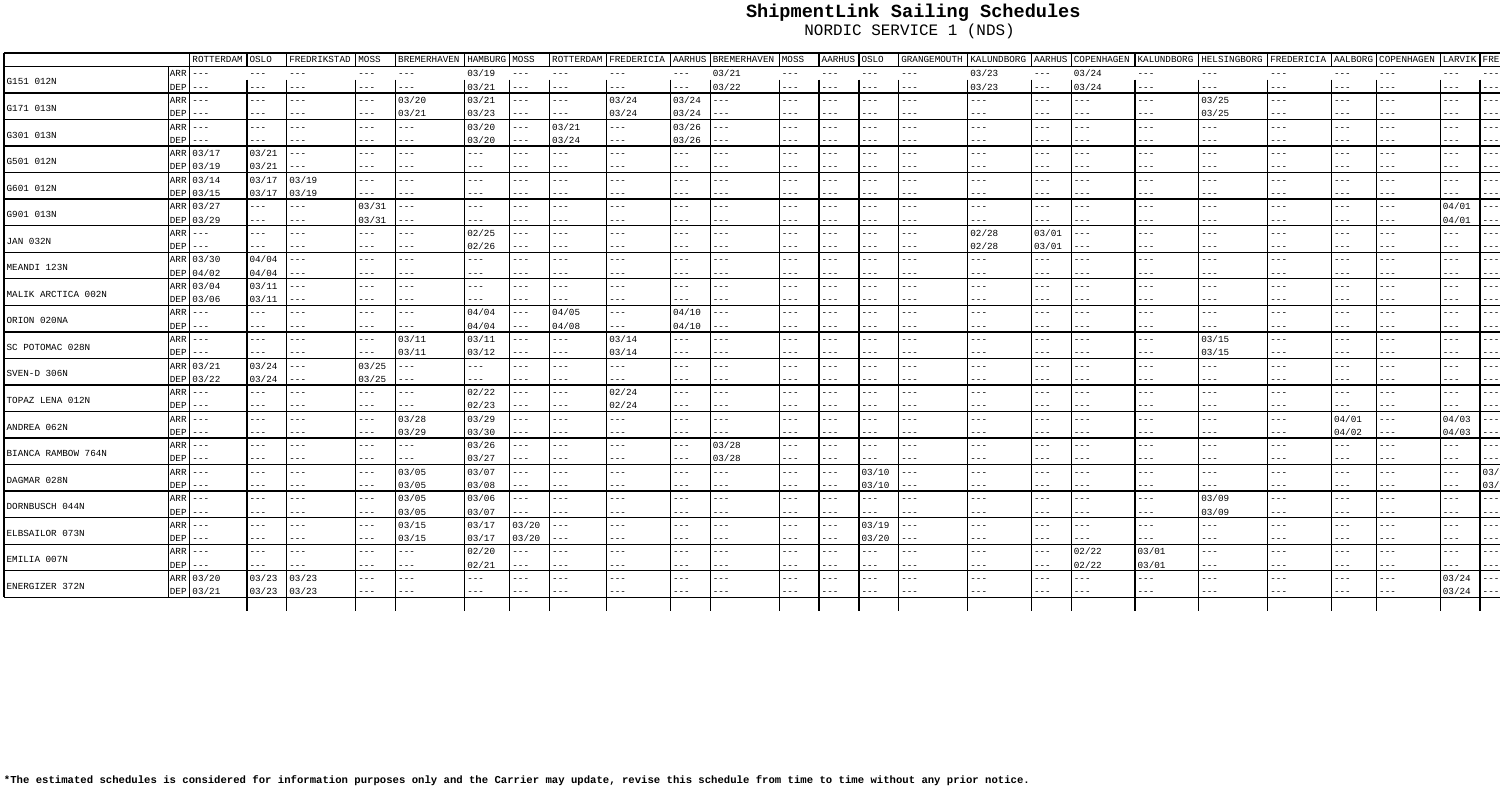|                    | ROTTERDAM                       | OSLO             | FREDRIKSTAD | MOSS    | BREMERHAVEN HAMBURG MOSS |         |         |           | ROTTERDAM FREDERICIA | <b>AARHUS</b> | <b>BREMERHAVEN</b> | MOSS    | <b>AARHUS</b> | OSLO    | GRANGEMOUTH | KALUNDBORG | AARHUS            | COPENHAGEN        | KALUNDBORG | HELSINGBORG   | FREDERICIA | AALBORG | COPENHAGEN | LARVIK FRE     |     |
|--------------------|---------------------------------|------------------|-------------|---------|--------------------------|---------|---------|-----------|----------------------|---------------|--------------------|---------|---------------|---------|-------------|------------|-------------------|-------------------|------------|---------------|------------|---------|------------|----------------|-----|
|                    | <b>ARR</b><br>$- -$             | $- - - -$        | $- - -$     | $---$   | $- - - -$                | 03/19   | $- - -$ | $- - - -$ | $- - - -$            | $---$         | 03/21              | $---$   | $---$         | $- - -$ | $- - - -$   | 03/23      | $- - - -$         | 03/24             | $---$      | $\frac{1}{2}$ | $- - -$    | $---$   |            | ---            |     |
| G151 012N          | dep  <br>$-- -$                 | $- - -$          | $- - -$     | $---$   | $-- -$                   | 03/21   | $- -$   | $---$     | $- - -$              | $- - -$       | 03/22              | $---$   | $- - -$       | $---$   | $---$       | 03/23      | $-- -$            | 03/24             | $---$      | $---$         | $-- -$     | $- - -$ | $- - -$    | $-- -$         |     |
|                    | <b>ARR</b><br>$- - -$           | $- - -$          | - - -       | $-- -$  | 03/20                    | 03/21   | $- -$   | $- - -$   | 03/24                | 03/24         | $- - -$            | $- - -$ | $- -$         | $- -$   |             | $- - -$    | $- - -$           | $- -$             | $---$      | 03/25         | $-- -$     | $- -$   | $- - -$    | $-- -$         |     |
| G171 013N          | <b>DEP</b><br>$\qquad \qquad -$ | $- -$            |             | $---$   | 03/21                    | 03/23   |         | $---$     | 03/24                | 03/24         | $- -$              | $--$    |               |         |             | $- -$      | $\qquad \qquad -$ | $\qquad \qquad -$ |            | 03/25         | $- -$      | $- -$   |            | $- -$          |     |
|                    | <b>ARR</b><br>$---$             | $- - -$          | $- - -$     | $-- -$  | $---$                    | 03/20   | $- - -$ | 03/21     | $-- -$               | 03/26         | $-- -$             | $- -$   | $---$         | $---$   | $- - -$     | $- - -$    | $- -$             | $- -$             | $- - -$    | $-- -$        | $-- -$     | $- -$   | $- - -$    | $-- -$         |     |
| G301 013N          | DEP I<br>$- -$                  | $-- -$           |             | $---$   | $---$                    | 03/20   |         | 03/24     | $---$                | 03/26         | $- -$              | $- - -$ | $- - -$       | $--$    | $--$        | $- -$      | $ -$              | $---$             | $-- -$     | $---$         | $- - -$    | $- -$   |            | $---$          |     |
|                    | ARR 03/17                       | 03/21            |             | $-- -$  | $-- -$                   | $- - -$ |         | $- -$     | $- -$                | $- -$         | $- -$              | $- -$   | $- -$         | $- -$   |             | $- -$      | $- -$             | $- -$             | $- -$      | $-- -$        | $- - -$    | $- -$   |            | $- -$          |     |
| G501 012N          | DEP 03/19                       | 03/21            |             | $-- -$  | $---$                    | $---$   | $- -$   | $---$     | $- -$                | $- -$         | $---$              | $-- -$  | $-- -$        | $-- -$  | $--$        | $- -$      | $---$             | $---$             | $--$       | $---$         | $---$      | $- -$   | $- -$      | $---$          |     |
|                    | ARR 03/14                       | 03/17            | 03/19       | $---$   | $---$                    | $-- -$  | $- -$   | $- -$     | $- - -$              | $- - -$       | $- - -$            | $- - -$ | $- - -$       | $-- -$  | $- -$       | $- - -$    | $- -$             | $- -$             | $-- -$     | $-- -$        | $- -$      | $- -$   | $- -$      | $- -$          |     |
| G601 012N          | DEP 03/15                       | 03/17            | )3/19       | $-- -$  | $---$                    | $---$   |         | $- -$     |                      |               | $- - -$            | $- - -$ | $--$          | $- -$   | $- - -$     | $- -$      | $-$               | $- -$             | $- - -$    | $---$         | $- -$      | $- -$   |            | $- -$          |     |
|                    | ARR 03/27                       |                  | $- - -$     | 03/31   | $---$                    | $- - -$ | $- - -$ | $- -$     | $- - -$              | $- - -$       | $- - -$            | $- - -$ | $-- -$        | $-- -$  | $--$        | $- - -$    | $---$             | $---$             | $--$       | $-- -$        | $- -$      | $---$   | $--$       | 04/01          |     |
| G901 013N          | DEP 03/29                       | $-- -$           |             | 03/31   | $--$                     | $- - -$ | $--$    | $--$      | $- -$                | $- - -$       | $- - -$            | $- - -$ | $- - -$       | $- - -$ |             | $- -$      | $- -$             | $- -$             | $- - -$    | $-- -$        | $- -$      | $- - -$ |            | 04/01          |     |
|                    | ARR<br>$- - -$                  | $- - -$          | $- - -$     | $- - -$ | $---$                    | 02/25   | $- -$   | $- -$     | $- - -$              | $- - -$       | $- - -$            | $- -$   | $- -$         | $- -$   | $- - -$     | 02/28      | 03/01             | $- -$             | $- -$      | $-- -$        | $-- -$     | $- -$   | $- -$      | $- - -$        |     |
| JAN 032N           | $DEP$ $---$                     | $---$            |             | $-- -$  | $---$                    | 02/26   | $- -$   | $-- -$    | $--$                 | $-- -$        | $---$              | $- - -$ | $- - -$       | $--$    | $- - -$     | 02/28      | 03/01             | $- -$             | $-- -$     | $---$         | $- - -$    | $- -$   | $- -$      | $- - -$        |     |
|                    | ARR 03/30                       | 04/04            | $- - -$     | $-- -$  | $---$                    | $--$    | $- -$   | $- -$     | $- -$                | $- -$         | $- - -$            | $- -$   | $- -$         | $- -$   | $- - -$     | $- - -$    | $- -$             | $--$              | $- -$      | $-- -$        | $- -$      | $- -$   | $- - -$    | $- -$          |     |
| MEANDI 123N        | DEP 04/02                       | 04/04            |             | $- - -$ | $- - -$                  | $- - -$ |         | $- -$     |                      |               | $- - -$            | $- -$   | $- -$         | - - -   |             |            | $- -$             | $- -$             |            | $- - -$       | $- -$      | $- -$   |            | $- -$          |     |
|                    | ARR 03/04                       | 03/11            | $- - -$     | $-- -$  | $---$                    | $- - -$ | $- - -$ | $- -$     | $- - -$              | $- - -$       | $-- -$             | $- -$   | $- -$         | $- - -$ | $- - -$     | $- -$      | $- -$             | $- -$             | $---$      | $-- -$        | $-- -$     | $- -$   | $- - -$    | $- -$          |     |
| MALIK ARCTICA 002N | DEP 03/06                       | 03/11            |             | $- - -$ | $- - -$                  | $- - -$ |         | $- - -$   |                      | $- -$         | .                  | $- - -$ | $ -$          | - - -   | - - -       | ---        | $- -$             | $- -$             | $- -$      | $---$         | $ -$       | $- -$   |            | $- -$          |     |
|                    | $ARR$ $---$                     | $- - -$          | $- - -$     | $- - -$ | $---$                    | 04/04   | $- -$   | 04/05     | $- -$                | 04/10         | $- -$              | $- -$   | $- - -$       | $- - -$ | $- -$       | $- -$      | $- -$             | $- -$             | $- - -$    | $-- -$        | $- -$      | $- - -$ | $- - -$    | $-- -$         |     |
| ORION 020NA        | DEP  <br>---                    | $- -$            |             | $- - -$ | $--$                     | 04/04   |         | 04/08     | $- -$                | 04/10         | $- -$              | $ -$    | $ -$          | $- - -$ |             | $- -$      | $- -$             | $- -$             |            | $---$         | $- - -$    | $- -$   |            | $- -$          |     |
|                    | $ARR$ $---$                     | $- - -$          | $- - -$     | $---$   | 03/11                    | 03/11   | $- -$   | $- - -$   | 03/14                | $- - -$       | $---$              | $---$   | $- - -$       | $- - -$ | $- - -$     | $- - -$    | $- -$             | $- -$             | $- - -$    | 03/15         | $- - -$    | $---$   | $- - -$    | $- -$          |     |
| SC POTOMAC 028N    | DEP                             |                  |             | $-- -$  | 03/11                    | 03/12   |         | $- -$     | 03/14                |               |                    |         |               |         |             |            | $- -$             | $- -$             | $ -$       | 03/15         |            | $- -$   |            | $- -$          |     |
|                    | ARR 03/21                       | 03/24            | $- - -$     | 03/25   | $---$                    | $- - -$ | $- - -$ | $-- -$    | $- -$                | $- - -$       | $---$              | $- -$   | $---$         | $---$   | $-- -$      | $- -$      | $- -$             | $- -$             | $---$      | $---$         | $- - -$    | $- -$   | $- -$      | $-- -$         |     |
| SVEN-D 306N        | DEP 03/22                       | 03/24            |             | 03/25   | $--$                     |         |         |           |                      |               |                    |         |               |         |             |            | $- -$             | $- -$             |            | - - -         |            | $- -$   |            |                |     |
|                    | $ARR$ $---$                     | $---$            | $- - -$     | $---$   | $---$                    | 02/22   | $- -$   | $---$     | 02/24                | $-- -$        | $- - -$            | $---$   |               |         | $---$       | $-- -$     | $---$             |                   | $---$      | $---$         | $-- -$     | $- -$   | $--$       | $---$          |     |
| TOPAZ LENA 012N    | $DEP$ $---$                     |                  |             |         |                          | 02/23   |         |           | 02/24                |               |                    |         | $---$         | $---$   |             |            |                   | $---$             |            |               |            |         |            |                |     |
|                    | ARR <sup>I</sup><br>$---$       | $- -$<br>$- - -$ |             | $- - -$ | $---$<br>03/28           | 03/29   | $- -$   | $-- -$    |                      | $- -$         | $--$               | $--$    | $-- -$        | $--$    | $- -$       | $-- -$     | $- -$             | $- -$             | $- -$      | $---$         | $-- -$     | $- - -$ | $- -$      | $- -$<br>04/03 |     |
| ANDREA 062N        |                                 |                  | $- - -$     | $---$   |                          |         | $- -$   | $---$     | $---$                | $-- -$        | $---$              | $-- -$  | $---$         | $---$   | $- -$       | $-- -$     | $---$             | $--$              | $---$      | $---$         | $-- -$     | 04/01   | $---$      |                |     |
|                    | DEP I<br>$\qquad \qquad - -$    |                  |             | $-- -$  | 03/29                    | 03/30   |         | $- -$     |                      |               | $--$               |         |               |         |             | $- -$      | $- -$             | $- -$             |            | $---$         | $- - -$    | 04/02   | $- -$      | 04/03          |     |
| BIANCA RAMBOW 764N | $ARR$ $---$                     | $-- -$           | $- - -$     | $-- -$  | $---$                    | 03/26   | $-- -$  | $---$     | $- - -$              | $---$         | 03/28              | $---$   | $---$         | $---$   | $---$       | $-- -$     | $- - -$           | $- - -$           | $---$      | $---$         | $-- -$     | $- -$   | $---$      | $-- -$         |     |
|                    | <b>DEP</b>                      |                  |             | $- -$   | $--$                     | 03/27   |         |           |                      |               | 03/28              |         |               |         |             |            | $- -$             | $- -$             |            | $-- -$        | $- -$      | $- -$   |            | $- -$          |     |
| DAGMAR 028N        | $ARR$ $---$                     | $---$            | $---$       | $-- -$  | 03/05                    | 03/07   | $-- -$  | $---$     | $-- -$               | $---$         | $- - -$            | $---$   | $---$         | 03/10   | $---$       | $-- -$     | $- - -$           | $-- -$            | $---$      | $---$         | $---$      | $- - -$ | $---$      | $---$          | 03/ |
|                    | DEP<br>$- -$                    |                  |             | $-- -$  | 03/05                    | 03/08   |         | $- -$     |                      |               | $- -$              | $- -$   | $- - -$       | 03/10   | $- -$       | $- -$      | $- -$             | $- -$             | $- - -$    | $---$         | $- -$      | $- -$   |            | $- -$          | 03/ |
| DORNBUSCH 044N     | $ARR$ $---$                     | $---$            | $--$        | $---$   | 03/05                    | 03/06   | $- - -$ | $---$     | $---$                | $---$         | $---$              | $---$   | $---$         | $---$   | $--$        | $---$      | $- - -$           | $- -$             | $---$      | 03/09         | $-- -$     | $- - -$ | $---$      | $-- -$         |     |
|                    | DEP<br>$-- -$                   | $- - -$          | $- -$       | $---$   | 03/05                    | 03/07   | $- -$   | $- - -$   | $- -$                | $- -$         | $--$               | $- - -$ | $- - -$       | $- - -$ | $- - -$     | $-- -$     | $- -$             | $--$              | $-- -$     | 03/09         | $- -$      | $- - -$ | $- - -$    | $- -$          |     |
| ELBSAILOR 073N     | $ARR$ $---$                     | $- - -$          | $- - -$     | $---$   | 03/15                    | 03/17   | 03/20   | $-- -$    | $-- -$               | $---$         | $---$              | $- - -$ | $---$         | 03/19   | $- - -$     | $- - -$    | $- - -$           | $- -$             | $- - -$    | $---$         | $- - -$    | $-- -$  | $--$       | $- - -$        |     |
|                    | $DEF ---$                       | $- -$            | $- -$       | $-- -$  | 03/15                    | 03/17   | 03/20   | $- -$     | $- -$                | $- -$         | $--$               | $- -$   | $- - -$       | 03/20   | $- - -$     | $- -$      | $- -$             | $--$              | $- -$      | $---$         | $- -$      | $- -$   | $- -$      | $- -$          |     |
| EMILIA 007N        | $ARR$ $---$                     | $- - -$          | $- - -$     | $---$   | $-- -$                   | 02/20   | $- - -$ | $---$     | $---$                | $---$         | $---$              | $---$   | $---$         | $- - -$ | $- - -$     | $- - -$    | $-- -$            | 02/22             | 03/01      | $---$         | $---$      | $-- -$  | $- - -$    | $---$          |     |
|                    | DEP                             |                  |             | $- - -$ | $- - -$                  | 02/21   |         | $- -$     |                      |               | $- - -$            | $- - -$ | $- -$         | $ -$    |             | $- -$      | $- -$             | 12/22             | 03/01      | $---$         | $- -$      | $- -$   |            | $- -$          |     |
| ENERGIZER 372N     | ARR 03/20                       | 03/23            | 03/23       | $---$   | $-- -$                   | $-- -$  | $- - -$ | $- - -$   | $- - -$              | $---$         | $---$              | $- - -$ | $---$         | $---$   | $---$       | $---$      | $- - -$           | $- - -$           | $- - -$    | $---$         | $---$      | $- -$   | $---$      | 03/24          |     |
|                    | DEP 03/21                       | 03/23            | 3/23        |         | $--$                     |         |         | $- -$     |                      |               |                    |         |               |         |             |            | $- -$             | $- -$             | $- -$      | $-- -$        | $- -$      | $- -$   |            | 03/24          |     |
|                    |                                 |                  |             |         |                          |         |         |           |                      |               |                    |         |               |         |             |            |                   |                   |            |               |            |         |            |                |     |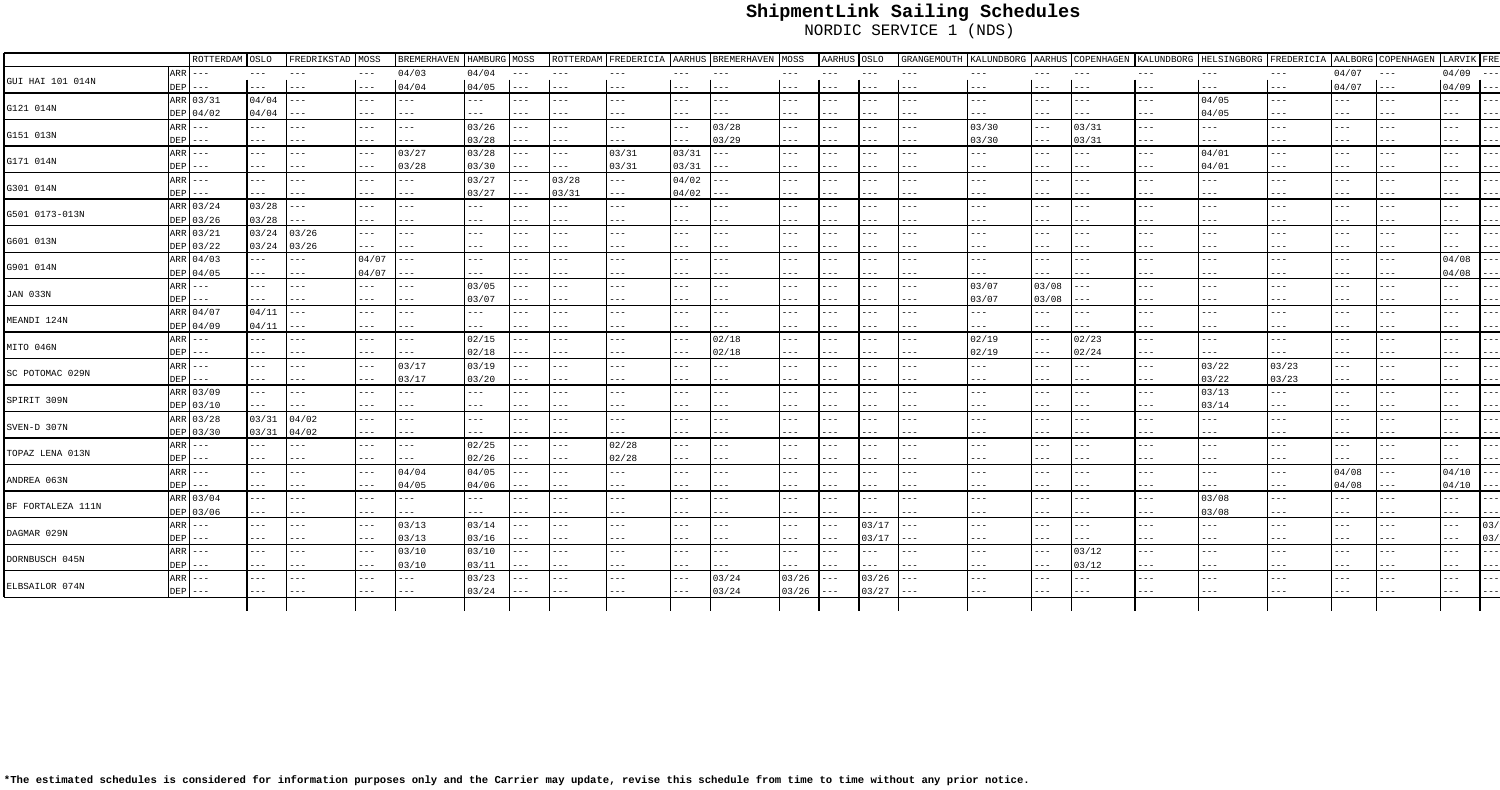|                   |                  | ROTTERDAM OSLO |         | FREDRIKSTAD MOSS |         | <b>BREMERHAVEN</b> | HAMBURG MOSS |         |                   | ROTTERDAM FREDERICIA | <b>AARHUS</b> | BREMERHAVEN MOSS  |         | AARHUS OSLO |         | GRANGEMOUTH | KALUNDBORG | <b>AARHUS</b> | COPENHAGEN | KALUNDBORG    | HELSINGBORG FREDERICIA |         |         | AALBORG COPENHAGEN | LARVIK FRE  |      |
|-------------------|------------------|----------------|---------|------------------|---------|--------------------|--------------|---------|-------------------|----------------------|---------------|-------------------|---------|-------------|---------|-------------|------------|---------------|------------|---------------|------------------------|---------|---------|--------------------|-------------|------|
|                   | <b>ARR</b>       | $- - -$        | $- - -$ | $- - -$          | $---$   | 04/03              | 04/04        | $- - -$ | $- - -$           | $- - -$              | $- - -$       | $- - -$           | $- - -$ | $- - -$     |         |             | $- - -$    | $---$         | $- - -$    | $\frac{1}{2}$ | $- - -$                | $- - -$ | 04/07   | $- - -$            | $04/09$ --- |      |
| GUI HAI 101 014N  | <b>DEP</b>       |                | $---$   | $---$            | $- -$   | 04/04              | 04/05        | $- -$   | $---$             | $- - -$              | $- -$         | $- - -$           | $- - -$ | $-- -$      | $---$   | $---$       | $-- -$     | $- -$         | $- -$      | $---$         | $---$                  | $- - -$ | 04/07   | $---$              | 04/09       | $-$  |
| G121 014N         |                  | ARR 03/31      | 04/04   | $---$            | $- -$   | $- - -$            | $- - -$      | $- - -$ | $- - -$           | $- - -$              | $- -$         | $- - -$           | $- - -$ |             |         |             | $- - -$    | $- - -$       | $- - -$    | $- - -$       | 04/05                  | $---$   | $- -$   | $- - -$            | $- - -$     |      |
|                   |                  | DEP 04/02      | 04/04   |                  | $- -$   | $- - -$            | $- -$        |         |                   | $- -$                |               | $- -$             |         |             |         |             | $- -$      | $- -$         | $- -$      | $- - -$       | 04/05                  | $- -$   | $- -$   |                    | $- -$       |      |
| G151 013N         | ARR <sup>I</sup> | $- - -$        | $---$   | $---$            | $---$   | $---$              | 03/26        | $- - -$ | $---$             | $- - -$              | $- - -$       | 03/28             | $---$   | $---$       | $---$   | $---$       | 03/30      | $-- -$        | 03/31      | $---$         | $---$                  | $---$   | $-- -$  | $---$              | $---$       |      |
|                   | DEP <sup></sup>  | $---$          | $- - -$ | $--$             | $- -$   | $--$               | 03/28        |         | $- -$             |                      | $- -$         | 03/29             |         |             |         |             | 03/30      | $- -$         | 03/31      | $- - -$       | $--$                   | $- -$   | $- -$   |                    | $- -$       |      |
| G171 014N         | <b>ARR</b>       | $---$          | $-- -$  | $---$            | $- - -$ | 03/27              | 03/28        | $- -$   | $- - -$           | 03/31                | 03/31         | $- -$             | $- - -$ | $- - -$     | $- - -$ |             | $- -$      | $- - -$       | $- -$      | $- - -$       | 04/01                  | $- - -$ | $- - -$ | $- -$              | $-- -$      |      |
|                   | <b>DEP</b>       | $---$          | $---$   | $---$            | $- - -$ | 03/28              | 03/30        | $- -$   | $- - -$           | 03/31                | 03/31         | $\qquad \qquad -$ | $- -$   | $- -$       | $- -$   | $- -$       | $- - -$    | $- -$         | $- -$      | $- - -$       | 04/01                  | $- -$   | $- -$   |                    | $- - -$     |      |
| G301 014N         | <b>ARR</b>       | $---$          | $-- -$  | $---$            | $- -$   | $- - -$            | 03/27        | $- -$   | 03/28             | $- -$                | 04/02         | $- -$             | $- - -$ | $- - -$     | $- - -$ | $- -$       | $- -$      | $- -$         | $- -$      | $- -$         | $- -$                  | $- - -$ | $- -$   | $- -$              | $- -$       |      |
|                   | $DFP$ $---$      |                | $-- -$  | $---$            | $- - -$ | $-- -$             | 03/27        |         | 03/31             | $- - -$              | 04/02         | $-- -$            | $- - -$ |             |         |             | $- -$      | $- -$         | $- -$      | $-- -$        | $---$                  | $- -$   | $- - -$ |                    | $- - -$     |      |
| G501 0173-013N    |                  | ARR 03/24      | 03/28   | $---$            | $- -$   | $- - -$            | $- -$        | $- -$   | $- -$             | $- -$                | $- -$         | $- -$             | $- -$   |             | $- -$   |             | $- -$      | $- -$         | $- -$      | $- - -$       | $- - -$                | $- -$   | $- -$   |                    | $- -$       |      |
|                   |                  | DEP 03/26      | 03/28   |                  | $- - -$ | $-- -$             | $- -$        |         |                   | $- -$                | $- -$         | $- - -$           |         |             |         |             | $- -$      | $- -$         | $- -$      | $- - -$       | $-- -$                 | $- -$   | $- -$   |                    | $- -$       |      |
| G601 013N         |                  | ARR 03/21      | 03/24   | 03/26            | $---$   | $- -$              | $- - -$      | $-- -$  | $- - -$           | $-- -$               | $- - -$       | $- - -$           | $- - -$ | $---$       | $- - -$ | $---$       | $- - -$    | $- -$         | $--$       | $---$         | $---$                  | $-- -$  | $-- -$  | $--$               | $---$       |      |
|                   |                  | DEP 03/22      | 03/24   | 03/26            | $-- -$  | $-- -$             | $--$         |         | $- -$             | $- -$                | $- - -$       | $- - -$           | $---$   |             |         |             | $- -$      | $- -$         | $- -$      | $-- -$        | $-- -$                 | $- -$   | $- -$   |                    | $- -$       |      |
| G901 014N         |                  | ARR 04/03      | $---$   | $---$            | 04/07   | $- -$              | $--$         | $- -$   | $- -$             | $- -$                | $- -$         | $--$              | $---$   | $---$       | $---$   |             | $- - -$    | $- -$         | $--$       | $--$          | $- - -$                | $- - -$ | $-- -$  |                    | 04/08       |      |
|                   |                  | DEP 04/05      | $---$   | $---$            | 04/07   | $---$              | $- - -$      |         | $- -$             | $- -$                | $- - -$       | $- - -$           | $- - -$ |             | $- -$   | $- - -$     | $- -$      | $- -$         | $- -$      | $- - -$       | $-- -$                 | $- -$   | $- - -$ | $- -$              | 04/08       |      |
| <b>JAN 033N</b>   | <b>ARR</b>       | $---$          | $---$   | $---$            | $- - -$ | $- -$              | 03/05        | $- -$   | $- - -$           | $-- -$               | $- -$         | $--$              | $- -$   | $- -$       | $---$   | $---$       | 03/07      | 03/08         | $- -$      | $- - -$       | $- - -$                | $-- -$  | $- -$   | $- -$              | $- -$       |      |
|                   | $DEP$ $---$      |                | $-- -$  | $---$            | $- - -$ | $-- -$             | 03/07        | $- -$   | $- - -$           | $- - -$              | $- -$         | $- - -$           | $-- -$  | $- -$       | $- -$   | $- - -$     | 03/07      | 03/08         | $--$       | $---$         | $-- -$                 | $- -$   | $-- -$  | $- -$              | $-- -$      |      |
|                   |                  | ARR 04/07      | 04/11   | $---$            | $---$   | $---$              | $- - -$      | $- - -$ | $---$             | $- - -$              | $- - -$       | $-- -$            | $---$   | $---$       | $---$   | $---$       | $-- -$     | $- - -$       | $- -$      | $---$         | $---$                  | $- - -$ | $- -$   | $- - -$            | $- - -$     |      |
| MEANDI 124N       |                  | DEP 04/09      | 04/11   | $---$            | $- -$   | $---$              | $- - -$      |         | $- -$             | $- -$                | $- -$         | $- -$             |         |             |         |             | $- -$      | $- -$         | $- -$      |               | $---$                  | $- - -$ | $- -$   |                    | $- -$       |      |
|                   | ARR <sup>I</sup> | $---$          | $---$   | $---$            | $---$   | $---$              | 02/15        | $- -$   | $- - -$           | $- - -$              | $- - -$       | 02/18             | $---$   | $---$       | $---$   | $- - -$     | 02/19      | $- - -$       | 02/23      | $---$         | $---$                  | $---$   | $- -$   | $- - -$            | $- - -$     |      |
| MITO 046N         | DEP              | $---$          | $---$   | $- - -$          | $- - -$ | $--$               | 02/18        |         | $- - -$           | $- -$                | $- -$         | 02/18             | $-- -$  |             | $- -$   | $- -$       | 02/19      | $- - -$       | 02/24      | $- - -$       | $--$                   | $- -$   | $- -$   |                    | $- - -$     |      |
| SC POTOMAC 029N   | ARR <sup>I</sup> | $---$          | $---$   | $---$            | $---$   | 03/17              | 03/19        | $- - -$ | $- - -$           | $- - -$              | $- -$         | $- -$             | $- - -$ | $---$       | $---$   | $- - -$     | $--$       | $- -$         | $- -$      | $---$         | 03/22                  | 03/23   | $- -$   | $- - -$            | $- -$       |      |
|                   | <b>DEP</b>       |                | $-- -$  | $--$             | $- -$   | 03/17              | 03/20        |         | $- -$             |                      |               | $- -$             |         |             |         |             | $- -$      | $- -$         | $- -$      |               | 03/22                  | 03/23   | $- -$   |                    | $- -$       |      |
|                   |                  | ARR 03/09      | $---$   | $---$            | $---$   | $- - -$            | $---$        | $---$   | $-- -$            | $-- -$               | $-- -$        | $-- -$            | $---$   | $---$       | $---$   | $---$       | $---$      | $---$         | $- -$      | $---$         | 03/13                  | $---$   | $---$   | $- - -$            | $-- -$      | $-1$ |
| SPIRIT 309N       |                  | DEP 03/10      | $-- -$  | $-- -$           | $- - -$ | $-- -$             | $-- -$       |         | $\qquad \qquad -$ | $- -$                |               | $- -$             |         |             |         |             | $- - -$    | $- -$         | $- -$      | $- - -$       | 03/14                  | $- - -$ | $- - -$ |                    | $- -$       |      |
|                   |                  | ARR 03/28      | 03/31   | 04/02            | $- - -$ | $-- -$             | $-- -$       | $---$   | $---$             | $- - -$              | $-- -$        | $-- -$            | $---$   | $---$       | $---$   | $---$       | $-- -$     | $- - -$       | $- - -$    | $---$         | $-- -$                 | $-- -$  | $-- -$  | $-- -$             | $-- -$      |      |
| SVEN-D 307N       |                  | DEP 03/30      | 03/31   | $04/02$          | $- - -$ | $---$              | $- -$        |         | $- - -$           | $- -$                | $- -$         | $-- -$            |         |             |         | $-- -$      | $- -$      | $- -$         | $- -$      | $--$          | $- - -$                | $- -$   | $- - -$ |                    | $- -$       |      |
|                   | $ARR$ $---$      |                | $---$   | $---$            | $---$   | $---$              | 02/25        | $- -$   | $---$             | 02/28                | $---$         | $-- -$            | $---$   | $---$       | $---$   | $---$       | $---$      | $---$         | $---$      | $---$         | $---$                  | $---$   | $---$   | $- - -$            | $---$       |      |
| TOPAZ LENA 013N   | <b>DEP</b>       | $---$          | $-- -$  | $-- -$           | $- - -$ | $-- -$             | 02/26        | $- -$   | $-- -$            | 02/28                | $- -$         | $- -$             | $- -$   |             | $- -$   | $- -$       | $- - -$    | $- -$         | $-$        | $- -$         | $- - -$                | $- - -$ | $- - -$ |                    | $- -$       |      |
|                   | $ARR$ $---$      |                | $-- -$  | $---$            | $- - -$ | 04/04              | 04/05        | $---$   | $- - -$           | $-- -$               | $-- -$        | $---$             | $---$   | $---$       | $---$   | $---$       | $- - -$    | $-- -$        | $---$      | $---$         | $---$                  | $---$   | 04/08   | $---$              | 04/10       |      |
| ANDREA 063N       |                  |                | $-- -$  | $---$            | $- - -$ | 04/05              | 04/06        | $- -$   | $- - -$           |                      |               | $- -$             |         |             |         |             | $- -$      | $- -$         | $- -$      | $- -$         | $-- -$                 | $- -$   | 04/08   |                    | 04/10       |      |
|                   |                  | ARR 03/04      | $---$   | $---$            | $- - -$ | $---$              | $---$        | $---$   | $---$             | $---$                | $-- -$        | $-- -$            | $---$   | $---$       | $---$   | $---$       | $---$      | $-- -$        | $---$      | $---$         | 03/08                  | $---$   | $---$   | $---$              | $-- -$      |      |
| BF FORTALEZA 111N |                  | DEP 03/06      | $-- -$  | $---$            | $- - -$ | $- - -$            | $- - -$      | $- -$   | $- -$             | $- - -$              | $- -$         | $- -$             | $-- -$  | $- -$       | $- -$   | $- -$       | $-- -$     | $- -$         | $- -$      | $-- -$        | 03/08                  | $- - -$ | $- - -$ | $- - -$            | $- - -$     |      |
|                   | ARR <sup>I</sup> | $- - -$        | $---$   | $---$            | $- - -$ | 03/13              | 03/14        | $-- -$  | $---$             | $---$                | $---$         | $---$             | $---$   | $---$       | 03/17   | $---$       | $---$      | $-- -$        | $---$      | $---$         | $---$                  | $---$   | $-- -$  | $---$              | $---$       | 03/  |
| DAGMAR 029N       | DEP.             | $- - - -$      | $-- -$  | $---$            | $- - -$ | 03/13              | 03/16        | $- -$   | $- - -$           | $- - -$              | $- -$         | $- - -$           |         | $- -$       | 03/17   | $---$       | $- - -$    | $- -$         | $- -$      | $- - -$       | $- - -$                | $- -$   | $- -$   | $- - -$            | $- -$       | 03/  |
|                   | $ARR$ $---$      |                | $---$   | $---$            | $---$   | 03/10              | 03/10        | $- -$   | $---$             | $- - -$              | $---$         | $---$             | $---$   | $---$       | $---$   | $---$       | $---$      | $-- -$        | 03/12      | $---$         | $---$                  | $---$   | $-- -$  | $---$              | $---$       |      |
| DORNBUSCH 045N    | DEP.             | $---$          | $---$   | $--$             | $- -$   | 03/10              | 03/11        | - - -   | $- -$             | $- -$                | $- -$         | $- -$             |         |             |         |             | $- -$      | $- -$         | 03/12      | $- - -$       | $- - -$                | $- -$   | $- -$   | $ -$               | $- -$       |      |
|                   | $ARR$ $---$      |                | $---$   | $---$            | $- - -$ | $- - -$            | 03/23        | $- - -$ | $---$             | $- - -$              | $- - -$       | 03/24             | 03/26   | $---$       | 03/26   | $---$       | $---$      | $- - -$       | $- - -$    | $---$         | $---$                  | $---$   | $-- -$  | $---$              | $---$       |      |
| ELBSAILOR 074N    | $DEP$ ---        |                | $---$   | $--$             | $- -$   | $-- -$             | 03/24        |         | $- -$             | $- -$                | $- -$         | 03/24             | 03/26   |             | 03/27   |             | $- - -$    | $- -$         | $- -$      | $-- -$        | $-- -$                 | $- - -$ | $- - -$ |                    |             |      |
|                   |                  |                |         |                  |         |                    |              |         |                   |                      |               |                   |         |             |         |             |            |               |            |               |                        |         |         |                    |             |      |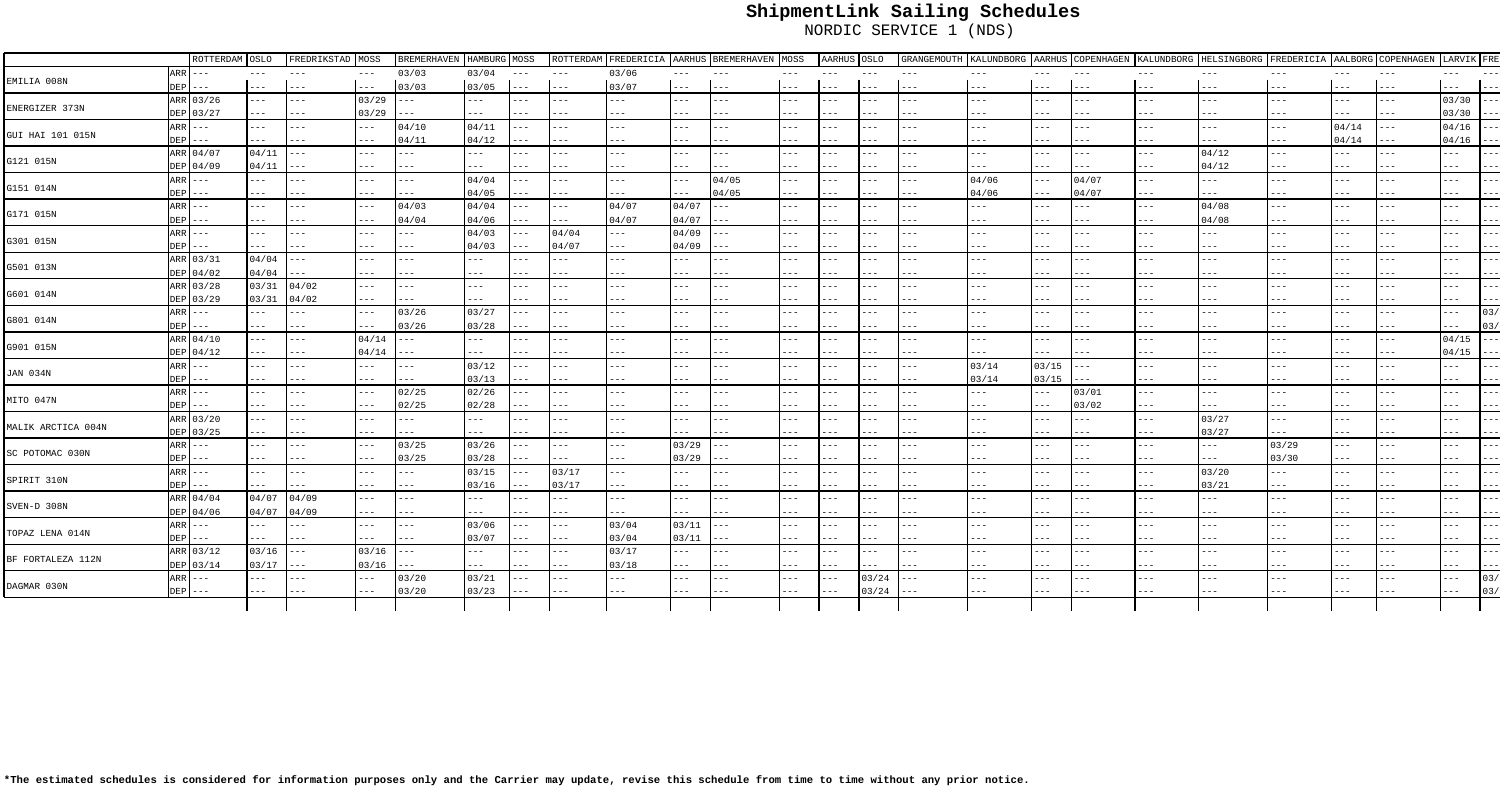NORDIC SERVICE 1 (NDS)

|                    |                                      | ROTTERDAM OSLO               |                  | FREDRIKSTAD MOSS  |                   | <b>BREMERHAVEN</b> | HAMBURG MOSS      |                    | ROTTERDAM          | FREDERICIA         | <b>AARHUS</b>    | <b>BREMERHAVEN</b> | MOSS               | <b>AARHUS</b>     | OSLO              | GRANGEMOUTH       |                  |                    | KALUNDBORG AARHUS COPENHAGEN |                    | KALUNDBORG HELSINGBORG | FREDERICIA        |                            | AALBORG COPENHAGEN LARVIK FRE |                   |            |
|--------------------|--------------------------------------|------------------------------|------------------|-------------------|-------------------|--------------------|-------------------|--------------------|--------------------|--------------------|------------------|--------------------|--------------------|-------------------|-------------------|-------------------|------------------|--------------------|------------------------------|--------------------|------------------------|-------------------|----------------------------|-------------------------------|-------------------|------------|
| EMILIA 008N        | <b>ARR</b>                           | $- - -$                      | $---$            | $- - -$           | $---$             | 03/03              | 03/04             | $- - -$            | $- - - -$          | 03/06              | $---$            | $- - -$            | $- - -$            |                   |                   |                   | $- - -$          | $- - -$            |                              | $- - -$            | $- - -$                | $- - -$           | $- - -$                    |                               |                   |            |
|                    | DEP.                                 | $- - -$                      | $---$            | $---$             | $---$             | 03/03              | 03/05             | $- -$              | $-- -$             | 03/07              | $- - -$          | $---$              | $---$              | $---$             | $---$             | $---$             | $---$            | $-- -$             | $---$                        | $-- -$             | $---$                  | $- - -$           | $- -$                      | $---$                         | $---$             |            |
| ENERGIZER 373N     | ARR 03/26<br>DEP 03/27               |                              | $---$<br>$-- -$  | $---$<br>$- - -$  | 03/29<br>03/29    | $- -$<br>$- - -$   | $- - -$<br>$-- -$ | $- -$<br>$- -$     | $- - -$<br>$- -$   | $- - -$<br>$- - -$ | $- -$<br>$- -$   | $- -$<br>$- - -$   | $- - -$<br>---     |                   |                   |                   | $---$<br>$---$   | $- -$<br>$- -$     | $- - -$<br>$- -$             | $- - -$<br>$- - -$ | $- - -$<br>$---$       | $- -$<br>$- - -$  | $- - -$<br>$- -$           | $- - -$<br>$- - -$            | 03/30<br>03/30    |            |
| GUI HAI 101 015N   | $ARR$ $---$<br>$DEP$ $---$           |                              | $---$<br>$---$   | $---$<br>$---$    | $---$<br>$- -$    | 04/10<br>04/11     | 04/11<br>04/12    | $- - -$<br>$- -$   | $---$<br>$- -$     | $-- -$<br>$- -$    | $- -$<br>$- -$   | $- - -$<br>$--$    | $---$<br>$-- -$    | $---$<br>$- -$    | $---$<br>$- -$    | $---$<br>$-- -$   | $---$<br>$-- -$  | $- - -$<br>$- -$   | $---$<br>$- - -$             | $- - -$<br>$---$   | $- - -$<br>$---$       | $-- -$<br>$--$    | 04/14<br>04/14             | $---$<br>$- - -$              | 04/16<br>04/16    |            |
| G121 015N          | ARR 04/07<br>DEP 04/09               |                              | 04/11<br>04/11   | $-- -$<br>$---$   | $--$<br>$- - -$   | $- - -$<br>$---$   | $-- -$<br>$---$   | $- -$<br>$- -$     | $- -$<br>$- -$     | $- - -$<br>$-- -$  | $- -$<br>$- -$   | $- - -$<br>$---$   | $---$<br>$-- -$    | $- - -$<br>$- -$  | $-- -$<br>$--$    | $--$<br>$--$      | $---$<br>$-- -$  | $- - -$<br>$- -$   | $-- -$<br>$-- -$             | $-- -$<br>$---$    | 04/12<br>04/12         | $- - -$<br>$- -$  | $- -$<br>$---$             | $-- -$<br>$- - -$             | $-- -$<br>$---$   |            |
| G151 014N          | ARR<br>$DEP$ $---$                   | $- - -$                      | $---$<br>$---$   | $-- -$<br>$- - -$ | $--$<br>$-- -$    | $-- -$<br>$-- -$   | 04/04<br>04/05    | $- -$<br>$- -$     | $- - -$<br>$---$   | $- - -$<br>$- - -$ | $- -$<br>$-- -$  | 04/05<br>04/05     | $-- -$<br>$---$    | $- - -$<br>$-- -$ | $---$<br>$- - -$  | $---$             | 04/06<br>04/06   | $- - -$<br>$---$   | 04/07<br>04/07               | $-- -$<br>$-- -$   | $- - -$<br>$-- -$      | $- -$<br>$- - -$  | $- -$<br>$-- -$            | $--$<br>$- - -$               | $-- -$<br>$- - -$ |            |
| G171 015N          | <b>ARR</b>                           | $---$                        | $---$            | $---$             | $- -$             | 04/03              | 04/04             | $--$               | $- - -$            | 04/07              | 04/07            | $- -$<br>$- -$     | $---$              |                   |                   |                   | $-- -$           | $- -$              | $ -$                         | $---$              | 04/08                  | $- -$             | $- -$                      |                               | $-- -$            |            |
| G301 015N          | DEP <sup>1</sup><br>ARR <sup>I</sup> | $\qquad \qquad - -$<br>$---$ | ---<br>$---$     | $---$<br>$---$    | $-- -$<br>$---$   | 04/04<br>$---$     | 04/06<br>04/03    | $- -$<br>$- -$     | $- - -$<br>04/04   | 04/07<br>$-- -$    | 04/07<br>04/09   | $- - -$            | $-- -$<br>$---$    | $- - -$<br>$---$  | $-- -$<br>$---$   | $-- -$<br>$- - -$ | $---$<br>$---$   | $- -$<br>$-- -$    | $- -$<br>$---$               | $- - -$<br>$---$   | 04/08<br>$---$         | $- -$<br>$-- -$   | $-- -$<br>$-- -$           | $---$                         | $---$<br>$---$    |            |
| G501 013N          | dep I<br>ARR 03/31                   |                              | $-- -$<br>04/04  | $- - -$<br>$---$  | $-- -$<br>$---$   | $- -$<br>$---$     | 04/03<br>$- -$    | $- - -$            | 04/07<br>$- - -$   | $- -$<br>$- - -$   | 04/09<br>$- -$   | $- -$<br>$- - -$   | $---$<br>$---$     | $-- -$<br>$---$   | $- - -$<br>$---$  | $- - -$<br>$-- -$ | $-- -$<br>$---$  | $- -$<br>$- - -$   | $- -$<br>$---$               | $---$<br>$- - -$   | $---$<br>$---$         | $- - -$<br>$- -$  | $- -$<br>$- - -$           | $- - -$<br>$---$              | $---$<br>$---$    |            |
| G601 014N          | DEP 04/02<br>ARR 03/28               |                              | 04/04<br>03/31   | $--$<br>04/02     | $- -$<br>$---$    | $---$<br>$---$     | $- - -$<br>$---$  | $- -$<br>$- -$     | $- - -$<br>$- - -$ | $- -$<br>$- - -$   | $- -$<br>$- -$   | $- -$<br>$- -$     | $-- -$<br>$---$    | .<br>$---$        | $- -$<br>$- - -$  | $- -$<br>$- - -$  | $---$<br>$---$   | $- -$<br>$- - -$   | $- - -$<br>$---$             | $- - -$<br>$---$   | $---$<br>$- - -$       | $- -$<br>$- - -$  | $- -$<br>$---$             | $- - -$<br>$---$              | $---$<br>$---$    | $- - -$    |
| G801 014N          | DEP 03/29<br>$ARR$ $---$             |                              | 03/31<br>$---$   | 04/02<br>$-- -$   | $- - -$<br>$---$  | $-- -$<br>03/26    | $- - -$<br>03/27  | $- -$<br>$- - -$   | $- - -$<br>$---$   | $- - -$<br>$-- -$  | $- -$<br>$- - -$ | $- -$<br>$-- -$    | $---$<br>$---$     | $--$<br>$---$     | $- -$<br>$---$    | $-- -$<br>$-- -$  | $- - -$<br>$---$ | $- -$<br>$---$     | $- - -$<br>$---$             | $-- -$<br>$- - -$  | $---$<br>$---$         | $- - -$<br>$-- -$ | $- -$<br>$- - -$           | $---$<br>$---$                | $---$<br>$---$    | 03/        |
|                    | DEP.<br>ARR 04/10                    | $- - -$                      | $---$<br>$---$   | $--$<br>$-- -$    | $---$<br>04/14    | 03/26<br>$---$     | 03/28<br>$---$    | $- -$<br>$-- -$    | $- -$<br>$-- -$    | $- -$<br>$-- -$    | $- -$<br>$-- -$  | $- -$<br>$-- -$    | $---$              | $-- -$            | $-- -$            | $-- -$            | $---$<br>$---$   | $- -$<br>$---$     | $\qquad \qquad -$<br>$---$   | $- - -$<br>$- - -$ | $---$<br>$---$         | $- -$<br>$-- -$   | $- -$<br>$---$             | $---$                         | $---$<br>04/15    | 03/        |
| G901 015N          | DEP 04/12<br>ARR <sup>I</sup>        | $- - -$                      | $-- -$<br>$---$  | $-- -$<br>$---$   | 04/14<br>$---$    | $- -$<br>$---$     | $- - -$<br>03/12  | $- -$<br>$- - -$   | $- -$<br>$---$     | $- -$<br>$---$     | $- -$<br>$- - -$ | $- -$<br>$---$     | $-- -$<br>$---$    | $- -$<br>$---$    | $- -$<br>$---$    | $- -$<br>$---$    | $---$<br>03/14   | $- -$<br>03/15     | $- -$<br>$---$               | $- - -$<br>$- - -$ | $-- -$<br>$---$        | $- -$<br>$---$    | $- -$<br>$---$             | $---$<br>$---$                | 04/15<br>$---$    |            |
| JAN 034N           | DE P<br>$ARR$ ---                    | $---$                        | $-- -$<br>$---$  | $-- -$<br>$---$   | $- - -$<br>$---$  | $-- -$<br>02/25    | 03/13<br>02/26    | $- - -$<br>$- - -$ | $- - -$<br>$---$   | $- - -$<br>$---$   | $- -$<br>$- - -$ | $- - -$<br>$---$   | $- - -$<br>$---$   | $- - -$<br>$---$  | $- - -$<br>$---$  | $- - -$<br>$---$  | 03/14<br>$---$   | 03/15<br>$---$     | $- - -$<br>03/01             | $- - -$<br>$---$   | $-- -$<br>$---$        | $- -$<br>$---$    | $- -$<br>$---$             | $- - -$<br>$---$              | $- - -$<br>$---$  |            |
| MITO 047N          | DEP.<br>ARR 03/20                    | $- - -$                      | $-- -$<br>$---$  | $-- -$<br>$---$   | $- - -$<br>$-- -$ | 02/25<br>$- - -$   | 02/28<br>$---$    | $- -$<br>$---$     | $- -$<br>$---$     | $- - -$<br>$---$   | $- -$<br>$---$   | $- -$<br>$- - -$   | $- - -$<br>$---$   | $- -$<br>$---$    | $- -$<br>$---$    | $- -$<br>$---$    | $---$<br>$---$   | $- -$<br>$---$     | 03/02<br>$---$               | $- - -$<br>$---$   | $- - -$<br>03/27       | $- -$<br>$---$    | $- -$<br>$---$             | $- -$<br>$---$                | $---$             |            |
| MALIK ARCTICA 004N | DEP 03/25                            |                              | ---              | $---$             | $- -$             | $---$              | $- -$             |                    | $- -$              | $- - -$            | $- -$            | $- -$              | $- -$              |                   | $- -$             |                   | $---$            | $- -$              | $- -$                        | $-- -$             | 03/27                  | $- -$             | $- -$                      |                               | $- - -$           |            |
| SC POTOMAC 030N    | ARR <sup>I</sup><br>DEP <sup>I</sup> | $\qquad - - -$<br>$- - - -$  | $- - -$<br>$---$ | $- - -$<br>$-- -$ | $- -$<br>$--$     | 03/25<br>03/25     | 03/26<br>03/28    | $- -$<br>$- -$     | $- -$<br>$- - -$   | $- -$<br>$-- -$    | 03/29<br>03/29   | $- -$<br>$- -$     | $- - -$<br>$---$   | $-- -$            | $- -$<br>$- - -$  | $-- -$            | $---$<br>$---$   | $- - -$<br>$- - -$ | $- - -$<br>$-- -$            | $- - -$<br>$-- -$  | $- - -$<br>$---$       | 03/29<br>03/30    | $- -$<br>$- -$             | $- - -$<br>$- - -$            | $-- -$<br>$---$   |            |
| SPIRIT 310N        | $ARR$ $---$<br>EP.                   |                              | $-- -$<br>$---$  | $-- -$            | $- -$<br>$-- -$   | $- - -$<br>$---$   | 03/15<br>03/16    | $- -$              | 03/17<br>13/17     | $-- -$<br>$--$     | $- -$            | $- - -$            | $- - -$<br>$- - -$ | $- - -$           | $- - -$           | $- - -$           | $---$<br>$--$    | $- - -$            | $---$                        | $- - -$<br>$---$   | 03/20<br>03/21         | $- - -$<br>$- -$  | $---$<br>$\qquad \qquad -$ | $---$                         | $---$<br>$---$    |            |
| SVEN-D 308N        | ARR 04/04<br>DEP 04/06               |                              | 04/07<br>04/07   | 04/09<br>04/09    | $- -$<br>$-- -$   | $- - -$<br>$---$   | $- - -$<br>$---$  | $- -$              | $- - -$            | $-- -$             | $- - -$          | $- - -$            | $- - -$            | $-- -$            | $-- -$            | $- -$             | $---$<br>$-- -$  | $- - -$            | $-- -$                       | $-- -$<br>$---$    | $- - -$<br>$- - -$     | $- - -$<br>$- -$  | $- -$<br>$- -$             | $---$                         | $- - -$           |            |
| TOPAZ LENA 014N    | <b>ARR</b><br>$DFP$ $---$            | $- - -$                      | $-- -$<br>$-- -$ | $-- -$<br>$---$   | $- -$<br>$-- -$   | $- -$<br>$---$     | 03/06<br>03/07    | $- -$<br>$- -$     | $-- -$<br>$---$    | 03/04<br>03/04     | 03/11<br>03/11   | $- - -$<br>$---$   | $---$<br>$---$     | $- - -$<br>$-- -$ | $- - -$<br>$-- -$ | $- -$<br>$-- -$   | $---$<br>$- - -$ | $- -$<br>$- -$     | $- -$<br>$- - -$             | $-- -$<br>$-- -$   | $---$<br>$---$         | $- - -$<br>$- -$  | $- -$<br>$- -$             | $- - -$<br>$- - -$            | $- - -$<br>$---$  |            |
| BF FORTALEZA 112N  | ARR 03/12<br>DEP 03/14               |                              | 03/16<br>03/17   | $---$<br>$---$    | 03/16<br>03/16    | $---$<br>$- -$     | $- - -$           | $- -$              | $- - -$            | 03/17<br>03/18     | $- -$<br>$- -$   | $- - -$<br>$- -$   | $---$              | $- - -$           | $- - -$           |                   | $---$<br>$---$   | $- -$<br>$- -$     | $- -$                        | $- - -$<br>$- -$   | $- -$<br>$- - -$       | $- -$<br>$- -$    | $- -$<br>$- -$             | $- - -$                       | $- - -$           |            |
| DAGMAR 030N        | $ARR$ $---$<br>$DEP$ ---             |                              | $---$<br>$--$    | $---$             | $---$             | 03/20<br>03/20     | 03/21<br>03/23    | $--$               | $- - -$            | $---$              | $-- -$           | $--$               | $---$<br>$---$     | $---$<br>$- -$    | 03/24<br>03/24    | $- - -$           | $---$<br>$-- -$  | $- -$              | $- -$                        | $---$              | $---$<br>$- - -$       | $- - -$           | $- - -$<br>$- -$           | $---$                         | $---$             | 03/<br>03/ |
|                    |                                      |                              |                  |                   |                   |                    |                   |                    |                    |                    |                  |                    |                    |                   |                   |                   |                  |                    |                              |                    |                        |                   |                            |                               |                   |            |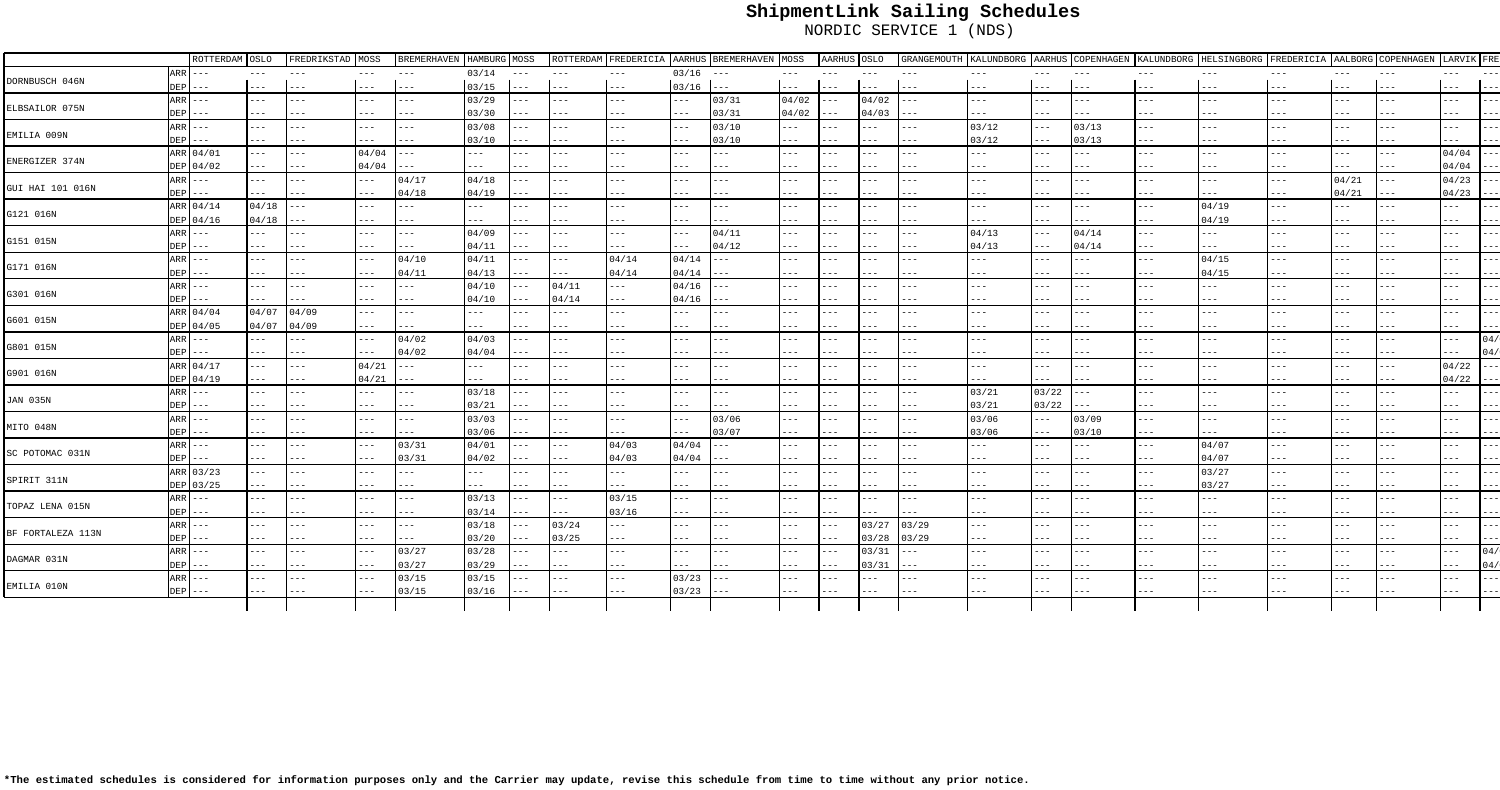NORDIC SERVICE 1 (NDS)

|                   |                  | ROTTERDAM         | OSLO             | FREDRIKSTAD        | MOSS           | <b>BREMERHAVEN</b> | HAMBURG MOSS   |                   |                   | ROTTERDAM FREDERICIA | AARHUS           | BREMERHAVEN MOSS |                  | <b>AARHUS</b> | OSLO          | GRANGEMOUTH      |                |               | KALUNDBORG AARHUS COPENHAGEN | KALUNDBORG         | HELSINGBORG    | FREDERICIA       | AALBORG          | COPENHAGEN           | LARVIK FRE     |         |
|-------------------|------------------|-------------------|------------------|--------------------|----------------|--------------------|----------------|-------------------|-------------------|----------------------|------------------|------------------|------------------|---------------|---------------|------------------|----------------|---------------|------------------------------|--------------------|----------------|------------------|------------------|----------------------|----------------|---------|
|                   | <b>ARR</b>       | $---$             | $---$            | $- - -$            | $- - -$        | $- - -$            | 03/14          | $- - -$           | $- - -$           | $---$                | $03/16$ ---      |                  | $---$            | $---$         | $- - -$       | $---$            | $---$          | $---$         | $- - -$                      | $---$              | $---$          | $---$            | $- - - -$        | $- - - -$            | $---$          | $- - -$ |
| DORNBUSCH 046N    | DEP              |                   | $--$             | $- - -$            | $- -$          | $--$               | 03/15          | $\qquad \qquad -$ | $---$             | $-- -$               | 03/16            | $- -$            | $---$            | $---$         | $---$         | $---$            | $- -$          | $-$           | $ -$                         | $- -$              | $- - -$        | $- -$            | $- -$            | $---$                | $- - -$        | $---$   |
|                   | ARR              | $---$             | $---$            | $---$              | $-- -$         | $-- -$             | 03/29          | $- - -$           | $---$             | $-- -$               | $- - -$          | 03/31            | 04/02            | $- - -$       | 04/02         | $- - -$          | $---$          | $-- -$        | $---$                        | $-- -$             | $---$          | $---$            | $- - -$          | $---$                | $---$          |         |
| ELBSAILOR 075N    | DEP.             | $- - -$           | $-- -$           | $- - -$            | $- - -$        | $-- -$             | 03/30          | $ -$              | $- - -$           | $- -$                | $- - -$          | 03/31            | 04/02            | $- -$         | 04/03         | $-- -$           | $- - -$        | $- -$         | $- -$                        | $---$              | $-- -$         | $-- -$           | $--$             | $---$                | $---$          |         |
|                   | ARR              | $---$             | $---$            | $---$              | $-- -$         | $-- -$             | 03/08          | $- - -$           | $---$             | $-- -$               | $---$            | 03/10            | $---$            | $---$         | $---$         | $---$            | 03/12          | $-- -$        | 03/13                        | $-- -$             | $---$          | $---$            | $-- -$           | $- - -$              | $---$          |         |
| EMILIA 009N       | DE P             | $---$             | $-- -$           | $--$               | $- - -$        | $-- -$             | 03/10          | $- -$             | $- -$             | $- -$                | $- -$            | 03/10            | $- -$            | $- -$         | $- - -$       | $-- -$           | 03/12          | $- -$         | 03/13                        | $- - -$            | $-- -$         | $- - -$          | $- -$            | ---                  | ---            |         |
|                   |                  | ARR 04/01         | $---$            | $---$              | 04/04          | $---$              | $---$          | $- - -$           | $- - -$           | $- - -$              | $- - -$          | $-- -$           | $---$            | $---$         | $---$         | $---$            | $---$          | $-- -$        | $-- -$                       | $---$              | $- - -$        | $-- -$           | $--$             | $---$                | 04/04          |         |
| ENERGIZER 374N    |                  | DEP 04/02         | $- - -$          | $--$               | 04/04          | $- -$              | $- -$          | --                | $- -$             | $- - -$              | $- -$            | $- - -$          | $- -$            | $- -$         | ---           | $- - -$          | $- - -$        | --            | $- -$                        | $- - -$            | $- - -$        | $- - -$          | $- -$            | $---$                | 04/04          |         |
|                   | <b>ARR</b>       | $---$             | $---$            | $---$              | $-- -$         | 04/17              | 04/18          | $- - -$           | $---$             | $---$                | $-- -$           | $---$            | $---$            | $---$         | $---$         | $---$            | $---$          | $- - -$       | $---$                        | $---$              | $- - -$        | $---$            | 04/21            | $- - -$              | 04/23          |         |
| GUI HAI 101 016N  | DEP.             | $---$             | $-- -$           | $--$               | $- - -$        | 04/18              | 04/19          |                   | $- -$             | $- -$                | $- -$            | $-- -$           |                  |               |               |                  | $- - -$        | $- -$         | $- -$                        | $- - -$            | $---$          | $- -$            | 04/21            | $- - -$              | 04/23          |         |
|                   |                  | ARR 04/14         | 04/18            | $- - -$            | $- -$          | $---$              | $---$          | $- - -$           | $- - -$           | $---$                | $---$            | $---$            | $- - -$          | $---$         | $---$         | $---$            | $---$          | $---$         | $---$                        | $---$              | 04/19          | $-- -$           | $- - -$          | $---$                | $---$          |         |
| G121 016N         |                  | DEP 04/16         | 04/18            |                    | $- - -$        | $- - -$            | $- - -$        | $- -$             | $- -$             | $- -$                | $- - -$          | $- - -$          | $-- -$           | $- - -$       | $--$          | $- -$            | $---$          | $- -$         | $- -$                        | $-- -$             | 04/19          | $- -$            | $- -$            | $- - -$              | $---$          |         |
|                   | <b>ARR</b>       | $- - -$           | $- - -$          | $- - -$            | $- -$          | $---$              | 04/09          | $- -$             | $---$             | $- - -$              | $- - -$          | 04/11            | $- - -$          | $- - -$       | $---$         | $- - -$          | 04/13          | $- -$         | 04/14                        | $---$              | $- - -$        | $- - -$          | $- - -$          | $---$                | $---$          |         |
| G151 015N         | DEP              | $---$             | $---$            | $---$              | $---$          | $---$              | 04/11          | $- -$             | $---$             | $-- -$               | $---$            | 04/12            | $-- -$           | $-- -$        | $-- -$        | $-- -$           | 04/13          | $---$         | 04/14                        | $---$              | $---$          | $---$            | $---$            | $- - -$              | $---$          |         |
|                   | <b>ARR</b>       | $-- -$            | $-- -$           | $-- -$             | $- - -$        | 04/10              | 04/11          | $- -$             | $-- -$            | 04/14                | 04/14            | $-- -$           | $- -$            | $- - -$       | $- - -$       | $- -$            | $-- -$         | $- -$         | $- - -$                      | $-- -$             | 04/15          | $-- -$           | $- -$            | $-- -$               | $-- -$         |         |
| G171 016N         | DEP              |                   | $---$            |                    | $-- -$         | 04/11              | 04/13          |                   | $---$             | 04/14                | 04/14            | $-- -$           |                  |               |               |                  | $-- -$         |               |                              |                    | 04/15          | $- -$            | $- -$            |                      |                |         |
|                   | ARR              | $-- -$            | $-- -$           | $-- -$             | $- - -$        | $- - -$            | 04/10          | $- -$             | 04/11             | $-- -$               | 04/16            | $-- -$           | $-- -$           | $-- -$        | $-- -$        | $-- -$           | $-- -$         | $- - -$       | $- - -$                      | $-- -$             | $- - -$        | $-- -$           | $- - -$          | $-- -$               | $-- -$         |         |
| G301 016N         | DEP.             |                   | $-- -$           | $- - -$            | $- - -$        | $---$              | 04/10          |                   | 04/14             | $---$                | 04/16            | $---$            | $---$            | $- - -$       | $--$          | $--$             | $---$          | $- -$         | $--$                         | $---$              | $-- -$         | $-- -$           | $--$             | $- - -$              | $---$          |         |
|                   |                  | ARR 04/04         | 04/07            | 04/09              | $- -$          | $-- -$             | $-- -$         | $- - -$           | $- -$             | $- -$                | $- -$            | $- -$            | $- - -$          | $---$         | $- - -$       |                  | $-- -$         | $- -$         | $- - -$                      | $- - -$            | $- - -$        | $-- -$           | $- -$            | $- - -$              | $-- -$         |         |
| G601 015N         |                  | DEP 04/05         | 04/07            | 04/09              | $-- -$         | $-- -$             | $- -$          |                   | $- - -$           | $- - -$              | $- - -$          | $---$            | $-- -$           | $- - -$       | $-- -$        | $- - -$          | $-- -$         | $- -$         | $- -$                        | $- - -$            | $-- -$         | $- - -$          | $-- -$           | $- - -$              | $---$          |         |
|                   | ARR              | $---$             | $- - -$          | $- - -$            | $---$          | 04/02              | 04/03          | $- -$             | $- - -$           | $- - -$              | $- - -$          | $- - -$          | $- - -$          | $---$         | $---$         | $- - -$          | $---$          | $---$         | $- -$                        | $- - -$            | $---$          | $- - -$          | $---$            | $---$                | $---$          | 04/     |
| G801 015N         | <b>DEP</b>       |                   | $- - -$          | .                  | $- - -$        |                    | 04/04          |                   | $- -$             | $- -$                | $- -$            | $ -$             | .                |               | .             | .                | $- - -$        | $- -$         | $- -$                        | $- - -$            | $- - -$        | $- - -$          | $- -$            |                      | $- - -$        | 104/    |
|                   |                  | ARR 04/17         | $- - -$          | $---$              | 04/21          | 04/02<br>$---$     | $- - -$        | $-- -$            | $-- -$            | $-- -$               | $- - -$          | $- - -$          | $- - -$          | $---$         | $---$         | $---$            | $---$          | $---$         | $- - -$                      | $---$              | $---$          | $- - -$          | $- - -$          | $---$                | 04/22          |         |
| G901 016N         | DEP I            | 04/19             | $- - -$          | $- - -$            |                |                    |                |                   |                   |                      |                  | $ -$             |                  |               |               |                  | .              |               |                              |                    | $- - -$        | $- -$            | $- -$            |                      | 04/22          |         |
|                   | ARR              | $---$             | $- - -$          | $- - -$            | 04/21<br>$- -$ | $- - -$<br>$---$   | 03/18          | $- -$             | $- - -$           | $- - -$              | $- - -$          | $-- -$           | $---$            | $---$         | $---$         | $---$            | 03/21          | 03/22         | $---$                        | $---$              | $---$          | $- - -$          | $- - -$          | $---$                | $---$          |         |
| JAN 035N          |                  |                   |                  |                    |                |                    |                |                   |                   |                      |                  |                  |                  |               |               |                  |                |               |                              |                    |                |                  |                  |                      |                |         |
|                   | DEP<br>ARR       | $-- -$<br>$- - -$ | $---$<br>$- - -$ | $- - -$<br>$- - -$ | $---$<br>$- -$ | $---$<br>$---$     | 03/21<br>03/03 | $- -$             | $-- -$<br>$- - -$ | $--$<br>$- - -$      | $- -$<br>$- - -$ | $---$<br>03/06   | $- -$<br>$- - -$ | $- - -$       | $-- -$<br>--- | $---$<br>$- - -$ | 03/21<br>03/06 | 03/22<br>$--$ | $--$<br>03/09                | $- - -$<br>$- - -$ | $---$<br>$---$ | $---$<br>$- - -$ | $---$<br>$- - -$ | $- - -$<br>$- - - -$ | $---$<br>$---$ |         |
| MITO 048N         | DEP              |                   |                  |                    |                |                    |                |                   |                   |                      |                  | 03/07            |                  |               |               |                  | 03/06          |               | 03/10                        |                    |                |                  |                  |                      |                |         |
|                   | <b>ARR</b>       | $--$              | $--$             | $- -$              | $- - -$        | $---$              | 03/06          |                   | $- -$             | $\qquad \qquad -$    | $- -$            |                  |                  |               | $--$          |                  |                | $---$         |                              | $- -$              | $---$          | $---$            | $- -$            | $- - -$              | $--$           |         |
| SC POTOMAC 031N   | <b>DEP</b>       | $---$             | $---$            | $---$              | $-- -$         | 03/31              | 04/01<br>04/02 | $- -$             | $---$             | 04/03<br>04/03       | 04/04<br>04/04   | $- - -$          | $---$            | $- - -$       | $---$         | $-- -$           | $---$          | $---$         | $---$                        | $---$              | 04/07<br>04/07 | $---$            | $- - -$          | $- - -$              | $---$          |         |
|                   |                  | $- -$             | $--$             | $- - -$            | $---$          | 03/31              |                |                   | $- -$             |                      |                  | $-$              | $- -$            | $- -$         | $- -$         | $- -$            | $-- -$         | $- -$         | $- -$                        | $- - -$            |                | $---$            | $---$            | $- -$                | $---$          |         |
| SPIRIT 311N       |                  | ARR 03/23         | $---$            | $---$              | $- - -$        | $-- -$             | $-- -$         | $---$             | $- - -$           | $-- -$               | $-- -$           | $---$            | $-- -$           | $- - -$       | $---$         | $---$            | $---$          | $-- -$        | $---$                        | $-- -$             | 03/27          | $---$            | $---$            | $- - -$              | $---$          |         |
|                   | DEP I            | 03/25             | $-- -$           | $--$               | $- - -$        | $- - -$            | $- - -$        |                   | $- - -$           | $- -$                | $- -$            | $-- -$           | $- -$            | $- -$         | $- -$         | $- - -$          | $- - -$        | $- -$         | $- -$                        | $- -$              | 03/27          | $-- -$           | $- -$            | $- - -$              | $- - -$        |         |
| TOPAZ LENA 015N   | ARR <sup>I</sup> | $---$             | $-- -$           | $- - -$            | $- -$          | $---$              | 03/13          | $- - -$           | $---$             | 03/15                | $-- -$           | $-- -$           | $---$            | $---$         | $---$         | $---$            | $---$          | $-- -$        | $- - -$                      | $---$              | $---$          | $-- -$           | $---$            | $---$                | $---$          |         |
|                   | <b>DEP</b>       | $- - -$           | $-- -$           | $- - -$            | $- - -$        | $- - -$            | 03/14          | $- -$             | $-- -$            | 0.3/16               | $-- -$           | $- - -$          | $-- -$           | $- -$         | $- -$         | $-- -$           | $- - -$        | $- -$         | $- -$                        | $-- -$             | $-- -$         | $-- -$           | $- -$            | $---$                | $- - -$        |         |
| BF FORTALEZA 113N | <b>ARR</b>       | $---$             | $---$            | $-- -$             | $---$          | $---$              | 03/18          | $- - -$           | 03/24             | $---$                | $-- -$           | $---$            | $---$            | $- - - -$     | 03/27         | 03/29            | $---$          | $- - -$       | $---$                        | $---$              | $- - -$        | $---$            | $---$            | $---$                | $---$          |         |
|                   | DEP.             | $---$             | $--$             | $--$               | $- - -$        | $- - -$            | 03/20          | $- - -$           | 03/25             | $- - -$              | $- -$            | $- - -$          | $- -$            | $- - -$       | 03/28         | 03/29            | $-- -$         | $- -$         | $- -$                        | $-- -$             | $-- -$         | $- -$            | $- -$            | $- - -$              | $- - -$        |         |
| DAGMAR 031N       | ARR <sup>I</sup> | $- - -$           | $---$            | $---$              | $-- -$         | 03/27              | 03/28          | $- - -$           | $---$             | $---$                | $-- -$           | $-- -$           | $---$            | $---$         | 03/31         | $---$            | $---$          | $---$         | $---$                        | $---$              | $- - -$        | $---$            | $-- -$           | $---$                | $---$          | 04/     |
|                   | DEP.             | $- - -$           | $- - -$          | $--$               | $- -$          | 03/27              | 03/29          | - - -             | $- -$             | $- -$                | $- -$            | $- -$            | $- - -$          | $- -$         | 03/31         | $- -$            | $- - -$        | $- -$         | $- -$                        | $- -$              | $- - -$        | $- - -$          | $- -$            | $- - -$              | $---$          | 104/    |
| EMILIA 010N       | <b>ARR</b>       | $---$             | $---$            | $---$              | $- - -$        | 03/15              | 03/15          | $- - -$           | $---$             | $---$                | 03/23            | $- - -$          | $---$            | $---$         | $---$         | $---$            | $---$          | $- - -$       | $---$                        | $- - -$            | $---$          | $---$            | $-- -$           | $---$                | $---$          |         |
|                   |                  | $DEP$ $---$       | $-- -$           | $- - -$            | $- - -$        | 03/15              | 03/16          |                   | $- - -$           | $- -$                | 03/23            | $- -$            | $- - -$          |               |               |                  | $- - -$        | $- -$         |                              | $-- -$             | $- - -$        | $- - -$          | $- -$            | $- - -$              |                |         |
|                   |                  |                   |                  |                    |                |                    |                |                   |                   |                      |                  |                  |                  |               |               |                  |                |               |                              |                    |                |                  |                  |                      |                |         |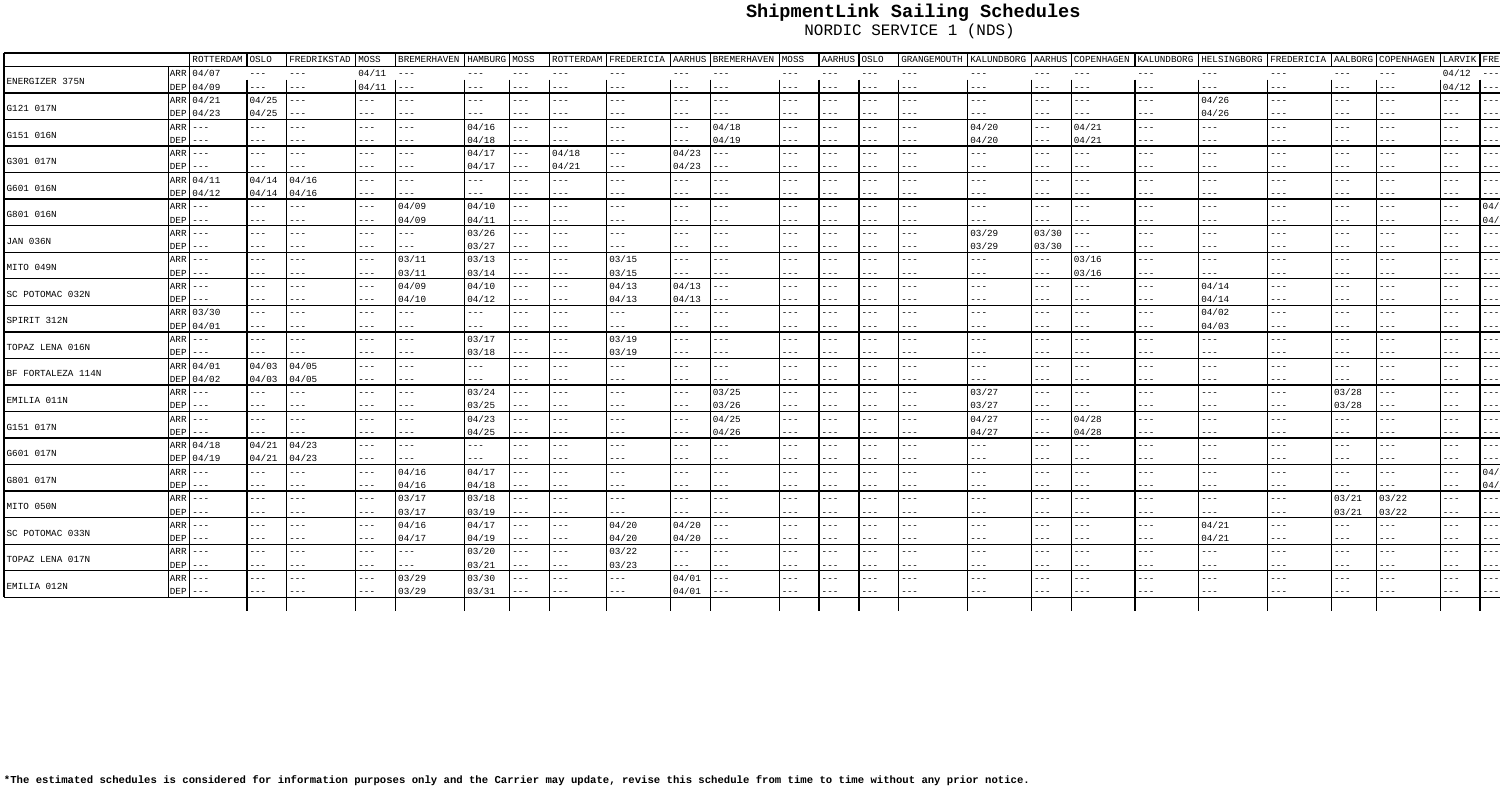NORDIC SERVICE 1 (NDS)

|                   |                             | ROTTERDAM OSLO |                        | FREDRIKSTAD MOSS |                  | <b>BREMERHAVEN</b> | HAMBURG MOSS   |         |                    | ROTTERDAM FREDERICIA | <b>AARHUS</b>  | BREMERHAVEN MOSS |                | AARHUS OSLO |         | GRANGEMOUTH    | KALUNDBORG     | <b>AARHUS</b>   | COPENHAGEN     | KALUNDBORG       | HELSINGBORG FREDERICIA |                    |                  | AALBORG COPENHAGEN | LARVIK FRE       |         |
|-------------------|-----------------------------|----------------|------------------------|------------------|------------------|--------------------|----------------|---------|--------------------|----------------------|----------------|------------------|----------------|-------------|---------|----------------|----------------|-----------------|----------------|------------------|------------------------|--------------------|------------------|--------------------|------------------|---------|
| ENERGIZER 375N    | ARR 04/07                   |                | $---$                  | $- - -$          | $04/11$ ---      |                    | $---$          | $- - -$ | $- - -$            | $- - -$              | $---$          | $- - -$          | $- - -$        |             |         |                | $- - -$        | $---$           | $- - -$        | $\frac{1}{2}$    | $- - -$                | $- - -$            | $---$            | $- - -$            | $04/12$ ---      |         |
|                   | DEP 04/09                   |                | $---$                  | $- - -$          | 04/11            | $- - -$            | $---$          | $- - -$ | $- - -$            | $- - -$              | $- -$          | $- - -$          | $- - -$        | $-- -$      | $---$   | $---$          | $-- -$         | $- -$           | $- -$          | $---$            | $---$                  | $- - -$            | $- -$            | $- - -$            | 04/12            | $- - -$ |
| G121 017N         | ARR 04/21                   |                | 04/25                  | $---$            | $- -$            | $---$              | $- - -$        | ---     | ---                | $- - -$              | $- -$          | $- -$            | $- - -$        |             |         |                | $- - -$        | $- - -$         | $---$          | $- - -$          | 04/26                  | $---$              | $- -$            | ---                | $- - -$          |         |
|                   | DEP 04/23<br>$ARR$ ---      |                | 04/25<br>$---$         | $---$            | $- - -$<br>$---$ | $- - -$<br>$---$   | $- -$<br>04/16 | $- - -$ | $---$              | $- - -$              | $- - -$        | $- -$<br>04/18   | $---$          | $---$       | $---$   | $---$          | $- -$<br>04/20 | $- -$<br>$-- -$ | $- -$<br>04/21 | $- - -$<br>$---$ | 04/26<br>$---$         | $- -$<br>$---$     | $- -$<br>$-- -$  | $---$              | $- -$<br>$---$   |         |
| G151 016N         | DEP  <br>$---$              |                | $- - -$                | $--$             | $- -$            | $--$               | 04/18          |         | $- -$              |                      | $- -$          | 04/19            |                |             |         |                | 04/20          | $- -$           | 04/21          | $- - -$          | $--$                   | $- -$              | $- -$            |                    | $- -$            |         |
|                   | <b>ARR</b><br>$- - - -$     |                | $-- -$                 | $---$            | $- - -$          | $-- -$             | 04/17          |         | 04/18              | $- - -$              | 04/23          | $- -$            | $- - -$        | $- - -$     | $- - -$ |                | $- -$          | $- -$           | $- -$          | $- - -$          | $- - -$                | $- - -$            | $- - -$          | $- -$              | $-- -$           |         |
| G301 017N         | DEP.<br>$---$               |                | $-- -$                 | $--$             | $- - -$          | $--$               | 04/17          |         | 04/21              | $- - -$              | 04/23          | $- -$            | $- -$          |             | $- -$   | $- -$          | $- - -$        | $- -$           | $- -$          | $- - -$          | $-- -$                 | $- -$              | $- -$            |                    | $- - -$          |         |
|                   | ARR 04/11                   |                | 04/14                  | 04/16            | $- - -$          | $- - -$            | $- - -$        | $- -$   | $- - -$            | $- -$                | $- -$          | $- -$            | $- - -$        | $- - -$     | $- - -$ |                | $- -$          | $- -$           | $- -$          | $- - -$          | $- -$                  | $- - -$            | $- -$            | $- -$              | $- -$            |         |
| G601 016N         | DEP 04/12                   |                | 04/14                  | 04/16            | $-- -$           | $-- -$             | $- - -$        | $- -$   | $- - -$            | $- - -$              | $- - -$        | $-- -$           |                |             |         |                | $- -$          | $- -$           | $- -$          | $--$             | $---$                  | $- -$              | $- - -$          |                    | $- - -$          |         |
|                   | <b>ARR</b><br>$---$         |                | $---$                  | $---$            | $-- -$           | 04/09              | 04/10          | $- -$   | $- -$              | $- -$                | $- -$          | $- -$            | $- -$          |             | $- -$   |                | $- - -$        | $- -$           | $- -$          | $- - -$          | $- - -$                | $- -$              | $- -$            |                    | $- -$            | 04/     |
| G801 016N         | DEP.<br>$---$               |                | $---$                  | $--$             | $- - -$          | 04/09              | 04/11          |         | $- -$              | $- -$                | $- -$          | $- - -$          |                |             |         |                | $- -$          | $- -$           | $- -$          | $- - -$          | $-- -$                 | $- -$              | $- -$            |                    | $- -$            | 04/     |
|                   | ARR<br>$---$                |                | $---$                  | $---$            | $- -$            | $---$              | 03/26          | $- -$   | $-- -$             | $-- -$               | $- - -$        | $- - -$          | $- - -$        | $---$       | $- - -$ | $---$          | 03/29          | 03/30           | $- -$          | $---$            | $---$                  | $-- -$             | $-- -$           | $--$               | $---$            |         |
| JAN 036N          | <b>DEP</b><br>$---$         |                | $-- -$                 | $---$            | $- - -$          | $-- -$             | 03/27          |         | $- - -$            | $- -$                | $- -$          | $--$             | $---$          |             |         |                | 03/29          | 03/30           | $- -$          | $-- -$           | $-- -$                 | $- -$              | $- -$            |                    | $- -$            |         |
| MITO 049N         | ARR<br>$---$                |                | $---$                  | $---$            | $-- -$           | 03/11              | 03/13          | $- -$   | $-- -$             | 03/15                | $- -$          | $--$             | $---$          |             | $---$   |                | $- - -$        | $- -$           | 03/16          | $--$             | $- - -$                | $- - -$            | $- -$            |                    | $- -$            |         |
|                   | DEP.                        |                | $---$                  | $- - -$          | $- - -$          | 03/11              | 03/14          |         | $- - -$            | 03/15                | $- - -$        | $- - -$          | $- - -$        |             |         | $- -$          | $- -$          | $- - -$         | 03/16          | $---$            | $-- -$                 | $- -$              | $- - -$          |                    | $- - -$          |         |
| SC POTOMAC 032N   | <b>ARR</b><br>$---$         |                | $- - -$                | $-- -$           | $- -$            | 04/09              | 04/10          | $- -$   | $-- -$             | 04/13                | 04/13          | $- -$            | $- - -$        | $---$       | $---$   | $- -$          | $- -$          | $- -$           | $- -$          | $- - -$          | 04/14                  | $-- -$             | $- -$            | $- -$              | $- -$            |         |
|                   | DEP I<br>$- - -$            |                | $-- -$                 | $- - -$          | $-- -$           | 04/10              | 04/12          | $- -$   | $---$              | 04/13                | 04/13          | $-- -$           | $-- -$         |             | $- -$   | $- - -$        | $- - -$        | $- -$           | $--$           | $---$            | 04/14                  | $-- -$             | $-- -$           | $- -$              | $--$             |         |
| SPIRIT 312N       | ARR 03/30                   |                | $---$                  | $---$            | $---$            | $---$              | $- - -$        | $- - -$ | $---$              | $- - -$              | $- - -$        | $- - -$          | $---$          | $---$       | $---$   | $---$          | $-- -$         | $- - -$         | $- -$          | $---$            | 04/02                  | $- - -$            | $- -$            | $- - -$            | $- - -$          |         |
|                   | DEP 04/01                   |                | $---$                  | $- - -$          | $- -$            | $- - -$            | $- - -$        |         |                    |                      | $- -$          | $- - -$          |                |             |         |                | $- -$          | $- -$           | $- -$          | $- - -$          | 04/03                  | $- - -$            | $- -$            |                    | $- -$            |         |
| TOPAZ LENA 016N   | ARR <sup>I</sup><br>$- - -$ |                | $---$                  | $---$            | $---$            | $---$              | 03/17          | $- -$   | $---$              | 03/19                | $-- -$         | $- - -$          | $---$          | $- - -$     | $---$   | $- - -$        | $---$          | $- - -$         | $- -$          | $---$            | $---$                  | $- - -$            | $- -$            | $- -$              | $-- -$           |         |
|                   | DEP<br>$---$                |                | $---$<br>$04/03$ 04/05 | $--$             | $- - -$<br>$---$ | $--$<br>$---$      | 03/18<br>$---$ |         | $- - -$<br>$- - -$ | 03/19                | $- -$<br>$- -$ | $- -$<br>$- - -$ | $- -$<br>$---$ | $---$       | $---$   | $- -$<br>$---$ | $- -$<br>$- -$ | $- -$<br>$- -$  | $- -$<br>$- -$ | $- - -$<br>$---$ | $---$<br>$---$         | $- - -$<br>$- - -$ | $- - -$<br>$- -$ |                    | $- - -$<br>$- -$ |         |
| BF FORTALEZA 114N | ARR 04/01<br>DEP 04/02      |                | 04/03                  | 04/05            | $- -$            | $-- -$             |                | $- - -$ |                    | $- - -$              |                | $- -$            |                |             |         |                |                | $- -$           | $- -$          |                  | $--$                   | $- -$              | $- -$            | $- - -$            | $- -$            |         |
|                   | $ARR$ $---$                 |                | $---$                  | $---$            | $---$            | $- - -$            | 03/24          | $- -$   | $---$              | $-- -$               | $-- -$         | 03/25            | $---$          | $---$       | $---$   | $---$          | 03/27          | $---$           | $---$          | $---$            | $---$                  | $---$              | 03/28            | $---$              | $---$            | $-1$    |
| EMILIA 011N       | <b>DEP</b><br>$- - -$       |                | $---$                  | $---$            | $- - -$          | $-- -$             | 03/25          |         | $- -$              | $- -$                |                | 03/26            | $- -$          |             |         |                | 03/27          | $- -$           | $- -$          | $--$             | $- - -$                | $- -$              | 03/28            |                    | $- -$            |         |
|                   | ARR <sup>I</sup><br>$---$   |                | $-- -$                 | $---$            | $- - -$          | $-- -$             | 04/23          | $- -$   | $---$              | $- - -$              | $---$          | 04/25            | $-- -$         | $---$       | $---$   | $---$          | 04/27          | $- - -$         | 04/28          | $-- -$           | $---$                  | $---$              | $- - -$          | $-- -$             | $-- -$           |         |
| G151 017N         | DEP <sup>I</sup>            |                | $-- -$                 | $-- -$           | $- - -$          | $---$              | 04/25          | $- -$   | $- - -$            | $- -$                | $- -$          | 04/26            |                |             |         | $--$           | 04/27          | $- - -$         | 04/28          | $-- -$           | $-- -$                 | $- -$              | $- - -$          |                    | $- -$            |         |
|                   | ARR 04/18                   |                | 04/21                  | 04/23            | $---$            | $---$              | $- - -$        | $-- -$  | $-- -$             | $-- -$               | $---$          | $-- -$           | $---$          | $---$       | $---$   | $---$          | $---$          | $---$           | $---$          | $---$            | $---$                  | $-- -$             | $---$            | $- - -$            | $---$            | $-1$    |
| G601 017N         | DEP 04/19                   |                | 04/21                  | 04/23            | $- - -$          | $-- -$             | $-- -$         | $- -$   | $- -$              | $- -$                |                | $- -$            | $- -$          |             |         | $- -$          | $- - -$        | $- -$           | $-$            | $- -$            | $- - -$                | $- -$              | $- -$            |                    | $- -$            |         |
|                   | $ARR$ $---$                 |                | $---$                  | $---$            | $---$            | 04/16              | 04/17          | $---$   | $- - -$            | $-- -$               | $-- -$         | $---$            | $---$          | $---$       | $---$   | $---$          | $---$          | $-- -$          | $---$          | $---$            | $---$                  | $---$              | $---$            | $---$              | $---$            | 04/     |
| G801 017N         |                             |                | $---$                  | $---$            | $- - -$          | 04/16              | 04/18          | $- -$   | $- -$              |                      |                | $- -$            |                |             |         |                | $- -$          | $- -$           | $- -$          | $- -$            | $-- -$                 | $- -$              | $- -$            |                    | $ -$             | 04/     |
|                   | ARR <sup>I</sup><br>$---$   |                | $---$                  | $---$            | $- - -$          | 03/17              | 03/18          | $-- -$  | $---$              | $-- -$               | $-- -$         | $-- -$           | $---$          | $---$       | $---$   | $---$          | $---$          | $-- -$          | $---$          | $---$            | $---$                  | $---$              | 03/21            | 03/22              | $---$            |         |
| MITO 050N         | <b>DEP</b><br>$---$         |                | $-- -$                 | $---$            | $- - -$          | 03/17              | 03/19          | $- -$   | $- - -$            | $- -$                | $- -$          | $- -$            | $-- -$         | $- -$       | $- -$   | $- -$          | $- - -$        | $- -$           | $- -$          | $-- -$           | $- - -$                | $- - -$            | 03/21            | 03/22              | $- - -$          |         |
|                   | ARR<br>$---$                |                | $-- -$                 | $---$            | $- - -$          | 04/16              | 04/17          | $-- -$  | $---$              | 04/20                | 04/20          | $-- -$           | $---$          | $---$       | $---$   | $---$          | $---$          | $- -$           | $---$          | $---$            | 04/21                  | $---$              | $-- -$           | $-- -$             | $-- -$           |         |
| SC POTOMAC 033N   | DEP.<br>$\qquad \qquad - -$ |                | $-- -$                 | $---$            | $- - -$          | 04/17              | 04/19          | $- - -$ | $- - -$            | 04/20                | 04/20          | $-- -$           |                |             | $- -$   | $-- -$         | $- - -$        | $- -$           | $- -$          | $-- -$           | 04/21                  | $- - -$            | $- -$            | $- - -$            | $- -$            |         |
| TOPAZ LENA 017N   | $ARR$ $---$                 |                | $---$                  | $---$            | $---$            | $- - -$            | 03/20          | $- -$   | $---$              | 03/22                | $---$          | $---$            | $---$          | $---$       | $---$   | $---$          | $---$          | $-- -$          | $---$          | $---$            | $---$                  | $---$              | $--$             | $---$              | $---$            |         |
|                   | DEP.<br>$---$               |                | $---$                  | $- - -$          |                  | $- -$              | 03/21          | - - -   | $- - -$            | 03/23                | $- -$          | $- -$            | $- -$          |             |         |                | $- -$          | $- -$           | $- -$          | $- - -$          | $- - -$                | $- -$              | $- -$            | $ -$               | $- -$            |         |
| EMILIA 012N       | $ARR$ $---$                 |                | $---$                  | $---$            | $---$            | 03/29              | 03/30          | $- - -$ | $---$              | $- - -$              | 04/01          | $- - -$          | $---$          | $---$       | $---$   | $---$          | $---$          | $- - -$         | $---$          | $---$            | $---$                  | $---$              | $- - -$          | $---$              | $---$            |         |
|                   | $DEP$ $---$                 |                | $---$                  | $---$            | $- - -$          | 03/29              | 03/31          |         | $- -$              | $- -$                | 04/01          | $- -$            | $- - -$        |             |         |                |                | $- -$           | $- -$          | $- - -$          | $-- -$                 | $- - -$            | $- - -$          |                    |                  |         |
|                   |                             |                |                        |                  |                  |                    |                |         |                    |                      |                |                  |                |             |         |                |                |                 |                |                  |                        |                    |                  |                    |                  |         |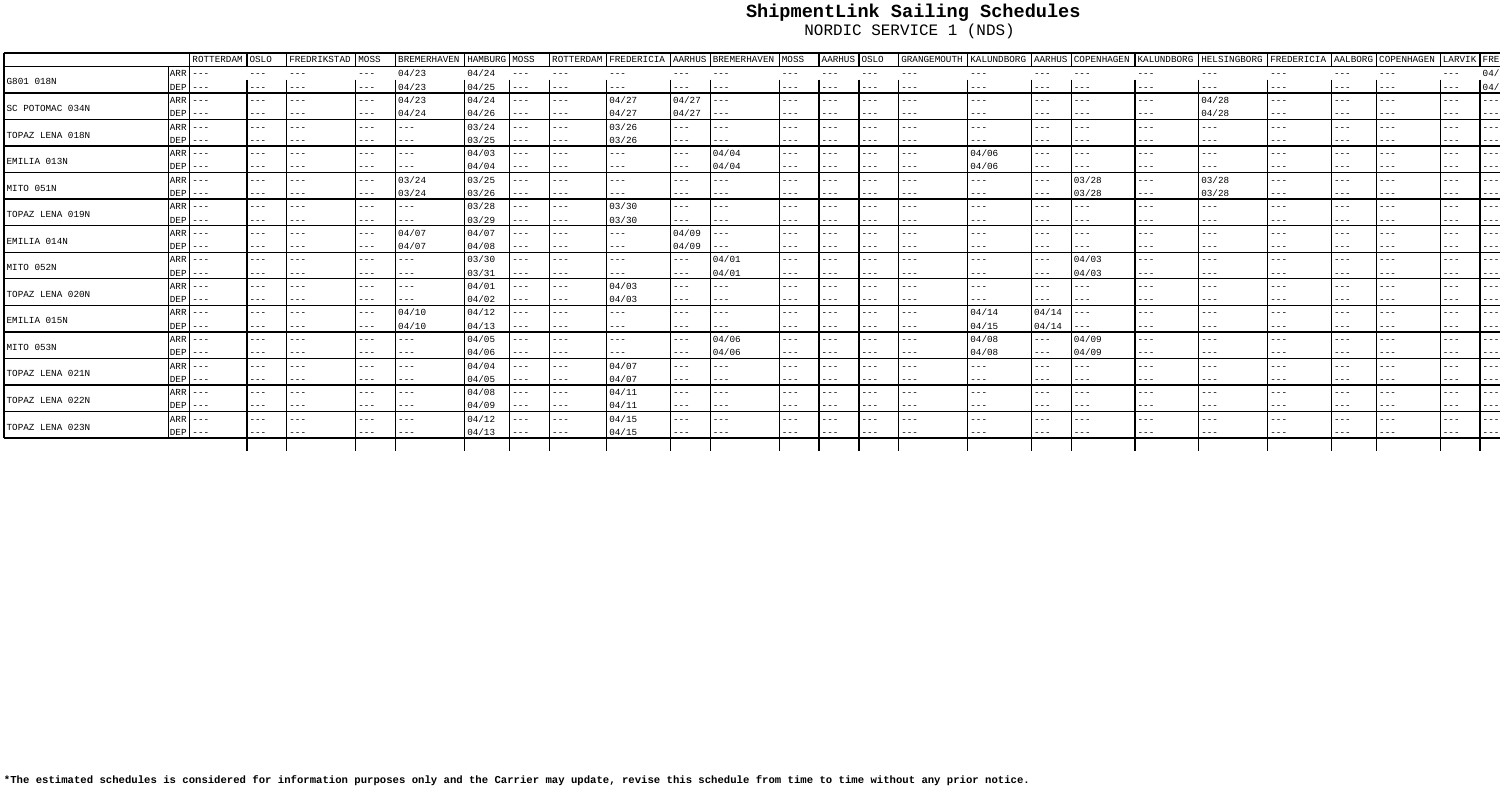|                 |                            | ROTTERDAM OSLO | FREDRIKSTAD         | MOSS         | BREMERHAVEN    | HAMBURG MOSS   |                                                                                                                                                                                                                                                                                                                                                                                              |              | ROTTERDAM FREDERICIA | <b>AARHUS</b>                                                                                                                                                                                                                                                                                                                                                                                | BREMERHAVEN    | MOSS           | ARHU           | )SLO            | GRANGEMOU       | KALUNDBORG   | <b>AARHUS</b>                                                                                                                                                                                                                                                                                                                                                                                | COPENHAGEN     | KALUNDBORG     | HELSINGBORG    | FREDERICIA   | AALBORG C         | COPENHAGEN   | LARVIK FRE     |              |
|-----------------|----------------------------|----------------|---------------------|--------------|----------------|----------------|----------------------------------------------------------------------------------------------------------------------------------------------------------------------------------------------------------------------------------------------------------------------------------------------------------------------------------------------------------------------------------------------|--------------|----------------------|----------------------------------------------------------------------------------------------------------------------------------------------------------------------------------------------------------------------------------------------------------------------------------------------------------------------------------------------------------------------------------------------|----------------|----------------|----------------|-----------------|-----------------|--------------|----------------------------------------------------------------------------------------------------------------------------------------------------------------------------------------------------------------------------------------------------------------------------------------------------------------------------------------------------------------------------------------------|----------------|----------------|----------------|--------------|-------------------|--------------|----------------|--------------|
|                 | $ARR$ $---$                | $- - -$        | $- - -$             | $---$        | 04/23          | 04/24          | $- - -$                                                                                                                                                                                                                                                                                                                                                                                      | $- - -$      | $- - -$              | $---$                                                                                                                                                                                                                                                                                                                                                                                        | $- - -$        | $---$          | $- - -$        | $- - -$         | $- - -$         | $- - -$      | $\frac{1}{2}$                                                                                                                                                                                                                                                                                                                                                                                | $- - -$        | $- - -$        | $---$          | $- - -$      | $- - -$           | $- - -$      | $- - - -$      |              |
| G801 018N       | $DEP$ $---$                | $--$           | $\qquad \qquad - -$ | $---$        | 04/23          | 04/25          | $--$                                                                                                                                                                                                                                                                                                                                                                                         | $---$        | $---$                | $---$                                                                                                                                                                                                                                                                                                                                                                                        | $---$          | $---$          | $---$          | ---             | $-- -$          | $---$        | $---$                                                                                                                                                                                                                                                                                                                                                                                        | $---$          | $---$          | $---$          | $---$        | $--$              | $---$        | $--$           | $ 04\rangle$ |
|                 | $ARR$ $---$                | $---$          | $---$               | $---$        | 04/23          | 04/24          | $--$                                                                                                                                                                                                                                                                                                                                                                                         | $---$        | 04/27                | $04/27$ $---$                                                                                                                                                                                                                                                                                                                                                                                |                | $---$          | $---$          | $-- -$          | $-- -$          | $---$        | $\frac{1}{2}$                                                                                                                                                                                                                                                                                                                                                                                | $---$          | $-- -$         | 04/28          | $---$        | $--$              | $---$        | $---$          |              |
| SC POTOMAC 034N | $DEP$ $---$                | $-- -$         | $---$               | ---          | 04/24          | 04/26          | $--$                                                                                                                                                                                                                                                                                                                                                                                         | $---$        | 04/27                | 04/27                                                                                                                                                                                                                                                                                                                                                                                        | $1 - - -$      | ---            | $-- -$         | $- -$           | $-- -$          | ---          | ---                                                                                                                                                                                                                                                                                                                                                                                          | ---            | $- - -$        | 04/28          | ---          | $- - -$           | $-- -$       | $--$           |              |
| TOPAZ LENA 018N | $ARR$ ---                  | ---            | $---$               | ---          | $---$          | 03/24          | ---                                                                                                                                                                                                                                                                                                                                                                                          | $---$        | 03/26                | $---$                                                                                                                                                                                                                                                                                                                                                                                        | $---$          | $---$          | $---$          | $---$           | ---             | $---$        | $- - -$                                                                                                                                                                                                                                                                                                                                                                                      | $---$          | ---            | $---$          | $---$        | ---               | $---$        | $---$          |              |
|                 | $DEP$ $---$                | ---            | ———                 | ———          | $- - -$        | 03/25          | $---$                                                                                                                                                                                                                                                                                                                                                                                        | ---          | 03/26                | $---$                                                                                                                                                                                                                                                                                                                                                                                        | $---$          | --- -          | $---$          | ---             | ---             | ---          | ---                                                                                                                                                                                                                                                                                                                                                                                          | $- - -$        | - - -          | ---            | ---          | $-- -$            | $---$        | --- -          |              |
| EMILIA 013N     | $ARR$ $---$                | ---            | $---$               | $--$         | $---$          | 04/03          | ---                                                                                                                                                                                                                                                                                                                                                                                          | $---$        | ---                  | $---$                                                                                                                                                                                                                                                                                                                                                                                        | 04/04          | ---            | $---$          | $---$           | ---             | 04/06        | $---$                                                                                                                                                                                                                                                                                                                                                                                        | $---$          | $-- -$         | $---$          | ---          | $-- -$            | $---$        | --- -          |              |
|                 | $DEP$ $---$                | ---            | $---$               | $-- -$       | $---$          | 04/04          | ---                                                                                                                                                                                                                                                                                                                                                                                          | $---$        | $-- -$               | ———                                                                                                                                                                                                                                                                                                                                                                                          | 04/04          | ---            | ———            | ---             | $-- -$          | 04/06        | ---                                                                                                                                                                                                                                                                                                                                                                                          | $---$          | $- - -$        | $---$          | $-- -$       | $- - -$           | $---$        | $- - -$        |              |
| MITO 051N       | $ARR$ ---                  | $---$          | $---$               | $---$        | 03/24          | 03/25          | $--$                                                                                                                                                                                                                                                                                                                                                                                         | $-- -$       | $-- -$               | $---$                                                                                                                                                                                                                                                                                                                                                                                        | $---$          | $---$          | $---$          | $---$           | ---             | $---$        | $---$                                                                                                                                                                                                                                                                                                                                                                                        | 03/28          | $-- -$         | 03/28          | $---$        | $-- -$            | $---$        | $---$          |              |
|                 | $DEP$ $---$                | $---$          | $---$               | $---$        | 03/24          | 03/26          | $---$                                                                                                                                                                                                                                                                                                                                                                                        | $---$        | $---$                | $---$                                                                                                                                                                                                                                                                                                                                                                                        | $---$          | $---$          | ---            | ---             | $-- -$          | $---$        | $---$                                                                                                                                                                                                                                                                                                                                                                                        | 03/28          | $-- -$         | 03/28          | $---$        | $- - -$           | $---$        | $---$          |              |
| TOPAZ LENA 019N | $ARR$ $---$                | ---            | $---$               | $--$         | $---$          | 03/28          | $-- -$                                                                                                                                                                                                                                                                                                                                                                                       | ---          | 03/30                | $---$                                                                                                                                                                                                                                                                                                                                                                                        | $---$          | ---            | $---$          | --- -           | $-- -$          | $---$        | ---                                                                                                                                                                                                                                                                                                                                                                                          | $---$          | $-- -$         | $---$          | ----         | $-- -$            | $---$        | $-- -$         |              |
|                 | $DFP$ $---$                | $---$          | $---$               | --- -        | --- -          | 03/29          | $\frac{1}{2} \frac{1}{2} \frac{1}{2} \frac{1}{2} \frac{1}{2} \frac{1}{2} \frac{1}{2} \frac{1}{2} \frac{1}{2} \frac{1}{2} \frac{1}{2} \frac{1}{2} \frac{1}{2} \frac{1}{2} \frac{1}{2} \frac{1}{2} \frac{1}{2} \frac{1}{2} \frac{1}{2} \frac{1}{2} \frac{1}{2} \frac{1}{2} \frac{1}{2} \frac{1}{2} \frac{1}{2} \frac{1}{2} \frac{1}{2} \frac{1}{2} \frac{1}{2} \frac{1}{2} \frac{1}{2} \frac{$ | ---          | 03/30                | $\frac{1}{2} \frac{1}{2} \frac{1}{2} \frac{1}{2} \frac{1}{2} \frac{1}{2} \frac{1}{2} \frac{1}{2} \frac{1}{2} \frac{1}{2} \frac{1}{2} \frac{1}{2} \frac{1}{2} \frac{1}{2} \frac{1}{2} \frac{1}{2} \frac{1}{2} \frac{1}{2} \frac{1}{2} \frac{1}{2} \frac{1}{2} \frac{1}{2} \frac{1}{2} \frac{1}{2} \frac{1}{2} \frac{1}{2} \frac{1}{2} \frac{1}{2} \frac{1}{2} \frac{1}{2} \frac{1}{2} \frac{$ | $---$          | --- -          | ---            | $---$           | $-- -$          | $---$        | ---                                                                                                                                                                                                                                                                                                                                                                                          | $- - -$        | $-- -$         | $---$          | ---          | $- -$             | $---$        | --- -          |              |
| EMILIA 014N     | $ARR$ $---$                | ---            | $---$               | $-- -$       | 04/07          | 04/07          | ---                                                                                                                                                                                                                                                                                                                                                                                          | ---          | $---$                | 04/09                                                                                                                                                                                                                                                                                                                                                                                        | $---$          | --- -          | ---            | $-- -$          | $-- -$          | $---$        | ---                                                                                                                                                                                                                                                                                                                                                                                          | $- - - -$      | $-- -$         | $---$          | ----         | $- - -$           | $---$        | $-- -$         |              |
|                 | $DEP$ $---$                | ---            | $---$               | $---$        | 04/07          | 04/08          | $- - -$                                                                                                                                                                                                                                                                                                                                                                                      | $---$        | $---$                | 04/09                                                                                                                                                                                                                                                                                                                                                                                        | $- - -$        | $---$          | $---$          | $- -$           | ---             | $-- -$       | $---$                                                                                                                                                                                                                                                                                                                                                                                        | ---            | $-- -$         | $---$          | $---$        | $- - -$           | $---$        | $--$           |              |
| MITO 052N       | $ARR$ $---$                | $---$          | $---$               | $---$        | $---$          | 03/30          | $--$                                                                                                                                                                                                                                                                                                                                                                                         | $---$        | $-- -$               | $---$                                                                                                                                                                                                                                                                                                                                                                                        | 04/01          | $---$          | $---$          | $---$           | $-- -$          | $---$        | $---$                                                                                                                                                                                                                                                                                                                                                                                        | 04/03          | $-- -$         | $---$          | $-- -$       | $-- -$            | $---$        | $---$          |              |
|                 | $DEP$ $---$<br>$ARR$ $---$ | $---$<br>---   | $---$<br>$---$      | $---$<br>--- | $---$<br>$---$ | 03/31<br>04/01 | $- - -$<br>$-- -$                                                                                                                                                                                                                                                                                                                                                                            | $---$<br>--- | $-- -$<br>04/03      | $\qquad \qquad - - -$<br>$---$                                                                                                                                                                                                                                                                                                                                                               | 04/01<br>$---$ | $---$<br>$---$ | $---$<br>$---$ | $-- -$<br>--- - | $---$<br>$-- -$ | $---$<br>--- | $---$<br>---                                                                                                                                                                                                                                                                                                                                                                                 | 04/03<br>$---$ | $--$<br>$-- -$ | $---$<br>$---$ | ---<br>$---$ | $- - -$<br>$-- -$ | $---$<br>--- | $---$<br>--- - |              |
| TOPAZ LENA 020N | $DEP$ $---$                | $---$          | $---$               | ---          | --- -          | 04/02          | $- -$                                                                                                                                                                                                                                                                                                                                                                                        | --- -        | 04/03                | $\frac{1}{2} \frac{1}{2} \frac{1}{2} \frac{1}{2} \frac{1}{2} \frac{1}{2} \frac{1}{2} \frac{1}{2} \frac{1}{2} \frac{1}{2} \frac{1}{2} \frac{1}{2} \frac{1}{2} \frac{1}{2} \frac{1}{2} \frac{1}{2} \frac{1}{2} \frac{1}{2} \frac{1}{2} \frac{1}{2} \frac{1}{2} \frac{1}{2} \frac{1}{2} \frac{1}{2} \frac{1}{2} \frac{1}{2} \frac{1}{2} \frac{1}{2} \frac{1}{2} \frac{1}{2} \frac{1}{2} \frac{$ | $---$          | $---$          | $---$          | --- -           | ---             | $---$        | $\frac{1}{2} \frac{1}{2} \frac{1}{2} \frac{1}{2} \frac{1}{2} \frac{1}{2} \frac{1}{2} \frac{1}{2} \frac{1}{2} \frac{1}{2} \frac{1}{2} \frac{1}{2} \frac{1}{2} \frac{1}{2} \frac{1}{2} \frac{1}{2} \frac{1}{2} \frac{1}{2} \frac{1}{2} \frac{1}{2} \frac{1}{2} \frac{1}{2} \frac{1}{2} \frac{1}{2} \frac{1}{2} \frac{1}{2} \frac{1}{2} \frac{1}{2} \frac{1}{2} \frac{1}{2} \frac{1}{2} \frac{$ | $---$          | ---            | $---$          | ---          | $-- -$            | $---$        | $--$           |              |
|                 | $ARR$ $---$                | ---            | $---$               | $--$         | 04/10          | 04/12          | --- -                                                                                                                                                                                                                                                                                                                                                                                        | ---          | ---                  | $---$                                                                                                                                                                                                                                                                                                                                                                                        | $---$          | --- -          | $---$          | --- -           | $-- -$          | 04/14        | $04/14$ ---                                                                                                                                                                                                                                                                                                                                                                                  |                | $-- -$         | $---$          | $---$        | $-- -$            | $---$        | --- -          |              |
| EMILIA 015N     | $DEP$ $---$                | $-- -$         | $---$               | $-- -$       | 04/10          | 04/13          | $- -$                                                                                                                                                                                                                                                                                                                                                                                        | ---          | $- - -$              | ---                                                                                                                                                                                                                                                                                                                                                                                          | ---            | $- - -$        | $-- -$         | $- -$           | ———             | 04/15        | 04/14                                                                                                                                                                                                                                                                                                                                                                                        | $- - -$        | $-- -$         | ---            | $- - -$      | $- - -$           | $---$        | $--$           |              |
|                 | $ARR$ $---$                | $-- -$         | $---$               | $---$        | $---$          | 04/05          | $- - -$                                                                                                                                                                                                                                                                                                                                                                                      | $---$        | $-- -$               | $---$                                                                                                                                                                                                                                                                                                                                                                                        | 04/06          | $---$          | $---$          | $-- -$          | $-- -$          | 04/08        | $---$                                                                                                                                                                                                                                                                                                                                                                                        | 04/09          | $-- -$         | $---$          | $---$        | $-- -$            | $-- -$       | $--$           |              |
| MITO 053N       | $DEP$ $---$                | $-- -$         | $---$               | $---$        | $-- -$         | 04/06          | $- -$                                                                                                                                                                                                                                                                                                                                                                                        | $---$        | $-- -$               | $---$                                                                                                                                                                                                                                                                                                                                                                                        | 04/06          | $---$          | ———            | $- -$           | $-- -$          | 04/08        | $- - - -$                                                                                                                                                                                                                                                                                                                                                                                    | 04/09          | $-- -$         | $---$          | $---$        | $- - -$           | $---$        | $---$          |              |
|                 | $ARR$ $---$                | $---$          | $---$               | ---          | $---$          | 04/04          | $---$                                                                                                                                                                                                                                                                                                                                                                                        | $---$        | 04/07                | $---$                                                                                                                                                                                                                                                                                                                                                                                        | $---$          | $---$          | $---$          | $---$           | ---             | $---$        | $- - -$                                                                                                                                                                                                                                                                                                                                                                                      | $---$          | ---            | $---$          | $---$        | ---               | $---$        | $---$          |              |
| TOPAZ LENA 021N | $DEP$ $---$                | ---            | $---$               | ---          | $---$          | 04/05          | $\frac{1}{2} \frac{1}{2} \frac{1}{2} \frac{1}{2} \frac{1}{2} \frac{1}{2} \frac{1}{2} \frac{1}{2} \frac{1}{2} \frac{1}{2} \frac{1}{2} \frac{1}{2} \frac{1}{2} \frac{1}{2} \frac{1}{2} \frac{1}{2} \frac{1}{2} \frac{1}{2} \frac{1}{2} \frac{1}{2} \frac{1}{2} \frac{1}{2} \frac{1}{2} \frac{1}{2} \frac{1}{2} \frac{1}{2} \frac{1}{2} \frac{1}{2} \frac{1}{2} \frac{1}{2} \frac{1}{2} \frac{$ | $---$        | 04/07                | $---$                                                                                                                                                                                                                                                                                                                                                                                        | $---$          | ---            | $---$          | $---$           | ---             | $---$        | $- - - -$                                                                                                                                                                                                                                                                                                                                                                                    | $---$          | ---            | $---$          | $---$        | $- - -$           | $---$        | $---$          |              |
|                 | $ARR$ $---$                | ---            | $---$               | $---$        | $---$          | 04/08          | $- - -$                                                                                                                                                                                                                                                                                                                                                                                      | $---$        | 04/11                | $---$                                                                                                                                                                                                                                                                                                                                                                                        | $---$          | $---$          | $---$          | ---             | ---             | $---$        | $---$                                                                                                                                                                                                                                                                                                                                                                                        | $---$          | ---            | $---$          | $---$        | $- - -$           | ---          | $---$          |              |
| TOPAZ LENA 022N | $DEP$ $---$                | $---$          | $---$               | $---$        | $-- -$         | 04/09          | $--$                                                                                                                                                                                                                                                                                                                                                                                         | $---$        | 04/11                | $---$                                                                                                                                                                                                                                                                                                                                                                                        | $---$          | $---$          | ———            | $- -$           | $-- -$          | $---$        | $---$                                                                                                                                                                                                                                                                                                                                                                                        | $---$          | $-- -$         | $---$          | $---$        | $- - -$           | $---$        | $--$           |              |
|                 | $ARR$ $---$                | $---$          | $---$               | ---          | $---$          | 04/12          | $---$                                                                                                                                                                                                                                                                                                                                                                                        | $---$        | 04/15                | $---$                                                                                                                                                                                                                                                                                                                                                                                        | $---$          | $---$          | $---$          | --- -           | ---             | $---$        | $---$                                                                                                                                                                                                                                                                                                                                                                                        | $---$          | ---            | $---$          | $---$        | $-- -$            | $---$        | $---$          |              |
| TOPAZ LENA 023N | $DEP$ $---$                | ---            | $---$               | --- -        | $---$          | 04/13          | $- - -$                                                                                                                                                                                                                                                                                                                                                                                      | $---$        | 04/15                | $---$                                                                                                                                                                                                                                                                                                                                                                                        | $---$          | --- -          | $---$          | $---$           | ---             | $---$        | $---$                                                                                                                                                                                                                                                                                                                                                                                        | $---$          | $- -$          | $---$          | --- -        | $-- -$            | $---$        | $---$          |              |
|                 |                            |                |                     |              |                |                |                                                                                                                                                                                                                                                                                                                                                                                              |              |                      |                                                                                                                                                                                                                                                                                                                                                                                              |                |                |                |                 |                 |              |                                                                                                                                                                                                                                                                                                                                                                                              |                |                |                |              |                   |              |                |              |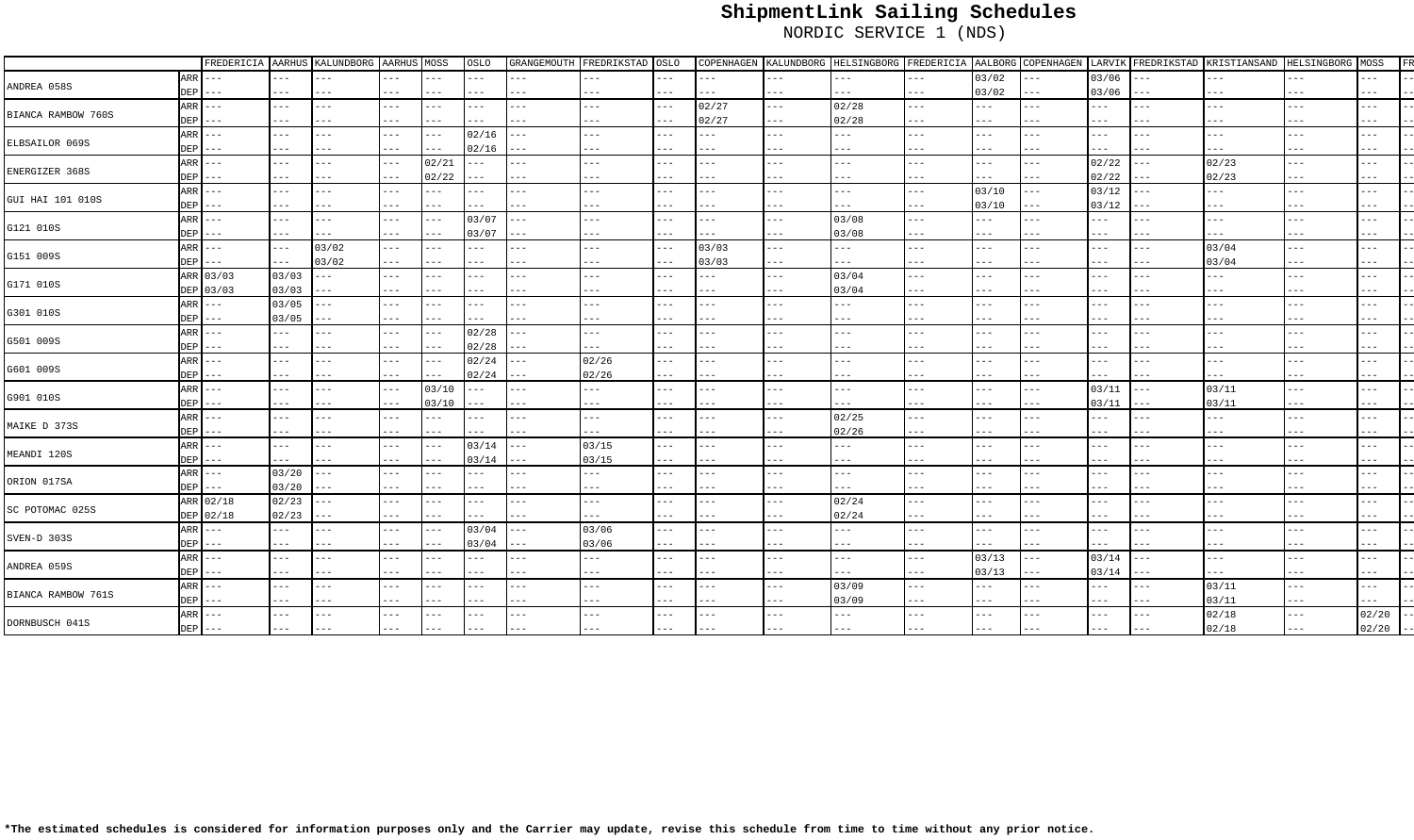| 03/02<br>03/06<br>$ARR$ ---<br>$-- -$<br>$---$<br>$- - -$<br>$-- -$<br>$- - -$<br>$-- -$<br>$-- -$<br>$- - -$<br>$--$<br>$- - -$<br>$- - -$<br>$---$<br>$--$<br>$- -$<br>$- - -$<br>$ -$<br>$- - -$<br>ANDREA 058S<br>03/02<br>03/06<br>DEP ---<br>$- - -$<br>$---$<br>$-- -$<br>$- -$<br>$- - -$<br>$- -$<br>$--$<br>$--$<br>$- -$<br>$- -$<br>$- -$<br>$- -$<br>$- -$<br>$ARR$ ---<br>02/27<br>02/28<br>$---$<br>$-- -$<br>$---$<br>$-- -$<br>$-- -$<br>$---$<br>$---$<br>$---$<br>$-- -$<br>$- - -$<br>$- - -$<br>$- -$<br>$---$<br>$- - -$<br>$-- -$<br>$- - -$<br>$-- -$<br>BIANCA RAMBOW 760S<br>02/27<br>02/28<br>$DEP$ $---$<br>$-- -$<br>$---$<br>$-- -$<br>$-- -$<br>$---$<br>$---$<br>$- - -$<br>$---$<br>$---$<br>$- -$<br>$- - -$<br>$---$<br>$-- -$<br>$---$<br>$--$<br>$-- -$<br>$ARR$ ---<br>02/16<br>$-- -$<br>$---$<br>$---$<br>$---$<br>$-- -$<br>$-- -$<br>$-- -$<br>$- -$<br>$---$<br>$- - -$<br>$- - -$<br>$- - -$<br>$-- -$<br>$---$<br>$-- -$<br>$-- -$<br>$- -$<br>$- - -$<br>ELBSAILOR 069S<br>$DEP$ $---$<br>02/16<br>$- - -$<br>$---$<br>$---$<br>$---$<br>$- - -$<br>---<br>$- -$<br>$-- -$<br>$-- -$<br>---<br>$---$<br>$-- -$<br>---<br>---<br>$- -$<br>$- -$<br>$ARR$ $---$<br>02/21<br>02/22<br>02/23<br>$- - -$<br>$---$<br>$   \,$<br>$- - -$<br>$---$<br>$-- -$<br>$- -$<br>$---$<br>$-- -$<br>$-- -$<br>$---$<br>$-- -$<br>$---$<br>$-- -$<br>$- - -$<br>$-- -$<br>ENERGIZER 368S<br>$DEP$ $---$<br>02/22<br>02/22<br>02/23<br>$-- -$<br>$- - -$<br>$- -$<br>---<br>$- -$<br>$- -$<br>$---$<br>$- - -$<br>$- -$<br>$-- -$<br>$---$<br>$-- -$<br>$---$<br>$---$<br>$- -$<br>$ARR$ $---$<br>03/10<br>03/12<br>$---$<br>$   \,$<br>$   \,$<br>$---$<br>$- - -$<br>$-- -$<br>$- - -$<br>$-- -$<br>$---$<br>$---$<br>$---$<br>$---$<br>$-- -$<br>$- - -$<br>$- - -$<br>$---$<br>$---$<br>03/10<br>03/12<br>$DEP$ $---$<br>$- - -$<br>$-- -$<br>$- - -$<br>$- - -$<br>$- -$<br>$- -$<br>$---$<br>$- - -$<br>$-- -$<br>$---$<br>$-- -$<br>$-- -$<br>$-- -$<br>$-- -$<br>$- -$<br>$- -$<br>$- -$<br>$ARR$ ---<br>03/07<br>03/08<br>$---$<br>$   \,$<br>$-- -$<br>$---$<br>$-- -$<br>$-- -$<br>$---$<br>$-- -$<br>$---$<br>$-- -$<br>$- - -$<br>$---$<br>$---$<br>$-- -$<br>$---$<br>$- - -$<br>$---$<br>03/07<br>03/08<br>$DEP$ $---$<br>$---$<br>$---$<br>$-- -$<br>$---$<br>$---$<br>$---$<br>$---$<br>$---$<br>$-- -$<br>$---$<br>$- - -$<br>$- - -$<br>$---$<br>$-- -$<br>$---$<br>$---$<br>$- -$<br>$ARR$ $---$<br>03/02<br>03/03<br>03/04<br>$\qquad \qquad - -$<br>$---$<br>$---$<br>$--$<br>$-- -$<br>$---$<br>$---$<br>$---$<br>$- - -$<br>$-- -$<br>$- - -$<br>$- - -$<br>$---$<br>$---$<br>$-- -$<br>$---$<br>03/02<br>$DEP$ $---$<br>03/03<br>03/04<br>---<br>$- - -$<br>$- - -$<br>$- - -$<br>$- - -$<br>$-- -$<br>$- - -$<br>$---$<br>$---$<br>$- - -$<br>---<br>$-- -$<br>$---$<br>$- -$<br>ARR 03/03<br>03/03<br>03/04<br>$- - -$<br>$---$<br>$--$<br>$---$<br>$\qquad \qquad - -$<br>$\frac{1}{2} \frac{1}{2} \frac{1}{2} \frac{1}{2} \frac{1}{2} \frac{1}{2} \frac{1}{2} \frac{1}{2} \frac{1}{2} \frac{1}{2} \frac{1}{2} \frac{1}{2} \frac{1}{2} \frac{1}{2} \frac{1}{2} \frac{1}{2} \frac{1}{2} \frac{1}{2} \frac{1}{2} \frac{1}{2} \frac{1}{2} \frac{1}{2} \frac{1}{2} \frac{1}{2} \frac{1}{2} \frac{1}{2} \frac{1}{2} \frac{1}{2} \frac{1}{2} \frac{1}{2} \frac{1}{2} \frac{$<br>$---$<br>$---$<br>$--$<br>$- - -$<br>$---$<br>$---$<br>$---$<br>$---$<br>$---$<br>$---$<br>$\qquad \qquad - -$<br>DEP 03/03<br>03/03<br>03/04<br>$- - -$<br>$---$<br>$---$<br>$-- -$<br>$-- -$<br>$- -$<br>$- -$<br>$- -$<br>$-- -$<br>$- - -$<br>$- -$<br>$-- -$<br>$- -$<br>$- -$<br>$- -$<br>$- -$<br>$- - -$<br>$ARR$ ---<br>$03/05$ ---<br>$---$<br>$---$<br>$---$<br>$---$<br>$- - -$<br>$---$<br>$---$<br>$---$<br>$- - -$<br>$-- -$<br>$- - -$<br>$-- -$<br>$---$<br>$---$<br>$---$<br>$\qquad \qquad - -$<br>$---$<br>$DEP$ $---$<br>03/05<br>$- - -$<br>$-- -$<br>$- -$<br>$- -$<br>$- - -$<br>$- -$<br>$- -$<br>$---$<br>$-- -$<br>$-- -$<br>$---$<br>$---$<br>$-- -$<br>---<br>$-- -$<br>$-- -$<br>$---$<br>$- -$<br>$ARR$ $---$<br>02/28<br>$---$<br>$---$<br>$---$<br>$---$<br>$---$<br>$-- -$<br>$-- -$<br>$---$<br>$---$<br>$-- -$<br>$-- -$<br>$---$<br>$- - -$<br>$-- -$<br>$---$<br>$---$<br>$-- -$<br>$---$<br>$DEP$ $---$<br>02/28<br>$\qquad \qquad -$<br>$---$<br>$- - -$<br>$- - -$<br>$- - -$<br>$- -$<br>$--$<br>$-- -$<br>$-- -$<br>$---$<br>$---$<br>$-- -$<br>$---$<br>$- -$<br>$--$<br>$--$<br>$- -$<br>$ARR$ ---<br>02/24<br>02/26<br>$---$<br>$   \,$<br>$---$<br>$-- -$<br>$- - -$<br>$-- -$<br>$---$<br>$- - -$<br>$---$<br>$---$<br>$-- -$<br>$---$<br>$- - -$<br>$---$<br>$---$<br>$- - -$<br>$---$<br>02/26<br>$DEP$ $---$<br>)2/24<br>$- - -$<br>$-- -$<br>$- - -$<br>$---$<br>$-- -$<br>$--$<br>$-- -$<br>$-- -$<br>$-- -$<br>$-- -$<br>$---$<br>$-- -$<br>$- -$<br>$--$<br>$-- -$<br>$- -$<br>$ARR$ $---$<br>03/10<br>03/11<br>03/11<br>$\qquad \qquad - -$<br>$- - -$<br>$---$<br>$---$<br>$---$<br>$---$<br>$---$<br>$---$<br>$---$<br>$\qquad \qquad - -$<br>$---$<br>$---$<br>$---$<br>$---$<br>$---$<br>$\qquad \qquad - -$<br>03/10<br>03/11<br>$DEP$ $---$<br>03/11<br>$- -$<br>$- -$<br>$---$<br>$-- -$<br>$---$<br>$- -$<br>$- - -$<br>$-- -$<br>$-- -$<br>$-- -$<br>$- - -$<br>$- - -$<br>$--$<br>$- -$<br>$ARR$ ---<br>02/25<br>$\qquad \qquad - -$<br>$   \,$<br>$- - -$<br>$-- -$<br>$---$<br>$-- -$<br>---<br>$---$<br>$---$<br>$-- -$<br>$---$<br>$-- -$<br>$- - -$<br>$- - -$<br>$---$<br>$---$<br>$---$<br>---<br>$DEP$ $---$<br>02/26<br>$- - -$<br>$--$<br>$-- -$<br>$---$<br>$---$<br>$---$<br>$- -$<br>$- - -$<br>$- -$<br>$---$<br>$- -$<br>$- -$<br>$---$<br>$---$<br>$-- -$<br>$--$<br>$- -$<br>$- -$<br>$ARR$ $---$<br>03/14<br>03/15<br>$---$<br>$---$<br>$-- -$<br>$-- -$<br>$---$<br>$---$<br>$---$<br>$-- -$<br>$---$<br>$-- -$<br>$-- -$<br>$-- -$<br>$---$<br>$-- -$<br>$-- -$<br>$---$<br>$- - -$<br>03/14<br>03/15<br>$DEP$ $---$<br>$-- -$<br>$-- -$<br>$---$<br>$---$<br>$---$<br>$---$<br>$---$<br>$---$<br>---<br>$- -$<br>$---$<br>$- -$<br>$- -$<br>$---$<br>$- -$<br>$---$<br>$-- -$<br>$ARR$ ---<br>03/20<br>$---$<br>$---$<br>$- - -$<br>$   \,$<br>$- - -$<br>$---$<br>$- - -$<br>$---$<br>$---$<br>$---$<br>$-- -$<br>$---$<br>$---$<br>$- - -$<br>$- - -$<br>$-- -$<br>$-- -$<br>$---$<br>03/20<br>$DEP$ $---$<br>$-- -$<br>$- - -$<br>$- -$<br>$- - -$<br>$- - -$<br>$- -$<br>$---$<br>$- - -$<br>$-- -$<br>$-- -$<br>$- - -$<br>$---$<br>---<br>$- - -$<br>---<br>$-- -$<br>$-- -$<br>$\qquad \qquad -$<br>ARR 02/18<br>02/23<br>02/24<br>$   \,$<br>$---$<br>$   \,$<br>$---$<br>$-- -$<br>$-- -$<br>$-- -$<br>$-- -$<br>$---$<br>$-- -$<br>$---$<br>$---$<br>$---$<br>$-- -$<br>$-- -$<br>$---$<br>$-- -$<br>SC POTOMAC 025S<br>DEP 02/18<br>02/23<br>02/24<br>$- - -$<br>$-- -$<br>$---$<br>$---$<br>---<br>$---$<br>$- -$<br>$- - -$<br>$- - -$<br>$- -$<br>$- - -$<br>$- - -$<br>$- - -$<br>$- -$<br>$---$<br>$- -$<br>$ARR$ $---$<br>03/04<br>03/06<br>$\qquad \qquad - -$<br>$---$<br>$---$<br>$---$<br>$---$<br>$-- -$<br>$- - - -$<br>$-- -$<br>$---$<br>$---$<br>$---$<br>$---$<br>$-- -$<br>$---$<br>$- - -$<br>$- - -$<br>$- - -$<br>03/04<br>03/06<br>$DEP$ $---$<br>$-- -$<br>$---$<br>$---$<br>$---$<br>$---$<br>$---$<br>$- - -$<br>$- - - -$<br>$-- -$<br>$---$<br>$---$<br>$---$<br>$---$<br>$-- -$<br>$---$<br>$---$<br>$- - -$<br>$ARR$ $---$<br>03/13<br>03/14<br>$---$<br>$---$<br>$---$<br>$-- -$<br>$---$<br>$---$<br>$--$<br>$---$<br>$-- -$<br>$-- -$<br>$-- -$<br>$- - -$<br>$-- -$<br>$-- -$<br>$-- -$<br>$-- -$<br>$-- -$<br>ANDREA 059S<br>03/13<br>03/14<br>$DEP$ $---$<br>$---$<br>$-- -$<br>$---$<br>$-- -$<br>$- - -$<br>$---$<br>$- - -$<br>$- - -$<br>$-- -$<br>---<br>$- -$<br>$-- -$<br>$-- -$<br>$---$<br>$---$<br>$- -$<br>---<br>$ARR$ ---<br>03/09<br>03/11<br>$---$<br>$---$<br>$\frac{1}{2} \frac{1}{2} \frac{1}{2} \frac{1}{2} \frac{1}{2} \frac{1}{2} \frac{1}{2} \frac{1}{2} \frac{1}{2} \frac{1}{2} \frac{1}{2} \frac{1}{2} \frac{1}{2} \frac{1}{2} \frac{1}{2} \frac{1}{2} \frac{1}{2} \frac{1}{2} \frac{1}{2} \frac{1}{2} \frac{1}{2} \frac{1}{2} \frac{1}{2} \frac{1}{2} \frac{1}{2} \frac{1}{2} \frac{1}{2} \frac{1}{2} \frac{1}{2} \frac{1}{2} \frac{1}{2} \frac{$<br>$\frac{1}{2} \frac{1}{2} \frac{1}{2} \frac{1}{2} \frac{1}{2} \frac{1}{2} \frac{1}{2} \frac{1}{2} \frac{1}{2} \frac{1}{2} \frac{1}{2} \frac{1}{2} \frac{1}{2} \frac{1}{2} \frac{1}{2} \frac{1}{2} \frac{1}{2} \frac{1}{2} \frac{1}{2} \frac{1}{2} \frac{1}{2} \frac{1}{2} \frac{1}{2} \frac{1}{2} \frac{1}{2} \frac{1}{2} \frac{1}{2} \frac{1}{2} \frac{1}{2} \frac{1}{2} \frac{1}{2} \frac{$<br>$---$<br>$\qquad \qquad - -$<br>$---$<br>$--$<br>$---$<br>$- - -$<br>$- - -$<br>$---$<br>$-- -$<br>$---$<br>$---$<br>$---$<br>$-- -$<br>BIANCA RAMBOW 761S<br>$DEP$ $---$<br>03/09<br>03/11<br>$- -$<br>$---$<br>$---$<br>---<br>$- - -$<br>$-- -$<br>---<br>$-- -$<br>$- -$<br>$ARR$ $---$<br>02/20<br>02/18<br>$---$<br>$---$<br>$---$<br>$---$<br>$---$<br>$- - -$<br>$---$<br>---<br>$---$<br>$---$<br>---<br>$---$<br>$---$<br>$---$<br>$---$<br>$- - - -$<br>$---$<br>DORNBUSCH 041S<br>02/18<br>02/20<br>$DEP$ $---$<br>$- - -$<br>$---$<br>$---$<br>$---$<br>---<br>$- - -$<br>$- -$<br>$- - -$<br>$---$<br>$- - -$ |                  | FREDERICIA | AARHUS KALUNDBORG AARHUS | MOSS | )SLO | GRANGEMOUTH | FREDRIKSTAD | OSLO | COPENHAGEN | <b>KALUNDBOR</b> | HELSINGBORG | FREDERICIA | AALBORG | COPENHAGEN | LARVIK FREDRIKSTAD | KRISTIANSAND | HELSINGBORG | MOSS |  |
|----------------------------------------------------------------------------------------------------------------------------------------------------------------------------------------------------------------------------------------------------------------------------------------------------------------------------------------------------------------------------------------------------------------------------------------------------------------------------------------------------------------------------------------------------------------------------------------------------------------------------------------------------------------------------------------------------------------------------------------------------------------------------------------------------------------------------------------------------------------------------------------------------------------------------------------------------------------------------------------------------------------------------------------------------------------------------------------------------------------------------------------------------------------------------------------------------------------------------------------------------------------------------------------------------------------------------------------------------------------------------------------------------------------------------------------------------------------------------------------------------------------------------------------------------------------------------------------------------------------------------------------------------------------------------------------------------------------------------------------------------------------------------------------------------------------------------------------------------------------------------------------------------------------------------------------------------------------------------------------------------------------------------------------------------------------------------------------------------------------------------------------------------------------------------------------------------------------------------------------------------------------------------------------------------------------------------------------------------------------------------------------------------------------------------------------------------------------------------------------------------------------------------------------------------------------------------------------------------------------------------------------------------------------------------------------------------------------------------------------------------------------------------------------------------------------------------------------------------------------------------------------------------------------------------------------------------------------------------------------------------------------------------------------------------------------------------------------------------------------------------------------------------------------------------------------------------------------------------------------------------------------------------------------------------------------------------------------------------------------------------------------------------------------------------------------------------------------------------------------------------------------------------------------------------------------------------------------------------------------------------------------------------------------------------------------------------------------------------------------------------------------------------------------------------------------------------------------------------------------------------------------------------------------------------------------------------------------------------------------------------------------------------------------------------------------------------------------------------------------------------------------------------------------------------------------------------------------------------------------------------------------------------------------------------------------------------------------------------------------------------------------------------------------------------------------------------------------------------------------------------------------------------------------------------------------------------------------------------------------------------------------------------------------------------------------------------------------------------------------------------------------------------------------------------------------------------------------------------------------------------------------------------------------------------------------------------------------------------------------------------------------------------------------------------------------------------------------------------------------------------------------------------------------------------------------------------------------------------------------------------------------------------------------------------------------------------------------------------------------------------------------------------------------------------------------------------------------------------------------------------------------------------------------------------------------------------------------------------------------------------------------------------------------------------------------------------------------------------------------------------------------------------------------------------------------------------------------------------------------------------------------------------------------------------------------------------------------------------------------------------------------------------------------------------------------------------------------------------------------------------------------------------------------------------------------------------------------------------------------------------------------------------------------------------------------------------------------------------------------------------------------------------------------------------------------------------------------------------------------------------------------------------------------------------------------------------------------------------------------------------------------------------------------------------------------------------------------------------------------------------------------------------------------------------------------------------------------------------------------------------------------------------------------------------------------------------------------------------------------------------------------------------------------------------------------------------------------------------------------------------------------------------------------------------------------------------------------------------------------------------------------------------------------------------------------------------------------------------------------------------------------------------------------------------------------------------------------------------------------------------------------------------------------------------------------------------------------------------------------------------------------------------------------------------------------------------------------------------------------------------------------------------------------------------------------------------------------------------------------------------------------------------------------------------------------------------------------------------------------------------------------------------------------------------------------------------------------------------------------------------------------------------------------------------------------------------------------------------------------------------------------------------------------------------------------------------------------------------------------------------------------------------------------------------------------------------------------------------------------------------------------------------------------------------------------------------------------------------------------------------------------------------------------------------------------------------------------------------------------------------------------------------------------------------------------------------------------------------------------------------------------------------------------------------------------------------------------------------------------------------------------------------------------------------------------------------------------------------------------------------------------------------------------------------------------------------------------------------------------------------------------------------------|------------------|------------|--------------------------|------|------|-------------|-------------|------|------------|------------------|-------------|------------|---------|------------|--------------------|--------------|-------------|------|--|
|                                                                                                                                                                                                                                                                                                                                                                                                                                                                                                                                                                                                                                                                                                                                                                                                                                                                                                                                                                                                                                                                                                                                                                                                                                                                                                                                                                                                                                                                                                                                                                                                                                                                                                                                                                                                                                                                                                                                                                                                                                                                                                                                                                                                                                                                                                                                                                                                                                                                                                                                                                                                                                                                                                                                                                                                                                                                                                                                                                                                                                                                                                                                                                                                                                                                                                                                                                                                                                                                                                                                                                                                                                                                                                                                                                                                                                                                                                                                                                                                                                                                                                                                                                                                                                                                                                                                                                                                                                                                                                                                                                                                                                                                                                                                                                                                                                                                                                                                                                                                                                                                                                                                                                                                                                                                                                                                                                                                                                                                                                                                                                                                                                                                                                                                                                                                                                                                                                                                                                                                                                                                                                                                                                                                                                                                                                                                                                                                                                                                                                                                                                                                                                                                                                                                                                                                                                                                                                                                                                                                                                                                                                                                                                                                                                                                                                                                                                                                                                                                                                                                                                                                                                                                                                                                                                                                                                                                                                                                                                                                                                                                                                                                                                                                                                                                                                                                                                                                                                                                                                                                                                                                                                                                                                                                                                                                                                                                                                                                                                                                                                                                                                                                                                                                                                                                                  |                  |            |                          |      |      |             |             |      |            |                  |             |            |         |            |                    |              |             |      |  |
|                                                                                                                                                                                                                                                                                                                                                                                                                                                                                                                                                                                                                                                                                                                                                                                                                                                                                                                                                                                                                                                                                                                                                                                                                                                                                                                                                                                                                                                                                                                                                                                                                                                                                                                                                                                                                                                                                                                                                                                                                                                                                                                                                                                                                                                                                                                                                                                                                                                                                                                                                                                                                                                                                                                                                                                                                                                                                                                                                                                                                                                                                                                                                                                                                                                                                                                                                                                                                                                                                                                                                                                                                                                                                                                                                                                                                                                                                                                                                                                                                                                                                                                                                                                                                                                                                                                                                                                                                                                                                                                                                                                                                                                                                                                                                                                                                                                                                                                                                                                                                                                                                                                                                                                                                                                                                                                                                                                                                                                                                                                                                                                                                                                                                                                                                                                                                                                                                                                                                                                                                                                                                                                                                                                                                                                                                                                                                                                                                                                                                                                                                                                                                                                                                                                                                                                                                                                                                                                                                                                                                                                                                                                                                                                                                                                                                                                                                                                                                                                                                                                                                                                                                                                                                                                                                                                                                                                                                                                                                                                                                                                                                                                                                                                                                                                                                                                                                                                                                                                                                                                                                                                                                                                                                                                                                                                                                                                                                                                                                                                                                                                                                                                                                                                                                                                                                  |                  |            |                          |      |      |             |             |      |            |                  |             |            |         |            |                    |              |             |      |  |
|                                                                                                                                                                                                                                                                                                                                                                                                                                                                                                                                                                                                                                                                                                                                                                                                                                                                                                                                                                                                                                                                                                                                                                                                                                                                                                                                                                                                                                                                                                                                                                                                                                                                                                                                                                                                                                                                                                                                                                                                                                                                                                                                                                                                                                                                                                                                                                                                                                                                                                                                                                                                                                                                                                                                                                                                                                                                                                                                                                                                                                                                                                                                                                                                                                                                                                                                                                                                                                                                                                                                                                                                                                                                                                                                                                                                                                                                                                                                                                                                                                                                                                                                                                                                                                                                                                                                                                                                                                                                                                                                                                                                                                                                                                                                                                                                                                                                                                                                                                                                                                                                                                                                                                                                                                                                                                                                                                                                                                                                                                                                                                                                                                                                                                                                                                                                                                                                                                                                                                                                                                                                                                                                                                                                                                                                                                                                                                                                                                                                                                                                                                                                                                                                                                                                                                                                                                                                                                                                                                                                                                                                                                                                                                                                                                                                                                                                                                                                                                                                                                                                                                                                                                                                                                                                                                                                                                                                                                                                                                                                                                                                                                                                                                                                                                                                                                                                                                                                                                                                                                                                                                                                                                                                                                                                                                                                                                                                                                                                                                                                                                                                                                                                                                                                                                                                                  |                  |            |                          |      |      |             |             |      |            |                  |             |            |         |            |                    |              |             |      |  |
|                                                                                                                                                                                                                                                                                                                                                                                                                                                                                                                                                                                                                                                                                                                                                                                                                                                                                                                                                                                                                                                                                                                                                                                                                                                                                                                                                                                                                                                                                                                                                                                                                                                                                                                                                                                                                                                                                                                                                                                                                                                                                                                                                                                                                                                                                                                                                                                                                                                                                                                                                                                                                                                                                                                                                                                                                                                                                                                                                                                                                                                                                                                                                                                                                                                                                                                                                                                                                                                                                                                                                                                                                                                                                                                                                                                                                                                                                                                                                                                                                                                                                                                                                                                                                                                                                                                                                                                                                                                                                                                                                                                                                                                                                                                                                                                                                                                                                                                                                                                                                                                                                                                                                                                                                                                                                                                                                                                                                                                                                                                                                                                                                                                                                                                                                                                                                                                                                                                                                                                                                                                                                                                                                                                                                                                                                                                                                                                                                                                                                                                                                                                                                                                                                                                                                                                                                                                                                                                                                                                                                                                                                                                                                                                                                                                                                                                                                                                                                                                                                                                                                                                                                                                                                                                                                                                                                                                                                                                                                                                                                                                                                                                                                                                                                                                                                                                                                                                                                                                                                                                                                                                                                                                                                                                                                                                                                                                                                                                                                                                                                                                                                                                                                                                                                                                                                  |                  |            |                          |      |      |             |             |      |            |                  |             |            |         |            |                    |              |             |      |  |
|                                                                                                                                                                                                                                                                                                                                                                                                                                                                                                                                                                                                                                                                                                                                                                                                                                                                                                                                                                                                                                                                                                                                                                                                                                                                                                                                                                                                                                                                                                                                                                                                                                                                                                                                                                                                                                                                                                                                                                                                                                                                                                                                                                                                                                                                                                                                                                                                                                                                                                                                                                                                                                                                                                                                                                                                                                                                                                                                                                                                                                                                                                                                                                                                                                                                                                                                                                                                                                                                                                                                                                                                                                                                                                                                                                                                                                                                                                                                                                                                                                                                                                                                                                                                                                                                                                                                                                                                                                                                                                                                                                                                                                                                                                                                                                                                                                                                                                                                                                                                                                                                                                                                                                                                                                                                                                                                                                                                                                                                                                                                                                                                                                                                                                                                                                                                                                                                                                                                                                                                                                                                                                                                                                                                                                                                                                                                                                                                                                                                                                                                                                                                                                                                                                                                                                                                                                                                                                                                                                                                                                                                                                                                                                                                                                                                                                                                                                                                                                                                                                                                                                                                                                                                                                                                                                                                                                                                                                                                                                                                                                                                                                                                                                                                                                                                                                                                                                                                                                                                                                                                                                                                                                                                                                                                                                                                                                                                                                                                                                                                                                                                                                                                                                                                                                                                                  |                  |            |                          |      |      |             |             |      |            |                  |             |            |         |            |                    |              |             |      |  |
|                                                                                                                                                                                                                                                                                                                                                                                                                                                                                                                                                                                                                                                                                                                                                                                                                                                                                                                                                                                                                                                                                                                                                                                                                                                                                                                                                                                                                                                                                                                                                                                                                                                                                                                                                                                                                                                                                                                                                                                                                                                                                                                                                                                                                                                                                                                                                                                                                                                                                                                                                                                                                                                                                                                                                                                                                                                                                                                                                                                                                                                                                                                                                                                                                                                                                                                                                                                                                                                                                                                                                                                                                                                                                                                                                                                                                                                                                                                                                                                                                                                                                                                                                                                                                                                                                                                                                                                                                                                                                                                                                                                                                                                                                                                                                                                                                                                                                                                                                                                                                                                                                                                                                                                                                                                                                                                                                                                                                                                                                                                                                                                                                                                                                                                                                                                                                                                                                                                                                                                                                                                                                                                                                                                                                                                                                                                                                                                                                                                                                                                                                                                                                                                                                                                                                                                                                                                                                                                                                                                                                                                                                                                                                                                                                                                                                                                                                                                                                                                                                                                                                                                                                                                                                                                                                                                                                                                                                                                                                                                                                                                                                                                                                                                                                                                                                                                                                                                                                                                                                                                                                                                                                                                                                                                                                                                                                                                                                                                                                                                                                                                                                                                                                                                                                                                                                  | GUI HAI 101 010S |            |                          |      |      |             |             |      |            |                  |             |            |         |            |                    |              |             |      |  |
|                                                                                                                                                                                                                                                                                                                                                                                                                                                                                                                                                                                                                                                                                                                                                                                                                                                                                                                                                                                                                                                                                                                                                                                                                                                                                                                                                                                                                                                                                                                                                                                                                                                                                                                                                                                                                                                                                                                                                                                                                                                                                                                                                                                                                                                                                                                                                                                                                                                                                                                                                                                                                                                                                                                                                                                                                                                                                                                                                                                                                                                                                                                                                                                                                                                                                                                                                                                                                                                                                                                                                                                                                                                                                                                                                                                                                                                                                                                                                                                                                                                                                                                                                                                                                                                                                                                                                                                                                                                                                                                                                                                                                                                                                                                                                                                                                                                                                                                                                                                                                                                                                                                                                                                                                                                                                                                                                                                                                                                                                                                                                                                                                                                                                                                                                                                                                                                                                                                                                                                                                                                                                                                                                                                                                                                                                                                                                                                                                                                                                                                                                                                                                                                                                                                                                                                                                                                                                                                                                                                                                                                                                                                                                                                                                                                                                                                                                                                                                                                                                                                                                                                                                                                                                                                                                                                                                                                                                                                                                                                                                                                                                                                                                                                                                                                                                                                                                                                                                                                                                                                                                                                                                                                                                                                                                                                                                                                                                                                                                                                                                                                                                                                                                                                                                                                                                  | G121 010S        |            |                          |      |      |             |             |      |            |                  |             |            |         |            |                    |              |             |      |  |
|                                                                                                                                                                                                                                                                                                                                                                                                                                                                                                                                                                                                                                                                                                                                                                                                                                                                                                                                                                                                                                                                                                                                                                                                                                                                                                                                                                                                                                                                                                                                                                                                                                                                                                                                                                                                                                                                                                                                                                                                                                                                                                                                                                                                                                                                                                                                                                                                                                                                                                                                                                                                                                                                                                                                                                                                                                                                                                                                                                                                                                                                                                                                                                                                                                                                                                                                                                                                                                                                                                                                                                                                                                                                                                                                                                                                                                                                                                                                                                                                                                                                                                                                                                                                                                                                                                                                                                                                                                                                                                                                                                                                                                                                                                                                                                                                                                                                                                                                                                                                                                                                                                                                                                                                                                                                                                                                                                                                                                                                                                                                                                                                                                                                                                                                                                                                                                                                                                                                                                                                                                                                                                                                                                                                                                                                                                                                                                                                                                                                                                                                                                                                                                                                                                                                                                                                                                                                                                                                                                                                                                                                                                                                                                                                                                                                                                                                                                                                                                                                                                                                                                                                                                                                                                                                                                                                                                                                                                                                                                                                                                                                                                                                                                                                                                                                                                                                                                                                                                                                                                                                                                                                                                                                                                                                                                                                                                                                                                                                                                                                                                                                                                                                                                                                                                                                                  | G151 009S        |            |                          |      |      |             |             |      |            |                  |             |            |         |            |                    |              |             |      |  |
|                                                                                                                                                                                                                                                                                                                                                                                                                                                                                                                                                                                                                                                                                                                                                                                                                                                                                                                                                                                                                                                                                                                                                                                                                                                                                                                                                                                                                                                                                                                                                                                                                                                                                                                                                                                                                                                                                                                                                                                                                                                                                                                                                                                                                                                                                                                                                                                                                                                                                                                                                                                                                                                                                                                                                                                                                                                                                                                                                                                                                                                                                                                                                                                                                                                                                                                                                                                                                                                                                                                                                                                                                                                                                                                                                                                                                                                                                                                                                                                                                                                                                                                                                                                                                                                                                                                                                                                                                                                                                                                                                                                                                                                                                                                                                                                                                                                                                                                                                                                                                                                                                                                                                                                                                                                                                                                                                                                                                                                                                                                                                                                                                                                                                                                                                                                                                                                                                                                                                                                                                                                                                                                                                                                                                                                                                                                                                                                                                                                                                                                                                                                                                                                                                                                                                                                                                                                                                                                                                                                                                                                                                                                                                                                                                                                                                                                                                                                                                                                                                                                                                                                                                                                                                                                                                                                                                                                                                                                                                                                                                                                                                                                                                                                                                                                                                                                                                                                                                                                                                                                                                                                                                                                                                                                                                                                                                                                                                                                                                                                                                                                                                                                                                                                                                                                                                  | G171 010S        |            |                          |      |      |             |             |      |            |                  |             |            |         |            |                    |              |             |      |  |
|                                                                                                                                                                                                                                                                                                                                                                                                                                                                                                                                                                                                                                                                                                                                                                                                                                                                                                                                                                                                                                                                                                                                                                                                                                                                                                                                                                                                                                                                                                                                                                                                                                                                                                                                                                                                                                                                                                                                                                                                                                                                                                                                                                                                                                                                                                                                                                                                                                                                                                                                                                                                                                                                                                                                                                                                                                                                                                                                                                                                                                                                                                                                                                                                                                                                                                                                                                                                                                                                                                                                                                                                                                                                                                                                                                                                                                                                                                                                                                                                                                                                                                                                                                                                                                                                                                                                                                                                                                                                                                                                                                                                                                                                                                                                                                                                                                                                                                                                                                                                                                                                                                                                                                                                                                                                                                                                                                                                                                                                                                                                                                                                                                                                                                                                                                                                                                                                                                                                                                                                                                                                                                                                                                                                                                                                                                                                                                                                                                                                                                                                                                                                                                                                                                                                                                                                                                                                                                                                                                                                                                                                                                                                                                                                                                                                                                                                                                                                                                                                                                                                                                                                                                                                                                                                                                                                                                                                                                                                                                                                                                                                                                                                                                                                                                                                                                                                                                                                                                                                                                                                                                                                                                                                                                                                                                                                                                                                                                                                                                                                                                                                                                                                                                                                                                                                                  | G301 010S        |            |                          |      |      |             |             |      |            |                  |             |            |         |            |                    |              |             |      |  |
|                                                                                                                                                                                                                                                                                                                                                                                                                                                                                                                                                                                                                                                                                                                                                                                                                                                                                                                                                                                                                                                                                                                                                                                                                                                                                                                                                                                                                                                                                                                                                                                                                                                                                                                                                                                                                                                                                                                                                                                                                                                                                                                                                                                                                                                                                                                                                                                                                                                                                                                                                                                                                                                                                                                                                                                                                                                                                                                                                                                                                                                                                                                                                                                                                                                                                                                                                                                                                                                                                                                                                                                                                                                                                                                                                                                                                                                                                                                                                                                                                                                                                                                                                                                                                                                                                                                                                                                                                                                                                                                                                                                                                                                                                                                                                                                                                                                                                                                                                                                                                                                                                                                                                                                                                                                                                                                                                                                                                                                                                                                                                                                                                                                                                                                                                                                                                                                                                                                                                                                                                                                                                                                                                                                                                                                                                                                                                                                                                                                                                                                                                                                                                                                                                                                                                                                                                                                                                                                                                                                                                                                                                                                                                                                                                                                                                                                                                                                                                                                                                                                                                                                                                                                                                                                                                                                                                                                                                                                                                                                                                                                                                                                                                                                                                                                                                                                                                                                                                                                                                                                                                                                                                                                                                                                                                                                                                                                                                                                                                                                                                                                                                                                                                                                                                                                                                  | G501 009S        |            |                          |      |      |             |             |      |            |                  |             |            |         |            |                    |              |             |      |  |
|                                                                                                                                                                                                                                                                                                                                                                                                                                                                                                                                                                                                                                                                                                                                                                                                                                                                                                                                                                                                                                                                                                                                                                                                                                                                                                                                                                                                                                                                                                                                                                                                                                                                                                                                                                                                                                                                                                                                                                                                                                                                                                                                                                                                                                                                                                                                                                                                                                                                                                                                                                                                                                                                                                                                                                                                                                                                                                                                                                                                                                                                                                                                                                                                                                                                                                                                                                                                                                                                                                                                                                                                                                                                                                                                                                                                                                                                                                                                                                                                                                                                                                                                                                                                                                                                                                                                                                                                                                                                                                                                                                                                                                                                                                                                                                                                                                                                                                                                                                                                                                                                                                                                                                                                                                                                                                                                                                                                                                                                                                                                                                                                                                                                                                                                                                                                                                                                                                                                                                                                                                                                                                                                                                                                                                                                                                                                                                                                                                                                                                                                                                                                                                                                                                                                                                                                                                                                                                                                                                                                                                                                                                                                                                                                                                                                                                                                                                                                                                                                                                                                                                                                                                                                                                                                                                                                                                                                                                                                                                                                                                                                                                                                                                                                                                                                                                                                                                                                                                                                                                                                                                                                                                                                                                                                                                                                                                                                                                                                                                                                                                                                                                                                                                                                                                                                                  | G601 009S        |            |                          |      |      |             |             |      |            |                  |             |            |         |            |                    |              |             |      |  |
|                                                                                                                                                                                                                                                                                                                                                                                                                                                                                                                                                                                                                                                                                                                                                                                                                                                                                                                                                                                                                                                                                                                                                                                                                                                                                                                                                                                                                                                                                                                                                                                                                                                                                                                                                                                                                                                                                                                                                                                                                                                                                                                                                                                                                                                                                                                                                                                                                                                                                                                                                                                                                                                                                                                                                                                                                                                                                                                                                                                                                                                                                                                                                                                                                                                                                                                                                                                                                                                                                                                                                                                                                                                                                                                                                                                                                                                                                                                                                                                                                                                                                                                                                                                                                                                                                                                                                                                                                                                                                                                                                                                                                                                                                                                                                                                                                                                                                                                                                                                                                                                                                                                                                                                                                                                                                                                                                                                                                                                                                                                                                                                                                                                                                                                                                                                                                                                                                                                                                                                                                                                                                                                                                                                                                                                                                                                                                                                                                                                                                                                                                                                                                                                                                                                                                                                                                                                                                                                                                                                                                                                                                                                                                                                                                                                                                                                                                                                                                                                                                                                                                                                                                                                                                                                                                                                                                                                                                                                                                                                                                                                                                                                                                                                                                                                                                                                                                                                                                                                                                                                                                                                                                                                                                                                                                                                                                                                                                                                                                                                                                                                                                                                                                                                                                                                                                  | G901 010S        |            |                          |      |      |             |             |      |            |                  |             |            |         |            |                    |              |             |      |  |
|                                                                                                                                                                                                                                                                                                                                                                                                                                                                                                                                                                                                                                                                                                                                                                                                                                                                                                                                                                                                                                                                                                                                                                                                                                                                                                                                                                                                                                                                                                                                                                                                                                                                                                                                                                                                                                                                                                                                                                                                                                                                                                                                                                                                                                                                                                                                                                                                                                                                                                                                                                                                                                                                                                                                                                                                                                                                                                                                                                                                                                                                                                                                                                                                                                                                                                                                                                                                                                                                                                                                                                                                                                                                                                                                                                                                                                                                                                                                                                                                                                                                                                                                                                                                                                                                                                                                                                                                                                                                                                                                                                                                                                                                                                                                                                                                                                                                                                                                                                                                                                                                                                                                                                                                                                                                                                                                                                                                                                                                                                                                                                                                                                                                                                                                                                                                                                                                                                                                                                                                                                                                                                                                                                                                                                                                                                                                                                                                                                                                                                                                                                                                                                                                                                                                                                                                                                                                                                                                                                                                                                                                                                                                                                                                                                                                                                                                                                                                                                                                                                                                                                                                                                                                                                                                                                                                                                                                                                                                                                                                                                                                                                                                                                                                                                                                                                                                                                                                                                                                                                                                                                                                                                                                                                                                                                                                                                                                                                                                                                                                                                                                                                                                                                                                                                                                                  | MAIKE D 373S     |            |                          |      |      |             |             |      |            |                  |             |            |         |            |                    |              |             |      |  |
|                                                                                                                                                                                                                                                                                                                                                                                                                                                                                                                                                                                                                                                                                                                                                                                                                                                                                                                                                                                                                                                                                                                                                                                                                                                                                                                                                                                                                                                                                                                                                                                                                                                                                                                                                                                                                                                                                                                                                                                                                                                                                                                                                                                                                                                                                                                                                                                                                                                                                                                                                                                                                                                                                                                                                                                                                                                                                                                                                                                                                                                                                                                                                                                                                                                                                                                                                                                                                                                                                                                                                                                                                                                                                                                                                                                                                                                                                                                                                                                                                                                                                                                                                                                                                                                                                                                                                                                                                                                                                                                                                                                                                                                                                                                                                                                                                                                                                                                                                                                                                                                                                                                                                                                                                                                                                                                                                                                                                                                                                                                                                                                                                                                                                                                                                                                                                                                                                                                                                                                                                                                                                                                                                                                                                                                                                                                                                                                                                                                                                                                                                                                                                                                                                                                                                                                                                                                                                                                                                                                                                                                                                                                                                                                                                                                                                                                                                                                                                                                                                                                                                                                                                                                                                                                                                                                                                                                                                                                                                                                                                                                                                                                                                                                                                                                                                                                                                                                                                                                                                                                                                                                                                                                                                                                                                                                                                                                                                                                                                                                                                                                                                                                                                                                                                                                                                  | MEANDI 120S      |            |                          |      |      |             |             |      |            |                  |             |            |         |            |                    |              |             |      |  |
|                                                                                                                                                                                                                                                                                                                                                                                                                                                                                                                                                                                                                                                                                                                                                                                                                                                                                                                                                                                                                                                                                                                                                                                                                                                                                                                                                                                                                                                                                                                                                                                                                                                                                                                                                                                                                                                                                                                                                                                                                                                                                                                                                                                                                                                                                                                                                                                                                                                                                                                                                                                                                                                                                                                                                                                                                                                                                                                                                                                                                                                                                                                                                                                                                                                                                                                                                                                                                                                                                                                                                                                                                                                                                                                                                                                                                                                                                                                                                                                                                                                                                                                                                                                                                                                                                                                                                                                                                                                                                                                                                                                                                                                                                                                                                                                                                                                                                                                                                                                                                                                                                                                                                                                                                                                                                                                                                                                                                                                                                                                                                                                                                                                                                                                                                                                                                                                                                                                                                                                                                                                                                                                                                                                                                                                                                                                                                                                                                                                                                                                                                                                                                                                                                                                                                                                                                                                                                                                                                                                                                                                                                                                                                                                                                                                                                                                                                                                                                                                                                                                                                                                                                                                                                                                                                                                                                                                                                                                                                                                                                                                                                                                                                                                                                                                                                                                                                                                                                                                                                                                                                                                                                                                                                                                                                                                                                                                                                                                                                                                                                                                                                                                                                                                                                                                                                  | ORION 017SA      |            |                          |      |      |             |             |      |            |                  |             |            |         |            |                    |              |             |      |  |
|                                                                                                                                                                                                                                                                                                                                                                                                                                                                                                                                                                                                                                                                                                                                                                                                                                                                                                                                                                                                                                                                                                                                                                                                                                                                                                                                                                                                                                                                                                                                                                                                                                                                                                                                                                                                                                                                                                                                                                                                                                                                                                                                                                                                                                                                                                                                                                                                                                                                                                                                                                                                                                                                                                                                                                                                                                                                                                                                                                                                                                                                                                                                                                                                                                                                                                                                                                                                                                                                                                                                                                                                                                                                                                                                                                                                                                                                                                                                                                                                                                                                                                                                                                                                                                                                                                                                                                                                                                                                                                                                                                                                                                                                                                                                                                                                                                                                                                                                                                                                                                                                                                                                                                                                                                                                                                                                                                                                                                                                                                                                                                                                                                                                                                                                                                                                                                                                                                                                                                                                                                                                                                                                                                                                                                                                                                                                                                                                                                                                                                                                                                                                                                                                                                                                                                                                                                                                                                                                                                                                                                                                                                                                                                                                                                                                                                                                                                                                                                                                                                                                                                                                                                                                                                                                                                                                                                                                                                                                                                                                                                                                                                                                                                                                                                                                                                                                                                                                                                                                                                                                                                                                                                                                                                                                                                                                                                                                                                                                                                                                                                                                                                                                                                                                                                                                                  |                  |            |                          |      |      |             |             |      |            |                  |             |            |         |            |                    |              |             |      |  |
|                                                                                                                                                                                                                                                                                                                                                                                                                                                                                                                                                                                                                                                                                                                                                                                                                                                                                                                                                                                                                                                                                                                                                                                                                                                                                                                                                                                                                                                                                                                                                                                                                                                                                                                                                                                                                                                                                                                                                                                                                                                                                                                                                                                                                                                                                                                                                                                                                                                                                                                                                                                                                                                                                                                                                                                                                                                                                                                                                                                                                                                                                                                                                                                                                                                                                                                                                                                                                                                                                                                                                                                                                                                                                                                                                                                                                                                                                                                                                                                                                                                                                                                                                                                                                                                                                                                                                                                                                                                                                                                                                                                                                                                                                                                                                                                                                                                                                                                                                                                                                                                                                                                                                                                                                                                                                                                                                                                                                                                                                                                                                                                                                                                                                                                                                                                                                                                                                                                                                                                                                                                                                                                                                                                                                                                                                                                                                                                                                                                                                                                                                                                                                                                                                                                                                                                                                                                                                                                                                                                                                                                                                                                                                                                                                                                                                                                                                                                                                                                                                                                                                                                                                                                                                                                                                                                                                                                                                                                                                                                                                                                                                                                                                                                                                                                                                                                                                                                                                                                                                                                                                                                                                                                                                                                                                                                                                                                                                                                                                                                                                                                                                                                                                                                                                                                                                  | SVEN-D 303S      |            |                          |      |      |             |             |      |            |                  |             |            |         |            |                    |              |             |      |  |
|                                                                                                                                                                                                                                                                                                                                                                                                                                                                                                                                                                                                                                                                                                                                                                                                                                                                                                                                                                                                                                                                                                                                                                                                                                                                                                                                                                                                                                                                                                                                                                                                                                                                                                                                                                                                                                                                                                                                                                                                                                                                                                                                                                                                                                                                                                                                                                                                                                                                                                                                                                                                                                                                                                                                                                                                                                                                                                                                                                                                                                                                                                                                                                                                                                                                                                                                                                                                                                                                                                                                                                                                                                                                                                                                                                                                                                                                                                                                                                                                                                                                                                                                                                                                                                                                                                                                                                                                                                                                                                                                                                                                                                                                                                                                                                                                                                                                                                                                                                                                                                                                                                                                                                                                                                                                                                                                                                                                                                                                                                                                                                                                                                                                                                                                                                                                                                                                                                                                                                                                                                                                                                                                                                                                                                                                                                                                                                                                                                                                                                                                                                                                                                                                                                                                                                                                                                                                                                                                                                                                                                                                                                                                                                                                                                                                                                                                                                                                                                                                                                                                                                                                                                                                                                                                                                                                                                                                                                                                                                                                                                                                                                                                                                                                                                                                                                                                                                                                                                                                                                                                                                                                                                                                                                                                                                                                                                                                                                                                                                                                                                                                                                                                                                                                                                                                                  |                  |            |                          |      |      |             |             |      |            |                  |             |            |         |            |                    |              |             |      |  |
|                                                                                                                                                                                                                                                                                                                                                                                                                                                                                                                                                                                                                                                                                                                                                                                                                                                                                                                                                                                                                                                                                                                                                                                                                                                                                                                                                                                                                                                                                                                                                                                                                                                                                                                                                                                                                                                                                                                                                                                                                                                                                                                                                                                                                                                                                                                                                                                                                                                                                                                                                                                                                                                                                                                                                                                                                                                                                                                                                                                                                                                                                                                                                                                                                                                                                                                                                                                                                                                                                                                                                                                                                                                                                                                                                                                                                                                                                                                                                                                                                                                                                                                                                                                                                                                                                                                                                                                                                                                                                                                                                                                                                                                                                                                                                                                                                                                                                                                                                                                                                                                                                                                                                                                                                                                                                                                                                                                                                                                                                                                                                                                                                                                                                                                                                                                                                                                                                                                                                                                                                                                                                                                                                                                                                                                                                                                                                                                                                                                                                                                                                                                                                                                                                                                                                                                                                                                                                                                                                                                                                                                                                                                                                                                                                                                                                                                                                                                                                                                                                                                                                                                                                                                                                                                                                                                                                                                                                                                                                                                                                                                                                                                                                                                                                                                                                                                                                                                                                                                                                                                                                                                                                                                                                                                                                                                                                                                                                                                                                                                                                                                                                                                                                                                                                                                                                  |                  |            |                          |      |      |             |             |      |            |                  |             |            |         |            |                    |              |             |      |  |
|                                                                                                                                                                                                                                                                                                                                                                                                                                                                                                                                                                                                                                                                                                                                                                                                                                                                                                                                                                                                                                                                                                                                                                                                                                                                                                                                                                                                                                                                                                                                                                                                                                                                                                                                                                                                                                                                                                                                                                                                                                                                                                                                                                                                                                                                                                                                                                                                                                                                                                                                                                                                                                                                                                                                                                                                                                                                                                                                                                                                                                                                                                                                                                                                                                                                                                                                                                                                                                                                                                                                                                                                                                                                                                                                                                                                                                                                                                                                                                                                                                                                                                                                                                                                                                                                                                                                                                                                                                                                                                                                                                                                                                                                                                                                                                                                                                                                                                                                                                                                                                                                                                                                                                                                                                                                                                                                                                                                                                                                                                                                                                                                                                                                                                                                                                                                                                                                                                                                                                                                                                                                                                                                                                                                                                                                                                                                                                                                                                                                                                                                                                                                                                                                                                                                                                                                                                                                                                                                                                                                                                                                                                                                                                                                                                                                                                                                                                                                                                                                                                                                                                                                                                                                                                                                                                                                                                                                                                                                                                                                                                                                                                                                                                                                                                                                                                                                                                                                                                                                                                                                                                                                                                                                                                                                                                                                                                                                                                                                                                                                                                                                                                                                                                                                                                                                                  |                  |            |                          |      |      |             |             |      |            |                  |             |            |         |            |                    |              |             |      |  |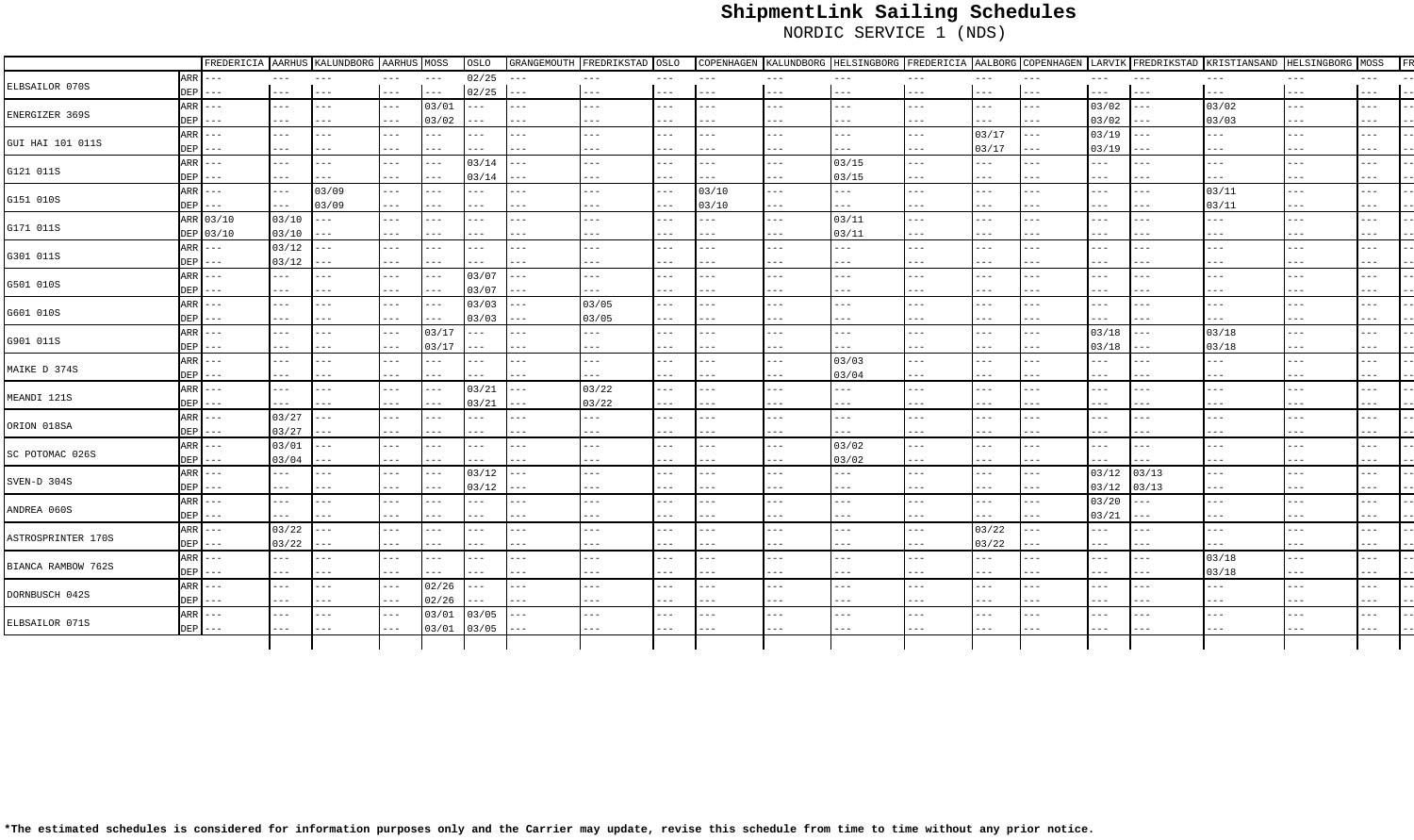|                    |                                 | FREDERICIA                 |                  | AARHUS KALUNDBORG AARHUS                                                                                                                                                                                                                                                                                                                                                                                |                                                                                                                                                                                                                                                                                                                                                                                                         | MOSS              | OSLO                  | GRANGEMOUTH        | FREDRIKSTAD                | OSLO             | COPENHAGEN                     | <b>KALUNDBOI</b> | HELSINGBOR       | FREDERICIA                     | <b>AALBOR</b>                                                                                                                                                                                                                                                                                                                                                                                           | COPENHAGEN                                                                                                                                                                                                                                                                                                                                                                                            |                     | LARVIK FREDRIKSTAD             | KRISTIANSAND     | HELSINGBORO        | MOSS             |  |
|--------------------|---------------------------------|----------------------------|------------------|---------------------------------------------------------------------------------------------------------------------------------------------------------------------------------------------------------------------------------------------------------------------------------------------------------------------------------------------------------------------------------------------------------|---------------------------------------------------------------------------------------------------------------------------------------------------------------------------------------------------------------------------------------------------------------------------------------------------------------------------------------------------------------------------------------------------------|-------------------|-----------------------|--------------------|----------------------------|------------------|--------------------------------|------------------|------------------|--------------------------------|---------------------------------------------------------------------------------------------------------------------------------------------------------------------------------------------------------------------------------------------------------------------------------------------------------------------------------------------------------------------------------------------------------|-------------------------------------------------------------------------------------------------------------------------------------------------------------------------------------------------------------------------------------------------------------------------------------------------------------------------------------------------------------------------------------------------------|---------------------|--------------------------------|------------------|--------------------|------------------|--|
| ELBSAILOR 070S     | <b>ARR</b>                      |                            | $- - - -$        | $- - -$                                                                                                                                                                                                                                                                                                                                                                                                 | $---$                                                                                                                                                                                                                                                                                                                                                                                                   | $- - -$           | 02/25                 | $- - -$            | $---$                      | $---$            | $---$                          | $---$            | $---$            | $- - - -$                      | $- - - -$                                                                                                                                                                                                                                                                                                                                                                                               | $- - -$                                                                                                                                                                                                                                                                                                                                                                                               | $\qquad \qquad - -$ | $- - -$                        | $- - - -$        | $---$              | $---$            |  |
|                    | $DEP$ $---$                     |                            | $-- -$           | $---$                                                                                                                                                                                                                                                                                                                                                                                                   | $- - -$                                                                                                                                                                                                                                                                                                                                                                                                 | $--$              | 02/25                 | $---$              | $---$                      | $--$             | $\qquad \qquad - -$            | $---$            | $---$            | $---$                          | $- - - -$                                                                                                                                                                                                                                                                                                                                                                                               | $---$                                                                                                                                                                                                                                                                                                                                                                                                 | $---$               | $\qquad \qquad - -$            | $-- -$           | $- - -$            | $-- -$           |  |
| ENERGIZER 369S     | $DEP$ $---$                     | $ARR$ $---$                | $- -$<br>$- -$   | $- - -$<br>$---$                                                                                                                                                                                                                                                                                                                                                                                        | $---$<br>$\qquad \qquad - -$                                                                                                                                                                                                                                                                                                                                                                            | 03/01<br>03/02    | $- -$                 | $- - -$<br>$---$   | $-- -$<br>$---$            | $- -$<br>$- -$   | $- - -$<br>$---$               | $-- -$<br>$--$   | $- - -$<br>$---$ | $-- -$<br>$---$                | $---$<br>$- - -$                                                                                                                                                                                                                                                                                                                                                                                        | $- - -$<br>$---$                                                                                                                                                                                                                                                                                                                                                                                      | 03/02<br>03/02      | $-- -$<br>$---$                | 03/02<br>03/03   | $-- -$<br>$---$    | $-- -$<br>$- -$  |  |
| GUI HAI 101 011S   | $DEP$ $---$                     | $ARR$ $---$                | $- - -$<br>$- -$ | $---$<br>$- - -$                                                                                                                                                                                                                                                                                                                                                                                        | $---$<br>$---$                                                                                                                                                                                                                                                                                                                                                                                          | $-- -$<br>$- - -$ | $- -$<br>$- -$        | $-- -$<br>$- - -$  | $-- -$<br>$- - -$          | $-- -$<br>$- -$  | $---$<br>$- - -$               | $- - -$<br>$---$ | $-- -$<br>$---$  | $---$<br>$\qquad \qquad - -$   | 03/17<br>03/17                                                                                                                                                                                                                                                                                                                                                                                          | $---$<br>$-- -$                                                                                                                                                                                                                                                                                                                                                                                       | 03/19<br>03/19      | $-- -$<br>$---$                | $-- -$<br>$-- -$ | $---$<br>$- - -$   | $- - -$<br>$- -$ |  |
| G121 011S          | $DEP$ $---$                     | $ARR$ $---$                | $- -$<br>$ -$    | $---$<br>$-- -$                                                                                                                                                                                                                                                                                                                                                                                         | $---$<br>$---$                                                                                                                                                                                                                                                                                                                                                                                          | $-- -$<br>$- - -$ | 03/14<br>03/14        | $---$<br>$---$     | $- - -$<br>$---$           | $---$<br>$- -$   | $---$<br>$--$                  | $---$<br>$---$   | 03/15<br>03/15   | $---$<br>$---$                 | $---$<br>$- - -$                                                                                                                                                                                                                                                                                                                                                                                        | $- - -$<br>$---$                                                                                                                                                                                                                                                                                                                                                                                      | $---$<br>$---$      | $- -$<br>$-- -$                | $---$<br>$---$   | $---$<br>$---$     | $-- -$<br>$- -$  |  |
| G151 010S          | $DEP$ $---$                     | $ARR$ $---$                | $---$            | 03/09<br>03/09                                                                                                                                                                                                                                                                                                                                                                                          | $-- -$<br>$---$                                                                                                                                                                                                                                                                                                                                                                                         | $---$<br>$- -$    | $- -$<br>$- -$        | $---$<br>$- - -$   | $---$<br>$- - -$           | $-- -$           | 03/10<br>03/10                 | $-- -$<br>$---$  | $-- -$<br>$-- -$ | $---$<br>$---$                 | $---$<br>$---$                                                                                                                                                                                                                                                                                                                                                                                          | $---$<br>$--$                                                                                                                                                                                                                                                                                                                                                                                         | $---$<br>$---$      | $-- -$<br>$-- -$               | 03/11<br>03/11   | $---$<br>$---$     | $-- -$<br>$- -$  |  |
| G171 011S          |                                 | ARR 03/10<br>DEP 03/10     | 03/10<br>03/10   | $- - -$<br>$- -$                                                                                                                                                                                                                                                                                                                                                                                        | $-- -$<br>$-- -$                                                                                                                                                                                                                                                                                                                                                                                        | $- - -$<br>$- -$  | $-- -$<br>$- -$       | $---$<br>$- - -$   | $-- -$<br>$- - -$          | $-- -$<br>$- -$  | $---$<br>$- - -$               | $-- -$<br>$--$   | 03/11<br>03/11   | $---$<br>$-- -$                | $- - -$<br>$---$                                                                                                                                                                                                                                                                                                                                                                                        | $-- -$<br>$--$                                                                                                                                                                                                                                                                                                                                                                                        | $---$<br>$---$      | $-- -$<br>$- - -$              | $---$<br>$- -$   | $---$<br>$---$     | $-- -$<br>$- -$  |  |
| G301 011S          |                                 | $ARR$ $---$<br>$DEP$ $---$ | 03/12<br>03/12   | $---$<br>$- -$                                                                                                                                                                                                                                                                                                                                                                                          | $---$<br>$---$                                                                                                                                                                                                                                                                                                                                                                                          | $--$              | $- - -$               | $---$<br>$- -$     | $---$<br>$- - -$           | $- - -$<br>$- -$ | $---$<br>$- - -$               | $---$<br>$-- -$  | $---$<br>---     | $   \,$<br>$---$               | $\frac{1}{2} \frac{1}{2} \frac{1}{2} \frac{1}{2} \frac{1}{2} \frac{1}{2} \frac{1}{2} \frac{1}{2} \frac{1}{2} \frac{1}{2} \frac{1}{2} \frac{1}{2} \frac{1}{2} \frac{1}{2} \frac{1}{2} \frac{1}{2} \frac{1}{2} \frac{1}{2} \frac{1}{2} \frac{1}{2} \frac{1}{2} \frac{1}{2} \frac{1}{2} \frac{1}{2} \frac{1}{2} \frac{1}{2} \frac{1}{2} \frac{1}{2} \frac{1}{2} \frac{1}{2} \frac{1}{2} \frac{$<br>$---$   | $---$<br>$- - -$                                                                                                                                                                                                                                                                                                                                                                                      | $---$<br>$-- -$     | $---$<br>$--$                  | $-- -$<br>$- -$  | $---$<br>$-- -$    | $--$<br>$- -$    |  |
| G501 010S          | $DEP$ $---$                     | $ARR$ ---                  | $-- -$           | $---$<br>$- -$                                                                                                                                                                                                                                                                                                                                                                                          | $\frac{1}{2} \frac{1}{2} \frac{1}{2} \frac{1}{2} \frac{1}{2} \frac{1}{2} \frac{1}{2} \frac{1}{2} \frac{1}{2} \frac{1}{2} \frac{1}{2} \frac{1}{2} \frac{1}{2} \frac{1}{2} \frac{1}{2} \frac{1}{2} \frac{1}{2} \frac{1}{2} \frac{1}{2} \frac{1}{2} \frac{1}{2} \frac{1}{2} \frac{1}{2} \frac{1}{2} \frac{1}{2} \frac{1}{2} \frac{1}{2} \frac{1}{2} \frac{1}{2} \frac{1}{2} \frac{1}{2} \frac{$            | $--$              | 03/07<br>03/07        | $---$              | $-- -$                     | $-- -$           | $---$<br>- -                   | $---$<br>$- -$   | $-- -$           | $---$<br>$- - -$               | $\frac{1}{2} \frac{1}{2} \frac{1}{2} \frac{1}{2} \frac{1}{2} \frac{1}{2} \frac{1}{2} \frac{1}{2} \frac{1}{2} \frac{1}{2} \frac{1}{2} \frac{1}{2} \frac{1}{2} \frac{1}{2} \frac{1}{2} \frac{1}{2} \frac{1}{2} \frac{1}{2} \frac{1}{2} \frac{1}{2} \frac{1}{2} \frac{1}{2} \frac{1}{2} \frac{1}{2} \frac{1}{2} \frac{1}{2} \frac{1}{2} \frac{1}{2} \frac{1}{2} \frac{1}{2} \frac{1}{2} \frac{$<br>$- - -$ | $---$                                                                                                                                                                                                                                                                                                                                                                                                 | $---$<br>$- - -$    | $---$<br>$- -$                 | $---$            | $---$<br>$--$      | $-- -$<br>--     |  |
| G601 010S          | $ARR$ $---$<br>$DEP$ $---$      |                            | $- - -$          | $---$<br>$- -$                                                                                                                                                                                                                                                                                                                                                                                          | $---$<br>$-- -$                                                                                                                                                                                                                                                                                                                                                                                         | $---$             | 03/03<br>03/03        | $---$<br>$- - -$   | 03/05<br>03/05             | $---$            | $- - -$<br>$- -$               | $---$<br>$--$    | $- - -$<br>$- -$ | $---$<br>$-- -$                | $\qquad \qquad - -$<br>$-- -$                                                                                                                                                                                                                                                                                                                                                                           | $---$<br>$- -$                                                                                                                                                                                                                                                                                                                                                                                        | $---$<br>$-- -$     | $---$<br>$- -$                 | $---$            | $---$<br>$--$      | $--$<br>--       |  |
| G901 011S          | $ARR$ $---$<br>$DEP$ $---$      |                            | $-- -$           | $\frac{1}{2} \frac{1}{2} \frac{1}{2} \frac{1}{2} \frac{1}{2} \frac{1}{2} \frac{1}{2} \frac{1}{2} \frac{1}{2} \frac{1}{2} \frac{1}{2} \frac{1}{2} \frac{1}{2} \frac{1}{2} \frac{1}{2} \frac{1}{2} \frac{1}{2} \frac{1}{2} \frac{1}{2} \frac{1}{2} \frac{1}{2} \frac{1}{2} \frac{1}{2} \frac{1}{2} \frac{1}{2} \frac{1}{2} \frac{1}{2} \frac{1}{2} \frac{1}{2} \frac{1}{2} \frac{1}{2} \frac{$<br>$- - -$ | $\qquad \qquad - -$<br>$-- -$                                                                                                                                                                                                                                                                                                                                                                           | 03/17<br>03/17    | $-- -$<br>$- -$       | $---$<br>$- - -$   | $---$<br>$- -$             | $- - -$<br>$- -$ | $---$<br>$- -$                 | $---$<br>$- -$   | $---$            | $\qquad \qquad - -$<br>$- - -$ | $- - -$<br>$--$                                                                                                                                                                                                                                                                                                                                                                                         | $- - -$<br>$- -$                                                                                                                                                                                                                                                                                                                                                                                      | 03/18<br>03/18      | $\qquad \qquad - -$<br>$- - -$ | 03/18<br>03/18   | $---$<br>$- - -$   | $-- -$<br>$- -$  |  |
| MAIKE D 374S       | $ARR$ $---$<br>DEP <sup>1</sup> | $---$                      | $-- -$           | $---$<br>$- -$                                                                                                                                                                                                                                                                                                                                                                                          | $---$<br>$---$                                                                                                                                                                                                                                                                                                                                                                                          | $--$<br>$- -$     | $-- -$                | $---$<br>$- -$     | $---$<br>$\qquad \qquad -$ | $---$<br>$- -$   | $- - -$<br>$--$                | $---$<br>$---$   | 03/03<br>03/04   | $- - -$<br>$---$               | $---$<br>$---$                                                                                                                                                                                                                                                                                                                                                                                          | $\frac{1}{2} \frac{1}{2} \frac{1}{2} \frac{1}{2} \frac{1}{2} \frac{1}{2} \frac{1}{2} \frac{1}{2} \frac{1}{2} \frac{1}{2} \frac{1}{2} \frac{1}{2} \frac{1}{2} \frac{1}{2} \frac{1}{2} \frac{1}{2} \frac{1}{2} \frac{1}{2} \frac{1}{2} \frac{1}{2} \frac{1}{2} \frac{1}{2} \frac{1}{2} \frac{1}{2} \frac{1}{2} \frac{1}{2} \frac{1}{2} \frac{1}{2} \frac{1}{2} \frac{1}{2} \frac{1}{2} \frac{$<br>$- -$ | $---$<br>$---$      | $---$<br>$- - -$               | $---$<br>$- -$   | $---$<br>$---$     | $---$<br>$- -$   |  |
| MEANDI 121S        |                                 | $ARR$ $---$<br>$DEP$ $---$ | $-- -$           | $\frac{1}{2} \frac{1}{2} \frac{1}{2} \frac{1}{2} \frac{1}{2} \frac{1}{2} \frac{1}{2} \frac{1}{2} \frac{1}{2} \frac{1}{2} \frac{1}{2} \frac{1}{2} \frac{1}{2} \frac{1}{2} \frac{1}{2} \frac{1}{2} \frac{1}{2} \frac{1}{2} \frac{1}{2} \frac{1}{2} \frac{1}{2} \frac{1}{2} \frac{1}{2} \frac{1}{2} \frac{1}{2} \frac{1}{2} \frac{1}{2} \frac{1}{2} \frac{1}{2} \frac{1}{2} \frac{1}{2} \frac{$<br>$- -$   | $\frac{1}{2} \frac{1}{2} \frac{1}{2} \frac{1}{2} \frac{1}{2} \frac{1}{2} \frac{1}{2} \frac{1}{2} \frac{1}{2} \frac{1}{2} \frac{1}{2} \frac{1}{2} \frac{1}{2} \frac{1}{2} \frac{1}{2} \frac{1}{2} \frac{1}{2} \frac{1}{2} \frac{1}{2} \frac{1}{2} \frac{1}{2} \frac{1}{2} \frac{1}{2} \frac{1}{2} \frac{1}{2} \frac{1}{2} \frac{1}{2} \frac{1}{2} \frac{1}{2} \frac{1}{2} \frac{1}{2} \frac{$<br>$-- -$  | $---$<br>$- - -$  | 03/21<br>03/21        | $---$<br>$---$     | 03/22<br>03/22             | $---$<br>$- -$   | $--\,$ $-$<br>$--$             | $---$<br>$--$    | $---$<br>$- -$   | $---$<br>$- - -$               | $- - -$<br>$-- -$                                                                                                                                                                                                                                                                                                                                                                                       | $- - -$<br>$- -$                                                                                                                                                                                                                                                                                                                                                                                      | $---$<br>$-- -$     | $---$<br>$- - -$               | $---$<br>$- -$   | $---$<br>$- - -$   | $-- -$<br>$- -$  |  |
| ORION 018SA        | $ARR$ $---$                     | $DFP$ $---$                | 03/27<br>03/27   | $---$<br>$- -$                                                                                                                                                                                                                                                                                                                                                                                          | $---$<br>$- - -$                                                                                                                                                                                                                                                                                                                                                                                        | $---$<br>$- -$    | $- -$                 | $- - -$<br>$- - -$ | $-- -$<br>$- -$            | $--$<br>$- -$    | $---$<br>$- - -$               | $---$<br>$--$    | $---$<br>$-- -$  | $   \,$<br>$---$               | $---$<br>$---$                                                                                                                                                                                                                                                                                                                                                                                          | $---$<br>$-- -$                                                                                                                                                                                                                                                                                                                                                                                       | $---$<br>$-- -$     | $- - -$<br>$- - -$             | $-- -$<br>$--$   | $---$<br>$-- -$    | $---$<br>$-$     |  |
| SC POTOMAC 026S    | $ARR$ $---$                     | $DEP$ $---$                | 03/01<br>03/04   | $- - -$<br>$-- -$                                                                                                                                                                                                                                                                                                                                                                                       | $---$<br>$- - -$                                                                                                                                                                                                                                                                                                                                                                                        | $-- -$<br>$- -$   | $- - -$<br>$- -$      | $- - -$<br>$- - -$ | $---$<br>$- -$             | $--$<br>$- -$    | $---$<br>$---$                 | $---$<br>$--$    | 03/02<br>03/02   | $   \,$<br>$---$               | $   \,$<br>$---$                                                                                                                                                                                                                                                                                                                                                                                        | $---$<br>$-- -$                                                                                                                                                                                                                                                                                                                                                                                       | $---$<br>$-- -$     | $---$<br>$- - -$               | $-- -$<br>$- -$  | $---$<br>$--$      | $-- -$<br>$-$    |  |
| SVEN-D 304S        | $ARR$ $---$                     | $DEP$ $---$                | $---$<br>$- -$   | $---$<br>$- -$                                                                                                                                                                                                                                                                                                                                                                                          | $   \,$<br>$---$                                                                                                                                                                                                                                                                                                                                                                                        | $-- -$<br>$- - -$ | 03/12<br>3/12         | $---$<br>$---$     | $---$<br>$- - -$           | $---$<br>$- -$   | $---$<br>$--$                  | $-- -$<br>$-- -$ | $---$<br>$-- -$  | $\qquad \qquad - -$<br>$---$   | $---$<br>$---$                                                                                                                                                                                                                                                                                                                                                                                          | $---$<br>$- - -$                                                                                                                                                                                                                                                                                                                                                                                      | 03/12<br>03/12      | 03/13<br>03/13                 | $-- -$<br>$-- -$ | $- - -$<br>$-- -$  | $- - -$<br>$- -$ |  |
| ANDREA 060S        |                                 | $ARR$ $---$<br>$DFP$ $---$ | $---$            | $---$<br>$- -$                                                                                                                                                                                                                                                                                                                                                                                          | $\qquad \qquad - -$<br>$- - -$                                                                                                                                                                                                                                                                                                                                                                          | $-- -$<br>$- -$   | $-- -$<br>$- -$       | $---$<br>$- - -$   | $---$<br>$- -$             | $-- -$<br>$- -$  | $---$<br>$--$                  | $---$<br>$--$    | $---$<br>$- -$   | $---$<br>$---$                 | $---$<br>$---$                                                                                                                                                                                                                                                                                                                                                                                          | $---$<br>$- - -$                                                                                                                                                                                                                                                                                                                                                                                      | 03/20<br>03/21      | $---$<br>$-- -$                | $-- -$<br>$- -$  | $- - -$<br>$- - -$ | $-- -$<br>$- -$  |  |
| ASTROSPRINTER 170S |                                 | $ARR$ $---$<br>$DEP$ $---$ | 03/22<br>03/22   | $- - -$<br>$- -$                                                                                                                                                                                                                                                                                                                                                                                        | $---$<br>---                                                                                                                                                                                                                                                                                                                                                                                            | $-- -$            | $- - -$               | $-- -$<br>$- - -$  | $---$<br>$- - -$           | $-- -$<br>$- -$  | $---$<br>$- -$                 | $-- -$<br>$--$   | $---$<br>---     | $   \,$<br>$---$               | 03/22<br>03/22                                                                                                                                                                                                                                                                                                                                                                                          | $- - -$<br>$-- -$                                                                                                                                                                                                                                                                                                                                                                                     | $---$<br>---        | $---$<br>$- - -$               | $-- -$<br>$-- -$ | $---$<br>$-- -$    | $- - -$<br>$- -$ |  |
| BIANCA RAMBOW 762S |                                 | $ARR$ ---<br>$DEP$ $---$   | $-- -$           | $- - -$<br>$- - -$                                                                                                                                                                                                                                                                                                                                                                                      | $---$<br>$- - -$                                                                                                                                                                                                                                                                                                                                                                                        | $---$             | $- - -$               | $---$<br>$- - -$   | $---$<br>$- - -$           | $--$<br>$- -$    | $---$<br>$- - -$               | $---$<br>$--$    | $---$<br>$- -$   | $---$<br>$-- -$                | $\frac{1}{2} \frac{1}{2} \frac{1}{2} \frac{1}{2} \frac{1}{2} \frac{1}{2} \frac{1}{2} \frac{1}{2} \frac{1}{2} \frac{1}{2} \frac{1}{2} \frac{1}{2} \frac{1}{2} \frac{1}{2} \frac{1}{2} \frac{1}{2} \frac{1}{2} \frac{1}{2} \frac{1}{2} \frac{1}{2} \frac{1}{2} \frac{1}{2} \frac{1}{2} \frac{1}{2} \frac{1}{2} \frac{1}{2} \frac{1}{2} \frac{1}{2} \frac{1}{2} \frac{1}{2} \frac{1}{2} \frac{$<br>$---$   | ---<br>$- - -$                                                                                                                                                                                                                                                                                                                                                                                        | $---$<br>$-- -$     | $\qquad \qquad - -$<br>$- - -$ | 03/18<br>03/18   | $- - -$<br>---     | $---$<br>$- -$   |  |
| DORNBUSCH 042S     |                                 | $ARR$ $---$<br>$DEP$ $---$ | $---$            | $- - -$<br>$- - -$                                                                                                                                                                                                                                                                                                                                                                                      | $\frac{1}{2} \frac{1}{2} \frac{1}{2} \frac{1}{2} \frac{1}{2} \frac{1}{2} \frac{1}{2} \frac{1}{2} \frac{1}{2} \frac{1}{2} \frac{1}{2} \frac{1}{2} \frac{1}{2} \frac{1}{2} \frac{1}{2} \frac{1}{2} \frac{1}{2} \frac{1}{2} \frac{1}{2} \frac{1}{2} \frac{1}{2} \frac{1}{2} \frac{1}{2} \frac{1}{2} \frac{1}{2} \frac{1}{2} \frac{1}{2} \frac{1}{2} \frac{1}{2} \frac{1}{2} \frac{1}{2} \frac{$<br>$- - -$ | 02/26<br>02/26    | $- -$                 | $---$              | $---$<br>$- -$             | $---$<br>$- -$   | $---$<br>$ -$                  | $---$<br>$- - -$ | $---$<br>$-- -$  | $   \,$<br>$---$               | $- - -$<br>$- - -$                                                                                                                                                                                                                                                                                                                                                                                      | $---$<br>$- - -$                                                                                                                                                                                                                                                                                                                                                                                      | $---$<br>$---$      | $- - -$<br>$- - -$             | $---$<br>$- -$   | $- - -$<br>$-- -$  | $---$<br>$-$     |  |
| ELBSAILOR 071S     |                                 | $ARR$ $---$<br>$DEP$ $---$ | ---<br>$- -$     | $- - -$<br>$- - -$                                                                                                                                                                                                                                                                                                                                                                                      | $- - -$<br>$---$                                                                                                                                                                                                                                                                                                                                                                                        | 03/01<br>03/01    | $03/05$ $---$<br>3/05 | $- - -$            | $---$<br>$- - -$           | ---              | $\qquad \qquad - -$<br>$- - -$ | $---$<br>$- -$   | $---$<br>$-- -$  | $\qquad \qquad - -$<br>$-- -$  | $---$<br>$--$                                                                                                                                                                                                                                                                                                                                                                                           | $---$                                                                                                                                                                                                                                                                                                                                                                                                 | $---$<br>$- - -$    | $---$<br>$--$                  | $---$<br>$-- -$  | $---$<br>$--$      | $---$<br>$- -$   |  |
|                    |                                 |                            |                  |                                                                                                                                                                                                                                                                                                                                                                                                         |                                                                                                                                                                                                                                                                                                                                                                                                         |                   |                       |                    |                            |                  |                                |                  |                  |                                |                                                                                                                                                                                                                                                                                                                                                                                                         |                                                                                                                                                                                                                                                                                                                                                                                                       |                     |                                |                  |                    |                  |  |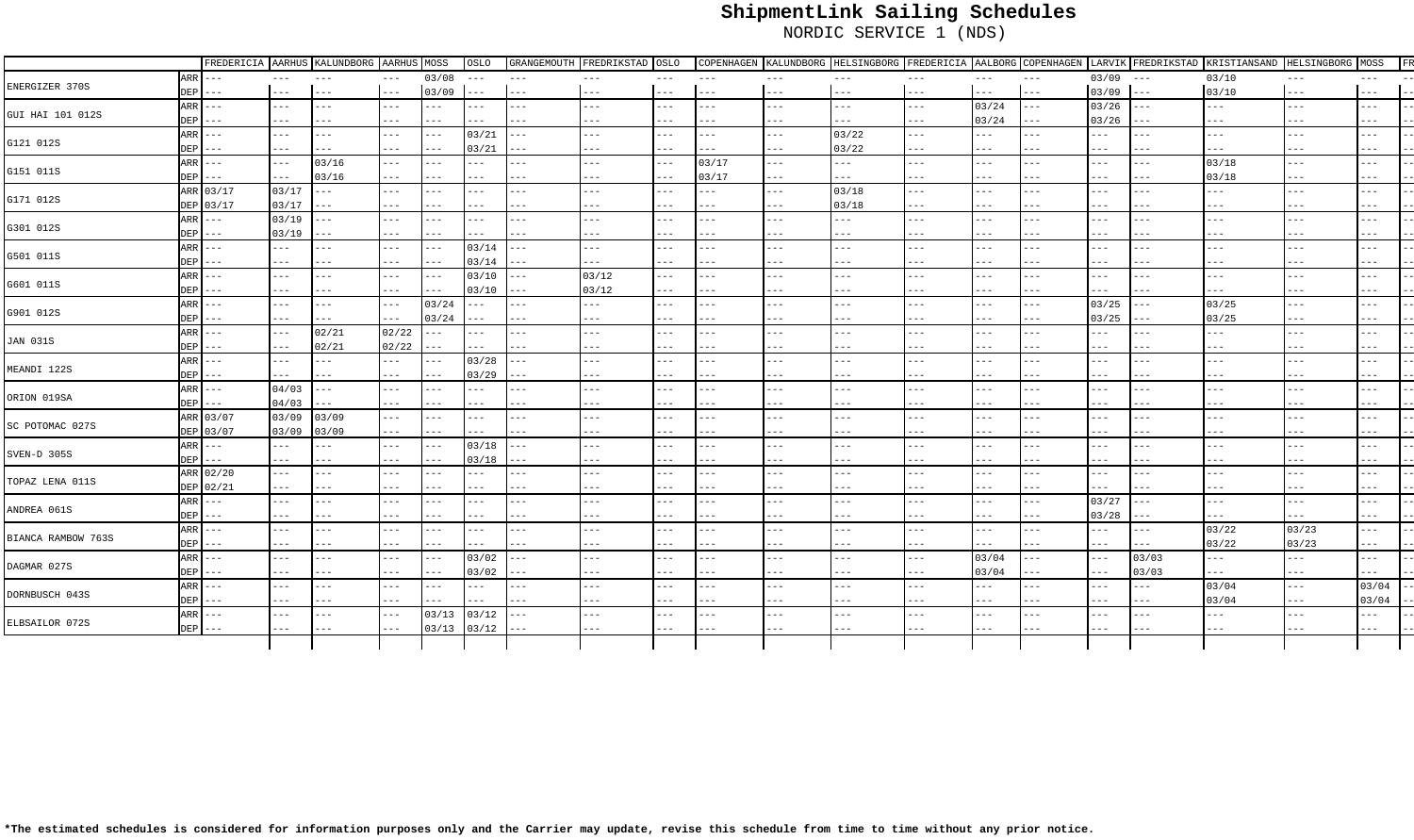|                    |                           | FREDERICIA             |                                | AARHUS KALUNDBORG AARHUS |                                                                                                                                                                                                                                                                                                                                                                                                       | MOSS                         | OSLO             | GRANGEMOUTH      | FREDRIKSTAD OSLO             |                                                                                                                                                                                                                                                                                                                                                                                                        | COPENHAGEN       | <b>KALUNDBOR</b>            | HELSINGBORG       | FREDERICIA                                                                                                                                                                                                                                                                                                                                                                                             |                                                                                                                                                                                                                                                                                                                                                                                                         | AALBORG COPENHAGEN                                                                                                                                                                                                                                                                                                                                                                                     |                                                                                                                                                                                                                                                                                                                                                                                                       | LARVIK FREDRIKSTAD           | KRISTIANSAND     | HELSINGBORG      | MOSS                        | $ _{\rm FR}$ |
|--------------------|---------------------------|------------------------|--------------------------------|--------------------------|-------------------------------------------------------------------------------------------------------------------------------------------------------------------------------------------------------------------------------------------------------------------------------------------------------------------------------------------------------------------------------------------------------|------------------------------|------------------|------------------|------------------------------|--------------------------------------------------------------------------------------------------------------------------------------------------------------------------------------------------------------------------------------------------------------------------------------------------------------------------------------------------------------------------------------------------------|------------------|-----------------------------|-------------------|--------------------------------------------------------------------------------------------------------------------------------------------------------------------------------------------------------------------------------------------------------------------------------------------------------------------------------------------------------------------------------------------------------|---------------------------------------------------------------------------------------------------------------------------------------------------------------------------------------------------------------------------------------------------------------------------------------------------------------------------------------------------------------------------------------------------------|--------------------------------------------------------------------------------------------------------------------------------------------------------------------------------------------------------------------------------------------------------------------------------------------------------------------------------------------------------------------------------------------------------|-------------------------------------------------------------------------------------------------------------------------------------------------------------------------------------------------------------------------------------------------------------------------------------------------------------------------------------------------------------------------------------------------------|------------------------------|------------------|------------------|-----------------------------|--------------|
|                    | <b>ARR</b>                | $---$                  | $- - - -$                      | $- - -$                  | $- - - -$                                                                                                                                                                                                                                                                                                                                                                                             | 03/08                        | $  -$            | $\sim$ $ -$      | $---$                        | $---$                                                                                                                                                                                                                                                                                                                                                                                                  | $- - -$          | $- - - -$                   | $---$             | $- - -$                                                                                                                                                                                                                                                                                                                                                                                                | $- - -$                                                                                                                                                                                                                                                                                                                                                                                                 | $- - -$                                                                                                                                                                                                                                                                                                                                                                                                | $03/09$ ---                                                                                                                                                                                                                                                                                                                                                                                           |                              | 03/10            | $- - - -$        | $- - - -$                   |              |
| ENERGIZER 370S     | <b>DEP</b>                | .                      | $- -$                          | $---$                    | $---$                                                                                                                                                                                                                                                                                                                                                                                                 | 03/09                        | $- -$            | $- - - -$        | $---$                        | $---$                                                                                                                                                                                                                                                                                                                                                                                                  | $- - -$          | $---$                       | $---$             | $- - -$                                                                                                                                                                                                                                                                                                                                                                                                | $-- -$                                                                                                                                                                                                                                                                                                                                                                                                  | $---$                                                                                                                                                                                                                                                                                                                                                                                                  | 03/09                                                                                                                                                                                                                                                                                                                                                                                                 | $---$                        | 03/10            | $---$            | $- - -$                     |              |
| GUI HAI 101 012S   | <b>ARR</b><br>DEP         | $---$                  | $- -$<br>$- -$                 | $---$<br>$---$           | $- - -$<br>$- - -$                                                                                                                                                                                                                                                                                                                                                                                    | $- -$                        | $---$            | $-- -$           | $-- -$<br>$- -$              | $---$<br>$- - -$                                                                                                                                                                                                                                                                                                                                                                                       | $-- -$           | $---$<br>$- -$              | $---$             | $   \,$<br>$-- -$                                                                                                                                                                                                                                                                                                                                                                                      | 03/24<br>03/24                                                                                                                                                                                                                                                                                                                                                                                          | $   \,$<br>$- -$                                                                                                                                                                                                                                                                                                                                                                                       | 03/26<br>03/26                                                                                                                                                                                                                                                                                                                                                                                        | $---$<br>$- - -$             | $---$<br>$- -$   | $---$<br>$--$    | $-- -$<br>$ -$              |              |
| G121 012S          | $ARR$ $---$<br>DEP        | $- - -$                | $- - -$                        | $- - -$<br>$- - -$       | $\frac{1}{2} \frac{1}{2} \frac{1}{2} \frac{1}{2} \frac{1}{2} \frac{1}{2} \frac{1}{2} \frac{1}{2} \frac{1}{2} \frac{1}{2} \frac{1}{2} \frac{1}{2} \frac{1}{2} \frac{1}{2} \frac{1}{2} \frac{1}{2} \frac{1}{2} \frac{1}{2} \frac{1}{2} \frac{1}{2} \frac{1}{2} \frac{1}{2} \frac{1}{2} \frac{1}{2} \frac{1}{2} \frac{1}{2} \frac{1}{2} \frac{1}{2} \frac{1}{2} \frac{1}{2} \frac{1}{2} \frac{$<br>$---$ | $---$<br>$\qquad \qquad -$   | 03/21<br>03/21   | $- - -$          | $---$<br>$- - -$             | $\frac{1}{2} \frac{1}{2} \frac{1}{2} \frac{1}{2} \frac{1}{2} \frac{1}{2} \frac{1}{2} \frac{1}{2} \frac{1}{2} \frac{1}{2} \frac{1}{2} \frac{1}{2} \frac{1}{2} \frac{1}{2} \frac{1}{2} \frac{1}{2} \frac{1}{2} \frac{1}{2} \frac{1}{2} \frac{1}{2} \frac{1}{2} \frac{1}{2} \frac{1}{2} \frac{1}{2} \frac{1}{2} \frac{1}{2} \frac{1}{2} \frac{1}{2} \frac{1}{2} \frac{1}{2} \frac{1}{2} \frac{$           | $- - -$          | $---$<br>$---$              | 03/22<br>03/22    | $- - -$<br>$---$                                                                                                                                                                                                                                                                                                                                                                                       | $---$<br>$- - -$                                                                                                                                                                                                                                                                                                                                                                                        | $   \,$<br>$-- -$                                                                                                                                                                                                                                                                                                                                                                                      | $   \,$<br>$---$                                                                                                                                                                                                                                                                                                                                                                                      | $---$<br>$- - -$             | $---$<br>$- -$   | $---$<br>$-- -$  | $---$<br>$- -$              |              |
| G151 011S          | $ARR$ $---$<br>DEP        | $- - -$                | $-- -$                         | 03/16<br>03/16           | $---$<br>$- - -$                                                                                                                                                                                                                                                                                                                                                                                      | $- - -$                      | $---$            | $-- -$<br>$- -$  | $-- -$<br>$- - -$            | $---$                                                                                                                                                                                                                                                                                                                                                                                                  | 03/17<br>03/17   | $---$<br>$--$               | $-- -$            | $\frac{1}{2} \frac{1}{2} \frac{1}{2} \frac{1}{2} \frac{1}{2} \frac{1}{2} \frac{1}{2} \frac{1}{2} \frac{1}{2} \frac{1}{2} \frac{1}{2} \frac{1}{2} \frac{1}{2} \frac{1}{2} \frac{1}{2} \frac{1}{2} \frac{1}{2} \frac{1}{2} \frac{1}{2} \frac{1}{2} \frac{1}{2} \frac{1}{2} \frac{1}{2} \frac{1}{2} \frac{1}{2} \frac{1}{2} \frac{1}{2} \frac{1}{2} \frac{1}{2} \frac{1}{2} \frac{1}{2} \frac{$<br>$-- -$ | $---$                                                                                                                                                                                                                                                                                                                                                                                                   | $---$<br>$--$                                                                                                                                                                                                                                                                                                                                                                                          | $- - -$<br>$---$                                                                                                                                                                                                                                                                                                                                                                                      | $---$<br>$- - -$             | 03/18<br>03/18   | $---$<br>$-- -$  | $-- -$<br>$- -$             |              |
| G171 012S          |                           | ARR 03/17<br>DEP 03/17 | $03/17$ $---$<br>03/17         | $---$                    | $\frac{1}{2} \frac{1}{2} \frac{1}{2} \frac{1}{2} \frac{1}{2} \frac{1}{2} \frac{1}{2} \frac{1}{2} \frac{1}{2} \frac{1}{2} \frac{1}{2} \frac{1}{2} \frac{1}{2} \frac{1}{2} \frac{1}{2} \frac{1}{2} \frac{1}{2} \frac{1}{2} \frac{1}{2} \frac{1}{2} \frac{1}{2} \frac{1}{2} \frac{1}{2} \frac{1}{2} \frac{1}{2} \frac{1}{2} \frac{1}{2} \frac{1}{2} \frac{1}{2} \frac{1}{2} \frac{1}{2} \frac{$<br>$---$ | $- - -$                      | $- - -$          | $---$<br>$ -$    | $- - -$<br>$-- -$            | $---$<br>$- -$                                                                                                                                                                                                                                                                                                                                                                                         | $- - -$<br>$-1$  | $---$<br>$---$              | 03/18<br>03/18    | $   \,$<br>$---$                                                                                                                                                                                                                                                                                                                                                                                       | $---$<br>$---$                                                                                                                                                                                                                                                                                                                                                                                          | $---$<br>$-- -$                                                                                                                                                                                                                                                                                                                                                                                        | $   \,$<br>$---$                                                                                                                                                                                                                                                                                                                                                                                      | $-- -$<br>$ -$               | $---$<br>$---$   | $---$<br>$---$   | $---$<br>$\qquad \qquad -$  |              |
| G301 012S          | $ARR$ $---$<br><b>DEP</b> | $- - -$                | $03/19$ $---$<br>$03/19$ $---$ |                          | $- - -$<br>$---$                                                                                                                                                                                                                                                                                                                                                                                      | $- - -$<br>$\qquad \qquad -$ | $---$<br>$- - -$ | $---$<br>$- -$   | $-- -$<br>$\qquad \qquad -$  | $\frac{1}{2}$<br>$-- -$                                                                                                                                                                                                                                                                                                                                                                                | $---$<br>$- -$   | $---$<br>$- - -$            | $---$<br>$- - -$  | $- - -$<br>$-- -$                                                                                                                                                                                                                                                                                                                                                                                      | $\frac{1}{2} \frac{1}{2} \frac{1}{2} \frac{1}{2} \frac{1}{2} \frac{1}{2} \frac{1}{2} \frac{1}{2} \frac{1}{2} \frac{1}{2} \frac{1}{2} \frac{1}{2} \frac{1}{2} \frac{1}{2} \frac{1}{2} \frac{1}{2} \frac{1}{2} \frac{1}{2} \frac{1}{2} \frac{1}{2} \frac{1}{2} \frac{1}{2} \frac{1}{2} \frac{1}{2} \frac{1}{2} \frac{1}{2} \frac{1}{2} \frac{1}{2} \frac{1}{2} \frac{1}{2} \frac{1}{2} \frac{$<br>$- - -$ | $\frac{1}{2} \frac{1}{2} \frac{1}{2} \frac{1}{2} \frac{1}{2} \frac{1}{2} \frac{1}{2} \frac{1}{2} \frac{1}{2} \frac{1}{2} \frac{1}{2} \frac{1}{2} \frac{1}{2} \frac{1}{2} \frac{1}{2} \frac{1}{2} \frac{1}{2} \frac{1}{2} \frac{1}{2} \frac{1}{2} \frac{1}{2} \frac{1}{2} \frac{1}{2} \frac{1}{2} \frac{1}{2} \frac{1}{2} \frac{1}{2} \frac{1}{2} \frac{1}{2} \frac{1}{2} \frac{1}{2} \frac{$<br>$-- -$ | $\frac{1}{2} \frac{1}{2} \frac{1}{2} \frac{1}{2} \frac{1}{2} \frac{1}{2} \frac{1}{2} \frac{1}{2} \frac{1}{2} \frac{1}{2} \frac{1}{2} \frac{1}{2} \frac{1}{2} \frac{1}{2} \frac{1}{2} \frac{1}{2} \frac{1}{2} \frac{1}{2} \frac{1}{2} \frac{1}{2} \frac{1}{2} \frac{1}{2} \frac{1}{2} \frac{1}{2} \frac{1}{2} \frac{1}{2} \frac{1}{2} \frac{1}{2} \frac{1}{2} \frac{1}{2} \frac{1}{2} \frac{$<br>$---$ | $-- -$<br>$\qquad \qquad -$  | $---$<br>$- -$   | $---$<br>$- - -$ | $-- -$<br>$- -$             |              |
| G501 011S          | <b>ARR</b><br><b>DEP</b>  | $---$<br>$- - -$       | $- - -$<br>$- -$               | $---$<br>$---$           | $---$<br>$---$                                                                                                                                                                                                                                                                                                                                                                                        | $---$<br>$- -$               | 03/14<br>03/14   | $- - -$          | $---$<br>$-- -$              | $\frac{1}{2} \frac{1}{2} \frac{1}{2} \frac{1}{2} \frac{1}{2} \frac{1}{2} \frac{1}{2} \frac{1}{2} \frac{1}{2} \frac{1}{2} \frac{1}{2} \frac{1}{2} \frac{1}{2} \frac{1}{2} \frac{1}{2} \frac{1}{2} \frac{1}{2} \frac{1}{2} \frac{1}{2} \frac{1}{2} \frac{1}{2} \frac{1}{2} \frac{1}{2} \frac{1}{2} \frac{1}{2} \frac{1}{2} \frac{1}{2} \frac{1}{2} \frac{1}{2} \frac{1}{2} \frac{1}{2} \frac{$<br>$-- -$ | $---$<br>$ -$    | $--$<br>$-- -$              | $- - -$<br>$-- -$ | $   \,$<br>$---$                                                                                                                                                                                                                                                                                                                                                                                       | $---$<br>$- - -$                                                                                                                                                                                                                                                                                                                                                                                        | $---$<br>$-- -$                                                                                                                                                                                                                                                                                                                                                                                        | $---$<br>$---$                                                                                                                                                                                                                                                                                                                                                                                        | $- -$<br>$- -$               | $---$<br>$- -$   | $---$<br>$-- -$  | $---$<br>$- -$              |              |
| G601 011S          | <b>ARR</b><br><b>DEP</b>  | $---$                  | $- - -$<br>$- -$               | $- - -$<br>$---$         | $- - -$<br>$---$                                                                                                                                                                                                                                                                                                                                                                                      | $-- -$                       | 03/10<br>03/10   | ---<br>$-- -$    | 03/12<br>03/12               | $---$<br>$---$                                                                                                                                                                                                                                                                                                                                                                                         | $-- -$<br>$- -$  | $-- -$<br>$-- -$            | $- - -$<br>$-- -$ | $- - - -$<br>$---$                                                                                                                                                                                                                                                                                                                                                                                     | $---$                                                                                                                                                                                                                                                                                                                                                                                                   | $---$<br>$-- -$                                                                                                                                                                                                                                                                                                                                                                                        | $- - -$<br>$-- -$                                                                                                                                                                                                                                                                                                                                                                                     | $- - -$                      | $- - -$          | $-- -$<br>$-- -$ | $-- -$<br>$\qquad \qquad -$ |              |
| G901 012S          | <b>ARR</b><br><b>DEP</b>  | $- - -$<br>$- - -$     | $- - -$                        | $---$<br>$---$           | $   \,$<br>$\qquad \qquad - -$                                                                                                                                                                                                                                                                                                                                                                        | 03/24<br>03/24               | $- -$<br>$- -$   | $- - -$<br>$---$ | $-- -$<br>$-- -$             | $---$<br>$---$                                                                                                                                                                                                                                                                                                                                                                                         | $- - -$<br>$- -$ | $---$<br>$---$              | $---$<br>$---$    | $   \,$<br>$---$                                                                                                                                                                                                                                                                                                                                                                                       | $---$<br>$---$                                                                                                                                                                                                                                                                                                                                                                                          | $---$<br>$---$                                                                                                                                                                                                                                                                                                                                                                                         | 03/25<br>03/25                                                                                                                                                                                                                                                                                                                                                                                        | $-- -$<br>$---$              | 03/25<br>03/25   | $---$<br>$---$   | $---$<br>$- -$              |              |
| <b>JAN 031S</b>    | <b>ARR</b><br><b>DEP</b>  | $---$<br>$- - -$       | $-- -$<br>$- -$                | 02/21<br>02/21           | 02/22<br>02/22                                                                                                                                                                                                                                                                                                                                                                                        | $-- -$<br>$- - -$            | $---$<br>$- - -$ | $- - -$<br>$- -$ | $---$<br>$- - -$             | $- - -$<br>$-- -$                                                                                                                                                                                                                                                                                                                                                                                      | $---$<br>$- -$   | $---$<br>$- - -$            | $---$<br>$-- -$   | $- - - -$<br>$---$                                                                                                                                                                                                                                                                                                                                                                                     | $---$<br>$- - -$                                                                                                                                                                                                                                                                                                                                                                                        | $---$<br>$-- -$                                                                                                                                                                                                                                                                                                                                                                                        | $---$<br>$---$                                                                                                                                                                                                                                                                                                                                                                                        | $---$<br>$- - -$             | $---$<br>$- -$   | $---$<br>$- - -$ | $-- -$<br>$- -$             |              |
| MEANDI 122S        | <b>ARR</b><br><b>DEP</b>  | $---$                  | $- - -$                        | $---$<br>$-- -$          | $\frac{1}{2} \frac{1}{2} \frac{1}{2} \frac{1}{2} \frac{1}{2} \frac{1}{2} \frac{1}{2} \frac{1}{2} \frac{1}{2} \frac{1}{2} \frac{1}{2} \frac{1}{2} \frac{1}{2} \frac{1}{2} \frac{1}{2} \frac{1}{2} \frac{1}{2} \frac{1}{2} \frac{1}{2} \frac{1}{2} \frac{1}{2} \frac{1}{2} \frac{1}{2} \frac{1}{2} \frac{1}{2} \frac{1}{2} \frac{1}{2} \frac{1}{2} \frac{1}{2} \frac{1}{2} \frac{1}{2} \frac{$<br>$---$ | $- - -$                      | 03/28<br>03/29   | $- - -$          | $- - -$<br>$\qquad \qquad -$ | $\frac{1}{2} \frac{1}{2} \frac{1}{2} \frac{1}{2} \frac{1}{2} \frac{1}{2} \frac{1}{2} \frac{1}{2} \frac{1}{2} \frac{1}{2} \frac{1}{2} \frac{1}{2} \frac{1}{2} \frac{1}{2} \frac{1}{2} \frac{1}{2} \frac{1}{2} \frac{1}{2} \frac{1}{2} \frac{1}{2} \frac{1}{2} \frac{1}{2} \frac{1}{2} \frac{1}{2} \frac{1}{2} \frac{1}{2} \frac{1}{2} \frac{1}{2} \frac{1}{2} \frac{1}{2} \frac{1}{2} \frac{$<br>$-- -$ | $---$            | $---$<br>$--$               | $---$<br>$--$     | $   \,$<br>$---$                                                                                                                                                                                                                                                                                                                                                                                       | $---$<br>$- - -$                                                                                                                                                                                                                                                                                                                                                                                        | $---$<br>$-- -$                                                                                                                                                                                                                                                                                                                                                                                        | $\frac{1}{2} \frac{1}{2} \frac{1}{2} \frac{1}{2} \frac{1}{2} \frac{1}{2} \frac{1}{2} \frac{1}{2} \frac{1}{2} \frac{1}{2} \frac{1}{2} \frac{1}{2} \frac{1}{2} \frac{1}{2} \frac{1}{2} \frac{1}{2} \frac{1}{2} \frac{1}{2} \frac{1}{2} \frac{1}{2} \frac{1}{2} \frac{1}{2} \frac{1}{2} \frac{1}{2} \frac{1}{2} \frac{1}{2} \frac{1}{2} \frac{1}{2} \frac{1}{2} \frac{1}{2} \frac{1}{2} \frac{$<br>$---$ | $-- -$<br>$- -$              | $- - -$<br>$- -$ | $---$<br>$- - -$ | $---$<br>$- -$              |              |
| ORION 019SA        | $ARR$ $---$<br>DEP        |                        | 04/03<br>04/03                 | $1 - - -$<br>$- - -$     | $---$                                                                                                                                                                                                                                                                                                                                                                                                 | $- - -$                      | $---$<br>$- -$   | $-- -$           | $-- -$                       | $---$<br>$-- -$                                                                                                                                                                                                                                                                                                                                                                                        | $- - -$          | $-- -$<br>$ -$              | $-- -$            | $\qquad \qquad - -$<br>$---$                                                                                                                                                                                                                                                                                                                                                                           | $---$                                                                                                                                                                                                                                                                                                                                                                                                   | $-- -$<br>$--$                                                                                                                                                                                                                                                                                                                                                                                         | $---$<br>$---$                                                                                                                                                                                                                                                                                                                                                                                        | $- - -$<br>$ -$              | $- - -$<br>$- -$ | $-- -$<br>$-- -$ | $-- -$<br>$\qquad \qquad -$ |              |
| SC POTOMAC 027S    |                           | ARR 03/07<br>DEP 03/07 | 03/09 03/09<br>03/09 03/09     |                          | $---$<br>$---$                                                                                                                                                                                                                                                                                                                                                                                        | $- - -$                      | $- - -$          | $- - -$          | $-- -$<br>$\qquad \qquad -$  | $- - -$<br>$---$                                                                                                                                                                                                                                                                                                                                                                                       | $-- -$           | $---$<br>$---$              | $---$<br>$---$    | $   \,$<br>$---$                                                                                                                                                                                                                                                                                                                                                                                       | $---$<br>$-- -$                                                                                                                                                                                                                                                                                                                                                                                         | $---$<br>$-- -$                                                                                                                                                                                                                                                                                                                                                                                        | $---$<br>$---$                                                                                                                                                                                                                                                                                                                                                                                        | $- - -$<br>$\qquad \qquad -$ | $- - -$<br>$---$ | $---$<br>$---$   | $---$<br>$-$                |              |
| SVEN-D 305S        |                           | $ARR$ $---$            | $---$<br>$- -$                 | $---$<br>$- - - -$       | $\frac{1}{2} \frac{1}{2} \frac{1}{2} \frac{1}{2} \frac{1}{2} \frac{1}{2} \frac{1}{2} \frac{1}{2} \frac{1}{2} \frac{1}{2} \frac{1}{2} \frac{1}{2} \frac{1}{2} \frac{1}{2} \frac{1}{2} \frac{1}{2} \frac{1}{2} \frac{1}{2} \frac{1}{2} \frac{1}{2} \frac{1}{2} \frac{1}{2} \frac{1}{2} \frac{1}{2} \frac{1}{2} \frac{1}{2} \frac{1}{2} \frac{1}{2} \frac{1}{2} \frac{1}{2} \frac{1}{2} \frac{$<br>$--$  | $-- -$                       | 03/18<br>03/18   | $---$            | $---$                        | $---$                                                                                                                                                                                                                                                                                                                                                                                                  | $---$            | $---$<br>$- -$              | $---$             | $\frac{1}{2} \frac{1}{2} \frac{1}{2} \frac{1}{2} \frac{1}{2} \frac{1}{2} \frac{1}{2} \frac{1}{2} \frac{1}{2} \frac{1}{2} \frac{1}{2} \frac{1}{2} \frac{1}{2} \frac{1}{2} \frac{1}{2} \frac{1}{2} \frac{1}{2} \frac{1}{2} \frac{1}{2} \frac{1}{2} \frac{1}{2} \frac{1}{2} \frac{1}{2} \frac{1}{2} \frac{1}{2} \frac{1}{2} \frac{1}{2} \frac{1}{2} \frac{1}{2} \frac{1}{2} \frac{1}{2} \frac{$<br>$-- -$ | $---$                                                                                                                                                                                                                                                                                                                                                                                                   | $---$<br>$--$                                                                                                                                                                                                                                                                                                                                                                                          | $---$<br>$-- -$                                                                                                                                                                                                                                                                                                                                                                                       | $---$<br>$- -$               | $---$<br>$- -$   | $---$            | $-- -$                      |              |
| TOPAZ LENA 011S    |                           | ARR 02/20<br>DEP 02/21 | $- - -$<br>$- -$               | $- - -$<br>$---$         | $   \,$<br>$---$                                                                                                                                                                                                                                                                                                                                                                                      | $- - -$                      | $-- -$           | $- - -$          | $---$<br>$- -$               | $- - -$<br>$-- -$                                                                                                                                                                                                                                                                                                                                                                                      | $- - -$          | $---$<br>$-- -$             | $---$<br>$--$     | $- - -$<br>$-- -$                                                                                                                                                                                                                                                                                                                                                                                      | $---$<br>$- - -$                                                                                                                                                                                                                                                                                                                                                                                        | $---$<br>$-- -$                                                                                                                                                                                                                                                                                                                                                                                        | $---$<br>$-- -$                                                                                                                                                                                                                                                                                                                                                                                       | $---$                        | $- - -$<br>$- -$ | $---$<br>$-- -$  | $-- -$<br>$- -$             |              |
| ANDREA 061S        |                           | $ARR$ $---$<br>$- - -$ | $-- -$                         | $- - -$<br>$---$         | $---$<br>$--$                                                                                                                                                                                                                                                                                                                                                                                         | $-- -$                       | $---$            | $---$<br>$- -$   | $---$                        | $---$<br>$-- -$                                                                                                                                                                                                                                                                                                                                                                                        | $---$            | $---$<br>$\qquad \qquad -$  | $---$             | $---$<br>$---$                                                                                                                                                                                                                                                                                                                                                                                         | $\qquad \qquad - -$                                                                                                                                                                                                                                                                                                                                                                                     | $- - - -$<br>$-- -$                                                                                                                                                                                                                                                                                                                                                                                    | 03/27<br>03/28                                                                                                                                                                                                                                                                                                                                                                                        | $---$<br>$---$               | $-- -$<br>$- -$  | $---$            | $---$<br>$- -$              |              |
| BIANCA RAMBOW 763S | ARR <sup>I</sup><br>DEP   | $- - -$<br>$-- -$      | $-- -$<br>$- -$                | $---$<br>$- - -$         | $   \,$<br>$---$                                                                                                                                                                                                                                                                                                                                                                                      | $- - -$                      | $- - -$          | $- - -$          | $- - -$<br>$- -$             | $- - -$<br>$-- -$                                                                                                                                                                                                                                                                                                                                                                                      | $--$             | $---$<br>$---$              | $---$<br>$---$    | $   \,$<br>$---$                                                                                                                                                                                                                                                                                                                                                                                       | $---$<br>$-- -$                                                                                                                                                                                                                                                                                                                                                                                         | $---$<br>$- - -$                                                                                                                                                                                                                                                                                                                                                                                       | $---$<br>$---$                                                                                                                                                                                                                                                                                                                                                                                        | $---$<br>$---$               | 03/22<br>03/22   | 03/23<br>03/23   | $---$<br>$---$              |              |
| DAGMAR 027S        | <b>ARR</b><br><b>DEP</b>  | $---$<br>$- - -$       | $-- -$<br>$- -$                | $---$<br>$---$           | $   \,$<br>$-- -$                                                                                                                                                                                                                                                                                                                                                                                     | $-- -$<br>$\qquad \qquad -$  | 03/02<br>03/02   | $---$<br>$---$   | $-- -$<br>$\qquad \qquad -$  | $- - -$<br>$-- -$                                                                                                                                                                                                                                                                                                                                                                                      | $---$            | $-- -$<br>$\qquad \qquad -$ | $---$<br>$- -$    | $---$<br>$---$                                                                                                                                                                                                                                                                                                                                                                                         | 03/04<br>03/04                                                                                                                                                                                                                                                                                                                                                                                          | $---$<br>$-- -$                                                                                                                                                                                                                                                                                                                                                                                        | $   \,$<br>$-- -$                                                                                                                                                                                                                                                                                                                                                                                     | 03/03<br>03/03               | $- - -$<br>$- -$ | $---$<br>$--$    | $-- -$                      |              |
| DORNBUSCH 043S     | <b>ARR</b><br><b>DEP</b>  | $- - -$<br>$- -$       | $- - -$                        | $---$<br>$---$           | $- - - -$<br>$- - - -$                                                                                                                                                                                                                                                                                                                                                                                | $- - -$                      | $-- -$           | $- - -$          | $---$<br>$- -$               | $- - -$<br>$---$                                                                                                                                                                                                                                                                                                                                                                                       | $- - -$<br>$- -$ | $---$<br>$-- -$             | $---$<br>$-- -$   | $- - -$<br>$---$                                                                                                                                                                                                                                                                                                                                                                                       | $---$<br>$-- -$                                                                                                                                                                                                                                                                                                                                                                                         | $---$<br>$-- -$                                                                                                                                                                                                                                                                                                                                                                                        | $---$<br>$---$                                                                                                                                                                                                                                                                                                                                                                                        | $---$<br>$- - -$             | 03/04<br>03/04   | $---$<br>$-- -$  | 03/04<br>03/04              |              |
| ELBSAILOR 072S     | $ARR$ $---$               | $DEP$ $---$            | $-- -$<br>$---$                | $- - -$<br>$---$         | $- - - -$<br>$---$                                                                                                                                                                                                                                                                                                                                                                                    | 03/13<br>03/13               | 03/12<br>03/12   | $---$<br>$---$   | $-- -$<br>$- -$              | $---$<br>$-- -$                                                                                                                                                                                                                                                                                                                                                                                        | $---$<br>$- -$   | $---$<br>$---$              | $-- -$<br>$-- -$  | $---$<br>$---$                                                                                                                                                                                                                                                                                                                                                                                         | $---$<br>$- - -$                                                                                                                                                                                                                                                                                                                                                                                        | $---$<br>$-- -$                                                                                                                                                                                                                                                                                                                                                                                        | $---$<br>$-- -$                                                                                                                                                                                                                                                                                                                                                                                       | $---$<br>$---$               | $-- -$<br>$---$  | $---$<br>$---$   | $---$<br>$---$              |              |
|                    |                           |                        |                                |                          |                                                                                                                                                                                                                                                                                                                                                                                                       |                              |                  |                  |                              |                                                                                                                                                                                                                                                                                                                                                                                                        |                  |                             |                   |                                                                                                                                                                                                                                                                                                                                                                                                        |                                                                                                                                                                                                                                                                                                                                                                                                         |                                                                                                                                                                                                                                                                                                                                                                                                        |                                                                                                                                                                                                                                                                                                                                                                                                       |                              |                  |                  |                             |              |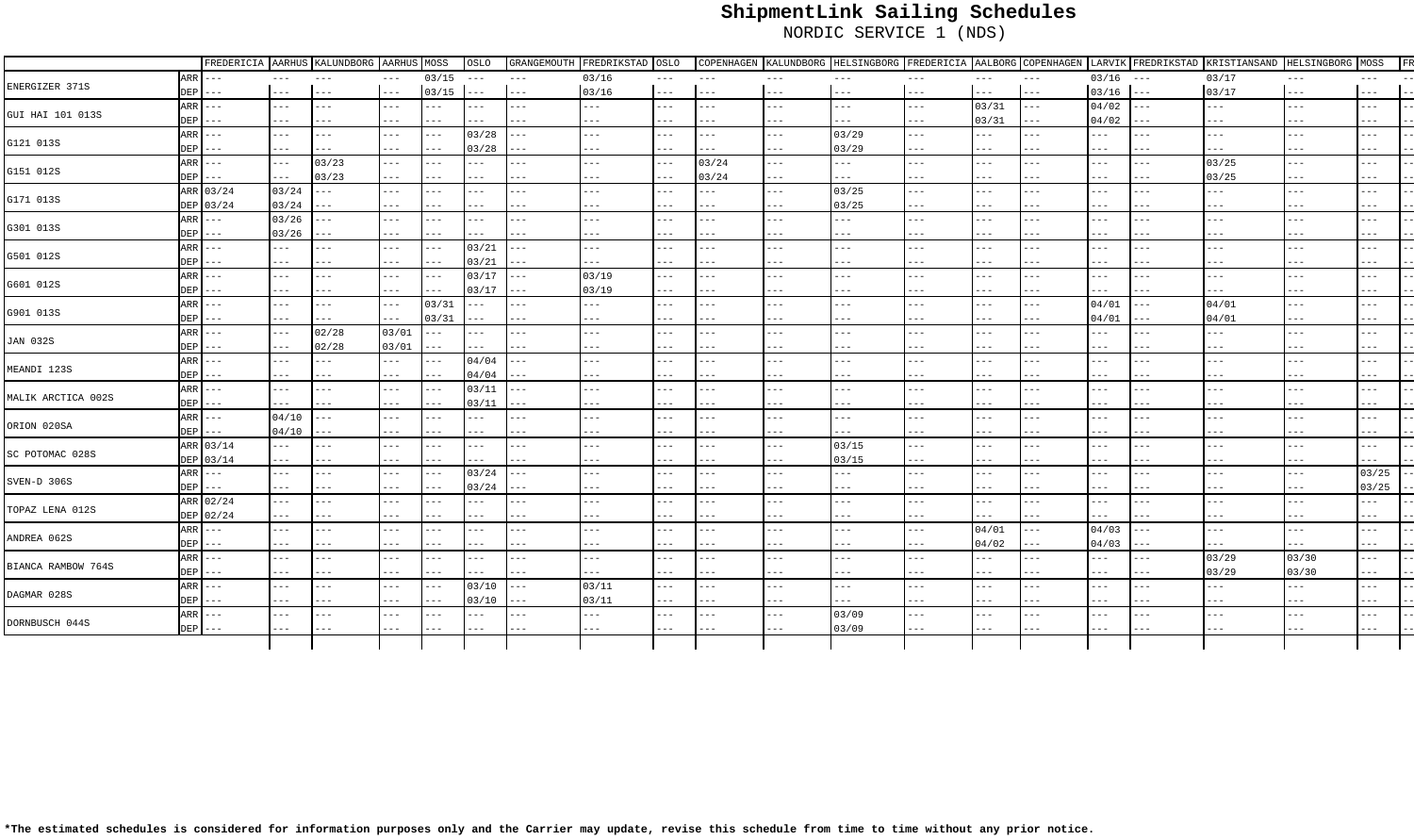|                    |                            | FREDERICIA                 |                              | AARHUS KALUNDBORG AARHUS                                                                                                                                                                                                                                                                                                                                                                              |                                                                                                                                                                                                                                                                                                                                                                                                         | MOSS              | OSLO             | GRANGEMOUTH        | FREDRIKSTAD OSLO   |                                                                                                                                                                                                                                                                                                                                                                                              | COPENHAGEN                   | <b>KALUNDBOR</b>   | HELSINGBORG      | FREDERICIA                                                                                                                                                                                                                                                                                                                                                                                              |                                                                                                                                                                                                                                                                                                                                                                                                                     | AALBORG COPENHAGEN           |                 | LARVIK FREDRIKSTAD           | KRISTIANSAND      | HELSINGBORG       | MOSS                        | $ $ FR |
|--------------------|----------------------------|----------------------------|------------------------------|-------------------------------------------------------------------------------------------------------------------------------------------------------------------------------------------------------------------------------------------------------------------------------------------------------------------------------------------------------------------------------------------------------|---------------------------------------------------------------------------------------------------------------------------------------------------------------------------------------------------------------------------------------------------------------------------------------------------------------------------------------------------------------------------------------------------------|-------------------|------------------|--------------------|--------------------|----------------------------------------------------------------------------------------------------------------------------------------------------------------------------------------------------------------------------------------------------------------------------------------------------------------------------------------------------------------------------------------------|------------------------------|--------------------|------------------|---------------------------------------------------------------------------------------------------------------------------------------------------------------------------------------------------------------------------------------------------------------------------------------------------------------------------------------------------------------------------------------------------------|---------------------------------------------------------------------------------------------------------------------------------------------------------------------------------------------------------------------------------------------------------------------------------------------------------------------------------------------------------------------------------------------------------------------|------------------------------|-----------------|------------------------------|-------------------|-------------------|-----------------------------|--------|
|                    | $ARR$ $---$                |                            | $\qquad \qquad - -$          | $- - -$                                                                                                                                                                                                                                                                                                                                                                                               | $\frac{1}{2} \frac{1}{2} \frac{1}{2} \frac{1}{2} \frac{1}{2} \frac{1}{2} \frac{1}{2} \frac{1}{2} \frac{1}{2} \frac{1}{2} \frac{1}{2} \frac{1}{2} \frac{1}{2} \frac{1}{2} \frac{1}{2} \frac{1}{2} \frac{1}{2} \frac{1}{2} \frac{1}{2} \frac{1}{2} \frac{1}{2} \frac{1}{2} \frac{1}{2} \frac{1}{2} \frac{1}{2} \frac{1}{2} \frac{1}{2} \frac{1}{2} \frac{1}{2} \frac{1}{2} \frac{1}{2} \frac{$            | 03/15             | $- - -$          | $- - -$            | 03/16              | $\frac{1}{2} \frac{1}{2} \frac{1}{2} \frac{1}{2} \frac{1}{2} \frac{1}{2} \frac{1}{2} \frac{1}{2} \frac{1}{2} \frac{1}{2} \frac{1}{2} \frac{1}{2} \frac{1}{2} \frac{1}{2} \frac{1}{2} \frac{1}{2} \frac{1}{2} \frac{1}{2} \frac{1}{2} \frac{1}{2} \frac{1}{2} \frac{1}{2} \frac{1}{2} \frac{1}{2} \frac{1}{2} \frac{1}{2} \frac{1}{2} \frac{1}{2} \frac{1}{2} \frac{1}{2} \frac{1}{2} \frac{$ | $---$                        | $---$              | $---$            | $---$                                                                                                                                                                                                                                                                                                                                                                                                   | $- - - -$                                                                                                                                                                                                                                                                                                                                                                                                           | $- - -$                      | $03/16$ ---     |                              | 03/17             | $---$             | $---$                       |        |
| ENERGIZER 371S     | $DEP$ $---$                |                            | $ -$                         | $---$                                                                                                                                                                                                                                                                                                                                                                                                 | $- - - -$                                                                                                                                                                                                                                                                                                                                                                                               | 03/15             | $- -$            | $---$              | 03/16              | $- -$                                                                                                                                                                                                                                                                                                                                                                                        | $\qquad \qquad - -$          | $---$              | $---$            | $---$                                                                                                                                                                                                                                                                                                                                                                                                   | $   \,$                                                                                                                                                                                                                                                                                                                                                                                                             | $---$                        | 03/16           | $---$                        | 03/17             | $---$             | $- - -$                     |        |
| GUI HAI 101 013S   | $ARR$ $---$<br>$DEP$ $---$ |                            | $- -$                        | $---$<br>$-- -$                                                                                                                                                                                                                                                                                                                                                                                       | $---$<br>$--$                                                                                                                                                                                                                                                                                                                                                                                           | $-- -$<br>$- -$   | $-- -$<br>$- -$  | $---$<br>$- -$     | $---$<br>$- -$     | $-- -$<br>$- -$                                                                                                                                                                                                                                                                                                                                                                              | $---$<br>$ -$                | $-- -$<br>$--$     | $---$<br>$--$    | $---$<br>$---$                                                                                                                                                                                                                                                                                                                                                                                          | 03/31<br>03/31                                                                                                                                                                                                                                                                                                                                                                                                      | $---$<br>$- -$               | 04/02<br>04/02  | $---$<br>$---$               | $-- -$<br>$--$    | $---$<br>$---$    | $-- -$<br>$ -$              |        |
| G121 013S          | $ARR$ $---$<br>$DEP$ $---$ |                            | $-- -$                       | $---$<br>$- -$                                                                                                                                                                                                                                                                                                                                                                                        | $---$<br>$---$                                                                                                                                                                                                                                                                                                                                                                                          | $---$<br>$- - -$  | 03/28<br>3/28    | $---$              | $---$<br>$- - -$   | $---$                                                                                                                                                                                                                                                                                                                                                                                        | $- - -$<br>$- - -$           | $---$<br>$- - -$   | 03/29<br>03/29   | $- - -$<br>$-- -$                                                                                                                                                                                                                                                                                                                                                                                       | $\qquad \qquad - -$<br>$---$                                                                                                                                                                                                                                                                                                                                                                                        | $---$<br>$-- -$              | $---$<br>$-- -$ | $---$<br>$- - -$             | $---$<br>$- -$    | $---$<br>$---$    | $---$<br>$- -$              |        |
| G151 012S          | $ARR$ ---                  | $DEP$ $---$                | $---$                        | 03/23<br>03/23                                                                                                                                                                                                                                                                                                                                                                                        | $\frac{1}{2} \frac{1}{2} \frac{1}{2} \frac{1}{2} \frac{1}{2} \frac{1}{2} \frac{1}{2} \frac{1}{2} \frac{1}{2} \frac{1}{2} \frac{1}{2} \frac{1}{2} \frac{1}{2} \frac{1}{2} \frac{1}{2} \frac{1}{2} \frac{1}{2} \frac{1}{2} \frac{1}{2} \frac{1}{2} \frac{1}{2} \frac{1}{2} \frac{1}{2} \frac{1}{2} \frac{1}{2} \frac{1}{2} \frac{1}{2} \frac{1}{2} \frac{1}{2} \frac{1}{2} \frac{1}{2} \frac{$<br>$- - -$ | $---$<br>$- -$    | $- -$<br>$- -$   | $- - -$<br>$- - -$ | $- -$<br>$- - -$   | $-- -$                                                                                                                                                                                                                                                                                                                                                                                       | 03/24<br>03/24               | $---$<br>$-- -$    | $-- -$<br>$- -$  | $\frac{1}{2} \frac{1}{2} \frac{1}{2} \frac{1}{2} \frac{1}{2} \frac{1}{2} \frac{1}{2} \frac{1}{2} \frac{1}{2} \frac{1}{2} \frac{1}{2} \frac{1}{2} \frac{1}{2} \frac{1}{2} \frac{1}{2} \frac{1}{2} \frac{1}{2} \frac{1}{2} \frac{1}{2} \frac{1}{2} \frac{1}{2} \frac{1}{2} \frac{1}{2} \frac{1}{2} \frac{1}{2} \frac{1}{2} \frac{1}{2} \frac{1}{2} \frac{1}{2} \frac{1}{2} \frac{1}{2} \frac{$<br>$- - -$ | $- - - -$<br>$---$                                                                                                                                                                                                                                                                                                                                                                                                  | $---$<br>$- -$               | $---$<br>$-- -$ | $---$<br>$- - -$             | 03/25<br>03/25    | $---$<br>$---$    | $---$<br>$- -$              |        |
| G171 013S          |                            | ARR 03/24<br>DEP 03/24     | 03/24<br>03/24               | $-- -$<br>$- -$                                                                                                                                                                                                                                                                                                                                                                                       | $---$<br>$- - -$                                                                                                                                                                                                                                                                                                                                                                                        | $---$<br>$- -$    | $- - -$          | $- - -$<br>$- -$   | $- - -$<br>$- - -$ | $- - -$                                                                                                                                                                                                                                                                                                                                                                                      | $---$<br>$--$                | $--$<br>$---$      | 03/25<br>03/25   | $   \,$<br>$---$                                                                                                                                                                                                                                                                                                                                                                                        | $\frac{1}{2} \frac{1}{2} \frac{1}{2} \frac{1}{2} \frac{1}{2} \frac{1}{2} \frac{1}{2} \frac{1}{2} \frac{1}{2} \frac{1}{2} \frac{1}{2} \frac{1}{2} \frac{1}{2} \frac{1}{2} \frac{1}{2} \frac{1}{2} \frac{1}{2} \frac{1}{2} \frac{1}{2} \frac{1}{2} \frac{1}{2} \frac{1}{2} \frac{1}{2} \frac{1}{2} \frac{1}{2} \frac{1}{2} \frac{1}{2} \frac{1}{2} \frac{1}{2} \frac{1}{2} \frac{1}{2} \frac{$<br>$\qquad \qquad - -$ | $---$<br>$- -$               | $---$<br>$---$  | $-- -$<br>$- - -$            | $---$<br>$---$    | $---$<br>$---$    | $---$<br>$- -$              |        |
| G301 013S          | $ARR$ $---$<br>$DEP$ $---$ |                            | 03/26<br>03/26               | $-- -$<br>$---$                                                                                                                                                                                                                                                                                                                                                                                       | $---$<br>$---$                                                                                                                                                                                                                                                                                                                                                                                          | $---$<br>$---$    | $- - -$<br>$--$  | $---$<br>$-- -$    | $-- -$<br>$-- -$   | $---$<br>$---$                                                                                                                                                                                                                                                                                                                                                                               | $---$<br>$---$               | $-- -$<br>$-- -$   | $-- -$<br>$-- -$ | $\qquad \qquad - -$<br>$---$                                                                                                                                                                                                                                                                                                                                                                            | $---$<br>$---$                                                                                                                                                                                                                                                                                                                                                                                                      | ---<br>$-- -$                | $---$<br>$---$  | $-- -$<br>$-- -$             | $-- -$<br>$-- -$  | $---$<br>$---$    | $-- -$<br>$\qquad \qquad -$ |        |
| G501 012S          | $ARR$ $---$<br>$DEP$ $---$ |                            | $- - -$<br>$\qquad \qquad -$ | $---$<br>$---$                                                                                                                                                                                                                                                                                                                                                                                        | $---$<br>$- - -$                                                                                                                                                                                                                                                                                                                                                                                        | $-- -$<br>$---$   | 03/21<br>03/21   | $- - -$            | $-- -$<br>$---$    | $--$<br>$---$                                                                                                                                                                                                                                                                                                                                                                                | $---$<br>$---$               | $-- -$<br>$---$    | $---$<br>$---$   | $   \,$<br>$- - -$                                                                                                                                                                                                                                                                                                                                                                                      | $\frac{1}{2} \frac{1}{2} \frac{1}{2} \frac{1}{2} \frac{1}{2} \frac{1}{2} \frac{1}{2} \frac{1}{2} \frac{1}{2} \frac{1}{2} \frac{1}{2} \frac{1}{2} \frac{1}{2} \frac{1}{2} \frac{1}{2} \frac{1}{2} \frac{1}{2} \frac{1}{2} \frac{1}{2} \frac{1}{2} \frac{1}{2} \frac{1}{2} \frac{1}{2} \frac{1}{2} \frac{1}{2} \frac{1}{2} \frac{1}{2} \frac{1}{2} \frac{1}{2} \frac{1}{2} \frac{1}{2} \frac{$<br>$\qquad \qquad - -$ | $-- -$<br>$---$              | $---$<br>$---$  | $-- -$<br>$-- -$             | $-- -$<br>$---$   | $---$<br>$---$    | $- - -$<br>$---$            |        |
| G601 012S          | $DEP$ $---$                | $ARR$ $---$                | $- -$                        | $---$<br>$---$                                                                                                                                                                                                                                                                                                                                                                                        | $-- -$<br>---                                                                                                                                                                                                                                                                                                                                                                                           | $-- -$<br>$- - -$ | 03/17<br>03/17   | $- - -$<br>$---$   | 03/19<br>03/19     | $--$<br>$-- -$                                                                                                                                                                                                                                                                                                                                                                               | $---$<br>$--$                | $-- -$<br>$--$     | $-- -$<br>$- -$  | $---$<br>$-- -$                                                                                                                                                                                                                                                                                                                                                                                         | $---$<br>$---$                                                                                                                                                                                                                                                                                                                                                                                                      | $-- -$<br>$- -$              | $---$<br>$-- -$ | $-- -$<br>$--$               | $-- -$<br>$--$    | $-- -$<br>$--$    | $-- -$<br>$- -$             |        |
| G901 013S          | $ARR$ $---$<br>$DEP$ $---$ |                            | $-- -$                       | $---$<br>$- -$                                                                                                                                                                                                                                                                                                                                                                                        | $---$<br>$- - -$                                                                                                                                                                                                                                                                                                                                                                                        | 03/31<br>03/31    | $- -$<br>$- -$   | $---$              | $-- -$<br>$- -$    | $--$<br>$\qquad \qquad -$                                                                                                                                                                                                                                                                                                                                                                    | $---$<br>$-1$                | $- - -$<br>$--$    | $---$<br>$- -$   | $- - - -$<br>$---$                                                                                                                                                                                                                                                                                                                                                                                      | $\frac{1}{2} \frac{1}{2} \frac{1}{2} \frac{1}{2} \frac{1}{2} \frac{1}{2} \frac{1}{2} \frac{1}{2} \frac{1}{2} \frac{1}{2} \frac{1}{2} \frac{1}{2} \frac{1}{2} \frac{1}{2} \frac{1}{2} \frac{1}{2} \frac{1}{2} \frac{1}{2} \frac{1}{2} \frac{1}{2} \frac{1}{2} \frac{1}{2} \frac{1}{2} \frac{1}{2} \frac{1}{2} \frac{1}{2} \frac{1}{2} \frac{1}{2} \frac{1}{2} \frac{1}{2} \frac{1}{2} \frac{$<br>$---$               | $---$<br>$-- -$              | 04/01<br>04/01  | $---$<br>$- - -$             | 04/01<br>04/01    | $---$<br>$---$    | $---$<br>$- -$              |        |
| JAN 032S           | $ARR$ $---$<br>$DEP$ $---$ |                            | $---$                        | 02/28<br>02/28                                                                                                                                                                                                                                                                                                                                                                                        | 03/01<br>03/01                                                                                                                                                                                                                                                                                                                                                                                          | $--$<br>$- - -$   | $---$<br>$- -$   | $---$              | $---$              | $---$                                                                                                                                                                                                                                                                                                                                                                                        | $---$                        | $---$<br>$- -$     | $---$<br>$- -$   | $---$<br>$- - -$                                                                                                                                                                                                                                                                                                                                                                                        | $- - -$<br>$--$                                                                                                                                                                                                                                                                                                                                                                                                     | $\qquad \qquad - -$<br>$- -$ | $---$<br>$-- -$ | $\qquad \qquad - -$<br>$- -$ | $---$<br>$--$     | $- - -$<br>$- -$  | $---$                       |        |
| MEANDI 123S        | $ARR$ $---$<br><b>DEP</b>  | $\qquad \qquad - -$        | $---$                        | $\frac{1}{2} \frac{1}{2} \frac{1}{2} \frac{1}{2} \frac{1}{2} \frac{1}{2} \frac{1}{2} \frac{1}{2} \frac{1}{2} \frac{1}{2} \frac{1}{2} \frac{1}{2} \frac{1}{2} \frac{1}{2} \frac{1}{2} \frac{1}{2} \frac{1}{2} \frac{1}{2} \frac{1}{2} \frac{1}{2} \frac{1}{2} \frac{1}{2} \frac{1}{2} \frac{1}{2} \frac{1}{2} \frac{1}{2} \frac{1}{2} \frac{1}{2} \frac{1}{2} \frac{1}{2} \frac{1}{2} \frac{$<br>$- -$ | $\frac{1}{2} \frac{1}{2} \frac{1}{2} \frac{1}{2} \frac{1}{2} \frac{1}{2} \frac{1}{2} \frac{1}{2} \frac{1}{2} \frac{1}{2} \frac{1}{2} \frac{1}{2} \frac{1}{2} \frac{1}{2} \frac{1}{2} \frac{1}{2} \frac{1}{2} \frac{1}{2} \frac{1}{2} \frac{1}{2} \frac{1}{2} \frac{1}{2} \frac{1}{2} \frac{1}{2} \frac{1}{2} \frac{1}{2} \frac{1}{2} \frac{1}{2} \frac{1}{2} \frac{1}{2} \frac{1}{2} \frac{$<br>$-- -$  | $---$<br>$- -$    | 04/04<br>14/04   |                    | $---$<br>$- -$     | $--$<br>$- -$                                                                                                                                                                                                                                                                                                                                                                                | $---$                        | $---$<br>$--$      | $---$<br>$- - -$ | $   \,$<br>$-- -$                                                                                                                                                                                                                                                                                                                                                                                       | $\frac{1}{2} \frac{1}{2} \frac{1}{2} \frac{1}{2} \frac{1}{2} \frac{1}{2} \frac{1}{2} \frac{1}{2} \frac{1}{2} \frac{1}{2} \frac{1}{2} \frac{1}{2} \frac{1}{2} \frac{1}{2} \frac{1}{2} \frac{1}{2} \frac{1}{2} \frac{1}{2} \frac{1}{2} \frac{1}{2} \frac{1}{2} \frac{1}{2} \frac{1}{2} \frac{1}{2} \frac{1}{2} \frac{1}{2} \frac{1}{2} \frac{1}{2} \frac{1}{2} \frac{1}{2} \frac{1}{2} \frac{$<br>$---$               | $---$<br>$- -$               | $---$<br>$-- -$ | $---$<br>$- -$               | $-- -$<br>$- -$   | $- - -$<br>$-- -$ | $-- -$<br>$- -$             |        |
| MALIK ARCTICA 002S |                            | $ARR$ $---$<br>$EPP$ $---$ | $---$                        | $- - -$<br>$- -$                                                                                                                                                                                                                                                                                                                                                                                      | $\frac{1}{2} \frac{1}{2} \frac{1}{2} \frac{1}{2} \frac{1}{2} \frac{1}{2} \frac{1}{2} \frac{1}{2} \frac{1}{2} \frac{1}{2} \frac{1}{2} \frac{1}{2} \frac{1}{2} \frac{1}{2} \frac{1}{2} \frac{1}{2} \frac{1}{2} \frac{1}{2} \frac{1}{2} \frac{1}{2} \frac{1}{2} \frac{1}{2} \frac{1}{2} \frac{1}{2} \frac{1}{2} \frac{1}{2} \frac{1}{2} \frac{1}{2} \frac{1}{2} \frac{1}{2} \frac{1}{2} \frac{$<br>$--$    | $---$<br>$-- -$   | 03/11<br>3/11    | $- - -$<br>$---$   | $---$              | $---$<br>$- -$                                                                                                                                                                                                                                                                                                                                                                               | $---$<br>$- -$               | $---$<br>$- -$     | $---$<br>$- -$   | $---$<br>$- - -$                                                                                                                                                                                                                                                                                                                                                                                        | $- - -$<br>$-- -$                                                                                                                                                                                                                                                                                                                                                                                                   | $- - -$<br>$- -$             | $---$<br>$-- -$ | $---$<br>$- - -$             | $---$<br>$- -$    | $- - -$<br>$--$   | $-- -$<br>$- -$             |        |
| ORION 020SA        | $ARR$ $---$                | $\angle$ EP $---$          | 04/10<br>04/10               | $- - -$<br>$- -$                                                                                                                                                                                                                                                                                                                                                                                      | $---$<br>$-- -$                                                                                                                                                                                                                                                                                                                                                                                         | $-- -$<br>$- -$   | $-- -$<br>$- -$  | $---$<br>$--$      | $-- -$<br>$- - -$  | $-- -$<br>$- -$                                                                                                                                                                                                                                                                                                                                                                              | $---$<br>$--$                | $-- -$<br>$--$     | $---$<br>$-- -$  | $   \,$<br>$---$                                                                                                                                                                                                                                                                                                                                                                                        | $   \,$<br>$---$                                                                                                                                                                                                                                                                                                                                                                                                    | $-- -$<br>$-- -$             | $---$<br>$-- -$ | $-- -$<br>$--$               | $-- -$<br>$- -$   | $---$<br>$-- -$   | $-- -$<br>$- -$             |        |
| SC POTOMAC 028S    |                            | ARR 03/14<br>DEP 03/14     | $---$<br>$- -$               | $- - -$<br>$- - -$                                                                                                                                                                                                                                                                                                                                                                                    | $---$<br>---                                                                                                                                                                                                                                                                                                                                                                                            | $-- -$<br>$- - -$ | $-- -$<br>$- -$  | $---$<br>$- - -$   | $---$<br>$- - -$   | $-- -$<br>$- -$                                                                                                                                                                                                                                                                                                                                                                              | $---$<br>$---$               | $---$<br>$--$      | 03/15<br>03/15   | $\qquad \qquad - -$<br>$---$                                                                                                                                                                                                                                                                                                                                                                            | $---$<br>$-- -$                                                                                                                                                                                                                                                                                                                                                                                                     | $- - -$<br>$-- -$            | $---$<br>$-- -$ | $---$<br>$- - -$             | $-- -$<br>$- -$   | $- - -$<br>$--$   | $-- -$<br>$- -$             |        |
| SVEN-D 306S        | $ARR$ $---$                | $DEP$ $---$                | $- - -$<br>$- -$             | $---$<br>$- - -$                                                                                                                                                                                                                                                                                                                                                                                      | $---$<br>$---$                                                                                                                                                                                                                                                                                                                                                                                          | $-- -$<br>$- -$   | 03/24<br>3/24    | $---$<br>$---$     | $---$<br>$- -$     | $---$<br>$-- -$                                                                                                                                                                                                                                                                                                                                                                              | $\qquad \qquad - -$<br>$---$ | $---$<br>$---$     | $---$<br>$-- -$  | $- - - -$<br>$---$                                                                                                                                                                                                                                                                                                                                                                                      | $---$<br>$---$                                                                                                                                                                                                                                                                                                                                                                                                      | $---$<br>$-- -$              | $---$<br>$---$  | $- - -$<br>$- - -$           | $---$<br>$-- -$   | $- - -$<br>$---$  | 03/25<br>03/25              |        |
| TOPAZ LENA 012S    |                            | ARR 02/24<br>DEP 02/24     | $- - -$<br>$- -$             | $---$<br>$---$                                                                                                                                                                                                                                                                                                                                                                                        | $---$<br>$- - -$                                                                                                                                                                                                                                                                                                                                                                                        | $- - -$<br>$- -$  | $- - -$<br>$- -$ | $---$<br>$- - -$   | $---$              | $---$<br>$- -$                                                                                                                                                                                                                                                                                                                                                                               | $---$<br>$- - -$             | $- - -$<br>$- - -$ | $---$<br>$- -$   | $   \,$<br>$---$                                                                                                                                                                                                                                                                                                                                                                                        | $---$<br>$- - -$                                                                                                                                                                                                                                                                                                                                                                                                    | $---$                        | $---$<br>$---$  | $---$<br>$- - -$             | $---$<br>$- -$    | $---$<br>$- -$    | $- - -$<br>$- -$            |        |
| ANDREA 062S        | $ARR$ $---$<br>$DEP$ $---$ |                            | $-- -$<br>- -                | $---$<br>$- - -$                                                                                                                                                                                                                                                                                                                                                                                      | $---$<br>$- - -$                                                                                                                                                                                                                                                                                                                                                                                        | $-- -$<br>$- -$   | $- - -$          | $---$<br>$- - -$   | $-- -$<br>$- - -$  | $---$<br>$- -$                                                                                                                                                                                                                                                                                                                                                                               | $---$<br>$- - -$             | $-- -$<br>$- - -$  | $---$<br>$- - -$ | $- - - -$<br>$---$                                                                                                                                                                                                                                                                                                                                                                                      | 04/01<br>04/02                                                                                                                                                                                                                                                                                                                                                                                                      | $- - -$<br>$- - -$           | 04/03<br>04/03  | $- - -$<br>$- - -$           | $-- -$<br>$- - -$ | $---$<br>$- - -$  | $---$<br>$- -$              |        |
| BIANCA RAMBOW 764S | $ARR$ $---$<br>$DEP$ $---$ |                            | $---$                        | $- - -$<br>$- - -$                                                                                                                                                                                                                                                                                                                                                                                    | $---$<br>$- - -$                                                                                                                                                                                                                                                                                                                                                                                        | $---$             | $-- -$           | $---$              | $---$<br>$- -$     | $-- -$<br>$- -$                                                                                                                                                                                                                                                                                                                                                                              | $---$<br>$- - -$             | $---$<br>$- - -$   | $---$<br>$- -$   | $---$<br>---                                                                                                                                                                                                                                                                                                                                                                                            | $\frac{1}{2} \frac{1}{2} \frac{1}{2} \frac{1}{2} \frac{1}{2} \frac{1}{2} \frac{1}{2} \frac{1}{2} \frac{1}{2} \frac{1}{2} \frac{1}{2} \frac{1}{2} \frac{1}{2} \frac{1}{2} \frac{1}{2} \frac{1}{2} \frac{1}{2} \frac{1}{2} \frac{1}{2} \frac{1}{2} \frac{1}{2} \frac{1}{2} \frac{1}{2} \frac{1}{2} \frac{1}{2} \frac{1}{2} \frac{1}{2} \frac{1}{2} \frac{1}{2} \frac{1}{2} \frac{1}{2} \frac{$<br>$- - -$             | $-- -$<br>$- - -$            | $---$<br>---    | $---$<br>$- - -$             | 03/29<br>03/29    | 03/30<br>03/30    | $---$<br>$- -$              |        |
| DAGMAR 028S        | $ARR$ $---$<br>$DEP$ $---$ |                            | $---$                        | $---$<br>$- - -$                                                                                                                                                                                                                                                                                                                                                                                      | $   \,$<br>$- - -$                                                                                                                                                                                                                                                                                                                                                                                      | $--$<br>$- -$     | 03/10<br>3/10    | $- - -$<br>$---$   | 03/11<br>03/11     | $- - -$<br>$- -$                                                                                                                                                                                                                                                                                                                                                                             | $- - - -$<br>$- - -$         | $---$<br>$- - -$   | $---$<br>$- -$   | $   \,$<br>$- - -$                                                                                                                                                                                                                                                                                                                                                                                      | $\frac{1}{2} \frac{1}{2} \frac{1}{2} \frac{1}{2} \frac{1}{2} \frac{1}{2} \frac{1}{2} \frac{1}{2} \frac{1}{2} \frac{1}{2} \frac{1}{2} \frac{1}{2} \frac{1}{2} \frac{1}{2} \frac{1}{2} \frac{1}{2} \frac{1}{2} \frac{1}{2} \frac{1}{2} \frac{1}{2} \frac{1}{2} \frac{1}{2} \frac{1}{2} \frac{1}{2} \frac{1}{2} \frac{1}{2} \frac{1}{2} \frac{1}{2} \frac{1}{2} \frac{1}{2} \frac{1}{2} \frac{$<br>$- - -$             | $---$<br>$- - -$             | $---$<br>$---$  | $- - -$<br>$- - -$           | $---$<br>$- -$    | $- - -$<br>$---$  | $---$                       |        |
| DORNBUSCH 044S     | $ARR$ $---$                | $DEP$ $---$                | $-- -$<br>$- -$              | $- - - -$<br>$- - -$                                                                                                                                                                                                                                                                                                                                                                                  | $\qquad \qquad - -$                                                                                                                                                                                                                                                                                                                                                                                     | $-- -$            | $- - -$          | $---$<br>$- - -$   | $---$              | ---                                                                                                                                                                                                                                                                                                                                                                                          | $---$<br>$---$               | $---$<br>$-- -$    | 03/09<br>03/09   | $---$<br>$- -$                                                                                                                                                                                                                                                                                                                                                                                          | $---$<br>$---$                                                                                                                                                                                                                                                                                                                                                                                                      | $---$<br>$--$                | $---$<br>$-- -$ | $- - - -$<br>$--$            | $---$<br>$-- -$   | $---$<br>$--$     | $---$<br>$- -$              |        |
|                    |                            |                            |                              |                                                                                                                                                                                                                                                                                                                                                                                                       |                                                                                                                                                                                                                                                                                                                                                                                                         |                   |                  |                    |                    |                                                                                                                                                                                                                                                                                                                                                                                              |                              |                    |                  |                                                                                                                                                                                                                                                                                                                                                                                                         |                                                                                                                                                                                                                                                                                                                                                                                                                     |                              |                 |                              |                   |                   |                             |        |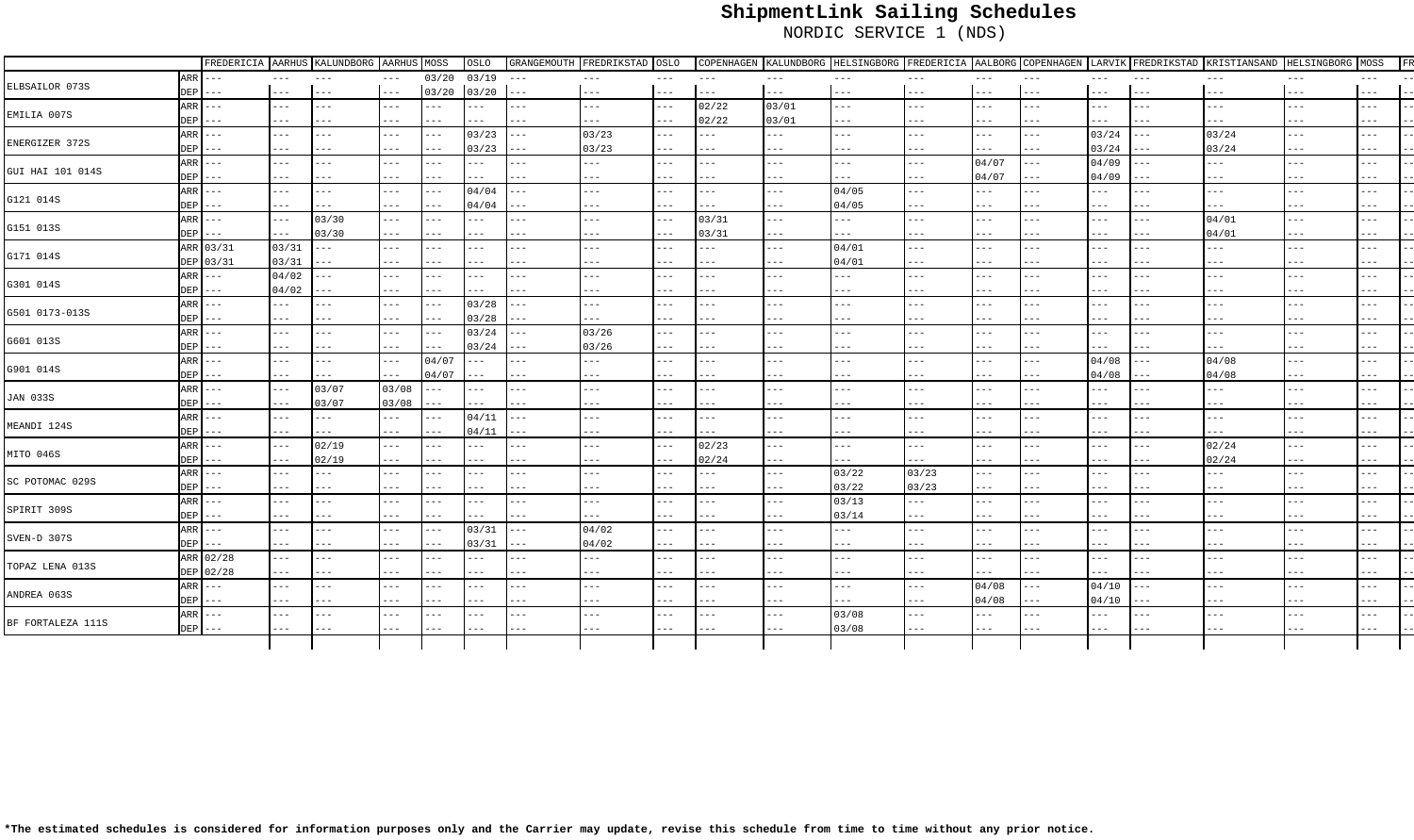|                   |                                      |                        |                    | FREDERICIA AARHUS KALUNDBORG | AARHUS MOSS                   |                    | OSLO                    | GRANGEMOUTH FREDRIKSTAD OSLO |                  |                     | COPENHAGEN        | KALUNDBORG                    | HELSINGBORG                                                                                                                                                                                                                                                                                                                                                                                           | FREDERICIA         |                     | AALBORG COPENHAGEN                                                                                                                                                                                                                                                                                                                                                                                        |                                                                                                                                                                                                                                                                                                                                                                                                        |                             | LARVIK FREDRIKSTAD KRISTIANSAND HELSINGBORG MOSS |                              |                   | FR |
|-------------------|--------------------------------------|------------------------|--------------------|------------------------------|-------------------------------|--------------------|-------------------------|------------------------------|------------------|---------------------|-------------------|-------------------------------|-------------------------------------------------------------------------------------------------------------------------------------------------------------------------------------------------------------------------------------------------------------------------------------------------------------------------------------------------------------------------------------------------------|--------------------|---------------------|-----------------------------------------------------------------------------------------------------------------------------------------------------------------------------------------------------------------------------------------------------------------------------------------------------------------------------------------------------------------------------------------------------------|--------------------------------------------------------------------------------------------------------------------------------------------------------------------------------------------------------------------------------------------------------------------------------------------------------------------------------------------------------------------------------------------------------|-----------------------------|--------------------------------------------------|------------------------------|-------------------|----|
|                   | <b>ARR</b>                           | $---$                  | $---$              | $- - -$                      | $- - -$                       |                    | 03/20 03/19             | $- - -$                      | $---$            | $---$               | $---$             | $- - -$                       | $- - -$                                                                                                                                                                                                                                                                                                                                                                                               | $- - -$            | $---$               | $- - -$                                                                                                                                                                                                                                                                                                                                                                                                   | $---$                                                                                                                                                                                                                                                                                                                                                                                                  | $- - -$                     | $\qquad \qquad - -$                              | $- - - -$                    | $- - -$           |    |
| ELBSAILOR 073S    | $DEF$ $---$                          |                        | $-- -$             | $---$                        | $- - -$                       |                    | $03/20$ $03/20$ $---$   |                              | $   \,$          | $---$               | $---$             | $- - -$                       | $---$                                                                                                                                                                                                                                                                                                                                                                                                 | $- - - -$          | $---$               | $---$                                                                                                                                                                                                                                                                                                                                                                                                     | $- - -$                                                                                                                                                                                                                                                                                                                                                                                                | $---$                       | $---$                                            | $\qquad \qquad - -$          | $--$              |    |
| EMILIA 007S       | ARR <sup>I</sup><br>DEP <sup>I</sup> | $- - - -$<br>$- - -$   | $- - -$<br>$- - -$ | $---$<br>$- - -$             | $---$<br>$- - -$              | $- - -$            | $-- -$<br>$- - -$       | $---$                        | ---<br>$- - -$   | $-- -$              | 02/22<br>02/22    | 03/01<br>03/01                | $---$                                                                                                                                                                                                                                                                                                                                                                                                 | $- - -$<br>$-- -$  | $- - -$             | $\frac{1}{2} \frac{1}{2} \frac{1}{2} \frac{1}{2} \frac{1}{2} \frac{1}{2} \frac{1}{2} \frac{1}{2} \frac{1}{2} \frac{1}{2} \frac{1}{2} \frac{1}{2} \frac{1}{2} \frac{1}{2} \frac{1}{2} \frac{1}{2} \frac{1}{2} \frac{1}{2} \frac{1}{2} \frac{1}{2} \frac{1}{2} \frac{1}{2} \frac{1}{2} \frac{1}{2} \frac{1}{2} \frac{1}{2} \frac{1}{2} \frac{1}{2} \frac{1}{2} \frac{1}{2} \frac{1}{2} \frac{$<br>$- - - -$ | $---$<br>———                                                                                                                                                                                                                                                                                                                                                                                           | $- - -$<br>$- - -$          | $- - -$<br>$- - -$                               | $- -$<br>---                 | $- - -$<br>$- -$  |    |
| ENERGIZER 372S    | $ARR$ ---<br>$DEF$ $---$             |                        | $---$<br>$- - -$   | $---$<br>$- - -$             | $---$<br>---                  | $- - -$<br>$- - -$ | 03/23<br>03/23          | $-- -$<br>$- - -$            | 03/23<br>03/23   | $--$<br>$- - -$     | $-- -$<br>$- - -$ | $---$<br>$---$                | $---$<br>$---$                                                                                                                                                                                                                                                                                                                                                                                        | $---$<br>$-- -$    | $---$<br>$- - -$    | $\frac{1}{2} \frac{1}{2} \frac{1}{2} \frac{1}{2} \frac{1}{2} \frac{1}{2} \frac{1}{2} \frac{1}{2} \frac{1}{2} \frac{1}{2} \frac{1}{2} \frac{1}{2} \frac{1}{2} \frac{1}{2} \frac{1}{2} \frac{1}{2} \frac{1}{2} \frac{1}{2} \frac{1}{2} \frac{1}{2} \frac{1}{2} \frac{1}{2} \frac{1}{2} \frac{1}{2} \frac{1}{2} \frac{1}{2} \frac{1}{2} \frac{1}{2} \frac{1}{2} \frac{1}{2} \frac{1}{2} \frac{$<br>$---$     | 03/24<br>03/24                                                                                                                                                                                                                                                                                                                                                                                         | $---$<br>$-- -$             | 03/24<br>03/24                                   | $---$<br>$\qquad \qquad - -$ | $---$<br>$-- -$   |    |
| GUI HAI 101 014S  | $ARR$ $---$<br><b>DEP</b>            | $---$                  | $- - -$<br>$- -$   | $ -$<br>$---$                | $---$<br>$-- -$               | $-- -$             | $\qquad \qquad - -$     | $- - -$                      | $---$<br>$- -$   | $---$               | $---$<br>$- -$    | $---$<br>$-- -$               | $---$<br>$-- -$                                                                                                                                                                                                                                                                                                                                                                                       | $---$<br>$- - -$   | 04/07<br>04/07      | $---$<br>$---$                                                                                                                                                                                                                                                                                                                                                                                            | 04/09<br>04/09                                                                                                                                                                                                                                                                                                                                                                                         | $---$<br>$- - -$            | $---$<br>$-- -$                                  | $---$<br>---                 | $--$<br>$- -$     |    |
| G121 014S         | $ARR$ ---<br><b>DEP</b>              | $---$                  | $--$<br>$- -$      | $---$<br>$-- -$              | $---$<br>$-- -$               | $-- -$             | 04/04<br>04/04          | $- - -$                      | $---$<br>$- - -$ | $---$               | $---$             | $\qquad \qquad - -$<br>$---$  | 04/05<br>04/05                                                                                                                                                                                                                                                                                                                                                                                        | $---$<br>$- - -$   | $---$<br>$- -$      | $\frac{1}{2} \frac{1}{2} \frac{1}{2} \frac{1}{2} \frac{1}{2} \frac{1}{2} \frac{1}{2} \frac{1}{2} \frac{1}{2} \frac{1}{2} \frac{1}{2} \frac{1}{2} \frac{1}{2} \frac{1}{2} \frac{1}{2} \frac{1}{2} \frac{1}{2} \frac{1}{2} \frac{1}{2} \frac{1}{2} \frac{1}{2} \frac{1}{2} \frac{1}{2} \frac{1}{2} \frac{1}{2} \frac{1}{2} \frac{1}{2} \frac{1}{2} \frac{1}{2} \frac{1}{2} \frac{1}{2} \frac{$<br>$---$     | $---$<br>$-- -$                                                                                                                                                                                                                                                                                                                                                                                        | $-- -$<br>$- - -$           | $---$<br>$- -$                                   | $---$<br>$-- -$              | $---$<br>$- -$    |    |
| G151 013S         | $ARR$ $---$<br>DEP                   | $- - -$                | $-- -$<br>$- -$    | 03/30<br>03/30               | $---$<br>$- - -$              | $-- -$             | $---$<br>$- - -$        | $- - -$<br>$- -$             | $---$<br>$- - -$ | $---$               | 03/31<br>03/31    | $---$<br>$--$                 | $- - -$<br>$---$                                                                                                                                                                                                                                                                                                                                                                                      | $---$<br>$- -$     | $-- -$              | $---$<br>$---$                                                                                                                                                                                                                                                                                                                                                                                            | $- - -$<br>$---$                                                                                                                                                                                                                                                                                                                                                                                       | $---$<br>$- - -$            | 04/01<br>04/01                                   | $---$<br>$-- -$              | $--$<br>$- -$     |    |
| G171 014S         |                                      | ARR 03/31<br>DEP 03/31 | 03/31<br>03/31     | $---$<br>$- - -$             | $---$<br>$- - -$              | $-- -$<br>$- -$    | $---$                   | $---$<br>$- -$               | $---$<br>$- -$   | $---$               | $-- -$<br>$- -$   | $- - -$<br>$---$              | 04/01<br>04/01                                                                                                                                                                                                                                                                                                                                                                                        | $---$<br>$-- -$    | $---$<br>$- - -$    | $- - - -$<br>$---$                                                                                                                                                                                                                                                                                                                                                                                        | $---$<br>$-- -$                                                                                                                                                                                                                                                                                                                                                                                        | $---$<br>$- - -$            | $---$<br>$- - -$                                 | $---$<br>$-- -$              | $--$<br>$- - -$   |    |
| G301 014S         | $ARR$ ---<br>DEP                     | $- - -$                | 04/02<br>04/02     | $1 - - -$<br>$-- -$          | $- - -$<br>$- - -$            | $-- -$             | $- - -$                 | $---$                        | $---$<br>$- -$   | $---$               | $---$<br>$- -$    | $---$<br>$--$                 | $\frac{1}{2} \frac{1}{2} \frac{1}{2} \frac{1}{2} \frac{1}{2} \frac{1}{2} \frac{1}{2} \frac{1}{2} \frac{1}{2} \frac{1}{2} \frac{1}{2} \frac{1}{2} \frac{1}{2} \frac{1}{2} \frac{1}{2} \frac{1}{2} \frac{1}{2} \frac{1}{2} \frac{1}{2} \frac{1}{2} \frac{1}{2} \frac{1}{2} \frac{1}{2} \frac{1}{2} \frac{1}{2} \frac{1}{2} \frac{1}{2} \frac{1}{2} \frac{1}{2} \frac{1}{2} \frac{1}{2} \frac{$<br>$---$ | $---$<br>$- - -$   | $---$               | $- - - -$<br>$---$                                                                                                                                                                                                                                                                                                                                                                                        | $---$<br>$-- -$                                                                                                                                                                                                                                                                                                                                                                                        | $-- -$<br>$- - -$           | $---$<br>$- -$                                   | $---$<br>$- - -$             | $--$<br>$- -$     |    |
| G501 0173-013S    | $ARR$ $---$<br><b>DEP</b>            | $- - -$                | $--$<br>$- -$      | $ -$<br>$---$                | $---$<br>$-- -$               | $-- -$<br>$- - -$  | 03/28<br>03/28          | $- - -$                      | $---$<br>$- - -$ | $---$               | $---$<br>$--$     | $---$<br>$-- -$               | $- - -$<br>$---$                                                                                                                                                                                                                                                                                                                                                                                      | $---$<br>$---$     | $---$<br>$-- -$     | $- - - -$<br>$---$                                                                                                                                                                                                                                                                                                                                                                                        | $---$<br>$---$                                                                                                                                                                                                                                                                                                                                                                                         | $-- -$<br>$-- -$            | $---$<br>$-- -$                                  | $---$<br>$-- -$              | $--$<br>$- - -$   |    |
| G601 013S         | $ARR$ $---$<br>DEP                   | $-- -$                 | $- - -$<br>$- -$   | $ -$<br>$---$                | $-- -$<br>$-- -$              | $-- -$<br>$- - -$  | 03/24<br>03/24          | $-- -$<br>$- - -$            | 03/26<br>03/26   | $- - -$<br>$-- -$   | $- - -$<br>$-- -$ | $---$<br>$-- -$               | $---$<br>$---$                                                                                                                                                                                                                                                                                                                                                                                        | $---$<br>$- - -$   | $- - -$<br>$- - -$  | $---$<br>$---$                                                                                                                                                                                                                                                                                                                                                                                            | $---$<br>$---$                                                                                                                                                                                                                                                                                                                                                                                         | $-- -$<br>$- - -$           | $-- -$<br>$- - -$                                | $-- -$<br>$-- -$             | $- - -$<br>$- -$  |    |
| G901 014S         | $ARR$ $---$<br><b>DEP</b>            | $- - -$                | $-- -$<br>$- -$    | $---$<br>$---$               | $---$<br>$---$                | 04/07<br>04/07     | $- - -$<br>$- -$        | $- - -$<br>$-- -$            | $---$<br>$- -$   | $---$<br>$- -$      | $- - -$<br>$---$  | $---$<br>$---$                | $---$<br>$---$                                                                                                                                                                                                                                                                                                                                                                                        | $---$<br>$---$     | $---$<br>$- - -$    | $---$<br>$---$                                                                                                                                                                                                                                                                                                                                                                                            | 04/08<br>04/08                                                                                                                                                                                                                                                                                                                                                                                         | $---$<br>$-- -$             | 04/08<br>04/08                                   | $---$<br>$---$               | $---$<br>$---$    |    |
| JAN 033S          | $ARR$ $---$<br><b>DEP</b>            | $-- -$                 | $---$<br>$- -$     | 03/07<br>03/07               | 03/08<br>03/08                | $-- -$             | $- - -$<br>$-- -$       | $- - -$                      | $---$<br>$- -$   | $---$<br>$- - -$    | $---$<br>$-- -$   | $---$<br>$- - -$              | $---$<br>---                                                                                                                                                                                                                                                                                                                                                                                          | $---$<br>$-- -$    | $-- -$<br>$- - -$   | $---$<br>$---$                                                                                                                                                                                                                                                                                                                                                                                            | $- - -$<br>$---$                                                                                                                                                                                                                                                                                                                                                                                       | $-- -$<br>$- - -$           | $---$<br>$-- -$                                  | $---$<br>$- - -$             | $-- -$<br>$- -$   |    |
| MEANDI 124S       | $ARR$ ---<br>DEP <sup>I</sup>        |                        | $-- -$             | $---$                        | $---$<br>$-- -$               | $-- -$<br>$- -$    | 04/11<br>04/11          | $---$                        | $---$<br>$- -$   | $---$               | $-- -$            | $---$<br>$--$                 | $\frac{1}{2} \frac{1}{2} \frac{1}{2} \frac{1}{2} \frac{1}{2} \frac{1}{2} \frac{1}{2} \frac{1}{2} \frac{1}{2} \frac{1}{2} \frac{1}{2} \frac{1}{2} \frac{1}{2} \frac{1}{2} \frac{1}{2} \frac{1}{2} \frac{1}{2} \frac{1}{2} \frac{1}{2} \frac{1}{2} \frac{1}{2} \frac{1}{2} \frac{1}{2} \frac{1}{2} \frac{1}{2} \frac{1}{2} \frac{1}{2} \frac{1}{2} \frac{1}{2} \frac{1}{2} \frac{1}{2} \frac{$<br>$---$ | $---$<br>$- - -$   | $---$<br>$- - -$    | $- - - -$<br>$- - - -$                                                                                                                                                                                                                                                                                                                                                                                    | $---$<br>$-- -$                                                                                                                                                                                                                                                                                                                                                                                        | $---$<br>$- -$              | $---$<br>$-- -$                                  | $---$<br>$- -$               | $---$<br>$- -$    |    |
| MITO 046S         | $ARR$ $---$<br><b>DEP</b>            |                        | $---$              | 02/19<br>02/19               | $-- -$<br>$- - -$             | $-- -$             | $\frac{1}{2}$<br>$-- -$ | $- - -$                      | $---$<br>$-- -$  | $\qquad \qquad - -$ | 02/23<br>02/24    | $---$<br>$-- -$               | $\qquad \qquad - -$<br>$---$                                                                                                                                                                                                                                                                                                                                                                          | $---$              | $-- -$              | $- - - -$<br>$---$                                                                                                                                                                                                                                                                                                                                                                                        | $\frac{1}{2} \frac{1}{2} \frac{1}{2} \frac{1}{2} \frac{1}{2} \frac{1}{2} \frac{1}{2} \frac{1}{2} \frac{1}{2} \frac{1}{2} \frac{1}{2} \frac{1}{2} \frac{1}{2} \frac{1}{2} \frac{1}{2} \frac{1}{2} \frac{1}{2} \frac{1}{2} \frac{1}{2} \frac{1}{2} \frac{1}{2} \frac{1}{2} \frac{1}{2} \frac{1}{2} \frac{1}{2} \frac{1}{2} \frac{1}{2} \frac{1}{2} \frac{1}{2} \frac{1}{2} \frac{1}{2} \frac{$<br>$-- -$ | $---$<br>$-- -$             | 02/24<br>02/24                                   | $---$<br>$-- -$              | $--$<br>$- -$     |    |
| SC POTOMAC 029S   | $ARR$ ---<br><b>DEP</b>              | $- -$                  | $-- -$<br>$- -$    | $---$<br>$---$               | $---$<br>$-- -$               | $-- -$             | $\frac{1}{2}$           | $-- -$                       | $-- -$<br>$-- -$ | $---$               | $-- -$<br>$- -$   | $\qquad \qquad - -$<br>$---$  | 03/22<br>03/22                                                                                                                                                                                                                                                                                                                                                                                        | 03/23<br>03/23     | $---$<br>$-- -$     | $- - - -$<br>$---$                                                                                                                                                                                                                                                                                                                                                                                        | $---$<br>$---$                                                                                                                                                                                                                                                                                                                                                                                         | $-- -$<br>$ -$              | $---$<br>$---$                                   | $---$<br>$---$               | $--$<br>$---$     |    |
| SPIRIT 309S       | $ARR$ ---                            | $- -$                  | $-- -$<br>$- -$    | $---$<br>$- - -$             | $---$<br>$- - -$              | $-- -$             | $\qquad \qquad - -$     | $-- -$                       | $---$            | $---$               | $-- -$<br>$- -$   | $---$<br>$---$                | 03/13<br>03/14                                                                                                                                                                                                                                                                                                                                                                                        | $---$<br>$---$     | $-- -$              | $---$<br>$---$                                                                                                                                                                                                                                                                                                                                                                                            | $---$<br>$-- -$                                                                                                                                                                                                                                                                                                                                                                                        | $-- -$<br>$-- -$            | $-- -$<br>$-- -$                                 | $---$<br>$-- -$              | $-- -$<br>$- -$   |    |
| SVEN-D 307S       | $ARR$ $---$                          |                        | $-- -$<br>$- -$    | $---$<br>$- - -$             | $---$<br>$-- -$               | $-- -$<br>$- -$    | 03/31<br>03/31          | $---$<br>$ -$                | 04/02<br>04/02   | $---$<br>$- -$      | $---$<br>$- -$    | $---$<br>$-- -$               | $\qquad \qquad - -$<br>$-- -$                                                                                                                                                                                                                                                                                                                                                                         | $---$<br>$- - -$   | $---$<br>$- - -$    | $---$<br>$---$                                                                                                                                                                                                                                                                                                                                                                                            | $---$<br>$-- -$                                                                                                                                                                                                                                                                                                                                                                                        | $-- -$<br>$\qquad \qquad -$ | $---$<br>$-- -$                                  | $---$<br>$---$               | $---$<br>$- -$    |    |
| TOPAZ LENA 013S   |                                      | ARR 02/28<br>DEP 02/28 | $-- -$<br>$- -$    | $---$<br>$- - -$             | $- - -$<br>$- - -$            | $---$              | $- - -$<br>$- - -$      | $-- -$<br>$- -$              | $---$<br>$- -$   | $---$               | $---$<br>$- -$    | $- - -$<br>$--$               | $- - -$<br>$-- -$                                                                                                                                                                                                                                                                                                                                                                                     | $- - - -$<br>$- -$ | $\qquad \qquad - -$ | $- - - -$<br>$---$                                                                                                                                                                                                                                                                                                                                                                                        | $\frac{1}{2} \frac{1}{2} \frac{1}{2} \frac{1}{2} \frac{1}{2} \frac{1}{2} \frac{1}{2} \frac{1}{2} \frac{1}{2} \frac{1}{2} \frac{1}{2} \frac{1}{2} \frac{1}{2} \frac{1}{2} \frac{1}{2} \frac{1}{2} \frac{1}{2} \frac{1}{2} \frac{1}{2} \frac{1}{2} \frac{1}{2} \frac{1}{2} \frac{1}{2} \frac{1}{2} \frac{1}{2} \frac{1}{2} \frac{1}{2} \frac{1}{2} \frac{1}{2} \frac{1}{2} \frac{1}{2} \frac{$<br>$-- -$ | $---$<br>$\qquad \qquad -$  | $---$<br>$-- -$                                  | $- - -$<br>$--$              | $-- -$<br>$- -$   |    |
| ANDREA 063S       | $ARR$ $---$<br>DEP                   | $-- -$                 | $-- -$<br>$- - -$  | $---$<br>$- - -$             | $\qquad \qquad - -$<br>$-- -$ | $---$<br>$- -$     | $- - -$<br>$- - -$      | $---$<br>$-- -$              | $---$<br>$- -$   | $---$<br>$-- -$     | $-- -$<br>$---$   | $\qquad \qquad - -$<br>$-- -$ | $---$<br>$---$                                                                                                                                                                                                                                                                                                                                                                                        | $   \,$<br>$-- -$  | 04/08<br>04/08      | $   \,$<br>$- - -$                                                                                                                                                                                                                                                                                                                                                                                        | 04/10<br>04/10                                                                                                                                                                                                                                                                                                                                                                                         | $---$<br>$-- -$             | $---$<br>$-- -$                                  | $---$<br>$-- -$              | $-- -$<br>$- - -$ |    |
| BF FORTALEZA 111S | $ARR$ ---<br>$DEP$ $---$             |                        | $- - -$<br>$---$   | $---$<br>$---$               | $-- -$<br>$- - -$             | $-- -$             | $---$                   | $-- -$<br>$-- -$             | $---$<br>$- -$   | $---$<br>$- - -$    | $-- -$<br>$---$   | $---$<br>$---$                | 03/08<br>03/08                                                                                                                                                                                                                                                                                                                                                                                        | $---$<br>$- -$     | $-- -$<br>$- - -$   | $---$<br>$- - - -$                                                                                                                                                                                                                                                                                                                                                                                        | $---$<br>$-- -$                                                                                                                                                                                                                                                                                                                                                                                        | $-- -$<br>$-- -$            | $-- -$<br>$---$                                  | $---$<br>$---$               | $---$<br>$-- -$   |    |
|                   |                                      |                        |                    |                              |                               |                    |                         |                              |                  |                     |                   |                               |                                                                                                                                                                                                                                                                                                                                                                                                       |                    |                     |                                                                                                                                                                                                                                                                                                                                                                                                           |                                                                                                                                                                                                                                                                                                                                                                                                        |                             |                                                  |                              |                   |    |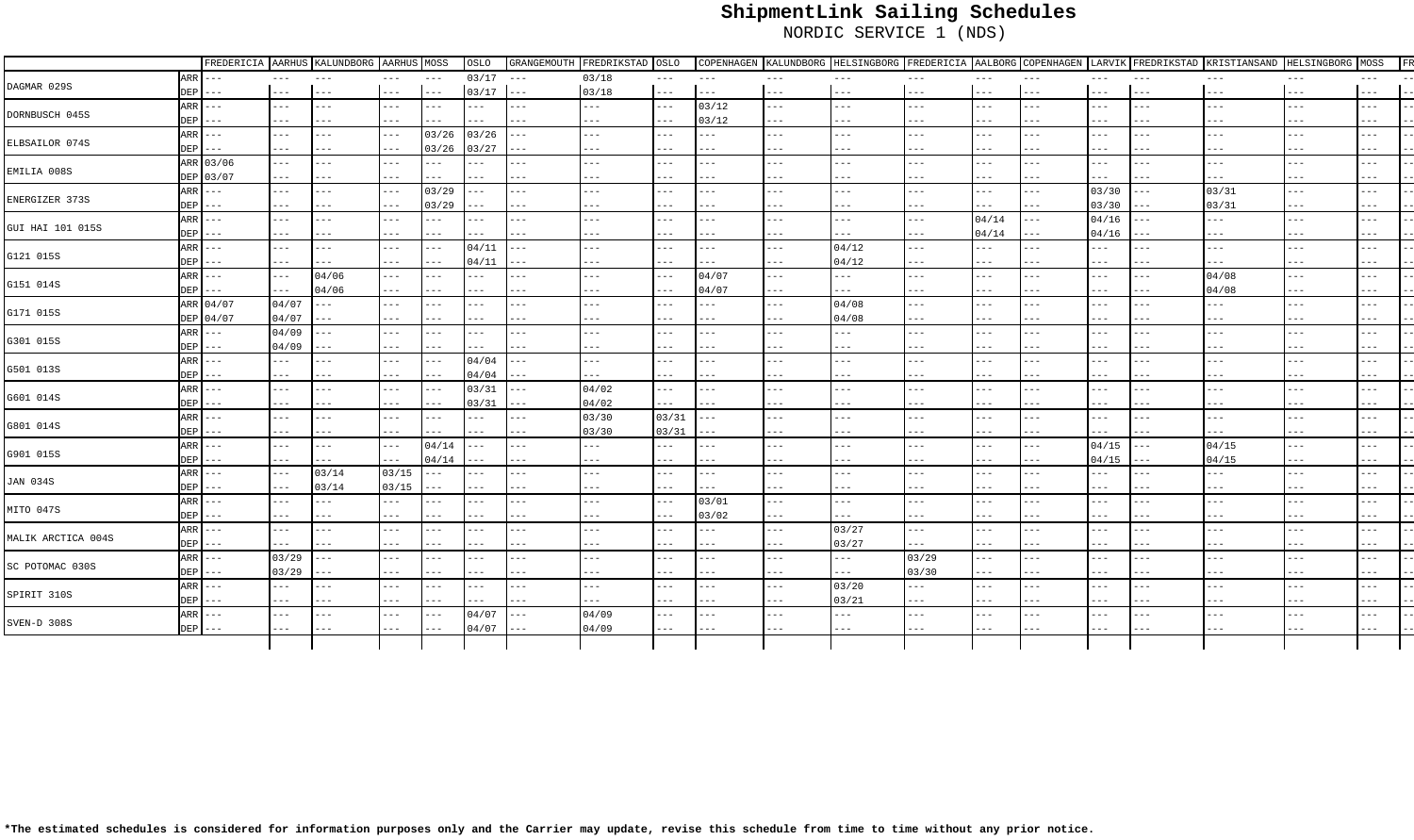|                    |                            |                        |                 | FREDERICIA AARHUS KALUNDBORG AARHUS                                                                                                                                                                                                                                                                                                                                                          |                                                                                                                                                                                                                                                                                                                                                                                              | MOSS              | OSLO            | GRANGEMOUTH        | FREDRIKSTAD OSLO   |                 | COPENHAGEN KALUNDBOF |                  | <b>HELSINGBOR</b> | FREDERICIA                                                                                                                                                                                                                                                                                                                                                                                   |                                                                                                                                                                                                                                                                                                                                                                                                         | AALBORG COPENHAGEN |                  |                                | LARVIK FREDRIKSTAD KRISTIANSAND | HELSINGBORG        | MOSS             | FF |
|--------------------|----------------------------|------------------------|-----------------|----------------------------------------------------------------------------------------------------------------------------------------------------------------------------------------------------------------------------------------------------------------------------------------------------------------------------------------------------------------------------------------------|----------------------------------------------------------------------------------------------------------------------------------------------------------------------------------------------------------------------------------------------------------------------------------------------------------------------------------------------------------------------------------------------|-------------------|-----------------|--------------------|--------------------|-----------------|----------------------|------------------|-------------------|----------------------------------------------------------------------------------------------------------------------------------------------------------------------------------------------------------------------------------------------------------------------------------------------------------------------------------------------------------------------------------------------|---------------------------------------------------------------------------------------------------------------------------------------------------------------------------------------------------------------------------------------------------------------------------------------------------------------------------------------------------------------------------------------------------------|--------------------|------------------|--------------------------------|---------------------------------|--------------------|------------------|----|
|                    | $ARR$ ---                  |                        | $\frac{1}{2}$   | $- - -$                                                                                                                                                                                                                                                                                                                                                                                      | $- - -$                                                                                                                                                                                                                                                                                                                                                                                      | $  -$             | $03/17$ ---     |                    | 03/18              | $---$           | $- - -$              | $---$            | $- - -$           | $- - -$                                                                                                                                                                                                                                                                                                                                                                                      | $- - -$                                                                                                                                                                                                                                                                                                                                                                                                 | $- - -$            | $---$            | $- - -$                        | $- - -$                         | $- - - -$          | $- - -$          |    |
| DAGMAR 029S        | $DEP$ $---$                |                        | $-- -$          | $---$                                                                                                                                                                                                                                                                                                                                                                                        | $\frac{1}{2} \frac{1}{2} \frac{1}{2} \frac{1}{2} \frac{1}{2} \frac{1}{2} \frac{1}{2} \frac{1}{2} \frac{1}{2} \frac{1}{2} \frac{1}{2} \frac{1}{2} \frac{1}{2} \frac{1}{2} \frac{1}{2} \frac{1}{2} \frac{1}{2} \frac{1}{2} \frac{1}{2} \frac{1}{2} \frac{1}{2} \frac{1}{2} \frac{1}{2} \frac{1}{2} \frac{1}{2} \frac{1}{2} \frac{1}{2} \frac{1}{2} \frac{1}{2} \frac{1}{2} \frac{1}{2} \frac{$ | $---$             | $03/17$ $---$   |                    | 03/18              | $- - -$         | $- - -$              | $---$            | $- - -$           | $- - -$                                                                                                                                                                                                                                                                                                                                                                                      | $---$                                                                                                                                                                                                                                                                                                                                                                                                   | $---$              | $---$            | $---$                          | $-- -$                          | $---$              | $---$            |    |
| DORNBUSCH 045S     | $ARR$ $---$<br>$DEP$ $---$ |                        | $- -$           | $-- -$<br>$-- -$                                                                                                                                                                                                                                                                                                                                                                             | $---$<br>$---$                                                                                                                                                                                                                                                                                                                                                                               | $- -$             | $- -$<br>$- -$  | $- - -$<br>$- - -$ | $- - -$<br>$- - -$ | $- -$           | 03/12<br>03/12       | $- - -$<br>$--$  | $- - -$<br>$- -$  | $-- -$<br>$---$                                                                                                                                                                                                                                                                                                                                                                              | $---$<br>$- - -$                                                                                                                                                                                                                                                                                                                                                                                        | $- -$              | $---$<br>$-- -$  | $- - -$<br>$- - -$             | $- -$<br>$- -$                  | $- -$<br>$---$     | $- - -$<br>$- -$ |    |
| ELBSAILOR 074S     | $ARR$ $---$                |                        | $-- -$          | $---$                                                                                                                                                                                                                                                                                                                                                                                        | $---$                                                                                                                                                                                                                                                                                                                                                                                        | 03/26             | 03/26           | $- - -$            | $-- -$             | $--$            | $---$                | $-- -$           | $-- -$            | $---$                                                                                                                                                                                                                                                                                                                                                                                        | $---$                                                                                                                                                                                                                                                                                                                                                                                                   | $- - -$            | $---$            | $- - -$                        | $-- -$                          | $---$              | $- - -$          |    |
|                    | $DEP$ $---$                |                        |                 | $---$                                                                                                                                                                                                                                                                                                                                                                                        | $---$                                                                                                                                                                                                                                                                                                                                                                                        | 03/26             | 3/27            | $- - -$            | $- -$              |                 | $- -$                | $--$             | $-- -$            | $---$                                                                                                                                                                                                                                                                                                                                                                                        | $---$                                                                                                                                                                                                                                                                                                                                                                                                   | $- - -$            | $-- -$           | $- - -$                        | $- -$                           | $-- -$             | $- -$            |    |
| EMILIA 008S        |                            | ARR 03/06<br>DEP 03/07 | $-- -$<br>$- -$ | $---$<br>$---$                                                                                                                                                                                                                                                                                                                                                                               | $---$<br>$- - -$                                                                                                                                                                                                                                                                                                                                                                             | $--$<br>$- - -$   | $-- -$<br>$- -$ | $---$<br>$- - -$   | $-- -$<br>$- - -$  | $-- -$<br>$- -$ | $---$<br>$- - -$     | $---$<br>$- - -$ | $-- -$<br>$- -$   | $---$<br>$---$                                                                                                                                                                                                                                                                                                                                                                               | $\frac{1}{2} \frac{1}{2} \frac{1}{2} \frac{1}{2} \frac{1}{2} \frac{1}{2} \frac{1}{2} \frac{1}{2} \frac{1}{2} \frac{1}{2} \frac{1}{2} \frac{1}{2} \frac{1}{2} \frac{1}{2} \frac{1}{2} \frac{1}{2} \frac{1}{2} \frac{1}{2} \frac{1}{2} \frac{1}{2} \frac{1}{2} \frac{1}{2} \frac{1}{2} \frac{1}{2} \frac{1}{2} \frac{1}{2} \frac{1}{2} \frac{1}{2} \frac{1}{2} \frac{1}{2} \frac{1}{2} \frac{$<br>$- - -$ | $---$              | $---$<br>$- - -$ | $-- -$<br>$- - -$              | $---$                           | $---$<br>$- - -$   | $---$<br>$- -$   |    |
|                    | $ARR$ $---$                |                        | $---$           | $\frac{1}{2} \frac{1}{2} \frac{1}{2} \frac{1}{2} \frac{1}{2} \frac{1}{2} \frac{1}{2} \frac{1}{2} \frac{1}{2} \frac{1}{2} \frac{1}{2} \frac{1}{2} \frac{1}{2} \frac{1}{2} \frac{1}{2} \frac{1}{2} \frac{1}{2} \frac{1}{2} \frac{1}{2} \frac{1}{2} \frac{1}{2} \frac{1}{2} \frac{1}{2} \frac{1}{2} \frac{1}{2} \frac{1}{2} \frac{1}{2} \frac{1}{2} \frac{1}{2} \frac{1}{2} \frac{1}{2} \frac{$ | $---$                                                                                                                                                                                                                                                                                                                                                                                        | 03/29             | $- - -$         | $---$              | $---$              | $- - -$         | $---$                | $---$            | $---$             | $---$                                                                                                                                                                                                                                                                                                                                                                                        | $\frac{1}{2} \frac{1}{2} \frac{1}{2} \frac{1}{2} \frac{1}{2} \frac{1}{2} \frac{1}{2} \frac{1}{2} \frac{1}{2} \frac{1}{2} \frac{1}{2} \frac{1}{2} \frac{1}{2} \frac{1}{2} \frac{1}{2} \frac{1}{2} \frac{1}{2} \frac{1}{2} \frac{1}{2} \frac{1}{2} \frac{1}{2} \frac{1}{2} \frac{1}{2} \frac{1}{2} \frac{1}{2} \frac{1}{2} \frac{1}{2} \frac{1}{2} \frac{1}{2} \frac{1}{2} \frac{1}{2} \frac{$            | $---$              | 03/30            | $\qquad \qquad - -$            | 03/31                           | $---$              | $--$             |    |
| ENERGIZER 373S     | $DEP$ $---$                |                        |                 | $- -$                                                                                                                                                                                                                                                                                                                                                                                        | $-- -$                                                                                                                                                                                                                                                                                                                                                                                       | 03/29             |                 | - - -              | $- - -$            |                 |                      | $--$             | $ -$              | $-- -$                                                                                                                                                                                                                                                                                                                                                                                       | $--$                                                                                                                                                                                                                                                                                                                                                                                                    |                    | 03/30            | $--$                           | 03/31                           | $---$              |                  |    |
| GUI HAI 101 015S   | $ARR$ $---$<br>$DEP$ $---$ |                        | $- - -$         | $---$<br>$- -$                                                                                                                                                                                                                                                                                                                                                                               | $- - -$<br>$--$                                                                                                                                                                                                                                                                                                                                                                              | $- - -$<br>$- -$  | $-- -$<br>$- -$ | $---$<br>---       | $---$<br>$- -$     | $-- -$<br>- -   | $---$<br>$ -$        | $---$<br>$- - -$ | $-- -$            | $---$<br>$- - -$                                                                                                                                                                                                                                                                                                                                                                             | 04/14<br>04/14                                                                                                                                                                                                                                                                                                                                                                                          | $---$              | 04/16<br>04/16   | $---$<br>$--$                  | $---$<br>$- -$                  | $---$<br>$--$      | $-- -$<br>- -    |    |
|                    | $ARR$ $---$                |                        | $-- -$          | $---$                                                                                                                                                                                                                                                                                                                                                                                        | $---$                                                                                                                                                                                                                                                                                                                                                                                        | $---$             | 04/11           | $- - -$            | $---$              | $- - -$         | $---$                | $---$            | 04/12             | $\frac{1}{2} \frac{1}{2} \frac{1}{2} \frac{1}{2} \frac{1}{2} \frac{1}{2} \frac{1}{2} \frac{1}{2} \frac{1}{2} \frac{1}{2} \frac{1}{2} \frac{1}{2} \frac{1}{2} \frac{1}{2} \frac{1}{2} \frac{1}{2} \frac{1}{2} \frac{1}{2} \frac{1}{2} \frac{1}{2} \frac{1}{2} \frac{1}{2} \frac{1}{2} \frac{1}{2} \frac{1}{2} \frac{1}{2} \frac{1}{2} \frac{1}{2} \frac{1}{2} \frac{1}{2} \frac{1}{2} \frac{$ | $\frac{1}{2} \frac{1}{2} \frac{1}{2} \frac{1}{2} \frac{1}{2} \frac{1}{2} \frac{1}{2} \frac{1}{2} \frac{1}{2} \frac{1}{2} \frac{1}{2} \frac{1}{2} \frac{1}{2} \frac{1}{2} \frac{1}{2} \frac{1}{2} \frac{1}{2} \frac{1}{2} \frac{1}{2} \frac{1}{2} \frac{1}{2} \frac{1}{2} \frac{1}{2} \frac{1}{2} \frac{1}{2} \frac{1}{2} \frac{1}{2} \frac{1}{2} \frac{1}{2} \frac{1}{2} \frac{1}{2} \frac{$            | $---$              | $---$            | $---$                          | $---$                           | $---$              | $---$            |    |
| G121 015S          | $DEP$ $---$                |                        |                 | $- -$                                                                                                                                                                                                                                                                                                                                                                                        | $-- -$                                                                                                                                                                                                                                                                                                                                                                                       | $- - -$           | 04/11           |                    | $- -$              |                 | $- -$                | $--$             | 04/12             | $---$                                                                                                                                                                                                                                                                                                                                                                                        | $---$                                                                                                                                                                                                                                                                                                                                                                                                   | $- -$              | ---              | $--$                           | $- -$                           | $---$              | $- -$            |    |
|                    | $ARR$ $---$                |                        | $---$           | 04/06                                                                                                                                                                                                                                                                                                                                                                                        | $---$                                                                                                                                                                                                                                                                                                                                                                                        | $--$              | $-- -$          | $---$              | $---$              | $---$           | 04/07                | $---$            | $---$             | $\qquad \qquad - -$                                                                                                                                                                                                                                                                                                                                                                          | $- - -$                                                                                                                                                                                                                                                                                                                                                                                                 | $---$              | $---$            | $---$                          | 04/08                           | $---$              | $---$            |    |
| G151 014S          | $DFP$ $---$                |                        |                 | 04/06                                                                                                                                                                                                                                                                                                                                                                                        | $--$                                                                                                                                                                                                                                                                                                                                                                                         | $- -$             | $- -$           | $--$               | $\qquad \qquad -$  |                 | 04/07                | $--$             | $--$              | $- - -$                                                                                                                                                                                                                                                                                                                                                                                      | $-- -$                                                                                                                                                                                                                                                                                                                                                                                                  | $- -$              | $-- -$           | $- - -$                        | 04/08                           | $---$              | $- -$            |    |
| G171 015S          |                            | ARR 04/07<br>DEP 04/07 | 04/07<br>04/07  | $---$<br>$- -$                                                                                                                                                                                                                                                                                                                                                                               | $---$<br>$---$                                                                                                                                                                                                                                                                                                                                                                               | $--$<br>$- -$     | $- - -$         | $---$<br>$- -$     | $-- -$<br>$- - -$  | $--$            | $---$<br>$--$        | $---$<br>$---$   | 04/08<br>04/08    | $   \,$<br>$---$                                                                                                                                                                                                                                                                                                                                                                             | $- - -$<br>$---$                                                                                                                                                                                                                                                                                                                                                                                        | $---$<br>$-- -$    | $---$<br>$---$   | $-- -$<br>$- -$                | $-- -$<br>$---$                 | $---$<br>$---$     | $---$<br>$ -$    |    |
|                    | $ARR$ $---$                |                        | 04/09           | $- - -$                                                                                                                                                                                                                                                                                                                                                                                      | $---$                                                                                                                                                                                                                                                                                                                                                                                        | $-- -$            | $- - -$         | $--$               | $-- -$             | $---$           | $- - -$              | $-- -$           | $-- -$            | $---$                                                                                                                                                                                                                                                                                                                                                                                        | $---$                                                                                                                                                                                                                                                                                                                                                                                                   | $---$              | $---$            | $--$                           | $-- -$                          | $---$              | $-- -$           |    |
| G301 015S          | $DEP$ $---$                |                        | 04/09           | $---$                                                                                                                                                                                                                                                                                                                                                                                        |                                                                                                                                                                                                                                                                                                                                                                                              | $- - -$           | $- -$           | $- - -$            | $\qquad \qquad -$  | $- -$           | $- -$                | $- -$            | $-- -$            | $---$                                                                                                                                                                                                                                                                                                                                                                                        | $-- -$                                                                                                                                                                                                                                                                                                                                                                                                  | $--$               | $---$            | $- -$                          | $-- -$                          | $-- -$             | $-$              |    |
| G501 013S          | $ARR$ $---$                |                        | $-- -$          | $---$                                                                                                                                                                                                                                                                                                                                                                                        | $---$                                                                                                                                                                                                                                                                                                                                                                                        | $-- -$            | 04/04           |                    | $-- -$             | $-- -$          | $---$                | $-- -$           | $-- -$            | $   \,$                                                                                                                                                                                                                                                                                                                                                                                      | $   \,$                                                                                                                                                                                                                                                                                                                                                                                                 | $-- -$             | $---$            | $-- -$                         | $-- -$                          | $-- -$             | $- - -$          |    |
|                    | <b>DEP</b><br>$ARR$ $---$  | $---$                  | $- - -$         | $- -$<br>$---$                                                                                                                                                                                                                                                                                                                                                                               | $---$<br>$---$                                                                                                                                                                                                                                                                                                                                                                               | $---$<br>$---$    | 04/04<br>03/31  | $---$              | $-- -$<br>04/02    | $- -$<br>$--$   | $- -$<br>$---$       | $---$<br>$-- -$  | $---$<br>$---$    | $---$<br>$\qquad \qquad - -$                                                                                                                                                                                                                                                                                                                                                                 | $---$<br>$- - -$                                                                                                                                                                                                                                                                                                                                                                                        | $-- -$<br>$-- -$   | $---$<br>$---$   | $-- -$<br>$-- -$               | $---$<br>$-- -$                 | $---$<br>$---$     | $- -$<br>$-- -$  |    |
| G601 014S          | $DEP$ $---$                |                        |                 | $---$                                                                                                                                                                                                                                                                                                                                                                                        | $---$                                                                                                                                                                                                                                                                                                                                                                                        | $---$             | 03/31           | $---$              | 04/02              | $---$           | $---$                | $---$            | $--$              | $---$                                                                                                                                                                                                                                                                                                                                                                                        | $---$                                                                                                                                                                                                                                                                                                                                                                                                   | $---$              | $---$            | $-- -$                         | $---$                           | $---$              | $- -$            |    |
| G801 014S          | $ARR$ $---$                |                        | $- -$           | $---$                                                                                                                                                                                                                                                                                                                                                                                        | $---$                                                                                                                                                                                                                                                                                                                                                                                        | $- - -$           | $- -$           | $- - -$            | 03/30              | 03/31           | $---$                | $---$            | $---$             | $- - - -$                                                                                                                                                                                                                                                                                                                                                                                    | $   \,$                                                                                                                                                                                                                                                                                                                                                                                                 | $---$              | $---$            | $-- -$                         | $---$                           | $---$              | $- - -$          |    |
|                    | $DFP$ $---$<br>$ARR$ $---$ |                        |                 | $- -$                                                                                                                                                                                                                                                                                                                                                                                        | $-- -$                                                                                                                                                                                                                                                                                                                                                                                       | $- -$             |                 | $- - -$            | 03/30              | 03/31           | $---$                | $--$             | $-- -$            | $---$                                                                                                                                                                                                                                                                                                                                                                                        | $---$                                                                                                                                                                                                                                                                                                                                                                                                   | $-- -$             | $-- -$           | $--$                           | $-- -$                          | $-- -$             | $- -$            |    |
| G901 015S          | $DEP$ $---$                |                        | $---$           | $---$<br>$- -$                                                                                                                                                                                                                                                                                                                                                                               | $   \,$<br>$---$                                                                                                                                                                                                                                                                                                                                                                             | 04/14<br>04/14    | $- -$<br>$- -$  | $---$<br>$---$     | $---$<br>$- -$     | $--$<br>$- -$   | $---$<br>$---$       | $-- -$<br>$--$   | $---$<br>$- -$    | $   \,$<br>$-- -$                                                                                                                                                                                                                                                                                                                                                                            | $   \,$<br>$---$                                                                                                                                                                                                                                                                                                                                                                                        | $---$<br>$-- -$    | 04/15<br>04/15   | $---$<br>$---$                 | 04/15<br>04/15                  | $---$<br>$-- -$    | $- - -$<br>$- -$ |    |
|                    | $ARR$ $---$                |                        | $---$           | 03/14                                                                                                                                                                                                                                                                                                                                                                                        | 03/15                                                                                                                                                                                                                                                                                                                                                                                        | $---$             | $-- -$          | $---$              | $---$              | $---$           | $---$                | $---$            | $---$             | $   \,$                                                                                                                                                                                                                                                                                                                                                                                      | $- - -$                                                                                                                                                                                                                                                                                                                                                                                                 | $---$              | $---$            | $---$                          | $-- -$                          | $- - -$            | $---$            |    |
| JAN 034S           | $DEP$ $---$                |                        | $ -$            | 03/14                                                                                                                                                                                                                                                                                                                                                                                        | 03/15                                                                                                                                                                                                                                                                                                                                                                                        | $- - -$           | $- -$           | $- - -$            | $- -$              | $- -$           | $- - -$              | $- - -$          | $-- -$            | $---$                                                                                                                                                                                                                                                                                                                                                                                        | $---$                                                                                                                                                                                                                                                                                                                                                                                                   | $-- -$             | $---$            | $- - -$                        | $-- -$                          | $-- -$             | $- -$            |    |
| MITO 047S          | $ARR$ ---<br>$DEP$ $---$   |                        | $-- -$          | $---$<br>$- - -$                                                                                                                                                                                                                                                                                                                                                                             | $- - -$<br>$- - -$                                                                                                                                                                                                                                                                                                                                                                           | $-- -$<br>$- - -$ | $---$<br>$- -$  | $---$<br>$- - -$   | $---$<br>$- -$     | $---$<br>$- -$  | 03/01<br>03/02       | $---$<br>$- - -$ | $---$             | $\qquad \qquad - -$<br>$- - -$                                                                                                                                                                                                                                                                                                                                                               | $- - -$<br>$- - -$                                                                                                                                                                                                                                                                                                                                                                                      | $---$<br>---       | $---$<br>$- - -$ | $- - -$<br>$- - -$             | $-- -$<br>$- -$                 | $- - -$<br>$- - -$ | $- - -$<br>$- -$ |    |
| MALIK ARCTICA 004S | $ARR$ $---$                |                        | $- - -$         | $---$                                                                                                                                                                                                                                                                                                                                                                                        | $---$                                                                                                                                                                                                                                                                                                                                                                                        | $-- -$            | $- - -$         | $---$              | $---$              | $--$            | $---$                | $---$            | 03/27             | $   \,$                                                                                                                                                                                                                                                                                                                                                                                      | $\frac{1}{2} \frac{1}{2} \frac{1}{2} \frac{1}{2} \frac{1}{2} \frac{1}{2} \frac{1}{2} \frac{1}{2} \frac{1}{2} \frac{1}{2} \frac{1}{2} \frac{1}{2} \frac{1}{2} \frac{1}{2} \frac{1}{2} \frac{1}{2} \frac{1}{2} \frac{1}{2} \frac{1}{2} \frac{1}{2} \frac{1}{2} \frac{1}{2} \frac{1}{2} \frac{1}{2} \frac{1}{2} \frac{1}{2} \frac{1}{2} \frac{1}{2} \frac{1}{2} \frac{1}{2} \frac{1}{2} \frac{$            | $---$              | $---$            | $-- -$                         | $-- -$                          | $---$              | $---$            |    |
|                    | $DEP$ $---$                |                        |                 | $- -$                                                                                                                                                                                                                                                                                                                                                                                        | $- - -$                                                                                                                                                                                                                                                                                                                                                                                      | $- -$             |                 | ---                | $- - -$            | $- -$           | $- - -$              | $- - -$          | 03/27             | $-- -$                                                                                                                                                                                                                                                                                                                                                                                       | $---$                                                                                                                                                                                                                                                                                                                                                                                                   | $- - -$            | $- - -$          | $- - -$                        | $- -$                           | $- - -$            | $- -$            |    |
| SC POTOMAC 030S    | $ARR$ ---<br>$DEP$ $---$   |                        | 03/29<br>03/29  | $---$<br>$- -$                                                                                                                                                                                                                                                                                                                                                                               | $---$<br>$- - -$                                                                                                                                                                                                                                                                                                                                                                             | $---$<br>$- -$    | $-- -$<br>$- -$ | $---$<br>$- - -$   | $---$<br>$- -$     | $-- -$<br>$- -$ | $- - -$<br>$- - -$   | $---$<br>$--$    | $---$<br>$- -$    | 03/29<br>03/30                                                                                                                                                                                                                                                                                                                                                                               | $\frac{1}{2} \frac{1}{2} \frac{1}{2} \frac{1}{2} \frac{1}{2} \frac{1}{2} \frac{1}{2} \frac{1}{2} \frac{1}{2} \frac{1}{2} \frac{1}{2} \frac{1}{2} \frac{1}{2} \frac{1}{2} \frac{1}{2} \frac{1}{2} \frac{1}{2} \frac{1}{2} \frac{1}{2} \frac{1}{2} \frac{1}{2} \frac{1}{2} \frac{1}{2} \frac{1}{2} \frac{1}{2} \frac{1}{2} \frac{1}{2} \frac{1}{2} \frac{1}{2} \frac{1}{2} \frac{1}{2} \frac{$<br>$---$   | $---$<br>$- - -$   | $---$<br>$-- -$  | $\qquad \qquad - -$<br>$- - -$ | $---$<br>$- -$                  | $- - -$<br>$--$    | $---$            |    |
| SPIRIT 310S        | $ARR$ $---$                |                        | $---$           | $---$                                                                                                                                                                                                                                                                                                                                                                                        | $---$                                                                                                                                                                                                                                                                                                                                                                                        | $--$              | $-- -$          | $---$              | $---$              | $---$           | $- - - -$            | $---$            | 03/20             | $\frac{1}{2} \frac{1}{2} \frac{1}{2} \frac{1}{2} \frac{1}{2} \frac{1}{2} \frac{1}{2} \frac{1}{2} \frac{1}{2} \frac{1}{2} \frac{1}{2} \frac{1}{2} \frac{1}{2} \frac{1}{2} \frac{1}{2} \frac{1}{2} \frac{1}{2} \frac{1}{2} \frac{1}{2} \frac{1}{2} \frac{1}{2} \frac{1}{2} \frac{1}{2} \frac{1}{2} \frac{1}{2} \frac{1}{2} \frac{1}{2} \frac{1}{2} \frac{1}{2} \frac{1}{2} \frac{1}{2} \frac{$ | $- - -$                                                                                                                                                                                                                                                                                                                                                                                                 | $-- -$             | $---$            | $---$                          | $-- -$                          | $---$              | $---$            |    |
|                    | $DEP$ $---$<br>$ARR$ $---$ |                        | $- -$           | $- -$                                                                                                                                                                                                                                                                                                                                                                                        | $- - -$                                                                                                                                                                                                                                                                                                                                                                                      |                   |                 |                    | $- -$              | $- -$           | $ -$                 | $--$             | 03/21             | $- - -$                                                                                                                                                                                                                                                                                                                                                                                      | $- - -$                                                                                                                                                                                                                                                                                                                                                                                                 | $- - -$            | $---$            | $- - -$                        | $- -$                           | $--$               | $-$              |    |
| SVEN-D 308S        | $DEP$ $---$                |                        | $---$<br>$- -$  | $- - - -$<br>$- - -$                                                                                                                                                                                                                                                                                                                                                                         | $\qquad \qquad - -$<br>$---$                                                                                                                                                                                                                                                                                                                                                                 | $---$<br>$- - -$  | 04/07<br>04/07  | $1 - - -$<br>$---$ | 04/09<br>04/09     | ---<br>$- -$    | $---$<br>$---$       | $---$<br>$--$    | ---<br>$-- -$     | $\qquad \qquad - -$<br>$- -$                                                                                                                                                                                                                                                                                                                                                                 | $---$<br>$--$                                                                                                                                                                                                                                                                                                                                                                                           | $---$              | $---$<br>$-- -$  | $---$<br>$--$                  | $-- -$<br>$- -$                 | $---$<br>$--$      | $---$<br>$- -$   |    |
|                    |                            |                        |                 |                                                                                                                                                                                                                                                                                                                                                                                              |                                                                                                                                                                                                                                                                                                                                                                                              |                   |                 |                    |                    |                 |                      |                  |                   |                                                                                                                                                                                                                                                                                                                                                                                              |                                                                                                                                                                                                                                                                                                                                                                                                         |                    |                  |                                |                                 |                    |                  |    |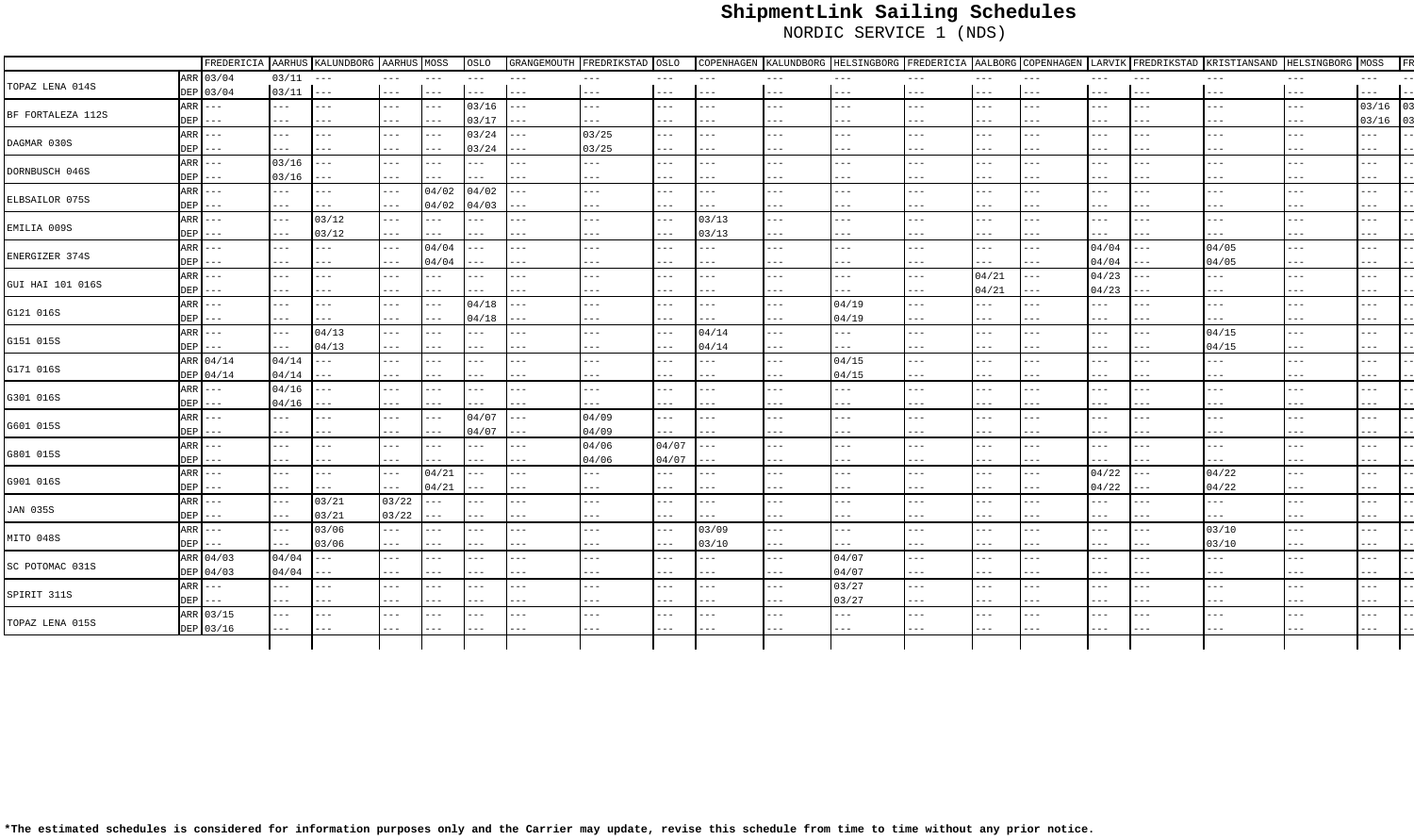|                   | FREDERICIA                 |                  | AARHUS KALUNDBORG AARHUS                                                                                                                                                                                                                                                                                                                                                                                |                                                                                                                                                                                                                                                                                                                                                                                              | MOSS               | OSLO             | GRANGEMOUTH        | FREDRIKSTAD                 | OSLO             | COPENHAGEN          | <b>KALUNDBOI</b> | HELSINGBOR                 | FREDERICIA                   | <b>AALBOR</b>                                                                                                                                                                                                                                                                                                                                                                                         | COPENHAGEN                   |                  | LARVIK FREDRIKSTAD   | KRISTIANSAND     | HELSINGBORO         | MOSS             |  |
|-------------------|----------------------------|------------------|---------------------------------------------------------------------------------------------------------------------------------------------------------------------------------------------------------------------------------------------------------------------------------------------------------------------------------------------------------------------------------------------------------|----------------------------------------------------------------------------------------------------------------------------------------------------------------------------------------------------------------------------------------------------------------------------------------------------------------------------------------------------------------------------------------------|--------------------|------------------|--------------------|-----------------------------|------------------|---------------------|------------------|----------------------------|------------------------------|-------------------------------------------------------------------------------------------------------------------------------------------------------------------------------------------------------------------------------------------------------------------------------------------------------------------------------------------------------------------------------------------------------|------------------------------|------------------|----------------------|------------------|---------------------|------------------|--|
| TOPAZ LENA 014S   | ARR 03/04                  | 03/11            | $- - -$                                                                                                                                                                                                                                                                                                                                                                                                 | $---$                                                                                                                                                                                                                                                                                                                                                                                        | $---$              | $- - -$          | $- - -$            | $- - - -$                   | $---$            | $---$               | $---$            | $---$                      | $- - - -$                    | $- - - -$                                                                                                                                                                                                                                                                                                                                                                                             | $- - -$                      | $---$            | $- - -$              | $---$            | $---$               | $---$            |  |
|                   | DEP 03/04                  | 03/11            | $---$                                                                                                                                                                                                                                                                                                                                                                                                   | $- - -$                                                                                                                                                                                                                                                                                                                                                                                      | $--$               | $- - -$          | $- - - -$          | $---$                       | $--$             | $\qquad \qquad - -$ | $---$            | $---$                      | $---$                        | $   \,$                                                                                                                                                                                                                                                                                                                                                                                               | $---$                        | $---$            | $-- -$               | $---$            | $\qquad \qquad - -$ | $---$            |  |
| BF FORTALEZA 112S | $ARR$ $---$<br>$DEP$ $---$ | $- -$<br>$- - -$ | $-- -$<br>$---$                                                                                                                                                                                                                                                                                                                                                                                         | $-- -$<br>$- - -$                                                                                                                                                                                                                                                                                                                                                                            | $- - -$<br>$- - -$ | 03/16<br>03/17   | $- - -$            | $- -$<br>$-- -$             | $- -$<br>$- -$   | $---$<br>$---$      | $- - -$<br>$--$  | $- -$<br>$---$             | $-- -$<br>$---$              | $-- -$<br>$- - -$                                                                                                                                                                                                                                                                                                                                                                                     | $- -$<br>$-- -$              | $-- -$<br>$---$  | $-- -$<br>$--$       | $---$<br>$---$   | $-- -$<br>$---$     | 03/16<br>03/16   |  |
| DAGMAR 030S       | $ARR$ $---$<br>$DEP$ $---$ | $-- -$<br>$- -$  | $---$<br>$---$                                                                                                                                                                                                                                                                                                                                                                                          | $-- -$<br>$   \,$                                                                                                                                                                                                                                                                                                                                                                            | $-- -$<br>$- -$    | 03/24<br>03/24   | $---$<br>$- - -$   | 03/25<br>03/25              | $---$<br>$-- -$  | $---$<br>$---$      | $- - -$<br>$---$ | $-- -$<br>$---$            | $---$<br>$- - -$             | $---$<br>$---$                                                                                                                                                                                                                                                                                                                                                                                        | $-- -$<br>$---$              | $---$<br>$-- -$  | $- - -$<br>$-- -$    | $---$<br>$---$   | $---$<br>$---$      | $-- -$<br>$- -$  |  |
| DORNBUSCH 046S    | $ARR$ ---<br>$DEP$ $---$   | 03/16<br>03/16   | $-- -$<br>$-- -$                                                                                                                                                                                                                                                                                                                                                                                        | $---$<br>$---$                                                                                                                                                                                                                                                                                                                                                                               | $--$<br>$- - -$    | $- - -$<br>$- -$ | $---$<br>$- - -$   | $---$<br>$-- -$             | $---$<br>$- -$   | $---$<br>$--$       | $-- -$<br>$---$  | $- - -$<br>$---$           | $---$<br>$---$               | $---$<br>$---$                                                                                                                                                                                                                                                                                                                                                                                        | $- - -$<br>$-- -$            | $---$<br>$-- -$  | $- -$<br>$--$        | $---$<br>$---$   | $---$<br>$---$      | $-- -$<br>$- -$  |  |
| ELBSAILOR 075S    | $ARR$ $---$<br>$DEP$ $---$ | $---$            | $-- -$<br>$- -$                                                                                                                                                                                                                                                                                                                                                                                         | $---$<br>$---$                                                                                                                                                                                                                                                                                                                                                                               | 04/02<br>04/02     | 04/02<br>04/03   | $- - -$<br>$- - -$ | $-- -$<br>$-- -$            | $--$             | $---$<br>$- - -$    | $-- -$<br>$--$   | $---$<br>$-- -$            | $---$<br>$---$               | $---$<br>$---$                                                                                                                                                                                                                                                                                                                                                                                        | $-- -$<br>$--$               | $---$<br>$-- -$  | $-- -$<br>$--$       | $---$<br>$- -$   | $---$<br>$---$      | $-- -$<br>$- -$  |  |
| EMILIA 009S       | $ARR$ $---$<br>$DEP$ $---$ | $- - -$          | 03/12<br>03/12                                                                                                                                                                                                                                                                                                                                                                                          | $-- -$<br>$-- -$                                                                                                                                                                                                                                                                                                                                                                             | $- - -$<br>$- - -$ | $- -$<br>$- -$   | $---$<br>$- - -$   | $-- -$<br>$- -$             | $- -$            | 03/13<br>03/13      | $-- -$<br>$-- -$ | $---$<br>$-- -$            | $---$<br>$---$               | $---$<br>$- - -$                                                                                                                                                                                                                                                                                                                                                                                      | $-- -$                       | $---$<br>$---$   | $-- -$<br>$- - -$    | $---$            | $---$<br>$---$      | $-- -$<br>$- -$  |  |
| ENERGIZER 374S    | $ARR$ $---$<br>$DEP$ $---$ | $- - -$          | $---$<br>$- - -$                                                                                                                                                                                                                                                                                                                                                                                        | $---$<br>$---$                                                                                                                                                                                                                                                                                                                                                                               | 04/04<br>04/04     | $- -$            | $---$<br>$- - -$   | $---$<br>$- - -$            | $- - -$<br>$- -$ | $---$<br>$- - -$    | $---$<br>$-- -$  | $---$<br>$-- -$            | $   \,$<br>$---$             | $\frac{1}{2} \frac{1}{2} \frac{1}{2} \frac{1}{2} \frac{1}{2} \frac{1}{2} \frac{1}{2} \frac{1}{2} \frac{1}{2} \frac{1}{2} \frac{1}{2} \frac{1}{2} \frac{1}{2} \frac{1}{2} \frac{1}{2} \frac{1}{2} \frac{1}{2} \frac{1}{2} \frac{1}{2} \frac{1}{2} \frac{1}{2} \frac{1}{2} \frac{1}{2} \frac{1}{2} \frac{1}{2} \frac{1}{2} \frac{1}{2} \frac{1}{2} \frac{1}{2} \frac{1}{2} \frac{1}{2} \frac{$<br>$---$ | $---$<br>$-- -$              | 04/04<br>04/04   | $---$<br>---         | 04/05<br>04/05   | $---$<br>$---$      | $---$<br>$- -$   |  |
| GUI HAI 101 016S  | $ARR$ $---$<br>$DEP$ $---$ | $- -$            | $---$<br>$- -$                                                                                                                                                                                                                                                                                                                                                                                          | $\frac{1}{2} \frac{1}{2} \frac{1}{2} \frac{1}{2} \frac{1}{2} \frac{1}{2} \frac{1}{2} \frac{1}{2} \frac{1}{2} \frac{1}{2} \frac{1}{2} \frac{1}{2} \frac{1}{2} \frac{1}{2} \frac{1}{2} \frac{1}{2} \frac{1}{2} \frac{1}{2} \frac{1}{2} \frac{1}{2} \frac{1}{2} \frac{1}{2} \frac{1}{2} \frac{1}{2} \frac{1}{2} \frac{1}{2} \frac{1}{2} \frac{1}{2} \frac{1}{2} \frac{1}{2} \frac{1}{2} \frac{$ | $--$               | $-- -$           | $---$              | $-- -$                      | $-- -$           | $---$<br>- -        | $---$<br>$- -$   | $-- -$                     | $---$<br>$- - -$             | 04/21<br>04/21                                                                                                                                                                                                                                                                                                                                                                                        | $---$                        | 04/23<br>04/23   | $---$<br>$- - -$     | $---$<br>$- -$   | $---$<br>$--$       | $---$<br>--      |  |
| G121 016S         | $ARR$ $---$<br>$DEP$ $---$ | $- - -$          | $---$<br>$- -$                                                                                                                                                                                                                                                                                                                                                                                          | $---$<br>$-- -$                                                                                                                                                                                                                                                                                                                                                                              | $---$<br>$- -$     | 04/18<br>04/18   | $- - -$            | $---$<br>$- -$              | $---$            | $---$<br>$ -$       | $---$<br>$--$    | 04/19<br>04/19             | $---$<br>$-- -$              | $\qquad \qquad - -$<br>$---$                                                                                                                                                                                                                                                                                                                                                                          | $---$<br>$- -$               | $---$<br>$-- -$  | $-- -$<br>$--$       | $---$<br>$- -$   | $---$<br>$--$       | $--$<br>--       |  |
| G151 015S         | $ARR$ ---<br>$DEP$ $---$   | $---$            | 04/13<br>04/13                                                                                                                                                                                                                                                                                                                                                                                          | $---$<br>$- - -$                                                                                                                                                                                                                                                                                                                                                                             | $---$<br>$- -$     | $-- -$<br>$- -$  | $- - -$<br>$- - -$ | $---$<br>$- - -$            | $---$            | 04/14<br>04/14      | $---$<br>$- -$   | $---$<br>$- -$             | $---$<br>$- - -$             | $- - -$<br>$--$                                                                                                                                                                                                                                                                                                                                                                                       | $\qquad \qquad - -$<br>$- -$ | $---$<br>$---$   | $---$<br>$--$        | 04/15<br>04/15   | $---$<br>$- - -$    | $-- -$<br>$- -$  |  |
| G171 016S         | ARR 04/14<br>DEP 04/14     | 04/14<br>04/14   | $---$<br>$- -$                                                                                                                                                                                                                                                                                                                                                                                          | $---$<br>$-- -$                                                                                                                                                                                                                                                                                                                                                                              | $--$<br>$- -$      | $- - -$          | $- - -$<br>$- -$   | $-- -$<br>$\qquad \qquad -$ | $---$            | $---$<br>$- -$      | $---$<br>$---$   | 04/15<br>04/15             | $   \,$<br>$---$             | $\qquad \qquad - -$<br>$---$                                                                                                                                                                                                                                                                                                                                                                          | $---$<br>$- -$               | $---$<br>$---$   | $---$<br>$--$        | $---$<br>$- -$   | $---$<br>$---$      | $---$<br>$- -$   |  |
| G301 016S         | $ARR$ $---$<br>$DEP$ $---$ | 04/16<br>04/16   | $---$<br>$---$                                                                                                                                                                                                                                                                                                                                                                                          | $---$<br>$-- -$                                                                                                                                                                                                                                                                                                                                                                              | $--$<br>$- - -$    | ---<br>$- -$     | $---$<br>$- -$     | $---$                       | $- - -$<br>$- -$ | $---$<br>$- -$      | $---$<br>$--$    | $---$<br>$\qquad \qquad -$ | $---$<br>$- - -$             | $- - -$<br>$-- -$                                                                                                                                                                                                                                                                                                                                                                                     | $- - -$<br>$- -$             | $---$<br>$-- -$  | $---$<br>$- - -$     | $---$<br>$- -$   | $---$<br>$- - -$    | $-- -$<br>$- -$  |  |
| G601 015S         | $ARR$ ---<br>$DFP$ $---$   | $- -$            | $---$<br>$- -$                                                                                                                                                                                                                                                                                                                                                                                          | $---$<br>$- - -$                                                                                                                                                                                                                                                                                                                                                                             | $---$<br>$- - -$   | 04/07<br>04/07   | $---$              | 04/09<br>04/09              | $---$<br>$- -$   | $---$<br>$- - -$    | $- -$<br>$--$    | $-- -$<br>$-- -$           | $   \,$<br>$---$             | $   \,$<br>$---$                                                                                                                                                                                                                                                                                                                                                                                      | $---$<br>$-- -$              | $---$<br>$-- -$  | $- - -$<br>$--$      | $-- -$<br>$--$   | $---$<br>$-- -$     | $---$<br>$-$     |  |
| G801 015S         | $ARR$ $---$<br>$DEP$ $---$ | $-- -$           | $---$<br>$-- -$                                                                                                                                                                                                                                                                                                                                                                                         | $---$<br>$- - -$                                                                                                                                                                                                                                                                                                                                                                             | $- - -$<br>$--$    | $- -$<br>$- -$   | $- - -$<br>$---$   | 04/06<br>04/06              | 04/07<br>04/07   | $---$<br>$---$      | $- -$<br>$- - -$ | $---$<br>$-- -$            | $   \,$<br>$-- -$            | $- - - -$<br>$---$                                                                                                                                                                                                                                                                                                                                                                                    | $---$<br>$-- -$              | $---$<br>$-- -$  | $-- -$<br>$- - -$    | $-- -$<br>$--$   | $---$<br>$--$       | $-- -$<br>$-$    |  |
| G901 016S         | $ARR$ $---$<br>$DEP$ $---$ | $---$            | $---$<br>$- -$                                                                                                                                                                                                                                                                                                                                                                                          | $   \,$<br>$---$                                                                                                                                                                                                                                                                                                                                                                             | 04/21<br>04/21     | $- -$            | $---$<br>$-- -$    | $---$<br>$- - -$            | $---$<br>$-- -$  | $---$<br>$--$       | $---$<br>$- - -$ | $---$<br>$-- -$            | $   \,$<br>$---$             | $   \,$<br>$---$                                                                                                                                                                                                                                                                                                                                                                                      | $---$<br>$-- -$              | 04/22<br>04/22   | $- - -$<br>$-- -$    | 04/22<br>04/22   | $---$<br>$---$      | $- - -$<br>$- -$ |  |
| JAN 035S          | $ARR$ ---<br>$DEP$ $---$   | $---$            | 03/21<br>03/21                                                                                                                                                                                                                                                                                                                                                                                          | 03/22<br>03/22                                                                                                                                                                                                                                                                                                                                                                               | $-- -$<br>$- -$    | $- - -$<br>$- -$ | $---$<br>$-- -$    | $---$<br>$- -$              | $-- -$           | $---$<br>$- - -$    | $---$<br>$- -$   | $---$<br>$- -$             | $   \,$<br>---               | $---$<br>$---$                                                                                                                                                                                                                                                                                                                                                                                        | $---$<br>$-- -$              | $---$<br>---     | $- - -$<br>$- - -$   | $-- -$<br>$- -$  | $- - -$<br>$--$     | $-- -$<br>$- -$  |  |
| MITO 048S         | $ARR$ $---$<br>$DFP$ $---$ | $- - -$          | 03/06<br>03/06                                                                                                                                                                                                                                                                                                                                                                                          | $-- -$<br>$-- -$                                                                                                                                                                                                                                                                                                                                                                             | $-- -$<br>$- -$    | $- - -$          | $-- -$<br>$- - -$  | $---$<br>$- - -$            | $- - -$          | 03/09<br>03/10      | $-- -$<br>$-- -$ | $---$<br>$-- -$            | $   \,$<br>$-- -$            | $   \,$<br>$---$                                                                                                                                                                                                                                                                                                                                                                                      | $-- -$<br>$-- -$             | $---$<br>---     | $---$<br>$- - -$     | 03/10<br>03/10   | $---$<br>---        | $- - -$<br>$- -$ |  |
| SC POTOMAC 031S   | ARR 04/03<br>DEP 04/03     | 04/04<br>04/04   | $-- -$<br>$-- -$                                                                                                                                                                                                                                                                                                                                                                                        | $-- -$<br>---                                                                                                                                                                                                                                                                                                                                                                                | $---$<br>$- -$     | $- - -$<br>$- -$ | $---$<br>$- - -$   | $---$<br>$- - -$            | $-- -$<br>$- -$  | $---$<br>$-- -$     | $---$<br>$-- -$  | 04/07<br>04/07             | $-- -$<br>$-- -$             | $- - -$<br>$---$                                                                                                                                                                                                                                                                                                                                                                                      | ---<br>$- - -$               | $---$<br>$-- -$  | $- - - -$<br>$- - -$ | $---$<br>$-- -$  | $- - -$<br>$-- -$   | $---$<br>--      |  |
| SPIRIT 311S       | $ARR$ ---<br>DEP ---       | $---$<br>$- -$   | $\frac{1}{2} \frac{1}{2} \frac{1}{2} \frac{1}{2} \frac{1}{2} \frac{1}{2} \frac{1}{2} \frac{1}{2} \frac{1}{2} \frac{1}{2} \frac{1}{2} \frac{1}{2} \frac{1}{2} \frac{1}{2} \frac{1}{2} \frac{1}{2} \frac{1}{2} \frac{1}{2} \frac{1}{2} \frac{1}{2} \frac{1}{2} \frac{1}{2} \frac{1}{2} \frac{1}{2} \frac{1}{2} \frac{1}{2} \frac{1}{2} \frac{1}{2} \frac{1}{2} \frac{1}{2} \frac{1}{2} \frac{$<br>$- - -$ | $---$<br>$- - -$                                                                                                                                                                                                                                                                                                                                                                             | $--$<br>$- -$      | $- - -$<br>- -   | $---$<br>$- - -$   | $---$<br>$- - -$            | $---$<br>$- -$   | $---$<br>$ -$       | $---$<br>$--$    | 03/27<br>03/27             | $   \,$<br>$---$             | $- - -$<br>$---$                                                                                                                                                                                                                                                                                                                                                                                      | $-- -$<br>$--$               | $---$<br>$---$   | $---$<br>$- - -$     | $---$<br>$- -$   | $- - -$<br>$-- -$   | $---$<br>$- -$   |  |
| TOPAZ LENA 015S   | ARR 03/15<br>DEP 03/16     | $---$<br>$- -$   | $- - - -$<br>$---$                                                                                                                                                                                                                                                                                                                                                                                      | $- - -$<br>$---$                                                                                                                                                                                                                                                                                                                                                                             | $-- -$             | $- - -$          | $---$<br>$- - -$   | $---$                       | $-- -$           | $---$<br>$- - -$    | $---$<br>$- -$   | $---$<br>$-- -$            | $\qquad \qquad - -$<br>$- -$ | $---$<br>$--$                                                                                                                                                                                                                                                                                                                                                                                         | $---$                        | $---$<br>$- - -$ | $---$<br>$--$        | $-- -$<br>$-- -$ | $---$<br>$--$       | $---$<br>$- -$   |  |
|                   |                            |                  |                                                                                                                                                                                                                                                                                                                                                                                                         |                                                                                                                                                                                                                                                                                                                                                                                              |                    |                  |                    |                             |                  |                     |                  |                            |                              |                                                                                                                                                                                                                                                                                                                                                                                                       |                              |                  |                      |                  |                     |                  |  |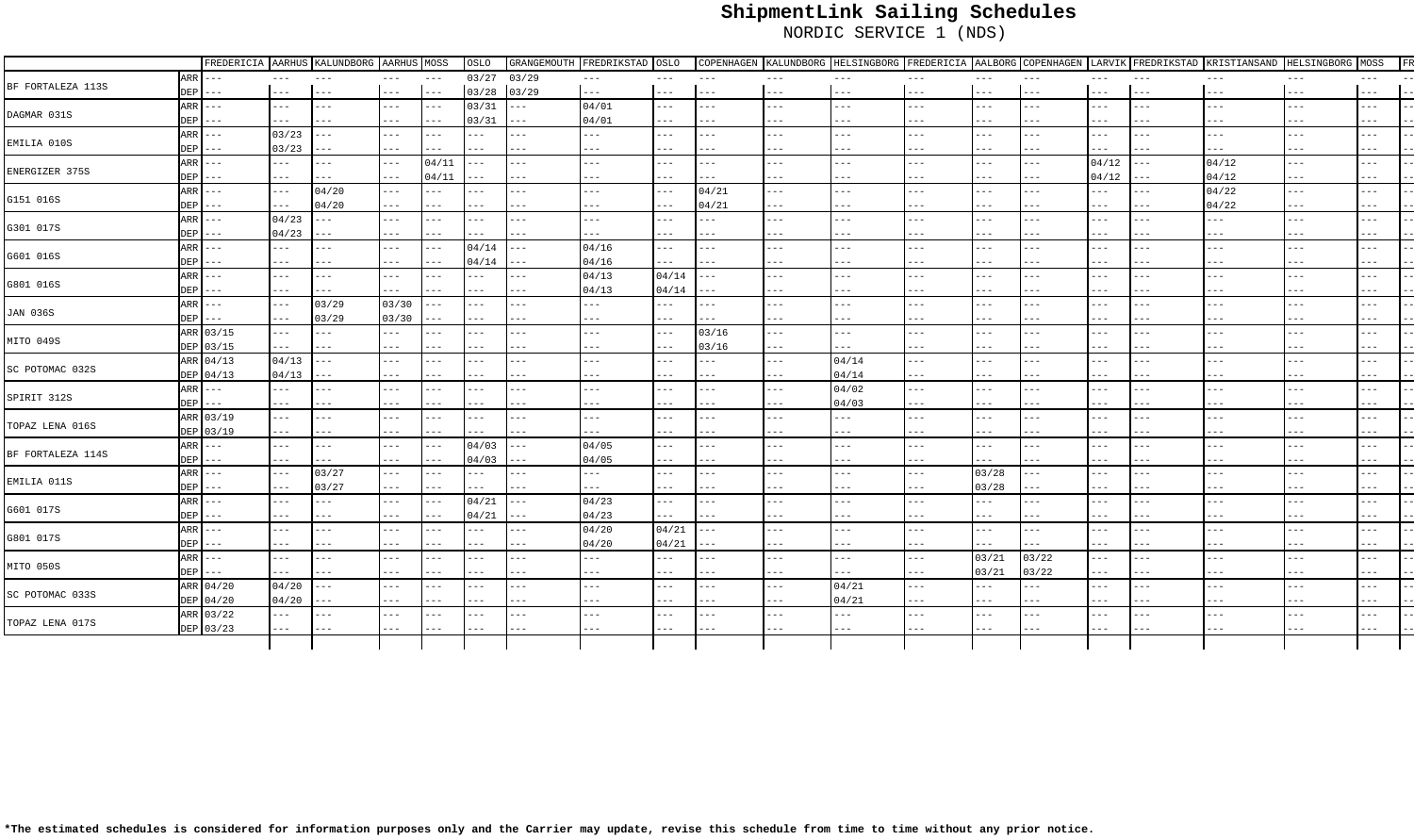|                   |                           | FREDERICIA             |                        | AARHUS KALUNDBORG            | <b>AARHUS</b>                                                                                                                                                                                                                                                                                                                                                                                           | MOSS                         | OSLO               | GRANGEMOUTH       | FREDRIKSTAD OSLO           |                          | COPENHAGEN       | KALUNDBOF         | HELSINGBOR        | <b>FREDERICIA</b>    |                                                                                                                                                                                                                                                                                                                                                                                                         | AALBORG COPENHAGEN                                                                                                                                                                                                                                                                                                                                                                                     |                                                                                                                                                                                                                                                                                                                                                                                                       | LARVIK FREDRIKSTAD           | KRISTIANSAND     | HELSINGBORG       | MOSS             | IFI |
|-------------------|---------------------------|------------------------|------------------------|------------------------------|---------------------------------------------------------------------------------------------------------------------------------------------------------------------------------------------------------------------------------------------------------------------------------------------------------------------------------------------------------------------------------------------------------|------------------------------|--------------------|-------------------|----------------------------|--------------------------|------------------|-------------------|-------------------|----------------------|---------------------------------------------------------------------------------------------------------------------------------------------------------------------------------------------------------------------------------------------------------------------------------------------------------------------------------------------------------------------------------------------------------|--------------------------------------------------------------------------------------------------------------------------------------------------------------------------------------------------------------------------------------------------------------------------------------------------------------------------------------------------------------------------------------------------------|-------------------------------------------------------------------------------------------------------------------------------------------------------------------------------------------------------------------------------------------------------------------------------------------------------------------------------------------------------------------------------------------------------|------------------------------|------------------|-------------------|------------------|-----|
|                   | ARR                       |                        | $---$                  | $---$                        | $---$                                                                                                                                                                                                                                                                                                                                                                                                   | $- - - -$                    | $03/27$ 03/29      |                   | $- - -$                    | $---$                    | $---$            | $- - - -$         | $- - - -$         | $- - -$              | $- - -$                                                                                                                                                                                                                                                                                                                                                                                                 | $---$                                                                                                                                                                                                                                                                                                                                                                                                  | $- - - -$                                                                                                                                                                                                                                                                                                                                                                                             | $---$                        | $- - - -$        | $- - -$           | $---$            |     |
| BF FORTALEZA 113S | DEP                       |                        | $---$                  | $---$                        | $---$                                                                                                                                                                                                                                                                                                                                                                                                   | $---$                        | $03/28$ 03/29      |                   | $---$                      | $---$                    | $- - -$          | $---$             | $---$             | $- - - -$            | $---$                                                                                                                                                                                                                                                                                                                                                                                                   | $---$                                                                                                                                                                                                                                                                                                                                                                                                  | $---$                                                                                                                                                                                                                                                                                                                                                                                                 | $---$                        | $---$            | $---$             | $---$            |     |
| DAGMAR 031S       | <b>ARR</b><br>DEP         | $---$                  | $- -$<br>$- -$         | $---$<br>$---$               | $---$<br>$---$                                                                                                                                                                                                                                                                                                                                                                                          | $- - -$<br>$- - -$           | 03/31<br>03/31     |                   | 04/01<br>04/01             | $-- -$<br>$-- -$         | $-- -$<br>$- -$  | $-- -$<br>$- - -$ | $-- -$<br>$-- -$  | $---$<br>$---$       | $-- -$<br>$-- -$                                                                                                                                                                                                                                                                                                                                                                                        | $-- -$<br>$---$                                                                                                                                                                                                                                                                                                                                                                                        | $---$<br>$-- -$                                                                                                                                                                                                                                                                                                                                                                                       | $- - -$<br>$\qquad \qquad -$ | $-- -$<br>$-- -$ | $- - -$<br>$-- -$ | $-- -$<br>$- -$  |     |
| EMILIA 010S       | ARR<br>DEP                | $---$                  | $03/23$ $---$<br>3/23  | $---$                        | $- - - -$<br>$-- -$                                                                                                                                                                                                                                                                                                                                                                                     | $---$                        | $- - -$            | $---$<br>$- -$    | $---$<br>$- - -$           | $---$<br>$- - -$         | $---$<br>$- -$   | $---$<br>$---$    | $---$<br>$-- -$   | $---$<br>$---$       | $---$<br>$-- -$                                                                                                                                                                                                                                                                                                                                                                                         | $---$<br>$---$                                                                                                                                                                                                                                                                                                                                                                                         | $---$<br>$-- -$                                                                                                                                                                                                                                                                                                                                                                                       | $---$<br>$- - -$             | $---$<br>$-- -$  | $---$<br>$-- -$   | $---$<br>$- -$   |     |
| ENERGIZER 375S    | ARR<br>DEP                | $---$                  | $---$<br>$- -$         | $---$<br>$---$               | $\qquad \qquad - -$<br>$-- -$                                                                                                                                                                                                                                                                                                                                                                           | 04/11<br>14/11               | $- -$              | $-- -$<br>$- - -$ | $---$<br>$-- -$            | $---$<br>$-- -$          | $---$<br>$ -$    | $---$<br>$--$     | $---$<br>$-- -$   | $---$<br>$-- -$      | $---$<br>$-- -$                                                                                                                                                                                                                                                                                                                                                                                         | $---$<br>$---$                                                                                                                                                                                                                                                                                                                                                                                         | 04/12<br>04/12                                                                                                                                                                                                                                                                                                                                                                                        | $---$<br>$- - -$             | 04/12<br>04/12   | $---$<br>$--$     | $-- -$<br>$- -$  |     |
| G151 016S         | <b>ARR</b><br>DEP         | $---$<br>$-- -$        | $- - -$<br>$-- -$      | 04/20<br>04/20               | $- - - -$<br>$- - -$                                                                                                                                                                                                                                                                                                                                                                                    | $-- -$<br>$- - -$            | $- - -$<br>$- -$   | $---$<br>$- - -$  | $---$<br>$-- -$            | $---$<br>$- - -$         | 04/21<br>04/21   | $---$<br>$-- -$   | $- - -$<br>$-- -$ | $- - - -$<br>$- - -$ | $---$<br>$-- -$                                                                                                                                                                                                                                                                                                                                                                                         | $---$<br>$---$                                                                                                                                                                                                                                                                                                                                                                                         | $---$<br>$---$                                                                                                                                                                                                                                                                                                                                                                                        | $-- -$<br>$-- -$             | 04/22<br>04/22   | $---$<br>$---$    | $-- -$<br>$-- -$ |     |
| G301 017S         | ARR<br><b>DEP</b>         | $---$<br>$-- -$        | 04/23<br>04/23         | $\qquad \qquad - -$<br>$---$ | $- - - -$<br>$---$                                                                                                                                                                                                                                                                                                                                                                                      | $-- -$<br>$- -$              | $- - -$<br>$- - -$ | $-- -$<br>$- - -$ | $-- -$<br>$- -$            | $---$<br>$---$           | $-- -$<br>$ -$   | $---$<br>$-- -$   | $---$<br>$- - -$  | $---$<br>$---$       | $---$<br>$-- -$                                                                                                                                                                                                                                                                                                                                                                                         | $---$<br>$---$                                                                                                                                                                                                                                                                                                                                                                                         | $---$<br>$---$                                                                                                                                                                                                                                                                                                                                                                                        | $-- -$<br>$- -$              | $---$<br>$-- -$  | $---$<br>$---$    | $-- -$<br>$- -$  |     |
| G601 016S         | <b>ARR</b><br><b>DEP</b>  | $---$<br>$---$         | $-- -$<br>$- -$        | $---$<br>$- - -$             | $---$<br>$---$                                                                                                                                                                                                                                                                                                                                                                                          | $- - -$<br>$- - -$           | 04/14<br>04/14     | $- - -$<br>$---$  | 04/16<br>04/16             | $---$<br>$-- -$          | $-- -$<br>$---$  | $-- -$<br>$-- -$  | $-- -$<br>$-- -$  | $   \,$<br>$---$     | $-- -$<br>$-- -$                                                                                                                                                                                                                                                                                                                                                                                        | $-- -$<br>$---$                                                                                                                                                                                                                                                                                                                                                                                        | $---$<br>$---$                                                                                                                                                                                                                                                                                                                                                                                        | $- - -$<br>$- - -$           | $-- -$<br>$-- -$ | $-- -$<br>$-- -$  | $-- -$<br>$-- -$ |     |
| G801 016S         | <b>ARR</b><br>DEP         | $---$<br>$- - -$       | $-- -$<br>$- -$        | $   \,$<br>$---$             | $---$<br>$---$                                                                                                                                                                                                                                                                                                                                                                                          | $- - -$                      | $- - -$<br>$- -$   | $-- -$<br>$---$   | 04/13<br>04/13             | 04/14<br>04/14           | ---<br>$--$      | $-- -$<br>$-- -$  | $-- -$<br>$-- -$  | $   \,$<br>$---$     | $-- -$<br>$-- -$                                                                                                                                                                                                                                                                                                                                                                                        | $-- -$<br>$---$                                                                                                                                                                                                                                                                                                                                                                                        | $---$<br>$---$                                                                                                                                                                                                                                                                                                                                                                                        | $- - -$<br>$- - -$           | $-- -$<br>$-- -$ | $-- -$<br>---     | $-- -$<br>$- -$  |     |
| JAN 036S          | <b>ARR</b><br><b>DEP</b>  | $---$<br>$---$         | $-- -$<br>$- -$        | 03/29<br>03/29               | 03/30<br>03/30                                                                                                                                                                                                                                                                                                                                                                                          | $- -$<br>$- - -$             | $- - -$<br>$- -$   | $-- -$<br>$---$   | $-- -$<br>$- - -$          | $-- -$<br>$---$          | $-- -$<br>$--$   | $- -$<br>$-- -$   | $-- -$<br>$---$   | $   \,$<br>$---$     | $-- -$<br>$-- -$                                                                                                                                                                                                                                                                                                                                                                                        | $-- -$<br>$---$                                                                                                                                                                                                                                                                                                                                                                                        | $---$<br>$---$                                                                                                                                                                                                                                                                                                                                                                                        | $- - -$<br>$- - -$           | $-- -$<br>$-- -$ | $-- -$<br>$---$   | $-- -$<br>$- -$  |     |
| MITO 049S         |                           | ARR 03/15<br>DEP 03/15 | $- - -$<br>$- - -$     | $- - -$<br>$---$             | $---$<br>$---$                                                                                                                                                                                                                                                                                                                                                                                          | $- - -$<br>$- - -$           | $- - -$<br>$- -$   | $- - -$<br>$---$  | $---$<br>$- - -$           | $---$<br>$---$           | 03/16<br>03/16   | $-- -$<br>$---$   | $---$<br>$-- -$   | $   \,$<br>$- - -$   | $-- -$<br>$---$                                                                                                                                                                                                                                                                                                                                                                                         | $---$<br>$---$                                                                                                                                                                                                                                                                                                                                                                                         | $---$<br>$---$                                                                                                                                                                                                                                                                                                                                                                                        | $- -$<br>$- - -$             | $- - -$<br>$---$ | $---$<br>$---$    | $- - -$<br>$- -$ |     |
| SC POTOMAC 032S   |                           | ARR 04/13<br>DEP 04/13 | $04/13$ $---$<br>04/13 | $---$                        | $---$<br>$---$                                                                                                                                                                                                                                                                                                                                                                                          | $-- -$                       | $- - -$            | $- - -$<br>$- -$  | $-- -$<br>$- -$            | $---$<br>$---$           | $---$<br>$- -$   | $---$<br>$---$    | 04/14<br>04/14    | $   \,$<br>$---$     | $--$<br>$---$                                                                                                                                                                                                                                                                                                                                                                                           | $---$<br>$---$                                                                                                                                                                                                                                                                                                                                                                                         | $---$<br>$---$                                                                                                                                                                                                                                                                                                                                                                                        | $-- -$<br>$- - -$            | $---$<br>$- -$   | $---$<br>$-- -$   | $---$<br>$- -$   |     |
| SPIRIT 312S       | <b>DEP</b>                | $ARR$ $---$<br>$-- -$  | $-- -$<br>$- -$        | $---$<br>$- - - -$           | $---$<br>$---$                                                                                                                                                                                                                                                                                                                                                                                          | $-- -$                       | $-- -$<br>$- -$    | $-- -$<br>$- -$   | $-- -$<br>$- -$            | $---$<br>$---$           | $-- -$<br>$ -$   | $---$<br>$--$     | 04/02<br>04/03    | $   \,$<br>$---$     | $--$<br>$- - -$                                                                                                                                                                                                                                                                                                                                                                                         | ---<br>$---$                                                                                                                                                                                                                                                                                                                                                                                           | $---$<br>$---$                                                                                                                                                                                                                                                                                                                                                                                        | $- - -$<br>$- - -$           | $---$<br>$- -$   | $---$<br>$-- -$   | $-- -$<br>$- -$  |     |
| TOPAZ LENA 016S   |                           | ARR 03/19<br>DEP 03/19 | $- - -$                | $- - -$<br>$---$             | $\frac{1}{2} \frac{1}{2} \frac{1}{2} \frac{1}{2} \frac{1}{2} \frac{1}{2} \frac{1}{2} \frac{1}{2} \frac{1}{2} \frac{1}{2} \frac{1}{2} \frac{1}{2} \frac{1}{2} \frac{1}{2} \frac{1}{2} \frac{1}{2} \frac{1}{2} \frac{1}{2} \frac{1}{2} \frac{1}{2} \frac{1}{2} \frac{1}{2} \frac{1}{2} \frac{1}{2} \frac{1}{2} \frac{1}{2} \frac{1}{2} \frac{1}{2} \frac{1}{2} \frac{1}{2} \frac{1}{2} \frac{$<br>$---$   | $---$                        | $--$               | $- - -$           | $--$                       | $\frac{1}{2}$            | $---$            | $---$<br>$- - -$  | $---$<br>$-- -$   | $   \,$<br>$---$     | $---$<br>$- - -$                                                                                                                                                                                                                                                                                                                                                                                        | $---$<br>$--$                                                                                                                                                                                                                                                                                                                                                                                          | $---$<br>$-- -$                                                                                                                                                                                                                                                                                                                                                                                       | $-- -$<br>$\qquad \qquad -$  | $- - -$<br>$- -$ | $---$<br>$- - -$  | $---$            |     |
| BF FORTALEZA 114S | <b>DEP</b>                | $ARR$ $---$<br>$- - -$ | $-- -$                 | $- - -$<br>$-- -$            | $\frac{1}{2} \frac{1}{2} \frac{1}{2} \frac{1}{2} \frac{1}{2} \frac{1}{2} \frac{1}{2} \frac{1}{2} \frac{1}{2} \frac{1}{2} \frac{1}{2} \frac{1}{2} \frac{1}{2} \frac{1}{2} \frac{1}{2} \frac{1}{2} \frac{1}{2} \frac{1}{2} \frac{1}{2} \frac{1}{2} \frac{1}{2} \frac{1}{2} \frac{1}{2} \frac{1}{2} \frac{1}{2} \frac{1}{2} \frac{1}{2} \frac{1}{2} \frac{1}{2} \frac{1}{2} \frac{1}{2} \frac{$<br>$- - -$ | $-- -$                       | 04/03<br>04/03     | $---$             | 04/05<br>04/05             | $---$<br>$-- -$          | $-- -$           | $---$<br>$- -$    | $---$             | $- - - -$<br>$-- -$  | $---$                                                                                                                                                                                                                                                                                                                                                                                                   | $---$                                                                                                                                                                                                                                                                                                                                                                                                  | $\frac{1}{2} \frac{1}{2} \frac{1}{2} \frac{1}{2} \frac{1}{2} \frac{1}{2} \frac{1}{2} \frac{1}{2} \frac{1}{2} \frac{1}{2} \frac{1}{2} \frac{1}{2} \frac{1}{2} \frac{1}{2} \frac{1}{2} \frac{1}{2} \frac{1}{2} \frac{1}{2} \frac{1}{2} \frac{1}{2} \frac{1}{2} \frac{1}{2} \frac{1}{2} \frac{1}{2} \frac{1}{2} \frac{1}{2} \frac{1}{2} \frac{1}{2} \frac{1}{2} \frac{1}{2} \frac{1}{2} \frac{$<br>$---$ | $-- -$<br>$- -$              | $-- -$           | $---$<br>$- -$    | $-- -$           |     |
| EMILIA 011S       | $ARR$ $---$<br><b>DEP</b> |                        | $-- -$                 | 03/27<br>03/27               | $---$<br>$---$                                                                                                                                                                                                                                                                                                                                                                                          | $- - -$                      | $--$               | $---$             | $---$<br>$- - -$           | $\frac{1}{2}$<br>$- - -$ | $---$            | $---$<br>$--$     | $---$<br>$- -$    | $---$<br>$---$       | 03/28<br>03/28                                                                                                                                                                                                                                                                                                                                                                                          | $---$<br>$- -$                                                                                                                                                                                                                                                                                                                                                                                         | $---$<br>$-- -$                                                                                                                                                                                                                                                                                                                                                                                       | $---$<br>$- -$               | $- - -$<br>$- -$ | $---$<br>$- - -$  | $--$<br>$- -$    |     |
| G601 017S         | $ARR$ $---$<br><b>DEP</b> |                        | $-- -$<br>$- -$        | $- - -$<br>$---$             | $\frac{1}{2} \frac{1}{2} \frac{1}{2} \frac{1}{2} \frac{1}{2} \frac{1}{2} \frac{1}{2} \frac{1}{2} \frac{1}{2} \frac{1}{2} \frac{1}{2} \frac{1}{2} \frac{1}{2} \frac{1}{2} \frac{1}{2} \frac{1}{2} \frac{1}{2} \frac{1}{2} \frac{1}{2} \frac{1}{2} \frac{1}{2} \frac{1}{2} \frac{1}{2} \frac{1}{2} \frac{1}{2} \frac{1}{2} \frac{1}{2} \frac{1}{2} \frac{1}{2} \frac{1}{2} \frac{1}{2} \frac{$<br>$-- -$  | $-- -$<br>$\qquad \qquad -$  | 04/21<br>04/21     | $---$             | 04/23<br>04/23             | $\frac{1}{2}$<br>$-- -$  | $---$            | $---$<br>$--$     | $---$             | $- - - -$<br>$-- -$  | $---$                                                                                                                                                                                                                                                                                                                                                                                                   | $- - - -$<br>$--$                                                                                                                                                                                                                                                                                                                                                                                      | $---$<br>$-- -$                                                                                                                                                                                                                                                                                                                                                                                       | $---$<br>$\qquad \qquad -$   | $---$<br>$- -$   | $---$<br>$--$     | $-- -$<br>$- -$  |     |
| G801 017S         | ARR <sup>I</sup><br>DEP   | $---$<br>$- - -$       | $- - -$<br>$- -$       | $---$<br>$---$               | $   \,$<br>$---$                                                                                                                                                                                                                                                                                                                                                                                        | $- - -$                      | $--$<br>$- -$      | $---$<br>$- - -$  | 04/20<br>04/20             | 04/21<br>04/21           | $- - -$          | $---$<br>$-- -$   | $---$<br>$-- -$   | $---$<br>$---$       | $\frac{1}{2} \frac{1}{2} \frac{1}{2} \frac{1}{2} \frac{1}{2} \frac{1}{2} \frac{1}{2} \frac{1}{2} \frac{1}{2} \frac{1}{2} \frac{1}{2} \frac{1}{2} \frac{1}{2} \frac{1}{2} \frac{1}{2} \frac{1}{2} \frac{1}{2} \frac{1}{2} \frac{1}{2} \frac{1}{2} \frac{1}{2} \frac{1}{2} \frac{1}{2} \frac{1}{2} \frac{1}{2} \frac{1}{2} \frac{1}{2} \frac{1}{2} \frac{1}{2} \frac{1}{2} \frac{1}{2} \frac{$<br>$- - -$ | $\frac{1}{2} \frac{1}{2} \frac{1}{2} \frac{1}{2} \frac{1}{2} \frac{1}{2} \frac{1}{2} \frac{1}{2} \frac{1}{2} \frac{1}{2} \frac{1}{2} \frac{1}{2} \frac{1}{2} \frac{1}{2} \frac{1}{2} \frac{1}{2} \frac{1}{2} \frac{1}{2} \frac{1}{2} \frac{1}{2} \frac{1}{2} \frac{1}{2} \frac{1}{2} \frac{1}{2} \frac{1}{2} \frac{1}{2} \frac{1}{2} \frac{1}{2} \frac{1}{2} \frac{1}{2} \frac{1}{2} \frac{$<br>$-- -$ | $---$<br>$-- -$                                                                                                                                                                                                                                                                                                                                                                                       | $---$<br>$\qquad \qquad -$   | $- - -$<br>$- -$ | $---$<br>$-- -$   | $--$<br>$- -$    |     |
| MITO 050S         | $ARR$ $---$               |                        | $-- -$<br>$- -$        | $- - -$<br>$---$             | $- - -$<br>$--$                                                                                                                                                                                                                                                                                                                                                                                         | $-- -$                       | $---$<br>$- -$     | $- - -$<br>$- -$  | $---$<br>$\qquad \qquad -$ | $---$<br>$-- -$          | $- - -$          | $---$<br>$ -$     | $-- -$            | $---$<br>$---$       | 03/21<br>03/21                                                                                                                                                                                                                                                                                                                                                                                          | 03/22<br>03/22                                                                                                                                                                                                                                                                                                                                                                                         | $---$<br>$---$                                                                                                                                                                                                                                                                                                                                                                                        | $---$<br>$ -$                | $-- -$<br>$--$   | $---$<br>$-- -$   | $-- -$<br>$-$    |     |
| SC POTOMAC 033S   |                           | ARR 04/20<br>DEP 04/20 | 04/20<br>$04/20$ $---$ | $---$                        | $- - - -$<br>$\qquad \qquad - -$                                                                                                                                                                                                                                                                                                                                                                        | $- - -$<br>$\qquad \qquad -$ | $---$              | $- - -$<br>$- -$  | $-- -$<br>$- - -$          | $- - -$<br>$---$         | $-- -$<br>$- -$  | $---$<br>$---$    | 04/21<br>04/21    | $   \,$<br>$- - - -$ | $- - -$<br>$---$                                                                                                                                                                                                                                                                                                                                                                                        | $---$<br>$---$                                                                                                                                                                                                                                                                                                                                                                                         | $---$<br>$---$                                                                                                                                                                                                                                                                                                                                                                                        | $- - -$<br>$-- -$            | $-- -$<br>$---$  | $---$<br>$---$    | $-- -$<br>$- -$  |     |
| TOPAZ LENA 017S   |                           | ARR 03/22<br>DEP 03/23 | $-- -$<br>$--$         | $- - -$<br>$---$             | $- - -$<br>$---$                                                                                                                                                                                                                                                                                                                                                                                        | $- - -$                      | $-- -$             | $-- -$<br>$- -$   | $-- -$<br>$- -$            | $---$<br>$---$           | $- - -$<br>$- -$ | $---$<br>$--$     | $-- -$<br>$-- -$  | $- - - -$<br>$---$   | $---$<br>$- - -$                                                                                                                                                                                                                                                                                                                                                                                        | $---$<br>$-- -$                                                                                                                                                                                                                                                                                                                                                                                        | $---$<br>$---$                                                                                                                                                                                                                                                                                                                                                                                        | $-- -$<br>$-- -$             | $-- -$<br>$---$  | $---$<br>$---$    | $---$<br>$- - -$ |     |
|                   |                           |                        |                        |                              |                                                                                                                                                                                                                                                                                                                                                                                                         |                              |                    |                   |                            |                          |                  |                   |                   |                      |                                                                                                                                                                                                                                                                                                                                                                                                         |                                                                                                                                                                                                                                                                                                                                                                                                        |                                                                                                                                                                                                                                                                                                                                                                                                       |                              |                  |                   |                  |     |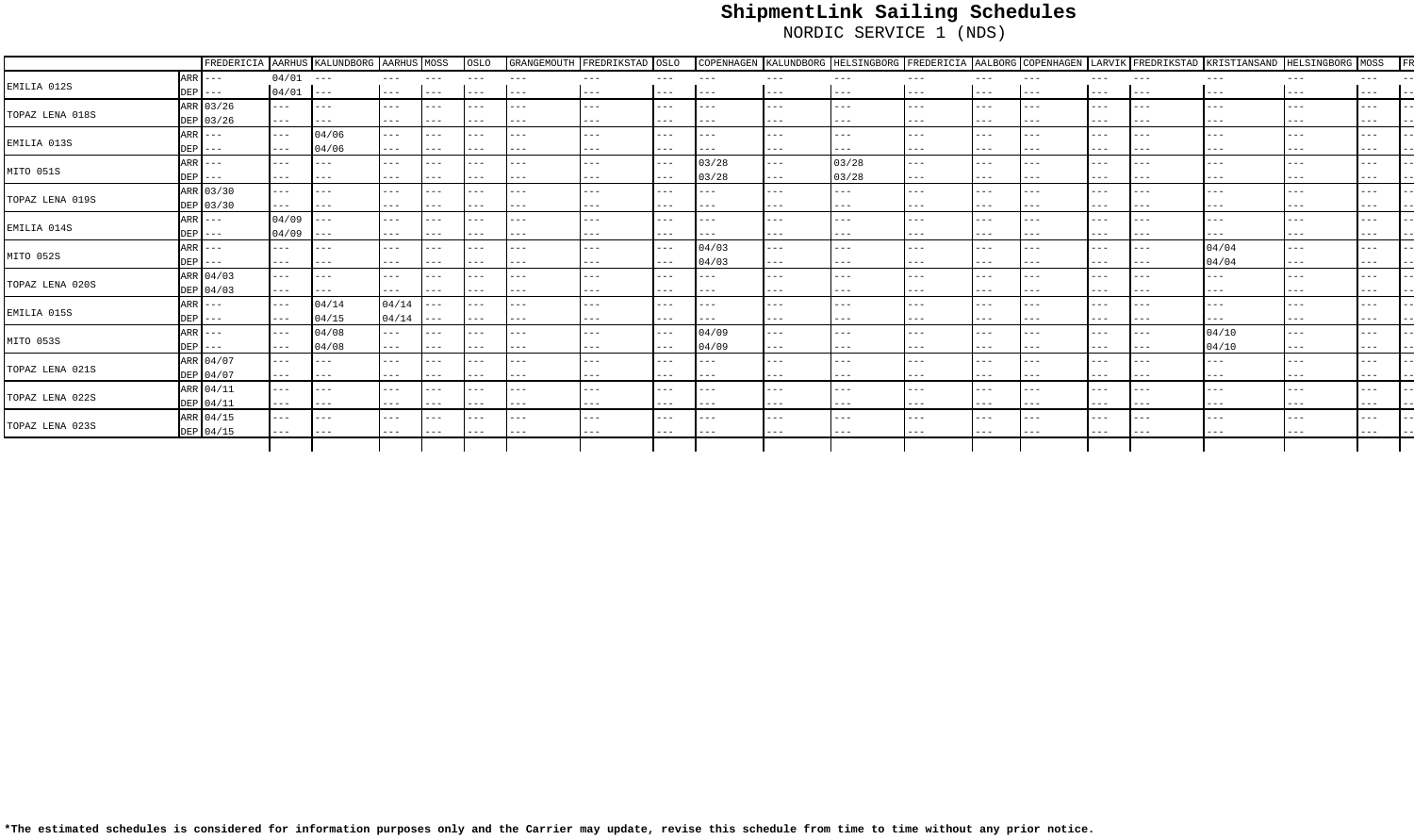|                 | FREDERICIA                 |                | AARHUS KALUNDBORG  | <b>AARHUS</b>                | MOSS             | OSLO               | GRANGEMOUTH      | FREDRIKSTAI        | OSLO           | COPENHAGEN KALUNDBORG |                  | HELSINGBOR            | FREDERICIA         | <b>AALBOR</b>   | COPENHAGEN     |                | LARVIK FREDRIKSTAI  | KRISTIANSAND HELSINGBORG |                    | MOSS             |
|-----------------|----------------------------|----------------|--------------------|------------------------------|------------------|--------------------|------------------|--------------------|----------------|-----------------------|------------------|-----------------------|--------------------|-----------------|----------------|----------------|---------------------|--------------------------|--------------------|------------------|
|                 | $ARR$ $---$                | 04/01          | $- - -$            | $- - - -$                    | $- - -$          | $- - -$            | $- - -$          | $-- -$             | $---$          | $---$                 | $\frac{1}{2}$    | $\qquad \qquad - - -$ | $- - - -$          | $-- -$          | $- - -$        | $- - - -$      | $- - -$             | $- - - -$                | $\frac{1}{2}$      | $-- -$           |
| EMILIA 012S     | $---$                      | 04/01          | $- - -$            | $---$                        | $---$            | $---$              | $---$            | $---$              | $---$          | ---                   | $---$            | $- - -$               | $- - -$            | $---$           | $---$          | $---$          | $---$               | $---$                    | $- - -$            | $---$            |
| TOPAZ LENA 018S | ARR 03/26<br>DEP 03/26     | ---<br>---     | $---$<br>$---$     | $- - -$<br>$---$             | $---$<br>$-- -$  | $- - -$<br>$---$   | ---<br>$-- -$    | $---$<br>$---$     | $---$<br>$---$ | ———<br>---            | $---$<br>$---$   | $- - -$<br>$---$      | $---$<br>---       | $---$<br>$---$  | $---$<br>$---$ | $---$<br>$---$ | $- - - -$<br>$-- -$ | $-- -$<br>---            | $---$<br>$---$     | ---<br>$-- -$    |
| EMILIA 013S     | $ARR$ $---$<br>DEP   ---   | ---<br>$-- -$  | 04/06<br>04/06     | $---$<br>$---$               | $-- -$<br>$-- -$ | $---$<br>$---$     | $-- -$<br>$-- -$ | $- - - -$<br>$---$ | $---$<br>$---$ | ---<br>$-- -$         | $---$<br>$---$   | $---$<br>$---$        | $- - -$<br>$- - -$ | $---$<br>$---$  | $---$<br>$---$ | $---$<br>$---$ | $---$<br>$---$      | $---$<br>$-- -$          | $---$<br>$---$     | $-- -$<br>$-- -$ |
| MITO 051S       | $ARR$ $---$<br>$DEP$ $---$ | ---<br>---     | $---$<br>$---$     | $- - -$<br>$---$             | ---<br>$-- -$    | $---$<br>$---$     | ---<br>$-- -$    | $---$<br>$---$     | $---$<br>———   | 03/28<br>03/28        | $---$<br>---     | 03/28<br>03/28        | $-- -$<br>$---$    | ---<br>$---$    | $---$<br>$---$ | $---$<br>$---$ | $- - - -$<br>$---$  | ---<br>---               | $---$<br>$---$     | $-- -$<br>$-- -$ |
| TOPAZ LENA 019S | ARR 03/30<br>DEP 03/30     | ---<br>$---$   | $- - -$<br>$---$   | $- - -$<br>$---$             | $-- -$<br>$---$  | $---$<br>$- - -$   | ---<br>---       | $---$<br>$---$     | $---$<br>$---$ | ---<br>---            | $---$<br>$---$   | $---$<br>$---$        | ---<br>$---$       | ---<br>$---$    | $---$<br>$---$ | $---$<br>$---$ | ---<br>$---$        | $-- -$<br>$---$          | $---$<br>$---$     | $-- -$<br>$-- -$ |
| EMILIA 014S     | $ARR$ $---$<br>$DEP$ $---$ | 04/09<br>04/09 | $---$<br>$---$     | $---$<br>$---$               | ---<br>$---$     | $---$<br>$- - -$   | ---<br>$-- -$    | $---$<br>$---$     | $---$<br>$---$ | ———<br>$-- -$         | $---$<br>$---$   | $---$<br>$---$        | ---<br>$---$       | ---<br>$---$    | ———<br>$---$   | $---$<br>$---$ | $- - - -$<br>$---$  | $-- -$<br>$---$          | $---$<br>$---$     | ---<br>$---$     |
| MITO 052S       | $ARR$ $---$<br>$DEP$ $---$ | ---<br>$-- -$  | $- - -$<br>$- - -$ | $- - -$<br>$- - -$           | ---<br>$-- -$    | $- - -$<br>$---$   | ---<br>$- - -$   | $- - - -$<br>$---$ | $---$<br>$---$ | 04/03<br>04/03        | $- - -$<br>$---$ | $---$<br>$---$        | $---$<br>$---$     | $---$<br>$---$  | $---$<br>$---$ | $---$<br>$---$ | $---$<br>$---$      | 04/04<br>04/04           | $- - - -$<br>$---$ | ---<br>$-- -$    |
| TOPAZ LENA 020S | ARR 04/03<br>DEP 04/03     | ---<br>$-- -$  | $---$<br>$---$     | $---$<br>$---$               | $-- -$<br>$-- -$ | $---$<br>$---$     | $- - -$<br>---   | $- - - -$<br>$---$ | $---$<br>$---$ | ---<br>———            | $---$<br>$---$   | $---$<br>$---$        | ---<br>$---$       | ---<br>$---$    | $---$<br>$---$ | $---$<br>---   | $---$<br>$---$      | ---<br>---               | $---$<br>$- - - -$ | $-- -$<br>---    |
| EMILIA 015S     | $ARR$ $---$<br>$DFP$ $---$ | $---$<br>---   | 04/14<br>04/15     | 04/14<br>04/14               | ---<br>$-- -$    | $---$<br>$---$     | ---<br>---       | $- - - -$<br>$---$ | $---$<br>———   | ---<br>$-- -$         | $---$<br>$---$   | $---$<br>$---$        | $---$<br>---       | $---$<br>$-- -$ | $---$<br>———   | $---$<br>$---$ | $---$<br>$---$      | $-- -$<br>--- -          | $---$<br>$---$     | ---<br>$-- -$    |
| MITO 053S       | $ARR$ $---$<br>$DEP$ $---$ | $---$<br>---   | 04/08<br>04/08     | $---$<br>$\qquad \qquad - -$ | $---$<br>$-- -$  | $- - -$<br>$- - -$ | ---<br>---       | $---$<br>$---$     | $---$<br>$---$ | 04/09<br>04/09        | $---$<br>$---$   | $---$<br>$---$        | $- - -$<br>$---$   | $---$<br>$---$  | $---$<br>$---$ | $---$<br>$---$ | $---$<br>$1 - - -$  | 04/10<br>04/10           | $---$<br>$---$     | ---<br>$-- -$    |
| TOPAZ LENA 021S | ARR 04/07<br>DEP 04/07     | ---<br>$-- -$  | $---$<br>$---$     | $- - -$<br>$---$             | $-- -$<br>--- -  | $---$<br>$---$     | ---<br>---       | $---$<br>$---$     | $---$<br>$---$ | ---<br>———            | $---$<br>$---$   | $---$<br>$---$        | $---$<br>$---$     | $---$<br>$---$  | $---$<br>$---$ | $---$<br>$---$ | $---$<br>$---$      | $---$<br>---             | $---$<br>$- - - -$ | $-- -$<br>--- -  |
| TOPAZ LENA 022S | ARR 04/11<br>DEP 04/11     | $---$<br>---   | $---$<br>$---$     | $---$<br>$---$               | $-- -$<br>$-- -$ | $---$<br>$---$     | ---<br>---       | $---$<br>$---$     | $---$<br>$---$ | ---<br>———            | $---$<br>$---$   | $---$<br>$---$        | ---<br>$---$       | ---<br>$---$    | $---$<br>$---$ | $---$<br>---   | $- - - -$<br>$-- -$ | $-- -$<br>$-- -$         | $---$<br>$---$     | $-- -$<br>$-- -$ |
| TOPAZ LENA 023S | ARR 04/15<br>DEP 04/15     | $---$<br>---   | $---$<br>$---$     | $---$<br>$---$               | $---$<br>$-- -$  | $---$<br>$- - -$   | ---<br>---       | $---$<br>$---$     | $---$<br>$---$ | ———<br>$-- -$         | $---$<br>$---$   | $---$<br>$---$        | $- - -$<br>$---$   | $---$<br>$---$  | $---$<br>$---$ | $---$<br>$---$ | $---$<br>$---$      | $---$<br>---             | $---$<br>$---$     | $---$<br>$---$   |
|                 |                            |                |                    |                              |                  |                    |                  |                    |                |                       |                  |                       |                    |                 |                |                |                     |                          |                    |                  |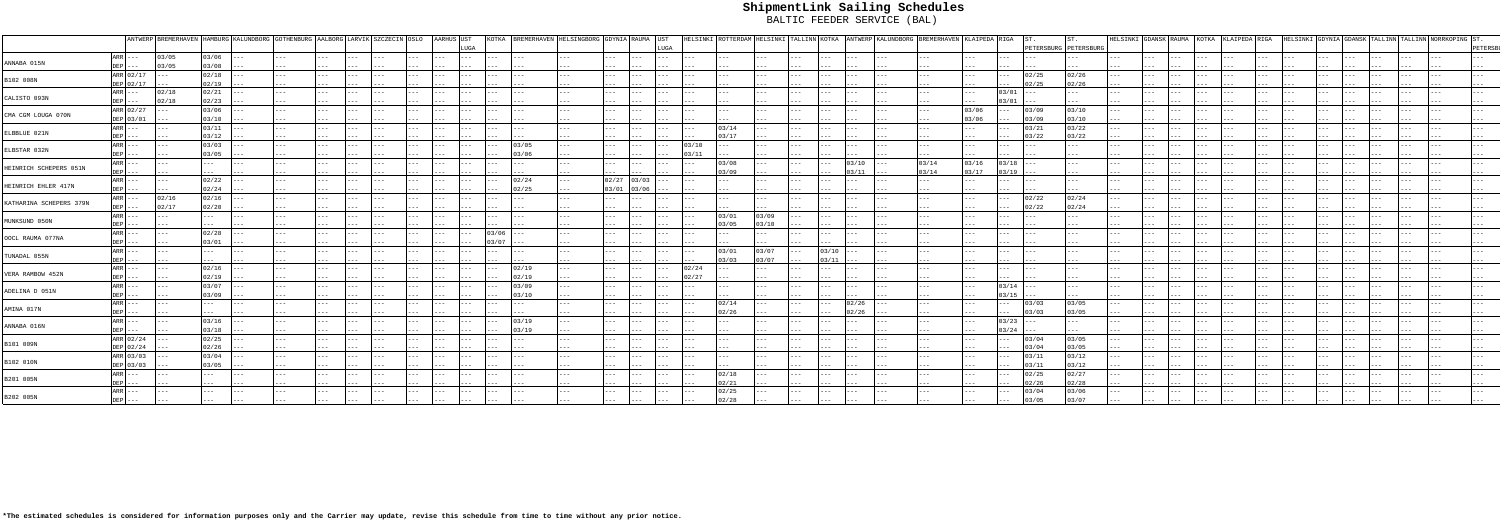|                         | ANTWERP BREMERHAVEN HAMBURG KALUNDBORG GOTHENBURG AALBORG LARVIK SZCZECIN OSLO |                                                                                                                                                                                                                                                                                                                                                                                              |       |       |         | AARHUS UST |         | KOTKA   BREMERHAVEN   HELSINGBORG   GDYNIA   RAUMA |       |         |               | UST            |                |         | HELSINKI ROTTERDAM HELSINKI TALLINN KOTKA | NTWERP | KALUNDBORG | BREMERHAVEN KLAIPEDA RIGA |                |                                                                                                                                                                                                                                                                                                                                                                                              | IST.           | ST.                   |       | HELSINKI GDANSK RAUMA | KOTKA KLAIPEDA RIGA | <b>HELSINKI</b><br>GDYNIA |  | 'ALLINN   NORRKOPING   ST |  |
|-------------------------|--------------------------------------------------------------------------------|----------------------------------------------------------------------------------------------------------------------------------------------------------------------------------------------------------------------------------------------------------------------------------------------------------------------------------------------------------------------------------------------|-------|-------|---------|------------|---------|----------------------------------------------------|-------|---------|---------------|----------------|----------------|---------|-------------------------------------------|--------|------------|---------------------------|----------------|----------------------------------------------------------------------------------------------------------------------------------------------------------------------------------------------------------------------------------------------------------------------------------------------------------------------------------------------------------------------------------------------|----------------|-----------------------|-------|-----------------------|---------------------|---------------------------|--|---------------------------|--|
|                         |                                                                                |                                                                                                                                                                                                                                                                                                                                                                                              |       |       |         | LUGA       |         |                                                    |       |         |               | LUGA           |                |         |                                           |        |            |                           |                |                                                                                                                                                                                                                                                                                                                                                                                              |                | PETERSBURG PETERSBURG |       |                       |                     |                           |  |                           |  |
|                         | 03/05<br>$ARR$ $---$                                                           | 03/06                                                                                                                                                                                                                                                                                                                                                                                        |       |       |         |            |         |                                                    |       |         |               | $- -$          |                |         |                                           |        |            |                           |                |                                                                                                                                                                                                                                                                                                                                                                                              | $- - -$        |                       |       | $--$                  |                     |                           |  |                           |  |
| ANNABA 015N             | 03/05                                                                          | 03/08                                                                                                                                                                                                                                                                                                                                                                                        |       |       |         |            |         |                                                    |       |         |               |                |                |         |                                           |        |            |                           |                |                                                                                                                                                                                                                                                                                                                                                                                              |                |                       |       |                       |                     |                           |  |                           |  |
|                         | ARR 02/17<br>$- - -$                                                           | 02/18                                                                                                                                                                                                                                                                                                                                                                                        |       |       |         |            |         |                                                    |       | $- - -$ | $- -$         |                |                |         |                                           |        |            |                           |                | $---$                                                                                                                                                                                                                                                                                                                                                                                        | 02/25          | 02/26                 | $- -$ | $- -$                 |                     |                           |  |                           |  |
| B102 008N               | 02/17                                                                          | 02/19                                                                                                                                                                                                                                                                                                                                                                                        |       |       |         |            |         |                                                    |       |         |               |                |                |         |                                           |        |            |                           |                |                                                                                                                                                                                                                                                                                                                                                                                              | 02/25          | 02/26                 |       |                       |                     |                           |  |                           |  |
| CALISTO 093N            | $ARR$ $---$<br>02/18                                                           | 02/21                                                                                                                                                                                                                                                                                                                                                                                        |       |       |         | $- -$      |         |                                                    |       | $- - -$ | $- -$         | $- - -$        |                |         |                                           |        |            |                           |                | $03/01$ $---$                                                                                                                                                                                                                                                                                                                                                                                |                | $---$                 | $- -$ | $- -$                 |                     |                           |  |                           |  |
|                         | 02/18                                                                          | 02/23                                                                                                                                                                                                                                                                                                                                                                                        |       |       |         |            |         |                                                    |       |         |               |                |                |         |                                           |        |            |                           |                | 0.3/0.1                                                                                                                                                                                                                                                                                                                                                                                      |                |                       |       |                       |                     |                           |  |                           |  |
| CMA CGM LOUGA 070N      | ARR 02/27<br>$- - -$                                                           | 03/06                                                                                                                                                                                                                                                                                                                                                                                        | $- -$ |       |         |            |         |                                                    |       | $- - -$ | $ -$          |                |                |         |                                           |        |            | $---$                     | 03/06          | $\frac{1}{2} \frac{1}{2} \frac{1}{2} \frac{1}{2} \frac{1}{2} \frac{1}{2} \frac{1}{2} \frac{1}{2} \frac{1}{2} \frac{1}{2} \frac{1}{2} \frac{1}{2} \frac{1}{2} \frac{1}{2} \frac{1}{2} \frac{1}{2} \frac{1}{2} \frac{1}{2} \frac{1}{2} \frac{1}{2} \frac{1}{2} \frac{1}{2} \frac{1}{2} \frac{1}{2} \frac{1}{2} \frac{1}{2} \frac{1}{2} \frac{1}{2} \frac{1}{2} \frac{1}{2} \frac{1}{2} \frac{$ | 03/09          | 03/10                 | $ -$  | $- -$                 |                     |                           |  |                           |  |
|                         | 03/01                                                                          | 03/10                                                                                                                                                                                                                                                                                                                                                                                        |       |       |         |            |         |                                                    |       |         |               |                |                |         |                                           |        |            |                           | 0.3/06         |                                                                                                                                                                                                                                                                                                                                                                                              | 03/09          | 0.3/10                |       |                       |                     |                           |  |                           |  |
| ELBBLUE 021N            | $ARR$ $---$<br>$-- -$                                                          | 03/11                                                                                                                                                                                                                                                                                                                                                                                        |       |       |         |            |         |                                                    |       | $- - -$ | $- -$         | $- -$          | 03/14          |         |                                           |        |            |                           |                | $---$                                                                                                                                                                                                                                                                                                                                                                                        | 03/21          | 03/22                 |       | $-$                   |                     |                           |  |                           |  |
|                         |                                                                                | 03/12                                                                                                                                                                                                                                                                                                                                                                                        |       |       |         |            |         |                                                    |       |         |               |                | 03/17          |         |                                           |        |            |                           |                |                                                                                                                                                                                                                                                                                                                                                                                              | 03/22          | 03/22                 |       |                       |                     |                           |  |                           |  |
| ELBSTAR 032N            | $ARR$ $---$                                                                    | 03/03                                                                                                                                                                                                                                                                                                                                                                                        |       |       |         |            |         | 03/05                                              |       | $---$   | $--$          | 03/10<br>$--$  | $- -$          |         |                                           |        |            | $---$                     |                | $---$                                                                                                                                                                                                                                                                                                                                                                                        | $---$          | $---$                 |       |                       |                     |                           |  |                           |  |
|                         |                                                                                | 0.3/0.5                                                                                                                                                                                                                                                                                                                                                                                      |       |       |         |            |         | 3/06                                               |       |         |               | 3/11           |                |         |                                           |        |            |                           |                |                                                                                                                                                                                                                                                                                                                                                                                              |                |                       |       |                       |                     |                           |  |                           |  |
| HEINRICH SCHEPERS 051N  | $ARR$ $---$<br>$---$                                                           | $---$                                                                                                                                                                                                                                                                                                                                                                                        |       |       |         |            |         | $- -$                                              |       | $- - -$ | $- -$         | $- -$<br>$- -$ | 03/08<br>03/09 | $--$    | $---$<br>$---$                            | 03/10  | $- - -$    | 03/14                     | 03/16<br>03/17 | 03/18<br>03/19                                                                                                                                                                                                                                                                                                                                                                               | $1 - - -$      |                       |       | $--$                  |                     |                           |  |                           |  |
|                         | $ARR$ $---$<br>$--$                                                            | 02/22                                                                                                                                                                                                                                                                                                                                                                                        |       |       |         |            |         | 02/24                                              |       |         | $02/27$ 03/03 |                |                |         |                                           |        |            | 03/14                     |                | $---$                                                                                                                                                                                                                                                                                                                                                                                        | $---$          |                       |       | $-$                   |                     |                           |  |                           |  |
| HEINRICH EHLER 417N     |                                                                                | 02/24                                                                                                                                                                                                                                                                                                                                                                                        |       |       |         |            |         | 2/25                                               |       | 03/01   | 3/06          |                |                |         |                                           |        |            |                           |                |                                                                                                                                                                                                                                                                                                                                                                                              |                |                       |       |                       |                     |                           |  |                           |  |
|                         | 02/16<br>$ARR$ $---$                                                           | 02/16                                                                                                                                                                                                                                                                                                                                                                                        |       |       |         |            |         |                                                    |       | $- - -$ | $ -$          | $- -$<br>$- -$ |                | $- -$   |                                           |        |            |                           |                | $---$                                                                                                                                                                                                                                                                                                                                                                                        | 02/22          | 02/24                 |       | $--$                  |                     |                           |  |                           |  |
| KATHARINA SCHEPERS 379N | 02/17                                                                          | 02/20                                                                                                                                                                                                                                                                                                                                                                                        |       |       |         |            |         |                                                    |       |         |               |                |                |         |                                           |        |            |                           |                |                                                                                                                                                                                                                                                                                                                                                                                              | 02/22          | 02/24                 |       |                       |                     |                           |  |                           |  |
|                         | ARRI.<br>$---$<br>$- - -$                                                      | $---$                                                                                                                                                                                                                                                                                                                                                                                        |       |       |         |            |         |                                                    |       | $- -$   | $- -$         | $---$          | 03/01          | 03/09   |                                           |        |            |                           |                | $---$                                                                                                                                                                                                                                                                                                                                                                                        | $---$          |                       |       |                       |                     |                           |  |                           |  |
| MUNKSUND 050N           |                                                                                |                                                                                                                                                                                                                                                                                                                                                                                              |       |       |         |            |         |                                                    |       |         |               |                | 03/05          | 03/10   |                                           |        |            |                           |                |                                                                                                                                                                                                                                                                                                                                                                                              |                |                       |       |                       |                     |                           |  |                           |  |
|                         | $- - -$<br>$--$                                                                | 02/28                                                                                                                                                                                                                                                                                                                                                                                        | $--$  | $- -$ |         |            | 03/06   |                                                    |       | $- - -$ | $--$          |                |                | $--$    |                                           |        | $-- -$     |                           |                | $---$                                                                                                                                                                                                                                                                                                                                                                                        | $---$          |                       |       | $- -$                 |                     |                           |  |                           |  |
| OOCL RAUMA 077NA        |                                                                                | 03/01                                                                                                                                                                                                                                                                                                                                                                                        |       |       |         |            | 3/07    |                                                    |       |         |               |                |                |         |                                           |        |            |                           |                |                                                                                                                                                                                                                                                                                                                                                                                              |                |                       |       |                       |                     |                           |  |                           |  |
|                         | $---$<br>$---$                                                                 | $---$                                                                                                                                                                                                                                                                                                                                                                                        |       | $- -$ |         |            |         | $- -$                                              |       | $- - -$ | $- -$         | $---$          | 03/01          | 03/07   | 03/10<br>$- -$                            |        |            |                           |                |                                                                                                                                                                                                                                                                                                                                                                                              | $---$          |                       |       | $--$                  |                     |                           |  |                           |  |
| TUNADAL 055N            |                                                                                |                                                                                                                                                                                                                                                                                                                                                                                              |       |       |         |            |         |                                                    |       |         |               |                | 03/03          | 03/07   | 0.3/11                                    |        |            |                           |                |                                                                                                                                                                                                                                                                                                                                                                                              |                |                       |       |                       |                     |                           |  |                           |  |
|                         | $---$<br>$- - -$                                                               | 02/16                                                                                                                                                                                                                                                                                                                                                                                        |       |       |         |            |         | 2/19                                               |       | $- - -$ | $- -$         | 02/24<br>$- -$ |                | $- - -$ | $- -$                                     |        |            |                           |                | $- - -$                                                                                                                                                                                                                                                                                                                                                                                      |                |                       |       | $--$                  |                     |                           |  |                           |  |
| VERA RAMBOW 452N        |                                                                                | 02/19                                                                                                                                                                                                                                                                                                                                                                                        |       |       |         |            |         | 2/19                                               |       |         |               | 2/27           |                |         |                                           |        |            |                           |                |                                                                                                                                                                                                                                                                                                                                                                                              |                |                       |       |                       |                     |                           |  |                           |  |
|                         | $- - -$<br>$- - -$                                                             | 03/07                                                                                                                                                                                                                                                                                                                                                                                        |       |       |         |            |         | 03/09                                              |       | $- -$   |               | $- -$          |                |         |                                           |        |            |                           |                | 03/14                                                                                                                                                                                                                                                                                                                                                                                        | $---$          |                       |       | $ -$                  |                     |                           |  |                           |  |
| ADELINA D 051N          |                                                                                | 03/09                                                                                                                                                                                                                                                                                                                                                                                        |       |       |         |            |         | 3/10                                               |       |         |               |                |                |         |                                           |        |            |                           |                | 03/15                                                                                                                                                                                                                                                                                                                                                                                        |                |                       |       |                       |                     |                           |  |                           |  |
| AMINA 017N              | <b>ADD</b><br>$---$<br>$- -$                                                   | $---$                                                                                                                                                                                                                                                                                                                                                                                        |       |       | $- - -$ |            |         | $- -$                                              |       | $- - -$ | $- -$         | $--$           | 02/14          | $---$   | $- -$<br>$- -$                            | 02/26  |            | $---$                     |                | $\frac{1}{2}$                                                                                                                                                                                                                                                                                                                                                                                | 03/03          | 03/05                 | $- -$ | $--$                  |                     |                           |  |                           |  |
|                         |                                                                                |                                                                                                                                                                                                                                                                                                                                                                                              |       |       |         |            |         |                                                    |       |         |               |                | 02/26          |         |                                           |        |            |                           |                |                                                                                                                                                                                                                                                                                                                                                                                              | 03/03          | 03/05                 |       |                       |                     |                           |  |                           |  |
| ANNABA 016N             | <b>ARR</b><br>$---$<br>$- - -$                                                 | 03/16                                                                                                                                                                                                                                                                                                                                                                                        |       |       | $- - -$ | $- -$      | $- - -$ | 03/19                                              |       | $---$   | $- -$         | $- -$          | $- -$          | $- - -$ |                                           | $- -$  |            |                           |                | $03/23$ ---                                                                                                                                                                                                                                                                                                                                                                                  |                | $- - -$               | $- -$ | $--$                  |                     |                           |  |                           |  |
|                         |                                                                                | 03/18                                                                                                                                                                                                                                                                                                                                                                                        |       |       |         |            |         | 1/19                                               |       |         |               |                |                |         |                                           |        |            |                           |                | 03/24                                                                                                                                                                                                                                                                                                                                                                                        |                |                       |       |                       |                     |                           |  |                           |  |
| B101 009N               | ARR 02/24                                                                      | 02/25                                                                                                                                                                                                                                                                                                                                                                                        | $- -$ |       |         |            |         |                                                    |       | $- - -$ | $- -$         |                |                |         |                                           |        |            |                           |                | $\frac{1}{2} \frac{1}{2} \frac{1}{2} \frac{1}{2} \frac{1}{2} \frac{1}{2} \frac{1}{2} \frac{1}{2} \frac{1}{2} \frac{1}{2} \frac{1}{2} \frac{1}{2} \frac{1}{2} \frac{1}{2} \frac{1}{2} \frac{1}{2} \frac{1}{2} \frac{1}{2} \frac{1}{2} \frac{1}{2} \frac{1}{2} \frac{1}{2} \frac{1}{2} \frac{1}{2} \frac{1}{2} \frac{1}{2} \frac{1}{2} \frac{1}{2} \frac{1}{2} \frac{1}{2} \frac{1}{2} \frac{$ | 03/04          | 03/05                 | $- -$ | $--$                  |                     |                           |  |                           |  |
|                         | 02/24                                                                          | 02/26                                                                                                                                                                                                                                                                                                                                                                                        |       |       |         |            |         |                                                    |       |         |               |                |                |         |                                           |        |            |                           |                |                                                                                                                                                                                                                                                                                                                                                                                              | 03/04          | 03/05                 |       |                       |                     |                           |  |                           |  |
| B102 010N               | ARR 03/03                                                                      | 03/04                                                                                                                                                                                                                                                                                                                                                                                        | $- -$ |       |         | $- - -$    |         | $- -$                                              |       | $- - -$ | $- -$         | $- - -$        |                | $- - -$ |                                           |        | $- -$      |                           |                | $---$                                                                                                                                                                                                                                                                                                                                                                                        | 03/11          | 03/12                 | $- -$ | $- -$                 |                     |                           |  |                           |  |
|                         | 03/03                                                                          | 03/05                                                                                                                                                                                                                                                                                                                                                                                        |       |       |         |            |         |                                                    |       |         |               |                |                |         |                                           |        |            |                           |                |                                                                                                                                                                                                                                                                                                                                                                                              | 03/11          | 03/12                 |       |                       |                     |                           |  |                           |  |
| B201 005N               | $ARR$ $---$                                                                    | $\frac{1}{2} \frac{1}{2} \frac{1}{2} \frac{1}{2} \frac{1}{2} \frac{1}{2} \frac{1}{2} \frac{1}{2} \frac{1}{2} \frac{1}{2} \frac{1}{2} \frac{1}{2} \frac{1}{2} \frac{1}{2} \frac{1}{2} \frac{1}{2} \frac{1}{2} \frac{1}{2} \frac{1}{2} \frac{1}{2} \frac{1}{2} \frac{1}{2} \frac{1}{2} \frac{1}{2} \frac{1}{2} \frac{1}{2} \frac{1}{2} \frac{1}{2} \frac{1}{2} \frac{1}{2} \frac{1}{2} \frac{$ |       |       |         |            |         |                                                    | $- -$ | $- - -$ | $- -$         |                | 02/18          |         |                                           |        |            |                           |                | $---$                                                                                                                                                                                                                                                                                                                                                                                        | 02/25          | 02/27                 |       |                       |                     |                           |  |                           |  |
|                         | $ARR$ $---$                                                                    |                                                                                                                                                                                                                                                                                                                                                                                              |       |       |         |            |         |                                                    |       |         |               |                | 02/21          |         |                                           |        |            |                           |                |                                                                                                                                                                                                                                                                                                                                                                                              | 02/26          | 02/28                 |       |                       |                     |                           |  |                           |  |
| B202 005N               |                                                                                |                                                                                                                                                                                                                                                                                                                                                                                              |       |       |         |            |         |                                                    |       |         |               |                | 02/25          |         |                                           |        |            |                           |                | $---$                                                                                                                                                                                                                                                                                                                                                                                        | 03/04<br>03/05 | 03/06<br>0.3/0.7      |       | $ -$                  |                     |                           |  |                           |  |
|                         |                                                                                |                                                                                                                                                                                                                                                                                                                                                                                              |       |       |         |            |         |                                                    |       |         |               |                |                |         |                                           |        |            |                           |                |                                                                                                                                                                                                                                                                                                                                                                                              |                |                       |       |                       |                     |                           |  |                           |  |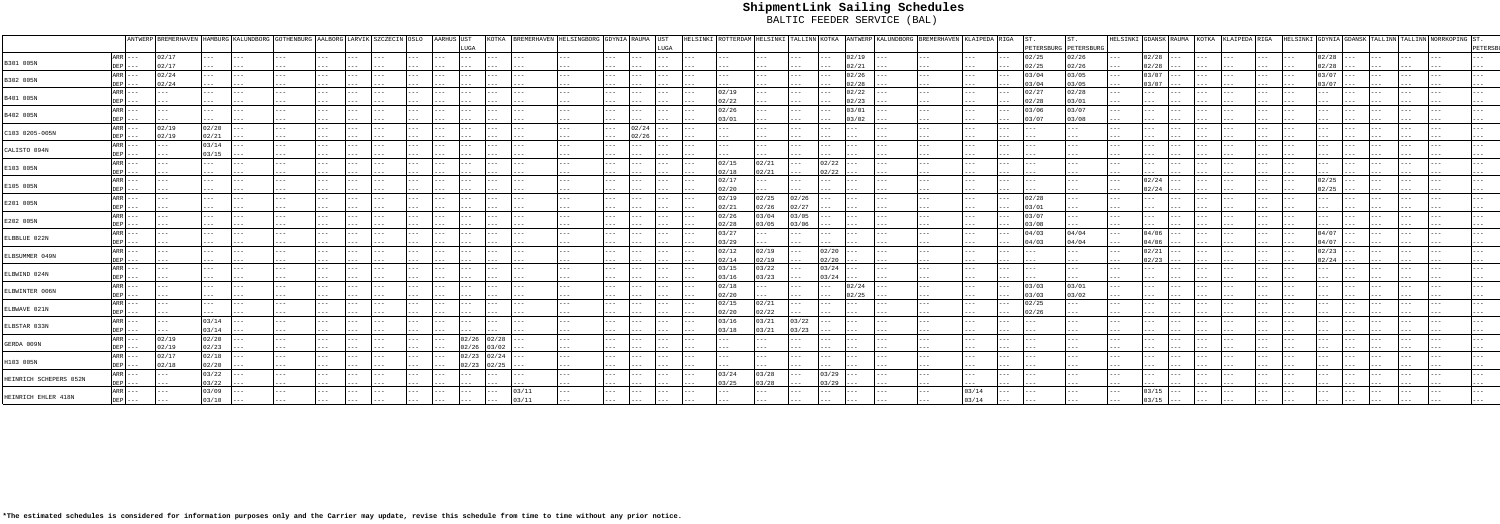|                        |                                   |                |                  |         |         | ANTWERP BREMERHAVEN HAMBURG KALUNDBORG GOTHENBURG AALBORG LARVIK SZCZECIN |       | ARHUS UST              | . ОТКА                  | BREMERHAVEN HELSINGBORG GDYNIA RAUMA |       | UST           |                | HELSINKI ROTTERDAM HELSINKI | TALLINN KOTKA  |                  |                |         | ANTWERP KALUNDBORG BREMERHAVEN |       | RIGA  |                |                       | HELSINKI GDANSK RAUMA   | IOTKA | KLAIPEDA RIGA | HELSINKI GDYNIA |  |  |
|------------------------|-----------------------------------|----------------|------------------|---------|---------|---------------------------------------------------------------------------|-------|------------------------|-------------------------|--------------------------------------|-------|---------------|----------------|-----------------------------|----------------|------------------|----------------|---------|--------------------------------|-------|-------|----------------|-----------------------|-------------------------|-------|---------------|-----------------|--|--|
|                        |                                   |                |                  |         |         |                                                                           |       | LUGA                   |                         |                                      |       | JIGA.         |                |                             |                |                  |                |         |                                |       |       |                | PETERSBURG PETERSBURG |                         |       |               |                 |  |  |
| B301 005N              | $ARR$ ---<br>DEP <sup>1</sup>     | 02/17<br>02/17 | $\frac{1}{2}$    |         |         | $- - -$                                                                   |       | $---$                  |                         |                                      | $- -$ | $--$          |                |                             |                |                  | 02/19<br>12/21 |         |                                |       | $- -$ | 02/25          | 02/26                 | 02/28<br>$- -$<br>02/28 | $---$ |               | 02/28<br>02/28  |  |  |
|                        | $ARR$ $---$                       | 02/24          | $\frac{1}{2}$    |         |         |                                                                           |       |                        |                         |                                      | $---$ |               |                |                             |                |                  | 02/26          |         | $- - -$                        |       | $- -$ | 2/25<br>03/04  | 02/26<br>03/05        | 03/07<br>$- -$          |       |               | 03/07           |  |  |
| B302 005N              | DEP <sup>I</sup> -                | 02/24          |                  |         |         |                                                                           |       |                        |                         |                                      |       |               |                |                             |                |                  | 02/28          |         |                                |       |       | 03/04          | 03/05                 | 0.3/0.7                 |       |               | 03/07           |  |  |
| B401 005N              | $ARR$ $---$                       | $--$           | $---$            | $  \,$  |         |                                                                           |       | $---$                  |                         |                                      | $- -$ | $- -$         | 02/19<br>02/22 |                             |                |                  | 02/22<br>12/23 |         |                                |       | $- -$ | 02/27<br>2/28  | 02/28<br>0.3/0.1      | $- -$                   |       |               |                 |  |  |
| B402 005N              | $ARR$ $---$                       | $--$           | $---$            | $  \,$  |         |                                                                           |       |                        |                         |                                      | $- -$ |               | 02/26          |                             |                |                  | 03/01          |         | $---$                          |       |       | 03/06          | 03/07                 |                         |       |               |                 |  |  |
|                        |                                   |                |                  |         |         |                                                                           |       |                        |                         |                                      |       |               | 0.3/0.1        |                             |                |                  | 3/02           |         |                                |       |       | 03/07          | 0.3 / 0.8             |                         |       |               |                 |  |  |
| C103 0205-005N         | $ARR$ ---                         | 02/19<br>02/19 | 02/20<br>02/21   | $---$   |         |                                                                           |       |                        |                         |                                      | $- -$ | 02/24<br>2/26 |                |                             |                |                  |                |         |                                |       |       |                |                       |                         |       |               |                 |  |  |
| CALISTO 094N           | $ARR$ $---$                       |                | 03/14            | $- - -$ |         |                                                                           |       |                        |                         |                                      | $- -$ |               |                |                             |                |                  |                |         |                                |       |       |                |                       |                         |       |               |                 |  |  |
|                        | $ARR$ ---                         | $- -$          | 0.3/1.5<br>$---$ | $- -$   |         |                                                                           |       | $- -$                  |                         |                                      | $- -$ |               |                |                             |                |                  |                | $---$   |                                |       |       |                |                       | $-$                     |       |               |                 |  |  |
| E103 005N              |                                   |                |                  |         |         |                                                                           |       |                        |                         |                                      |       |               | 02/15<br>02/18 | 02/21<br>12/21              |                | 02/22<br>02/22   |                |         |                                |       |       |                |                       |                         |       |               |                 |  |  |
| E105 005N              | $ARR$ $---$<br>DEP                |                | $---$            |         |         |                                                                           |       |                        |                         |                                      | $---$ | $--$          | 02/17<br>02/20 |                             |                |                  |                | $- -$   |                                |       |       |                |                       | 02/24<br>$- -$<br>2/24  |       |               | 02/25           |  |  |
| E201 005N              | $ARR$ $---$                       | $--$           | $---$            | $- - -$ | $---$   | $- - -$                                                                   | $- -$ | $ -$                   |                         |                                      | $- -$ | $- -$         | 02/19          | 02/25                       | 02/26          |                  | $- -$          | $- - -$ |                                |       | $- -$ | 02/28          |                       | $- -$                   |       |               |                 |  |  |
|                        | DEP <sup>I</sup> -<br>$ARR$ $---$ | $- -$          | $---$            | $- - -$ | $- -$   |                                                                           |       |                        |                         |                                      | $- -$ | $- -$         | 02/21<br>02/26 | 02/26<br>03/04              | 02/27<br>03/05 |                  |                |         |                                |       |       | 03/01<br>03/07 |                       |                         |       |               |                 |  |  |
| E202 005N              | DEP <sup>I</sup> -                |                |                  |         |         |                                                                           |       |                        |                         |                                      |       |               | 02/28          | 03/05                       | 03/06          |                  |                |         |                                |       |       | 03/08          |                       |                         |       |               |                 |  |  |
| ELBBLUE 022N           | ARR  <br>DEP -                    | $- -$          | $---$            | $- -$   |         |                                                                           |       |                        |                         |                                      | $- -$ |               | 03/27<br>03/29 | $- -$                       |                |                  |                |         |                                |       |       | 04/03<br>04/03 | 04/04<br>04/04        | 04/06<br>04/06          |       |               | 04/07<br>04/07  |  |  |
|                        | $ARR$ $---$                       | $- -$          |                  | $---$   |         |                                                                           |       |                        |                         |                                      |       |               | 02/12          | 02/19                       |                | 02/20            |                |         |                                |       |       |                |                       | 02/21<br>$-$            |       |               | 02/23           |  |  |
| ELBSUMMER 049N         |                                   |                |                  |         |         |                                                                           |       |                        |                         |                                      |       |               | 02/14          | 02/19                       |                | 02/20            |                |         |                                |       |       |                |                       | 02/23                   |       |               | 02/24           |  |  |
| ELBWIND 024N           | $ARR$ ---                         |                | $---$            |         |         |                                                                           |       | $---$                  |                         |                                      | $- -$ |               | 03/15<br>03/16 | 03/22<br>03/23              |                | 03/24<br>0.3/2.4 |                | $--$    |                                |       |       |                |                       | $-$                     |       |               |                 |  |  |
| ELBWINTER 006N         | $ARR$ $---$                       |                |                  |         |         |                                                                           |       |                        |                         |                                      |       | $--$          | 02/18          | $- -$                       |                |                  | 02/24          |         |                                |       |       | 03/03          | 03/01                 |                         |       |               |                 |  |  |
|                        |                                   |                |                  |         |         |                                                                           |       |                        |                         |                                      |       |               | 02/20          |                             |                |                  | 12/25          |         |                                |       |       | 13/03          | 13/02                 |                         |       |               |                 |  |  |
| ELBWAVE 021N           | $ARR$ ---<br>DEP <sup>1</sup>     |                | $\frac{1}{2}$    |         |         |                                                                           |       | $---$                  |                         |                                      | $- -$ | $- -$         | 02/15<br>02/20 | 02/21<br>2/22               |                |                  |                |         |                                |       | $- -$ | 02/25<br>2/26  |                       | $- -$                   |       |               |                 |  |  |
| ELBSTAR 033N           | $ARR$ ---                         | $--$           | 03/14<br>03/14   | $- -$   |         |                                                                           |       | $\sim$ $-$             |                         |                                      | $- -$ | $- -$         | 03/16<br>03/18 | 03/21<br>03/21              | 03/22<br>03/23 |                  |                |         |                                |       | $- -$ | $- -$          |                       | $-$                     |       |               |                 |  |  |
|                        | $ARR$ $---$                       | 02/19          | 02/20            | $- -$   |         | $---$                                                                     | $--$  | $- -$                  | $02/26$ 02/28<br>$- -$  |                                      | $---$ |               |                |                             |                | $---$            |                |         |                                |       |       |                |                       | $-$                     |       |               |                 |  |  |
| GERDA 009N             | DEP <sup>1</sup>                  | 02/19          | 02/23            |         |         |                                                                           |       | 02/26                  | 3/02                    |                                      |       |               |                |                             |                |                  |                |         |                                |       |       |                |                       |                         |       |               |                 |  |  |
| H103 005N              | $ARR$ $---$<br>DEP <sup>1</sup>   | 02/17<br>02/18 | 02/18<br>02/20   | $--$    | $- - -$ |                                                                           | $- -$ | 02/23<br>$--$<br>02/23 | 02/24<br>$- -$<br>02/25 |                                      | $--$  | $--$          |                | $- - -$                     |                |                  |                |         |                                |       | $- -$ |                |                       | $- -$                   |       |               |                 |  |  |
|                        | $ARR$ $---$                       | $--$           | 03/22            | $- -$   |         |                                                                           |       |                        | $- -$                   | $---$                                | $--$  |               | 03/24          | 03/28                       |                | 03/29            |                | $--$    | $---$                          |       |       |                |                       |                         |       |               |                 |  |  |
| HEINRICH SCHEPERS 052N |                                   |                | $03/22$          |         |         |                                                                           |       |                        |                         |                                      |       |               | 03/25          | 03/28                       |                | 03/29            |                |         |                                |       |       |                |                       |                         |       |               |                 |  |  |
| HEINRICH EHLER 418N    | $ARR$ $---$                       |                | 03/09<br>$03/10$ | $- - -$ |         |                                                                           |       | $---$                  | 13/11                   |                                      |       |               |                |                             |                |                  |                |         |                                | 03/14 |       |                |                       | 03/15                   |       |               |                 |  |  |
|                        |                                   |                |                  |         |         |                                                                           |       |                        |                         |                                      |       |               |                |                             |                |                  |                |         |                                |       |       |                |                       |                         |       |               |                 |  |  |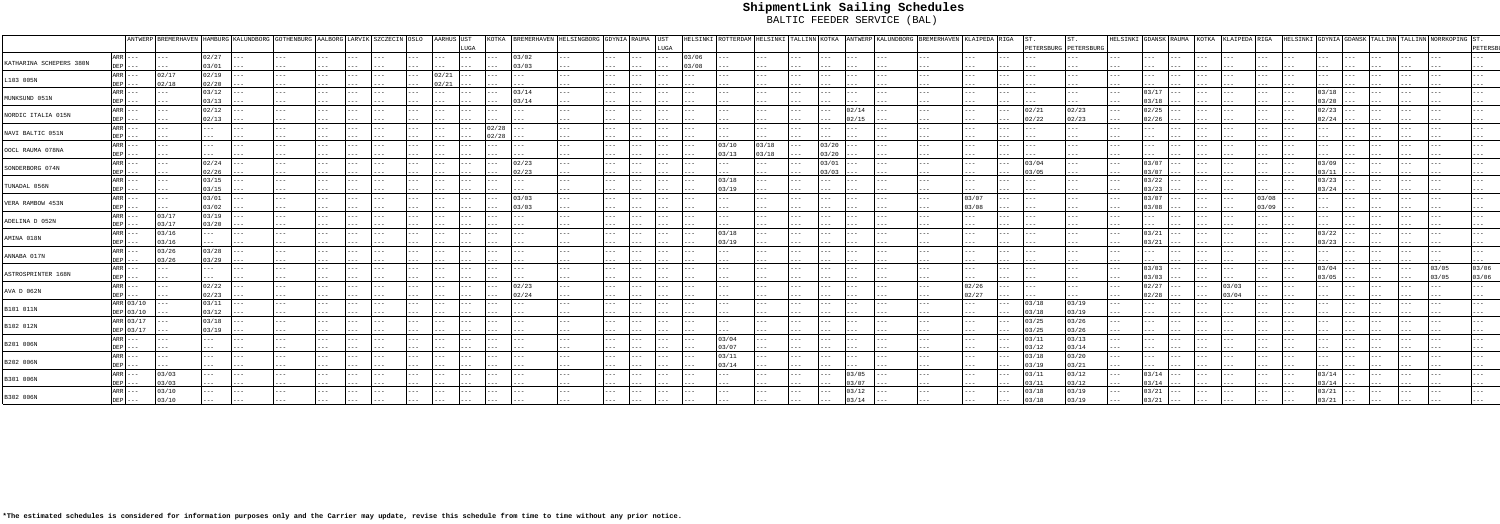|                         |                            | ANTWERP BREMERHAVEN HAMBURG KALUNDBORG GOTHENBURG AALBORG LARVIK SZCZECIN |                |         |         |       |         | AARHUS UST     | BREMERHAVEN HELSINGBORG GDYNIA RAUMA<br>OTKA |                                                                                                                                                                                                                                                                                                                                                                                              |         |                | HELSINKI ROTTERDAM HELSINKI | TALLINN KOTKA | ANTWERP | KALUNDBORG IBREMERHAVEN | KLAIPEDA RIGA  |         |                |                       |      | HELSINKI GDANSK RAUMA | KOTKA KLAIPEDA RIGA |       | HELSINKI | GDYNIA           |  |               |                |
|-------------------------|----------------------------|---------------------------------------------------------------------------|----------------|---------|---------|-------|---------|----------------|----------------------------------------------|----------------------------------------------------------------------------------------------------------------------------------------------------------------------------------------------------------------------------------------------------------------------------------------------------------------------------------------------------------------------------------------------|---------|----------------|-----------------------------|---------------|---------|-------------------------|----------------|---------|----------------|-----------------------|------|-----------------------|---------------------|-------|----------|------------------|--|---------------|----------------|
|                         |                            |                                                                           |                |         |         |       |         | LUGA           |                                              |                                                                                                                                                                                                                                                                                                                                                                                              |         | JUGA.          |                             |               |         |                         |                |         |                | PETERSBURG PETERSBURG |      |                       |                     |       |          |                  |  |               |                |
|                         | $ARR$ $---$                | $---$                                                                     | $02/27$ $---$  | $---$   | $- -$   |       | $- -$   | $---$<br>$---$ | 03/02                                        | $---$                                                                                                                                                                                                                                                                                                                                                                                        | $---$   | 03/06<br>$---$ | $- -$                       |               |         |                         |                | $--$    | $- - -$        |                       |      | $--$                  |                     |       |          |                  |  |               |                |
| KATHARINA SCHEPERS 380N |                            |                                                                           | 03/01          |         |         |       |         |                | 3/03                                         |                                                                                                                                                                                                                                                                                                                                                                                              |         | 03/08          |                             |               |         |                         |                |         |                |                       |      |                       |                     |       |          |                  |  |               |                |
|                         | $ARR$ $---$                | 02/17                                                                     | 02/19          | $- -$   |         |       |         | 02/21          | $- -$                                        | $---$                                                                                                                                                                                                                                                                                                                                                                                        |         |                |                             |               | $- -$   | $---$                   |                |         |                |                       |      | $-$                   |                     |       |          |                  |  |               |                |
| L103 005N               |                            | 02/18                                                                     | 02/20          |         |         |       |         | 2/21           |                                              |                                                                                                                                                                                                                                                                                                                                                                                              |         |                |                             |               |         |                         |                |         |                |                       |      |                       |                     |       |          |                  |  |               |                |
|                         | $ARR$ ---                  | $- -$                                                                     | 03/12          | $---$   |         |       |         | $- -$          | 13/14                                        | $- - -$                                                                                                                                                                                                                                                                                                                                                                                      |         |                |                             |               | $- -$   |                         |                |         |                |                       |      | 03/17<br>$--$         |                     |       |          | 03/18            |  |               |                |
| MUNKSUND 051N           |                            |                                                                           | 0.3/1.3        |         |         |       |         |                | 1/14                                         |                                                                                                                                                                                                                                                                                                                                                                                              |         |                |                             |               |         |                         |                |         |                |                       |      | 3/18                  |                     |       |          |                  |  |               |                |
|                         | $ARR$ ---                  | $- -$                                                                     | 02/12          | $- - -$ |         |       |         | $- -$          |                                              | $--$                                                                                                                                                                                                                                                                                                                                                                                         |         |                |                             |               | 02/14   |                         |                | $---$   | 02/21          | 02/23                 |      | 02/25<br>$- -$        |                     |       |          | 02/23            |  |               |                |
| NORDIC ITALIA 015N      |                            |                                                                           | 02/13          |         |         |       |         |                |                                              |                                                                                                                                                                                                                                                                                                                                                                                              |         |                |                             |               |         |                         |                |         | 2/22           | 02/23                 |      |                       |                     |       |          | 2/24             |  |               |                |
|                         | $ARR$ $---$                | $---$                                                                     | $\frac{1}{2}$  | $- - -$ | $---$   |       | $- -$   | $- - -$        | 02/28<br>$- -$                               | $---$                                                                                                                                                                                                                                                                                                                                                                                        |         |                | $- -$                       |               | $- -$   |                         |                | $- -$   | $---$          |                       |      | $--$                  |                     |       |          |                  |  |               |                |
| NAVI BALTIC 051N        | $DEP$ $---$                |                                                                           |                |         |         |       |         |                | 2/28                                         |                                                                                                                                                                                                                                                                                                                                                                                              |         |                |                             |               |         |                         |                |         |                |                       |      |                       |                     |       |          |                  |  |               |                |
|                         | $ARR$ $---$                | $---$                                                                     | $---$          | $- -$   | $- - -$ |       |         | $- - -$        | $- -$                                        | $---$                                                                                                                                                                                                                                                                                                                                                                                        |         |                | 03/10<br>03/18              | 03/20         | $---$   | $---$                   |                | $- - -$ |                |                       |      | $--$                  |                     |       |          |                  |  |               |                |
| OOCL RAUMA 078NA        | $DEP$ $---$                |                                                                           |                |         |         |       |         |                |                                              |                                                                                                                                                                                                                                                                                                                                                                                              |         |                | 03/13<br>03/18              | 0.3/20        |         |                         |                |         |                |                       |      |                       |                     |       |          |                  |  |               |                |
|                         | $ARR$ $---$                | $---$                                                                     | 02/24          | $- -$   | $- - -$ |       |         | $- -$          | 12/23                                        | $---$                                                                                                                                                                                                                                                                                                                                                                                        |         | $- -$          | $- -$<br>$- -$              | 03/01         | $---$   |                         |                | $- - -$ | 03/04          |                       |      | 03/07<br>$--$         |                     |       |          | 03/09            |  |               |                |
| SONDERBORG 074N         |                            |                                                                           | 02/26          |         |         |       |         |                | 2/23                                         |                                                                                                                                                                                                                                                                                                                                                                                              |         |                |                             | 03/03         |         |                         |                |         | 03/05          |                       |      | 13/07                 |                     |       |          | 03/11            |  |               |                |
|                         | $ARR$ ---                  |                                                                           | 03/15          | $---$   |         |       |         |                | $ -$                                         | $--$                                                                                                                                                                                                                                                                                                                                                                                         |         |                | 03/18                       |               | $- -$   |                         |                |         | $---$          |                       |      | 03/22                 |                     |       |          | 03/23            |  |               |                |
| TUNADAL 056N            |                            |                                                                           | 03/15          |         |         |       |         |                |                                              |                                                                                                                                                                                                                                                                                                                                                                                              |         |                | 03/19                       |               |         |                         |                |         |                |                       |      | 13/23                 |                     |       |          | 03/24            |  |               |                |
|                         | $ARR$ ---                  | $---$                                                                     | 03/01          | $---$   | $--$    |       | $- - -$ | $---$          | 3/03                                         | $--$                                                                                                                                                                                                                                                                                                                                                                                         |         |                |                             |               |         |                         | 03/07          |         | $---$          |                       |      | 03/07<br>$--$         |                     | 03/08 |          |                  |  |               |                |
| VERA RAMBOW 453N        |                            |                                                                           | $03/02$        |         |         |       |         |                | 3/03                                         |                                                                                                                                                                                                                                                                                                                                                                                              |         |                |                             |               |         |                         | 03/08          |         |                |                       |      | 13/08                 |                     | 03/09 |          |                  |  |               |                |
|                         | $ARR$ ---                  | 03/17                                                                     | 03/19          |         |         |       |         |                |                                              |                                                                                                                                                                                                                                                                                                                                                                                              |         |                |                             |               |         |                         |                |         |                |                       |      |                       |                     |       |          |                  |  |               |                |
| ADELINA D 052N          | $DEP$ $---$                | 03/17                                                                     | 03/20          |         |         |       |         |                |                                              |                                                                                                                                                                                                                                                                                                                                                                                              |         |                |                             |               |         |                         |                |         |                |                       |      |                       |                     |       |          |                  |  |               |                |
| ARR                     | $- - -$                    | 03/16                                                                     |                |         |         |       |         |                |                                              |                                                                                                                                                                                                                                                                                                                                                                                              |         |                | 03/18                       |               |         |                         |                |         |                |                       |      | 03/21<br>$ -$         |                     |       |          | 03/22            |  |               |                |
| AMINA 018N              |                            | 03/16                                                                     | $---$          |         |         |       |         |                |                                              | $--$                                                                                                                                                                                                                                                                                                                                                                                         |         |                | 03/19                       |               |         |                         |                |         |                |                       |      | 13/21                 |                     |       |          | 03/23            |  |               |                |
|                         | $DEP$ $---$<br>$ARR$ $---$ | 03/26                                                                     | 03/28          |         |         |       |         |                |                                              |                                                                                                                                                                                                                                                                                                                                                                                              |         |                |                             |               |         |                         |                |         |                |                       |      |                       |                     |       |          |                  |  |               |                |
| ANNABA 017N             |                            | 03/26                                                                     |                | $  \,$  |         |       |         | $\sim$ $-$     | $ -$                                         | $- - -$                                                                                                                                                                                                                                                                                                                                                                                      |         | $- -$          |                             |               |         |                         |                | $- -$   | $---$          |                       |      | $ -$                  |                     |       |          |                  |  |               |                |
|                         | DEP.<br>$ARR$ $---$        |                                                                           | 03/29          |         |         |       |         |                |                                              |                                                                                                                                                                                                                                                                                                                                                                                              |         |                |                             |               |         |                         |                |         |                |                       |      |                       |                     |       |          |                  |  |               |                |
| ASTROSPRINTER 168N      |                            | $- - -$                                                                   | $---$          | $- -$   | $- - -$ |       |         | $- -$          | $ -$                                         | $--$                                                                                                                                                                                                                                                                                                                                                                                         | $- -$   | $- -$          |                             |               |         |                         |                | $- - -$ |                |                       |      | 03/03<br>$--$         |                     |       |          | 03/04<br>0.3/0.5 |  | 3/05<br>13/05 | 03/06<br>03/06 |
|                         | $DFP$ $---$<br>$ARR$ $---$ |                                                                           |                |         |         |       |         |                |                                              |                                                                                                                                                                                                                                                                                                                                                                                              |         |                |                             |               |         |                         |                |         |                |                       |      | 0.3/0.3               |                     |       |          |                  |  |               |                |
| AVA D 062N              |                            | $---$                                                                     | 02/22<br>02/23 | $- - -$ | $- - -$ |       |         | $\sim$ $-$     | 2/23<br>2/24                                 | $- - -$                                                                                                                                                                                                                                                                                                                                                                                      |         | $- - -$        |                             |               |         |                         | 02/26<br>02/27 |         | $---$          |                       |      | 02/27<br>$--$<br>2/28 | 03/03<br>3/04       |       |          |                  |  |               |                |
|                         | ARR 03/10                  |                                                                           | 03/11          |         | $---$   |       | $- - -$ | $- -$          |                                              |                                                                                                                                                                                                                                                                                                                                                                                              | $- - -$ |                |                             |               |         |                         | $- - -$        |         |                |                       | $ -$ | $--$                  | $- - -$             |       |          |                  |  |               |                |
| B101 011N               | DEP 03/10                  |                                                                           | 03/12          | $---$   |         |       |         |                | $- -$                                        | $--$                                                                                                                                                                                                                                                                                                                                                                                         |         | $- -$          |                             |               |         |                         |                | $---$   | 03/18<br>03/18 | 03/19<br>03/19        |      |                       |                     |       |          |                  |  |               |                |
|                         | ARR 03/17                  |                                                                           | 03/18          | $- -$   |         |       |         | $\sim$ $-$     |                                              | $- - -$                                                                                                                                                                                                                                                                                                                                                                                      | $- -$   | $- -$          |                             |               |         |                         |                |         | 03/25          | 03/26                 |      | $--$                  |                     |       |          |                  |  |               |                |
| B102 012N               | DEP 03/17                  |                                                                           | 03/19          |         |         |       |         |                |                                              |                                                                                                                                                                                                                                                                                                                                                                                              |         |                |                             |               |         |                         |                | $--$    | 13/25          | 03/26                 |      |                       |                     |       |          |                  |  |               |                |
|                         | $ARR$ $---$                | $---$                                                                     | $---$          | $- - -$ | $- - -$ | $---$ |         | $- -$          |                                              | $\frac{1}{2} \frac{1}{2} \frac{1}{2} \frac{1}{2} \frac{1}{2} \frac{1}{2} \frac{1}{2} \frac{1}{2} \frac{1}{2} \frac{1}{2} \frac{1}{2} \frac{1}{2} \frac{1}{2} \frac{1}{2} \frac{1}{2} \frac{1}{2} \frac{1}{2} \frac{1}{2} \frac{1}{2} \frac{1}{2} \frac{1}{2} \frac{1}{2} \frac{1}{2} \frac{1}{2} \frac{1}{2} \frac{1}{2} \frac{1}{2} \frac{1}{2} \frac{1}{2} \frac{1}{2} \frac{1}{2} \frac{$ | $- -$   | $- - -$        | 03/04<br>$- -$              |               |         |                         |                | $---$   | 03/11          | 03/13                 |      | $--$                  |                     |       |          |                  |  |               |                |
| B201 006N               |                            |                                                                           |                |         |         |       |         |                |                                              |                                                                                                                                                                                                                                                                                                                                                                                              |         |                | 03/07                       |               |         |                         |                |         | 03/12          | 03/14                 |      |                       |                     |       |          |                  |  |               |                |
|                         | $ARR$ ---                  |                                                                           |                |         | $- - -$ |       |         |                |                                              |                                                                                                                                                                                                                                                                                                                                                                                              |         |                |                             |               |         |                         |                |         |                |                       |      |                       |                     |       |          |                  |  |               |                |
| B202 006N               |                            | $---$                                                                     | $---$          | $- -$   |         |       | $- - -$ | $   \,$        |                                              | $--$                                                                                                                                                                                                                                                                                                                                                                                         | $- -$   | $- - -$        | 03/11                       |               |         |                         |                | $---$   | 03/18          | 03/20                 |      | $--$                  |                     |       |          |                  |  |               |                |
|                         |                            |                                                                           |                |         |         |       |         |                |                                              |                                                                                                                                                                                                                                                                                                                                                                                              |         |                | 03/14                       |               |         |                         |                |         | 03/19          | 03/21                 |      |                       |                     |       |          |                  |  |               |                |
| B301 006N               | $ARR$ ---                  | 03/03                                                                     | $---$          |         |         |       |         |                |                                              | $---$                                                                                                                                                                                                                                                                                                                                                                                        |         |                |                             |               | 03/05   |                         |                |         | 03/11          | 03/12                 |      | 03/14                 |                     |       |          | 03/14            |  |               |                |
|                         | DEP.                       | 03/03                                                                     |                |         |         |       |         |                |                                              |                                                                                                                                                                                                                                                                                                                                                                                              |         |                |                             |               | 3/07    |                         |                |         | 03/11          | 03/12                 |      | 13/14                 |                     |       |          | 03/14            |  |               |                |
| B302 006N               | $ARR$ $---$                | 03/10                                                                     |                |         |         |       |         |                |                                              | $- - -$                                                                                                                                                                                                                                                                                                                                                                                      |         |                |                             |               | 03/12   |                         |                |         | 03/18          | 03/19                 |      | 03/21<br>$- -$        |                     |       |          | 03/21            |  |               |                |
|                         |                            | 3/10                                                                      |                |         |         |       |         |                |                                              |                                                                                                                                                                                                                                                                                                                                                                                              |         |                |                             |               |         |                         |                |         | 13/18          | 03/19                 |      |                       |                     |       |          |                  |  |               |                |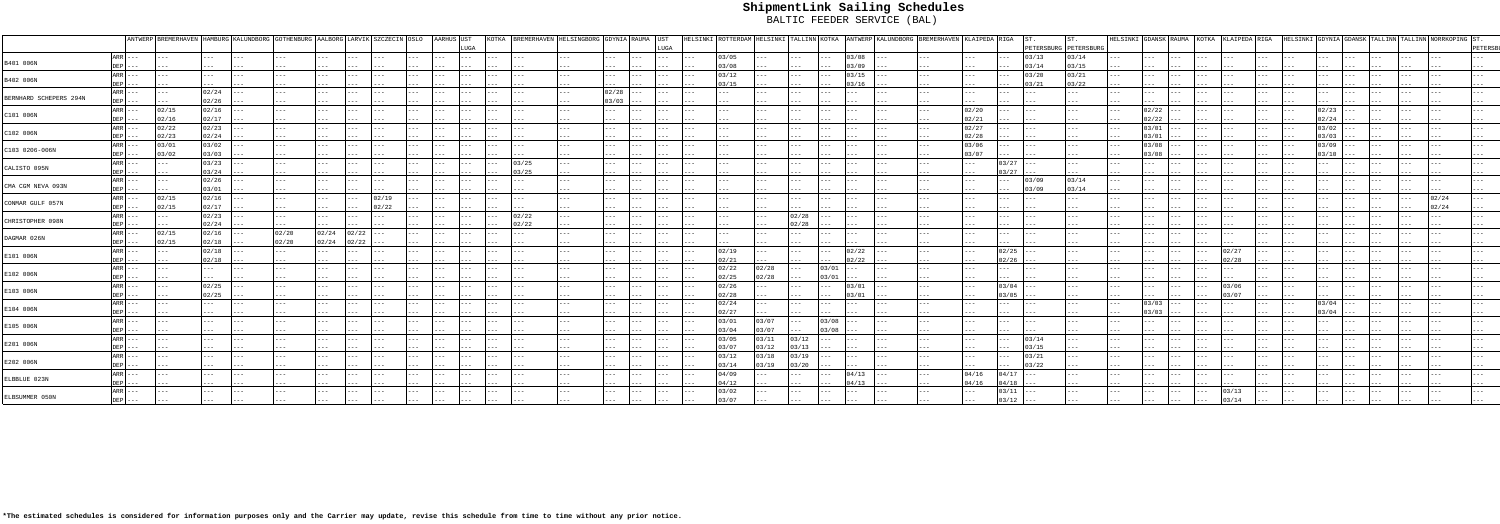|                        |                                   | ANTWERP BREMERHAVEN HAMBURG KALUNDBORG GOTHENBURG AALBORG LARVIK SZCZECIN |                |         |         |       |       | AARHUS UST | BREMERHAVEN HELSINGBORG GDYNIA RAUMA<br>КОТКА |       |                                                                                                                                                                                                                                                                                                                                                                                              | UST     |       |                | HELSINKI ROTTERDAM HELSINKI | TALLINN KOTKA | ANTWERP | KALUNDBORG BREMERHAVEN I | KLAIPEDA RIGA |                |                |                       | HELSINKI GDANSK RAUMA | KOTKA KLAIPEDA RIGA | HELSINKI | GDYNIA |  |       |  |
|------------------------|-----------------------------------|---------------------------------------------------------------------------|----------------|---------|---------|-------|-------|------------|-----------------------------------------------|-------|----------------------------------------------------------------------------------------------------------------------------------------------------------------------------------------------------------------------------------------------------------------------------------------------------------------------------------------------------------------------------------------------|---------|-------|----------------|-----------------------------|---------------|---------|--------------------------|---------------|----------------|----------------|-----------------------|-----------------------|---------------------|----------|--------|--|-------|--|
|                        |                                   |                                                                           |                |         |         |       |       | LUGA       |                                               |       |                                                                                                                                                                                                                                                                                                                                                                                              |         | JIGA. |                |                             |               |         |                          |               |                |                | PETERSBURG PETERSBURG |                       |                     |          |        |  |       |  |
|                        | $ARR$ $---$                       | $- -$                                                                     | $\frac{1}{2}$  |         |         |       |       | $---$      |                                               |       | $- - -$                                                                                                                                                                                                                                                                                                                                                                                      |         | $- -$ | 03/05          |                             |               | 03/08   |                          |               | $- -$          | 03/13          | 03/14                 | $- -$                 |                     |          |        |  |       |  |
| B401 006N              | DEP.                              |                                                                           |                |         |         |       |       |            |                                               |       |                                                                                                                                                                                                                                                                                                                                                                                              |         |       | 03/08          |                             |               | 03/09   |                          |               |                | 03/14          | 03/15                 |                       |                     |          |        |  |       |  |
|                        | $ARR$ $---$                       |                                                                           | $---$          |         |         |       |       |            |                                               | $- -$ | $\frac{1}{2} \frac{1}{2} \frac{1}{2} \frac{1}{2} \frac{1}{2} \frac{1}{2} \frac{1}{2} \frac{1}{2} \frac{1}{2} \frac{1}{2} \frac{1}{2} \frac{1}{2} \frac{1}{2} \frac{1}{2} \frac{1}{2} \frac{1}{2} \frac{1}{2} \frac{1}{2} \frac{1}{2} \frac{1}{2} \frac{1}{2} \frac{1}{2} \frac{1}{2} \frac{1}{2} \frac{1}{2} \frac{1}{2} \frac{1}{2} \frac{1}{2} \frac{1}{2} \frac{1}{2} \frac{1}{2} \frac{$ |         |       | 03/12          | $- -$                       |               | 03/15   | $---$                    |               | $- - -$        | 03/20          | 03/21                 | $ -$                  |                     |          |        |  |       |  |
| B402 006N              |                                   |                                                                           |                |         |         |       |       |            |                                               |       |                                                                                                                                                                                                                                                                                                                                                                                              |         |       | 03/15          |                             |               | 3/16    |                          |               |                | 03/21          | 03/22                 |                       |                     |          |        |  |       |  |
| BERNHARD SCHEPERS 294N | $ARR$ $---$                       | $- -$                                                                     | 02/24          | $---$   |         |       |       | $---$      |                                               |       | 02/28                                                                                                                                                                                                                                                                                                                                                                                        | $-$     | $--$  |                |                             |               |         |                          |               | $- -$          | $---$          |                       | $ -$                  |                     |          |        |  |       |  |
|                        |                                   |                                                                           | 02/26          |         |         |       |       |            |                                               |       | 03/03                                                                                                                                                                                                                                                                                                                                                                                        |         |       |                |                             |               |         |                          |               |                |                |                       |                       |                     |          |        |  |       |  |
| C101 006N              | $ARR$ $---$                       | 02/15                                                                     | 02/16          | $---$   |         |       |       |            |                                               |       | $\frac{1}{2} \frac{1}{2} \frac{1}{2} \frac{1}{2} \frac{1}{2} \frac{1}{2} \frac{1}{2} \frac{1}{2} \frac{1}{2} \frac{1}{2} \frac{1}{2} \frac{1}{2} \frac{1}{2} \frac{1}{2} \frac{1}{2} \frac{1}{2} \frac{1}{2} \frac{1}{2} \frac{1}{2} \frac{1}{2} \frac{1}{2} \frac{1}{2} \frac{1}{2} \frac{1}{2} \frac{1}{2} \frac{1}{2} \frac{1}{2} \frac{1}{2} \frac{1}{2} \frac{1}{2} \frac{1}{2} \frac{$ | $- - -$ |       |                |                             |               |         | $---$                    | 02/20         |                |                |                       | )2/22<br>$- -$        |                     |          | 02/23  |  |       |  |
|                        |                                   | 02/16                                                                     | 02/17          |         |         |       |       |            |                                               |       |                                                                                                                                                                                                                                                                                                                                                                                              |         |       |                |                             |               |         |                          |               |                |                |                       |                       |                     |          |        |  |       |  |
| C102 006N              | $ARR$ ---                         | 02/22                                                                     | 02/23          | $- - -$ |         |       |       |            |                                               |       | $- - -$                                                                                                                                                                                                                                                                                                                                                                                      |         |       |                |                             |               |         |                          | 02/27         |                |                |                       | 03/01<br>$ -$         |                     |          | 03/02  |  |       |  |
|                        |                                   | 02/23                                                                     | 02/24          |         |         |       |       |            |                                               |       |                                                                                                                                                                                                                                                                                                                                                                                              |         |       |                |                             |               |         |                          | 02/28         |                |                |                       | 3/01                  |                     |          | 3/03   |  |       |  |
| C103 0206-006N         | $ARR$ ---                         | 03/01                                                                     | 03/02          | $- -$   |         |       |       |            |                                               |       | $- -$                                                                                                                                                                                                                                                                                                                                                                                        |         |       |                |                             |               |         |                          | 03/06         |                |                |                       | 03/08<br>$ -$         |                     |          | 03/09  |  |       |  |
|                        | DEP <sup>I</sup> -<br>$ARR$ $---$ | 3/02                                                                      | 03/03          |         |         |       |       |            |                                               |       |                                                                                                                                                                                                                                                                                                                                                                                              |         |       |                |                             |               |         |                          | 03/07         |                |                |                       | 3/08                  |                     |          | 3/10   |  |       |  |
| CALISTO 095N           |                                   | $- -$                                                                     | 03/23<br>03/24 | $- -$   |         |       |       | $- -$      | 3/25<br>3/25                                  |       | $- - -$                                                                                                                                                                                                                                                                                                                                                                                      |         |       |                |                             |               | $- -$   |                          |               | 03/27<br>03/27 | $---$          |                       | $ -$                  |                     |          |        |  |       |  |
|                        | $ARR$ $---$                       | $- -$                                                                     | 02/26          | $---$   | $- - -$ |       |       |            | $ -$                                          |       | $--$                                                                                                                                                                                                                                                                                                                                                                                         |         |       |                |                             |               | $- -$   |                          |               | $- - -$        | 03/09          | 03/14                 | $ -$                  |                     |          |        |  |       |  |
| CMA CGM NEVA 093N      | DEP -                             |                                                                           | 0.3/0.1        |         |         |       |       |            |                                               |       |                                                                                                                                                                                                                                                                                                                                                                                              |         |       |                |                             |               |         |                          |               |                | 0.3/09         | 03/14                 |                       |                     |          |        |  |       |  |
|                        | $ARR$ ---                         | 02/15                                                                     | 02/16          | $--$    | $---$   |       | )2/19 | $- -$      | $- -$                                         |       | $- - -$                                                                                                                                                                                                                                                                                                                                                                                      |         |       |                |                             |               |         |                          |               |                | $---$          |                       | $ -$                  |                     |          |        |  | 12/24 |  |
| CONMAR GULF 057N       |                                   | 02/15                                                                     | 02/17          |         |         |       | 2/22  |            |                                               |       |                                                                                                                                                                                                                                                                                                                                                                                              |         |       |                |                             |               |         |                          |               |                |                |                       |                       |                     |          |        |  | 2/24  |  |
|                        | $ARR$ $---$                       | $--$                                                                      | 02/23          | $- - -$ | $- - -$ |       |       |            | 12/22                                         |       | $- - -$                                                                                                                                                                                                                                                                                                                                                                                      |         |       |                |                             | 02/28         |         |                          |               |                | $- - -$        |                       |                       |                     |          |        |  |       |  |
| CHRISTOPHER 098N       |                                   |                                                                           | 02/24          |         |         |       |       |            | 2/22                                          |       |                                                                                                                                                                                                                                                                                                                                                                                              |         |       |                |                             | 2/28          |         |                          |               |                |                |                       |                       |                     |          |        |  |       |  |
|                        | $ARR$ ---                         | 02/15                                                                     | 02/16          | 02/20   | 02/24   | 02/22 |       |            |                                               |       |                                                                                                                                                                                                                                                                                                                                                                                              |         |       |                |                             |               |         |                          |               |                |                |                       | $ -$                  |                     |          |        |  |       |  |
| DAGMAR 026N            | DEP I                             | 02/15                                                                     | 02/18          | 02/20   | 02/24   |       |       |            |                                               |       |                                                                                                                                                                                                                                                                                                                                                                                              |         |       |                |                             |               |         |                          |               |                |                |                       |                       |                     |          |        |  |       |  |
|                        | ARR <sup>I</sup>                  |                                                                           | 02/18          | $---$   |         |       |       |            |                                               |       |                                                                                                                                                                                                                                                                                                                                                                                              |         |       | 02/19          |                             |               | 02/22   |                          |               | 02/25          |                |                       | $ -$                  | 02/27               |          |        |  |       |  |
| E101 006N              | <b>DEP</b>                        |                                                                           | 02/18          |         |         |       |       |            |                                               |       |                                                                                                                                                                                                                                                                                                                                                                                              |         |       | 02/21          |                             |               | 2/22    |                          |               | 02/26          |                |                       |                       | 12/28               |          |        |  |       |  |
|                        | ARR.<br>$---$                     | $- -$                                                                     | $---$          | $ -$    |         |       |       |            |                                               |       | $- - -$                                                                                                                                                                                                                                                                                                                                                                                      |         |       | 02/22          | 02/28                       | 03/01         |         |                          |               |                |                |                       | $-$                   |                     |          |        |  |       |  |
| E102 006N              | $DEP$ $---$                       |                                                                           |                |         |         |       |       |            |                                               |       |                                                                                                                                                                                                                                                                                                                                                                                              |         |       | 02/25          | 02/28                       | 03/01         |         |                          |               |                |                |                       |                       |                     |          |        |  |       |  |
|                        | $ARR$ ---                         | $---$                                                                     | 02/25          | $  \,$  |         |       |       | $- -$      | $ -$                                          |       | $- - -$                                                                                                                                                                                                                                                                                                                                                                                      |         | $- -$ | 02/26          |                             |               | 03/01   |                          |               | 03/04          | $- - -$        |                       | $- -$                 | 03/06               |          |        |  |       |  |
| E103 006N              | DEP.                              |                                                                           | 02/25          |         |         |       |       |            |                                               |       |                                                                                                                                                                                                                                                                                                                                                                                              |         |       | 02/28          |                             |               | 3/01    |                          |               | 03/05          |                |                       |                       | 03/07               |          |        |  |       |  |
| E104 006N              | ARR<br>$---$                      |                                                                           | $---$          |         |         |       |       |            |                                               |       | $- - -$                                                                                                                                                                                                                                                                                                                                                                                      |         |       | 02/24          | $- -$                       |               |         |                          |               | $- - -$        |                |                       | 13/03<br>$- -$        |                     |          | 03/04  |  |       |  |
|                        |                                   |                                                                           |                |         |         |       |       |            |                                               |       |                                                                                                                                                                                                                                                                                                                                                                                              |         |       | 02/27          |                             |               |         |                          |               |                |                |                       | 3/03                  |                     |          | 03/04  |  |       |  |
| E105 006N              | ARR  <br>---                      |                                                                           | $- - -$        |         |         |       |       |            |                                               |       | $- -$                                                                                                                                                                                                                                                                                                                                                                                        |         | $- -$ | 03/01          | 03/07                       | 03/08         |         |                          |               |                |                |                       | $ -$                  |                     |          |        |  |       |  |
|                        |                                   |                                                                           |                |         |         |       |       |            |                                               |       |                                                                                                                                                                                                                                                                                                                                                                                              |         |       | 03/04          | 03/07                       | 03/08         |         |                          |               |                |                |                       |                       |                     |          |        |  |       |  |
| E201 006N              | $ARR$ $---$                       |                                                                           | ---            |         |         |       |       | $- -$      |                                               |       | $- - -$                                                                                                                                                                                                                                                                                                                                                                                      | $- -$   |       | 03/05          | 03/11                       | 03/12         |         |                          |               | $- - -$        | 03/14<br>13/15 |                       | $ -$                  |                     |          |        |  |       |  |
|                        | $ARR$ ---                         |                                                                           | $- - -$        |         |         |       |       | $---$      |                                               |       |                                                                                                                                                                                                                                                                                                                                                                                              | $-$     | $- -$ | 03/07          | 3/12                        | 3/13          |         |                          |               | $- - -$        |                |                       | $ -$                  |                     |          |        |  |       |  |
| E202 006N              |                                   |                                                                           |                |         |         |       |       |            |                                               |       | $- - -$                                                                                                                                                                                                                                                                                                                                                                                      |         |       | 03/12<br>03/14 | 03/18<br>3/19               | 03/19<br>3/20 |         |                          |               |                | 03/21<br>3/22  |                       |                       |                     |          |        |  |       |  |
|                        | $ARR$ ---                         |                                                                           | $---$          |         |         |       |       | $- -$      |                                               |       | $---$                                                                                                                                                                                                                                                                                                                                                                                        | $- -$   |       | 04/09          |                             |               | 04/13   | $-- -$                   | 04/16         | 04/17          | $---$          |                       | $ -$                  |                     |          |        |  |       |  |
| ELBBLUE 023N           | DEP <sup>1</sup>                  |                                                                           |                |         |         |       |       |            |                                               |       |                                                                                                                                                                                                                                                                                                                                                                                              |         |       | 04/12          |                             |               | 14/13   |                          | 04/16         | 04/18          |                |                       |                       |                     |          |        |  |       |  |
|                        | $ARR$ ---                         |                                                                           |                |         |         |       |       |            |                                               |       |                                                                                                                                                                                                                                                                                                                                                                                              |         |       | 03/02          |                             |               |         |                          |               | 03/11          |                |                       | $ -$                  | 03/13               |          |        |  |       |  |
| ELBSUMMER 050N         |                                   |                                                                           |                |         |         |       |       |            |                                               |       |                                                                                                                                                                                                                                                                                                                                                                                              |         |       | 03/07          |                             |               |         |                          |               | 03/12          |                |                       |                       |                     |          |        |  |       |  |
|                        |                                   |                                                                           |                |         |         |       |       |            |                                               |       |                                                                                                                                                                                                                                                                                                                                                                                              |         |       |                |                             |               |         |                          |               |                |                |                       |                       |                     |          |        |  |       |  |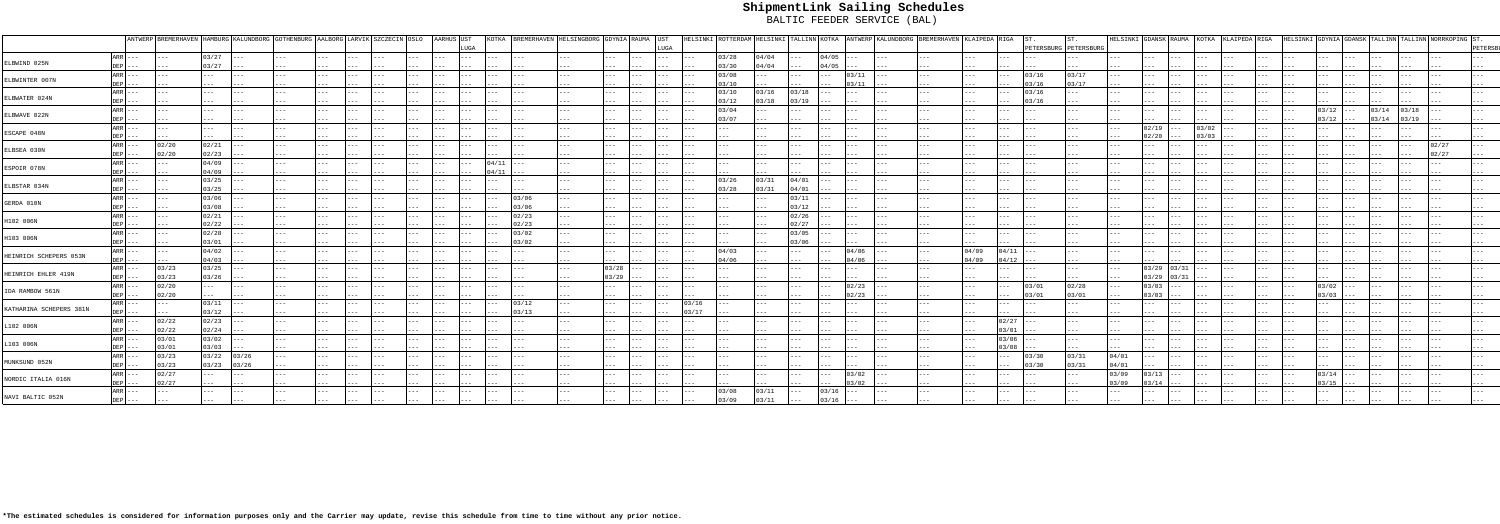|                         | ANTWERP BREMERHAVEN HAMBURG KALUNDBORG GOTHENBURG AALBORG LARVIK SZCZECIN OSLO |                 |       |       |      |         | AARHUS UST |       | KOTKA BREMERHAVEN HELSINGBORG GDYNIA RAUMA |      |         |       | UST         |                |               | HELSINKI ROTTERDAM HELSINKI TALLINN KOTKA | ANTWERP |       | KALUNDBORG BREMERHAVEN KLAIPEDA RIGA |       |         |         |                       |       | HELSINKI GDANSK RAUMA |         | KOTKA KLAIPEDA RIGA | HELSINKI GDYNIA |       |      |       |       |  |
|-------------------------|--------------------------------------------------------------------------------|-----------------|-------|-------|------|---------|------------|-------|--------------------------------------------|------|---------|-------|-------------|----------------|---------------|-------------------------------------------|---------|-------|--------------------------------------|-------|---------|---------|-----------------------|-------|-----------------------|---------|---------------------|-----------------|-------|------|-------|-------|--|
|                         |                                                                                |                 |       |       |      |         | LUGA       |       |                                            |      |         |       | <b>IJGA</b> |                |               |                                           |         |       |                                      |       |         |         | PETERSBURG PETERSBURG |       |                       |         |                     |                 |       |      |       |       |  |
|                         | $ARR$ $---$<br>$---$                                                           | 03/27           |       |       |      |         |            |       |                                            |      |         | $ -$  | $- -$       | 03/28          | 04/04         | 04/05<br>$ -$                             |         |       |                                      |       | $- - -$ | $- - -$ |                       |       | $--$                  |         |                     |                 |       |      |       |       |  |
| ELBWIND 025N            |                                                                                | 03/27           |       |       |      |         |            |       |                                            |      |         |       |             | 03/30          | 04/04         | 04/05                                     |         |       |                                      |       |         |         |                       |       |                       |         |                     |                 |       |      |       |       |  |
|                         | $ARR$ $---$                                                                    | $---$           |       |       |      |         |            |       |                                            | $--$ | $- - -$ | $- -$ |             | 03/08          | $--$          | $- - -$<br>$- -$                          | 03/11   |       | $---$                                |       | $- - -$ | 03/16   | 03/17                 | $ -$  | $ -$                  |         |                     |                 |       |      |       |       |  |
| ELBWINTER 007N          |                                                                                |                 |       |       |      |         |            |       |                                            |      |         |       |             | 03/10          |               |                                           | 3/11    |       |                                      |       |         | 03/16   | 03/17                 |       |                       |         |                     |                 |       |      |       |       |  |
| ELBWATER 024N           | $ARR$ $---$<br>$- - -$                                                         | $- - -$         |       |       |      |         |            |       |                                            |      | $---$   | $ -$  |             | 03/10          | 03/16         | 03/18<br>$- -$                            | $--$    |       |                                      |       | --- -   | 03/16   |                       | $---$ | $--$                  |         |                     |                 |       |      |       |       |  |
|                         |                                                                                |                 |       |       |      |         |            |       |                                            |      |         |       |             | 03/12          | 03/18         | 3/19                                      |         |       |                                      |       |         | 03/16   |                       |       |                       |         |                     |                 |       |      |       |       |  |
| ELBWAVE 022N            | $ARR$ $---$                                                                    | $- - -$         |       |       |      |         |            |       |                                            |      | $--$    | $- -$ |             | 03/04          | $- -$         | $- -$<br>$--$                             |         |       | $-- -$                               |       | $---$   |         |                       |       | $ -$                  |         |                     |                 | 03/12 | 3/14 | )3/18 |       |  |
|                         |                                                                                |                 |       |       |      |         |            |       |                                            |      |         |       |             | 03/07          |               |                                           |         |       |                                      |       |         |         |                       |       |                       |         |                     |                 | 2/12  |      |       |       |  |
| ESCAPE 048N             | $ARR$ $---$                                                                    | $- -$           |       |       |      |         |            |       |                                            |      | $- -$   |       |             |                |               |                                           |         |       |                                      |       |         |         |                       |       | 02/19<br>$--$         | 03/02   |                     |                 |       |      |       |       |  |
|                         |                                                                                |                 |       |       |      |         |            |       |                                            |      |         |       |             |                |               |                                           |         |       |                                      |       |         |         |                       |       | 2/20                  | 0.3/0.3 |                     |                 |       |      |       |       |  |
| ELBSEA 030N             | $ARR$ $---$<br>02/20                                                           | 02/21           |       |       |      |         |            |       |                                            |      |         |       |             |                |               |                                           |         |       |                                      |       |         |         |                       |       | $ -$                  |         |                     |                 |       |      |       | 12/27 |  |
|                         | 2/20                                                                           | 02/23           |       |       |      |         |            |       |                                            |      |         |       |             |                |               |                                           |         |       |                                      |       |         |         |                       |       |                       |         |                     |                 |       |      |       |       |  |
| ESPOIR 078N             | $ARR$ $---$<br>$- - -$                                                         | 04/09<br>04/09  |       |       |      |         | $- -$      | 04/11 | $- -$                                      |      | $- -$   |       |             |                |               |                                           |         | $- -$ |                                      |       |         | $---$   |                       |       | $--$                  |         |                     |                 |       |      |       |       |  |
|                         | $APR$ $---$<br>$- -$                                                           |                 |       |       |      |         |            | 14/11 | $- -$                                      |      | $- - -$ |       |             |                |               | 04/01                                     |         | $- -$ | $---$                                |       | $---$   |         |                       |       | $ -$                  |         |                     |                 |       |      |       |       |  |
| ELBSTAR 034N            |                                                                                | 03/25<br>03/25  |       |       |      |         |            |       |                                            |      |         |       |             | 03/26<br>03/28 | 03/31<br>3/31 | 04/01                                     |         |       |                                      |       |         | $- - -$ |                       |       |                       |         |                     |                 |       |      |       |       |  |
|                         | $APR$ $---$<br>$---$                                                           | 03/06           | $- -$ |       |      |         | $ -$       |       | 03/06                                      |      | $- - -$ | $ -$  |             |                | $- - -$       | 03/11                                     | $- -$   | $- -$ |                                      |       | $- -$   | $---$   |                       |       | $--$                  |         |                     |                 |       |      |       |       |  |
| GERDA 010N              |                                                                                | 03/08           |       |       |      |         |            |       | 3/06                                       |      |         |       |             |                |               | 0.3/1.2                                   |         |       |                                      |       |         |         |                       |       |                       |         |                     |                 |       |      |       |       |  |
|                         | $APR$ $---$<br>$- -$                                                           | 02/21           | $- -$ | $- -$ |      |         | --         |       | 02/23                                      |      | $- - -$ |       |             |                | $- - -$       | 02/26                                     |         | $- -$ |                                      |       | $---$   | $---$   |                       | $ -$  | $- -$                 |         |                     |                 |       |      |       |       |  |
| H102 006N               |                                                                                | 02/22           |       |       |      |         |            |       | 2/23                                       |      |         |       |             |                |               | 2/27                                      |         |       |                                      |       |         |         |                       |       |                       |         |                     |                 |       |      |       |       |  |
|                         | $---$<br>$- - -$                                                               | 02/28           |       |       |      |         |            |       | 3/02                                       |      | $- -$   |       |             |                |               | 03/05                                     |         | $- -$ |                                      |       |         | $- - -$ |                       |       | $ -$                  |         |                     |                 |       |      |       |       |  |
| H103 006N               |                                                                                | 03/01           |       |       |      |         |            |       | 3/02                                       |      |         |       |             |                |               | 13/06                                     |         |       |                                      |       |         |         |                       |       |                       |         |                     |                 |       |      |       |       |  |
|                         | $---$                                                                          | 04/02           |       |       |      |         |            |       |                                            |      | $---$   |       |             | 04/03          |               |                                           | 04/06   |       |                                      | 04/09 | 04/11   | $---$   |                       |       |                       |         |                     |                 |       |      |       |       |  |
| HEINRICH SCHEPERS 053N  |                                                                                | 04/03           |       |       |      |         |            |       |                                            |      |         |       |             | 04/06          |               |                                           | 4/06    |       |                                      | 04/09 |         |         |                       |       |                       |         |                     |                 |       |      |       |       |  |
|                         | 03/23<br><b>ARR</b><br>$--$                                                    | 03/25           |       |       |      |         |            |       |                                            |      | 03/28   | $ -$  |             |                |               |                                           |         |       |                                      |       | $- - -$ | $---$   |                       |       | 03/31<br>03/29        |         |                     |                 |       |      |       |       |  |
| HEINRICH EHLER 419N     | 03/23                                                                          | 03/26           |       |       |      |         |            |       |                                            |      | 03/29   |       |             |                |               |                                           |         |       |                                      |       |         |         |                       |       | 13/29                 |         |                     |                 |       |      |       |       |  |
|                         | <b>ARR</b><br>02/20<br>$---$                                                   | $--$            |       |       |      |         |            |       |                                            |      | $---$   |       |             |                |               |                                           | 02/23   |       |                                      |       | $- - -$ | 03/01   | 02/28                 |       | 03/03                 |         |                     |                 | 03/02 |      |       |       |  |
| IDA RAMBOW 561N         | 2/20                                                                           |                 |       |       |      |         |            |       |                                            |      |         |       |             |                |               |                                           | 2/23    |       |                                      |       |         | 0.3/0.1 | 03/01                 |       | 3/03                  |         |                     |                 | 13/03 |      |       |       |  |
| KATHARINA SCHEPERS 381N | $- -$                                                                          | 03/11           |       |       |      |         |            |       | 3/12                                       |      | $---$   | $- -$ | 03/16       |                |               |                                           |         |       |                                      |       |         | $- - -$ |                       |       | $ -$                  |         |                     |                 |       |      |       |       |  |
|                         |                                                                                | 03/12           |       |       |      |         |            |       | 3/13                                       |      |         |       | 3/17        |                |               |                                           |         |       |                                      |       |         |         |                       |       |                       |         |                     |                 |       |      |       |       |  |
| L102 006N               | 02/22<br>$--$                                                                  | 02/23           | $- -$ |       | $ -$ |         |            |       | $ -$                                       |      | $---$   | $ -$  | $- -$       |                | $- -$         |                                           |         |       |                                      |       | 02/27   | $- - -$ |                       | $ -$  | $--$                  |         |                     |                 |       |      |       |       |  |
|                         | 02/22                                                                          | 02/24           |       |       |      |         |            |       |                                            |      |         |       |             |                |               |                                           |         |       |                                      |       | 0.3/0.1 |         |                       |       |                       |         |                     |                 |       |      |       |       |  |
| L103 006N               | 03/01<br>$--$                                                                  | 03/02           | $- -$ |       |      |         |            |       |                                            |      | $- - -$ | $ -$  |             |                |               |                                           |         |       |                                      |       | 03/06   | $---$   |                       | $- -$ | $--$                  |         |                     |                 |       |      |       |       |  |
|                         | 03/01                                                                          | 03/03           |       |       |      |         |            |       |                                            |      |         |       |             |                |               |                                           |         |       |                                      |       | 80/80   |         |                       |       |                       |         |                     |                 |       |      |       |       |  |
| MUNKSUND 052N           | 03/23<br>$---$                                                                 | $03/22$ 03/26   |       |       |      |         |            |       |                                            |      | $- -$   |       |             |                |               |                                           |         |       |                                      |       | $- - -$ | 03/30   | 03/31                 | 04/01 | $ -$                  |         |                     |                 |       |      |       |       |  |
|                         | 3/23                                                                           | 0.3/2.3<br>3/26 |       |       |      |         |            |       |                                            |      |         |       |             |                |               |                                           |         |       |                                      |       |         | 03/30   | 03/31                 | 04/01 |                       |         |                     |                 |       |      |       |       |  |
| NORDIC ITALIA 016N      | <b>ARR</b><br>02/27<br>$---$                                                   | $---$           |       |       |      | $- - -$ |            |       |                                            |      | $- - -$ | $- -$ |             |                |               | $- -$                                     | 03/02   |       | $---$                                |       | $---$   | $---$   | $---$                 | 03/09 | 03/13<br>$- -$        |         |                     |                 | 03/14 |      |       |       |  |
|                         | 2/27                                                                           |                 |       |       |      |         |            |       |                                            |      |         |       |             |                |               |                                           |         |       |                                      |       |         |         |                       | 3/09  | 3/14                  |         |                     |                 | 13/15 |      |       |       |  |
| NAVI BALTIC 052N        | $---$<br>$- - -$                                                               |                 |       |       |      |         |            |       |                                            |      |         | $- -$ | $- -$       | 03/08          | 03/11         | 03/16                                     |         |       |                                      |       | $- - -$ |         |                       |       | $ -$                  |         |                     |                 |       |      |       |       |  |
|                         |                                                                                |                 |       |       |      |         |            |       |                                            |      |         |       |             | 03/09          |               | 13/16                                     |         |       |                                      |       |         |         |                       |       |                       |         |                     |                 |       |      |       |       |  |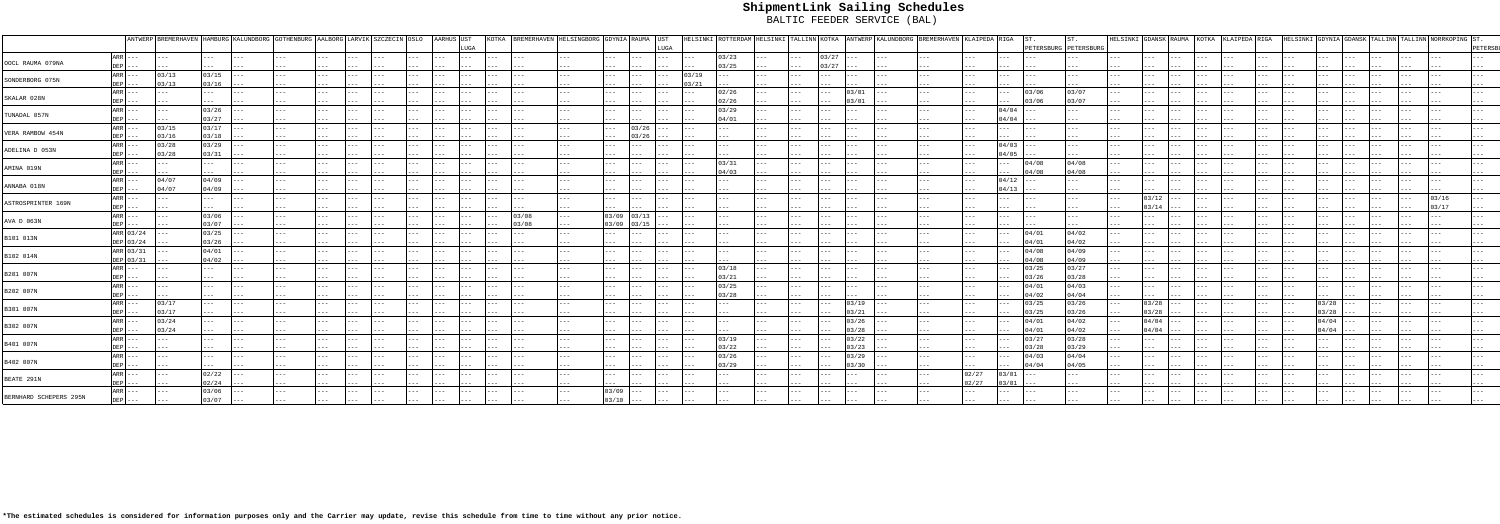|                        |                                                                                                                                                                                                                                                                                                                                                                                              |                                                                                                                                                                                                                                                                                                                                                                                              | ANTWERP BREMERHAVEN HAMBURG KALUNDBORG GOTHENBURG AALBORG |       |       | ZCZECIN OSLO | AARHUS  UST |       | KOTKA BREMERHAVEN | <b>I</b> HELSINGBORG | DYNIA RAUMA   |               | UST                |                | HELSINKI ROTTERDAM HELSINKI |       | TALLINN   KOTKA | ANTWERP       | KALUNDBORG | REMERHAVEN |       | LAIPEDA RIGA                                                                                                                                                                                                                                                                                                                                                                                 |                |                       |       | HELSINKI GDANSK RAUMA |         | KOTKA KLAIPEDA RIGA | HELSINKI | GDYNIA         |  |       |  |
|------------------------|----------------------------------------------------------------------------------------------------------------------------------------------------------------------------------------------------------------------------------------------------------------------------------------------------------------------------------------------------------------------------------------------|----------------------------------------------------------------------------------------------------------------------------------------------------------------------------------------------------------------------------------------------------------------------------------------------------------------------------------------------------------------------------------------------|-----------------------------------------------------------|-------|-------|--------------|-------------|-------|-------------------|----------------------|---------------|---------------|--------------------|----------------|-----------------------------|-------|-----------------|---------------|------------|------------|-------|----------------------------------------------------------------------------------------------------------------------------------------------------------------------------------------------------------------------------------------------------------------------------------------------------------------------------------------------------------------------------------------------|----------------|-----------------------|-------|-----------------------|---------|---------------------|----------|----------------|--|-------|--|
|                        |                                                                                                                                                                                                                                                                                                                                                                                              |                                                                                                                                                                                                                                                                                                                                                                                              |                                                           |       |       |              | LUGA        |       |                   |                      |               |               | <b>JUGA</b>        |                |                             |       |                 |               |            |            |       |                                                                                                                                                                                                                                                                                                                                                                                              |                | PETERSBURG PETERSBURG |       |                       |         |                     |          |                |  |       |  |
|                        | $ARR$ $---$                                                                                                                                                                                                                                                                                                                                                                                  | $-- -$                                                                                                                                                                                                                                                                                                                                                                                       |                                                           |       |       |              |             | $- -$ |                   |                      | $- -$         | $- -$         | $--$<br>$- - -$    | 03/23          |                             |       | 03/27           |               |            |            |       | $---$                                                                                                                                                                                                                                                                                                                                                                                        |                |                       |       | $--$                  |         |                     |          |                |  |       |  |
| OOCL RAUMA 079NA       |                                                                                                                                                                                                                                                                                                                                                                                              |                                                                                                                                                                                                                                                                                                                                                                                              |                                                           |       |       |              |             |       |                   |                      |               |               |                    | 03/25          |                             |       | 03/27           |               |            |            |       |                                                                                                                                                                                                                                                                                                                                                                                              |                |                       |       |                       |         |                     |          |                |  |       |  |
| SONDERBORG 075N        | $ARR$ $---$                                                                                                                                                                                                                                                                                                                                                                                  | 03/13                                                                                                                                                                                                                                                                                                                                                                                        | 03/15                                                     |       |       |              |             |       |                   | $- -$                | $---$         | $- -$         | 03/19<br>$--$      |                |                             |       | $- -$           |               | $---$      | $---$      |       | $---$                                                                                                                                                                                                                                                                                                                                                                                        |                |                       |       | $- -$                 |         |                     |          |                |  |       |  |
|                        |                                                                                                                                                                                                                                                                                                                                                                                              | 03/13                                                                                                                                                                                                                                                                                                                                                                                        | 03/16                                                     |       |       |              |             |       |                   |                      |               |               | 03/21              |                |                             |       |                 |               |            |            |       |                                                                                                                                                                                                                                                                                                                                                                                              |                |                       |       |                       |         |                     |          |                |  |       |  |
| SKALAR 028N            | $ARR$ $---$                                                                                                                                                                                                                                                                                                                                                                                  | $--$                                                                                                                                                                                                                                                                                                                                                                                         | $---$<br>$- -$                                            |       |       |              |             |       |                   |                      | $---$         | $- -$         | $--$<br>$- -$      | 02/26          | $- - -$                     | $- -$ | $- -$           | 03/01         |            |            |       | $---$                                                                                                                                                                                                                                                                                                                                                                                        | 03/06          | 03/07                 | $---$ | $--$                  |         |                     |          |                |  |       |  |
|                        |                                                                                                                                                                                                                                                                                                                                                                                              |                                                                                                                                                                                                                                                                                                                                                                                              |                                                           |       |       |              |             |       |                   |                      |               |               |                    | 02/26          |                             |       |                 | 3/01          |            |            |       |                                                                                                                                                                                                                                                                                                                                                                                              | 0.3/06         | 03/07                 |       |                       |         |                     |          |                |  |       |  |
| TUNADAL 057N           | $ARR$ $---$                                                                                                                                                                                                                                                                                                                                                                                  | $--$                                                                                                                                                                                                                                                                                                                                                                                         | 03/26<br>$- -$                                            |       | $- -$ |              |             |       |                   | $ -$                 | $---$         | $- -$         | $- - -$<br>$- - -$ | 03/29          |                             | $- -$ | $- -$           |               |            | $---$      |       | $04/04$ ---                                                                                                                                                                                                                                                                                                                                                                                  |                | $---$                 |       | $- -$                 |         |                     |          |                |  |       |  |
|                        |                                                                                                                                                                                                                                                                                                                                                                                              |                                                                                                                                                                                                                                                                                                                                                                                              | 0.3/2.7                                                   |       |       |              |             |       |                   |                      |               |               |                    | 04/01          |                             |       |                 |               |            |            |       | 04/04                                                                                                                                                                                                                                                                                                                                                                                        |                |                       |       |                       |         |                     |          |                |  |       |  |
| VERA RAMBOW 454N       | $ARR$ $---$                                                                                                                                                                                                                                                                                                                                                                                  | 03/15<br>03/16                                                                                                                                                                                                                                                                                                                                                                               | 03/17<br>03/18                                            |       |       |              |             |       |                   |                      | $- - -$       | 03/26<br>3/26 | $- -$              | $- -$          | $- -$                       |       |                 |               |            |            |       |                                                                                                                                                                                                                                                                                                                                                                                              | $---$          |                       |       | $--$                  |         |                     |          |                |  |       |  |
|                        | $ARR$ $---$                                                                                                                                                                                                                                                                                                                                                                                  |                                                                                                                                                                                                                                                                                                                                                                                              | $- -$                                                     |       |       |              |             |       |                   | $- -$                | $- -$         | $- -$         | $- -$              | $- -$          |                             |       |                 |               |            |            |       |                                                                                                                                                                                                                                                                                                                                                                                              |                |                       |       |                       |         |                     |          |                |  |       |  |
| ADELINA D 053N         |                                                                                                                                                                                                                                                                                                                                                                                              | 03/28<br>03/28                                                                                                                                                                                                                                                                                                                                                                               | 03/29<br>03/31                                            |       |       |              |             |       |                   |                      |               |               |                    |                |                             |       |                 |               |            |            |       | $04/03$ ---<br>04/05                                                                                                                                                                                                                                                                                                                                                                         |                |                       |       |                       |         |                     |          |                |  |       |  |
|                        | $ARR$ $---$                                                                                                                                                                                                                                                                                                                                                                                  | $---$                                                                                                                                                                                                                                                                                                                                                                                        | $--$<br>$- -$                                             |       |       |              |             |       |                   |                      | $- -$         | $- -$         | $- - -$            | 03/31          | $- -$                       |       |                 |               |            |            |       | $---$                                                                                                                                                                                                                                                                                                                                                                                        | 04/08          | 04/08                 |       | $--$                  |         |                     |          |                |  |       |  |
| AMINA 019N             |                                                                                                                                                                                                                                                                                                                                                                                              |                                                                                                                                                                                                                                                                                                                                                                                              |                                                           |       |       |              |             |       |                   |                      |               |               |                    | 04/03          |                             |       |                 |               |            |            |       |                                                                                                                                                                                                                                                                                                                                                                                              | 04/08          | 04/08                 |       |                       |         |                     |          |                |  |       |  |
|                        | $ARR$ $---$                                                                                                                                                                                                                                                                                                                                                                                  | 04/07                                                                                                                                                                                                                                                                                                                                                                                        | 04/09                                                     |       |       |              |             |       |                   |                      | $- -$         | $- -$         | ---                |                |                             |       |                 |               |            |            |       | 04/12                                                                                                                                                                                                                                                                                                                                                                                        | $---$          |                       |       | $ -$                  |         |                     |          |                |  |       |  |
| ANNABA 018N            |                                                                                                                                                                                                                                                                                                                                                                                              | 04/07                                                                                                                                                                                                                                                                                                                                                                                        | 04/09                                                     |       |       |              |             |       |                   |                      |               |               |                    |                |                             |       |                 |               |            |            |       | 04/13                                                                                                                                                                                                                                                                                                                                                                                        |                |                       |       |                       |         |                     |          |                |  |       |  |
|                        | $APR$ $---$                                                                                                                                                                                                                                                                                                                                                                                  | $---$                                                                                                                                                                                                                                                                                                                                                                                        | $---$                                                     |       |       |              |             | $- -$ | $- -$             |                      | $- - -$       | $- -$         | $- - -$<br>$- -$   |                | $- -$                       |       |                 |               |            |            |       | $---$                                                                                                                                                                                                                                                                                                                                                                                        | $---$          |                       |       | 03/12<br>$ -$         | $- - -$ |                     |          |                |  | 03/16 |  |
| ASTROSPRINTER 169N     |                                                                                                                                                                                                                                                                                                                                                                                              |                                                                                                                                                                                                                                                                                                                                                                                              |                                                           |       |       |              |             |       |                   |                      |               |               |                    |                |                             |       |                 |               |            |            |       |                                                                                                                                                                                                                                                                                                                                                                                              |                |                       |       | 03/14                 |         |                     |          |                |  |       |  |
|                        | $ARR$ $---$                                                                                                                                                                                                                                                                                                                                                                                  | $---$                                                                                                                                                                                                                                                                                                                                                                                        | 03/06                                                     |       |       |              |             |       | 03/08             |                      | $03/09$ 03/13 |               |                    |                |                             |       |                 |               |            |            |       | $---$                                                                                                                                                                                                                                                                                                                                                                                        | $---$          |                       |       | $- -$                 |         |                     |          |                |  |       |  |
| AVA D 063N             |                                                                                                                                                                                                                                                                                                                                                                                              |                                                                                                                                                                                                                                                                                                                                                                                              | 03/07                                                     |       |       |              |             |       | 3/08              |                      | 03/09 03/15   |               |                    |                |                             |       |                 |               |            |            |       |                                                                                                                                                                                                                                                                                                                                                                                              |                |                       |       |                       |         |                     |          |                |  |       |  |
|                        | RR 03/24                                                                                                                                                                                                                                                                                                                                                                                     | $\frac{1}{2} \frac{1}{2} \frac{1}{2} \frac{1}{2} \frac{1}{2} \frac{1}{2} \frac{1}{2} \frac{1}{2} \frac{1}{2} \frac{1}{2} \frac{1}{2} \frac{1}{2} \frac{1}{2} \frac{1}{2} \frac{1}{2} \frac{1}{2} \frac{1}{2} \frac{1}{2} \frac{1}{2} \frac{1}{2} \frac{1}{2} \frac{1}{2} \frac{1}{2} \frac{1}{2} \frac{1}{2} \frac{1}{2} \frac{1}{2} \frac{1}{2} \frac{1}{2} \frac{1}{2} \frac{1}{2} \frac{$ | 03/25<br>$- -$                                            | $- -$ |       |              |             |       |                   |                      | $--$          | $- -$         | $- - -$<br>$- - -$ |                |                             |       |                 |               |            |            |       | $- - -$                                                                                                                                                                                                                                                                                                                                                                                      | 04/01          | 04/02                 | $- -$ | $--$<br>$- -$         |         |                     |          |                |  |       |  |
| B101 013N              | P 03/24                                                                                                                                                                                                                                                                                                                                                                                      |                                                                                                                                                                                                                                                                                                                                                                                              | 03/26                                                     |       |       |              |             |       |                   |                      |               |               |                    |                |                             |       |                 |               |            |            |       |                                                                                                                                                                                                                                                                                                                                                                                              | 04/01          | 04/02                 |       |                       |         |                     |          |                |  |       |  |
| B102 014N              | RR 03/31                                                                                                                                                                                                                                                                                                                                                                                     | $--$                                                                                                                                                                                                                                                                                                                                                                                         | 04/01<br>$- -$                                            |       | $- -$ |              |             |       | $---$             |                      | $--$          | $- -$         | $- - -$            |                | $-- -$                      |       |                 |               |            |            |       | $---$                                                                                                                                                                                                                                                                                                                                                                                        | 04/08          | 04/09                 |       | $--$                  |         |                     |          |                |  |       |  |
|                        | 03/31                                                                                                                                                                                                                                                                                                                                                                                        |                                                                                                                                                                                                                                                                                                                                                                                              | 04/02                                                     |       |       |              |             |       |                   |                      |               |               |                    |                |                             |       |                 |               |            |            |       |                                                                                                                                                                                                                                                                                                                                                                                              | 04/08          | 04/09                 |       |                       |         |                     |          |                |  |       |  |
| B201 007N              | $\frac{1}{2} \frac{1}{2} \frac{1}{2} \frac{1}{2} \frac{1}{2} \frac{1}{2} \frac{1}{2} \frac{1}{2} \frac{1}{2} \frac{1}{2} \frac{1}{2} \frac{1}{2} \frac{1}{2} \frac{1}{2} \frac{1}{2} \frac{1}{2} \frac{1}{2} \frac{1}{2} \frac{1}{2} \frac{1}{2} \frac{1}{2} \frac{1}{2} \frac{1}{2} \frac{1}{2} \frac{1}{2} \frac{1}{2} \frac{1}{2} \frac{1}{2} \frac{1}{2} \frac{1}{2} \frac{1}{2} \frac{$ | $- -$                                                                                                                                                                                                                                                                                                                                                                                        | $- -$                                                     |       | $---$ |              |             |       |                   |                      | $- -$         | $- -$         | $- -$<br>$- - -$   | 03/18          | $- -$                       |       |                 |               |            |            |       |                                                                                                                                                                                                                                                                                                                                                                                              | 03/25          | 03/27                 |       | $--$                  |         |                     |          |                |  |       |  |
|                        |                                                                                                                                                                                                                                                                                                                                                                                              |                                                                                                                                                                                                                                                                                                                                                                                              |                                                           |       |       |              |             |       |                   |                      |               |               |                    | 03/21          |                             |       |                 |               |            |            |       |                                                                                                                                                                                                                                                                                                                                                                                              | 03/26          | 03/28                 |       |                       |         |                     |          |                |  |       |  |
| B202 007N              | $---$                                                                                                                                                                                                                                                                                                                                                                                        | $---$                                                                                                                                                                                                                                                                                                                                                                                        |                                                           |       |       |              |             |       |                   |                      | $- -$         | $ -$          | $- - -$            | 03/25          |                             |       |                 |               |            |            |       |                                                                                                                                                                                                                                                                                                                                                                                              | 04/01          | 04/03                 |       | $ -$                  |         |                     |          |                |  |       |  |
|                        |                                                                                                                                                                                                                                                                                                                                                                                              | 03/17                                                                                                                                                                                                                                                                                                                                                                                        |                                                           |       |       |              |             |       |                   |                      |               |               |                    | 03/28<br>$- -$ |                             |       |                 |               |            |            |       |                                                                                                                                                                                                                                                                                                                                                                                              | 04/02<br>03/25 | 04/04<br>03/26        |       |                       |         |                     |          |                |  |       |  |
| B301 007N              | $--$                                                                                                                                                                                                                                                                                                                                                                                         | 03/17                                                                                                                                                                                                                                                                                                                                                                                        | $- -$                                                     |       |       |              |             |       |                   |                      | $---$         | $- -$         |                    |                |                             |       |                 | 03/19<br>3/21 |            |            |       | $--$                                                                                                                                                                                                                                                                                                                                                                                         | 0.3/2.5        | 03/26                 |       | 03/28<br>$--$<br>3/28 |         |                     |          | 03/28<br>13/28 |  |       |  |
|                        | $---$                                                                                                                                                                                                                                                                                                                                                                                        | 03/24                                                                                                                                                                                                                                                                                                                                                                                        |                                                           |       |       |              |             |       |                   |                      |               | $ -$          | $- - -$<br>$- -$   |                |                             |       | $- -$           | 03/26         |            |            |       | $\frac{1}{2} \frac{1}{2} \frac{1}{2} \frac{1}{2} \frac{1}{2} \frac{1}{2} \frac{1}{2} \frac{1}{2} \frac{1}{2} \frac{1}{2} \frac{1}{2} \frac{1}{2} \frac{1}{2} \frac{1}{2} \frac{1}{2} \frac{1}{2} \frac{1}{2} \frac{1}{2} \frac{1}{2} \frac{1}{2} \frac{1}{2} \frac{1}{2} \frac{1}{2} \frac{1}{2} \frac{1}{2} \frac{1}{2} \frac{1}{2} \frac{1}{2} \frac{1}{2} \frac{1}{2} \frac{1}{2} \frac{$ | 04/01          | 04/02                 |       | 04/04<br>$- -$        |         |                     |          | 04/04          |  |       |  |
| B302 007N              |                                                                                                                                                                                                                                                                                                                                                                                              | 3/24                                                                                                                                                                                                                                                                                                                                                                                         |                                                           |       |       |              |             |       |                   |                      |               |               |                    |                |                             |       |                 | 3/28          |            |            |       |                                                                                                                                                                                                                                                                                                                                                                                              | 04/01          | 04/02                 |       | 04/04                 |         |                     |          | 04/04          |  |       |  |
|                        | $ARR$ $---$                                                                                                                                                                                                                                                                                                                                                                                  | $---$                                                                                                                                                                                                                                                                                                                                                                                        | $- -$                                                     |       |       |              |             |       |                   |                      | $- - -$       | $ -$          | $- -$<br>$---$     | 03/19          | $- -$                       |       | $- -$           | 03/22         |            |            |       | $---$                                                                                                                                                                                                                                                                                                                                                                                        | 03/27          | 03/28                 | $- -$ | $--$<br>$- -$         | $- -$   |                     |          |                |  |       |  |
| B401 007N              |                                                                                                                                                                                                                                                                                                                                                                                              |                                                                                                                                                                                                                                                                                                                                                                                              |                                                           |       |       |              |             |       |                   |                      |               |               |                    | 03/22          |                             |       |                 | 3/23          |            |            |       |                                                                                                                                                                                                                                                                                                                                                                                              | 03/28          | 03/29                 |       |                       |         |                     |          |                |  |       |  |
|                        | $ARR$ $---$                                                                                                                                                                                                                                                                                                                                                                                  | $---$                                                                                                                                                                                                                                                                                                                                                                                        | $- -$                                                     |       |       |              |             |       |                   |                      | $- -$         | $- -$         | $--$               | 03/26          |                             |       | $- -$           | 03/29         |            |            |       | $---$                                                                                                                                                                                                                                                                                                                                                                                        | 04/03          | 04/04                 |       | $--$                  |         |                     |          |                |  |       |  |
| B402 007N              |                                                                                                                                                                                                                                                                                                                                                                                              |                                                                                                                                                                                                                                                                                                                                                                                              |                                                           |       |       |              |             |       |                   |                      |               |               |                    | 03/29          |                             |       |                 | 3/30          |            |            |       |                                                                                                                                                                                                                                                                                                                                                                                              | 04/04          | 04/05                 |       |                       |         |                     |          |                |  |       |  |
|                        | $ARR$ $---$                                                                                                                                                                                                                                                                                                                                                                                  |                                                                                                                                                                                                                                                                                                                                                                                              | 02/22                                                     |       |       |              |             |       |                   |                      | $---$         | $ -$          |                    | $- -$          |                             |       |                 |               |            |            | 02/27 | 03/01                                                                                                                                                                                                                                                                                                                                                                                        |                |                       |       | $--$                  |         |                     |          |                |  |       |  |
| BEATE 291N             |                                                                                                                                                                                                                                                                                                                                                                                              |                                                                                                                                                                                                                                                                                                                                                                                              | 02/24                                                     |       |       |              |             |       |                   |                      |               |               |                    |                |                             |       |                 |               |            |            | 02/27 | 03/01                                                                                                                                                                                                                                                                                                                                                                                        |                |                       |       |                       |         |                     |          |                |  |       |  |
|                        | $AR = -$                                                                                                                                                                                                                                                                                                                                                                                     | $---$                                                                                                                                                                                                                                                                                                                                                                                        | 03/06                                                     |       |       |              |             |       |                   |                      | 03/09         | $--$          | $--$<br>$- - -$    |                |                             |       |                 |               |            |            |       | $---$                                                                                                                                                                                                                                                                                                                                                                                        | $---$          |                       |       | $ -$                  |         |                     |          |                |  |       |  |
| BERNHARD SCHEPERS 295N |                                                                                                                                                                                                                                                                                                                                                                                              |                                                                                                                                                                                                                                                                                                                                                                                              | 03/07                                                     |       |       |              |             |       |                   |                      |               |               |                    |                |                             |       |                 |               |            |            |       |                                                                                                                                                                                                                                                                                                                                                                                              |                |                       |       |                       |         |                     |          |                |  |       |  |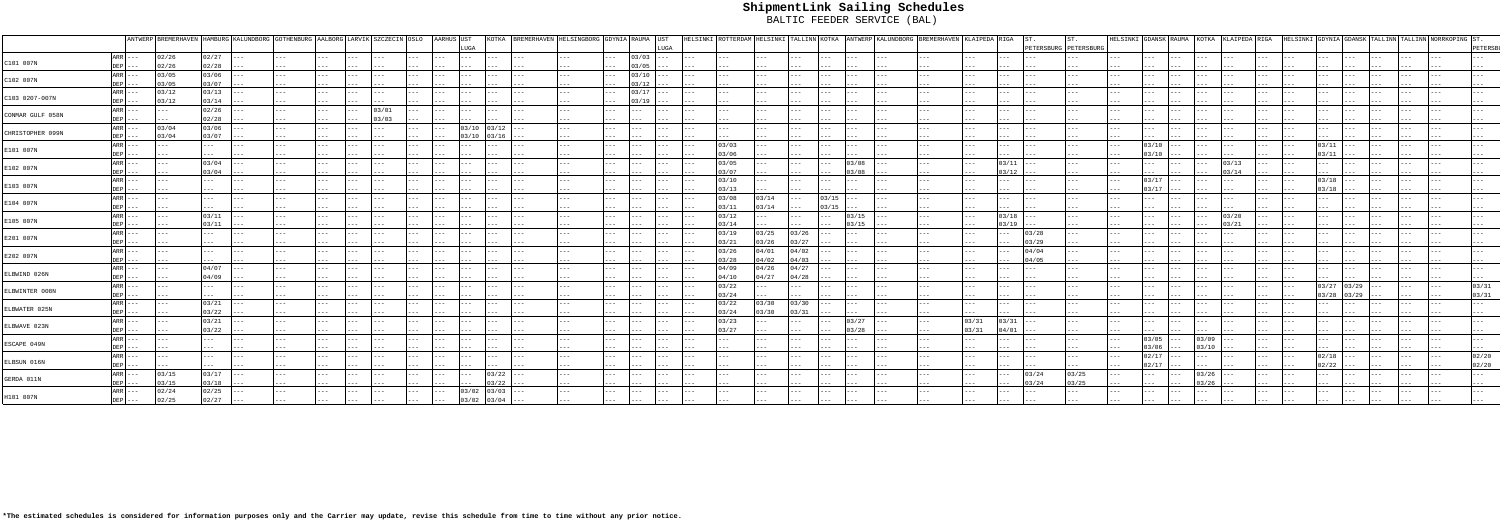|                  |              | ANTWERP BREMERHAVEN HAMBURG KALUNDBORG                                                                                                                                                                                                                                                                                                                                                       |                                                                                                                                                                                                                                                                                                                                                                                              | GOTHENBURG |       | AALBORG LARVIK SZCZECIN | ARHUS UST |             | BREMERHAVEN HELSINGBORG<br>KOTKA | GDYNIA RAUMA | UST              |         | HELSINKI ROTTERDAM HELSINKI | TALLINN KOTKA |       |       | ANTWERP KALUNDBORG BREMERHAVEN KLAIPEDA RIGA |       |       |         |                       |       | HELSINKI GDANSK | RAUMA          | KOTKA KLAIPEDA RIGA | HELSINKI | GDYNIA |      |  |       |
|------------------|--------------|----------------------------------------------------------------------------------------------------------------------------------------------------------------------------------------------------------------------------------------------------------------------------------------------------------------------------------------------------------------------------------------------|----------------------------------------------------------------------------------------------------------------------------------------------------------------------------------------------------------------------------------------------------------------------------------------------------------------------------------------------------------------------------------------------|------------|-------|-------------------------|-----------|-------------|----------------------------------|--------------|------------------|---------|-----------------------------|---------------|-------|-------|----------------------------------------------|-------|-------|---------|-----------------------|-------|-----------------|----------------|---------------------|----------|--------|------|--|-------|
|                  |              |                                                                                                                                                                                                                                                                                                                                                                                              |                                                                                                                                                                                                                                                                                                                                                                                              |            |       |                         |           | LUGA        |                                  |              | <b>APIT.</b>     |         |                             |               |       |       |                                              |       |       |         | PETERSBURG PETERSBURG |       |                 |                |                     |          |        |      |  |       |
|                  | $ARR$ $---$  | 02/26                                                                                                                                                                                                                                                                                                                                                                                        | 02/27                                                                                                                                                                                                                                                                                                                                                                                        | $- -$      | $- -$ |                         | $---$     |             |                                  | $--$         | 03/03            |         |                             |               |       |       |                                              |       |       | $- -$   | $- - -$               |       |                 | $- -$          |                     |          |        |      |  |       |
| C101 007N        |              | 02/26                                                                                                                                                                                                                                                                                                                                                                                        | 02/28                                                                                                                                                                                                                                                                                                                                                                                        |            |       |                         |           |             |                                  |              | 0.3/0.5          |         |                             |               |       |       |                                              |       |       |         |                       |       |                 |                |                     |          |        |      |  |       |
|                  | $ARR$ $---$  | 03/05                                                                                                                                                                                                                                                                                                                                                                                        | 03/06                                                                                                                                                                                                                                                                                                                                                                                        |            |       |                         |           |             |                                  | $- -$        | 03/10            |         |                             |               |       |       |                                              | $---$ |       |         |                       |       |                 | $-$            |                     |          |        |      |  |       |
| C102 007N        |              | 03/05                                                                                                                                                                                                                                                                                                                                                                                        | 0.3/0.7                                                                                                                                                                                                                                                                                                                                                                                      |            |       |                         |           |             |                                  |              | 03/12            |         |                             |               |       |       |                                              |       |       |         |                       |       |                 |                |                     |          |        |      |  |       |
|                  | $ARR$ $---$  | 03/12                                                                                                                                                                                                                                                                                                                                                                                        | 03/13                                                                                                                                                                                                                                                                                                                                                                                        |            |       |                         |           |             |                                  | $--$         | 03/17            |         |                             |               |       |       | $- -$                                        |       |       |         |                       |       |                 | $-$            |                     |          |        |      |  |       |
| C103 0207-007N   |              | $03/12$                                                                                                                                                                                                                                                                                                                                                                                      |                                                                                                                                                                                                                                                                                                                                                                                              |            |       |                         |           |             |                                  |              | 13/19            |         |                             |               |       |       |                                              |       |       |         |                       |       |                 |                |                     |          |        |      |  |       |
|                  |              |                                                                                                                                                                                                                                                                                                                                                                                              | 03/14                                                                                                                                                                                                                                                                                                                                                                                        |            |       |                         |           |             |                                  |              |                  |         |                             |               |       |       |                                              |       |       |         |                       |       |                 |                |                     |          |        |      |  |       |
| CONMAR GULF 058N | $ARR$ $---$  | $\frac{1}{2} \frac{1}{2} \frac{1}{2} \frac{1}{2} \frac{1}{2} \frac{1}{2} \frac{1}{2} \frac{1}{2} \frac{1}{2} \frac{1}{2} \frac{1}{2} \frac{1}{2} \frac{1}{2} \frac{1}{2} \frac{1}{2} \frac{1}{2} \frac{1}{2} \frac{1}{2} \frac{1}{2} \frac{1}{2} \frac{1}{2} \frac{1}{2} \frac{1}{2} \frac{1}{2} \frac{1}{2} \frac{1}{2} \frac{1}{2} \frac{1}{2} \frac{1}{2} \frac{1}{2} \frac{1}{2} \frac{$ | 02/26                                                                                                                                                                                                                                                                                                                                                                                        | $- -$      |       | 03/01                   |           |             |                                  | $- -$        | $- - -$          |         |                             |               |       |       |                                              |       |       |         |                       |       |                 |                |                     |          |        |      |  |       |
|                  |              |                                                                                                                                                                                                                                                                                                                                                                                              | 02/28                                                                                                                                                                                                                                                                                                                                                                                        |            |       |                         |           |             |                                  |              |                  |         |                             |               |       |       |                                              |       |       |         |                       |       |                 |                |                     |          |        |      |  |       |
| CHRISTOPHER 099N | $ARR$ $---$  | 03/04                                                                                                                                                                                                                                                                                                                                                                                        | 03/06                                                                                                                                                                                                                                                                                                                                                                                        | $---$      |       |                         | $- -$     | 03/10 03/12 |                                  | $- -$        | $- -$            |         |                             |               |       |       |                                              |       |       |         |                       |       |                 | $ -$           |                     |          |        |      |  |       |
|                  |              | 03/04                                                                                                                                                                                                                                                                                                                                                                                        | 03/07                                                                                                                                                                                                                                                                                                                                                                                        |            |       |                         |           | 03/10       | 03/16                            |              |                  |         |                             |               |       |       |                                              |       |       |         |                       |       |                 |                |                     |          |        |      |  |       |
|                  | $ARR$ $---$  | $---$                                                                                                                                                                                                                                                                                                                                                                                        | $\frac{1}{2} \frac{1}{2} \frac{1}{2} \frac{1}{2} \frac{1}{2} \frac{1}{2} \frac{1}{2} \frac{1}{2} \frac{1}{2} \frac{1}{2} \frac{1}{2} \frac{1}{2} \frac{1}{2} \frac{1}{2} \frac{1}{2} \frac{1}{2} \frac{1}{2} \frac{1}{2} \frac{1}{2} \frac{1}{2} \frac{1}{2} \frac{1}{2} \frac{1}{2} \frac{1}{2} \frac{1}{2} \frac{1}{2} \frac{1}{2} \frac{1}{2} \frac{1}{2} \frac{1}{2} \frac{1}{2} \frac{$ | $---$      |       |                         |           |             | $- -$                            | $- -$        |                  | 03/03   |                             |               |       |       |                                              |       |       | $- - -$ |                       |       |                 | 03/10          |                     |          | 03/11  |      |  |       |
| E101 007N        |              |                                                                                                                                                                                                                                                                                                                                                                                              |                                                                                                                                                                                                                                                                                                                                                                                              |            |       |                         |           |             |                                  |              |                  | 03/06   |                             |               |       |       |                                              |       |       |         |                       |       |                 | 13/10          |                     |          |        |      |  |       |
|                  | $ARR$ $---$  | $- - -$                                                                                                                                                                                                                                                                                                                                                                                      | 03/04                                                                                                                                                                                                                                                                                                                                                                                        | $- -$      | $- -$ |                         | $- -$     |             | $-$                              | $- -$        |                  | 03/05   |                             |               |       | 03/08 |                                              |       |       | 03/11   | $-- -$                |       |                 | $- -$          | 03/13               |          |        |      |  |       |
| E102 007N        |              |                                                                                                                                                                                                                                                                                                                                                                                              | 03/04                                                                                                                                                                                                                                                                                                                                                                                        |            |       |                         |           |             |                                  |              |                  | 03/07   |                             |               |       | 13/08 |                                              |       |       | 0.3/1.2 |                       |       |                 |                | 03/14               |          |        |      |  |       |
|                  | $ARR$ $---$  | $-- -$                                                                                                                                                                                                                                                                                                                                                                                       | --- -                                                                                                                                                                                                                                                                                                                                                                                        | $- -$      |       |                         |           |             |                                  | $- -$        |                  | 03/10   |                             |               |       |       | $- -$                                        |       |       | $- -$   |                       |       |                 | 03/17<br>$- -$ |                     |          | 03/18  |      |  |       |
| E103 007N        |              |                                                                                                                                                                                                                                                                                                                                                                                              |                                                                                                                                                                                                                                                                                                                                                                                              |            |       |                         |           |             |                                  |              |                  | 03/13   |                             |               |       |       |                                              |       |       |         |                       |       |                 | 13/17          |                     |          | 03/18  |      |  |       |
|                  |              |                                                                                                                                                                                                                                                                                                                                                                                              |                                                                                                                                                                                                                                                                                                                                                                                              |            |       |                         |           |             |                                  |              |                  |         |                             |               |       |       |                                              |       |       |         |                       |       |                 |                |                     |          |        |      |  |       |
| E104 007N        | $ARR$ $---$  | $- - -$                                                                                                                                                                                                                                                                                                                                                                                      | $-- -$                                                                                                                                                                                                                                                                                                                                                                                       |            |       |                         | $ -$      |             |                                  | $- -$        |                  | 03/08   | 03/14                       |               | 03/15 |       |                                              |       |       |         |                       |       |                 | $ -$           |                     |          |        |      |  |       |
|                  |              |                                                                                                                                                                                                                                                                                                                                                                                              |                                                                                                                                                                                                                                                                                                                                                                                              |            |       |                         |           |             |                                  |              |                  | 03/11   | 03/14                       |               | 03/15 |       |                                              |       |       |         |                       |       |                 |                |                     |          |        |      |  |       |
| E105 007N        | $ARR$ $---$  |                                                                                                                                                                                                                                                                                                                                                                                              | $03/11$                                                                                                                                                                                                                                                                                                                                                                                      |            |       |                         |           |             |                                  |              |                  | 03/12   |                             |               |       | 03/15 |                                              |       |       | 03/18   |                       |       |                 |                | 03/20               |          |        |      |  |       |
|                  |              |                                                                                                                                                                                                                                                                                                                                                                                              | 03/11                                                                                                                                                                                                                                                                                                                                                                                        |            |       |                         |           |             |                                  |              |                  | 03/14   |                             |               |       | 13/15 |                                              |       |       | 03/19   |                       |       |                 |                | 3/21                |          |        |      |  |       |
|                  | $ARR$ $---$  |                                                                                                                                                                                                                                                                                                                                                                                              | $- - -$                                                                                                                                                                                                                                                                                                                                                                                      |            |       |                         | $ -$      |             |                                  | $- -$        |                  | 03/19   | 03/25                       | 03/26         |       |       |                                              |       |       |         | 03/28                 |       |                 | $ -$           |                     |          |        |      |  |       |
| E201 007N        |              |                                                                                                                                                                                                                                                                                                                                                                                              |                                                                                                                                                                                                                                                                                                                                                                                              |            |       |                         |           |             |                                  |              |                  | 03/21   | 03/26                       | 3/27          |       |       |                                              |       |       |         | 03/29                 |       |                 |                |                     |          |        |      |  |       |
|                  | $ARR$ $---$  | $--$                                                                                                                                                                                                                                                                                                                                                                                         | $---$                                                                                                                                                                                                                                                                                                                                                                                        |            |       |                         |           |             |                                  |              |                  | 03/26   | 04/01                       | 04/02         |       |       |                                              |       |       |         | 04/04                 |       |                 | $ -$           |                     |          |        |      |  |       |
| E202 007N        | DEP   ---    |                                                                                                                                                                                                                                                                                                                                                                                              |                                                                                                                                                                                                                                                                                                                                                                                              |            |       |                         |           |             |                                  |              |                  | 03/28   | 04/02                       | 04/03         |       |       |                                              |       |       |         | 04/05                 |       |                 |                |                     |          |        |      |  |       |
|                  | $ARR$ $---$  | $--$                                                                                                                                                                                                                                                                                                                                                                                         | 04/07                                                                                                                                                                                                                                                                                                                                                                                        | $ -$       |       |                         | $ -$      |             |                                  | $- -$        | $- -$            | 04/09   | 04/26                       | 04/27         |       |       |                                              |       |       |         |                       |       |                 | $- -$          |                     |          |        |      |  |       |
| ELBWIND 026N     | $DERP$ $---$ |                                                                                                                                                                                                                                                                                                                                                                                              | 04/09                                                                                                                                                                                                                                                                                                                                                                                        |            |       |                         |           |             |                                  |              |                  | 04/10   | 04/27                       | 04/28         |       |       |                                              |       |       |         |                       |       |                 |                |                     |          |        |      |  |       |
|                  | $ARR$ $---$  |                                                                                                                                                                                                                                                                                                                                                                                              |                                                                                                                                                                                                                                                                                                                                                                                              |            |       |                         |           |             |                                  |              |                  |         |                             |               |       |       |                                              |       |       |         |                       |       |                 |                |                     |          |        |      |  |       |
| ELBWINTER 008N   |              | $---$                                                                                                                                                                                                                                                                                                                                                                                        | $---$                                                                                                                                                                                                                                                                                                                                                                                        | $- -$      |       |                         | $- -$     |             | $ -$                             | $--$         | $--$<br>$- -$    | 03/22   | $- - -$                     |               |       |       |                                              |       |       | $- - -$ |                       |       |                 | $--$           |                     |          | 03/27  | 3/29 |  |       |
|                  |              |                                                                                                                                                                                                                                                                                                                                                                                              |                                                                                                                                                                                                                                                                                                                                                                                              |            |       |                         |           |             |                                  |              |                  | 0.3/2.4 |                             |               |       |       |                                              |       |       |         |                       |       |                 |                |                     |          | 03/28  |      |  |       |
| ELBWATER 025N    | $ARR$ $---$  | $-- -$                                                                                                                                                                                                                                                                                                                                                                                       | 03/21                                                                                                                                                                                                                                                                                                                                                                                        |            |       |                         | $ -$      |             |                                  | $- -$        |                  | 03/22   | 03/30                       | 03/30         |       |       |                                              |       |       |         |                       |       |                 | $- -$          |                     |          |        |      |  |       |
|                  |              |                                                                                                                                                                                                                                                                                                                                                                                              | 03/22                                                                                                                                                                                                                                                                                                                                                                                        |            |       |                         |           |             |                                  |              |                  | 03/24   | 03/30                       | 03/31         |       |       |                                              |       |       |         |                       |       |                 |                |                     |          |        |      |  |       |
|                  | $ARR$ $---$  |                                                                                                                                                                                                                                                                                                                                                                                              | $03/21$                                                                                                                                                                                                                                                                                                                                                                                      | $- -$      |       |                         | $ -$      |             |                                  | $---$        | $--$<br>$- -$    | 03/23   |                             |               |       | 03/27 |                                              |       | 03/31 | 03/31   |                       |       |                 | $-$            |                     |          |        |      |  |       |
| ELBWAVE 023N     |              |                                                                                                                                                                                                                                                                                                                                                                                              | 03/22                                                                                                                                                                                                                                                                                                                                                                                        |            |       |                         |           |             |                                  |              |                  | 03/27   |                             |               |       | 13/28 |                                              |       | 03/31 | 04/01   |                       |       |                 |                |                     |          |        |      |  |       |
|                  | $ARR$ $---$  |                                                                                                                                                                                                                                                                                                                                                                                              | $---$                                                                                                                                                                                                                                                                                                                                                                                        |            |       |                         | $- -$     |             |                                  | $---$        | $- - -$<br>$- -$ |         |                             |               |       |       |                                              | $---$ | $---$ | $---$   |                       |       |                 | 03/05<br>$- -$ | 03/09               |          |        |      |  |       |
| ESCAPE 049N      |              |                                                                                                                                                                                                                                                                                                                                                                                              |                                                                                                                                                                                                                                                                                                                                                                                              |            |       |                         |           |             |                                  |              |                  |         |                             |               |       |       |                                              |       |       |         |                       |       |                 | 3/06           | 3/10                |          |        |      |  |       |
|                  | $ARR$ $---$  | $- - -$                                                                                                                                                                                                                                                                                                                                                                                      | $---$                                                                                                                                                                                                                                                                                                                                                                                        |            |       |                         | $- -$     |             |                                  | $- -$        | $- - -$          |         |                             |               |       |       |                                              |       |       | $---$   | $-- -$                |       |                 | 02/17<br>$--$  | $- -$               |          | 02/18  |      |  | 02/20 |
| ELBSUN 016N      |              |                                                                                                                                                                                                                                                                                                                                                                                              |                                                                                                                                                                                                                                                                                                                                                                                              |            |       |                         |           |             |                                  |              |                  |         |                             |               |       |       |                                              |       |       |         |                       |       |                 | 12/17          |                     |          | 02/22  |      |  |       |
|                  | $ARR$ $---$  |                                                                                                                                                                                                                                                                                                                                                                                              |                                                                                                                                                                                                                                                                                                                                                                                              |            |       |                         |           |             |                                  |              |                  |         |                             |               |       |       |                                              |       |       |         |                       |       |                 |                |                     |          |        |      |  |       |
| GERDA 011N       |              | 03/15                                                                                                                                                                                                                                                                                                                                                                                        | 03/17                                                                                                                                                                                                                                                                                                                                                                                        |            |       |                         | $--$      |             | 03/22                            | $---$        |                  |         |                             |               |       |       |                                              | $---$ |       | $---$   | 03/24                 | 03/25 |                 | $- -$          | 03/26               |          |        |      |  |       |
|                  | $DEP$ $---$  | $03/15$                                                                                                                                                                                                                                                                                                                                                                                      | 03/18                                                                                                                                                                                                                                                                                                                                                                                        |            |       |                         |           |             | 03/22                            |              |                  |         |                             |               |       |       |                                              |       |       |         | 03/24                 | 03/25 |                 |                | 03/26               |          |        |      |  |       |
| H101 007N        | $ARR$ $---$  | 02/24                                                                                                                                                                                                                                                                                                                                                                                        | 02/25                                                                                                                                                                                                                                                                                                                                                                                        |            |       |                         |           | 03/02 03/03 |                                  |              |                  |         |                             |               |       |       |                                              |       |       |         | $- - -$               |       |                 | $ -$           |                     |          |        |      |  |       |
|                  |              | 02/25                                                                                                                                                                                                                                                                                                                                                                                        | 02/27                                                                                                                                                                                                                                                                                                                                                                                        |            |       |                         |           | 03/02       | 0.3/0.4                          |              |                  |         |                             |               |       |       |                                              |       |       |         |                       |       |                 |                |                     |          |        |      |  |       |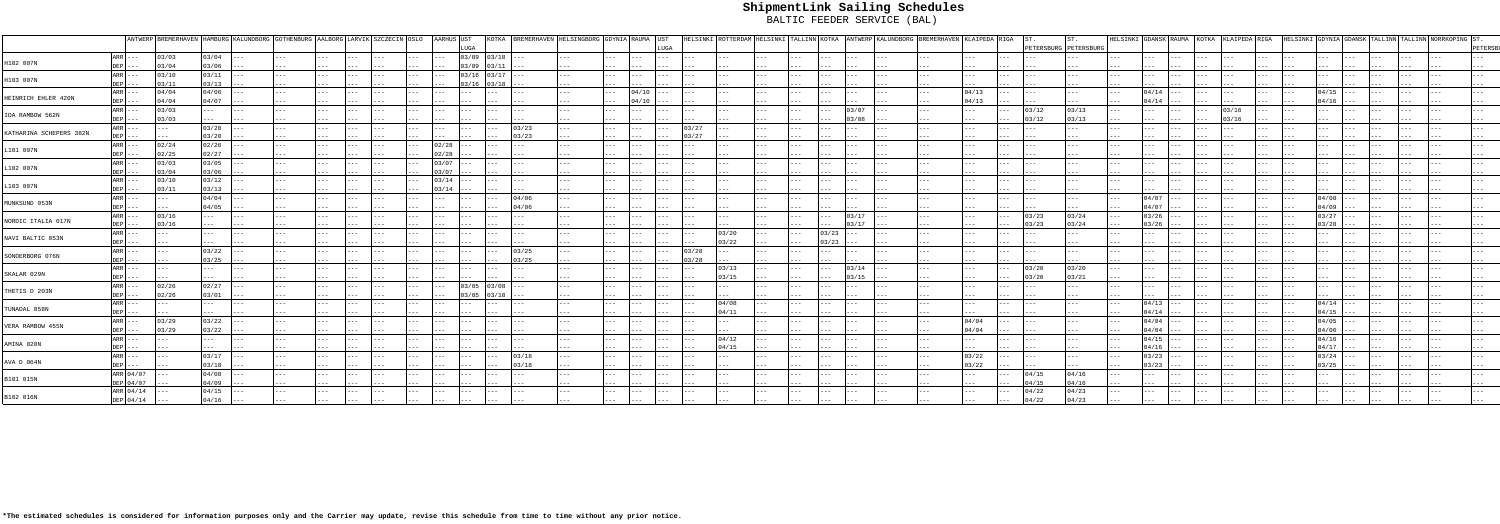|                         | ANTWERP BREMERHAVEN HAMBURG KALUNDBORG GOTHENBURG AALBORG LARVIK |                |                                                                                                                                                                                                                                                                                                                                                                                                                                                |  | SZCZECIN OSLO | AARHUS UST    |             | КОТКА         |       | BREMERHAVEN HELSINGBORG GDYNIA RAUMA |         | UST         |       |       | HELSINKI ROTTERDAM HELSINKI TALLINN KOTKA |       |       | ANTWERP KALUNDBORG BREMERHAVEN KLAIPEDA RIGA |         |         |         |                       | HELSINKI GDANSK RAUMA | KOTKA<br>KLAIPEDA RIGA |  | HELSINKI GDYNIA |  |  |
|-------------------------|------------------------------------------------------------------|----------------|------------------------------------------------------------------------------------------------------------------------------------------------------------------------------------------------------------------------------------------------------------------------------------------------------------------------------------------------------------------------------------------------------------------------------------------------|--|---------------|---------------|-------------|---------------|-------|--------------------------------------|---------|-------------|-------|-------|-------------------------------------------|-------|-------|----------------------------------------------|---------|---------|---------|-----------------------|-----------------------|------------------------|--|-----------------|--|--|
|                         |                                                                  |                |                                                                                                                                                                                                                                                                                                                                                                                                                                                |  |               |               | LUGA        |               |       |                                      |         | <b>IIGA</b> |       |       |                                           |       |       |                                              |         |         |         | PETERSBURG PETERSBURG |                       |                        |  |                 |  |  |
|                         | $ARR$ $---$<br>03/03                                             | 03/04          |                                                                                                                                                                                                                                                                                                                                                                                                                                                |  |               | $---$         | 03/09 03/10 |               |       |                                      |         | $- -$       |       |       |                                           |       |       |                                              |         | $- -$   |         |                       |                       |                        |  |                 |  |  |
| H102 007N               | 03/04                                                            | 03/06          |                                                                                                                                                                                                                                                                                                                                                                                                                                                |  |               |               | 03/09       | 03/11         |       |                                      |         |             |       |       |                                           |       |       |                                              |         |         |         |                       |                       |                        |  |                 |  |  |
|                         | ARR <sup>I</sup><br>03/10<br>$- - -$                             | 03/11          |                                                                                                                                                                                                                                                                                                                                                                                                                                                |  |               |               | 03/16       | 03/17<br>$--$ | $--$  | $---$                                |         |             |       |       |                                           |       |       | $---$                                        |         |         |         |                       | $ -$                  |                        |  |                 |  |  |
| H103 007N               | 03/11                                                            | 03/13          |                                                                                                                                                                                                                                                                                                                                                                                                                                                |  |               |               | 03/16       | 03/18         |       |                                      |         |             |       |       |                                           |       |       |                                              |         |         |         |                       |                       |                        |  |                 |  |  |
| HEINRICH EHLER 420N     | ARR I-<br>04/04<br>$-- -$                                        | 04/06          | $\frac{1}{2} \frac{1}{2} \left( \frac{1}{2} \right) + \frac{1}{2} \left( \frac{1}{2} \right) + \frac{1}{2} \left( \frac{1}{2} \right) + \frac{1}{2} \left( \frac{1}{2} \right) + \frac{1}{2} \left( \frac{1}{2} \right) + \frac{1}{2} \left( \frac{1}{2} \right) + \frac{1}{2} \left( \frac{1}{2} \right) + \frac{1}{2} \left( \frac{1}{2} \right) + \frac{1}{2} \left( \frac{1}{2} \right) + \frac{1}{2} \left( \frac{1}{2} \right) + \frac{$ |  |               |               |             |               |       | $---$                                | 04/10   |             |       |       |                                           |       |       |                                              | 04/13   | $--$    | $- - -$ |                       | 04/14<br>$- -$        |                        |  | 04/15           |  |  |
|                         | 04/04                                                            | 04/07          |                                                                                                                                                                                                                                                                                                                                                                                                                                                |  |               |               |             |               |       |                                      | 14/10   |             |       |       |                                           |       |       |                                              | 04/13   |         |         |                       | 04/14                 |                        |  | 04/16           |  |  |
| IDA RAMBOW 562N         | ARRI-<br>03/03<br>$---$                                          | $---$          |                                                                                                                                                                                                                                                                                                                                                                                                                                                |  |               |               |             |               | $- -$ | $---$                                | $- - -$ |             |       |       |                                           | 03/07 |       |                                              | $---$   | $---$   | 03/12   | 03/13                 | $- -$                 | 03/16                  |  |                 |  |  |
|                         | 03/03                                                            |                |                                                                                                                                                                                                                                                                                                                                                                                                                                                |  |               |               |             |               |       |                                      |         |             |       |       |                                           | 3/08  |       |                                              |         |         | 03/12   | 0.3/1.3               |                       |                        |  |                 |  |  |
| KATHARINA SCHEPERS 382N | $ARR$ $---$<br>$---$                                             | 03/20          |                                                                                                                                                                                                                                                                                                                                                                                                                                                |  |               | $- -$         |             | 3/23          |       | $- - -$                              | $ -$    | 03/27       |       |       |                                           |       |       |                                              |         |         |         |                       | $ -$                  |                        |  |                 |  |  |
|                         |                                                                  | 03/20          |                                                                                                                                                                                                                                                                                                                                                                                                                                                |  |               |               |             | 3/23          |       |                                      |         | 03/27       |       |       |                                           |       |       |                                              |         |         |         |                       |                       |                        |  |                 |  |  |
| L101 007N               | ARR.<br>02/24<br>$---$                                           | 02/26          |                                                                                                                                                                                                                                                                                                                                                                                                                                                |  |               | 02/28         |             | $- -$         |       | $- - -$                              |         |             |       |       |                                           |       |       |                                              |         |         |         |                       |                       |                        |  |                 |  |  |
|                         | 2/25                                                             | 02/27          |                                                                                                                                                                                                                                                                                                                                                                                                                                                |  |               |               |             |               |       |                                      |         |             |       |       |                                           |       |       |                                              |         |         |         |                       |                       |                        |  |                 |  |  |
| L102 007N               | 03/03<br>$ARR$ $---$                                             | 03/05          |                                                                                                                                                                                                                                                                                                                                                                                                                                                |  |               | 03/07<br>3/07 | $- - -$     | $- -$         |       | $- - -$                              |         |             |       |       |                                           |       |       |                                              |         |         |         |                       | $ -$                  |                        |  |                 |  |  |
|                         | 3/04<br>ARRI-                                                    | 03/06          |                                                                                                                                                                                                                                                                                                                                                                                                                                                |  |               |               |             |               |       | $- - -$                              |         |             |       |       |                                           |       |       |                                              |         |         |         |                       |                       |                        |  |                 |  |  |
| L103 007N               | 03/10<br>$- - -$<br>3/11                                         | 03/12<br>03/13 |                                                                                                                                                                                                                                                                                                                                                                                                                                                |  |               | 03/14         |             |               |       |                                      |         |             |       |       |                                           |       |       |                                              |         |         |         |                       |                       |                        |  |                 |  |  |
|                         | $ARR$ $---$<br>$---$                                             | 04/04          |                                                                                                                                                                                                                                                                                                                                                                                                                                                |  |               | $- -$         |             | 04/06         |       | $- -$                                |         |             |       |       |                                           |       |       |                                              |         |         |         |                       | 04/07<br>$- -$        |                        |  | 04/08           |  |  |
| MUNKSUND 053N           |                                                                  | 04/05          |                                                                                                                                                                                                                                                                                                                                                                                                                                                |  |               |               |             | 4/06          |       |                                      |         |             |       |       |                                           |       |       |                                              |         |         |         |                       | 04/07                 |                        |  | 04/09           |  |  |
|                         | $ARR$ $---$<br>03/16                                             |                |                                                                                                                                                                                                                                                                                                                                                                                                                                                |  |               |               |             |               |       | $- - -$                              |         |             |       |       |                                           | 03/17 |       |                                              |         |         | 03/23   | 03/24                 | 03/26                 |                        |  | 03/27           |  |  |
| NORDIC ITALIA 017N      | 03/16                                                            |                |                                                                                                                                                                                                                                                                                                                                                                                                                                                |  |               |               |             |               |       |                                      |         |             |       |       |                                           | 3/17  |       |                                              |         |         | 03/23   | 03/24                 | 03/26                 |                        |  | 03/28           |  |  |
|                         | <b>ARR</b><br>$---$<br>$--$                                      | $-- -$         |                                                                                                                                                                                                                                                                                                                                                                                                                                                |  |               |               |             |               |       | $- - -$                              |         |             | 03/20 | $- -$ | 03/23                                     |       | $- -$ |                                              |         |         | $- -$   |                       | $--$                  |                        |  |                 |  |  |
| NAVI BALTIC 053N        |                                                                  |                |                                                                                                                                                                                                                                                                                                                                                                                                                                                |  |               |               |             |               |       |                                      |         |             | 03/22 |       | 03/23                                     |       |       |                                              |         |         |         |                       |                       |                        |  |                 |  |  |
|                         | <b>ARR</b><br>$--$<br>$--$                                       | 03/22          |                                                                                                                                                                                                                                                                                                                                                                                                                                                |  |               |               |             | 3/25          |       | $--$                                 |         | 03/28       |       |       |                                           |       | $- -$ |                                              |         | $- - -$ | $- - -$ |                       | $--$                  |                        |  |                 |  |  |
| SONDERBORG 076N         |                                                                  | 03/25          |                                                                                                                                                                                                                                                                                                                                                                                                                                                |  |               |               |             | 3/25          |       |                                      |         | 3/28        |       |       |                                           |       |       |                                              |         |         |         |                       |                       |                        |  |                 |  |  |
|                         | $--$<br>$- - -$                                                  | $- - -$        |                                                                                                                                                                                                                                                                                                                                                                                                                                                |  |               |               |             |               |       | $- - -$                              |         |             | 03/13 | $- -$ |                                           | 03/14 |       |                                              |         |         | 03/20   | 03/20                 | $- -$                 |                        |  |                 |  |  |
| SKALAR 029N             |                                                                  |                |                                                                                                                                                                                                                                                                                                                                                                                                                                                |  |               |               |             |               |       |                                      |         |             | 03/15 |       |                                           | 3/15  |       |                                              |         |         | 03/20   | 03/21                 |                       |                        |  |                 |  |  |
|                         | 02/26<br>$---$                                                   | 02/27          |                                                                                                                                                                                                                                                                                                                                                                                                                                                |  |               |               | 03/05       |               |       | $-- -$                               |         | $- -$       |       |       |                                           |       |       |                                              |         |         | $- -$   |                       | $ -$                  |                        |  |                 |  |  |
| THETIS D 203N           | 2/26                                                             | 0.3/0.1        |                                                                                                                                                                                                                                                                                                                                                                                                                                                |  |               |               | 03/05       |               |       |                                      |         |             |       |       |                                           |       |       |                                              |         |         |         |                       |                       |                        |  |                 |  |  |
| TUNADAL 058N            | <b>ADD</b><br>$--$<br>$- - -$                                    | $---$          |                                                                                                                                                                                                                                                                                                                                                                                                                                                |  |               |               |             |               |       | $- - -$                              | $- -$   | $- -$       | 04/08 | $- -$ |                                           |       |       |                                              |         |         |         |                       | 04/13<br>$--$         |                        |  | 04/14           |  |  |
|                         |                                                                  |                |                                                                                                                                                                                                                                                                                                                                                                                                                                                |  |               |               |             |               |       |                                      |         |             | 04/11 |       |                                           |       |       |                                              |         |         |         |                       | 04/14                 |                        |  | 04/15           |  |  |
| VERA RAMBOW 455N        | 03/29<br>$ARR$ $---$                                             | 03/22          |                                                                                                                                                                                                                                                                                                                                                                                                                                                |  |               |               |             |               |       | $- - -$                              | $-$     | $- -$       |       |       |                                           |       |       |                                              | 04/04   |         |         |                       | 04/04<br>$- -$        |                        |  | 04/05           |  |  |
|                         | 3/29                                                             | 03/22          |                                                                                                                                                                                                                                                                                                                                                                                                                                                |  |               |               |             |               |       |                                      |         |             |       |       |                                           |       |       |                                              | 04/04   |         |         |                       | 04/04                 |                        |  | 04/06           |  |  |
| AMINA 020N              | $APR$ $---$<br>$---$                                             | $---$          |                                                                                                                                                                                                                                                                                                                                                                                                                                                |  |               |               |             |               |       | $- - -$                              | $- -$   |             | 04/12 | $- -$ |                                           |       |       |                                              | $- - -$ | $- -$   |         |                       | 04/15<br>$- -$        |                        |  | 04/16           |  |  |
|                         |                                                                  |                |                                                                                                                                                                                                                                                                                                                                                                                                                                                |  |               |               |             |               |       |                                      |         |             | 04/15 |       |                                           |       |       |                                              |         |         |         |                       | 14/16                 |                        |  | 04/17           |  |  |
| AVA D 064N              | $ARR$ $---$<br>$- -$                                             | 03/17          |                                                                                                                                                                                                                                                                                                                                                                                                                                                |  | $- -$         | $\sim$ $-$    |             | 13/18         |       | $- - -$                              |         | $- -$       |       |       |                                           |       |       |                                              | 03/22   | $- -$   | $- - -$ |                       | 03/23<br>$--$         |                        |  | 03/24           |  |  |
|                         |                                                                  | 03/18          |                                                                                                                                                                                                                                                                                                                                                                                                                                                |  |               |               |             | 3/18          |       |                                      |         |             |       |       |                                           |       |       |                                              | 03/22   |         |         |                       | 03/23                 |                        |  | 0.3/2.5         |  |  |
| B101 015N               | ARR 04/07                                                        | 04/08          |                                                                                                                                                                                                                                                                                                                                                                                                                                                |  |               |               |             |               |       | $---$                                |         |             |       |       |                                           |       |       |                                              |         | $- -$   | 04/15   | 04/16                 | $- -$                 |                        |  |                 |  |  |
|                         | EP 04/07                                                         | 04/09          |                                                                                                                                                                                                                                                                                                                                                                                                                                                |  |               |               |             |               |       |                                      |         |             |       |       |                                           |       |       |                                              |         |         | 04/15   | 04/16                 |                       |                        |  |                 |  |  |
| B102 016N               | ARR 04/14                                                        | 04/15          |                                                                                                                                                                                                                                                                                                                                                                                                                                                |  |               |               |             |               |       | $- - -$                              |         |             |       |       |                                           |       |       |                                              |         | $- -$   | 04/22   | 04/23                 |                       |                        |  |                 |  |  |
|                         | 04/14                                                            | 04/16          |                                                                                                                                                                                                                                                                                                                                                                                                                                                |  |               |               |             |               |       |                                      |         |             |       |       |                                           |       |       |                                              |         |         | 04/22   | 04/23                 |                       |                        |  |                 |  |  |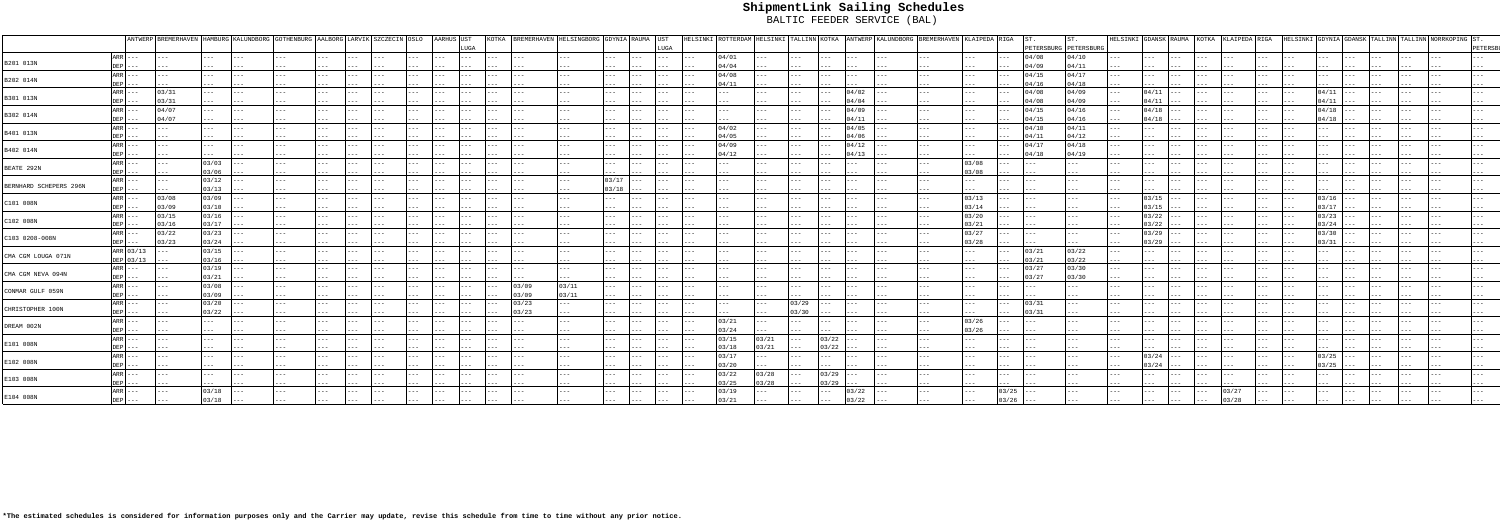|                        |                        |                | ANTWERP BREMERHAVEN HAMBURG KALUNDBORG | GOTHENBURG |       | AALBORG LARVIK SZCZECIN OSLO | AARHUS UST |             |         |                  |         |       | KOTKA BREMERHAVEN HELSINGBORG GDYNIA RAUMA UST                                                                                                                                                                                                                                                                                                                                                          | HELSINKI ROTTERDAM HELSINKI |                | TALLINN KOTKA |                |                |         | ANTWERP KALUNDBORG BREMERHAVEN | KLAIPEDA RIGA    |                                                                                                                                                                                                                                                                                                                                                                                              |                 | IST.                  | HELSINKI GDANSK RAUMA KOTKA |                        |                                                                                                                                                                                                                                                                                                                                                                                              | KLAIPEDA RIGA                                                                                                                                                                                                                                                                                                                                                                                         | HELSINKI GDYNIA GDANSK |  |  |
|------------------------|------------------------|----------------|----------------------------------------|------------|-------|------------------------------|------------|-------------|---------|------------------|---------|-------|---------------------------------------------------------------------------------------------------------------------------------------------------------------------------------------------------------------------------------------------------------------------------------------------------------------------------------------------------------------------------------------------------------|-----------------------------|----------------|---------------|----------------|----------------|---------|--------------------------------|------------------|----------------------------------------------------------------------------------------------------------------------------------------------------------------------------------------------------------------------------------------------------------------------------------------------------------------------------------------------------------------------------------------------|-----------------|-----------------------|-----------------------------|------------------------|----------------------------------------------------------------------------------------------------------------------------------------------------------------------------------------------------------------------------------------------------------------------------------------------------------------------------------------------------------------------------------------------|-------------------------------------------------------------------------------------------------------------------------------------------------------------------------------------------------------------------------------------------------------------------------------------------------------------------------------------------------------------------------------------------------------|------------------------|--|--|
|                        |                        |                |                                        |            |       |                              |            | <b>JUGA</b> |         |                  |         |       | LUGA                                                                                                                                                                                                                                                                                                                                                                                                    |                             |                |               |                |                |         |                                |                  |                                                                                                                                                                                                                                                                                                                                                                                              |                 | PETERSBURG PETERSBURG |                             |                        |                                                                                                                                                                                                                                                                                                                                                                                              |                                                                                                                                                                                                                                                                                                                                                                                                       |                        |  |  |
| B201 013N              | $ARR$ $---$            |                |                                        |            |       |                              | $- -$      | $- - -$     | $-- -$  |                  |         |       | $\frac{1}{2} \frac{1}{2} \frac{1}{2} \frac{1}{2} \frac{1}{2} \frac{1}{2} \frac{1}{2} \frac{1}{2} \frac{1}{2} \frac{1}{2} \frac{1}{2} \frac{1}{2} \frac{1}{2} \frac{1}{2} \frac{1}{2} \frac{1}{2} \frac{1}{2} \frac{1}{2} \frac{1}{2} \frac{1}{2} \frac{1}{2} \frac{1}{2} \frac{1}{2} \frac{1}{2} \frac{1}{2} \frac{1}{2} \frac{1}{2} \frac{1}{2} \frac{1}{2} \frac{1}{2} \frac{1}{2} \frac{$<br>$- -$   | 04/01                       |                |               |                |                |         |                                |                  |                                                                                                                                                                                                                                                                                                                                                                                              | 04/08           | 04/10                 |                             |                        |                                                                                                                                                                                                                                                                                                                                                                                              |                                                                                                                                                                                                                                                                                                                                                                                                       |                        |  |  |
|                        | $ARR$ $---$            |                | $- -$                                  |            | $- -$ | $- -$                        | $ -$       | $- - -$     | $---$   |                  |         | $- -$ | $\frac{1}{2} \frac{1}{2} \frac{1}{2} \frac{1}{2} \frac{1}{2} \frac{1}{2} \frac{1}{2} \frac{1}{2} \frac{1}{2} \frac{1}{2} \frac{1}{2} \frac{1}{2} \frac{1}{2} \frac{1}{2} \frac{1}{2} \frac{1}{2} \frac{1}{2} \frac{1}{2} \frac{1}{2} \frac{1}{2} \frac{1}{2} \frac{1}{2} \frac{1}{2} \frac{1}{2} \frac{1}{2} \frac{1}{2} \frac{1}{2} \frac{1}{2} \frac{1}{2} \frac{1}{2} \frac{1}{2} \frac{$<br>$---$   | 04/04<br>04/08              |                |               | $---$          | $---$          | $---$   | $---$                          |                  | $---$                                                                                                                                                                                                                                                                                                                                                                                        | 04/09<br>04/15  | 04/11<br>04/17        |                             | $---$                  | $ -$                                                                                                                                                                                                                                                                                                                                                                                         | $ -$                                                                                                                                                                                                                                                                                                                                                                                                  |                        |  |  |
| B202 014N              |                        |                |                                        |            |       |                              |            |             |         |                  |         |       |                                                                                                                                                                                                                                                                                                                                                                                                         | 04/11                       |                |               |                |                |         |                                |                  |                                                                                                                                                                                                                                                                                                                                                                                              | 04/16           | 04/18                 |                             |                        |                                                                                                                                                                                                                                                                                                                                                                                              |                                                                                                                                                                                                                                                                                                                                                                                                       |                        |  |  |
| B301 013N              | $ARR$ $---$            | $03/31$        | $- - -$                                |            |       | $- -$<br>$- -$               | $- -$      | $ -$        | $---$   | $- - -$          |         | $- -$ | $---$<br>$---$                                                                                                                                                                                                                                                                                                                                                                                          | $---$                       |                | $---$         | $---$          | 04/02          | $---$   | $---$                          |                  | $---$                                                                                                                                                                                                                                                                                                                                                                                        | 04/08           | 04/09                 |                             | 04/11                  | $---$                                                                                                                                                                                                                                                                                                                                                                                        | $- - -$                                                                                                                                                                                                                                                                                                                                                                                               | 04/11                  |  |  |
|                        | $ARR$ $---$            | 03/31<br>04/07 | $- - -$                                |            | $- -$ | $- -$                        | $- -$      | $ -$        | $---$   |                  | $- - -$ | $- -$ | $- - -$                                                                                                                                                                                                                                                                                                                                                                                                 | $---$                       |                |               | $- - -$        | 04/04          | $---$   | $---$                          |                  | $---$                                                                                                                                                                                                                                                                                                                                                                                        | 04/08           | 04/09                 |                             | 04/11                  |                                                                                                                                                                                                                                                                                                                                                                                              | $\frac{1}{2} \frac{1}{2} \frac{1}{2} \frac{1}{2} \frac{1}{2} \frac{1}{2} \frac{1}{2} \frac{1}{2} \frac{1}{2} \frac{1}{2} \frac{1}{2} \frac{1}{2} \frac{1}{2} \frac{1}{2} \frac{1}{2} \frac{1}{2} \frac{1}{2} \frac{1}{2} \frac{1}{2} \frac{1}{2} \frac{1}{2} \frac{1}{2} \frac{1}{2} \frac{1}{2} \frac{1}{2} \frac{1}{2} \frac{1}{2} \frac{1}{2} \frac{1}{2} \frac{1}{2} \frac{1}{2} \frac{$<br>$---$ | 04/11                  |  |  |
| B302 014N              | $DEP$ $---$            | 04/07          |                                        |            |       |                              |            |             |         |                  |         |       | $\frac{1}{2} \frac{1}{2} \frac{1}{2} \frac{1}{2} \frac{1}{2} \frac{1}{2} \frac{1}{2} \frac{1}{2} \frac{1}{2} \frac{1}{2} \frac{1}{2} \frac{1}{2} \frac{1}{2} \frac{1}{2} \frac{1}{2} \frac{1}{2} \frac{1}{2} \frac{1}{2} \frac{1}{2} \frac{1}{2} \frac{1}{2} \frac{1}{2} \frac{1}{2} \frac{1}{2} \frac{1}{2} \frac{1}{2} \frac{1}{2} \frac{1}{2} \frac{1}{2} \frac{1}{2} \frac{1}{2} \frac{$            |                             |                |               |                | 04/09<br>04/11 |         |                                |                  |                                                                                                                                                                                                                                                                                                                                                                                              | 04/15<br>04/15  | 04/16<br>04/16        |                             | $04/18$ ---<br>04/18   |                                                                                                                                                                                                                                                                                                                                                                                              |                                                                                                                                                                                                                                                                                                                                                                                                       | 04/18<br>04/18         |  |  |
|                        | $ARR$ $---$            | $- -$          | $---$                                  |            |       |                              | $--$       | $- -$       | $---$   | $---$            |         | $- -$ | $\frac{1}{2} \frac{1}{2} \frac{1}{2} \frac{1}{2} \frac{1}{2} \frac{1}{2} \frac{1}{2} \frac{1}{2} \frac{1}{2} \frac{1}{2} \frac{1}{2} \frac{1}{2} \frac{1}{2} \frac{1}{2} \frac{1}{2} \frac{1}{2} \frac{1}{2} \frac{1}{2} \frac{1}{2} \frac{1}{2} \frac{1}{2} \frac{1}{2} \frac{1}{2} \frac{1}{2} \frac{1}{2} \frac{1}{2} \frac{1}{2} \frac{1}{2} \frac{1}{2} \frac{1}{2} \frac{1}{2} \frac{$<br>$- - -$ | 04/02                       |                | $---$         |                | 04/05          |         | $---$                          |                  | $---$                                                                                                                                                                                                                                                                                                                                                                                        | 04/10           | 04/11                 |                             | $---$                  | $- - -$                                                                                                                                                                                                                                                                                                                                                                                      | $--$                                                                                                                                                                                                                                                                                                                                                                                                  | $---$                  |  |  |
| B401 013N              |                        |                |                                        |            |       |                              |            |             |         |                  |         |       |                                                                                                                                                                                                                                                                                                                                                                                                         | 04/05                       |                |               |                | 04/06          |         |                                |                  |                                                                                                                                                                                                                                                                                                                                                                                              | 04/11           | 04/12                 |                             |                        |                                                                                                                                                                                                                                                                                                                                                                                              |                                                                                                                                                                                                                                                                                                                                                                                                       |                        |  |  |
| B402 014N              | $ARR$ $---$            | $- -$          | $---$                                  |            | $- -$ |                              |            |             |         |                  |         | $- -$ | $---$                                                                                                                                                                                                                                                                                                                                                                                                   | 04/09                       |                | $- - -$       |                | 04/12          | $---$   | $---$                          | $- -$            |                                                                                                                                                                                                                                                                                                                                                                                              | 04/17           | 04/18                 |                             |                        | $- -$                                                                                                                                                                                                                                                                                                                                                                                        |                                                                                                                                                                                                                                                                                                                                                                                                       |                        |  |  |
|                        | $ARR$ $---$            |                | 03/03                                  |            |       |                              | $- -$      |             |         |                  |         | $- -$ | $---$<br>$---$                                                                                                                                                                                                                                                                                                                                                                                          | 04/12<br>$---$              |                |               |                | 04/13<br>$---$ | $---$   | $---$                          | 03/08            |                                                                                                                                                                                                                                                                                                                                                                                              | 04/18<br>$-- -$ | 04/19                 |                             |                        | $- -$                                                                                                                                                                                                                                                                                                                                                                                        |                                                                                                                                                                                                                                                                                                                                                                                                       |                        |  |  |
| BEATE 292N             |                        |                | 03/06                                  |            |       |                              |            |             |         |                  |         |       |                                                                                                                                                                                                                                                                                                                                                                                                         |                             |                |               |                |                |         |                                | 80\ 20           |                                                                                                                                                                                                                                                                                                                                                                                              |                 |                       |                             |                        |                                                                                                                                                                                                                                                                                                                                                                                              |                                                                                                                                                                                                                                                                                                                                                                                                       |                        |  |  |
|                        | $ARR$ $---$            |                | 03/12                                  |            |       |                              |            |             |         |                  |         | 03/17 | $---$                                                                                                                                                                                                                                                                                                                                                                                                   |                             |                |               |                |                |         | $---$                          | $--$             | $---$                                                                                                                                                                                                                                                                                                                                                                                        |                 |                       |                             |                        |                                                                                                                                                                                                                                                                                                                                                                                              |                                                                                                                                                                                                                                                                                                                                                                                                       |                        |  |  |
| BERNHARD SCHEPERS 296N |                        |                | 0.3/1.3                                |            |       |                              |            |             |         |                  |         | 3/18  |                                                                                                                                                                                                                                                                                                                                                                                                         |                             |                |               |                |                |         |                                |                  |                                                                                                                                                                                                                                                                                                                                                                                              |                 |                       |                             |                        |                                                                                                                                                                                                                                                                                                                                                                                              |                                                                                                                                                                                                                                                                                                                                                                                                       |                        |  |  |
| C101 008N              | $ARR$ $---$<br>EP ---  | 03/08<br>03/09 | 03/09<br>03/10                         |            |       |                              | $- -$      | $- - -$     | $---$   |                  |         | $- -$ | $---$<br>$---$                                                                                                                                                                                                                                                                                                                                                                                          |                             |                |               | $---$          | $---$          |         |                                | 03/13<br>)3/14   |                                                                                                                                                                                                                                                                                                                                                                                              |                 |                       |                             | $03/15$ $---$<br>03/15 |                                                                                                                                                                                                                                                                                                                                                                                              | $---$<br>$- -$                                                                                                                                                                                                                                                                                                                                                                                        | 03/16<br>03/17         |  |  |
|                        | $ARR$ $---$            | 03/15          | 03/16                                  |            |       |                              |            |             | $- - -$ |                  |         |       | $---$                                                                                                                                                                                                                                                                                                                                                                                                   |                             |                |               |                |                |         |                                | 03/20            |                                                                                                                                                                                                                                                                                                                                                                                              |                 |                       |                             | 03/22                  | $- -$                                                                                                                                                                                                                                                                                                                                                                                        | $- - -$                                                                                                                                                                                                                                                                                                                                                                                               | 03/23                  |  |  |
| C102 008N              | $DEP$ $---$            | 03/16          | 03/17                                  |            |       |                              |            |             |         |                  |         |       |                                                                                                                                                                                                                                                                                                                                                                                                         |                             |                |               |                |                |         |                                | 03/21            |                                                                                                                                                                                                                                                                                                                                                                                              |                 |                       |                             | 03/22                  |                                                                                                                                                                                                                                                                                                                                                                                              |                                                                                                                                                                                                                                                                                                                                                                                                       | 03/24                  |  |  |
| C103 0208-008N         | $ARR$ $---$            | 03/22          | 03/23                                  | $- -$      | $- -$ | $- -$                        | $ -$       | $ -$        | $---$   |                  |         | $- -$ | $---$<br>---                                                                                                                                                                                                                                                                                                                                                                                            |                             |                |               |                |                | $- - -$ |                                | 03/27            |                                                                                                                                                                                                                                                                                                                                                                                              | $---$           |                       |                             | 03/29                  | $---$                                                                                                                                                                                                                                                                                                                                                                                        | $---$                                                                                                                                                                                                                                                                                                                                                                                                 | 03/30                  |  |  |
|                        | $DEP$ $---$            | 03/23<br>$---$ | 03/24                                  | $- -$      | $- -$ | $- -$                        |            |             | $---$   |                  |         |       |                                                                                                                                                                                                                                                                                                                                                                                                         | $- - -$                     |                |               |                |                | $- - -$ | $---$                          | 03/28<br>$- - -$ |                                                                                                                                                                                                                                                                                                                                                                                              |                 |                       |                             | 03/29<br>$---$         |                                                                                                                                                                                                                                                                                                                                                                                              |                                                                                                                                                                                                                                                                                                                                                                                                       | 03/31                  |  |  |
| CMA CGM LOUGA 071N     | ARR 03/13<br>DEP 03/13 |                | 03/15<br>03/16                         |            |       |                              | $- -$      |             |         |                  |         | $- -$ | $\frac{1}{2} \frac{1}{2} \frac{1}{2} \frac{1}{2} \frac{1}{2} \frac{1}{2} \frac{1}{2} \frac{1}{2} \frac{1}{2} \frac{1}{2} \frac{1}{2} \frac{1}{2} \frac{1}{2} \frac{1}{2} \frac{1}{2} \frac{1}{2} \frac{1}{2} \frac{1}{2} \frac{1}{2} \frac{1}{2} \frac{1}{2} \frac{1}{2} \frac{1}{2} \frac{1}{2} \frac{1}{2} \frac{1}{2} \frac{1}{2} \frac{1}{2} \frac{1}{2} \frac{1}{2} \frac{1}{2} \frac{$            |                             |                |               |                |                |         |                                |                  | $---$                                                                                                                                                                                                                                                                                                                                                                                        | 03/21<br>03/21  | 03/22<br>0.3/2.2      |                             |                        | $- -$                                                                                                                                                                                                                                                                                                                                                                                        |                                                                                                                                                                                                                                                                                                                                                                                                       |                        |  |  |
|                        | $ARR$ $---$            | $--$           | 03/19                                  | $- -$      | $- -$ | $- - -$                      | $- -$      | $- -$       | $-- -$  | $   \,$          | $-- -$  | $- -$ | $--$<br>$- - -$                                                                                                                                                                                                                                                                                                                                                                                         | $-- -$                      | $- -$          |               |                | $---$          | $---$   | $-- -$                         | $- -$            |                                                                                                                                                                                                                                                                                                                                                                                              | 03/27           | 03/30                 |                             | $-- -$                 | $- -$                                                                                                                                                                                                                                                                                                                                                                                        | $- -$                                                                                                                                                                                                                                                                                                                                                                                                 |                        |  |  |
| CMA CGM NEVA 094N      | $DEP$ $---$            |                | 03/21                                  |            |       |                              |            |             |         |                  |         |       |                                                                                                                                                                                                                                                                                                                                                                                                         |                             |                |               |                |                |         |                                |                  |                                                                                                                                                                                                                                                                                                                                                                                              | 03/27           | 03/30                 |                             |                        |                                                                                                                                                                                                                                                                                                                                                                                              |                                                                                                                                                                                                                                                                                                                                                                                                       |                        |  |  |
| CONMAR GULF 059N       | $ARR$ $---$            | $--$           | 03/08                                  | $ -$       | $- -$ |                              | $- -$      |             | $-- -$  | 03/09            | 03/11   | $--$  | $---$                                                                                                                                                                                                                                                                                                                                                                                                   |                             |                |               |                |                |         |                                |                  |                                                                                                                                                                                                                                                                                                                                                                                              | $- -$           |                       |                             |                        | $--$                                                                                                                                                                                                                                                                                                                                                                                         |                                                                                                                                                                                                                                                                                                                                                                                                       |                        |  |  |
|                        | $ARR$ $---$            |                | 03/09<br>03/20                         |            | $- -$ |                              | $- -$      | $- -$       | $-- -$  | 0.3/0.9<br>03/23 | 0.3/11  | $- -$ | $---$                                                                                                                                                                                                                                                                                                                                                                                                   | $---$                       |                | 03/29         |                | $---$          |         | $---$                          | $--$             | $---$                                                                                                                                                                                                                                                                                                                                                                                        | 03/31           |                       |                             |                        | $- -$                                                                                                                                                                                                                                                                                                                                                                                        | $- -$                                                                                                                                                                                                                                                                                                                                                                                                 |                        |  |  |
| CHRISTOPHER 100N       | $EP$ $---$             |                | 03/22                                  |            |       |                              |            |             |         | 03/23            |         |       |                                                                                                                                                                                                                                                                                                                                                                                                         |                             |                | 0.3 / 30      |                |                |         |                                |                  |                                                                                                                                                                                                                                                                                                                                                                                              | 03/31           |                       |                             |                        |                                                                                                                                                                                                                                                                                                                                                                                              |                                                                                                                                                                                                                                                                                                                                                                                                       |                        |  |  |
| DREAM 002N             | $APR$ $---$            |                | $- -$                                  |            |       |                              | $ -$       |             |         | $- -$            |         |       | $\frac{1}{2} \frac{1}{2} \frac{1}{2} \frac{1}{2} \frac{1}{2} \frac{1}{2} \frac{1}{2} \frac{1}{2} \frac{1}{2} \frac{1}{2} \frac{1}{2} \frac{1}{2} \frac{1}{2} \frac{1}{2} \frac{1}{2} \frac{1}{2} \frac{1}{2} \frac{1}{2} \frac{1}{2} \frac{1}{2} \frac{1}{2} \frac{1}{2} \frac{1}{2} \frac{1}{2} \frac{1}{2} \frac{1}{2} \frac{1}{2} \frac{1}{2} \frac{1}{2} \frac{1}{2} \frac{1}{2} \frac{$<br>$- - -$ | 03/21                       |                |               |                | $---$          |         |                                | 03/26            |                                                                                                                                                                                                                                                                                                                                                                                              | $- -$           |                       |                             |                        | $- -$                                                                                                                                                                                                                                                                                                                                                                                        |                                                                                                                                                                                                                                                                                                                                                                                                       |                        |  |  |
|                        |                        |                |                                        |            |       |                              |            |             |         |                  |         |       |                                                                                                                                                                                                                                                                                                                                                                                                         | 03/24                       |                |               |                |                |         |                                | 3/26             |                                                                                                                                                                                                                                                                                                                                                                                              |                 |                       |                             |                        |                                                                                                                                                                                                                                                                                                                                                                                              |                                                                                                                                                                                                                                                                                                                                                                                                       |                        |  |  |
| E101 008N              | $APR$ $---$            |                | $- - -$                                |            | $ -$  | $- - -$                      | $ -$       | $ -$        | $---$   |                  |         | $- -$ | $\frac{1}{2} \frac{1}{2} \frac{1}{2} \frac{1}{2} \frac{1}{2} \frac{1}{2} \frac{1}{2} \frac{1}{2} \frac{1}{2} \frac{1}{2} \frac{1}{2} \frac{1}{2} \frac{1}{2} \frac{1}{2} \frac{1}{2} \frac{1}{2} \frac{1}{2} \frac{1}{2} \frac{1}{2} \frac{1}{2} \frac{1}{2} \frac{1}{2} \frac{1}{2} \frac{1}{2} \frac{1}{2} \frac{1}{2} \frac{1}{2} \frac{1}{2} \frac{1}{2} \frac{1}{2} \frac{1}{2} \frac{$<br>$---$   | 03/15<br>03/18              | 03/21<br>03/21 | ---           | 03/22<br>03/22 | $---$          | $---$   | $---$                          | $- - -$          | $\frac{1}{2} \frac{1}{2} \frac{1}{2} \frac{1}{2} \frac{1}{2} \frac{1}{2} \frac{1}{2} \frac{1}{2} \frac{1}{2} \frac{1}{2} \frac{1}{2} \frac{1}{2} \frac{1}{2} \frac{1}{2} \frac{1}{2} \frac{1}{2} \frac{1}{2} \frac{1}{2} \frac{1}{2} \frac{1}{2} \frac{1}{2} \frac{1}{2} \frac{1}{2} \frac{1}{2} \frac{1}{2} \frac{1}{2} \frac{1}{2} \frac{1}{2} \frac{1}{2} \frac{1}{2} \frac{1}{2} \frac{$ |                 |                       |                             |                        | $ -$                                                                                                                                                                                                                                                                                                                                                                                         | $ -$                                                                                                                                                                                                                                                                                                                                                                                                  | $---$                  |  |  |
|                        | $ARR$ $---$            |                | $- -$                                  |            |       | $- - -$                      | $- -$      | $ -$        | $---$   |                  |         | $- -$ | $\frac{1}{2} \frac{1}{2} \frac{1}{2} \frac{1}{2} \frac{1}{2} \frac{1}{2} \frac{1}{2} \frac{1}{2} \frac{1}{2} \frac{1}{2} \frac{1}{2} \frac{1}{2} \frac{1}{2} \frac{1}{2} \frac{1}{2} \frac{1}{2} \frac{1}{2} \frac{1}{2} \frac{1}{2} \frac{1}{2} \frac{1}{2} \frac{1}{2} \frac{1}{2} \frac{1}{2} \frac{1}{2} \frac{1}{2} \frac{1}{2} \frac{1}{2} \frac{1}{2} \frac{1}{2} \frac{1}{2} \frac{$<br>$---$   | 03/17                       |                |               | $---$          | $---$          |         |                                |                  | $---$                                                                                                                                                                                                                                                                                                                                                                                        |                 |                       |                             | 03/24                  | $\frac{1}{2} \frac{1}{2} \frac{1}{2} \frac{1}{2} \frac{1}{2} \frac{1}{2} \frac{1}{2} \frac{1}{2} \frac{1}{2} \frac{1}{2} \frac{1}{2} \frac{1}{2} \frac{1}{2} \frac{1}{2} \frac{1}{2} \frac{1}{2} \frac{1}{2} \frac{1}{2} \frac{1}{2} \frac{1}{2} \frac{1}{2} \frac{1}{2} \frac{1}{2} \frac{1}{2} \frac{1}{2} \frac{1}{2} \frac{1}{2} \frac{1}{2} \frac{1}{2} \frac{1}{2} \frac{1}{2} \frac{$ | $- - -$<br>$- -$                                                                                                                                                                                                                                                                                                                                                                                      | 03/25                  |  |  |
| E102 008N              |                        |                |                                        |            |       |                              |            |             |         |                  |         |       |                                                                                                                                                                                                                                                                                                                                                                                                         | 0.3 / 2.0                   |                |               |                |                |         |                                |                  |                                                                                                                                                                                                                                                                                                                                                                                              |                 |                       |                             | 03/24                  |                                                                                                                                                                                                                                                                                                                                                                                              |                                                                                                                                                                                                                                                                                                                                                                                                       | 0.3/2.5                |  |  |
| E103 008N              | $ARR$ $---$            |                | $- - -$                                |            | $- -$ | $- -$                        | $- -$      |             | $- - -$ |                  |         | $- -$ | $\frac{1}{2} \frac{1}{2} \frac{1}{2} \frac{1}{2} \frac{1}{2} \frac{1}{2} \frac{1}{2} \frac{1}{2} \frac{1}{2} \frac{1}{2} \frac{1}{2} \frac{1}{2} \frac{1}{2} \frac{1}{2} \frac{1}{2} \frac{1}{2} \frac{1}{2} \frac{1}{2} \frac{1}{2} \frac{1}{2} \frac{1}{2} \frac{1}{2} \frac{1}{2} \frac{1}{2} \frac{1}{2} \frac{1}{2} \frac{1}{2} \frac{1}{2} \frac{1}{2} \frac{1}{2} \frac{1}{2} \frac{$<br>$- - -$ | 03/22                       | 03/28          |               | $03/29$ $---$  |                | $---$   | $- - -$                        |                  | $\frac{1}{2} \frac{1}{2} \frac{1}{2} \frac{1}{2} \frac{1}{2} \frac{1}{2} \frac{1}{2} \frac{1}{2} \frac{1}{2} \frac{1}{2} \frac{1}{2} \frac{1}{2} \frac{1}{2} \frac{1}{2} \frac{1}{2} \frac{1}{2} \frac{1}{2} \frac{1}{2} \frac{1}{2} \frac{1}{2} \frac{1}{2} \frac{1}{2} \frac{1}{2} \frac{1}{2} \frac{1}{2} \frac{1}{2} \frac{1}{2} \frac{1}{2} \frac{1}{2} \frac{1}{2} \frac{1}{2} \frac{$ |                 |                       |                             | $- - -$                | $- - -$                                                                                                                                                                                                                                                                                                                                                                                      | $- -$                                                                                                                                                                                                                                                                                                                                                                                                 |                        |  |  |
|                        | $ARR$ $---$            |                | 03/18                                  |            |       |                              |            |             | $-- -$  |                  |         | $- -$ | $---$                                                                                                                                                                                                                                                                                                                                                                                                   | 03/25<br>03/19              | 03/28          | $---$         | 03/29          | 03/22          |         |                                |                  | 03/25                                                                                                                                                                                                                                                                                                                                                                                        |                 |                       |                             |                        | $ -$                                                                                                                                                                                                                                                                                                                                                                                         | 03/27                                                                                                                                                                                                                                                                                                                                                                                                 |                        |  |  |
| E104 008N              |                        |                | 03/18                                  |            |       |                              |            |             |         |                  |         |       |                                                                                                                                                                                                                                                                                                                                                                                                         |                             |                |               | $---$          | 03/22          |         |                                |                  | 03/26                                                                                                                                                                                                                                                                                                                                                                                        |                 |                       |                             |                        |                                                                                                                                                                                                                                                                                                                                                                                              |                                                                                                                                                                                                                                                                                                                                                                                                       |                        |  |  |
|                        |                        |                |                                        |            |       |                              |            |             |         |                  |         |       |                                                                                                                                                                                                                                                                                                                                                                                                         |                             |                |               |                |                |         |                                |                  |                                                                                                                                                                                                                                                                                                                                                                                              |                 |                       |                             |                        |                                                                                                                                                                                                                                                                                                                                                                                              |                                                                                                                                                                                                                                                                                                                                                                                                       |                        |  |  |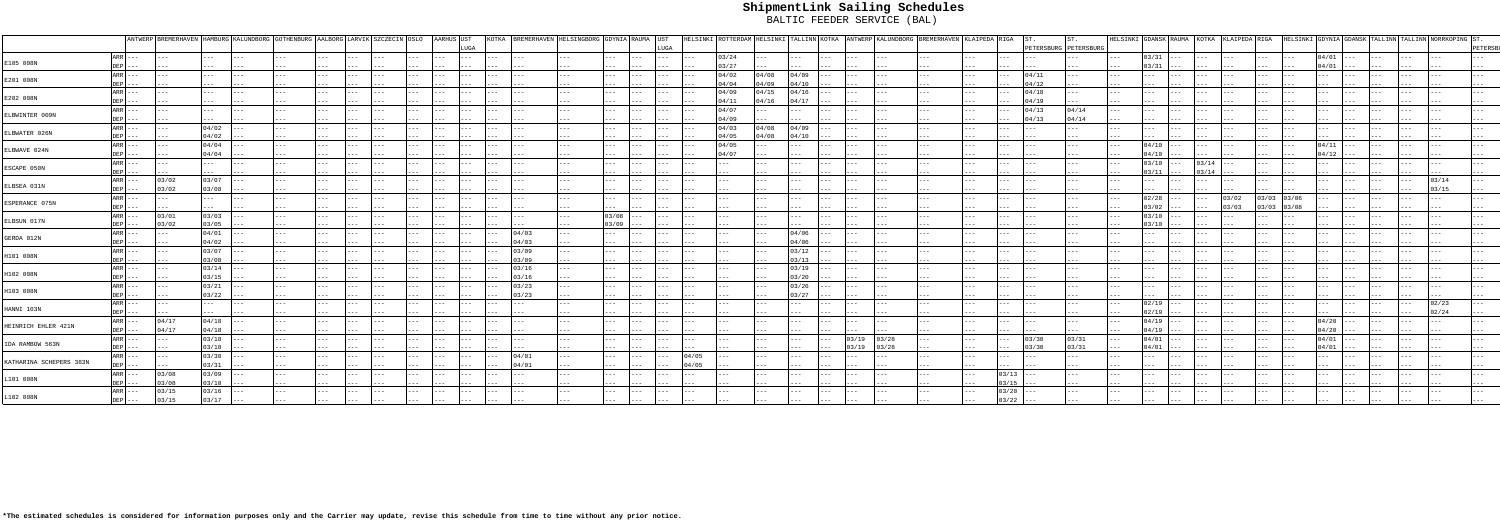|                         |                                 |                |                                                                                                                                                                                                                                                                                                                                                                                              |         |         | ANTWERP BREMERHAVEN HAMBURG KALUNDBORG GOTHENBURG AALBORG LARVIK SZCZECIN |         | AARHUS UST | kotka I       | BREMERHAVEN HELSINGBORG GDYNIA RAUMA |               | UST                |       |                  | HELSINKI ROTTERDAM HELSINKI TALLINN KOTKA |                |       |                |                | ANTWERP KALUNDBORG BREMERHAVEN KLAIPEDA RIGA |                |                |                       | HELSINKI GDANSK RAUMA           | KOTKA<br>KLAIPEDA RIGA |         |                        | HELSINKI GDYNIA GDANSK |  |      |  |
|-------------------------|---------------------------------|----------------|----------------------------------------------------------------------------------------------------------------------------------------------------------------------------------------------------------------------------------------------------------------------------------------------------------------------------------------------------------------------------------------------|---------|---------|---------------------------------------------------------------------------|---------|------------|---------------|--------------------------------------|---------------|--------------------|-------|------------------|-------------------------------------------|----------------|-------|----------------|----------------|----------------------------------------------|----------------|----------------|-----------------------|---------------------------------|------------------------|---------|------------------------|------------------------|--|------|--|
|                         |                                 |                |                                                                                                                                                                                                                                                                                                                                                                                              |         |         |                                                                           |         | LUGA       |               |                                      |               | JIGA.              |       |                  |                                           |                |       |                |                |                                              |                |                | PETERSBURG PETERSBURG |                                 |                        |         |                        |                        |  |      |  |
| E105 008N               | $ARR$ ---                       |                |                                                                                                                                                                                                                                                                                                                                                                                              |         |         |                                                                           |         | $---$      |               |                                      |               | $--$               |       | 03/24<br>0.3/2.7 |                                           |                |       |                |                |                                              |                |                |                       | 03/31<br>$- -$<br>03/31         |                        |         |                        | 04/01<br>04/01         |  |      |  |
| E201 008N               | $ARR$ ---                       |                | $---$                                                                                                                                                                                                                                                                                                                                                                                        |         | $- - -$ | $- - -$                                                                   |         | $ -$       | $-$           |                                      | $---$         | $- - -$<br>$- - -$ |       | 04/02            | 04/08                                     | 04/09          |       | $- - -$        | $- - -$        |                                              | $- -$          | 04/11          |                       | $ -$                            |                        |         |                        | $- - -$                |  |      |  |
| DEP<br>E202 008N        | $ARR$ $---$                     | $- -$          | $---$                                                                                                                                                                                                                                                                                                                                                                                        |         |         |                                                                           |         | $---$      |               |                                      | $- -$         | $- -$              |       | 04/04<br>04/09   | 04/09<br>04/15                            | 04/10<br>04/16 | $---$ | $- -$          |                |                                              | $- - -$        | 04/12<br>04/18 |                       | $- -$                           |                        |         |                        |                        |  |      |  |
|                         |                                 |                |                                                                                                                                                                                                                                                                                                                                                                                              |         |         |                                                                           |         |            |               |                                      |               |                    |       | 04/11            | 04/16                                     | 04/17          |       |                |                |                                              |                | 04/19          |                       |                                 |                        |         |                        |                        |  |      |  |
| ELBWINTER 009N          | $ARR$ $---$<br>DEP <sup>1</sup> | $--$           | $---$                                                                                                                                                                                                                                                                                                                                                                                        |         | $- - -$ | $---$                                                                     |         | $---$      |               |                                      | $---$         | $- - -$<br>$- -$   |       | 04/07<br>04/09   | $- -$                                     | $---$          | $---$ | $---$          | $- - -$        | $- - -$                                      | $- - -$        | 04/13<br>04/13 | 04/14<br>04/14        | $- -$                           |                        |         |                        |                        |  |      |  |
| ELBWATER 026N           | $ARR$ ---<br>DEP <sup>1</sup>   | $--$           | 04/02<br>04/02                                                                                                                                                                                                                                                                                                                                                                               | $  \,$  |         |                                                                           |         | $\sim$ $-$ |               |                                      | $- -$         | $- - -$<br>$- - -$ |       | 04/03<br>04/05   | 04/08<br>04/08                            | 04/09<br>04/10 |       |                | $-- -$         |                                              | $- -$          | $- -$          |                       |                                 |                        |         |                        |                        |  |      |  |
| ELBWAVE 024N            | $ARR$ $---$                     |                | 04/04<br>04/04                                                                                                                                                                                                                                                                                                                                                                               | $- -$   | $- - -$ |                                                                           |         |            |               |                                      | $- -$         |                    |       | 04/05<br>04/07   | $- -$                                     |                |       |                | $-- -$         | $---$                                        |                |                |                       | 04/10<br>$- -$<br>04/10         |                        |         |                        | 04/11<br>04/12         |  |      |  |
| ESCAPE 050N             | $ARR$ $---$                     | $--$           | $---$                                                                                                                                                                                                                                                                                                                                                                                        | $--$    |         |                                                                           |         | $---$      |               |                                      | $- -$         |                    |       | $- - -$          | $- -$                                     |                |       |                |                |                                              |                |                |                       | 03/10<br>$- -$<br>03/11         | 03/14                  |         |                        |                        |  |      |  |
| ELBSEA 031N             | $ARR$ $---$                     | 03/02<br>03/02 | 03/07<br>03/08                                                                                                                                                                                                                                                                                                                                                                               |         |         |                                                                           |         |            |               |                                      | $- -$         |                    |       |                  |                                           |                |       |                |                |                                              |                |                |                       |                                 | 03/14                  |         |                        |                        |  | 3/14 |  |
| ESPERANCE 075N          | $ARR$ ---                       | $--$           | $---$                                                                                                                                                                                                                                                                                                                                                                                        | $- -$   |         |                                                                           |         | $- -$      |               |                                      | $- -$         |                    |       |                  |                                           |                |       |                |                |                                              |                |                |                       | 02/28<br>$\frac{1}{2}$<br>03/02 | 03/02<br>$--$<br>3/03  | 0.3/0.3 | 03/03 03/06<br>$03/08$ |                        |  |      |  |
| ELBSUN 017N             | $ARR$ $---$<br>$DEP$ $---$      | 03/01<br>3/02  | 03/03<br>03/05                                                                                                                                                                                                                                                                                                                                                                               |         |         |                                                                           |         |            |               |                                      | 03/08<br>3/09 |                    |       |                  |                                           |                |       |                |                |                                              |                |                |                       | 03/10<br>$- -$<br>13/10         |                        |         |                        |                        |  |      |  |
| GERDA 012N              | $ARR$ ---<br>DEP I              | $- - -$        | 04/01<br>04/02                                                                                                                                                                                                                                                                                                                                                                               | $- -$   |         |                                                                           |         | $ -$       | 04/03<br>4/03 |                                      | $---$         | $- -$              |       |                  |                                           | 04/06<br>04/06 |       |                |                |                                              |                |                |                       | $ -$                            |                        |         |                        |                        |  |      |  |
| H101 008N               | $ARR$ ---                       | $- -$          | 03/07<br>03/08                                                                                                                                                                                                                                                                                                                                                                               | $- - -$ | $- - -$ | $- - -$                                                                   |         | $ -$       | 03/09<br>3/09 |                                      | $---$         |                    |       |                  |                                           | 03/12<br>03/13 |       | $- -$          | $- - -$        |                                              |                |                |                       |                                 |                        |         |                        |                        |  |      |  |
| H102 008N               | $ARR$ $---$<br>$DEP$ $---$      | $- - -$        | 03/14<br>03/15                                                                                                                                                                                                                                                                                                                                                                               | $- -$   | $- -$   | $---$                                                                     | $- - -$ | $   \,$    | 3/16<br>3/16  |                                      | $--$          |                    |       |                  | $- -$                                     | 03/19<br>03/20 |       |                | $-- -$         |                                              |                |                |                       | $- -$                           |                        |         |                        |                        |  |      |  |
| H103 008N               | $ARR$ $---$<br>DEP <sup>1</sup> | $- -$          | 03/21<br>$03/22$                                                                                                                                                                                                                                                                                                                                                                             | $  \,$  | $--$    |                                                                           |         | $\sim$ $-$ | 3/23<br>3/23  |                                      | $- -$         |                    |       |                  |                                           | 03/26<br>03/27 |       |                | $- -$          |                                              |                |                |                       |                                 |                        |         |                        |                        |  |      |  |
| HANNI 103N              | $ARR$ $---$                     | $---$          | $\frac{1}{2} \frac{1}{2} \frac{1}{2} \frac{1}{2} \frac{1}{2} \frac{1}{2} \frac{1}{2} \frac{1}{2} \frac{1}{2} \frac{1}{2} \frac{1}{2} \frac{1}{2} \frac{1}{2} \frac{1}{2} \frac{1}{2} \frac{1}{2} \frac{1}{2} \frac{1}{2} \frac{1}{2} \frac{1}{2} \frac{1}{2} \frac{1}{2} \frac{1}{2} \frac{1}{2} \frac{1}{2} \frac{1}{2} \frac{1}{2} \frac{1}{2} \frac{1}{2} \frac{1}{2} \frac{1}{2} \frac{$ | $  \,$  |         |                                                                           |         |            | $ -$          |                                      | $- -$         |                    |       |                  |                                           |                |       |                |                |                                              |                |                |                       | 02/19<br>$--$<br>02/19          |                        |         |                        |                        |  | 2/23 |  |
| HEINRICH EHLER 421N     | $ARR$ $---$<br>DEP <sup>I</sup> | 04/17<br>04/17 | 04/18<br>04/18                                                                                                                                                                                                                                                                                                                                                                               | $- -$   |         |                                                                           |         |            |               |                                      | $- -$         | $- -$              |       |                  |                                           |                |       |                |                |                                              |                | $- - -$        |                       | 04/19<br>$- -$<br>04/19         |                        |         |                        | 04/20<br>04/20         |  |      |  |
| IDA RAMBOW 563N         | $ARR$ $---$                     | $--$           | 03/18<br>03/18                                                                                                                                                                                                                                                                                                                                                                               | $--$    | $- - -$ |                                                                           |         | $\sim$ $-$ | $ -$          |                                      | $--$          |                    |       |                  |                                           |                |       | 03/19<br>13/19 | 03/28<br>03/28 |                                              |                | 03/30<br>03/30 | 03/31<br>0.3 / 31     | 04/01<br>$- -$<br>04/01         | $- -$                  |         |                        | 04/01<br>04/01         |  |      |  |
| KATHARINA SCHEPERS 383N | $ARR$ $---$                     | $-- -$         | 03/30<br>03/31                                                                                                                                                                                                                                                                                                                                                                               | $- -$   |         |                                                                           |         | $- -$      | 04/01<br>4/01 |                                      | $- - -$       | $--$               | 04/05 |                  |                                           |                |       |                |                |                                              |                |                |                       | $-$                             |                        |         |                        |                        |  |      |  |
| L101 008N               | $ARR$ ---<br>DEP I              | 03/08<br>3/08  | 03/09<br>03/10                                                                                                                                                                                                                                                                                                                                                                               | $- -$   | $- -$   |                                                                           |         | $ -$       | $ -$          |                                      | $---$         | $- -$<br>$- -$     |       |                  |                                           |                |       |                |                |                                              | 03/13<br>03/15 |                |                       | $ -$                            |                        |         |                        |                        |  |      |  |
| L102 008N               | $ARR$ ---                       | 03/15<br>3/15  | 03/16<br>03/17                                                                                                                                                                                                                                                                                                                                                                               |         |         |                                                                           |         | $--$       |               |                                      |               |                    |       |                  |                                           |                |       |                |                |                                              | 03/20<br>03/22 |                |                       |                                 |                        |         |                        |                        |  |      |  |
|                         |                                 |                |                                                                                                                                                                                                                                                                                                                                                                                              |         |         |                                                                           |         |            |               |                                      |               |                    |       |                  |                                           |                |       |                |                |                                              |                |                |                       |                                 |                        |         |                        |                        |  |      |  |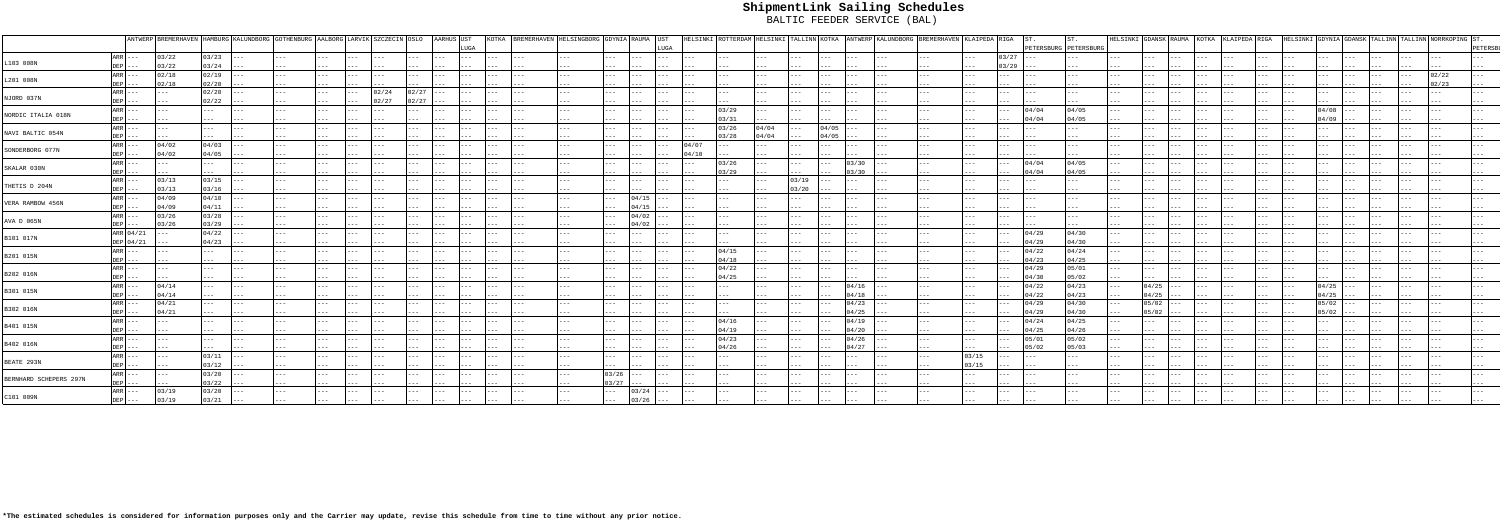|                        | ANTWERP BREMERHAVEN HAMBURG KALUNDBORG GOTHENBURG AALBORG LARVIK |         |       |  | SZCZECIN OSLO |         | AARHUS UST | . КОТКА | BREMERHAVEN HELSINGBORG GDYNIA RAUMA |              |         |       | UST   |                |       | HELSINKI ROTTERDAM HELSINKI TALLINN KOTKA |       | ANTWERP KALUNDBORG BREMERHAVEN KLAIPEDA RIGA |       |       |         |                |                       | HELSINKI GDANSK RAUMA | KOTKA<br>KLAIPEDA RIGA |  | HELSINKI GDYNIA |  |       |  |
|------------------------|------------------------------------------------------------------|---------|-------|--|---------------|---------|------------|---------|--------------------------------------|--------------|---------|-------|-------|----------------|-------|-------------------------------------------|-------|----------------------------------------------|-------|-------|---------|----------------|-----------------------|-----------------------|------------------------|--|-----------------|--|-------|--|
|                        |                                                                  |         |       |  |               |         | LUGA       |         |                                      |              |         |       | JIGA. |                |       |                                           |       |                                              |       |       |         |                | PETERSBURG PETERSBURG |                       |                        |  |                 |  |       |  |
|                        | $ARR$ $---$<br>03/22                                             | 03/23   |       |  |               | $- - -$ | $   \,$    |         |                                      |              | $- - -$ |       | $- -$ |                |       |                                           |       |                                              |       |       | 03/27   | $-- -$         |                       |                       |                        |  |                 |  |       |  |
| L103 008N              | 03/22                                                            | 03/24   |       |  |               |         |            |         |                                      |              |         |       |       |                |       |                                           |       |                                              |       |       | 03/29   |                |                       |                       |                        |  |                 |  |       |  |
|                        | ARRI-<br>02/18<br>$--$                                           | 02/19   |       |  |               |         |            |         |                                      | $\sim$ $  -$ | $---$   |       |       |                |       |                                           |       |                                              | $---$ |       | $---$   |                |                       | $- -$                 |                        |  |                 |  | 02/22 |  |
| L201 008N              | 02/18                                                            | 02/20   |       |  |               |         |            |         |                                      |              |         |       |       |                |       |                                           |       |                                              |       |       |         |                |                       |                       |                        |  |                 |  | 2/23  |  |
| NJORD 037N             | ARRI-<br>$---$<br>$- -$                                          | 02/20   | $---$ |  | 02/24         | 2/27    | $--$       |         |                                      |              | $- - -$ | $- -$ |       |                |       |                                           |       |                                              |       |       | $- -$   | $- - -$        |                       | $--$                  |                        |  |                 |  |       |  |
|                        |                                                                  | 02/22   |       |  | 2/27          | 2/27    |            |         |                                      |              |         |       |       |                |       |                                           |       |                                              |       |       |         |                |                       |                       |                        |  |                 |  |       |  |
| NORDIC ITALIA 018N     | $ARR$ $---$<br>$- -$                                             | $---$   | $- -$ |  |               | $- - -$ | $- -$      |         |                                      | $- -$        | $---$   | $- -$ |       | 03/29          | $- -$ |                                           |       |                                              | $---$ |       | $- -$   | 04/04          | 04/05                 |                       |                        |  | 04/08           |  |       |  |
|                        |                                                                  |         |       |  |               |         |            |         |                                      |              |         |       |       | 0.3 / 31       |       |                                           |       |                                              |       |       |         | 04/04          | 04/05                 |                       |                        |  | 04/09           |  |       |  |
| NAVI BALTIC 054N       | $ARR$ $---$<br>$-- -$                                            | $- - -$ |       |  |               |         |            |         |                                      |              | $- -$   | $- -$ |       | 03/26          | 04/04 | 04/05                                     |       | $- -$                                        |       |       |         |                |                       |                       |                        |  |                 |  |       |  |
|                        |                                                                  |         |       |  |               |         |            |         |                                      |              |         |       |       | 03/28          | 04/04 | 04/05                                     |       |                                              |       |       |         |                |                       |                       |                        |  |                 |  |       |  |
| SONDERBORG 077N        | ARR.<br>04/02<br>$---$                                           | 04/03   |       |  |               |         |            |         |                                      |              | $- - -$ | $- -$ | 04/07 |                |       |                                           |       | $- -$                                        |       |       |         |                |                       |                       |                        |  |                 |  |       |  |
|                        | 04/02                                                            | 04/05   |       |  |               |         |            |         |                                      |              |         |       | 14/10 |                |       |                                           |       |                                              |       |       |         |                |                       |                       |                        |  |                 |  |       |  |
| SKALAR 030N            | $ARR$ $---$<br>$-- -$                                            | $---$   |       |  |               |         |            |         |                                      |              | $- - -$ | $- -$ |       | 03/26          | $- -$ |                                           |       | 03/30                                        |       |       | $- -$   | 04/04          | 04/05                 | $ -$                  |                        |  |                 |  |       |  |
|                        |                                                                  |         |       |  |               |         |            |         |                                      |              |         |       |       | 03/29          |       |                                           |       | 3/30                                         |       |       |         | 04/04          | 04/05                 |                       |                        |  |                 |  |       |  |
| THETIS D 204N          | $APR$ $---$<br>03/13                                             | 03/15   |       |  |               |         |            |         |                                      |              | $- -$   |       |       |                |       | 03/19                                     |       |                                              |       |       |         |                |                       |                       |                        |  |                 |  |       |  |
|                        | 3/13                                                             | 03/16   |       |  |               |         |            |         |                                      |              |         |       |       |                |       |                                           |       |                                              |       |       |         |                |                       |                       |                        |  |                 |  |       |  |
| VERA RAMBOW 456N       | $ARR$ $---$<br>04/09                                             | 04/10   |       |  |               |         | $- -$      |         |                                      |              | $- - -$ | 04/15 |       |                |       |                                           |       | $- -$                                        |       |       |         |                |                       | $-$                   |                        |  |                 |  |       |  |
|                        | 04/09<br>$ARR$ $---$                                             | 04/11   |       |  |               |         |            |         |                                      |              |         | 04/15 |       |                |       |                                           |       |                                              |       |       |         |                |                       |                       |                        |  |                 |  |       |  |
| AVA D 065N             | 03/26                                                            | 03/28   |       |  |               |         |            |         |                                      |              | $- - -$ | 04/02 |       |                |       |                                           |       | $- -$                                        |       |       |         | $---$          |                       | $-$                   |                        |  |                 |  |       |  |
|                        | 03/26                                                            | 03/29   |       |  |               |         |            |         |                                      |              |         | 04/02 |       |                |       |                                           |       |                                              |       |       |         |                |                       |                       |                        |  |                 |  |       |  |
| B101 017N              | ARR 04/21<br>$- -$<br>DEP 04/21                                  | 04/22   | $- -$ |  |               |         |            |         |                                      |              | $- - -$ |       |       |                |       |                                           |       | $- -$                                        |       |       |         | 04/29          | 04/30                 | $-$                   |                        |  |                 |  |       |  |
|                        | <b>ARR</b>                                                       | 04/23   |       |  |               |         |            |         |                                      |              |         |       |       |                |       |                                           |       |                                              |       |       |         | 04/29          | 04/30                 |                       |                        |  |                 |  |       |  |
| B201 015N              | $--$<br>$--$                                                     | $---$   |       |  |               |         |            |         |                                      |              | $--$    |       |       | 04/15<br>04/18 | $- -$ |                                           |       | $- -$                                        |       |       |         | 04/22<br>04/23 | 04/24<br>04/25        | $ -$                  |                        |  |                 |  |       |  |
|                        | $- -$                                                            |         |       |  |               |         |            |         |                                      |              |         |       |       | 04/22          | $- -$ |                                           |       |                                              |       |       |         | 04/29          | 05/01                 |                       |                        |  |                 |  |       |  |
| B202 016N              | $--$                                                             |         |       |  |               |         |            |         |                                      |              | $- - -$ |       |       | 04/25          |       |                                           |       |                                              |       |       |         | 04/30          | 05/02                 | $- -$                 |                        |  |                 |  |       |  |
|                        | 04/14<br>$-- -$                                                  |         |       |  |               |         |            |         |                                      |              | $- - -$ |       |       |                |       |                                           | 04/16 |                                              |       |       |         | 04/22          | 04/23                 | 04/25                 |                        |  | 04/25           |  |       |  |
| B301 015N              | 04/14                                                            |         |       |  |               |         |            |         |                                      |              |         |       |       |                |       |                                           | 14/18 |                                              |       |       |         | 04/22          | 04/23                 | 04/25                 |                        |  | 04/25           |  |       |  |
|                        | 04/21<br>$- - -$                                                 | $- -$   |       |  |               |         |            |         |                                      |              | $- - -$ | $-$   |       |                |       |                                           | 04/23 |                                              |       |       |         | 04/29          | 04/30                 | 05/02<br>$- -$        |                        |  | 05/02           |  |       |  |
| B302 016N              | 04/21                                                            |         |       |  |               |         |            |         |                                      |              |         |       |       |                |       |                                           | 14/25 |                                              |       |       |         | 04/29          | 04/30                 | 15/02                 |                        |  | 0.5/0.2         |  |       |  |
|                        | $- - -$<br>$- - -$                                               |         |       |  |               |         |            |         |                                      |              | $- - -$ | $ -$  | $- -$ | 04/16          |       |                                           | 04/19 |                                              |       |       | $- -$   | 04/24          | 04/25                 | $ -$                  |                        |  |                 |  |       |  |
| B401 015N              |                                                                  |         |       |  |               |         |            |         |                                      |              |         |       |       | 04/19          |       |                                           | 4/20  |                                              |       |       |         | 04/25          | 04/26                 |                       |                        |  |                 |  |       |  |
|                        | $APR$ $---$                                                      | $- - -$ |       |  |               |         |            |         |                                      |              | $---$   | $- -$ | $- -$ | 04/23          | $- -$ |                                           | 04/26 |                                              | $---$ |       | $- -$   | 05/01          | 05/02                 | $- -$                 |                        |  |                 |  |       |  |
| B402 016N              |                                                                  |         |       |  |               |         |            |         |                                      |              |         |       |       | 04/26          |       |                                           | 14/27 |                                              |       |       |         | 15/02          | 05/03                 |                       |                        |  |                 |  |       |  |
|                        | <b>ARR</b><br>$---$<br>$- -$                                     | 03/11   |       |  |               |         | $- -$      |         |                                      |              | $- - -$ | $-$   | $- -$ |                |       |                                           |       |                                              |       | 03/15 | $ -$    | $- - -$        |                       | $- -$                 |                        |  |                 |  |       |  |
| BEATE 293N             |                                                                  | 03/12   |       |  |               |         |            |         |                                      |              |         |       |       |                |       |                                           |       |                                              |       | 03/15 |         |                |                       |                       |                        |  |                 |  |       |  |
|                        | $APR$ $---$                                                      | 03/20   |       |  |               |         |            |         |                                      |              | 03/26   | $- -$ |       |                |       |                                           |       |                                              |       |       | $- - -$ |                |                       | $ -$                  |                        |  |                 |  |       |  |
| BERNHARD SCHEPERS 297N |                                                                  | 03/22   |       |  |               |         |            |         |                                      |              | 03/27   |       |       |                |       |                                           |       |                                              |       |       |         |                |                       |                       |                        |  |                 |  |       |  |
|                        | $ARR$ $---$<br>03/19                                             | 03/20   |       |  |               |         |            |         |                                      |              | $---$   | 03/24 |       |                |       |                                           |       |                                              |       |       |         |                |                       |                       |                        |  |                 |  |       |  |
| C101 009N              | 03/19                                                            | 03/21   |       |  |               |         |            |         |                                      |              |         | 3/26  |       |                |       |                                           |       |                                              |       |       |         |                |                       |                       |                        |  |                 |  |       |  |
|                        |                                                                  |         |       |  |               |         |            |         |                                      |              |         |       |       |                |       |                                           |       |                                              |       |       |         |                |                       |                       |                        |  |                 |  |       |  |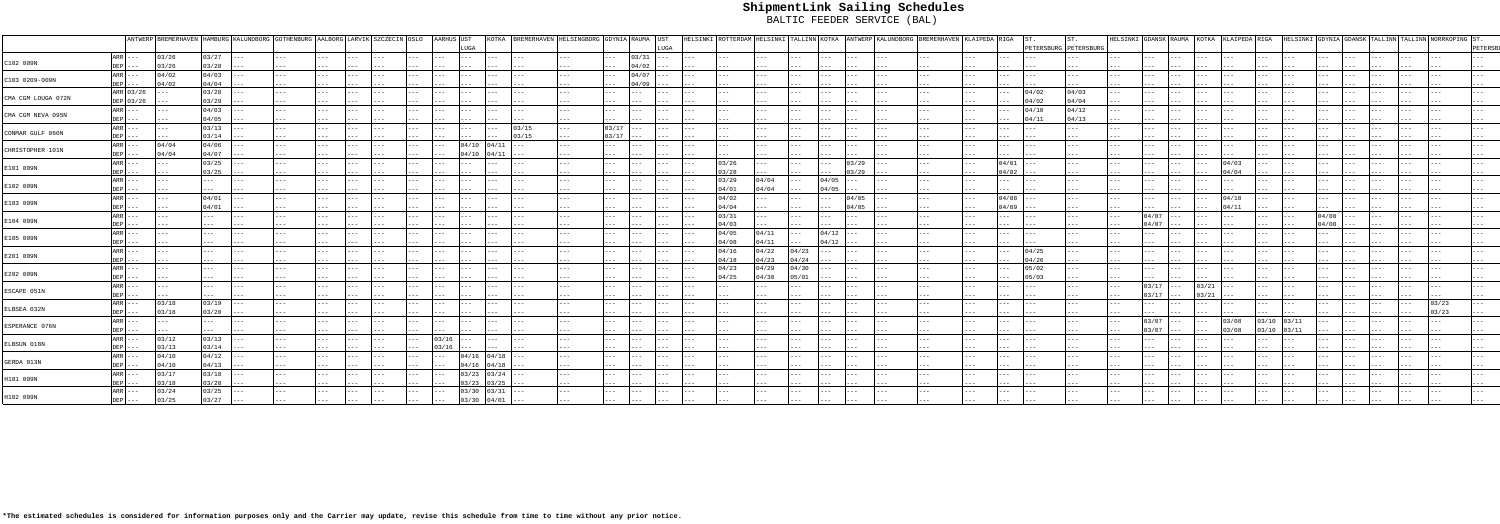|                    |              | ANTWERP BREMERHAVEN HAMBURG KALUNDBORG |       | GOTHENBURG |       | AALBORG LARVIK SZCZECIN | ARHUS UST                                                                                                                                                                                                                                                                                                                                                                                                                                      |                 | KOTKA BREMERHAVEN HELSINGBORG |       | GDYNIA RAUMA  | UST                | HELSINKI ROTTERDAM HELSINKI |       | TALLINN KOTKA |       |         |         | ANTWERP KALUNDBORG BREMERHAVEN | KLAIPEDA RIGA |         |                       | HELSINKI GDANSK RAUMA |       |       | KOTKA<br>KLAIPEDA RIGA |                 | HELSINKI | GDYNIA |  |       |  |
|--------------------|--------------|----------------------------------------|-------|------------|-------|-------------------------|------------------------------------------------------------------------------------------------------------------------------------------------------------------------------------------------------------------------------------------------------------------------------------------------------------------------------------------------------------------------------------------------------------------------------------------------|-----------------|-------------------------------|-------|---------------|--------------------|-----------------------------|-------|---------------|-------|---------|---------|--------------------------------|---------------|---------|-----------------------|-----------------------|-------|-------|------------------------|-----------------|----------|--------|--|-------|--|
|                    |              |                                        |       |            |       |                         |                                                                                                                                                                                                                                                                                                                                                                                                                                                | LUGA            |                               |       |               | LUGA               |                             |       |               |       |         |         |                                |               |         | PETERSBURG PETERSBURG |                       |       |       |                        |                 |          |        |  |       |  |
|                    | $ARR$ $---$  | 03/26                                  | 03/27 | $- -$      | $- -$ | $--$<br>$- -$           | $\frac{1}{2} \frac{1}{2} \left( \frac{1}{2} \right) + \frac{1}{2} \left( \frac{1}{2} \right) + \frac{1}{2} \left( \frac{1}{2} \right) + \frac{1}{2} \left( \frac{1}{2} \right) + \frac{1}{2} \left( \frac{1}{2} \right) + \frac{1}{2} \left( \frac{1}{2} \right) + \frac{1}{2} \left( \frac{1}{2} \right) + \frac{1}{2} \left( \frac{1}{2} \right) + \frac{1}{2} \left( \frac{1}{2} \right) + \frac{1}{2} \left( \frac{1}{2} \right) + \frac{$ | --- -           |                               |       | $---$         | 03/31<br>---       | $--$                        |       |               |       |         |         |                                | $- -$         |         |                       |                       |       | $- -$ |                        |                 |          |        |  |       |  |
| C102 009N          |              | 03/26                                  | 03/28 |            |       |                         |                                                                                                                                                                                                                                                                                                                                                                                                                                                |                 |                               |       |               | 04/02              |                             |       |               |       |         |         |                                |               |         |                       |                       |       |       |                        |                 |          |        |  |       |  |
|                    | $ARR$ $---$  | 04/02                                  | 04/03 |            |       |                         |                                                                                                                                                                                                                                                                                                                                                                                                                                                |                 |                               |       | $- -$         | 04/07              | $---$                       |       |               |       |         | $---$   | $---$                          |               |         |                       |                       |       | $- -$ |                        |                 |          |        |  |       |  |
| C103 0209-009N     | $DEP$ $---$  | 04/02                                  | 04/04 |            |       |                         |                                                                                                                                                                                                                                                                                                                                                                                                                                                |                 |                               |       |               | 04/09              |                             |       |               |       |         |         |                                |               |         |                       |                       |       |       |                        |                 |          |        |  |       |  |
|                    |              |                                        |       |            |       |                         |                                                                                                                                                                                                                                                                                                                                                                                                                                                |                 |                               |       |               |                    |                             |       |               |       |         |         |                                |               |         |                       |                       |       |       |                        |                 |          |        |  |       |  |
| CMA CGM LOUGA 072N | ARR 03/26    | $---$                                  | 03/28 |            |       |                         | $ -$                                                                                                                                                                                                                                                                                                                                                                                                                                           |                 |                               |       | $- -$         | $- - -$            |                             |       |               |       |         | $---$   | $---$<br>$- - -$               | $- - -$       | 04/02   | 04/03                 |                       |       | $- -$ |                        |                 |          |        |  |       |  |
|                    | EP 03/26     |                                        | 03/29 |            |       |                         |                                                                                                                                                                                                                                                                                                                                                                                                                                                |                 |                               |       |               |                    |                             |       |               |       |         |         |                                |               | 04/02   | 04/04                 |                       |       |       |                        |                 |          |        |  |       |  |
| CMA CGM NEVA 095N  | $ARR$ $---$  | $---$                                  | 04/03 | $- -$      |       |                         |                                                                                                                                                                                                                                                                                                                                                                                                                                                |                 |                               |       | $- -$         |                    |                             |       |               |       |         |         | $-- -$<br>$\qquad - - -$       |               | 04/10   | 04/12                 |                       |       | $- -$ |                        |                 |          |        |  |       |  |
|                    | EP   ---     |                                        | 04/05 |            |       |                         |                                                                                                                                                                                                                                                                                                                                                                                                                                                |                 |                               |       |               |                    |                             |       |               |       |         |         |                                |               | 04/11   | 04/13                 |                       |       |       |                        |                 |          |        |  |       |  |
|                    | $ARR$ $---$  | $---$                                  | 03/13 | $- -$      | $- -$ |                         | $ -$                                                                                                                                                                                                                                                                                                                                                                                                                                           | ---             | 03/15                         |       | $03/17$ $---$ | $---$              | $- - -$                     |       |               |       |         | $- - -$ | $---$                          | ---           | $- -$   |                       |                       |       | $- -$ |                        |                 |          |        |  |       |  |
| CONMAR GULF 060N   | $DFP$ $---$  |                                        | 03/14 |            |       |                         |                                                                                                                                                                                                                                                                                                                                                                                                                                                |                 | 3/15                          |       | 03/17         |                    |                             |       |               |       |         |         |                                |               |         |                       |                       |       |       |                        |                 |          |        |  |       |  |
|                    | $ARR$ $---$  | 04/04                                  | 04/06 | $- -$      | $- -$ |                         | $- -$                                                                                                                                                                                                                                                                                                                                                                                                                                          | $04/10$ $04/11$ |                               |       | $- -$         | $- - -$            |                             |       |               |       |         | $- - -$ | $---$                          | $---$         |         |                       |                       |       | $- -$ |                        |                 |          |        |  |       |  |
| CHRISTOPHER 101N   | $DEP$ $---$  | 04/04                                  | 04/07 |            |       |                         |                                                                                                                                                                                                                                                                                                                                                                                                                                                | 04/10           | 04/11                         |       |               |                    |                             |       |               |       |         |         |                                |               |         |                       |                       |       |       |                        |                 |          |        |  |       |  |
|                    | $ARR$ $---$  | $---$                                  | 03/25 | $- -$      | $- -$ |                         | $- -$                                                                                                                                                                                                                                                                                                                                                                                                                                          |                 | $- -$                         |       | $- -$         | $- - -$            | 03/26                       | $- -$ |               |       | 03/29   |         | $-- -$<br>$---$                | 04/01         |         |                       |                       |       | $- -$ | 04/03                  |                 |          |        |  |       |  |
| E101 009N          |              |                                        |       |            |       |                         |                                                                                                                                                                                                                                                                                                                                                                                                                                                |                 |                               |       |               |                    |                             |       |               |       |         |         |                                |               |         |                       |                       |       |       |                        |                 |          |        |  |       |  |
|                    |              |                                        | 03/25 |            |       |                         |                                                                                                                                                                                                                                                                                                                                                                                                                                                |                 |                               |       |               |                    | 03/28                       |       |               |       | 03/29   |         |                                | 04/02         |         |                       |                       |       |       | 04/04                  |                 |          |        |  |       |  |
| E102 009N          | $ARR$ $---$  | $-- -$                                 | $--$  |            |       |                         |                                                                                                                                                                                                                                                                                                                                                                                                                                                |                 |                               |       |               |                    | 03/29                       | 04/04 |               | 04/05 |         |         |                                |               |         |                       |                       |       |       |                        |                 |          |        |  |       |  |
|                    |              |                                        |       |            |       |                         |                                                                                                                                                                                                                                                                                                                                                                                                                                                |                 |                               |       |               |                    | 04/01                       | 04/04 |               | 04/05 |         |         |                                |               |         |                       |                       |       |       |                        |                 |          |        |  |       |  |
|                    | $ARR$ $---$  | $-- -$                                 | 04/01 | $ -$       |       |                         | $ -$                                                                                                                                                                                                                                                                                                                                                                                                                                           |                 |                               |       | $- -$         | $- -$              | 04/02                       | $- -$ |               |       | 04/05   |         | $---$                          | 04/08         |         |                       |                       |       | $- -$ | 04/10                  |                 |          |        |  |       |  |
| E103 009N          |              |                                        | 04/01 |            |       |                         |                                                                                                                                                                                                                                                                                                                                                                                                                                                |                 |                               |       |               |                    | 04/04                       |       |               |       | 04/05   |         |                                | 04/09         |         |                       |                       |       |       | 14/11                  |                 |          |        |  |       |  |
|                    | $ARR$ $---$  |                                        |       |            |       |                         |                                                                                                                                                                                                                                                                                                                                                                                                                                                |                 |                               |       |               |                    | 03/31                       |       |               |       |         |         |                                |               |         |                       |                       | 04/07 |       |                        |                 |          | 04/08  |  |       |  |
| E104 009N          |              |                                        |       |            |       |                         |                                                                                                                                                                                                                                                                                                                                                                                                                                                |                 |                               |       |               |                    | 04/03                       |       |               |       |         |         |                                |               |         |                       |                       | 04/07 |       |                        |                 |          | 04/08  |  |       |  |
|                    | $ARR$ $---$  |                                        |       |            |       |                         | $ -$                                                                                                                                                                                                                                                                                                                                                                                                                                           |                 |                               |       |               |                    | 04/05                       | 04/11 |               | 04/12 |         |         |                                |               |         |                       |                       |       | $- -$ |                        |                 |          |        |  |       |  |
| E105 009N          | $DEP$ $---$  |                                        |       |            |       |                         |                                                                                                                                                                                                                                                                                                                                                                                                                                                |                 |                               |       |               |                    | 04/08                       | 04/11 |               | 04/12 |         |         |                                |               |         |                       |                       |       |       |                        |                 |          |        |  |       |  |
|                    | $ARR$ $---$  |                                        |       |            |       |                         |                                                                                                                                                                                                                                                                                                                                                                                                                                                |                 |                               |       |               |                    |                             |       |               |       |         |         |                                |               |         |                       |                       |       |       |                        |                 |          |        |  |       |  |
| E201 009N          |              | $- - -$                                |       | $ -$       |       |                         | $ -$                                                                                                                                                                                                                                                                                                                                                                                                                                           |                 |                               |       |               | $- - -$            | 04/16                       | 04/22 | 04/23         |       |         |         |                                |               | 04/25   |                       |                       |       | $-$   |                        |                 |          |        |  |       |  |
|                    |              |                                        |       |            |       |                         |                                                                                                                                                                                                                                                                                                                                                                                                                                                |                 |                               |       |               |                    | 04/18                       | 04/23 | 04/24         |       |         |         |                                |               | 04/26   |                       |                       |       |       |                        |                 |          |        |  |       |  |
|                    | $ARR$ $---$  | $- - -$                                | $---$ | $ -$       | $- -$ |                         | $- -$                                                                                                                                                                                                                                                                                                                                                                                                                                          |                 |                               |       | $- -$         | $- - -$            | 04/23                       | 04/29 | 04/30         |       | $- - -$ | $- - -$ | $---$<br>$- -$                 | $- -$         | 05/02   |                       |                       |       | $- -$ |                        |                 |          |        |  |       |  |
| E202 009N          |              |                                        |       |            |       |                         |                                                                                                                                                                                                                                                                                                                                                                                                                                                |                 |                               |       |               |                    | 04/25                       | 04/30 | 0.5/01        |       |         |         |                                |               | 0.5/0.3 |                       |                       |       |       |                        |                 |          |        |  |       |  |
|                    | $ARR$ $---$  | $---$                                  | $--$  |            |       |                         | $- -$                                                                                                                                                                                                                                                                                                                                                                                                                                          |                 |                               |       | $---$         | $- - -$<br>$- -$   | $- - -$                     | $- -$ | $--$          |       |         |         |                                | $- -$         | $- -$   |                       |                       | 03/17 | $- -$ | 03/21                  |                 |          |        |  |       |  |
| ESCAPE 051N        |              |                                        |       |            |       |                         |                                                                                                                                                                                                                                                                                                                                                                                                                                                |                 |                               |       |               |                    |                             |       |               |       |         |         |                                |               |         |                       |                       | 03/17 |       | 3/21                   |                 |          |        |  |       |  |
|                    | $ARR$ $---$  | 03/18                                  | 03/19 |            | $- -$ |                         | $- -$                                                                                                                                                                                                                                                                                                                                                                                                                                          |                 |                               |       | $- -$         | $- - -$<br>$- - -$ |                             |       |               |       |         |         | $---$                          | $- - -$       |         |                       |                       |       | $- -$ | $ -$                   |                 |          |        |  | 03/23 |  |
| ELBSEA 032N        | $DEP$ $---$  | 03/18                                  | 03/20 |            |       |                         |                                                                                                                                                                                                                                                                                                                                                                                                                                                |                 |                               |       |               |                    |                             |       |               |       |         |         |                                |               |         |                       |                       |       |       |                        |                 |          |        |  |       |  |
|                    | $ARR$ $---$  | $---$                                  | $---$ | $ -$       |       |                         | $ -$                                                                                                                                                                                                                                                                                                                                                                                                                                           |                 |                               |       | $- -$         | $- - -$<br>$- -$   |                             |       |               |       |         | $-- -$  |                                | $- -$         |         |                       |                       | 03/07 | $- -$ | 03/08<br>$---$         | $03/10$ $03/11$ |          |        |  |       |  |
| ESPERANCE 076N     |              |                                        |       |            |       |                         |                                                                                                                                                                                                                                                                                                                                                                                                                                                |                 |                               |       |               |                    |                             |       |               |       |         |         |                                |               |         |                       |                       | 03/07 |       |                        |                 |          |        |  |       |  |
|                    |              |                                        |       |            |       |                         |                                                                                                                                                                                                                                                                                                                                                                                                                                                |                 |                               |       |               |                    |                             |       |               |       |         |         |                                |               |         |                       |                       |       |       | 3/08                   | 03/10           | 3/11     |        |  |       |  |
| ELBSUN 018N        | $ARR$ $---$  | 03/12                                  | 03/13 | $- -$      | $- -$ |                         | $3/16$ ---                                                                                                                                                                                                                                                                                                                                                                                                                                     |                 |                               |       | $---$         | ---<br>$- - -$     |                             |       |               |       |         |         | $-- -$<br>$\qquad - - -$       | $---$         |         |                       |                       |       | $- -$ | $ -$                   |                 |          |        |  |       |  |
|                    |              | 03/13                                  | 03/14 |            |       |                         |                                                                                                                                                                                                                                                                                                                                                                                                                                                |                 |                               |       |               |                    |                             |       |               |       |         |         |                                |               |         |                       |                       |       |       |                        |                 |          |        |  |       |  |
|                    | $ARR$ $---$  | 04/10                                  | 04/12 | $- -$      |       |                         | $\frac{1}{2} \frac{1}{2} \left( \frac{1}{2} \right) + \frac{1}{2} \left( \frac{1}{2} \right) + \frac{1}{2} \left( \frac{1}{2} \right) + \frac{1}{2} \left( \frac{1}{2} \right) + \frac{1}{2} \left( \frac{1}{2} \right) + \frac{1}{2} \left( \frac{1}{2} \right) + \frac{1}{2} \left( \frac{1}{2} \right) + \frac{1}{2} \left( \frac{1}{2} \right) + \frac{1}{2} \left( \frac{1}{2} \right) + \frac{1}{2} \left( \frac{1}{2} \right) + \frac{$ | $04/16$ 04/18   | $- -$                         |       | $- -$         | $---$<br>$- - -$   |                             |       | $---$         | $---$ |         |         |                                | $- - -$       |         |                       |                       |       | $- -$ |                        |                 |          |        |  |       |  |
| GERDA 013N         |              | 04/10                                  | 04/13 |            |       |                         |                                                                                                                                                                                                                                                                                                                                                                                                                                                | 04/16           | 04/18                         |       |               |                    |                             |       |               |       |         |         |                                |               |         |                       |                       |       |       |                        |                 |          |        |  |       |  |
|                    | $ARR$ $---$  | $03/17$                                | 03/18 | $- -$      |       |                         |                                                                                                                                                                                                                                                                                                                                                                                                                                                | $03/23$ 03/24   |                               | $- -$ | $---$         |                    |                             |       |               |       |         |         | $- - -$                        |               |         |                       |                       |       |       |                        |                 |          |        |  |       |  |
| H101 009N          | $DERP$ $---$ | 03/18                                  | 03/20 |            |       |                         |                                                                                                                                                                                                                                                                                                                                                                                                                                                | $03/23$ 03/25   |                               |       |               |                    |                             |       |               |       |         |         |                                |               |         |                       |                       |       |       |                        |                 |          |        |  |       |  |
|                    | $ARR$ $---$  | 03/24                                  | 03/25 |            |       |                         | $ -$                                                                                                                                                                                                                                                                                                                                                                                                                                           | $03/30$ $03/31$ | $- -$                         |       |               |                    |                             |       |               |       |         |         |                                |               |         |                       |                       |       |       |                        |                 |          |        |  |       |  |
| H102 009N          |              | 03/25                                  |       |            |       |                         |                                                                                                                                                                                                                                                                                                                                                                                                                                                | 03/30           |                               |       |               |                    |                             |       |               |       |         |         |                                |               |         |                       |                       |       |       |                        |                 |          |        |  |       |  |
|                    |              |                                        | 03/27 |            |       |                         |                                                                                                                                                                                                                                                                                                                                                                                                                                                |                 | 04/01                         |       |               |                    |                             |       |               |       |         |         |                                |               |         |                       |                       |       |       |                        |                 |          |        |  |       |  |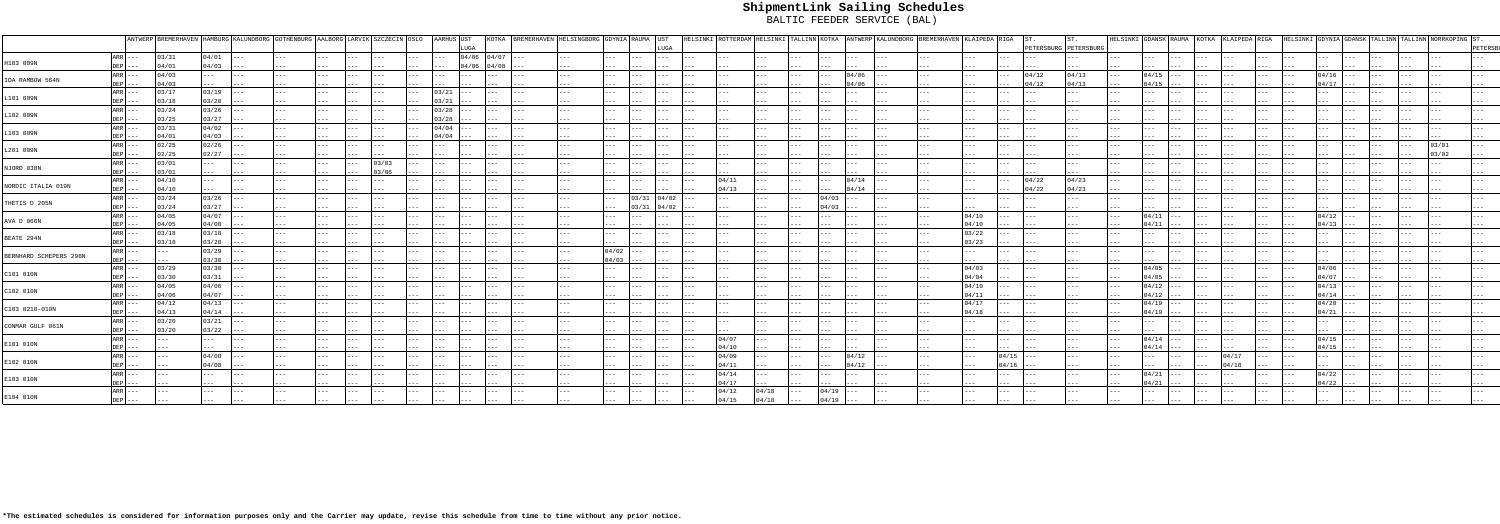| LUGA<br>PETERSBURG PETERSBURG<br><b>IJGA</b><br>$ARR$ $---$<br>03/31<br>04/01<br>04/06 04/07<br>$- - -$<br>$- -$<br>$ -$<br>$- -$<br>$--$<br>$--$<br>$- - -$<br>$---$<br>H103 009N<br>04/01<br>04/06<br>04/08<br>04/03<br>ARR <sup>I</sup><br>04/03<br>04/06<br>04/12<br>04/13<br>04/15<br>04/16<br>$---$<br>$--$<br>$- - -$<br>$- -$<br>$\frac{1}{2} \frac{1}{2} \frac{1}{2} \frac{1}{2} \frac{1}{2} \frac{1}{2} \frac{1}{2} \frac{1}{2} \frac{1}{2} \frac{1}{2} \frac{1}{2} \frac{1}{2} \frac{1}{2} \frac{1}{2} \frac{1}{2} \frac{1}{2} \frac{1}{2} \frac{1}{2} \frac{1}{2} \frac{1}{2} \frac{1}{2} \frac{1}{2} \frac{1}{2} \frac{1}{2} \frac{1}{2} \frac{1}{2} \frac{1}{2} \frac{1}{2} \frac{1}{2} \frac{1}{2} \frac{1}{2} \frac{$<br>$- -$<br>$--$<br>$-- -$<br>$--$<br>$-- -$<br>IDA RAMBOW 564N<br>04/03<br>04/12<br>04/13<br>04/17<br>04/06<br>04/15<br>03/17<br>03/19<br>03/21<br>$---$<br>$- -$<br>$--$<br>$---$<br>$ -$<br>$ -$<br>$- -$<br>$- -$<br>$--$<br>$---$<br>L101 009N<br>03/18<br>0.3 / 20<br>3/21<br><b>ARR</b><br>03/24<br>03/26<br>03/28<br>$- - -$<br>$- - -$<br>$- -$<br>$- -$<br>$- -$<br>$- -$<br>$---$<br>$---$<br>$ -$<br>L102 009N<br>03/25<br>03/27<br>3128<br>04/02<br>04/04<br>$ARR$ $---$<br>03/31<br>$ -$<br>$---$<br>$ -$<br>L103 009N<br>04/01<br>04/03<br>14/04<br><b>ARR</b><br>02/25<br>02/26<br>$---$<br>$- - -$<br>L201 009N<br>2/25<br>02/27<br>03/01<br>03/03<br>$---$<br>$---$<br>$---$<br>$- -$<br>NJORD 038N<br>3/01<br>/06 |       |
|----------------------------------------------------------------------------------------------------------------------------------------------------------------------------------------------------------------------------------------------------------------------------------------------------------------------------------------------------------------------------------------------------------------------------------------------------------------------------------------------------------------------------------------------------------------------------------------------------------------------------------------------------------------------------------------------------------------------------------------------------------------------------------------------------------------------------------------------------------------------------------------------------------------------------------------------------------------------------------------------------------------------------------------------------------------------------------------------------------------------------------------------------------------------------------------------------------------------------------------------------------------------------------------------------------------------------------------------------------------------------------------------------------------------------------------------------------------------------|-------|
|                                                                                                                                                                                                                                                                                                                                                                                                                                                                                                                                                                                                                                                                                                                                                                                                                                                                                                                                                                                                                                                                                                                                                                                                                                                                                                                                                                                                                                                                            |       |
|                                                                                                                                                                                                                                                                                                                                                                                                                                                                                                                                                                                                                                                                                                                                                                                                                                                                                                                                                                                                                                                                                                                                                                                                                                                                                                                                                                                                                                                                            |       |
|                                                                                                                                                                                                                                                                                                                                                                                                                                                                                                                                                                                                                                                                                                                                                                                                                                                                                                                                                                                                                                                                                                                                                                                                                                                                                                                                                                                                                                                                            |       |
|                                                                                                                                                                                                                                                                                                                                                                                                                                                                                                                                                                                                                                                                                                                                                                                                                                                                                                                                                                                                                                                                                                                                                                                                                                                                                                                                                                                                                                                                            |       |
|                                                                                                                                                                                                                                                                                                                                                                                                                                                                                                                                                                                                                                                                                                                                                                                                                                                                                                                                                                                                                                                                                                                                                                                                                                                                                                                                                                                                                                                                            |       |
|                                                                                                                                                                                                                                                                                                                                                                                                                                                                                                                                                                                                                                                                                                                                                                                                                                                                                                                                                                                                                                                                                                                                                                                                                                                                                                                                                                                                                                                                            |       |
|                                                                                                                                                                                                                                                                                                                                                                                                                                                                                                                                                                                                                                                                                                                                                                                                                                                                                                                                                                                                                                                                                                                                                                                                                                                                                                                                                                                                                                                                            | 13/01 |
|                                                                                                                                                                                                                                                                                                                                                                                                                                                                                                                                                                                                                                                                                                                                                                                                                                                                                                                                                                                                                                                                                                                                                                                                                                                                                                                                                                                                                                                                            |       |
| ARRI.<br>04/10<br>04/22<br>04/23<br>04/11<br>04/14<br>$---$<br>$- - -$<br>$- -$<br>$ -$<br>$ -$<br>$---$                                                                                                                                                                                                                                                                                                                                                                                                                                                                                                                                                                                                                                                                                                                                                                                                                                                                                                                                                                                                                                                                                                                                                                                                                                                                                                                                                                   |       |
| NORDIC ITALIA 019N<br>04/10<br>04/22<br>04/23<br>04/13<br>4/14<br>$ARR$ $---$<br>$- -$<br>$- -$<br>$---$                                                                                                                                                                                                                                                                                                                                                                                                                                                                                                                                                                                                                                                                                                                                                                                                                                                                                                                                                                                                                                                                                                                                                                                                                                                                                                                                                                   |       |
| 03/24<br>03/26<br>$03/31$ 04/02<br>04/03<br>$- - -$<br>$--$<br>$- -$<br>THETIS D 205N<br>03/24<br>03/27<br>3/31<br>04/03<br>04/02                                                                                                                                                                                                                                                                                                                                                                                                                                                                                                                                                                                                                                                                                                                                                                                                                                                                                                                                                                                                                                                                                                                                                                                                                                                                                                                                          |       |
| ARRI.<br>04/05<br>04/07<br>04/10<br>04/11<br>04/12<br>$---$<br>$---$<br>$- - -$<br>$- -$<br>AVA D 066N<br>04/05<br>04/08<br>04/10<br>04/11<br>04/13                                                                                                                                                                                                                                                                                                                                                                                                                                                                                                                                                                                                                                                                                                                                                                                                                                                                                                                                                                                                                                                                                                                                                                                                                                                                                                                        |       |
| 03/18<br>03/18<br>03/22<br>$- - -$<br>$- - -$<br>$--$<br>$- -$<br>$ -$<br>BEATE 294N<br>03/18<br>03/20<br>03/23                                                                                                                                                                                                                                                                                                                                                                                                                                                                                                                                                                                                                                                                                                                                                                                                                                                                                                                                                                                                                                                                                                                                                                                                                                                                                                                                                            |       |
| <b>ARR</b><br>03/29<br>04/02<br>$--$<br>$--$<br>$--$<br>$ -$<br>$---$<br>BERNHARD SCHEPERS 298N<br>0.3 / 30<br>04/03                                                                                                                                                                                                                                                                                                                                                                                                                                                                                                                                                                                                                                                                                                                                                                                                                                                                                                                                                                                                                                                                                                                                                                                                                                                                                                                                                       |       |
| 03/29<br>03/30<br>04/03<br>04/05<br>04/06<br>$- - -$<br>$---$<br>$ -$<br>$--$<br>C101 010N<br>03/30<br>03/31<br>04/04<br>04/05<br>04/07                                                                                                                                                                                                                                                                                                                                                                                                                                                                                                                                                                                                                                                                                                                                                                                                                                                                                                                                                                                                                                                                                                                                                                                                                                                                                                                                    |       |
| 04/05<br>04/10<br>04/06<br>04/12<br>04/13<br>$--$<br>$- -$<br>$ -$<br>C102 010N<br>04/06<br>04/07<br>04/11<br>14/12<br>04/14                                                                                                                                                                                                                                                                                                                                                                                                                                                                                                                                                                                                                                                                                                                                                                                                                                                                                                                                                                                                                                                                                                                                                                                                                                                                                                                                               |       |
| 04/12<br>04/13<br>04/17<br>04/20<br>04/19<br>$- - -$<br>$---$<br>$--$<br>C103 0210-010N<br>04/13<br>04/18<br>04/14<br>04/21<br>14/19                                                                                                                                                                                                                                                                                                                                                                                                                                                                                                                                                                                                                                                                                                                                                                                                                                                                                                                                                                                                                                                                                                                                                                                                                                                                                                                                       |       |
| 03/20<br>03/21<br>$--$<br>$--$<br>$ -$<br>$- -$<br>$---$<br>$- - -$<br>CONMAR GULF 061N<br>3/20<br>03/22                                                                                                                                                                                                                                                                                                                                                                                                                                                                                                                                                                                                                                                                                                                                                                                                                                                                                                                                                                                                                                                                                                                                                                                                                                                                                                                                                                   |       |
| $APR$ $---$<br>04/07<br>04/15<br>$---$<br>04/14<br>$--$<br>$- - -$<br>$ -$<br>$---$<br>$- -$<br>E101 010N<br>04/10<br>14/14<br>14/15                                                                                                                                                                                                                                                                                                                                                                                                                                                                                                                                                                                                                                                                                                                                                                                                                                                                                                                                                                                                                                                                                                                                                                                                                                                                                                                                       |       |
| <b>ARR</b><br>04/08<br>04/09<br>04/15<br>04/17<br>04/12<br>$- - -$<br>$- -$<br>$--$<br>$- -$<br>$- - -$<br>$- -$<br>$--$<br>E102 010N<br>04/08<br>04/11<br>14/12<br>04/16<br>04/18                                                                                                                                                                                                                                                                                                                                                                                                                                                                                                                                                                                                                                                                                                                                                                                                                                                                                                                                                                                                                                                                                                                                                                                                                                                                                         |       |
| $ARR$ $---$<br>04/14<br>04/21<br>04/22<br>$---$<br>$\frac{1}{2}$<br>$- - -$<br>$- -$<br>$--$<br>$- -$<br>E103 010N<br>04/22<br>04/17<br>14/21                                                                                                                                                                                                                                                                                                                                                                                                                                                                                                                                                                                                                                                                                                                                                                                                                                                                                                                                                                                                                                                                                                                                                                                                                                                                                                                              |       |
| $ARR$ $---$<br>04/12<br>04/18<br>04/19<br>$- -$<br>$---$<br>$ -$<br>E104 010N<br>04/15<br>04/18<br>04/19                                                                                                                                                                                                                                                                                                                                                                                                                                                                                                                                                                                                                                                                                                                                                                                                                                                                                                                                                                                                                                                                                                                                                                                                                                                                                                                                                                   |       |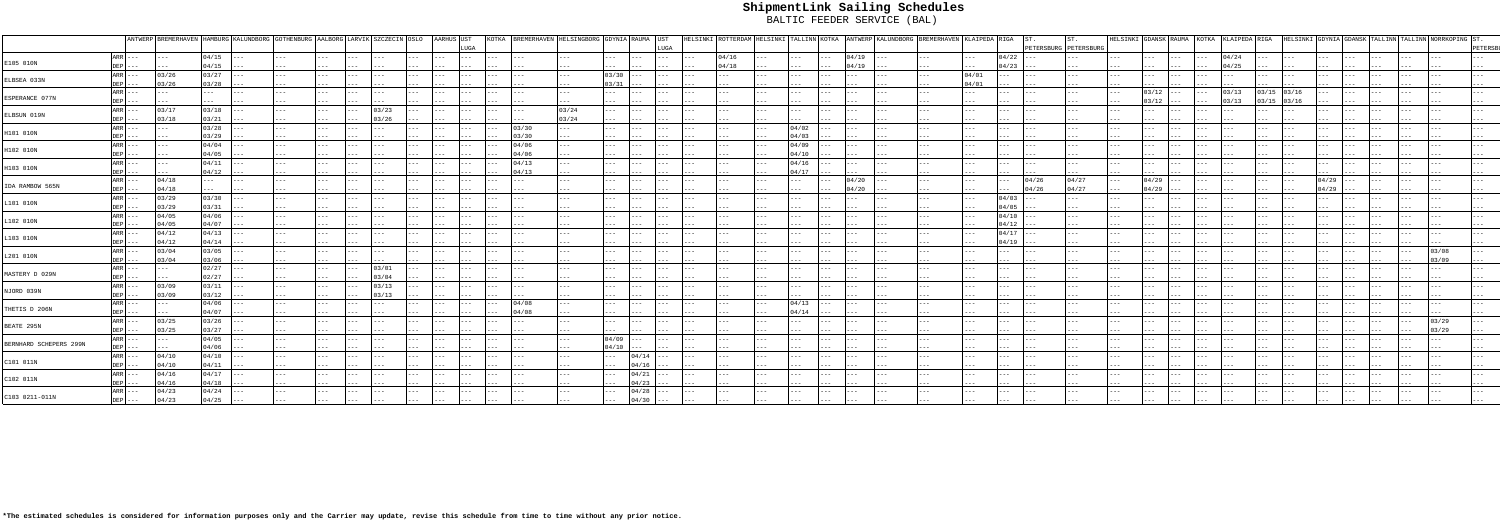| ANTWERP BREMERHAVEN HAMBURG KALUNDBORG GOTHENBURG AALBORG LARVIK<br>LUGA<br>PETERSBURG PETERSBURG<br><b>JUGA</b><br>$ARR$ $---$<br>04/15<br>04/16<br>$04/22$ ---<br>$--- 04/24$<br>04/19<br>$- -$<br>$ -$<br>$---$<br>$--$<br>$- - -$<br>$---$<br>$--$<br>$---$<br>$--$<br>$--$<br>$--$<br>$- -$<br>$- -$<br>$- - -$<br>04/15<br>04/23<br>04/18<br>04/19<br>04/25<br>$ARR$ $---$<br>03/26<br>03/30<br>03/27<br>04/01<br>$--$<br>$- - -$<br>$- -$<br>$---$<br>$---$<br>$--$<br>$---$<br>03/26<br>0.3 / 31<br>04/01<br>0.3 / 2.8<br>03/13<br>03/15<br>03/16<br>$ARR$ $---$<br>$03/12$  <br>$-- -$<br>$---$<br>$--$<br>$--$<br>$- -$<br>$---$<br>$---$<br>--- -<br>3/12<br>03/13<br>13/15<br>13/16<br>$ARR$ $---$<br>$03/17$<br>03/18<br>3/23<br>03/24<br>$---$<br>$- - -$<br>$--$<br>$---$<br>ELBSUN 019N<br>3/18<br>03/21<br>03/24<br>$APR$ $---$<br>03/28<br>04/02<br>03/30<br>$- -$<br>$ -$<br>$---$<br>$---$<br>$- -$<br>$ -$<br>$- - -$<br>$- - -$<br>$---$<br>$---$<br>$---$<br>$---$<br>$--$<br>H101 010N<br>03/29<br>3/30<br>04/03<br>$ARR$ $---$<br>04/04<br>04/06<br>04/09<br>$- -$<br>$- -$<br>$- -$<br>$---$<br>$---$<br>$---$<br>$--$<br>$---$<br>H102 010N<br>04/05<br>04/06<br>04/10<br>04/11<br>ARRI.<br>04/16<br>04/13<br>$- - -$<br>$- -$<br>$---$<br>$- - -$<br>$- -$<br>$- -$<br>$---$<br>$---$<br>$- -$<br>$---$<br>$- -$<br>H103 010N<br>04/12<br>04/13<br>04/17<br>$ARR$ $---$<br>04/27<br>04/18<br>04/20<br>04/26<br>04/29<br>04/29<br>$---$<br>$- - -$<br>$--$<br>$- -$<br>$- -$<br>$- -$<br>04/27<br>04/18<br>04/20<br>04/26<br>04/29<br>04/29<br>03/29<br>03/30<br>04/03<br>$--$<br>$- - -$<br>$- - -$<br>$- -$<br>$---$<br>$--$<br>03/29<br>04/05<br>03/31<br>04/05<br>04/06<br>04/10<br>$---$<br>$---$<br>$- - -$<br>04/07<br>04/05<br>04/12<br>04/12<br>04/13<br>04/17<br>$--$<br>$---$<br>$- -$<br>$---$<br>L103 010N<br>04/12<br>04/14<br>04/19<br>03/04<br>03/05<br>03/08<br>$- -$<br>$---$<br>$---$<br>$ -$<br>L201 010N<br>03/04<br>03/06<br>3/09<br><b>ARR</b><br>02/27<br>03/01<br>$- - -$<br>$--$<br>$- - -$<br>$ -$<br>$- -$<br>$---$<br>MASTERY D 029N<br>02/27<br>3/04<br>$- -$<br>03/09<br>03/11<br><b>ARR</b><br>3/13<br>$---$<br>$- -$<br>$- -$<br>$- -$<br>$--$<br>$-- -$<br>$--$<br>$- -$<br>$- - -$<br>$-- -$<br>$- -$<br>$---$<br>$ -$<br>NJORD 039N<br>13/09<br>03/12<br>3/13<br>04/06<br>04/08<br>04/13<br>$--$<br>$---$<br>$- - -$<br>$ -$<br>$--$<br>$---$<br>THETIS D 206N<br>04/07<br>14/08<br>04/14<br>03/25<br>03/26<br>03/29<br>$--$<br>$---$<br>$ -$<br>$- - -$<br>$- -$<br>$- -$<br>$- - -$<br>03/25<br>03/27<br>3/29<br>04/09<br>$ARR$ $---$<br>04/05<br>$---$<br>$- -$<br>$- - -$<br>$- -$<br>$- - -$<br>$---$<br>$---$<br>$---$<br>04/06<br>04/10<br>$ARR$ $---$<br>04/10<br>04/10<br>04/14<br>$---$<br>$---$<br>$---$<br>$--$<br>$  -$<br>C101 011N<br>04/10<br>04/11<br>04/16<br><b>ARR</b><br>04/16<br>04/17<br>04/21<br>$---$<br>$- - -$<br>$---$<br>$--$<br>C102 011N<br>04/16<br>04/18<br>04/23<br>$ARR$ $---$<br>04/23<br>04/24<br>04/28<br>$---$<br>$---$<br>$---$<br>C103 0211-011N<br>04/23<br>04/25<br>ገ4/30 |                        |  |  | ZCZECIN OSLO | AARHUS UST | KOTKA | <b>BREMERHAVEN</b> | HELSINGBORG | GDYNIA RAUMA | UST | HELSINKI ROTTERDAM HELSINKI | TALLINN   KOTKA | ANTWERP | KALUNDBORG | <b>BREMERHAVEN</b> | KLAIPEDA RIGA |  | HELSINKI GDANSK RAUMA | KOTKA KLAIPEDA RIGA | HELSINKI | GDYNIA |  |  |
|-------------------------------------------------------------------------------------------------------------------------------------------------------------------------------------------------------------------------------------------------------------------------------------------------------------------------------------------------------------------------------------------------------------------------------------------------------------------------------------------------------------------------------------------------------------------------------------------------------------------------------------------------------------------------------------------------------------------------------------------------------------------------------------------------------------------------------------------------------------------------------------------------------------------------------------------------------------------------------------------------------------------------------------------------------------------------------------------------------------------------------------------------------------------------------------------------------------------------------------------------------------------------------------------------------------------------------------------------------------------------------------------------------------------------------------------------------------------------------------------------------------------------------------------------------------------------------------------------------------------------------------------------------------------------------------------------------------------------------------------------------------------------------------------------------------------------------------------------------------------------------------------------------------------------------------------------------------------------------------------------------------------------------------------------------------------------------------------------------------------------------------------------------------------------------------------------------------------------------------------------------------------------------------------------------------------------------------------------------------------------------------------------------------------------------------------------------------------------------------------------------------------------------------------------------------------------------------------------------------------------------------------------------------------------------------------------------------------------------------------------------------------------------------------------------------------------------------------------------------------------------------------------------------------------------------------------------------------------------------------------------------------------------------------------------------------------------------|------------------------|--|--|--------------|------------|-------|--------------------|-------------|--------------|-----|-----------------------------|-----------------|---------|------------|--------------------|---------------|--|-----------------------|---------------------|----------|--------|--|--|
|                                                                                                                                                                                                                                                                                                                                                                                                                                                                                                                                                                                                                                                                                                                                                                                                                                                                                                                                                                                                                                                                                                                                                                                                                                                                                                                                                                                                                                                                                                                                                                                                                                                                                                                                                                                                                                                                                                                                                                                                                                                                                                                                                                                                                                                                                                                                                                                                                                                                                                                                                                                                                                                                                                                                                                                                                                                                                                                                                                                                                                                                                     |                        |  |  |              |            |       |                    |             |              |     |                             |                 |         |            |                    |               |  |                       |                     |          |        |  |  |
|                                                                                                                                                                                                                                                                                                                                                                                                                                                                                                                                                                                                                                                                                                                                                                                                                                                                                                                                                                                                                                                                                                                                                                                                                                                                                                                                                                                                                                                                                                                                                                                                                                                                                                                                                                                                                                                                                                                                                                                                                                                                                                                                                                                                                                                                                                                                                                                                                                                                                                                                                                                                                                                                                                                                                                                                                                                                                                                                                                                                                                                                                     |                        |  |  |              |            |       |                    |             |              |     |                             |                 |         |            |                    |               |  |                       |                     |          |        |  |  |
|                                                                                                                                                                                                                                                                                                                                                                                                                                                                                                                                                                                                                                                                                                                                                                                                                                                                                                                                                                                                                                                                                                                                                                                                                                                                                                                                                                                                                                                                                                                                                                                                                                                                                                                                                                                                                                                                                                                                                                                                                                                                                                                                                                                                                                                                                                                                                                                                                                                                                                                                                                                                                                                                                                                                                                                                                                                                                                                                                                                                                                                                                     | E105 010N              |  |  |              |            |       |                    |             |              |     |                             |                 |         |            |                    |               |  |                       |                     |          |        |  |  |
|                                                                                                                                                                                                                                                                                                                                                                                                                                                                                                                                                                                                                                                                                                                                                                                                                                                                                                                                                                                                                                                                                                                                                                                                                                                                                                                                                                                                                                                                                                                                                                                                                                                                                                                                                                                                                                                                                                                                                                                                                                                                                                                                                                                                                                                                                                                                                                                                                                                                                                                                                                                                                                                                                                                                                                                                                                                                                                                                                                                                                                                                                     |                        |  |  |              |            |       |                    |             |              |     |                             |                 |         |            |                    |               |  |                       |                     |          |        |  |  |
|                                                                                                                                                                                                                                                                                                                                                                                                                                                                                                                                                                                                                                                                                                                                                                                                                                                                                                                                                                                                                                                                                                                                                                                                                                                                                                                                                                                                                                                                                                                                                                                                                                                                                                                                                                                                                                                                                                                                                                                                                                                                                                                                                                                                                                                                                                                                                                                                                                                                                                                                                                                                                                                                                                                                                                                                                                                                                                                                                                                                                                                                                     | ELBSEA 033N            |  |  |              |            |       |                    |             |              |     |                             |                 |         |            |                    |               |  |                       |                     |          |        |  |  |
|                                                                                                                                                                                                                                                                                                                                                                                                                                                                                                                                                                                                                                                                                                                                                                                                                                                                                                                                                                                                                                                                                                                                                                                                                                                                                                                                                                                                                                                                                                                                                                                                                                                                                                                                                                                                                                                                                                                                                                                                                                                                                                                                                                                                                                                                                                                                                                                                                                                                                                                                                                                                                                                                                                                                                                                                                                                                                                                                                                                                                                                                                     |                        |  |  |              |            |       |                    |             |              |     |                             |                 |         |            |                    |               |  |                       |                     |          |        |  |  |
|                                                                                                                                                                                                                                                                                                                                                                                                                                                                                                                                                                                                                                                                                                                                                                                                                                                                                                                                                                                                                                                                                                                                                                                                                                                                                                                                                                                                                                                                                                                                                                                                                                                                                                                                                                                                                                                                                                                                                                                                                                                                                                                                                                                                                                                                                                                                                                                                                                                                                                                                                                                                                                                                                                                                                                                                                                                                                                                                                                                                                                                                                     | ESPERANCE 077N         |  |  |              |            |       |                    |             |              |     |                             |                 |         |            |                    |               |  |                       |                     |          |        |  |  |
|                                                                                                                                                                                                                                                                                                                                                                                                                                                                                                                                                                                                                                                                                                                                                                                                                                                                                                                                                                                                                                                                                                                                                                                                                                                                                                                                                                                                                                                                                                                                                                                                                                                                                                                                                                                                                                                                                                                                                                                                                                                                                                                                                                                                                                                                                                                                                                                                                                                                                                                                                                                                                                                                                                                                                                                                                                                                                                                                                                                                                                                                                     |                        |  |  |              |            |       |                    |             |              |     |                             |                 |         |            |                    |               |  |                       |                     |          |        |  |  |
|                                                                                                                                                                                                                                                                                                                                                                                                                                                                                                                                                                                                                                                                                                                                                                                                                                                                                                                                                                                                                                                                                                                                                                                                                                                                                                                                                                                                                                                                                                                                                                                                                                                                                                                                                                                                                                                                                                                                                                                                                                                                                                                                                                                                                                                                                                                                                                                                                                                                                                                                                                                                                                                                                                                                                                                                                                                                                                                                                                                                                                                                                     |                        |  |  |              |            |       |                    |             |              |     |                             |                 |         |            |                    |               |  |                       |                     |          |        |  |  |
|                                                                                                                                                                                                                                                                                                                                                                                                                                                                                                                                                                                                                                                                                                                                                                                                                                                                                                                                                                                                                                                                                                                                                                                                                                                                                                                                                                                                                                                                                                                                                                                                                                                                                                                                                                                                                                                                                                                                                                                                                                                                                                                                                                                                                                                                                                                                                                                                                                                                                                                                                                                                                                                                                                                                                                                                                                                                                                                                                                                                                                                                                     |                        |  |  |              |            |       |                    |             |              |     |                             |                 |         |            |                    |               |  |                       |                     |          |        |  |  |
|                                                                                                                                                                                                                                                                                                                                                                                                                                                                                                                                                                                                                                                                                                                                                                                                                                                                                                                                                                                                                                                                                                                                                                                                                                                                                                                                                                                                                                                                                                                                                                                                                                                                                                                                                                                                                                                                                                                                                                                                                                                                                                                                                                                                                                                                                                                                                                                                                                                                                                                                                                                                                                                                                                                                                                                                                                                                                                                                                                                                                                                                                     |                        |  |  |              |            |       |                    |             |              |     |                             |                 |         |            |                    |               |  |                       |                     |          |        |  |  |
|                                                                                                                                                                                                                                                                                                                                                                                                                                                                                                                                                                                                                                                                                                                                                                                                                                                                                                                                                                                                                                                                                                                                                                                                                                                                                                                                                                                                                                                                                                                                                                                                                                                                                                                                                                                                                                                                                                                                                                                                                                                                                                                                                                                                                                                                                                                                                                                                                                                                                                                                                                                                                                                                                                                                                                                                                                                                                                                                                                                                                                                                                     |                        |  |  |              |            |       |                    |             |              |     |                             |                 |         |            |                    |               |  |                       |                     |          |        |  |  |
|                                                                                                                                                                                                                                                                                                                                                                                                                                                                                                                                                                                                                                                                                                                                                                                                                                                                                                                                                                                                                                                                                                                                                                                                                                                                                                                                                                                                                                                                                                                                                                                                                                                                                                                                                                                                                                                                                                                                                                                                                                                                                                                                                                                                                                                                                                                                                                                                                                                                                                                                                                                                                                                                                                                                                                                                                                                                                                                                                                                                                                                                                     |                        |  |  |              |            |       |                    |             |              |     |                             |                 |         |            |                    |               |  |                       |                     |          |        |  |  |
|                                                                                                                                                                                                                                                                                                                                                                                                                                                                                                                                                                                                                                                                                                                                                                                                                                                                                                                                                                                                                                                                                                                                                                                                                                                                                                                                                                                                                                                                                                                                                                                                                                                                                                                                                                                                                                                                                                                                                                                                                                                                                                                                                                                                                                                                                                                                                                                                                                                                                                                                                                                                                                                                                                                                                                                                                                                                                                                                                                                                                                                                                     |                        |  |  |              |            |       |                    |             |              |     |                             |                 |         |            |                    |               |  |                       |                     |          |        |  |  |
|                                                                                                                                                                                                                                                                                                                                                                                                                                                                                                                                                                                                                                                                                                                                                                                                                                                                                                                                                                                                                                                                                                                                                                                                                                                                                                                                                                                                                                                                                                                                                                                                                                                                                                                                                                                                                                                                                                                                                                                                                                                                                                                                                                                                                                                                                                                                                                                                                                                                                                                                                                                                                                                                                                                                                                                                                                                                                                                                                                                                                                                                                     |                        |  |  |              |            |       |                    |             |              |     |                             |                 |         |            |                    |               |  |                       |                     |          |        |  |  |
|                                                                                                                                                                                                                                                                                                                                                                                                                                                                                                                                                                                                                                                                                                                                                                                                                                                                                                                                                                                                                                                                                                                                                                                                                                                                                                                                                                                                                                                                                                                                                                                                                                                                                                                                                                                                                                                                                                                                                                                                                                                                                                                                                                                                                                                                                                                                                                                                                                                                                                                                                                                                                                                                                                                                                                                                                                                                                                                                                                                                                                                                                     |                        |  |  |              |            |       |                    |             |              |     |                             |                 |         |            |                    |               |  |                       |                     |          |        |  |  |
|                                                                                                                                                                                                                                                                                                                                                                                                                                                                                                                                                                                                                                                                                                                                                                                                                                                                                                                                                                                                                                                                                                                                                                                                                                                                                                                                                                                                                                                                                                                                                                                                                                                                                                                                                                                                                                                                                                                                                                                                                                                                                                                                                                                                                                                                                                                                                                                                                                                                                                                                                                                                                                                                                                                                                                                                                                                                                                                                                                                                                                                                                     |                        |  |  |              |            |       |                    |             |              |     |                             |                 |         |            |                    |               |  |                       |                     |          |        |  |  |
|                                                                                                                                                                                                                                                                                                                                                                                                                                                                                                                                                                                                                                                                                                                                                                                                                                                                                                                                                                                                                                                                                                                                                                                                                                                                                                                                                                                                                                                                                                                                                                                                                                                                                                                                                                                                                                                                                                                                                                                                                                                                                                                                                                                                                                                                                                                                                                                                                                                                                                                                                                                                                                                                                                                                                                                                                                                                                                                                                                                                                                                                                     | IDA RAMBOW 565N        |  |  |              |            |       |                    |             |              |     |                             |                 |         |            |                    |               |  |                       |                     |          |        |  |  |
|                                                                                                                                                                                                                                                                                                                                                                                                                                                                                                                                                                                                                                                                                                                                                                                                                                                                                                                                                                                                                                                                                                                                                                                                                                                                                                                                                                                                                                                                                                                                                                                                                                                                                                                                                                                                                                                                                                                                                                                                                                                                                                                                                                                                                                                                                                                                                                                                                                                                                                                                                                                                                                                                                                                                                                                                                                                                                                                                                                                                                                                                                     |                        |  |  |              |            |       |                    |             |              |     |                             |                 |         |            |                    |               |  |                       |                     |          |        |  |  |
|                                                                                                                                                                                                                                                                                                                                                                                                                                                                                                                                                                                                                                                                                                                                                                                                                                                                                                                                                                                                                                                                                                                                                                                                                                                                                                                                                                                                                                                                                                                                                                                                                                                                                                                                                                                                                                                                                                                                                                                                                                                                                                                                                                                                                                                                                                                                                                                                                                                                                                                                                                                                                                                                                                                                                                                                                                                                                                                                                                                                                                                                                     | L101 010N              |  |  |              |            |       |                    |             |              |     |                             |                 |         |            |                    |               |  |                       |                     |          |        |  |  |
|                                                                                                                                                                                                                                                                                                                                                                                                                                                                                                                                                                                                                                                                                                                                                                                                                                                                                                                                                                                                                                                                                                                                                                                                                                                                                                                                                                                                                                                                                                                                                                                                                                                                                                                                                                                                                                                                                                                                                                                                                                                                                                                                                                                                                                                                                                                                                                                                                                                                                                                                                                                                                                                                                                                                                                                                                                                                                                                                                                                                                                                                                     |                        |  |  |              |            |       |                    |             |              |     |                             |                 |         |            |                    |               |  |                       |                     |          |        |  |  |
|                                                                                                                                                                                                                                                                                                                                                                                                                                                                                                                                                                                                                                                                                                                                                                                                                                                                                                                                                                                                                                                                                                                                                                                                                                                                                                                                                                                                                                                                                                                                                                                                                                                                                                                                                                                                                                                                                                                                                                                                                                                                                                                                                                                                                                                                                                                                                                                                                                                                                                                                                                                                                                                                                                                                                                                                                                                                                                                                                                                                                                                                                     | L102 010N              |  |  |              |            |       |                    |             |              |     |                             |                 |         |            |                    |               |  |                       |                     |          |        |  |  |
|                                                                                                                                                                                                                                                                                                                                                                                                                                                                                                                                                                                                                                                                                                                                                                                                                                                                                                                                                                                                                                                                                                                                                                                                                                                                                                                                                                                                                                                                                                                                                                                                                                                                                                                                                                                                                                                                                                                                                                                                                                                                                                                                                                                                                                                                                                                                                                                                                                                                                                                                                                                                                                                                                                                                                                                                                                                                                                                                                                                                                                                                                     |                        |  |  |              |            |       |                    |             |              |     |                             |                 |         |            |                    |               |  |                       |                     |          |        |  |  |
|                                                                                                                                                                                                                                                                                                                                                                                                                                                                                                                                                                                                                                                                                                                                                                                                                                                                                                                                                                                                                                                                                                                                                                                                                                                                                                                                                                                                                                                                                                                                                                                                                                                                                                                                                                                                                                                                                                                                                                                                                                                                                                                                                                                                                                                                                                                                                                                                                                                                                                                                                                                                                                                                                                                                                                                                                                                                                                                                                                                                                                                                                     |                        |  |  |              |            |       |                    |             |              |     |                             |                 |         |            |                    |               |  |                       |                     |          |        |  |  |
|                                                                                                                                                                                                                                                                                                                                                                                                                                                                                                                                                                                                                                                                                                                                                                                                                                                                                                                                                                                                                                                                                                                                                                                                                                                                                                                                                                                                                                                                                                                                                                                                                                                                                                                                                                                                                                                                                                                                                                                                                                                                                                                                                                                                                                                                                                                                                                                                                                                                                                                                                                                                                                                                                                                                                                                                                                                                                                                                                                                                                                                                                     |                        |  |  |              |            |       |                    |             |              |     |                             |                 |         |            |                    |               |  |                       |                     |          |        |  |  |
|                                                                                                                                                                                                                                                                                                                                                                                                                                                                                                                                                                                                                                                                                                                                                                                                                                                                                                                                                                                                                                                                                                                                                                                                                                                                                                                                                                                                                                                                                                                                                                                                                                                                                                                                                                                                                                                                                                                                                                                                                                                                                                                                                                                                                                                                                                                                                                                                                                                                                                                                                                                                                                                                                                                                                                                                                                                                                                                                                                                                                                                                                     |                        |  |  |              |            |       |                    |             |              |     |                             |                 |         |            |                    |               |  |                       |                     |          |        |  |  |
|                                                                                                                                                                                                                                                                                                                                                                                                                                                                                                                                                                                                                                                                                                                                                                                                                                                                                                                                                                                                                                                                                                                                                                                                                                                                                                                                                                                                                                                                                                                                                                                                                                                                                                                                                                                                                                                                                                                                                                                                                                                                                                                                                                                                                                                                                                                                                                                                                                                                                                                                                                                                                                                                                                                                                                                                                                                                                                                                                                                                                                                                                     |                        |  |  |              |            |       |                    |             |              |     |                             |                 |         |            |                    |               |  |                       |                     |          |        |  |  |
|                                                                                                                                                                                                                                                                                                                                                                                                                                                                                                                                                                                                                                                                                                                                                                                                                                                                                                                                                                                                                                                                                                                                                                                                                                                                                                                                                                                                                                                                                                                                                                                                                                                                                                                                                                                                                                                                                                                                                                                                                                                                                                                                                                                                                                                                                                                                                                                                                                                                                                                                                                                                                                                                                                                                                                                                                                                                                                                                                                                                                                                                                     |                        |  |  |              |            |       |                    |             |              |     |                             |                 |         |            |                    |               |  |                       |                     |          |        |  |  |
|                                                                                                                                                                                                                                                                                                                                                                                                                                                                                                                                                                                                                                                                                                                                                                                                                                                                                                                                                                                                                                                                                                                                                                                                                                                                                                                                                                                                                                                                                                                                                                                                                                                                                                                                                                                                                                                                                                                                                                                                                                                                                                                                                                                                                                                                                                                                                                                                                                                                                                                                                                                                                                                                                                                                                                                                                                                                                                                                                                                                                                                                                     |                        |  |  |              |            |       |                    |             |              |     |                             |                 |         |            |                    |               |  |                       |                     |          |        |  |  |
|                                                                                                                                                                                                                                                                                                                                                                                                                                                                                                                                                                                                                                                                                                                                                                                                                                                                                                                                                                                                                                                                                                                                                                                                                                                                                                                                                                                                                                                                                                                                                                                                                                                                                                                                                                                                                                                                                                                                                                                                                                                                                                                                                                                                                                                                                                                                                                                                                                                                                                                                                                                                                                                                                                                                                                                                                                                                                                                                                                                                                                                                                     |                        |  |  |              |            |       |                    |             |              |     |                             |                 |         |            |                    |               |  |                       |                     |          |        |  |  |
|                                                                                                                                                                                                                                                                                                                                                                                                                                                                                                                                                                                                                                                                                                                                                                                                                                                                                                                                                                                                                                                                                                                                                                                                                                                                                                                                                                                                                                                                                                                                                                                                                                                                                                                                                                                                                                                                                                                                                                                                                                                                                                                                                                                                                                                                                                                                                                                                                                                                                                                                                                                                                                                                                                                                                                                                                                                                                                                                                                                                                                                                                     |                        |  |  |              |            |       |                    |             |              |     |                             |                 |         |            |                    |               |  |                       |                     |          |        |  |  |
|                                                                                                                                                                                                                                                                                                                                                                                                                                                                                                                                                                                                                                                                                                                                                                                                                                                                                                                                                                                                                                                                                                                                                                                                                                                                                                                                                                                                                                                                                                                                                                                                                                                                                                                                                                                                                                                                                                                                                                                                                                                                                                                                                                                                                                                                                                                                                                                                                                                                                                                                                                                                                                                                                                                                                                                                                                                                                                                                                                                                                                                                                     |                        |  |  |              |            |       |                    |             |              |     |                             |                 |         |            |                    |               |  |                       |                     |          |        |  |  |
|                                                                                                                                                                                                                                                                                                                                                                                                                                                                                                                                                                                                                                                                                                                                                                                                                                                                                                                                                                                                                                                                                                                                                                                                                                                                                                                                                                                                                                                                                                                                                                                                                                                                                                                                                                                                                                                                                                                                                                                                                                                                                                                                                                                                                                                                                                                                                                                                                                                                                                                                                                                                                                                                                                                                                                                                                                                                                                                                                                                                                                                                                     |                        |  |  |              |            |       |                    |             |              |     |                             |                 |         |            |                    |               |  |                       |                     |          |        |  |  |
|                                                                                                                                                                                                                                                                                                                                                                                                                                                                                                                                                                                                                                                                                                                                                                                                                                                                                                                                                                                                                                                                                                                                                                                                                                                                                                                                                                                                                                                                                                                                                                                                                                                                                                                                                                                                                                                                                                                                                                                                                                                                                                                                                                                                                                                                                                                                                                                                                                                                                                                                                                                                                                                                                                                                                                                                                                                                                                                                                                                                                                                                                     |                        |  |  |              |            |       |                    |             |              |     |                             |                 |         |            |                    |               |  |                       |                     |          |        |  |  |
|                                                                                                                                                                                                                                                                                                                                                                                                                                                                                                                                                                                                                                                                                                                                                                                                                                                                                                                                                                                                                                                                                                                                                                                                                                                                                                                                                                                                                                                                                                                                                                                                                                                                                                                                                                                                                                                                                                                                                                                                                                                                                                                                                                                                                                                                                                                                                                                                                                                                                                                                                                                                                                                                                                                                                                                                                                                                                                                                                                                                                                                                                     | BEATE 295N             |  |  |              |            |       |                    |             |              |     |                             |                 |         |            |                    |               |  |                       |                     |          |        |  |  |
|                                                                                                                                                                                                                                                                                                                                                                                                                                                                                                                                                                                                                                                                                                                                                                                                                                                                                                                                                                                                                                                                                                                                                                                                                                                                                                                                                                                                                                                                                                                                                                                                                                                                                                                                                                                                                                                                                                                                                                                                                                                                                                                                                                                                                                                                                                                                                                                                                                                                                                                                                                                                                                                                                                                                                                                                                                                                                                                                                                                                                                                                                     |                        |  |  |              |            |       |                    |             |              |     |                             |                 |         |            |                    |               |  |                       |                     |          |        |  |  |
|                                                                                                                                                                                                                                                                                                                                                                                                                                                                                                                                                                                                                                                                                                                                                                                                                                                                                                                                                                                                                                                                                                                                                                                                                                                                                                                                                                                                                                                                                                                                                                                                                                                                                                                                                                                                                                                                                                                                                                                                                                                                                                                                                                                                                                                                                                                                                                                                                                                                                                                                                                                                                                                                                                                                                                                                                                                                                                                                                                                                                                                                                     | BERNHARD SCHEPERS 299N |  |  |              |            |       |                    |             |              |     |                             |                 |         |            |                    |               |  |                       |                     |          |        |  |  |
|                                                                                                                                                                                                                                                                                                                                                                                                                                                                                                                                                                                                                                                                                                                                                                                                                                                                                                                                                                                                                                                                                                                                                                                                                                                                                                                                                                                                                                                                                                                                                                                                                                                                                                                                                                                                                                                                                                                                                                                                                                                                                                                                                                                                                                                                                                                                                                                                                                                                                                                                                                                                                                                                                                                                                                                                                                                                                                                                                                                                                                                                                     |                        |  |  |              |            |       |                    |             |              |     |                             |                 |         |            |                    |               |  |                       |                     |          |        |  |  |
|                                                                                                                                                                                                                                                                                                                                                                                                                                                                                                                                                                                                                                                                                                                                                                                                                                                                                                                                                                                                                                                                                                                                                                                                                                                                                                                                                                                                                                                                                                                                                                                                                                                                                                                                                                                                                                                                                                                                                                                                                                                                                                                                                                                                                                                                                                                                                                                                                                                                                                                                                                                                                                                                                                                                                                                                                                                                                                                                                                                                                                                                                     |                        |  |  |              |            |       |                    |             |              |     |                             |                 |         |            |                    |               |  |                       |                     |          |        |  |  |
|                                                                                                                                                                                                                                                                                                                                                                                                                                                                                                                                                                                                                                                                                                                                                                                                                                                                                                                                                                                                                                                                                                                                                                                                                                                                                                                                                                                                                                                                                                                                                                                                                                                                                                                                                                                                                                                                                                                                                                                                                                                                                                                                                                                                                                                                                                                                                                                                                                                                                                                                                                                                                                                                                                                                                                                                                                                                                                                                                                                                                                                                                     |                        |  |  |              |            |       |                    |             |              |     |                             |                 |         |            |                    |               |  |                       |                     |          |        |  |  |
|                                                                                                                                                                                                                                                                                                                                                                                                                                                                                                                                                                                                                                                                                                                                                                                                                                                                                                                                                                                                                                                                                                                                                                                                                                                                                                                                                                                                                                                                                                                                                                                                                                                                                                                                                                                                                                                                                                                                                                                                                                                                                                                                                                                                                                                                                                                                                                                                                                                                                                                                                                                                                                                                                                                                                                                                                                                                                                                                                                                                                                                                                     |                        |  |  |              |            |       |                    |             |              |     |                             |                 |         |            |                    |               |  |                       |                     |          |        |  |  |
|                                                                                                                                                                                                                                                                                                                                                                                                                                                                                                                                                                                                                                                                                                                                                                                                                                                                                                                                                                                                                                                                                                                                                                                                                                                                                                                                                                                                                                                                                                                                                                                                                                                                                                                                                                                                                                                                                                                                                                                                                                                                                                                                                                                                                                                                                                                                                                                                                                                                                                                                                                                                                                                                                                                                                                                                                                                                                                                                                                                                                                                                                     |                        |  |  |              |            |       |                    |             |              |     |                             |                 |         |            |                    |               |  |                       |                     |          |        |  |  |
|                                                                                                                                                                                                                                                                                                                                                                                                                                                                                                                                                                                                                                                                                                                                                                                                                                                                                                                                                                                                                                                                                                                                                                                                                                                                                                                                                                                                                                                                                                                                                                                                                                                                                                                                                                                                                                                                                                                                                                                                                                                                                                                                                                                                                                                                                                                                                                                                                                                                                                                                                                                                                                                                                                                                                                                                                                                                                                                                                                                                                                                                                     |                        |  |  |              |            |       |                    |             |              |     |                             |                 |         |            |                    |               |  |                       |                     |          |        |  |  |
|                                                                                                                                                                                                                                                                                                                                                                                                                                                                                                                                                                                                                                                                                                                                                                                                                                                                                                                                                                                                                                                                                                                                                                                                                                                                                                                                                                                                                                                                                                                                                                                                                                                                                                                                                                                                                                                                                                                                                                                                                                                                                                                                                                                                                                                                                                                                                                                                                                                                                                                                                                                                                                                                                                                                                                                                                                                                                                                                                                                                                                                                                     |                        |  |  |              |            |       |                    |             |              |     |                             |                 |         |            |                    |               |  |                       |                     |          |        |  |  |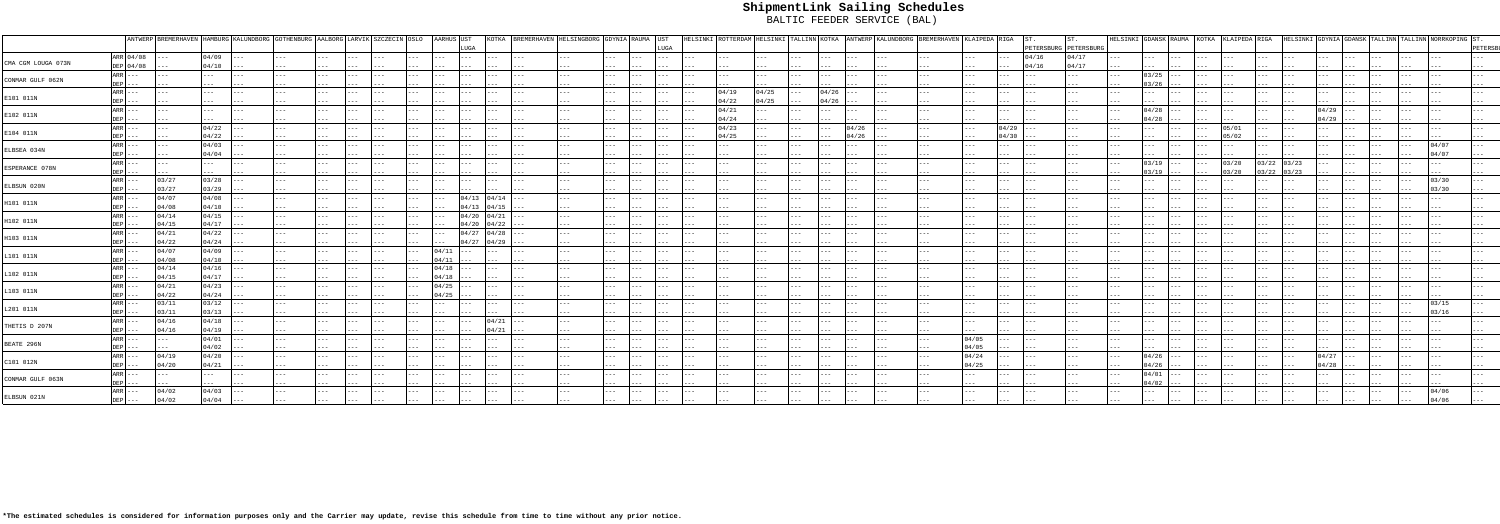|                    | ANTWERP BREMERHAVEN HAMBURG KALUNDBORG GOTHENBURG AALBORG LARVIK |                |       |       | SZCZECIN OSLO |         | AARHUS UST    | KOTKA | BREMERHAVEN HELSINGBORG GDYNIA RAUMA |       |         |       | UST         |       |       | HELSINKI ROTTERDAM HELSINKI TALLINN KOTKA | ANTWERP<br>KALUNDBORG | BREMERHAVEN I | KLAIPEDA RIGA |         |         |                       |       | HELSINKI GDANSK RAUMA |         | KOTKA KLAIPEDA RIGA |       | GDYNIA<br>HELSINKI |  |       |  |
|--------------------|------------------------------------------------------------------|----------------|-------|-------|---------------|---------|---------------|-------|--------------------------------------|-------|---------|-------|-------------|-------|-------|-------------------------------------------|-----------------------|---------------|---------------|---------|---------|-----------------------|-------|-----------------------|---------|---------------------|-------|--------------------|--|-------|--|
|                    |                                                                  |                |       |       |               |         | LUGA          |       |                                      |       |         |       | <b>JUGA</b> |       |       |                                           |                       |               |               |         |         | PETERSBURG PETERSBURG |       |                       |         |                     |       |                    |  |       |  |
|                    | ARR 04/08<br>$---$                                               | 04/09          |       |       |               | $- - -$ | $- -$         |       |                                      |       | $- - -$ | $ -$  | $- -$       |       |       |                                           |                       |               |               | $- - -$ | 04/16   | 04/17                 |       | $---$                 |         |                     |       |                    |  |       |  |
| CMA CGM LOUGA 073N | 04/08                                                            | 04/10          |       |       |               |         |               |       |                                      |       |         |       |             |       |       |                                           |                       |               |               |         | 04/16   | 04/17                 |       |                       |         |                     |       |                    |  |       |  |
|                    | $ARR$ $---$<br>$- - -$                                           | $---$          |       |       |               |         |               |       |                                      | $--$  | $- - -$ | $ -$  |             |       |       |                                           |                       | $---$         |               | $---$   |         |                       |       | $03/25$  <br>$--$     |         |                     |       |                    |  |       |  |
| CONMAR GULF 062N   |                                                                  |                |       |       |               |         |               |       |                                      |       |         |       |             |       |       |                                           |                       |               |               |         |         |                       |       | 13/26                 |         |                     |       |                    |  |       |  |
|                    | $ARR$ $---$<br>$- - -$                                           | $---$          |       |       |               |         |               |       |                                      |       | $- - -$ | $- -$ | $--$        | 04/19 | 04/25 | 04/26<br>$- -$                            | $-- -$                |               |               | $- -$   | $---$   |                       | $- -$ | $--$                  |         |                     |       |                    |  |       |  |
| E101 011N          |                                                                  |                |       |       |               |         |               |       |                                      |       |         |       |             | 04/22 | 04/25 | 04/26                                     |                       |               |               |         |         |                       |       |                       |         |                     |       |                    |  |       |  |
| E102 011N          | $ARR$ $---$<br>$- -$                                             | $---$          |       |       |               |         |               |       |                                      | $- -$ | $- - -$ | $ -$  |             | 04/21 | $- -$ | $- - -$<br>$- -$                          | $- -$                 | $---$         |               | $---$   |         |                       |       | 04/28<br>$- -$        |         |                     |       | 04/29              |  |       |  |
|                    |                                                                  |                |       |       |               |         |               |       |                                      |       |         |       |             | 04/24 |       |                                           |                       |               |               |         |         |                       |       | 14/28                 |         |                     |       | 04/29              |  |       |  |
| E104 011N          | $ARR$ $---$<br>$- -$                                             | 04/22          |       |       |               |         |               |       |                                      |       | $- - -$ | $- -$ |             | 04/23 |       | $---$<br>$- -$                            | 04/26                 |               |               | 04/29   | $---$   |                       |       | $--$                  |         | 105/01              |       |                    |  |       |  |
|                    |                                                                  | 04/22          |       |       |               |         |               |       |                                      |       |         |       |             | 04/25 |       |                                           | 04/26                 |               |               | 04/30   |         |                       |       |                       |         | 05/02               |       |                    |  |       |  |
| ELBSEA 034N        | $ARR$ $---$                                                      | 04/03          |       |       |               |         |               |       |                                      |       | $- - -$ |       |             | $- -$ |       |                                           |                       |               |               | $---$   | $- - -$ |                       |       |                       |         |                     |       |                    |  | 04/07 |  |
|                    |                                                                  | 04/04          |       |       |               |         |               |       |                                      |       |         |       |             |       |       |                                           |                       |               |               |         |         |                       |       |                       |         |                     |       |                    |  |       |  |
| ESPERANCE 078N     | $ARR$ $---$<br>$- - -$                                           | $---$          |       |       |               |         |               |       |                                      |       | $- -$   |       |             |       |       |                                           | $- -$                 |               |               |         | $---$   |                       |       | 03/19<br>$--$         | $- - -$ | 03/20               | 03/22 | 03/23              |  |       |  |
|                    |                                                                  |                |       |       |               |         |               |       |                                      |       |         |       |             |       |       |                                           |                       |               |               |         |         |                       |       | 3/19                  |         | 3/20                |       |                    |  |       |  |
| ELBSUN 020N        | $APR$ $---$<br>03/27                                             | 03/28          |       |       |               |         |               |       |                                      |       | $- - -$ |       |             |       |       |                                           |                       |               |               | $- - -$ |         |                       |       | $ -$                  |         |                     |       |                    |  | 03/30 |  |
|                    | 3/27                                                             | 03/29          |       |       |               |         |               |       |                                      |       |         |       |             |       |       |                                           |                       |               |               |         |         |                       |       |                       |         |                     |       |                    |  |       |  |
| H101 011N          | $ARR$ $---$<br>04/07                                             | 04/08          |       |       |               | $- - -$ | 04/13         | 04/14 |                                      |       | $- - -$ | $-$   |             |       |       |                                           |                       |               |               |         | $- - -$ |                       |       | $--$                  |         |                     |       |                    |  |       |  |
|                    | 04/08                                                            | 04/10          |       |       |               |         | 04/13         | 04/15 |                                      |       |         |       |             |       |       |                                           |                       |               |               |         |         |                       |       |                       |         |                     |       |                    |  |       |  |
| H102 011N          | ARR.<br>04/14<br>$- - -$                                         | 04/15          |       |       |               | $- - -$ | 04/20         | 04/21 |                                      |       | $- -$   |       |             |       |       |                                           |                       |               |               | $- - -$ | $---$   |                       |       | $ -$                  |         |                     |       |                    |  |       |  |
|                    | 04/15                                                            | 04/17          |       |       |               |         | 04/20         | 04/22 |                                      |       |         |       |             |       |       |                                           |                       |               |               |         |         |                       |       |                       |         |                     |       |                    |  |       |  |
| H103 011N          | <b>ARR</b><br>04/21<br>$- -$                                     | 04/22          | $- -$ |       |               | $- - -$ | 04/27         | 04/28 | $- -$                                | $---$ | $---$   | $ -$  |             |       |       |                                           |                       |               |               |         | $---$   |                       |       | $--$                  |         |                     |       |                    |  |       |  |
|                    | 04/22<br><b>ARR</b>                                              | 04/24          |       |       |               |         | 04/27         | 04/29 |                                      |       |         |       |             |       |       |                                           |                       |               |               |         |         |                       |       |                       |         |                     |       |                    |  |       |  |
| L101 011N          | 04/07<br>$- -$                                                   | 04/09          |       | $- -$ |               | $- - -$ | 04/11         | $- -$ | $---$                                |       | $- -$   |       |             |       | $- -$ |                                           |                       |               |               |         | $---$   |                       |       | $--$                  |         |                     |       |                    |  |       |  |
|                    | 04/08                                                            | 04/10          |       |       |               |         | 4/11          |       |                                      |       |         |       |             |       |       |                                           |                       |               |               |         |         |                       |       |                       |         |                     |       |                    |  |       |  |
| L102 011N          | 04/14                                                            | 04/16          |       |       |               |         | 04/18         | $- -$ | $- -$                                |       | $---$   |       |             |       |       |                                           |                       |               |               |         |         |                       |       | $--$                  |         |                     |       |                    |  |       |  |
|                    | 04/15                                                            | 04/17          |       |       |               |         | 04/18         |       |                                      |       |         |       |             |       |       |                                           |                       |               |               |         |         |                       |       |                       |         |                     |       |                    |  |       |  |
| L103 011N          | 04/21<br>$---$<br>04/22                                          | 04/23<br>04/24 |       |       | $ -$          |         | 04/25<br>4/25 |       |                                      |       |         |       |             |       |       |                                           |                       |               |               |         |         |                       |       | $ -$                  |         |                     |       |                    |  |       |  |
|                    | 03/11<br>$-- -$                                                  | 03/12          |       |       |               |         |               |       |                                      |       | $- - -$ | $ -$  |             |       |       |                                           |                       |               |               | $- - -$ |         |                       |       | $--$                  |         |                     |       |                    |  | 03/15 |  |
| L201 011N          | 03/11                                                            | 03/13          |       |       |               |         |               |       |                                      |       |         |       |             |       |       |                                           |                       |               |               |         |         |                       |       |                       |         |                     |       |                    |  | 3/16  |  |
|                    | 04/16<br>$--$                                                    | 04/18          |       |       |               |         | $- -$         | 04/21 | $- -$                                |       |         |       |             |       |       |                                           |                       |               |               |         |         |                       |       | $- -$                 |         |                     |       |                    |  |       |  |
| THETIS D 207N      | 04/16                                                            | 04/19          |       |       |               |         |               | 14/21 |                                      |       |         |       |             |       |       |                                           |                       |               |               |         |         |                       |       |                       |         |                     |       |                    |  |       |  |
|                    | <b>ARR</b><br>$---$<br>$--$                                      | 04/01          | $- -$ |       |               |         |               | $- -$ |                                      |       | $- - -$ | $- -$ |             |       |       |                                           |                       |               | 04/05         | $- - -$ |         |                       |       | $--$                  |         |                     |       |                    |  |       |  |
| BEATE 296N         |                                                                  | 04/02          |       |       |               |         |               |       |                                      |       |         |       |             |       |       |                                           |                       |               | 04/05         |         |         |                       |       |                       |         |                     |       |                    |  |       |  |
|                    | $ARR$ $---$<br>04/19                                             | 04/20          |       |       |               |         |               |       |                                      |       | $- -$   | $ -$  |             |       |       |                                           |                       |               | 04/24         |         | $---$   |                       |       | 04/26<br>$--$         |         |                     |       | 04/27              |  |       |  |
| C101 012N          | 04/20                                                            | 04/21          |       |       |               |         |               |       |                                      |       |         |       |             |       |       |                                           |                       |               | 04/25         |         |         |                       |       | 14/26                 |         |                     |       | 04/28              |  |       |  |
|                    | ARRI.<br>$---$<br>$-- -$                                         | $---$          |       |       |               |         |               |       |                                      |       | $- - -$ | $ -$  |             |       |       |                                           |                       |               |               | $---$   |         |                       |       | 04/01<br>$--$         | $- -$   |                     |       | $- -$              |  |       |  |
| CONMAR GULF 063N   |                                                                  |                |       |       |               |         |               |       |                                      |       |         |       |             |       |       |                                           |                       |               |               |         |         |                       |       | 04/02                 |         |                     |       |                    |  |       |  |
|                    | $ARR$ $---$<br>04/02                                             | 04/03          |       |       |               |         |               |       |                                      |       |         | $- -$ |             |       |       |                                           |                       |               |               |         |         |                       |       | $ -$                  |         |                     |       |                    |  | 04/06 |  |
| ELBSUN 021N        | 04/02                                                            | 04/04          |       |       |               |         |               |       |                                      |       |         |       |             |       |       |                                           |                       |               |               |         |         |                       |       |                       |         |                     |       |                    |  |       |  |
|                    |                                                                  |                |       |       |               |         |               |       |                                      |       |         |       |             |       |       |                                           |                       |               |               |         |         |                       |       |                       |         |                     |       |                    |  |       |  |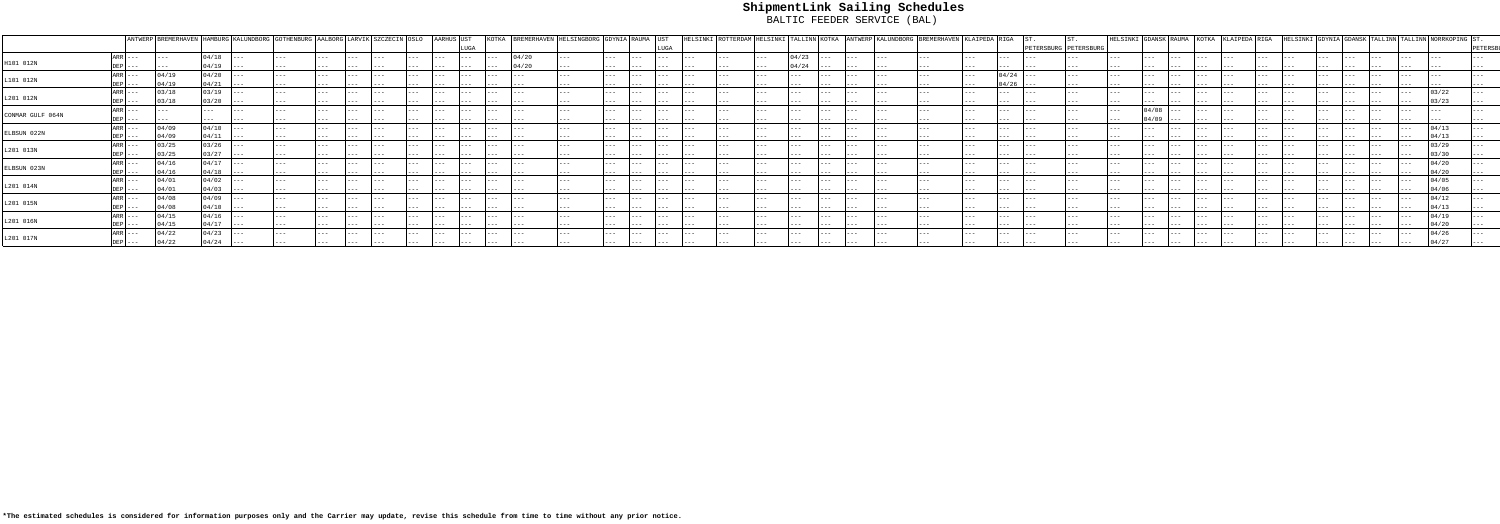|                  | ANTWERP BREMERHAVEN HAMBURG KALUNDBORG GOTHENBURG AALBORG LARVIK SZCZECIN OSLO                                                                                                                                                                                                                                                                                                                        |                  |           |         |         |         |                                                                                                                                                                                                                                                                                                                                                                                                                                                                            | AARHUS UST                                                                                                                                                                                                                                                                                                                                                                                   |           |         | KOTKA BREMERHAVEN HELSINGBORG GDYNIA RAUMA |         |                                                                                                                                                                                                                                                                                                                                                                                              |             |                  |       |       |         |         |         |         |         |         | HELSINKI ROTTERDAM HELSINKI TALLINN KOTKA ANTWERP KALUNDBORG BREMERHAVEN KLAIPEDA RIGA |                                                                                                                                                                                                                                                                                                                                                                                              |         |                       |         |         |         |                                                                                                                                                                                                                                                                                                                                                                                              |         |                  |         |                                                                                                                                                                                                                                                                                                                                                                                              |         |         | HELSINKI GDANSK RAUMA KOTKA KLAIPEDA RIGA HELSINKI GDYNIA GDANSK TALLINN TALLINN NORRKOPING ST. |       |
|------------------|-------------------------------------------------------------------------------------------------------------------------------------------------------------------------------------------------------------------------------------------------------------------------------------------------------------------------------------------------------------------------------------------------------|------------------|-----------|---------|---------|---------|----------------------------------------------------------------------------------------------------------------------------------------------------------------------------------------------------------------------------------------------------------------------------------------------------------------------------------------------------------------------------------------------------------------------------------------------------------------------------|----------------------------------------------------------------------------------------------------------------------------------------------------------------------------------------------------------------------------------------------------------------------------------------------------------------------------------------------------------------------------------------------|-----------|---------|--------------------------------------------|---------|----------------------------------------------------------------------------------------------------------------------------------------------------------------------------------------------------------------------------------------------------------------------------------------------------------------------------------------------------------------------------------------------|-------------|------------------|-------|-------|---------|---------|---------|---------|---------|---------|----------------------------------------------------------------------------------------|----------------------------------------------------------------------------------------------------------------------------------------------------------------------------------------------------------------------------------------------------------------------------------------------------------------------------------------------------------------------------------------------|---------|-----------------------|---------|---------|---------|----------------------------------------------------------------------------------------------------------------------------------------------------------------------------------------------------------------------------------------------------------------------------------------------------------------------------------------------------------------------------------------------|---------|------------------|---------|----------------------------------------------------------------------------------------------------------------------------------------------------------------------------------------------------------------------------------------------------------------------------------------------------------------------------------------------------------------------------------------------|---------|---------|-------------------------------------------------------------------------------------------------|-------|
|                  |                                                                                                                                                                                                                                                                                                                                                                                                       |                  |           |         |         |         |                                                                                                                                                                                                                                                                                                                                                                                                                                                                            |                                                                                                                                                                                                                                                                                                                                                                                              |           |         |                                            |         |                                                                                                                                                                                                                                                                                                                                                                                              |             |                  |       |       |         |         |         |         |         |         |                                                                                        |                                                                                                                                                                                                                                                                                                                                                                                              |         | PETERSBURG PETERSBURG |         |         |         |                                                                                                                                                                                                                                                                                                                                                                                              |         |                  |         |                                                                                                                                                                                                                                                                                                                                                                                              |         |         |                                                                                                 | PETEF |
|                  | $ARR$ $---$<br>$---$                                                                                                                                                                                                                                                                                                                                                                                  | 04/18            | $---$     | $- -$   |         | $- -$   | $--$                                                                                                                                                                                                                                                                                                                                                                                                                                                                       | $--$                                                                                                                                                                                                                                                                                                                                                                                         | $---$     | $- - -$ | 14/20                                      | $-- -$  | $---$                                                                                                                                                                                                                                                                                                                                                                                        |             | --- -            | $- -$ | $---$ | $---$   | 04/23   | ---     | $---$   | $---$   |         |                                                                                        | $\frac{1}{2} \frac{1}{2} \frac{1}{2} \frac{1}{2} \frac{1}{2} \frac{1}{2} \frac{1}{2} \frac{1}{2} \frac{1}{2} \frac{1}{2} \frac{1}{2} \frac{1}{2} \frac{1}{2} \frac{1}{2} \frac{1}{2} \frac{1}{2} \frac{1}{2} \frac{1}{2} \frac{1}{2} \frac{1}{2} \frac{1}{2} \frac{1}{2} \frac{1}{2} \frac{1}{2} \frac{1}{2} \frac{1}{2} \frac{1}{2} \frac{1}{2} \frac{1}{2} \frac{1}{2} \frac{1}{2} \frac{$ | $- -$   |                       |         |         | $--$    |                                                                                                                                                                                                                                                                                                                                                                                              |         | $---$            |         |                                                                                                                                                                                                                                                                                                                                                                                              |         |         |                                                                                                 |       |
| H101 012N        | $--$<br>$--$                                                                                                                                                                                                                                                                                                                                                                                          | 04/19            | $---$     |         |         |         | $- - -$                                                                                                                                                                                                                                                                                                                                                                                                                                                                    | $- - -$                                                                                                                                                                                                                                                                                                                                                                                      | $- - -$   | $- - -$ | 14/20                                      |         | ---                                                                                                                                                                                                                                                                                                                                                                                          |             | $- -$            |       |       | $- -$   | 04/24   |         | $---$   | ---     | $---$   |                                                                                        | $---$                                                                                                                                                                                                                                                                                                                                                                                        |         |                       |         |         | $--$    |                                                                                                                                                                                                                                                                                                                                                                                              |         | $---$            |         | ---                                                                                                                                                                                                                                                                                                                                                                                          |         |         |                                                                                                 |       |
|                  | 04/19<br>$ARR$ $---$                                                                                                                                                                                                                                                                                                                                                                                  | 04/20            | $\bullet$ | ---     |         | $- -$   | --- -                                                                                                                                                                                                                                                                                                                                                                                                                                                                      | ---                                                                                                                                                                                                                                                                                                                                                                                          | $---$     | $--$    | $- -$                                      | ———     | --- -                                                                                                                                                                                                                                                                                                                                                                                        |             | $--$             |       |       | $-- -$  |         |         | ———     | ---     | $---$   | $---$                                                                                  | 04/24                                                                                                                                                                                                                                                                                                                                                                                        | --- -   | $- - -$               |         |         | $- - -$ | $- -$                                                                                                                                                                                                                                                                                                                                                                                        |         | $---$            |         | ---                                                                                                                                                                                                                                                                                                                                                                                          |         |         |                                                                                                 |       |
| L101 012N        | 04/19<br>$\qquad \qquad - - -$                                                                                                                                                                                                                                                                                                                                                                        | 04/21            | $---$     |         |         | --      | $--$                                                                                                                                                                                                                                                                                                                                                                                                                                                                       | ---                                                                                                                                                                                                                                                                                                                                                                                          | $---$     | $-  -$  | $--$                                       |         | --- -                                                                                                                                                                                                                                                                                                                                                                                        |             | $--$             |       |       |         |         |         | --- -   | ———     | $---$   |                                                                                        | 04/26                                                                                                                                                                                                                                                                                                                                                                                        | $- - -$ |                       |         |         | $- -$   |                                                                                                                                                                                                                                                                                                                                                                                              |         | $---$            |         | --- -                                                                                                                                                                                                                                                                                                                                                                                        |         | $- -$   |                                                                                                 |       |
|                  | 03/18<br>$ARR$ $---$                                                                                                                                                                                                                                                                                                                                                                                  | $03/19$          | $---$     | --- -   | ---     | $- - -$ | --- -                                                                                                                                                                                                                                                                                                                                                                                                                                                                      | $---$                                                                                                                                                                                                                                                                                                                                                                                        | $---$     | $--$    | $- -$                                      | $---$   | $\frac{1}{2} \frac{1}{2} \frac{1}{2} \frac{1}{2} \frac{1}{2} \frac{1}{2} \frac{1}{2} \frac{1}{2} \frac{1}{2} \frac{1}{2} \frac{1}{2} \frac{1}{2} \frac{1}{2} \frac{1}{2} \frac{1}{2} \frac{1}{2} \frac{1}{2} \frac{1}{2} \frac{1}{2} \frac{1}{2} \frac{1}{2} \frac{1}{2} \frac{1}{2} \frac{1}{2} \frac{1}{2} \frac{1}{2} \frac{1}{2} \frac{1}{2} \frac{1}{2} \frac{1}{2} \frac{1}{2} \frac{$ |             | --- -            | $- -$ |       | $--$    |         |         | $- - -$ | ———     | $---$   | ---                                                                                    | $- - -$                                                                                                                                                                                                                                                                                                                                                                                      | --- -   | ---                   | $- -$   | ---     | $- - -$ | $- - -$                                                                                                                                                                                                                                                                                                                                                                                      | $- - -$ | $---$            | $- - -$ | --- -                                                                                                                                                                                                                                                                                                                                                                                        | $- - -$ | $--$    | 3/22                                                                                            |       |
| L201 012N        | 03/18<br>--- -                                                                                                                                                                                                                                                                                                                                                                                        |                  |           |         |         |         | --- -                                                                                                                                                                                                                                                                                                                                                                                                                                                                      | ---                                                                                                                                                                                                                                                                                                                                                                                          | $- - -$   | $- - -$ | $- -$                                      |         | ---                                                                                                                                                                                                                                                                                                                                                                                          | $- -$       | $--$             |       |       |         |         |         | --- -   | $---$   | $- - -$ |                                                                                        | $\frac{1}{2} \frac{1}{2} \frac{1}{2} \frac{1}{2} \frac{1}{2} \frac{1}{2} \frac{1}{2} \frac{1}{2} \frac{1}{2} \frac{1}{2} \frac{1}{2} \frac{1}{2} \frac{1}{2} \frac{1}{2} \frac{1}{2} \frac{1}{2} \frac{1}{2} \frac{1}{2} \frac{1}{2} \frac{1}{2} \frac{1}{2} \frac{1}{2} \frac{1}{2} \frac{1}{2} \frac{1}{2} \frac{1}{2} \frac{1}{2} \frac{1}{2} \frac{1}{2} \frac{1}{2} \frac{1}{2} \frac{$ | ----    |                       |         |         | $- -$   |                                                                                                                                                                                                                                                                                                                                                                                              |         |                  |         | --- -                                                                                                                                                                                                                                                                                                                                                                                        |         | $- -$   | 3/27                                                                                            |       |
|                  | $\triangle PR$ $---$<br>--- -                                                                                                                                                                                                                                                                                                                                                                         |                  | ---       | --- -   | ---     | $- - -$ | --- -                                                                                                                                                                                                                                                                                                                                                                                                                                                                      | ---                                                                                                                                                                                                                                                                                                                                                                                          | $---$     | --- -   | $- -$                                      | ---     | $---$                                                                                                                                                                                                                                                                                                                                                                                        | $\sim$ $ -$ | --- -<br>$- - -$ |       | ---   | $-- -$  |         |         | $- - -$ | ---     | $---$   | ---                                                                                    | $\frac{1}{2} \frac{1}{2} \frac{1}{2} \frac{1}{2} \frac{1}{2} \frac{1}{2} \frac{1}{2} \frac{1}{2} \frac{1}{2} \frac{1}{2} \frac{1}{2} \frac{1}{2} \frac{1}{2} \frac{1}{2} \frac{1}{2} \frac{1}{2} \frac{1}{2} \frac{1}{2} \frac{1}{2} \frac{1}{2} \frac{1}{2} \frac{1}{2} \frac{1}{2} \frac{1}{2} \frac{1}{2} \frac{1}{2} \frac{1}{2} \frac{1}{2} \frac{1}{2} \frac{1}{2} \frac{1}{2} \frac{$ | $- - -$ | $- - -$               | ---     | 04/08   | $- - -$ | $\frac{1}{2} \frac{1}{2} \frac{1}{2} \frac{1}{2} \frac{1}{2} \frac{1}{2} \frac{1}{2} \frac{1}{2} \frac{1}{2} \frac{1}{2} \frac{1}{2} \frac{1}{2} \frac{1}{2} \frac{1}{2} \frac{1}{2} \frac{1}{2} \frac{1}{2} \frac{1}{2} \frac{1}{2} \frac{1}{2} \frac{1}{2} \frac{1}{2} \frac{1}{2} \frac{1}{2} \frac{1}{2} \frac{1}{2} \frac{1}{2} \frac{1}{2} \frac{1}{2} \frac{1}{2} \frac{1}{2} \frac{$ | --- -   | $---$            | $---$   | --- -                                                                                                                                                                                                                                                                                                                                                                                        | $- -$   | $- -$   | $- -$                                                                                           |       |
| CONMAR GULF 064N | $- - -$<br>--- -                                                                                                                                                                                                                                                                                                                                                                                      | $---$            | $-- -$    |         | $- - -$ | $-  -$  | --- -                                                                                                                                                                                                                                                                                                                                                                                                                                                                      | $\frac{1}{2} \frac{1}{2} \frac{1}{2} \frac{1}{2} \frac{1}{2} \frac{1}{2} \frac{1}{2} \frac{1}{2} \frac{1}{2} \frac{1}{2} \frac{1}{2} \frac{1}{2} \frac{1}{2} \frac{1}{2} \frac{1}{2} \frac{1}{2} \frac{1}{2} \frac{1}{2} \frac{1}{2} \frac{1}{2} \frac{1}{2} \frac{1}{2} \frac{1}{2} \frac{1}{2} \frac{1}{2} \frac{1}{2} \frac{1}{2} \frac{1}{2} \frac{1}{2} \frac{1}{2} \frac{1}{2} \frac{$ | $- - -$   | $- -$   | $- -$                                      |         | $---$                                                                                                                                                                                                                                                                                                                                                                                        | $- - -$     | $- - -$          | $- -$ |       | $- - -$ |         |         | $- - -$ | $---$   | $- - -$ | $- - -$                                                                                | $- - -$                                                                                                                                                                                                                                                                                                                                                                                      | $- - -$ |                       | $- - -$ | 04/09   | $---$   | $- - -$                                                                                                                                                                                                                                                                                                                                                                                      | $- -$   | $---$            | $- - -$ | --- -                                                                                                                                                                                                                                                                                                                                                                                        |         | $- -$   |                                                                                                 |       |
|                  | 04/09<br>$APR$ $---$                                                                                                                                                                                                                                                                                                                                                                                  | 04/10            | $---$     | $---$   |         | --      | $---$                                                                                                                                                                                                                                                                                                                                                                                                                                                                      | $- - -$                                                                                                                                                                                                                                                                                                                                                                                      |           |         | --                                         |         | $- - -$                                                                                                                                                                                                                                                                                                                                                                                      |             | $- - -$          | $- -$ |       | $- -$   |         |         |         | $- - -$ | $---$   | $---$                                                                                  | $---$                                                                                                                                                                                                                                                                                                                                                                                        | ---     |                       |         | ---     | $- -$   | $- - -$                                                                                                                                                                                                                                                                                                                                                                                      |         | $---$            |         | ---                                                                                                                                                                                                                                                                                                                                                                                          | $- -$   | $- -$   | 04/13                                                                                           |       |
| ELBSUN 022N      | 04/09                                                                                                                                                                                                                                                                                                                                                                                                 | 04/11<br>$--$    | $- - -$   |         | $- - -$ | $-  -$  | --- -                                                                                                                                                                                                                                                                                                                                                                                                                                                                      | $---$                                                                                                                                                                                                                                                                                                                                                                                        |           | $- -$   | $--$                                       | - - - - | $---$                                                                                                                                                                                                                                                                                                                                                                                        | $- - -$     | $- - -$          | $- -$ |       | $- - -$ |         |         | $- - -$ | $---$   | $- - -$ | $--$                                                                                   | $- - -$                                                                                                                                                                                                                                                                                                                                                                                      | $- - -$ |                       |         |         | $---$   | $- -$                                                                                                                                                                                                                                                                                                                                                                                        |         | $---$            | $---$   | ---                                                                                                                                                                                                                                                                                                                                                                                          |         | $- -$   | 04/13                                                                                           |       |
| L201 013N        | 03/25<br>$ARR$ $---$                                                                                                                                                                                                                                                                                                                                                                                  | 03/26            | ---       | $- - -$ |         |         | $---$                                                                                                                                                                                                                                                                                                                                                                                                                                                                      | $- - -$                                                                                                                                                                                                                                                                                                                                                                                      |           |         | $ -$                                       |         | $---$                                                                                                                                                                                                                                                                                                                                                                                        |             | $- -$            | $- -$ |       |         |         |         |         | $- - -$ | $---$   |                                                                                        | $---$                                                                                                                                                                                                                                                                                                                                                                                        |         |                       |         |         | $- -$   |                                                                                                                                                                                                                                                                                                                                                                                              |         |                  |         |                                                                                                                                                                                                                                                                                                                                                                                              |         | $- -$   | 03/29                                                                                           |       |
|                  | 03/25<br>$--$                                                                                                                                                                                                                                                                                                                                                                                         | 03/27            | $- - -$   |         |         | $- -$   | —————                                                                                                                                                                                                                                                                                                                                                                                                                                                                      | $\frac{1}{2} \frac{1}{2} \frac{1}{2} \frac{1}{2} \frac{1}{2} \frac{1}{2} \frac{1}{2} \frac{1}{2} \frac{1}{2} \frac{1}{2} \frac{1}{2} \frac{1}{2} \frac{1}{2} \frac{1}{2} \frac{1}{2} \frac{1}{2} \frac{1}{2} \frac{1}{2} \frac{1}{2} \frac{1}{2} \frac{1}{2} \frac{1}{2} \frac{1}{2} \frac{1}{2} \frac{1}{2} \frac{1}{2} \frac{1}{2} \frac{1}{2} \frac{1}{2} \frac{1}{2} \frac{1}{2} \frac{$ |           | $-  -$  | $--$                                       |         | $- - -$                                                                                                                                                                                                                                                                                                                                                                                      |             | $- - -$          |       |       | $- -$   |         |         | $- - -$ | $---$   | $- - -$ | ---                                                                                    | $- - -$                                                                                                                                                                                                                                                                                                                                                                                      | $- -$   |                       |         |         | $--$    | $- -$                                                                                                                                                                                                                                                                                                                                                                                        |         | $- - -$          | $---$   | ---                                                                                                                                                                                                                                                                                                                                                                                          |         | $- -$   | 13/30                                                                                           |       |
| ELBSUN 023N      | 04/16<br>$ARR$ $---$                                                                                                                                                                                                                                                                                                                                                                                  | 04/17            | $- - -$   | --- -   |         | --      | --- -                                                                                                                                                                                                                                                                                                                                                                                                                                                                      | $- - -$                                                                                                                                                                                                                                                                                                                                                                                      |           |         | $- -$                                      |         | --- -                                                                                                                                                                                                                                                                                                                                                                                        |             | $- -$            | $- -$ |       | $- -$   |         |         |         | $- - -$ | $---$   |                                                                                        | $---$                                                                                                                                                                                                                                                                                                                                                                                        |         |                       |         |         | $- -$   |                                                                                                                                                                                                                                                                                                                                                                                              |         |                  |         |                                                                                                                                                                                                                                                                                                                                                                                              |         | $- -$   | 04/20                                                                                           |       |
|                  | 04/16<br>--- -                                                                                                                                                                                                                                                                                                                                                                                        | 04/18<br>$- - -$ | $- - -$   |         |         | $- -$   | --- -                                                                                                                                                                                                                                                                                                                                                                                                                                                                      | ---                                                                                                                                                                                                                                                                                                                                                                                          |           | $- -$   | $--$                                       | $- - -$ | $- - -$                                                                                                                                                                                                                                                                                                                                                                                      |             | $- -$            |       |       | $- -$   |         |         |         | $-- -$  | $---$   | --- -                                                                                  | $- - -$                                                                                                                                                                                                                                                                                                                                                                                      |         |                       |         |         | $---$   | $- -$                                                                                                                                                                                                                                                                                                                                                                                        |         | $---$            | $---$   | --- -                                                                                                                                                                                                                                                                                                                                                                                        |         | $- - -$ | 04/20                                                                                           |       |
| L201 014N        | 04/01<br>$---$                                                                                                                                                                                                                                                                                                                                                                                        | 04/02            | ---       | $- - -$ |         |         | --- -                                                                                                                                                                                                                                                                                                                                                                                                                                                                      | $--$                                                                                                                                                                                                                                                                                                                                                                                         |           |         |                                            |         | $- - -$                                                                                                                                                                                                                                                                                                                                                                                      |             |                  |       |       |         |         |         |         |         |         |                                                                                        | $---$                                                                                                                                                                                                                                                                                                                                                                                        |         |                       |         |         | $- -$   |                                                                                                                                                                                                                                                                                                                                                                                              |         |                  |         |                                                                                                                                                                                                                                                                                                                                                                                              |         | $- -$   | 04/05                                                                                           |       |
|                  | 04/01<br>$--$                                                                                                                                                                                                                                                                                                                                                                                         | 04/03<br>$- - -$ | $- - -$   |         | $- - -$ | $-  -$  | --- -                                                                                                                                                                                                                                                                                                                                                                                                                                                                      | ---                                                                                                                                                                                                                                                                                                                                                                                          |           |         | $- -$                                      |         | --- -                                                                                                                                                                                                                                                                                                                                                                                        |             |                  |       |       |         |         |         |         | $-- -$  | $- - -$ |                                                                                        | $- - -$                                                                                                                                                                                                                                                                                                                                                                                      |         |                       |         |         | $- -$   |                                                                                                                                                                                                                                                                                                                                                                                              |         |                  |         | ---                                                                                                                                                                                                                                                                                                                                                                                          |         | $- -$   | 04/06                                                                                           |       |
| L201 015N        | 104/08<br>$---$                                                                                                                                                                                                                                                                                                                                                                                       | 04/09            | ---       | --- -   | $- - -$ |         | --- -                                                                                                                                                                                                                                                                                                                                                                                                                                                                      | $- - -$                                                                                                                                                                                                                                                                                                                                                                                      |           |         |                                            |         | --- -                                                                                                                                                                                                                                                                                                                                                                                        |             | $- -$            |       |       |         |         |         |         | $- - -$ | $---$   |                                                                                        | $\frac{1}{2} \frac{1}{2} \frac{1}{2} \frac{1}{2} \frac{1}{2} \frac{1}{2} \frac{1}{2} \frac{1}{2} \frac{1}{2} \frac{1}{2} \frac{1}{2} \frac{1}{2} \frac{1}{2} \frac{1}{2} \frac{1}{2} \frac{1}{2} \frac{1}{2} \frac{1}{2} \frac{1}{2} \frac{1}{2} \frac{1}{2} \frac{1}{2} \frac{1}{2} \frac{1}{2} \frac{1}{2} \frac{1}{2} \frac{1}{2} \frac{1}{2} \frac{1}{2} \frac{1}{2} \frac{1}{2} \frac{$ |         |                       |         |         | $- -$   |                                                                                                                                                                                                                                                                                                                                                                                              |         |                  |         | ---                                                                                                                                                                                                                                                                                                                                                                                          |         | $- -$   | 14/12                                                                                           |       |
|                  | 04/08<br>$---$                                                                                                                                                                                                                                                                                                                                                                                        | 04/10<br>$- - -$ | $- - -$   | ---     | ---     | $- -$   | $\frac{1}{2} \left( \frac{1}{2} \right) \left( \frac{1}{2} \right) \left( \frac{1}{2} \right) \left( \frac{1}{2} \right) \left( \frac{1}{2} \right) \left( \frac{1}{2} \right) \left( \frac{1}{2} \right) \left( \frac{1}{2} \right) \left( \frac{1}{2} \right) \left( \frac{1}{2} \right) \left( \frac{1}{2} \right) \left( \frac{1}{2} \right) \left( \frac{1}{2} \right) \left( \frac{1}{2} \right) \left( \frac{1}{2} \right) \left( \frac{1}{2} \right) \left( \frac$ | $---$                                                                                                                                                                                                                                                                                                                                                                                        | $- - -$   | $- - -$ | $- -$                                      |         | --- -                                                                                                                                                                                                                                                                                                                                                                                        |             | $- - -$          | $- -$ | ---   | --- -   |         |         | $- - -$ | $---$   | $- - -$ | ---                                                                                    | $- - -$                                                                                                                                                                                                                                                                                                                                                                                      |         | $- -$                 |         | ---     | $- - -$ | $- -$                                                                                                                                                                                                                                                                                                                                                                                        |         | $---$            | $---$   | ---                                                                                                                                                                                                                                                                                                                                                                                          |         | $- -$   | 04/13                                                                                           |       |
| L201 016N        | 04/15<br>$\frac{1}{2} \frac{1}{2} \frac{1}{2} \frac{1}{2} \frac{1}{2} \frac{1}{2} \frac{1}{2} \frac{1}{2} \frac{1}{2} \frac{1}{2} \frac{1}{2} \frac{1}{2} \frac{1}{2} \frac{1}{2} \frac{1}{2} \frac{1}{2} \frac{1}{2} \frac{1}{2} \frac{1}{2} \frac{1}{2} \frac{1}{2} \frac{1}{2} \frac{1}{2} \frac{1}{2} \frac{1}{2} \frac{1}{2} \frac{1}{2} \frac{1}{2} \frac{1}{2} \frac{1}{2} \frac{1}{2} \frac{$ | 04/16            | $- - -$   | --- -   | ---     | $-  -$  | $\frac{1}{2} \left( \frac{1}{2} \right) \left( \frac{1}{2} \right) \left( \frac{1}{2} \right) \left( \frac{1}{2} \right) \left( \frac{1}{2} \right) \left( \frac{1}{2} \right) \left( \frac{1}{2} \right) \left( \frac{1}{2} \right) \left( \frac{1}{2} \right) \left( \frac{1}{2} \right) \left( \frac{1}{2} \right) \left( \frac{1}{2} \right) \left( \frac{1}{2} \right) \left( \frac{1}{2} \right) \left( \frac{1}{2} \right) \left( \frac{1}{2} \right) \left( \frac$ | $\frac{1}{2} \frac{1}{2} \frac{1}{2} \frac{1}{2} \frac{1}{2} \frac{1}{2} \frac{1}{2} \frac{1}{2} \frac{1}{2} \frac{1}{2} \frac{1}{2} \frac{1}{2} \frac{1}{2} \frac{1}{2} \frac{1}{2} \frac{1}{2} \frac{1}{2} \frac{1}{2} \frac{1}{2} \frac{1}{2} \frac{1}{2} \frac{1}{2} \frac{1}{2} \frac{1}{2} \frac{1}{2} \frac{1}{2} \frac{1}{2} \frac{1}{2} \frac{1}{2} \frac{1}{2} \frac{1}{2} \frac{$ | $1 - - -$ | $--$    | $- -$                                      |         | --- -                                                                                                                                                                                                                                                                                                                                                                                        | ---         | --- -            | $- -$ |       | --- -   |         |         | --- -   | ---     | $---$   | ---                                                                                    | $- - -$                                                                                                                                                                                                                                                                                                                                                                                      |         |                       |         | ---     | $- - -$ | $- - -$                                                                                                                                                                                                                                                                                                                                                                                      |         | $---$            | $---$   | $\frac{1}{2} \frac{1}{2} \frac{1}{2} \frac{1}{2} \frac{1}{2} \frac{1}{2} \frac{1}{2} \frac{1}{2} \frac{1}{2} \frac{1}{2} \frac{1}{2} \frac{1}{2} \frac{1}{2} \frac{1}{2} \frac{1}{2} \frac{1}{2} \frac{1}{2} \frac{1}{2} \frac{1}{2} \frac{1}{2} \frac{1}{2} \frac{1}{2} \frac{1}{2} \frac{1}{2} \frac{1}{2} \frac{1}{2} \frac{1}{2} \frac{1}{2} \frac{1}{2} \frac{1}{2} \frac{1}{2} \frac{$ | $- -$   | $--$    | 14/19                                                                                           |       |
|                  | 04/15<br>$---$                                                                                                                                                                                                                                                                                                                                                                                        | 04/17<br>$---$   | $---$     | $--$    | ---     | $- -$   | --- 1--- 1                                                                                                                                                                                                                                                                                                                                                                                                                                                                 |                                                                                                                                                                                                                                                                                                                                                                                              | $- - -$   | $- - -$ | $- -$                                      | $- - -$ | $\frac{1}{2} \frac{1}{2} \frac{1}{2} \frac{1}{2} \frac{1}{2} \frac{1}{2} \frac{1}{2} \frac{1}{2} \frac{1}{2} \frac{1}{2} \frac{1}{2} \frac{1}{2} \frac{1}{2} \frac{1}{2} \frac{1}{2} \frac{1}{2} \frac{1}{2} \frac{1}{2} \frac{1}{2} \frac{1}{2} \frac{1}{2} \frac{1}{2} \frac{1}{2} \frac{1}{2} \frac{1}{2} \frac{1}{2} \frac{1}{2} \frac{1}{2} \frac{1}{2} \frac{1}{2} \frac{1}{2} \frac{$ | $---$       | --- -            | $- -$ | $---$ | $--$    | $- - -$ | $- - -$ | $---$   | ---     | $---$   | --- -                                                                                  | $- - -$                                                                                                                                                                                                                                                                                                                                                                                      | $-- -$  | $- - -$               | $- - -$ | $---$   | ---     | $---$                                                                                                                                                                                                                                                                                                                                                                                        | $- -$   | $---$<br>$- - -$ | $---$   | $\frac{1}{2} \frac{1}{2} \frac{1}{2} \frac{1}{2} \frac{1}{2} \frac{1}{2} \frac{1}{2} \frac{1}{2} \frac{1}{2} \frac{1}{2} \frac{1}{2} \frac{1}{2} \frac{1}{2} \frac{1}{2} \frac{1}{2} \frac{1}{2} \frac{1}{2} \frac{1}{2} \frac{1}{2} \frac{1}{2} \frac{1}{2} \frac{1}{2} \frac{1}{2} \frac{1}{2} \frac{1}{2} \frac{1}{2} \frac{1}{2} \frac{1}{2} \frac{1}{2} \frac{1}{2} \frac{1}{2} \frac{$ | $- -$   | $--$    | 14/20                                                                                           |       |
| L201 017N        | 04/22<br>$ARR$ $---$                                                                                                                                                                                                                                                                                                                                                                                  | 04/23            | $- - -$   | $- - -$ | ---     | --      | --- -                                                                                                                                                                                                                                                                                                                                                                                                                                                                      | --- -                                                                                                                                                                                                                                                                                                                                                                                        | $---$     | $- - -$ |                                            |         | --- -                                                                                                                                                                                                                                                                                                                                                                                        |             | --- -            | $- -$ |       | ---     |         |         |         |         |         |                                                                                        | $\frac{1}{2} \frac{1}{2} \frac{1}{2} \frac{1}{2} \frac{1}{2} \frac{1}{2} \frac{1}{2} \frac{1}{2} \frac{1}{2} \frac{1}{2} \frac{1}{2} \frac{1}{2} \frac{1}{2} \frac{1}{2} \frac{1}{2} \frac{1}{2} \frac{1}{2} \frac{1}{2} \frac{1}{2} \frac{1}{2} \frac{1}{2} \frac{1}{2} \frac{1}{2} \frac{1}{2} \frac{1}{2} \frac{1}{2} \frac{1}{2} \frac{1}{2} \frac{1}{2} \frac{1}{2} \frac{1}{2} \frac{$ |         |                       |         | $- - -$ | $- - -$ | $- - -$                                                                                                                                                                                                                                                                                                                                                                                      |         | $---$            | $---$   | $\frac{1}{2} \frac{1}{2} \frac{1}{2} \frac{1}{2} \frac{1}{2} \frac{1}{2} \frac{1}{2} \frac{1}{2} \frac{1}{2} \frac{1}{2} \frac{1}{2} \frac{1}{2} \frac{1}{2} \frac{1}{2} \frac{1}{2} \frac{1}{2} \frac{1}{2} \frac{1}{2} \frac{1}{2} \frac{1}{2} \frac{1}{2} \frac{1}{2} \frac{1}{2} \frac{1}{2} \frac{1}{2} \frac{1}{2} \frac{1}{2} \frac{1}{2} \frac{1}{2} \frac{1}{2} \frac{1}{2} \frac{$ | $- -$   | $--$    | 14/26                                                                                           |       |
|                  | 14/22<br>$- - -$                                                                                                                                                                                                                                                                                                                                                                                      |                  |           |         |         |         |                                                                                                                                                                                                                                                                                                                                                                                                                                                                            |                                                                                                                                                                                                                                                                                                                                                                                              |           |         |                                            |         |                                                                                                                                                                                                                                                                                                                                                                                              |             |                  |       |       |         |         |         |         |         |         |                                                                                        |                                                                                                                                                                                                                                                                                                                                                                                              |         |                       |         |         |         |                                                                                                                                                                                                                                                                                                                                                                                              |         |                  |         |                                                                                                                                                                                                                                                                                                                                                                                              |         |         |                                                                                                 |       |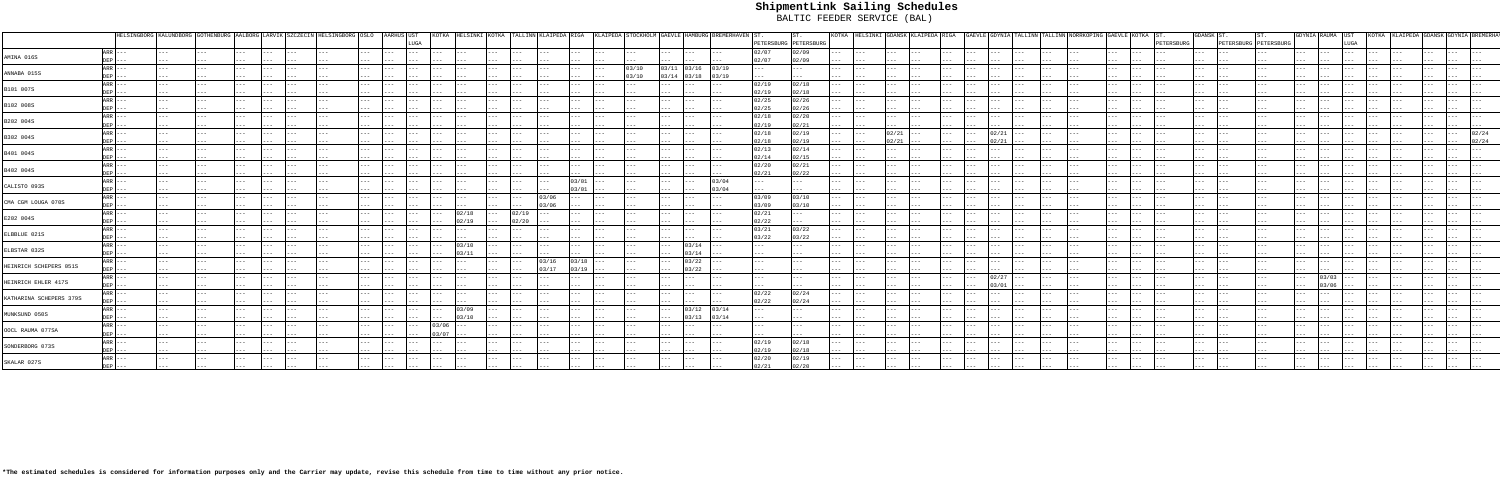|                         | HELSINGBORG KALUNDBORG |       | OTHENBURG   AALBORG   LARVIK | ZCZECIN HELSINGBORG |     | AARHUS UST |       | OTKA  HELSINKI KOTKA  |                |                | TALLINN KLAIPEDA RIGA   |               | KLAIPEDA STOCKHOLM GAEVLE   F |                        |                  | 3 BREMERHAVEN I |                |                       |       | OTKA HELSINKI |                                                                                                                                                                                                                                                                                                                                                                                              | GDANSK KLAIPEDA RIGA |        |                                                                                                                                                                                                                                                                                                                                                                                                                                                                                     |                          |                                                                                                                                                                                                                                                                                                                                                                                              | GAEVLE GDYNIA TALLINN TALLINN NORRKOPING GAEVLE KOTKA ST                                                                                                                                                                                                                                                                                                                                                      | GDANSK     |                       | DYNIA RAUMA   |             | OTKA KLAIPEDA GDANSK |  |
|-------------------------|------------------------|-------|------------------------------|---------------------|-----|------------|-------|-----------------------|----------------|----------------|-------------------------|---------------|-------------------------------|------------------------|------------------|-----------------|----------------|-----------------------|-------|---------------|----------------------------------------------------------------------------------------------------------------------------------------------------------------------------------------------------------------------------------------------------------------------------------------------------------------------------------------------------------------------------------------------|----------------------|--------|-------------------------------------------------------------------------------------------------------------------------------------------------------------------------------------------------------------------------------------------------------------------------------------------------------------------------------------------------------------------------------------------------------------------------------------------------------------------------------------|--------------------------|----------------------------------------------------------------------------------------------------------------------------------------------------------------------------------------------------------------------------------------------------------------------------------------------------------------------------------------------------------------------------------------------|---------------------------------------------------------------------------------------------------------------------------------------------------------------------------------------------------------------------------------------------------------------------------------------------------------------------------------------------------------------------------------------------------------------|------------|-----------------------|---------------|-------------|----------------------|--|
|                         |                        |       |                              |                     |     |            | LIIGA |                       |                |                |                         |               |                               |                        |                  |                 |                | PETERSBURG PETERSBURG |       |               |                                                                                                                                                                                                                                                                                                                                                                                              |                      |        |                                                                                                                                                                                                                                                                                                                                                                                                                                                                                     |                          |                                                                                                                                                                                                                                                                                                                                                                                              |                                                                                                                                                                                                                                                                                                                                                                                                               | PETERSBURG | PETERSBURG PETERSBURG |               | <b>TIGA</b> |                      |  |
| AMINA 016S              | $ARR$ ---              |       |                              |                     |     |            | $- -$ |                       | $--$           | $---$          |                         |               |                               |                        |                  |                 | 02/07<br>02/07 | 02/09<br>02/09        |       |               |                                                                                                                                                                                                                                                                                                                                                                                              |                      | $---$  | $- - -$                                                                                                                                                                                                                                                                                                                                                                                                                                                                             | $- -$                    | $---$                                                                                                                                                                                                                                                                                                                                                                                        | $--$<br>$---$<br>$\frac{1}{2} \frac{1}{2} \frac{1}{2} \frac{1}{2} \frac{1}{2} \frac{1}{2} \frac{1}{2} \frac{1}{2} \frac{1}{2} \frac{1}{2} \frac{1}{2} \frac{1}{2} \frac{1}{2} \frac{1}{2} \frac{1}{2} \frac{1}{2} \frac{1}{2} \frac{1}{2} \frac{1}{2} \frac{1}{2} \frac{1}{2} \frac{1}{2} \frac{1}{2} \frac{1}{2} \frac{1}{2} \frac{1}{2} \frac{1}{2} \frac{1}{2} \frac{1}{2} \frac{1}{2} \frac{1}{2} \frac{$ |            |                       |               |             |                      |  |
| ANNABA 015S             | $ARR$ ---              |       |                              |                     |     |            |       |                       |                |                |                         |               | 03/10<br>03/10                | $03/11$ 03/16<br>03/14 | 03/18            | 03/19<br>03/19  |                |                       |       |               | $---$                                                                                                                                                                                                                                                                                                                                                                                        |                      |        |                                                                                                                                                                                                                                                                                                                                                                                                                                                                                     |                          |                                                                                                                                                                                                                                                                                                                                                                                              | $---$                                                                                                                                                                                                                                                                                                                                                                                                         |            |                       |               |             |                      |  |
| B101 007S               | $ARR$ $---$            |       |                              |                     |     |            |       |                       |                |                |                         |               |                               | $- -$                  |                  |                 | 02/19          | 12/18                 | $ -$  | $---$         | $---$                                                                                                                                                                                                                                                                                                                                                                                        |                      | $---$  | $ -$                                                                                                                                                                                                                                                                                                                                                                                                                                                                                | $-$                      |                                                                                                                                                                                                                                                                                                                                                                                              | $---$                                                                                                                                                                                                                                                                                                                                                                                                         |            |                       |               |             |                      |  |
|                         | $ARR$ $---$            |       |                              |                     |     |            |       |                       |                |                |                         |               |                               |                        |                  |                 | 2/19<br>02/25  | 02/26                 |       | $---$         |                                                                                                                                                                                                                                                                                                                                                                                              | $- - -$              | $---$  | $---$                                                                                                                                                                                                                                                                                                                                                                                                                                                                               |                          |                                                                                                                                                                                                                                                                                                                                                                                              | $---$<br>$---$                                                                                                                                                                                                                                                                                                                                                                                                |            |                       |               |             |                      |  |
| B102 008S               |                        |       |                              |                     |     |            |       |                       |                |                |                         |               |                               |                        |                  |                 | 2/25           | 2/26                  |       |               |                                                                                                                                                                                                                                                                                                                                                                                              |                      |        |                                                                                                                                                                                                                                                                                                                                                                                                                                                                                     |                          |                                                                                                                                                                                                                                                                                                                                                                                              |                                                                                                                                                                                                                                                                                                                                                                                                               |            |                       |               |             |                      |  |
| B202 004S               | $ARR$ $---$            |       |                              |                     |     |            |       |                       |                |                |                         |               |                               |                        |                  |                 | 02/18<br>12/19 | 02/20<br>2/21         |       | $---$         | $---$                                                                                                                                                                                                                                                                                                                                                                                        |                      |        |                                                                                                                                                                                                                                                                                                                                                                                                                                                                                     |                          |                                                                                                                                                                                                                                                                                                                                                                                              | $--$                                                                                                                                                                                                                                                                                                                                                                                                          |            |                       |               |             |                      |  |
| B302 004S               | $ARR$ $---$            |       |                              |                     |     |            |       |                       |                |                |                         |               |                               |                        |                  |                 | 02/18<br>2/18  | 12/19<br>2/19         |       |               | $02/21$ $---$<br>02/21                                                                                                                                                                                                                                                                                                                                                                       |                      | $---$  | $   \,$                                                                                                                                                                                                                                                                                                                                                                                                                                                                             | 02/21                    |                                                                                                                                                                                                                                                                                                                                                                                              | $- -$                                                                                                                                                                                                                                                                                                                                                                                                         |            |                       |               |             |                      |  |
| B401 004S               | $ARR$ $---$            |       |                              |                     |     |            |       |                       |                | $- - -$        |                         |               |                               |                        |                  |                 | 02/13<br>2/14  | 02/14<br>2/15         |       | $- - -$       | $---$                                                                                                                                                                                                                                                                                                                                                                                        | $- -$                | $---$  | $ -$                                                                                                                                                                                                                                                                                                                                                                                                                                                                                | $-$                      | $---$                                                                                                                                                                                                                                                                                                                                                                                        | $---$<br>$---$<br><b>1</b> — — —                                                                                                                                                                                                                                                                                                                                                                              |            |                       |               |             |                      |  |
| B402 004S               | $ARR$ $---$            |       |                              |                     |     |            |       |                       |                |                |                         |               |                               |                        |                  |                 | 02/20<br>2/21  | 02/21<br>2/22         |       |               |                                                                                                                                                                                                                                                                                                                                                                                              |                      | $---$  | $- -$                                                                                                                                                                                                                                                                                                                                                                                                                                                                               |                          |                                                                                                                                                                                                                                                                                                                                                                                              | $--$                                                                                                                                                                                                                                                                                                                                                                                                          |            |                       |               |             |                      |  |
| CALISTO 093S            | $ARR$ $---$            |       |                              |                     |     |            |       |                       |                | $-- -$         | 03/01                   |               |                               |                        |                  | 03/04           |                |                       |       |               |                                                                                                                                                                                                                                                                                                                                                                                              |                      | $---$  | $ -$                                                                                                                                                                                                                                                                                                                                                                                                                                                                                | $-$                      |                                                                                                                                                                                                                                                                                                                                                                                              | $--$                                                                                                                                                                                                                                                                                                                                                                                                          |            |                       |               |             |                      |  |
| CMA CGM LOUGA 070S      | $ARR$ ---              |       |                              |                     |     |            |       |                       |                |                | 03/01<br>03/06          |               |                               |                        |                  | 03/04           | 03/09          | 03/10                 |       |               |                                                                                                                                                                                                                                                                                                                                                                                              |                      |        |                                                                                                                                                                                                                                                                                                                                                                                                                                                                                     |                          |                                                                                                                                                                                                                                                                                                                                                                                              | $- - -$                                                                                                                                                                                                                                                                                                                                                                                                       |            |                       |               |             |                      |  |
| E202 004S               | $ARR$ $---$            |       |                              |                     |     |            |       | 02/18<br>$-- -$       |                | 02/19          | 03/06                   |               |                               |                        |                  |                 | 03/09<br>02/21 | 3/10                  |       |               |                                                                                                                                                                                                                                                                                                                                                                                              |                      | $-- -$ | $- -$                                                                                                                                                                                                                                                                                                                                                                                                                                                                               | $ -$                     |                                                                                                                                                                                                                                                                                                                                                                                              | $--$                                                                                                                                                                                                                                                                                                                                                                                                          |            |                       |               |             |                      |  |
|                         |                        |       |                              |                     |     |            |       | 2/19                  |                | 02/20          |                         |               |                               |                        |                  |                 | 02/22          |                       |       |               |                                                                                                                                                                                                                                                                                                                                                                                              |                      |        |                                                                                                                                                                                                                                                                                                                                                                                                                                                                                     |                          |                                                                                                                                                                                                                                                                                                                                                                                              |                                                                                                                                                                                                                                                                                                                                                                                                               |            |                       |               |             |                      |  |
| ELBBLUE 021S            | $ARR$ $---$            |       |                              |                     |     |            |       | $- - -$               |                | $- - -$        |                         |               |                               |                        |                  |                 | 03/21<br>03/22 | 03/22<br>3/22         |       |               |                                                                                                                                                                                                                                                                                                                                                                                              |                      |        |                                                                                                                                                                                                                                                                                                                                                                                                                                                                                     |                          |                                                                                                                                                                                                                                                                                                                                                                                              | $--$                                                                                                                                                                                                                                                                                                                                                                                                          |            |                       |               |             |                      |  |
| ELBSTAR 032S            | $ARR$ $---$            |       |                              |                     |     |            |       | 03/10<br>1/11         |                |                |                         |               |                               |                        | 03/14<br>03/14   |                 | $- -$          |                       |       |               |                                                                                                                                                                                                                                                                                                                                                                                              |                      |        | $ -$                                                                                                                                                                                                                                                                                                                                                                                                                                                                                | $-$                      |                                                                                                                                                                                                                                                                                                                                                                                              | $--$                                                                                                                                                                                                                                                                                                                                                                                                          |            |                       |               |             |                      |  |
| HEINRICH SCHEPERS 051S  | $ARR$ $---$            |       |                              |                     |     |            |       |                       | $--$           |                | 03/16<br>03/17<br>03/19 | $03/18$ $---$ |                               |                        | 03/22<br>0.3/2.2 |                 |                |                       |       |               |                                                                                                                                                                                                                                                                                                                                                                                              |                      |        | $ -$                                                                                                                                                                                                                                                                                                                                                                                                                                                                                |                          |                                                                                                                                                                                                                                                                                                                                                                                              | $--$                                                                                                                                                                                                                                                                                                                                                                                                          |            |                       |               |             |                      |  |
| HEINRICH EHLER 417S     | $ARR$ $---$            |       |                              |                     |     |            |       |                       | $---$          |                | $---$                   |               |                               |                        |                  |                 |                |                       |       |               | $--$                                                                                                                                                                                                                                                                                                                                                                                         |                      | $---$  | $ -$                                                                                                                                                                                                                                                                                                                                                                                                                                                                                | 02/27<br>$- -$<br>ו∩⁄ דו | $\frac{1}{2} \frac{1}{2} \frac{1}{2} \frac{1}{2} \frac{1}{2} \frac{1}{2} \frac{1}{2} \frac{1}{2} \frac{1}{2} \frac{1}{2} \frac{1}{2} \frac{1}{2} \frac{1}{2} \frac{1}{2} \frac{1}{2} \frac{1}{2} \frac{1}{2} \frac{1}{2} \frac{1}{2} \frac{1}{2} \frac{1}{2} \frac{1}{2} \frac{1}{2} \frac{1}{2} \frac{1}{2} \frac{1}{2} \frac{1}{2} \frac{1}{2} \frac{1}{2} \frac{1}{2} \frac{1}{2} \frac{$ | $---$                                                                                                                                                                                                                                                                                                                                                                                                         |            |                       | 03/03<br>3/06 |             |                      |  |
| KATHARINA SCHEPERS 379S | ARR ---                | $--$  |                              |                     |     |            | $ -$  |                       | $--$           | --- -          | $- - -$                 |               |                               | $-- -$                 |                  | $-- -$          | 02/22<br>12/22 | 02/24<br>2/24         |       | $-- -$        | --- -                                                                                                                                                                                                                                                                                                                                                                                        |                      | $---$  | $\frac{1}{2} \left( \frac{1}{2} \right) \left( \frac{1}{2} \right) \left( \frac{1}{2} \right) \left( \frac{1}{2} \right) \left( \frac{1}{2} \right) \left( \frac{1}{2} \right) \left( \frac{1}{2} \right) \left( \frac{1}{2} \right) \left( \frac{1}{2} \right) \left( \frac{1}{2} \right) \left( \frac{1}{2} \right) \left( \frac{1}{2} \right) \left( \frac{1}{2} \right) \left( \frac{1}{2} \right) \left( \frac{1}{2} \right) \left( \frac{1}{2} \right) \left( \frac$<br>$- -$ | $- -$                    | $\frac{1}{2}$                                                                                                                                                                                                                                                                                                                                                                                | $--$                                                                                                                                                                                                                                                                                                                                                                                                          |            |                       |               |             |                      |  |
| MUNKSUND 050S           | $ARR$ $---$            | $---$ |                              |                     |     |            |       | 03/09                 | $---$<br>$---$ |                | $---$                   |               |                               | $---$                  | 03/12            | 03/14<br>13/14  | $- -$          |                       | $- -$ |               | $\frac{1}{2} \frac{1}{2} \frac{1}{2} \frac{1}{2} \frac{1}{2} \frac{1}{2} \frac{1}{2} \frac{1}{2} \frac{1}{2} \frac{1}{2} \frac{1}{2} \frac{1}{2} \frac{1}{2} \frac{1}{2} \frac{1}{2} \frac{1}{2} \frac{1}{2} \frac{1}{2} \frac{1}{2} \frac{1}{2} \frac{1}{2} \frac{1}{2} \frac{1}{2} \frac{1}{2} \frac{1}{2} \frac{1}{2} \frac{1}{2} \frac{1}{2} \frac{1}{2} \frac{1}{2} \frac{1}{2} \frac{$ |                      | $---$  | $---$                                                                                                                                                                                                                                                                                                                                                                                                                                                                               | $- -$                    | $---$                                                                                                                                                                                                                                                                                                                                                                                        | $---$<br>$---$<br>$---$                                                                                                                                                                                                                                                                                                                                                                                       | $---$      |                       |               |             |                      |  |
| OOCL RAUMA 077SA        | $ARR$ $---$            |       |                              |                     | $-$ | $- - -$    | $- -$ | $03/06$ $---$<br>2/07 | $--$           | $---$<br>$---$ | $---$                   |               |                               |                        |                  |                 |                |                       |       |               | $---$                                                                                                                                                                                                                                                                                                                                                                                        |                      | $---$  | $---$                                                                                                                                                                                                                                                                                                                                                                                                                                                                               | $- -$                    |                                                                                                                                                                                                                                                                                                                                                                                              | $\frac{1}{2} \frac{1}{2} \frac{1}{2} \frac{1}{2} \frac{1}{2} \frac{1}{2} \frac{1}{2} \frac{1}{2} \frac{1}{2} \frac{1}{2} \frac{1}{2} \frac{1}{2} \frac{1}{2} \frac{1}{2} \frac{1}{2} \frac{1}{2} \frac{1}{2} \frac{1}{2} \frac{1}{2} \frac{1}{2} \frac{1}{2} \frac{1}{2} \frac{1}{2} \frac{1}{2} \frac{1}{2} \frac{1}{2} \frac{1}{2} \frac{1}{2} \frac{1}{2} \frac{1}{2} \frac{1}{2} \frac{$<br>$---$         |            |                       |               |             |                      |  |
| SONDERBORG 073S         | $ARR$ $---$            |       |                              |                     |     |            |       |                       | $- - -$        |                |                         |               |                               |                        |                  |                 | 02/19<br>12/19 | 12/18                 |       |               | $\frac{1}{2} \frac{1}{2} \frac{1}{2} \frac{1}{2} \frac{1}{2} \frac{1}{2} \frac{1}{2} \frac{1}{2} \frac{1}{2} \frac{1}{2} \frac{1}{2} \frac{1}{2} \frac{1}{2} \frac{1}{2} \frac{1}{2} \frac{1}{2} \frac{1}{2} \frac{1}{2} \frac{1}{2} \frac{1}{2} \frac{1}{2} \frac{1}{2} \frac{1}{2} \frac{1}{2} \frac{1}{2} \frac{1}{2} \frac{1}{2} \frac{1}{2} \frac{1}{2} \frac{1}{2} \frac{1}{2} \frac{$ |                      | $---$  | $   \,$                                                                                                                                                                                                                                                                                                                                                                                                                                                                             | $- -$                    | $---$                                                                                                                                                                                                                                                                                                                                                                                        | $--$<br>$\frac{1}{2} \frac{1}{2} \frac{1}{2} \frac{1}{2} \frac{1}{2} \frac{1}{2} \frac{1}{2} \frac{1}{2} \frac{1}{2} \frac{1}{2} \frac{1}{2} \frac{1}{2} \frac{1}{2} \frac{1}{2} \frac{1}{2} \frac{1}{2} \frac{1}{2} \frac{1}{2} \frac{1}{2} \frac{1}{2} \frac{1}{2} \frac{1}{2} \frac{1}{2} \frac{1}{2} \frac{1}{2} \frac{1}{2} \frac{1}{2} \frac{1}{2} \frac{1}{2} \frac{1}{2} \frac{1}{2} \frac{$          | $--$       |                       |               |             |                      |  |
| SKALAR 027S             | $ARR$ ---              |       |                              |                     |     |            |       |                       |                |                |                         |               |                               |                        |                  |                 | 02/20          | 02/19                 |       |               | $---$                                                                                                                                                                                                                                                                                                                                                                                        |                      | $---$  |                                                                                                                                                                                                                                                                                                                                                                                                                                                                                     |                          |                                                                                                                                                                                                                                                                                                                                                                                              | $--$                                                                                                                                                                                                                                                                                                                                                                                                          |            |                       |               |             |                      |  |
|                         |                        |       |                              |                     |     |            |       |                       |                |                |                         |               |                               |                        |                  |                 |                |                       |       |               |                                                                                                                                                                                                                                                                                                                                                                                              |                      |        |                                                                                                                                                                                                                                                                                                                                                                                                                                                                                     |                          |                                                                                                                                                                                                                                                                                                                                                                                              |                                                                                                                                                                                                                                                                                                                                                                                                               |            |                       |               |             |                      |  |

| GDYNIA                   | <b>BREMERHA</b>                |
|--------------------------|--------------------------------|
|                          |                                |
| $\overline{\phantom{a}}$ | $\boxed{\phantom{1}}$          |
|                          |                                |
| $--$                     | $---$                          |
| $\overline{a}$           | ---                            |
|                          |                                |
| $\frac{1}{1}$            | $\frac{1}{1}$                  |
|                          |                                |
|                          |                                |
| $\equiv$                 | $\frac{1}{1}$                  |
|                          |                                |
| $\frac{1}{1}$            | $\frac{1}{1}$                  |
|                          |                                |
|                          | $\ddotsc$                      |
| $\equiv$                 |                                |
| $ -$                     | 02/24                          |
|                          | 02/24                          |
| $\frac{1}{1}$            | $ -$                           |
|                          |                                |
| $\equiv$                 | $rac{1}{\sqrt{2}}$             |
| $ -$                     | 222                            |
|                          |                                |
| $---$                    | $rac{1}{\sqrt{1-\frac{1}{2}}}$ |
| $---$                    | $ -$                           |
| $\frac{-}{ }$            | $\equiv$                       |
| $---$                    | $---$                          |
|                          |                                |
| $ -$                     | $  -$                          |
| $ -$                     | $ -$                           |
| $-$                      | $\equiv$                       |
| $- - -$                  | $---$                          |
|                          |                                |
| $\equiv$                 | $\frac{1}{\sqrt{2}}$           |
| $-$                      | $ -$                           |
| .,<br>.,                 | $\overline{\phantom{a}}$<br>., |
| $\overline{a}$           |                                |
|                          | $\overline{a}$                 |
|                          |                                |
| ÷                        | $\frac{1}{1}$                  |
|                          |                                |
| $\equiv$                 | $\equiv$                       |
|                          | Ξ                              |
| $ -$                     | $\equiv$                       |
| $\overline{a}$           | Ξ                              |
|                          |                                |
|                          |                                |
| $\equiv$                 | ÷                              |
|                          |                                |
| $---$                    | $ -$                           |
| $\overline{a}$           | .                              |
|                          | $\equiv$                       |
| $\frac{1}{1}$            | Ξ                              |
|                          |                                |
| $---$                    | $\pm$                          |
|                          |                                |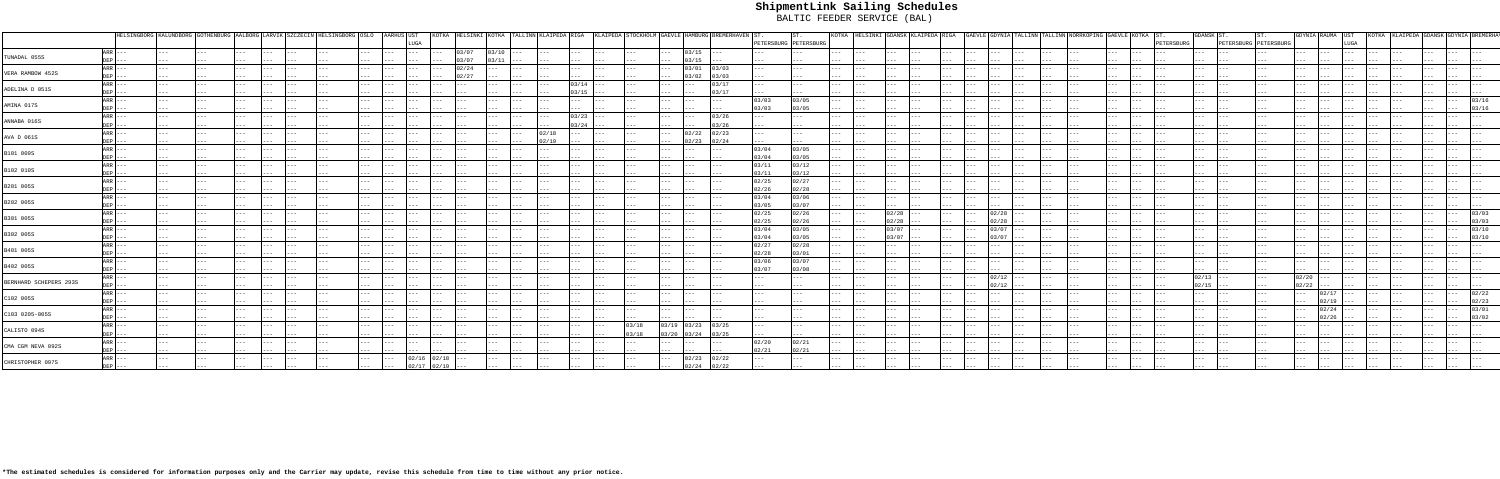|                        | HELSINGBORG KALUNDBORG |       | OTHENBURG   AALBORG   LARVIK | ZCZECIN HELSINGBORG |      | AARHUS UST   |               | KOTKA HELSINKI KOTKA                  |                                                                                                                                                                                                                                                                                                                                                                                              | TALLINN KLAIPEDA RIGA KLAIPEDA STOCKHOLM GAEVLE HAMBURG BREMERHAVEN                                                                                                                                                                                                                                                                                                                                   |       |        |                |                |                |                       |       | KOTKA HELSINKI |                                                                                                                                                                                                                                                                                                                                                                                              | GDANSK KLAIPEDA RIGA |                 |       | GAEVLE GDYNIA TALLINN TALLINN NORRKOPING GAEVLE KOTKA ST. |  |            | <b>FDANSK</b>  |                       |                      | DYNIA RAUMA    | ОТКА         | KLAIPEDA G |  |
|------------------------|------------------------|-------|------------------------------|---------------------|------|--------------|---------------|---------------------------------------|----------------------------------------------------------------------------------------------------------------------------------------------------------------------------------------------------------------------------------------------------------------------------------------------------------------------------------------------------------------------------------------------|-------------------------------------------------------------------------------------------------------------------------------------------------------------------------------------------------------------------------------------------------------------------------------------------------------------------------------------------------------------------------------------------------------|-------|--------|----------------|----------------|----------------|-----------------------|-------|----------------|----------------------------------------------------------------------------------------------------------------------------------------------------------------------------------------------------------------------------------------------------------------------------------------------------------------------------------------------------------------------------------------------|----------------------|-----------------|-------|-----------------------------------------------------------|--|------------|----------------|-----------------------|----------------------|----------------|--------------|------------|--|
|                        |                        |       |                              |                     |      | LIIGA        |               |                                       |                                                                                                                                                                                                                                                                                                                                                                                              |                                                                                                                                                                                                                                                                                                                                                                                                       |       |        |                |                |                | PETERSBURG PETERSBURG |       |                |                                                                                                                                                                                                                                                                                                                                                                                              |                      |                 |       |                                                           |  | PETERSBURG |                | PETERSBURG PETERSBURG |                      |                | <b>APIT.</b> |            |  |
| TUNADAL 055S           | $ARR$ $---$            |       |                              | $- -$               | $--$ | $- - -$      | $\frac{1}{2}$ | 03/07<br>$03/10$ ---<br>3/07<br>03/11 | $\frac{1}{2} \frac{1}{2} \frac{1}{2} \frac{1}{2} \frac{1}{2} \frac{1}{2} \frac{1}{2} \frac{1}{2} \frac{1}{2} \frac{1}{2} \frac{1}{2} \frac{1}{2} \frac{1}{2} \frac{1}{2} \frac{1}{2} \frac{1}{2} \frac{1}{2} \frac{1}{2} \frac{1}{2} \frac{1}{2} \frac{1}{2} \frac{1}{2} \frac{1}{2} \frac{1}{2} \frac{1}{2} \frac{1}{2} \frac{1}{2} \frac{1}{2} \frac{1}{2} \frac{1}{2} \frac{1}{2} \frac{$ | $- - -$                                                                                                                                                                                                                                                                                                                                                                                               |       | $---$  | 03/15<br>03/15 |                |                |                       | $- -$ | $---$          |                                                                                                                                                                                                                                                                                                                                                                                              |                      | $- -$           |       | $- -$<br>$---$                                            |  | $- - -$    |                |                       | $--$                 |                |              |            |  |
| VERA RAMBOW 452S       | $ARR$ $---$            |       |                              |                     |      |              |               | 02/24<br>$---$<br>2/27                |                                                                                                                                                                                                                                                                                                                                                                                              |                                                                                                                                                                                                                                                                                                                                                                                                       |       | $---$  | 03/01<br>03/02 | 03/03<br>03/03 |                |                       |       |                | $  -$                                                                                                                                                                                                                                                                                                                                                                                        |                      |                 |       |                                                           |  |            |                |                       |                      |                |              |            |  |
| ADELINA D 051S         | $ARR$ $---$            |       |                              |                     |      |              |               | $---$                                 | $---$                                                                                                                                                                                                                                                                                                                                                                                        | $03/14$ $---$                                                                                                                                                                                                                                                                                                                                                                                         |       | $---$  |                | 03/17          |                |                       | $ -$  | $- - -$        | $---$                                                                                                                                                                                                                                                                                                                                                                                        |                      | $- -$           |       | $-$                                                       |  |            |                |                       |                      |                |              |            |  |
|                        | $ARR$ $---$            | $- -$ |                              |                     |      |              |               |                                       |                                                                                                                                                                                                                                                                                                                                                                                              | 03/15<br>$\frac{1}{2} \frac{1}{2} \frac{1}{2} \frac{1}{2} \frac{1}{2} \frac{1}{2} \frac{1}{2} \frac{1}{2} \frac{1}{2} \frac{1}{2} \frac{1}{2} \frac{1}{2} \frac{1}{2} \frac{1}{2} \frac{1}{2} \frac{1}{2} \frac{1}{2} \frac{1}{2} \frac{1}{2} \frac{1}{2} \frac{1}{2} \frac{1}{2} \frac{1}{2} \frac{1}{2} \frac{1}{2} \frac{1}{2} \frac{1}{2} \frac{1}{2} \frac{1}{2} \frac{1}{2} \frac{1}{2} \frac{$ |       | $---$  | $---$          | 03/17<br>$---$ | 03/03          | 03/05                 |       |                | $\frac{1}{2} \frac{1}{2} \frac{1}{2} \frac{1}{2} \frac{1}{2} \frac{1}{2} \frac{1}{2} \frac{1}{2} \frac{1}{2} \frac{1}{2} \frac{1}{2} \frac{1}{2} \frac{1}{2} \frac{1}{2} \frac{1}{2} \frac{1}{2} \frac{1}{2} \frac{1}{2} \frac{1}{2} \frac{1}{2} \frac{1}{2} \frac{1}{2} \frac{1}{2} \frac{1}{2} \frac{1}{2} \frac{1}{2} \frac{1}{2} \frac{1}{2} \frac{1}{2} \frac{1}{2} \frac{1}{2} \frac{$ |                      |                 |       |                                                           |  |            |                |                       |                      |                |              |            |  |
| AMINA 017S             |                        |       |                              |                     |      |              |               |                                       |                                                                                                                                                                                                                                                                                                                                                                                              |                                                                                                                                                                                                                                                                                                                                                                                                       |       |        |                |                | 13/03          | 3/05                  |       |                |                                                                                                                                                                                                                                                                                                                                                                                              |                      |                 |       |                                                           |  |            |                |                       |                      |                |              |            |  |
| ANNABA 016S            | $ARR$ $---$            |       |                              |                     |      |              |               |                                       | $---$                                                                                                                                                                                                                                                                                                                                                                                        | $03/23$ $---$<br>03/24                                                                                                                                                                                                                                                                                                                                                                                |       | $- -$  |                | 03/26<br>03/26 |                |                       |       |                |                                                                                                                                                                                                                                                                                                                                                                                              |                      | $- -$           |       |                                                           |  | $- -$      |                |                       |                      |                |              |            |  |
| AVA D 061S             | $ARR$ $---$            |       |                              |                     |      |              |               | $---$                                 | 02/18<br>02/19                                                                                                                                                                                                                                                                                                                                                                               | $---$<br>$- -$                                                                                                                                                                                                                                                                                                                                                                                        |       | $---$  | 02/22<br>02/23 | 02/23<br>02/24 |                |                       |       |                | $---$                                                                                                                                                                                                                                                                                                                                                                                        |                      |                 |       |                                                           |  |            |                |                       |                      |                |              |            |  |
| B101 009S              | $ARR$ $---$            |       |                              |                     |      |              |               | $- - -$                               | $---$                                                                                                                                                                                                                                                                                                                                                                                        | $---$<br>$- - -$                                                                                                                                                                                                                                                                                                                                                                                      |       | $---$  |                | $---$          | 03/04<br>03/04 | 03/05<br>13/05        |       | $---$          | $---$                                                                                                                                                                                                                                                                                                                                                                                        |                      |                 |       |                                                           |  | $- -$      |                |                       |                      |                |              |            |  |
| B102 010S              | $ARR$ $---$            |       |                              |                     |      |              |               |                                       |                                                                                                                                                                                                                                                                                                                                                                                              |                                                                                                                                                                                                                                                                                                                                                                                                       |       |        |                |                | 03/11<br>3/11  | 03/12<br>3/12         |       |                |                                                                                                                                                                                                                                                                                                                                                                                              |                      |                 |       |                                                           |  |            |                |                       |                      |                |              |            |  |
| B201 005S              | $ARR$ $---$            |       |                              |                     |      |              |               | $- - -$                               | $-- -$                                                                                                                                                                                                                                                                                                                                                                                       |                                                                                                                                                                                                                                                                                                                                                                                                       |       |        |                |                | 02/25          | 02/27                 |       | $---$          |                                                                                                                                                                                                                                                                                                                                                                                              |                      | $-$             |       |                                                           |  |            |                |                       |                      |                |              |            |  |
| B202 005S              | $ARR$ $---$            |       |                              |                     |      |              |               |                                       |                                                                                                                                                                                                                                                                                                                                                                                              |                                                                                                                                                                                                                                                                                                                                                                                                       |       |        |                |                | 02/26<br>03/04 | 2/28<br>03/06         |       |                |                                                                                                                                                                                                                                                                                                                                                                                              |                      |                 |       |                                                           |  |            |                |                       |                      |                |              |            |  |
|                        | $ARR$ $---$            |       |                              |                     |      |              |               |                                       |                                                                                                                                                                                                                                                                                                                                                                                              |                                                                                                                                                                                                                                                                                                                                                                                                       |       |        |                |                | 03/05<br>02/25 | 13/07<br>02/26        | $ -$  | $---$          | 02/28                                                                                                                                                                                                                                                                                                                                                                                        |                      | $- -$           | 02/28 |                                                           |  |            |                |                       |                      |                |              |            |  |
| B301 005S              |                        |       |                              |                     |      |              |               |                                       |                                                                                                                                                                                                                                                                                                                                                                                              |                                                                                                                                                                                                                                                                                                                                                                                                       |       |        |                |                | 02/25          | 2/26                  |       |                | 02/28                                                                                                                                                                                                                                                                                                                                                                                        |                      |                 | 2/28  |                                                           |  |            |                |                       |                      |                |              |            |  |
| B302 005S              | $ARR$ $---$            |       |                              |                     |      |              |               |                                       |                                                                                                                                                                                                                                                                                                                                                                                              |                                                                                                                                                                                                                                                                                                                                                                                                       |       |        |                |                | 03/04<br>ገ3/በ4 | 03/05<br>3/05         |       |                | 03/07<br>03/07                                                                                                                                                                                                                                                                                                                                                                               |                      |                 | 03/07 |                                                           |  |            |                |                       |                      |                |              |            |  |
| B401 005S              | $ARR$ $---$            |       |                              |                     |      |              |               |                                       |                                                                                                                                                                                                                                                                                                                                                                                              |                                                                                                                                                                                                                                                                                                                                                                                                       |       |        |                |                | 02/27<br>02/28 | 02/28<br>03/01        | $ -$  |                | $\frac{1}{2} \frac{1}{2} \frac{1}{2} \frac{1}{2} \frac{1}{2} \frac{1}{2} \frac{1}{2} \frac{1}{2} \frac{1}{2} \frac{1}{2} \frac{1}{2} \frac{1}{2} \frac{1}{2} \frac{1}{2} \frac{1}{2} \frac{1}{2} \frac{1}{2} \frac{1}{2} \frac{1}{2} \frac{1}{2} \frac{1}{2} \frac{1}{2} \frac{1}{2} \frac{1}{2} \frac{1}{2} \frac{1}{2} \frac{1}{2} \frac{1}{2} \frac{1}{2} \frac{1}{2} \frac{1}{2} \frac{$ |                      | $-$             |       |                                                           |  |            |                |                       |                      |                |              |            |  |
| B402 005S              | $ARR$ $---$            |       |                              |                     |      |              |               |                                       |                                                                                                                                                                                                                                                                                                                                                                                              |                                                                                                                                                                                                                                                                                                                                                                                                       |       |        |                |                | 03/06<br>13/07 | 03/07<br>13/08        |       |                |                                                                                                                                                                                                                                                                                                                                                                                              |                      | $-$             |       |                                                           |  |            |                |                       |                      |                |              |            |  |
| BERNHARD SCHEPERS 293S | $ARR$ $---$            |       |                              |                     |      |              |               | $- -$                                 |                                                                                                                                                                                                                                                                                                                                                                                              |                                                                                                                                                                                                                                                                                                                                                                                                       |       | $---$  |                |                |                |                       | $- -$ |                | $\frac{1}{2} \frac{1}{2} \frac{1}{2} \frac{1}{2} \frac{1}{2} \frac{1}{2} \frac{1}{2} \frac{1}{2} \frac{1}{2} \frac{1}{2} \frac{1}{2} \frac{1}{2} \frac{1}{2} \frac{1}{2} \frac{1}{2} \frac{1}{2} \frac{1}{2} \frac{1}{2} \frac{1}{2} \frac{1}{2} \frac{1}{2} \frac{1}{2} \frac{1}{2} \frac{1}{2} \frac{1}{2} \frac{1}{2} \frac{1}{2} \frac{1}{2} \frac{1}{2} \frac{1}{2} \frac{1}{2} \frac{$ |                      | $- -$           | 02/12 | $- -$<br>$- -$                                            |  | $- -$      | 02/13<br>02/15 |                       | $02/20$ ---<br>02/22 |                | $---$        |            |  |
| C102 005S              | $ARR$ $---$            | $--$  |                              |                     |      | $ -$         |               | $--$                                  | --- -                                                                                                                                                                                                                                                                                                                                                                                        | $- -$                                                                                                                                                                                                                                                                                                                                                                                                 |       | $-- -$ |                |                |                | $ -$                  | $--$  | $-- -$         | $\frac{1}{2} \frac{1}{2} \frac{1}{2} \frac{1}{2} \frac{1}{2} \frac{1}{2} \frac{1}{2} \frac{1}{2} \frac{1}{2} \frac{1}{2} \frac{1}{2} \frac{1}{2} \frac{1}{2} \frac{1}{2} \frac{1}{2} \frac{1}{2} \frac{1}{2} \frac{1}{2} \frac{1}{2} \frac{1}{2} \frac{1}{2} \frac{1}{2} \frac{1}{2} \frac{1}{2} \frac{1}{2} \frac{1}{2} \frac{1}{2} \frac{1}{2} \frac{1}{2} \frac{1}{2} \frac{1}{2} \frac{$ |                      | $-$<br>$- - -$  |       | $-$                                                       |  | $- -$      |                |                       |                      | 02/17<br>12/19 |              |            |  |
| C103 0205-005S         | $ARR$ $---$            | $- -$ |                              |                     |      |              |               | $---$                                 |                                                                                                                                                                                                                                                                                                                                                                                              | $---$                                                                                                                                                                                                                                                                                                                                                                                                 |       | $---$  |                |                |                |                       | $---$ |                | $\frac{1}{2} \frac{1}{2} \frac{1}{2} \frac{1}{2} \frac{1}{2} \frac{1}{2} \frac{1}{2} \frac{1}{2} \frac{1}{2} \frac{1}{2} \frac{1}{2} \frac{1}{2} \frac{1}{2} \frac{1}{2} \frac{1}{2} \frac{1}{2} \frac{1}{2} \frac{1}{2} \frac{1}{2} \frac{1}{2} \frac{1}{2} \frac{1}{2} \frac{1}{2} \frac{1}{2} \frac{1}{2} \frac{1}{2} \frac{1}{2} \frac{1}{2} \frac{1}{2} \frac{1}{2} \frac{1}{2} \frac{$ |                      | $- -$           |       | $- - -$<br>$ -$                                           |  | $- - -$    |                |                       | $--$                 | $02/24$ ---    | $- - -$      |            |  |
| CALISTO 094S           | $ARR$ $---$            |       | $- -$                        |                     |      |              |               | $--$                                  | $---$                                                                                                                                                                                                                                                                                                                                                                                        | $\frac{1}{2} \frac{1}{2} \frac{1}{2} \frac{1}{2} \frac{1}{2} \frac{1}{2} \frac{1}{2} \frac{1}{2} \frac{1}{2} \frac{1}{2} \frac{1}{2} \frac{1}{2} \frac{1}{2} \frac{1}{2} \frac{1}{2} \frac{1}{2} \frac{1}{2} \frac{1}{2} \frac{1}{2} \frac{1}{2} \frac{1}{2} \frac{1}{2} \frac{1}{2} \frac{1}{2} \frac{1}{2} \frac{1}{2} \frac{1}{2} \frac{1}{2} \frac{1}{2} \frac{1}{2} \frac{1}{2} \frac{$          | 03/18 |        | $03/19$ 03/23  | 03/25          |                |                       | $- -$ |                | $\frac{1}{2} \frac{1}{2} \frac{1}{2} \frac{1}{2} \frac{1}{2} \frac{1}{2} \frac{1}{2} \frac{1}{2} \frac{1}{2} \frac{1}{2} \frac{1}{2} \frac{1}{2} \frac{1}{2} \frac{1}{2} \frac{1}{2} \frac{1}{2} \frac{1}{2} \frac{1}{2} \frac{1}{2} \frac{1}{2} \frac{1}{2} \frac{1}{2} \frac{1}{2} \frac{1}{2} \frac{1}{2} \frac{1}{2} \frac{1}{2} \frac{1}{2} \frac{1}{2} \frac{1}{2} \frac{1}{2} \frac{$ |                      | $- -$           |       |                                                           |  | $---$      |                |                       |                      | $---$          | $- -$        |            |  |
| CMA CGM NEVA 092S      | $ARR$ $---$            |       | $- -$                        |                     |      | $ -$         |               | $- - -$                               |                                                                                                                                                                                                                                                                                                                                                                                              | $---$                                                                                                                                                                                                                                                                                                                                                                                                 | 03/18 | $---$  | $03/20$ 03/24  | 03/25<br>$---$ | 02/20          | 02/21                 | $- -$ |                | $\qquad \qquad - - -$                                                                                                                                                                                                                                                                                                                                                                        |                      | $- -$<br>$-- -$ |       | $ -$<br>$---$                                             |  |            |                |                       |                      |                |              |            |  |
| CHRISTOPHER 097S       | $ARR$ $---$            |       |                              |                     |      | 02/16<br>117 | $02/18$ ---   | $---$                                 |                                                                                                                                                                                                                                                                                                                                                                                              |                                                                                                                                                                                                                                                                                                                                                                                                       |       | $---$  | 02/23          | 02/22          | 02/21          | 2/21                  |       |                | $\frac{1}{2} \frac{1}{2} \frac{1}{2} \frac{1}{2} \frac{1}{2} \frac{1}{2} \frac{1}{2} \frac{1}{2} \frac{1}{2} \frac{1}{2} \frac{1}{2} \frac{1}{2} \frac{1}{2} \frac{1}{2} \frac{1}{2} \frac{1}{2} \frac{1}{2} \frac{1}{2} \frac{1}{2} \frac{1}{2} \frac{1}{2} \frac{1}{2} \frac{1}{2} \frac{1}{2} \frac{1}{2} \frac{1}{2} \frac{1}{2} \frac{1}{2} \frac{1}{2} \frac{1}{2} \frac{1}{2} \frac{$ |                      |                 |       |                                                           |  |            |                |                       |                      |                |              |            |  |
|                        |                        |       |                              |                     |      |              |               |                                       |                                                                                                                                                                                                                                                                                                                                                                                              |                                                                                                                                                                                                                                                                                                                                                                                                       |       |        | 02/24          |                |                |                       |       |                |                                                                                                                                                                                                                                                                                                                                                                                              |                      |                 |       |                                                           |  |            |                |                       |                      |                |              |            |  |

| GDYNIA                     |                                |
|----------------------------|--------------------------------|
|                            | <b>BREMERHA</b>                |
| $\overline{\phantom{a}}$ . | Ξ.                             |
| ÷                          |                                |
| $---$                      | $ -$                           |
| $ -$                       | $- - -$                        |
| $\overline{a}$             |                                |
| Ç<br>ł,                    | į,                             |
|                            | 03/16                          |
| $\overline{\phantom{a}}$   | 03/16                          |
| ò.                         | $\ddotsc$                      |
| i,<br>$\overline{a}$       | ŀ,<br>$\overline{\phantom{a}}$ |
|                            |                                |
| $\overline{a}$             | $\frac{1}{1}$                  |
|                            | Ι,                             |
| $\overline{a}$             | $\overline{a}$                 |
| ÷                          | $\equiv$                       |
| $ -$                       | $\overline{a}$                 |
|                            | Ç                              |
| $\overline{a}$             | $\overline{a}$                 |
|                            |                                |
| $-1$<br>$ -$               | $---$                          |
|                            | 03/03                          |
|                            | 03/03                          |
| $\overline{a}$             | 03/10                          |
|                            | 03/10                          |
| $ -$                       | $ -$                           |
|                            | $\frac{1}{1}$                  |
| Ξ.                         |                                |
| $- - \cdot$                | $\equiv$                       |
| J.                         |                                |
| Ë                          | $\equiv$                       |
|                            | 02/22                          |
|                            | 02/23                          |
| $\overline{a}$             | 03/01                          |
| į,                         | 03/02                          |
| $\overline{a}$             | $ -$                           |
| J,<br>J,                   | i,                             |
|                            | $\overline{\phantom{a}}$       |
|                            | J,                             |
|                            |                                |
| Ç                          |                                |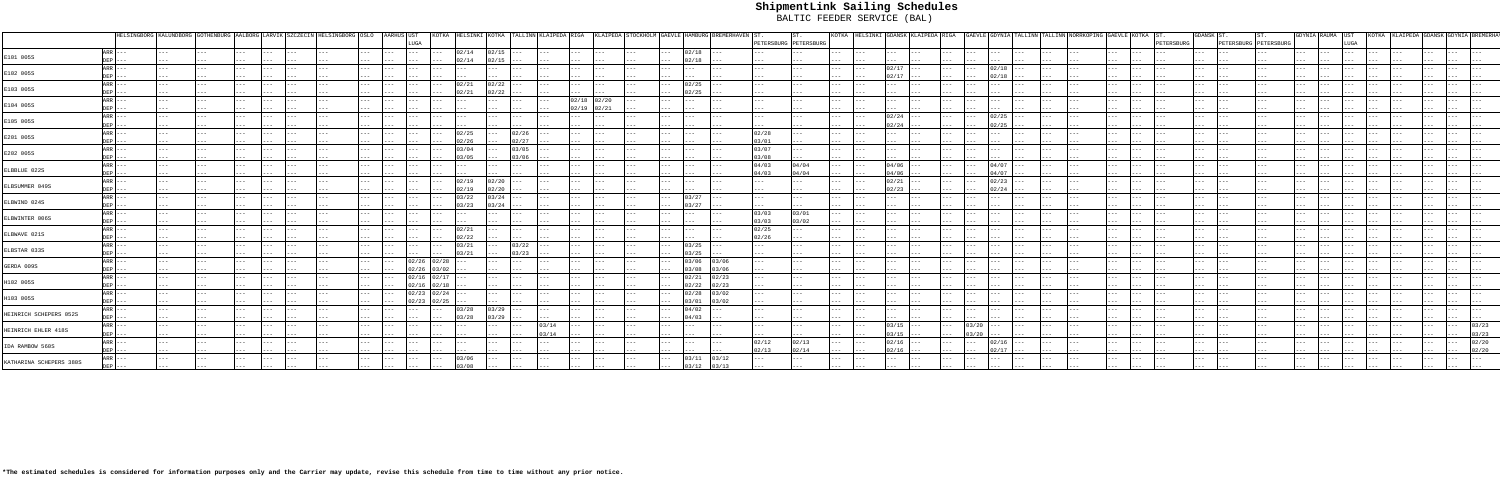|                         |             | HELSINGBORG KALUNDBORG | GOTHENBURG 1 | <b>AALBORG LARVIK</b> | SZCZECIN | HELSINGBORG |       |               | KOTKA I                     | HELSINKI KOTKA |                                                                                                                                                                                                                                                                                                                                                                                              | TALLINN KLAIPEDA RIGA                                                                                                                                                                                                                                                                                                                                                                        |               |       |       |                       | KLAIPEDA STOCKHOLM GAEVLE HAMBURG BREMERHAVEN |                |                       |       | KOTKA HELSINKI |                                                                                                                                                                                                                                                                                                                                                                                              | GDANSK IKLAIPEDA IRIGA |             |                         |       |         | GAEVLE GDYNIA TALLINN TALLINN NORRKOPING GAEVLE KOTKA |         |            | GDANSK |                       | DYNIA RAUMA |              | KOTKA | KLAIPEDA O |
|-------------------------|-------------|------------------------|--------------|-----------------------|----------|-------------|-------|---------------|-----------------------------|----------------|----------------------------------------------------------------------------------------------------------------------------------------------------------------------------------------------------------------------------------------------------------------------------------------------------------------------------------------------------------------------------------------------|----------------------------------------------------------------------------------------------------------------------------------------------------------------------------------------------------------------------------------------------------------------------------------------------------------------------------------------------------------------------------------------------|---------------|-------|-------|-----------------------|-----------------------------------------------|----------------|-----------------------|-------|----------------|----------------------------------------------------------------------------------------------------------------------------------------------------------------------------------------------------------------------------------------------------------------------------------------------------------------------------------------------------------------------------------------------|------------------------|-------------|-------------------------|-------|---------|-------------------------------------------------------|---------|------------|--------|-----------------------|-------------|--------------|-------|------------|
|                         |             |                        |              |                       |          |             |       | LUGA          |                             |                |                                                                                                                                                                                                                                                                                                                                                                                              |                                                                                                                                                                                                                                                                                                                                                                                              |               |       |       |                       |                                               |                | PETERSBURG PETERSBURG |       |                |                                                                                                                                                                                                                                                                                                                                                                                              |                        |             |                         |       |         |                                                       |         | PETERSBURG |        | PETERSBURG PETERSBURG |             | <b>APIT.</b> |       |            |
| E101 005S               | $ARR$ $---$ |                        |              |                       |          |             |       | $- -$         | 02/14<br>/14                | 12/15          | $02/15$ $---$                                                                                                                                                                                                                                                                                                                                                                                | $\frac{1}{2} \frac{1}{2} \frac{1}{2} \frac{1}{2} \frac{1}{2} \frac{1}{2} \frac{1}{2} \frac{1}{2} \frac{1}{2} \frac{1}{2} \frac{1}{2} \frac{1}{2} \frac{1}{2} \frac{1}{2} \frac{1}{2} \frac{1}{2} \frac{1}{2} \frac{1}{2} \frac{1}{2} \frac{1}{2} \frac{1}{2} \frac{1}{2} \frac{1}{2} \frac{1}{2} \frac{1}{2} \frac{1}{2} \frac{1}{2} \frac{1}{2} \frac{1}{2} \frac{1}{2} \frac{1}{2} \frac{$ |               |       |       | 02/18<br>02/18        |                                               |                |                       | $--$  |                | $\frac{1}{2} \frac{1}{2} \frac{1}{2} \frac{1}{2} \frac{1}{2} \frac{1}{2} \frac{1}{2} \frac{1}{2} \frac{1}{2} \frac{1}{2} \frac{1}{2} \frac{1}{2} \frac{1}{2} \frac{1}{2} \frac{1}{2} \frac{1}{2} \frac{1}{2} \frac{1}{2} \frac{1}{2} \frac{1}{2} \frac{1}{2} \frac{1}{2} \frac{1}{2} \frac{1}{2} \frac{1}{2} \frac{1}{2} \frac{1}{2} \frac{1}{2} \frac{1}{2} \frac{1}{2} \frac{1}{2} \frac{$ |                        | ---         | $- -$                   | $- -$ |         |                                                       |         |            |        |                       |             |              |       |            |
| E102 005S               | $ARR$ $---$ |                        |              |                       |          |             |       |               |                             |                |                                                                                                                                                                                                                                                                                                                                                                                              |                                                                                                                                                                                                                                                                                                                                                                                              |               |       |       |                       |                                               |                |                       |       |                | $02/17$ $---$                                                                                                                                                                                                                                                                                                                                                                                |                        | $---$       | 02/18<br>$- -$          | $- -$ | $---$   |                                                       |         |            |        |                       |             |              |       |            |
|                         |             |                        |              |                       |          |             |       |               |                             |                |                                                                                                                                                                                                                                                                                                                                                                                              |                                                                                                                                                                                                                                                                                                                                                                                              |               |       |       |                       |                                               |                |                       |       |                | 02/17                                                                                                                                                                                                                                                                                                                                                                                        |                        |             | 02/18                   |       |         |                                                       |         |            |        |                       |             |              |       |            |
| E103 005S               | $ARR$ $---$ |                        |              |                       |          |             |       |               | 2/21<br>121                 | 2122           | $02/22$ $---$                                                                                                                                                                                                                                                                                                                                                                                |                                                                                                                                                                                                                                                                                                                                                                                              |               |       | $- -$ | 02/25                 |                                               |                |                       |       |                | $- - -$                                                                                                                                                                                                                                                                                                                                                                                      |                        | $- - -$     | $- -$                   | $-$   |         |                                                       |         |            |        |                       |             |              |       |            |
| E104 005S               | $ARR$ $---$ | $---$                  |              |                       |          |             |       |               |                             | $- -$          |                                                                                                                                                                                                                                                                                                                                                                                              |                                                                                                                                                                                                                                                                                                                                                                                              | $02/18$ 02/20 |       |       |                       |                                               |                |                       |       |                | $\frac{1}{2} \frac{1}{2} \frac{1}{2} \frac{1}{2} \frac{1}{2} \frac{1}{2} \frac{1}{2} \frac{1}{2} \frac{1}{2} \frac{1}{2} \frac{1}{2} \frac{1}{2} \frac{1}{2} \frac{1}{2} \frac{1}{2} \frac{1}{2} \frac{1}{2} \frac{1}{2} \frac{1}{2} \frac{1}{2} \frac{1}{2} \frac{1}{2} \frac{1}{2} \frac{1}{2} \frac{1}{2} \frac{1}{2} \frac{1}{2} \frac{1}{2} \frac{1}{2} \frac{1}{2} \frac{1}{2} \frac{$ |                        | $- -$       | $ -$                    |       |         |                                                       |         |            |        |                       |             |              |       |            |
|                         |             |                        |              |                       |          |             |       |               |                             |                |                                                                                                                                                                                                                                                                                                                                                                                              |                                                                                                                                                                                                                                                                                                                                                                                              | 02/19         |       |       |                       |                                               |                |                       |       |                |                                                                                                                                                                                                                                                                                                                                                                                              |                        |             |                         |       |         |                                                       |         |            |        |                       |             |              |       |            |
| E105 005S               | $ARR$ $---$ |                        |              |                       |          |             |       |               |                             |                |                                                                                                                                                                                                                                                                                                                                                                                              |                                                                                                                                                                                                                                                                                                                                                                                              |               |       |       |                       |                                               |                |                       |       |                | $02/24$ $---$<br>$02/24$ $-$                                                                                                                                                                                                                                                                                                                                                                 |                        | $- - -$     | 02/25<br>$- -$<br>2/25  | $ -$  |         |                                                       |         | $- -$      |        |                       |             |              |       |            |
| E201 005S               | $ARR$ $---$ |                        |              |                       |          |             |       |               | 2/25                        |                | 02/26                                                                                                                                                                                                                                                                                                                                                                                        |                                                                                                                                                                                                                                                                                                                                                                                              |               |       |       |                       |                                               | 02/28          |                       |       |                | $- - -$                                                                                                                                                                                                                                                                                                                                                                                      | $---$                  | $- - -$     | $ -$                    | $- -$ |         |                                                       |         |            |        |                       |             |              |       |            |
|                         | $ARR$ $---$ |                        |              |                       |          |             |       | $\sim$        | /26<br>03/04                |                | 02/27<br>03/05                                                                                                                                                                                                                                                                                                                                                                               |                                                                                                                                                                                                                                                                                                                                                                                              |               | $---$ |       |                       |                                               | 03/01<br>03/07 |                       | $ -$  | $---$          | $---$                                                                                                                                                                                                                                                                                                                                                                                        | $- -$                  | $- - -$     | $- -$                   | $ -$  |         |                                                       |         | $- -$      |        |                       |             |              |       |            |
| E202 005S               | $ARR$ $---$ | $-- -$                 |              |                       |          |             |       |               | 3/05                        |                | 03/06                                                                                                                                                                                                                                                                                                                                                                                        |                                                                                                                                                                                                                                                                                                                                                                                              |               |       |       |                       |                                               | 13/08<br>04/03 | 04/04                 |       |                | $04/06$ $---$                                                                                                                                                                                                                                                                                                                                                                                |                        | $- - -$     | 04/07<br>$- -$          | $ -$  |         |                                                       |         | $- - -$    |        |                       |             |              |       |            |
| ELBBLUE 022S            |             |                        |              |                       |          |             |       |               |                             |                |                                                                                                                                                                                                                                                                                                                                                                                              |                                                                                                                                                                                                                                                                                                                                                                                              |               |       |       |                       |                                               | 04/03          | 04/04                 |       |                | 04/06                                                                                                                                                                                                                                                                                                                                                                                        |                        |             | 14/07                   |       |         |                                                       |         |            |        |                       |             |              |       |            |
| ELBSUMMER 049S          | $ARR$ ---   |                        |              |                       |          |             |       |               | 2/19<br>/19                 | $02/20$ ---    |                                                                                                                                                                                                                                                                                                                                                                                              |                                                                                                                                                                                                                                                                                                                                                                                              |               |       |       |                       |                                               |                |                       | $ -$  | $---$          | 02/21<br>02/23                                                                                                                                                                                                                                                                                                                                                                               |                        | $---$       | 02/23<br>$- -$<br>02/24 | $- -$ | $---$   |                                                       |         | $- - -$    |        |                       |             | $---$        |       |            |
| ELBWIND 024S            | $ARR$ $---$ |                        |              |                       |          |             |       |               | 3/22                        | $03/24$ ---    |                                                                                                                                                                                                                                                                                                                                                                                              |                                                                                                                                                                                                                                                                                                                                                                                              |               |       |       | 03/27                 |                                               |                |                       |       |                | $---$                                                                                                                                                                                                                                                                                                                                                                                        |                        |             |                         |       |         |                                                       |         |            |        |                       |             |              |       |            |
|                         |             |                        |              |                       |          |             |       |               | 3/23                        | 3/24<br>$--$   |                                                                                                                                                                                                                                                                                                                                                                                              |                                                                                                                                                                                                                                                                                                                                                                                              |               |       |       | 03/27                 |                                               | 03/03          | 03/01                 |       |                | --- -                                                                                                                                                                                                                                                                                                                                                                                        |                        | $- - -$     | $- -$                   | $ -$  |         |                                                       |         | $- -$      |        |                       |             |              |       |            |
| ELBWINTER 006S          |             |                        |              |                       |          |             |       |               |                             |                |                                                                                                                                                                                                                                                                                                                                                                                              |                                                                                                                                                                                                                                                                                                                                                                                              |               |       |       |                       |                                               | 03/03          | 3/02                  |       |                |                                                                                                                                                                                                                                                                                                                                                                                              |                        |             |                         |       |         |                                                       |         |            |        |                       |             |              |       |            |
| ELBWAVE 021S            |             |                        |              |                       |          |             |       |               | 02/21<br>122                |                |                                                                                                                                                                                                                                                                                                                                                                                              |                                                                                                                                                                                                                                                                                                                                                                                              |               |       |       |                       |                                               | 02/25<br>2/26  |                       |       |                |                                                                                                                                                                                                                                                                                                                                                                                              |                        |             | $- -$                   |       |         |                                                       |         | $---$      |        |                       |             |              |       |            |
| ELBSTAR 033S            | $APR$ $---$ |                        |              |                       |          |             |       | $-$           | 03/21<br>$- -$<br>3/21      |                | 03/22                                                                                                                                                                                                                                                                                                                                                                                        |                                                                                                                                                                                                                                                                                                                                                                                              | $---$         |       | $- -$ | 03/25<br>0.3/2.5      |                                               | $- -$          |                       | $ -$  |                | $---$                                                                                                                                                                                                                                                                                                                                                                                        |                        | $- - -$     | $- -$                   | $ -$  |         |                                                       |         | $- - -$    |        |                       |             |              |       |            |
|                         | $ARR$ $---$ |                        |              |                       |          |             |       | $02/26$ 02/28 | $---$                       | $--$           | 03/23<br>$\frac{1}{2}$                                                                                                                                                                                                                                                                                                                                                                       |                                                                                                                                                                                                                                                                                                                                                                                              |               |       |       | 03/06                 | 03/06                                         |                |                       |       |                | $---$                                                                                                                                                                                                                                                                                                                                                                                        |                        |             | $- -$                   |       |         |                                                       |         | $- -$      |        |                       |             |              |       |            |
| GERDA 009S              | $APR$ $---$ |                        |              |                       |          |             |       | 2/26<br>02/16 | 3/02<br>02/17               | $- -$          |                                                                                                                                                                                                                                                                                                                                                                                              |                                                                                                                                                                                                                                                                                                                                                                                              |               |       |       | <b>RN/SI</b><br>02/21 | 03/06<br>02/23                                |                |                       |       |                | $- - -$                                                                                                                                                                                                                                                                                                                                                                                      |                        | $- - -$     | $- -$                   | $-$   | $---$   |                                                       |         | $- - -$    |        |                       |             |              |       |            |
| H102 005S               |             |                        |              |                       |          |             |       |               |                             |                |                                                                                                                                                                                                                                                                                                                                                                                              |                                                                                                                                                                                                                                                                                                                                                                                              |               |       |       | 02/22                 | 02/23                                         |                |                       |       |                |                                                                                                                                                                                                                                                                                                                                                                                              |                        |             |                         |       |         |                                                       |         |            |        |                       |             |              |       |            |
| H103 005S               | $ARR$ $---$ |                        |              | $--$                  |          |             | $- -$ | 2/23          | $02/23$ $02/24$ ---<br>2/25 | $---$          | $---$                                                                                                                                                                                                                                                                                                                                                                                        | ----                                                                                                                                                                                                                                                                                                                                                                                         | --- -         |       | $--$  | 02/28<br>03/01        | 03/02<br>03/02                                |                |                       | $- -$ | ---            | $\qquad \qquad - - -$                                                                                                                                                                                                                                                                                                                                                                        | $-- -$                 | $---$       | $- -$                   | $- -$ | $-- -$  |                                                       |         | $---$      |        |                       |             |              |       |            |
| HEINRICH SCHEPERS 052S  | $ARR$ $---$ | $---$                  |              | $- -$                 |          |             |       | $ -$          | 03/28<br>$- - -$<br>128     | 3/29           | $03/29$ $---$                                                                                                                                                                                                                                                                                                                                                                                | $---$                                                                                                                                                                                                                                                                                                                                                                                        | $- - -$       |       | $- -$ | 04/02<br>04/03        |                                               |                |                       | $- -$ |                | <b>Service</b>                                                                                                                                                                                                                                                                                                                                                                               | $---$                  | $- - -$     | $- -$                   | $ -$  |         |                                                       | $- - -$ | $- -$      |        |                       |             |              |       |            |
|                         | $ARR$ $---$ | $---$                  |              | $- -$                 |          |             | $ -$  | $- -$         | $- -$<br>$ -$               | $--$           | $\frac{1}{2} \frac{1}{2} \frac{1}{2} \frac{1}{2} \frac{1}{2} \frac{1}{2} \frac{1}{2} \frac{1}{2} \frac{1}{2} \frac{1}{2} \frac{1}{2} \frac{1}{2} \frac{1}{2} \frac{1}{2} \frac{1}{2} \frac{1}{2} \frac{1}{2} \frac{1}{2} \frac{1}{2} \frac{1}{2} \frac{1}{2} \frac{1}{2} \frac{1}{2} \frac{1}{2} \frac{1}{2} \frac{1}{2} \frac{1}{2} \frac{1}{2} \frac{1}{2} \frac{1}{2} \frac{1}{2} \frac{$ | 03/14                                                                                                                                                                                                                                                                                                                                                                                        | $- -$         | $---$ |       | $---$                 | $-- -$                                        |                |                       | $--$  |                | $ 03/15 $ ---                                                                                                                                                                                                                                                                                                                                                                                |                        | $--- 03/20$ |                         | $- -$ | $- - -$ |                                                       |         | $- - -$    |        |                       |             |              |       |            |
| HEINRICH EHLER 418S     |             |                        |              |                       |          |             |       |               |                             |                |                                                                                                                                                                                                                                                                                                                                                                                              | 03/14                                                                                                                                                                                                                                                                                                                                                                                        |               |       |       |                       |                                               |                |                       |       |                | 03/15                                                                                                                                                                                                                                                                                                                                                                                        |                        |             | 2/20                    |       |         |                                                       |         |            |        |                       |             |              |       |            |
| IDA RAMBOW 560S         |             |                        |              |                       |          |             |       |               |                             |                |                                                                                                                                                                                                                                                                                                                                                                                              |                                                                                                                                                                                                                                                                                                                                                                                              |               |       |       |                       |                                               | 02/12<br>02/13 | 02/13<br>2/14         |       |                | $02/16$ $---$<br>02/16                                                                                                                                                                                                                                                                                                                                                                       |                        | $---$       | 02/16<br>$- - -$        | $- -$ | $---$   |                                                       |         |            |        |                       |             |              |       |            |
| KATHARINA SCHEPERS 380S |             |                        |              |                       |          |             |       |               | 3/06                        |                |                                                                                                                                                                                                                                                                                                                                                                                              |                                                                                                                                                                                                                                                                                                                                                                                              |               |       |       | 03/11                 | 03/12                                         |                |                       |       |                | $\frac{1}{2} \frac{1}{2} \frac{1}{2} \frac{1}{2} \frac{1}{2} \frac{1}{2} \frac{1}{2} \frac{1}{2} \frac{1}{2} \frac{1}{2} \frac{1}{2} \frac{1}{2} \frac{1}{2} \frac{1}{2} \frac{1}{2} \frac{1}{2} \frac{1}{2} \frac{1}{2} \frac{1}{2} \frac{1}{2} \frac{1}{2} \frac{1}{2} \frac{1}{2} \frac{1}{2} \frac{1}{2} \frac{1}{2} \frac{1}{2} \frac{1}{2} \frac{1}{2} \frac{1}{2} \frac{1}{2} \frac{$ |                        |             |                         |       |         |                                                       |         |            |        |                       |             |              |       |            |
|                         |             |                        |              |                       |          |             |       |               |                             |                |                                                                                                                                                                                                                                                                                                                                                                                              |                                                                                                                                                                                                                                                                                                                                                                                              |               |       |       |                       |                                               |                |                       |       |                |                                                                                                                                                                                                                                                                                                                                                                                              |                        |             |                         |       |         |                                                       |         |            |        |                       |             |              |       |            |

| GDYNIA                   | <b>BREMERHA</b>          |
|--------------------------|--------------------------|
| $\equiv$                 | $ -$                     |
|                          | ŗ,                       |
| $---$                    | $- - -$                  |
| $\equiv$                 | $- -$                    |
| $-$                      | $- -$                    |
|                          |                          |
| $---$                    | $ -$                     |
| $---$                    | $ -$                     |
| $- -$                    | $\overline{\phantom{a}}$ |
| ċ                        | $\equiv$                 |
| $- - -$                  | $ -$                     |
| $-$                      | $\overline{a}$           |
| $---$                    | $- - -$                  |
| Ì.<br>ċ,                 | ŗ,                       |
| $- -$                    | $ -$                     |
| $ -$<br>$- - -$          | $  -$                    |
| i,                       | $---$<br>.,<br>J,        |
| .,<br>$ -$               | $ -$                     |
|                          |                          |
| $\frac{1}{1}$            | $\frac{1}{1}$            |
|                          | į,                       |
| $\overline{a}$           | $\Box$                   |
|                          | $\equiv$                 |
| $\overline{a}$           | $ -$                     |
|                          | J,                       |
| $\overline{\phantom{a}}$ | $\overline{a}$           |
|                          |                          |
| $\equiv$                 | $\equiv$                 |
|                          | þ                        |
| $\overline{\phantom{a}}$ | $\overline{\phantom{a}}$ |
| $\overline{\phantom{a}}$ | $\equiv$                 |
| $\overline{a}$           | $\overline{\phantom{a}}$ |
|                          |                          |
| $\overline{a}$           | 03/23                    |
|                          | 03/23                    |
| $-$                      | 02/20                    |
|                          | 02/20                    |
| --                       |                          |
| $\equiv$                 |                          |
|                          |                          |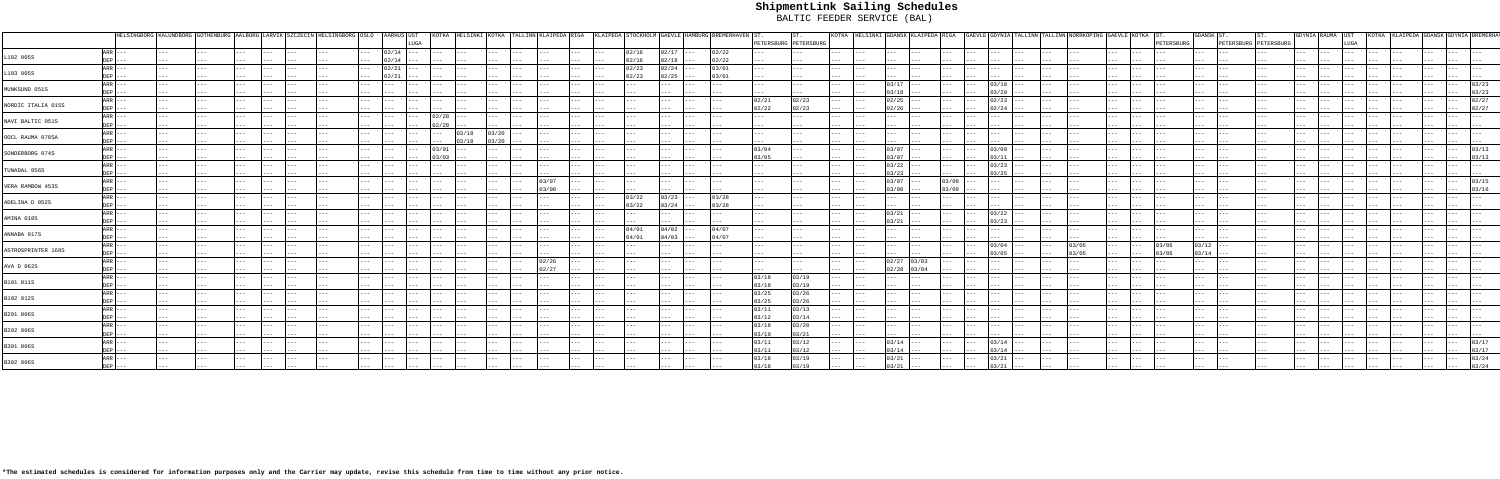|                    | HELSINGBORG KALUNDBORG |       | OTHENBURG | AALBORG LARVIK | ZCZECIN HELSINGBORG | AARHUS UST          |               | KOTKA  HELSINKI KOTKA |       |         | TALLINN KLAIPEDA RIGA |                | KLAIPEDA STOCKHOLM GAEVLE HAMBURG BREMERHAVEN |                |                |                       |       | KOTKA   HELSINKI GDANSK KLAIPEDA RIGA |                                                                                                                                                                                                                                                                                                                                                                                              |         |                       |                        |         | GAEVLE GDYNIA TALLINN TALLINN NORRKOPING GAEVLE KOTKA ST. |                             | <b>GDANSK</b>   |                       | GDYNIA RAUMA | UST          | KOTKA<br>KLAIPEDA G |  |
|--------------------|------------------------|-------|-----------|----------------|---------------------|---------------------|---------------|-----------------------|-------|---------|-----------------------|----------------|-----------------------------------------------|----------------|----------------|-----------------------|-------|---------------------------------------|----------------------------------------------------------------------------------------------------------------------------------------------------------------------------------------------------------------------------------------------------------------------------------------------------------------------------------------------------------------------------------------------|---------|-----------------------|------------------------|---------|-----------------------------------------------------------|-----------------------------|-----------------|-----------------------|--------------|--------------|---------------------|--|
|                    |                        |       |           |                |                     | LUGA                |               |                       |       |         |                       |                |                                               |                |                | PETERSBURG PETERSBURG |       |                                       |                                                                                                                                                                                                                                                                                                                                                                                              |         |                       |                        |         |                                                           | PETERSBURG                  |                 | PETERSBURG PETERSBURG |              | <b>APIT.</b> |                     |  |
| L102 005S          | $ARR$ $---$            |       |           |                |                     | $02/14$ ---<br>2/14 | $-- -$        | $---$<br>$--$         |       | $---$   | --- -                 | 02/16<br>02/16 | 02/17<br>2/18                                 | 02/22<br>02/22 |                |                       | $- -$ |                                       | $\frac{1}{2} \frac{1}{2} \frac{1}{2} \frac{1}{2} \frac{1}{2} \frac{1}{2} \frac{1}{2} \frac{1}{2} \frac{1}{2} \frac{1}{2} \frac{1}{2} \frac{1}{2} \frac{1}{2} \frac{1}{2} \frac{1}{2} \frac{1}{2} \frac{1}{2} \frac{1}{2} \frac{1}{2} \frac{1}{2} \frac{1}{2} \frac{1}{2} \frac{1}{2} \frac{1}{2} \frac{1}{2} \frac{1}{2} \frac{1}{2} \frac{1}{2} \frac{1}{2} \frac{1}{2} \frac{1}{2} \frac{$ | $- - -$ | $- -$                 | $- -$                  | $---$   |                                                           |                             |                 |                       |              |              |                     |  |
|                    | $ARR$ $---$            |       |           |                |                     | 02/21               |               | $---$                 |       |         |                       | 02/23          | $02/24$ $---$                                 | 03/01          |                |                       |       |                                       | $\frac{1}{2} \frac{1}{2} \frac{1}{2} \frac{1}{2} \frac{1}{2} \frac{1}{2} \frac{1}{2} \frac{1}{2} \frac{1}{2} \frac{1}{2} \frac{1}{2} \frac{1}{2} \frac{1}{2} \frac{1}{2} \frac{1}{2} \frac{1}{2} \frac{1}{2} \frac{1}{2} \frac{1}{2} \frac{1}{2} \frac{1}{2} \frac{1}{2} \frac{1}{2} \frac{1}{2} \frac{1}{2} \frac{1}{2} \frac{1}{2} \frac{1}{2} \frac{1}{2} \frac{1}{2} \frac{1}{2} \frac{$ |         |                       |                        |         |                                                           |                             |                 |                       |              |              |                     |  |
| L103 005S          |                        |       |           |                |                     | 2/21                |               |                       |       |         |                       | 02/23          | 02/25                                         | 0.3/0.1        |                |                       |       |                                       |                                                                                                                                                                                                                                                                                                                                                                                              |         |                       |                        |         |                                                           |                             |                 |                       |              |              |                     |  |
| MUNKSUND 051S      | $ARR$ $---$            |       |           |                |                     |                     |               |                       |       |         |                       |                | $---$                                         | $-- -$         |                |                       | $- -$ | $---$                                 | 03/17<br>03/18                                                                                                                                                                                                                                                                                                                                                                               | $- - -$ | $- -$                 | 03/18                  |         |                                                           |                             |                 |                       |              |              |                     |  |
|                    | $ARR$ $---$            | $--$  |           |                |                     |                     |               |                       |       |         |                       |                |                                               |                | 02/21          | 02/23                 | $- -$ |                                       | 02/25                                                                                                                                                                                                                                                                                                                                                                                        | $- - -$ | $- -$                 | 02/23<br>$- -$         |         |                                                           |                             |                 |                       |              |              |                     |  |
| NORDIC ITALIA 015S |                        |       |           |                |                     |                     |               |                       |       |         |                       |                |                                               |                | 2/22           | 2/23                  |       |                                       | 02/26                                                                                                                                                                                                                                                                                                                                                                                        |         |                       |                        |         |                                                           |                             |                 |                       |              |              |                     |  |
| NAVI BALTIC 051S   | $ARR$ $---$            |       |           |                |                     |                     | 02/28<br>2/28 | $---$                 |       | $- - -$ |                       |                | $---$                                         |                |                |                       |       |                                       |                                                                                                                                                                                                                                                                                                                                                                                              |         | $-$                   |                        |         |                                                           | $- -$                       |                 |                       |              |              |                     |  |
|                    | $ARR$ $---$            |       |           |                |                     |                     |               | 3/18                  | 03/20 |         |                       |                |                                               |                |                |                       |       |                                       | $---$                                                                                                                                                                                                                                                                                                                                                                                        |         |                       |                        |         |                                                           |                             |                 |                       |              |              |                     |  |
| OOCL RAUMA 078SA   |                        |       |           |                |                     |                     |               | 1/18<br>3212          |       |         |                       |                |                                               |                |                |                       |       |                                       |                                                                                                                                                                                                                                                                                                                                                                                              |         |                       |                        |         |                                                           |                             |                 |                       |              |              |                     |  |
| SONDERBORG 074S    | $ARR$ $---$            |       |           |                |                     |                     | 03/01<br>3/03 | $- - -$               | $---$ | $---$   |                       |                |                                               |                | 03/04<br>03/05 |                       | $- -$ | $- - -$                               | 03/07<br>03/07                                                                                                                                                                                                                                                                                                                                                                               | $- -$   | 03/09<br>$- -$        | $- -$                  | $---$   |                                                           | $- - -$                     |                 |                       |              |              |                     |  |
| TUNADAL 056S       | $ARR$ $---$            |       |           |                |                     |                     |               | $---$                 |       |         |                       |                |                                               |                |                |                       |       |                                       | $03/22$ $---$                                                                                                                                                                                                                                                                                                                                                                                | $- - -$ |                       | 03/23                  |         |                                                           | $- -$                       |                 |                       |              |              |                     |  |
|                    | $ARR$ $---$            |       |           |                |                     |                     |               | $---$                 |       | 03/07   |                       |                | $-- -$                                        |                |                |                       |       |                                       | 03/23<br>03/07                                                                                                                                                                                                                                                                                                                                                                               | 03/08   | $-$                   | $- -$                  |         |                                                           | $- - -$                     |                 |                       |              |              |                     |  |
| VERA RAMBOW 453S   |                        |       |           |                |                     |                     |               |                       |       | 03/08   |                       |                |                                               |                |                |                       |       |                                       | 03/08                                                                                                                                                                                                                                                                                                                                                                                        | 03/09   |                       |                        |         |                                                           |                             |                 |                       |              |              |                     |  |
| ADELINA D 052S     | $ARR$ $---$            |       |           |                |                     |                     |               |                       |       | $---$   |                       | 03/22<br>03/22 | $03/23$ ---<br>3/24                           | 03/28<br>03/28 |                |                       |       |                                       | $---$                                                                                                                                                                                                                                                                                                                                                                                        | $---$   |                       |                        |         |                                                           |                             |                 |                       |              |              |                     |  |
| AMINA 018S         | $ARR$ $---$            |       |           |                |                     |                     |               |                       |       |         |                       |                | $-- -$                                        | $--$           |                |                       |       |                                       | 03/21<br>03/21                                                                                                                                                                                                                                                                                                                                                                               | $- -$   | ) 3 / 2 2<br>$- -$    |                        |         |                                                           | $- -$                       |                 |                       |              |              |                     |  |
|                    | $ARR$ $---$            |       |           |                |                     |                     |               |                       |       |         |                       | 04/01          | $04/02$ ---                                   | 04/07          |                |                       |       |                                       | $---$                                                                                                                                                                                                                                                                                                                                                                                        |         |                       |                        |         |                                                           |                             |                 |                       |              |              |                     |  |
| ANNABA 017S        |                        |       |           |                |                     |                     |               |                       |       |         |                       | 04/01          | 04/03                                         | 04/07          |                |                       |       |                                       |                                                                                                                                                                                                                                                                                                                                                                                              |         |                       |                        |         |                                                           |                             |                 |                       |              |              |                     |  |
| ASTROSPRINTER 168S | $ARR$ $---$            |       |           |                |                     |                     |               |                       |       |         |                       |                | $-- -$                                        |                |                |                       |       |                                       |                                                                                                                                                                                                                                                                                                                                                                                              |         | 03/04<br>$ -$<br>3/05 |                        |         | 03/05<br>03/05                                            | 03/06<br>$- - -$<br>0.3/0.6 | 03/12<br>0.3/14 |                       |              |              |                     |  |
|                    | $ARR$ $---$            |       |           |                |                     |                     |               |                       |       | 02/26   |                       |                |                                               |                |                |                       |       |                                       | $02/27$ 03/03                                                                                                                                                                                                                                                                                                                                                                                |         |                       |                        |         |                                                           |                             |                 |                       |              |              |                     |  |
| AVA D 062S         |                        |       |           |                |                     |                     |               |                       |       | 02/27   |                       |                |                                               |                |                |                       |       |                                       | $02/28$ 03/04                                                                                                                                                                                                                                                                                                                                                                                |         |                       |                        |         |                                                           |                             |                 |                       |              |              |                     |  |
| B101 011S          | $ARR$ $---$            |       |           |                |                     |                     |               | $- - -$               |       | $---$   | $- - -$               |                | $-- -$                                        |                | 03/18<br>3/18  | 03/19<br>3/19         | $- -$ | $- - -$                               | $\frac{1}{2} \frac{1}{2} \frac{1}{2} \frac{1}{2} \frac{1}{2} \frac{1}{2} \frac{1}{2} \frac{1}{2} \frac{1}{2} \frac{1}{2} \frac{1}{2} \frac{1}{2} \frac{1}{2} \frac{1}{2} \frac{1}{2} \frac{1}{2} \frac{1}{2} \frac{1}{2} \frac{1}{2} \frac{1}{2} \frac{1}{2} \frac{1}{2} \frac{1}{2} \frac{1}{2} \frac{1}{2} \frac{1}{2} \frac{1}{2} \frac{1}{2} \frac{1}{2} \frac{1}{2} \frac{1}{2} \frac{$ |         | $- -$                 | $ -$                   |         |                                                           | $- -$                       |                 |                       |              |              |                     |  |
| B102 012S          | $ARR$ $---$            |       |           |                |                     |                     |               | $- - -$               |       | --- -   | $- - -$               |                | $-- -$                                        | $-- -$         | 03/25<br>3/25  | 03/26<br>3/26         |       | $-- -$                                | $---$                                                                                                                                                                                                                                                                                                                                                                                        |         | $- -$                 | $-$                    |         |                                                           | $- -$                       |                 |                       |              |              |                     |  |
|                    | $ARR$ $---$            | $- -$ |           |                |                     |                     |               | $---$                 |       |         | $---$                 |                |                                               |                | 03/11          | 03/13                 | $---$ | $---$                                 | $\frac{1}{2}$                                                                                                                                                                                                                                                                                                                                                                                |         | $- -$                 | $ -$                   | $- -$   |                                                           | $- - -$                     |                 |                       |              |              |                     |  |
| B201 006S          |                        |       |           |                |                     |                     |               |                       |       |         |                       |                |                                               |                | 3/12           | 3/14                  |       |                                       |                                                                                                                                                                                                                                                                                                                                                                                              |         |                       |                        |         |                                                           |                             |                 |                       |              |              |                     |  |
| B202 006S          | $ARR$ $---$            |       |           |                |                     |                     |               | $--$                  |       | $---$   | $---$                 |                | $---$                                         |                | 03/18<br>3/19  | 03/20<br>3/21         |       | $-- -$                                | $\frac{1}{2} \frac{1}{2} \frac{1}{2} \frac{1}{2} \frac{1}{2} \frac{1}{2} \frac{1}{2} \frac{1}{2} \frac{1}{2} \frac{1}{2} \frac{1}{2} \frac{1}{2} \frac{1}{2} \frac{1}{2} \frac{1}{2} \frac{1}{2} \frac{1}{2} \frac{1}{2} \frac{1}{2} \frac{1}{2} \frac{1}{2} \frac{1}{2} \frac{1}{2} \frac{1}{2} \frac{1}{2} \frac{1}{2} \frac{1}{2} \frac{1}{2} \frac{1}{2} \frac{1}{2} \frac{1}{2} \frac{$ |         | $- -$                 |                        |         |                                                           | $---$                       |                 |                       |              |              |                     |  |
| B301 006S          | $ARR$ $---$            |       |           | $- -$          |                     |                     |               | $- - -$               |       |         | $---$                 |                |                                               |                | 03/11          | 03/12                 | $- -$ |                                       | $03/14$ $---$                                                                                                                                                                                                                                                                                                                                                                                | $---$   | $- -$                 | 3/14<br>$- -$          | $- - -$ |                                                           |                             |                 |                       |              |              |                     |  |
|                    | $ARR$ $---$            |       |           |                |                     |                     |               |                       |       |         |                       |                |                                               |                | 03/11<br>03/18 | 3/12<br>03/19         |       |                                       | 03/14<br>03/21                                                                                                                                                                                                                                                                                                                                                                               | $-- -$  | $-$                   | 3/14<br>03/21<br>$- -$ |         |                                                           |                             |                 |                       |              |              |                     |  |
| B302 006S          |                        |       |           |                |                     |                     |               |                       |       |         |                       |                |                                               |                |                | 3/19                  |       |                                       |                                                                                                                                                                                                                                                                                                                                                                                              |         |                       |                        |         |                                                           |                             |                 |                       |              |              |                     |  |

| GDYNIA                         | <b>BREMERHA</b>            |
|--------------------------------|----------------------------|
| $\overline{\phantom{a}}$       | Ξ.                         |
| $\frac{1}{2}$                  |                            |
| $ -$                           | $ -$                       |
| $ -$                           | $\frac{1}{2}$              |
| $---$                          | 03/23                      |
|                                | 03/23                      |
| $\overline{\phantom{a}}$       | 02/27                      |
| Ç                              | 02/27                      |
| $\mathbb{L}_{++}$              | $\overline{a}$             |
|                                | ≡                          |
| $\frac{1}{1}$                  |                            |
| $rac{1}{\sqrt{1-\frac{1}{2}}}$ | $- - -$                    |
| $\overline{a}$                 | 03/13                      |
| ċ                              | 03/13                      |
| $\overline{a}$                 | $ -$                       |
| $\overline{\phantom{a}}$       | ---                        |
|                                | 03/15<br>03/16             |
| $-1$                           | $\overline{a}$             |
|                                |                            |
| $---$                          | $  -$                      |
| $- -$                          | $---$                      |
| $\equiv$                       | $\equiv$                   |
|                                |                            |
| $-\,-$                         | $---$                      |
| $-$                            | $\overline{a}$             |
| .,                             | ŗ,<br>$\ddot{\phantom{0}}$ |
| $\overline{\phantom{a}}$       |                            |
| $\frac{1}{1}$                  | $\frac{1}{2}$              |
|                                | Ξ                          |
| $\frac{1}{1}$                  | $\frac{1}{1}$              |
|                                |                            |
| $\equiv$                       | $\frac{1}{1}$              |
|                                |                            |
| ċ<br>$\ddot{\phantom{0}}$      | $\equiv$                   |
| $ -$                           | ---                        |
| ŀ,                             | $\overline{\phantom{a}}$   |
|                                | 03/17                      |
| $\frac{1}{2}$                  | 03/17                      |
|                                | 03/24                      |
| --<br>ŀ,                       | 03/24                      |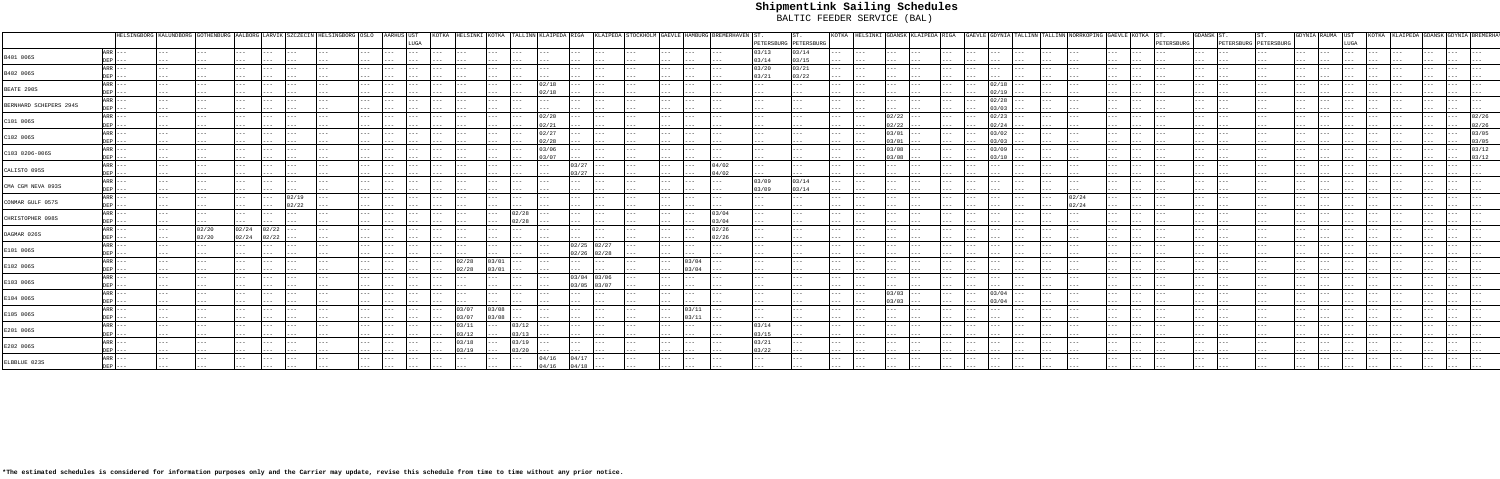|                        | HELSINGBORG KALUNDBORG  |       |               | GOTHENBURG   AALBORG   LARVIK |              | SZCZECIN HELSINGBORG  <br>)SLO | AARHUS UST |                          | KOTKA HELSINKI KOTKA |                |                | TALLINN KLAIPEDA RIGA KLAIPEDA STOCKHOLM GAEVLE HAMBURG BREMERHAVEN                                                                                                                                                                                                                                                                                                                          |         |                  |                  |                       |               |       | KOTKA HELSINKI GDANSK KLAIPEDA RIGA |                                                                                                                                                                                                                                                                                                                                                                                                       |         |                        |               | GAEVLE GDYNIA TALLINN TALLINN NORRKOPING GAEVLE KOTKA ST. |       |       |            | <b>GDANSK</b> |                       | GDYNIA RAUMA UST |              | KOTKA<br>KLAIPEDA GDANS |  |
|------------------------|-------------------------|-------|---------------|-------------------------------|--------------|--------------------------------|------------|--------------------------|----------------------|----------------|----------------|----------------------------------------------------------------------------------------------------------------------------------------------------------------------------------------------------------------------------------------------------------------------------------------------------------------------------------------------------------------------------------------------|---------|------------------|------------------|-----------------------|---------------|-------|-------------------------------------|-------------------------------------------------------------------------------------------------------------------------------------------------------------------------------------------------------------------------------------------------------------------------------------------------------------------------------------------------------------------------------------------------------|---------|------------------------|---------------|-----------------------------------------------------------|-------|-------|------------|---------------|-----------------------|------------------|--------------|-------------------------|--|
|                        |                         |       |               |                               |              |                                | LUGA       |                          |                      |                |                |                                                                                                                                                                                                                                                                                                                                                                                              |         |                  |                  | PETERSBURG PETERSBURG |               |       |                                     |                                                                                                                                                                                                                                                                                                                                                                                                       |         |                        |               |                                                           |       |       | PETERSBURG |               | PETERSBURG PETERSBURG |                  | <b>APIT.</b> |                         |  |
| B401 006S              | $ARR$ $---$             |       |               |                               |              |                                | $ -$       |                          | $---$                |                | $---$          |                                                                                                                                                                                                                                                                                                                                                                                              |         |                  |                  | 03/13<br>3/14         | 03/14<br>3/15 |       |                                     | $---$                                                                                                                                                                                                                                                                                                                                                                                                 |         | $- -$                  | $- -$         | $- - -$                                                   |       |       |            |               |                       |                  |              |                         |  |
| B402 006S              | $ARR$ $---$             |       |               |                               |              |                                |            |                          |                      |                |                |                                                                                                                                                                                                                                                                                                                                                                                              |         |                  |                  | $03/20$               | 03/21         |       |                                     | $\frac{1}{2} \frac{1}{2} \frac{1}{2} \frac{1}{2} \frac{1}{2} \frac{1}{2} \frac{1}{2} \frac{1}{2} \frac{1}{2} \frac{1}{2} \frac{1}{2} \frac{1}{2} \frac{1}{2} \frac{1}{2} \frac{1}{2} \frac{1}{2} \frac{1}{2} \frac{1}{2} \frac{1}{2} \frac{1}{2} \frac{1}{2} \frac{1}{2} \frac{1}{2} \frac{1}{2} \frac{1}{2} \frac{1}{2} \frac{1}{2} \frac{1}{2} \frac{1}{2} \frac{1}{2} \frac{1}{2} \frac{$          |         |                        | $-$           |                                                           |       |       |            |               |                       |                  |              |                         |  |
|                        | DEP<br>$ARR$ $---$      |       |               |                               |              |                                |            |                          |                      |                | 02/18          |                                                                                                                                                                                                                                                                                                                                                                                              |         |                  |                  | 03/21<br>$- -$        | 03/22<br>$--$ | $- -$ | $- - -$                             | $---$                                                                                                                                                                                                                                                                                                                                                                                                 | $- -$   | 02/18<br>$-$           |               |                                                           |       |       |            |               |                       |                  |              |                         |  |
| BEATE 290S             |                         |       |               |                               |              |                                |            |                          |                      |                | 02/18          |                                                                                                                                                                                                                                                                                                                                                                                              |         |                  |                  |                       |               |       |                                     |                                                                                                                                                                                                                                                                                                                                                                                                       |         |                        | 2/19          |                                                           |       |       |            |               |                       |                  |              |                         |  |
| BERNHARD SCHEPERS 294S | $ARR$ $---$             | $--$  |               |                               |              |                                |            |                          |                      |                |                |                                                                                                                                                                                                                                                                                                                                                                                              |         |                  |                  |                       |               | $- -$ |                                     | $\frac{1}{2} \frac{1}{2} \frac{1}{2} \frac{1}{2} \frac{1}{2} \frac{1}{2} \frac{1}{2} \frac{1}{2} \frac{1}{2} \frac{1}{2} \frac{1}{2} \frac{1}{2} \frac{1}{2} \frac{1}{2} \frac{1}{2} \frac{1}{2} \frac{1}{2} \frac{1}{2} \frac{1}{2} \frac{1}{2} \frac{1}{2} \frac{1}{2} \frac{1}{2} \frac{1}{2} \frac{1}{2} \frac{1}{2} \frac{1}{2} \frac{1}{2} \frac{1}{2} \frac{1}{2} \frac{1}{2} \frac{$          | $---$   | 02/28 1<br>$- -$       |               |                                                           |       |       |            |               |                       |                  |              |                         |  |
| C101 006S              | $ARR$ $---$             |       |               |                               |              |                                |            |                          |                      |                | 02/20<br>02/21 |                                                                                                                                                                                                                                                                                                                                                                                              | $-- -$  |                  |                  |                       |               |       |                                     | 02/22<br>02/22                                                                                                                                                                                                                                                                                                                                                                                        |         | 02/23<br>$- -$<br>2/24 |               |                                                           |       |       | $- -$      |               |                       |                  |              |                         |  |
| C102 006S              | $ARR$ ---               |       |               |                               |              |                                |            |                          |                      |                | 02/27          |                                                                                                                                                                                                                                                                                                                                                                                              |         |                  |                  |                       |               |       |                                     | 03/01                                                                                                                                                                                                                                                                                                                                                                                                 | $- - -$ | 03/02<br>$- -$         | $- -$         |                                                           |       |       |            |               |                       |                  |              |                         |  |
| C103 0206-006S         | $ARR$ $---$             |       |               |                               |              |                                |            |                          | $- -$                |                | 02/28<br>03/06 | $---$                                                                                                                                                                                                                                                                                                                                                                                        | $- -$   |                  |                  |                       |               |       |                                     | 03/01<br>03/08                                                                                                                                                                                                                                                                                                                                                                                        | $- -$   | 03/09<br>$- -$         | 3/03<br>$- -$ | $---$                                                     |       |       | $- -$      |               |                       |                  |              |                         |  |
|                        | $ARR$ $---$             |       |               |                               |              |                                |            |                          |                      |                | 03/07<br>$---$ | $03/27$ $---$                                                                                                                                                                                                                                                                                                                                                                                |         |                  | 04/02            |                       |               |       |                                     | 03/08<br>$\frac{1}{2} \frac{1}{2} \frac{1}{2} \frac{1}{2} \frac{1}{2} \frac{1}{2} \frac{1}{2} \frac{1}{2} \frac{1}{2} \frac{1}{2} \frac{1}{2} \frac{1}{2} \frac{1}{2} \frac{1}{2} \frac{1}{2} \frac{1}{2} \frac{1}{2} \frac{1}{2} \frac{1}{2} \frac{1}{2} \frac{1}{2} \frac{1}{2} \frac{1}{2} \frac{1}{2} \frac{1}{2} \frac{1}{2} \frac{1}{2} \frac{1}{2} \frac{1}{2} \frac{1}{2} \frac{1}{2} \frac{$ | $- -$   | $ -$                   |               |                                                           |       |       | $- -$      |               |                       |                  |              |                         |  |
| CALISTO 095S           | $ARR$ $---$             |       |               |                               |              |                                |            |                          | $- -$                |                |                | 03/27<br>$- -$                                                                                                                                                                                                                                                                                                                                                                               | $-- -$  |                  | 04/02<br>$- - -$ | 03/09                 | 13/14         |       |                                     | $---$                                                                                                                                                                                                                                                                                                                                                                                                 |         | $- -$                  | $ -$          |                                                           |       |       | $- -$      |               |                       |                  |              |                         |  |
| CMA CGM NEVA 093S      | $ARR$ $---$             |       |               |                               | 02/19        |                                |            |                          |                      |                |                |                                                                                                                                                                                                                                                                                                                                                                                              |         |                  |                  | 03/09                 | 3/14          |       |                                     |                                                                                                                                                                                                                                                                                                                                                                                                       |         |                        |               |                                                           | 02/24 |       |            |               |                       |                  |              |                         |  |
| CONMAR GULF 057S       |                         |       |               |                               | 2/22         |                                |            |                          |                      |                |                |                                                                                                                                                                                                                                                                                                                                                                                              |         |                  |                  |                       |               |       |                                     |                                                                                                                                                                                                                                                                                                                                                                                                       |         |                        |               |                                                           | 02/24 |       |            |               |                       |                  |              |                         |  |
| CHRISTOPHER 098S       | $ARR$ $---$             |       |               |                               |              |                                |            |                          |                      | 02/28<br>02/28 |                |                                                                                                                                                                                                                                                                                                                                                                                              |         |                  | 03/04<br>03/04   |                       |               |       |                                     |                                                                                                                                                                                                                                                                                                                                                                                                       |         | $-$                    |               |                                                           |       |       |            |               |                       |                  |              |                         |  |
| DAGMAR 026S            | $ARR$ $---$             | $--$  | 02/20<br>2/20 | 02/24<br>2/24                 | 02/22<br>/22 |                                |            |                          |                      |                |                |                                                                                                                                                                                                                                                                                                                                                                                              |         |                  | 02/26<br>02/26   |                       |               |       | $-- -$                              |                                                                                                                                                                                                                                                                                                                                                                                                       |         |                        |               |                                                           |       |       |            |               |                       |                  |              |                         |  |
| E101 006S              | $ARR$ $---$             |       |               | $ -$                          |              |                                |            |                          |                      |                |                | $02/25$ 02/27<br>02/26 02/28                                                                                                                                                                                                                                                                                                                                                                 | $---$   |                  |                  |                       |               |       |                                     |                                                                                                                                                                                                                                                                                                                                                                                                       |         |                        |               |                                                           |       |       |            |               |                       |                  |              |                         |  |
| E102 006S              | $ARR$ ---               |       |               |                               |              |                                | $ -$       | 02/28<br>2/28            | 03/01<br>3/01        |                |                | $--$                                                                                                                                                                                                                                                                                                                                                                                         | $---$   | 03/04<br>0.3/0.4 |                  |                       |               |       |                                     |                                                                                                                                                                                                                                                                                                                                                                                                       |         | $ -$                   |               |                                                           |       |       |            |               |                       |                  |              |                         |  |
| E103 006S              | $ARR$ $---$<br>$DEPI -$ |       |               |                               |              |                                |            |                          | $---$                |                |                | $03/04$ 03/06<br>$03/05$ 03/07                                                                                                                                                                                                                                                                                                                                                               | $---$   |                  |                  |                       |               | $- -$ |                                     | $\frac{1}{2} \frac{1}{2} \frac{1}{2} \frac{1}{2} \frac{1}{2} \frac{1}{2} \frac{1}{2} \frac{1}{2} \frac{1}{2} \frac{1}{2} \frac{1}{2} \frac{1}{2} \frac{1}{2} \frac{1}{2} \frac{1}{2} \frac{1}{2} \frac{1}{2} \frac{1}{2} \frac{1}{2} \frac{1}{2} \frac{1}{2} \frac{1}{2} \frac{1}{2} \frac{1}{2} \frac{1}{2} \frac{1}{2} \frac{1}{2} \frac{1}{2} \frac{1}{2} \frac{1}{2} \frac{1}{2} \frac{$          |         | $- -$                  |               |                                                           |       |       | $- -$      |               |                       |                  |              |                         |  |
| E104 006S              | $ARR$ $---$             |       |               | $ -$                          |              |                                | $ -$       |                          | $- - -$              |                |                | $---$                                                                                                                                                                                                                                                                                                                                                                                        | $---$   |                  | $-- -$           |                       |               | $- -$ | $---$                               | 03/03<br>03/03                                                                                                                                                                                                                                                                                                                                                                                        | $- -$   | $- -$<br>3/04          | 3/04<br>$- -$ | $- -$                                                     |       |       | $- -$      |               |                       |                  |              |                         |  |
| E105 006S              | $ARR$ $---$             | $- -$ |               | $- -$                         |              |                                | $-$        | 03/07                    | $ 03/08 $ ---        |                |                | $---$                                                                                                                                                                                                                                                                                                                                                                                        | $---$   | 03/11            |                  |                       |               | $ -$  |                                     | $\frac{1}{2} \frac{1}{2} \frac{1}{2} \frac{1}{2} \frac{1}{2} \frac{1}{2} \frac{1}{2} \frac{1}{2} \frac{1}{2} \frac{1}{2} \frac{1}{2} \frac{1}{2} \frac{1}{2} \frac{1}{2} \frac{1}{2} \frac{1}{2} \frac{1}{2} \frac{1}{2} \frac{1}{2} \frac{1}{2} \frac{1}{2} \frac{1}{2} \frac{1}{2} \frac{1}{2} \frac{1}{2} \frac{1}{2} \frac{1}{2} \frac{1}{2} \frac{1}{2} \frac{1}{2} \frac{1}{2} \frac{$          | $- - -$ | $- -$                  | $ -$          | $- -$                                                     |       |       | $- -$      |               |                       |                  |              |                         |  |
| E201 006S              | $ARR$ $---$             |       |               | $- -$                         |              |                                | $ -$       | 3/07<br>03/11<br>$- - -$ | $- -$                | 03/12          | $---$          | $---$                                                                                                                                                                                                                                                                                                                                                                                        | $---$   |                  | $- - -$          | 03/14                 |               | $- -$ |                                     | $\frac{1}{2} \frac{1}{2} \frac{1}{2} \frac{1}{2} \frac{1}{2} \frac{1}{2} \frac{1}{2} \frac{1}{2} \frac{1}{2} \frac{1}{2} \frac{1}{2} \frac{1}{2} \frac{1}{2} \frac{1}{2} \frac{1}{2} \frac{1}{2} \frac{1}{2} \frac{1}{2} \frac{1}{2} \frac{1}{2} \frac{1}{2} \frac{1}{2} \frac{1}{2} \frac{1}{2} \frac{1}{2} \frac{1}{2} \frac{1}{2} \frac{1}{2} \frac{1}{2} \frac{1}{2} \frac{1}{2} \frac{$          |         | $- -$                  |               |                                                           |       |       | $- -$      |               |                       |                  |              |                         |  |
|                        | $ARR$ ---               |       |               | $- -$                         |              |                                | $ -$       | 3/12<br>03/18            | $--$                 | 03/13<br>03/19 |                | $\frac{1}{2} \frac{1}{2} \frac{1}{2} \frac{1}{2} \frac{1}{2} \frac{1}{2} \frac{1}{2} \frac{1}{2} \frac{1}{2} \frac{1}{2} \frac{1}{2} \frac{1}{2} \frac{1}{2} \frac{1}{2} \frac{1}{2} \frac{1}{2} \frac{1}{2} \frac{1}{2} \frac{1}{2} \frac{1}{2} \frac{1}{2} \frac{1}{2} \frac{1}{2} \frac{1}{2} \frac{1}{2} \frac{1}{2} \frac{1}{2} \frac{1}{2} \frac{1}{2} \frac{1}{2} \frac{1}{2} \frac{$ | $- - -$ |                  |                  | 13/15<br>03/21        |               | $---$ |                                     | $\qquad \qquad - - -$                                                                                                                                                                                                                                                                                                                                                                                 | $-- -$  | $- -$                  | $ -$          | $---$                                                     |       | $- -$ |            |               |                       |                  |              |                         |  |
| E202 006S              | $ARR$ $---$             |       |               |                               |              |                                |            | 3/19                     | $--$                 | 0.3 / 2.0      | 04/16          | $04/17$ $---$                                                                                                                                                                                                                                                                                                                                                                                |         |                  |                  | 03/22                 |               |       |                                     | $\frac{1}{2} \frac{1}{2} \frac{1}{2} \frac{1}{2} \frac{1}{2} \frac{1}{2} \frac{1}{2} \frac{1}{2} \frac{1}{2} \frac{1}{2} \frac{1}{2} \frac{1}{2} \frac{1}{2} \frac{1}{2} \frac{1}{2} \frac{1}{2} \frac{1}{2} \frac{1}{2} \frac{1}{2} \frac{1}{2} \frac{1}{2} \frac{1}{2} \frac{1}{2} \frac{1}{2} \frac{1}{2} \frac{1}{2} \frac{1}{2} \frac{1}{2} \frac{1}{2} \frac{1}{2} \frac{1}{2} \frac{$          |         |                        |               |                                                           |       |       |            |               |                       |                  |              |                         |  |
| ELBBLUE 023S           |                         |       |               |                               |              |                                |            |                          |                      |                | 04/16          | 04/18                                                                                                                                                                                                                                                                                                                                                                                        |         |                  |                  |                       |               |       |                                     |                                                                                                                                                                                                                                                                                                                                                                                                       |         |                        |               |                                                           |       |       |            |               |                       |                  |              |                         |  |

| GDYNIA                      | <b>BREMERHA</b>            |
|-----------------------------|----------------------------|
|                             |                            |
| $\overline{\phantom{a}}$    | $ -$                       |
| $--$                        | $\equiv$                   |
| $\overline{a}$              | $\overline{\phantom{a}}$   |
| $\frac{1}{1}$               | $\frac{1}{1}$              |
|                             |                            |
| $\frac{1}{1}$               | $\equiv$                   |
|                             |                            |
| $\frac{1}{1}$               | $\equiv$                   |
|                             | 02/26                      |
| ċ                           | 02/26                      |
| $\overline{\phantom{a}}$    | 03/05                      |
| $\frac{---}{---}$           | 03/05                      |
|                             | $\frac{1}{03/12}$<br>03/12 |
| Ç                           |                            |
| $---$                       | $ -$<br>$\equiv$           |
| $\qquad \qquad - -$<br>$ -$ | $- - -$                    |
| $\equiv$                    | $\equiv$                   |
| $---$                       | $---$                      |
| $rac{1}{\sqrt{2}}$          | $\equiv$                   |
| $ -$                        | $ -$                       |
|                             |                            |
| Ė                           | į.                         |
| $ -$                        | $\overline{a}$             |
| Ç<br>Ę                      | $\equiv$                   |
| $ -$                        | $- - -$                    |
|                             | J,                         |
| $ -$                        | $\overline{\phantom{a}}$   |
| $\equiv$                    | $\equiv$                   |
|                             | ċ                          |
| $\overline{\phantom{a}}$    | Ξ                          |
| $  -$                       | $\pm$                      |
| $-$ -                       | $ -$                       |
|                             | .,                         |
| $\overline{a}$              | $-$                        |
| $---$                       | $\overline{a}$             |
|                             |                            |
|                             |                            |
|                             |                            |
| $--$                        |                            |
|                             |                            |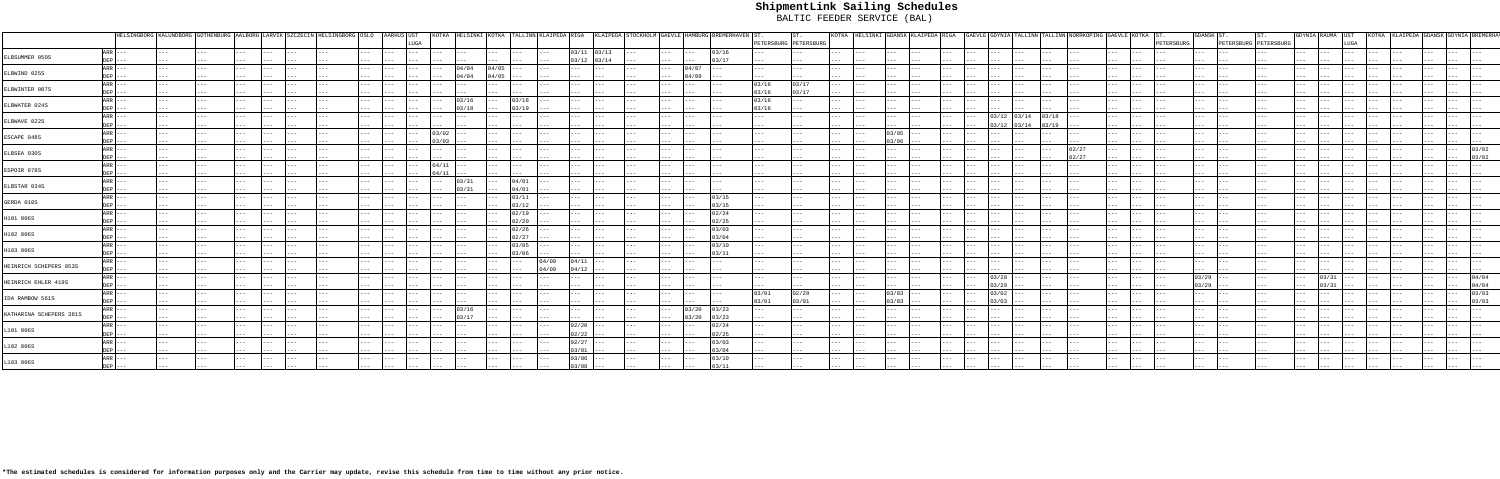|                         | HELSINGBORG KALUNDBORG |       | GOTHENBURG   AALBORG   LARVIK | SZCZECIN HELSINGBORG | AARHUS UST |       | KOTKA  HELSINKI KOTKA                                                                                                                                                                                                                                                                                                                                                                                        |                  |                                                                                                                                                                                                                           | TALLINN   KLAIPEDA   RIGA   KLAIPEDA   STOCKHOLM   GAEVLE   HAMBURG   BREMERHAVEN                                                                                                                                                                                                                                                                                                                     |                                                                                                                                                                                                                                                                                                                                                                                              |                |                  |                       |                 |       | OTKA   HELSINKI |                                                                                                                                                                                                                                                                                                                                                                                              | GDANSK KLAIPEDA RIGA |         |                |                             |                   | GAEVLE GDYNIA TALLINN TALLINN NORRKOPING GAEVLE KOTKA ST |            | <b>DANSK</b> |                             | DYNIA RAUMA      |               | ОТКА |  |
|-------------------------|------------------------|-------|-------------------------------|----------------------|------------|-------|--------------------------------------------------------------------------------------------------------------------------------------------------------------------------------------------------------------------------------------------------------------------------------------------------------------------------------------------------------------------------------------------------------------|------------------|---------------------------------------------------------------------------------------------------------------------------------------------------------------------------------------------------------------------------|-------------------------------------------------------------------------------------------------------------------------------------------------------------------------------------------------------------------------------------------------------------------------------------------------------------------------------------------------------------------------------------------------------|----------------------------------------------------------------------------------------------------------------------------------------------------------------------------------------------------------------------------------------------------------------------------------------------------------------------------------------------------------------------------------------------|----------------|------------------|-----------------------|-----------------|-------|-----------------|----------------------------------------------------------------------------------------------------------------------------------------------------------------------------------------------------------------------------------------------------------------------------------------------------------------------------------------------------------------------------------------------|----------------------|---------|----------------|-----------------------------|-------------------|----------------------------------------------------------|------------|--------------|-----------------------------|------------------|---------------|------|--|
|                         |                        |       |                               |                      | LIIGA      |       |                                                                                                                                                                                                                                                                                                                                                                                                              |                  |                                                                                                                                                                                                                           |                                                                                                                                                                                                                                                                                                                                                                                                       |                                                                                                                                                                                                                                                                                                                                                                                              |                |                  | PETERSBURG PETERSBURG |                 |       |                 |                                                                                                                                                                                                                                                                                                                                                                                              |                      |         |                |                             |                   |                                                          | PETERSBURG |              | <b>ETERSBURG PETERSBURG</b> |                  | <b>APIT.</b>  |      |  |
| ELBSUMMER 050S          | $ARR$ ---              |       |                               |                      | $- -$      | $--$  | $- - -$<br>$- - -$                                                                                                                                                                                                                                                                                                                                                                                           | $- - -$          | $\frac{1}{2} \left( \frac{1}{2} \left( \frac{1}{2} \right) - \frac{1}{2} \left( \frac{1}{2} \right) \right) + \frac{1}{2} \left( \frac{1}{2} \left( \frac{1}{2} \right) - \frac{1}{2} \left( \frac{1}{2} \right) \right)$ | $03/11$ 03/13<br>03/12 03/14                                                                                                                                                                                                                                                                                                                                                                          | $---$                                                                                                                                                                                                                                                                                                                                                                                        |                | 03/16<br>03/17   |                       |                 | $- -$ |                 |                                                                                                                                                                                                                                                                                                                                                                                              |                      | $--$    | $- -$<br>$--$  | $- -$                       | $---$             |                                                          | $- -$      |              |                             |                  |               |      |  |
| ELBWIND 025S            | $ARR$ $---$            |       |                               |                      |            |       | 04/04<br>04/04<br>04/05                                                                                                                                                                                                                                                                                                                                                                                      | $04/05$ ---      |                                                                                                                                                                                                                           |                                                                                                                                                                                                                                                                                                                                                                                                       | $---$                                                                                                                                                                                                                                                                                                                                                                                        | 04/07<br>04/09 |                  |                       |                 |       |                 | $  -$                                                                                                                                                                                                                                                                                                                                                                                        |                      |         |                |                             |                   |                                                          |            |              |                             |                  |               |      |  |
| ELBWINTER 007S          | $ARR$ $---$            |       |                               |                      |            |       | $---$                                                                                                                                                                                                                                                                                                                                                                                                        |                  | $---$                                                                                                                                                                                                                     |                                                                                                                                                                                                                                                                                                                                                                                                       | $---$                                                                                                                                                                                                                                                                                                                                                                                        |                |                  | 03/16                 | 03/17<br>3/17   |       | $- - -$         | $---$                                                                                                                                                                                                                                                                                                                                                                                        |                      |         | $- -$          | $-$                         |                   |                                                          |            |              |                             |                  |               |      |  |
| ELBWATER 024S           | $ARR$ ---              | $- -$ |                               |                      |            |       | 03/16<br>$---$                                                                                                                                                                                                                                                                                                                                                                                               | 03/18            |                                                                                                                                                                                                                           |                                                                                                                                                                                                                                                                                                                                                                                                       |                                                                                                                                                                                                                                                                                                                                                                                              |                |                  | 3/16<br>03/16         |                 | $- -$ | $---$           | $\frac{1}{2} \frac{1}{2} \frac{1}{2} \frac{1}{2} \frac{1}{2} \frac{1}{2} \frac{1}{2} \frac{1}{2} \frac{1}{2} \frac{1}{2} \frac{1}{2} \frac{1}{2} \frac{1}{2} \frac{1}{2} \frac{1}{2} \frac{1}{2} \frac{1}{2} \frac{1}{2} \frac{1}{2} \frac{1}{2} \frac{1}{2} \frac{1}{2} \frac{1}{2} \frac{1}{2} \frac{1}{2} \frac{1}{2} \frac{1}{2} \frac{1}{2} \frac{1}{2} \frac{1}{2} \frac{1}{2} \frac{$ |                      |         |                |                             |                   |                                                          | $- - -$    |              |                             |                  |               |      |  |
| ELBWAVE 022S            | $ARR$ $---$            |       |                               |                      |            |       | $- -$                                                                                                                                                                                                                                                                                                                                                                                                        |                  | $---$                                                                                                                                                                                                                     |                                                                                                                                                                                                                                                                                                                                                                                                       | $- -$                                                                                                                                                                                                                                                                                                                                                                                        |                |                  | 3/16                  |                 |       |                 | $\frac{1}{2} \frac{1}{2} \frac{1}{2} \frac{1}{2} \frac{1}{2} \frac{1}{2} \frac{1}{2} \frac{1}{2} \frac{1}{2} \frac{1}{2} \frac{1}{2} \frac{1}{2} \frac{1}{2} \frac{1}{2} \frac{1}{2} \frac{1}{2} \frac{1}{2} \frac{1}{2} \frac{1}{2} \frac{1}{2} \frac{1}{2} \frac{1}{2} \frac{1}{2} \frac{1}{2} \frac{1}{2} \frac{1}{2} \frac{1}{2} \frac{1}{2} \frac{1}{2} \frac{1}{2} \frac{1}{2} \frac{$ |                      |         | $ -$           |                             | 03/12 03/14 03/18 |                                                          | $- -$      |              |                             |                  |               |      |  |
|                         | $ARR$ $---$            |       |                               |                      |            | 03/02 |                                                                                                                                                                                                                                                                                                                                                                                                              |                  |                                                                                                                                                                                                                           |                                                                                                                                                                                                                                                                                                                                                                                                       |                                                                                                                                                                                                                                                                                                                                                                                              |                |                  |                       |                 |       |                 | $03/05$ $---$                                                                                                                                                                                                                                                                                                                                                                                |                      |         |                | )3/12 I                     | 03/14 03/19       |                                                          |            |              |                             |                  |               |      |  |
| ESCAPE 048S             | $ARR$ $---$            |       |                               |                      |            | 3/03  | $--$                                                                                                                                                                                                                                                                                                                                                                                                         |                  | $---$                                                                                                                                                                                                                     |                                                                                                                                                                                                                                                                                                                                                                                                       | $-- -$                                                                                                                                                                                                                                                                                                                                                                                       |                |                  |                       |                 |       |                 | 03/06<br>$---$                                                                                                                                                                                                                                                                                                                                                                               |                      |         | $- -$          | $ -$                        | $---$             | 02/27                                                    | $- -$      |              |                             |                  |               |      |  |
| ELBSEA 030S             | $ARR$ $---$            |       |                               |                      |            | 04/11 |                                                                                                                                                                                                                                                                                                                                                                                                              |                  |                                                                                                                                                                                                                           |                                                                                                                                                                                                                                                                                                                                                                                                       |                                                                                                                                                                                                                                                                                                                                                                                              |                |                  |                       |                 |       |                 |                                                                                                                                                                                                                                                                                                                                                                                              |                      |         |                |                             |                   | 02/27                                                    |            |              |                             |                  |               |      |  |
| ESPOIR 078S             |                        |       |                               |                      |            | 14/11 |                                                                                                                                                                                                                                                                                                                                                                                                              |                  |                                                                                                                                                                                                                           |                                                                                                                                                                                                                                                                                                                                                                                                       |                                                                                                                                                                                                                                                                                                                                                                                              |                |                  |                       |                 |       |                 |                                                                                                                                                                                                                                                                                                                                                                                              |                      |         |                |                             |                   |                                                          |            |              |                             |                  |               |      |  |
| ELBSTAR 034S            | $ARR$ $---$            |       |                               |                      |            | $---$ | 03/31<br>$---$<br>3/31                                                                                                                                                                                                                                                                                                                                                                                       | 04/01<br>04/01   |                                                                                                                                                                                                                           | $---$                                                                                                                                                                                                                                                                                                                                                                                                 |                                                                                                                                                                                                                                                                                                                                                                                              |                |                  |                       |                 |       |                 |                                                                                                                                                                                                                                                                                                                                                                                              |                      |         | $- -$          |                             |                   |                                                          | $- -$      |              |                             |                  |               |      |  |
| GERDA 010S              | $ARR$ $---$            |       |                               |                      |            |       |                                                                                                                                                                                                                                                                                                                                                                                                              | 03/11<br>0.3/1.2 |                                                                                                                                                                                                                           |                                                                                                                                                                                                                                                                                                                                                                                                       |                                                                                                                                                                                                                                                                                                                                                                                              |                | 03/15<br>03/15   |                       |                 |       |                 |                                                                                                                                                                                                                                                                                                                                                                                              |                      |         |                |                             |                   |                                                          |            |              |                             |                  |               |      |  |
| H101 006S               | $ARR$ $---$            |       |                               |                      |            |       | $--$                                                                                                                                                                                                                                                                                                                                                                                                         | 02/19<br>02/20   |                                                                                                                                                                                                                           |                                                                                                                                                                                                                                                                                                                                                                                                       |                                                                                                                                                                                                                                                                                                                                                                                              |                | 02/24<br>02/25   |                       |                 | $ -$  |                 |                                                                                                                                                                                                                                                                                                                                                                                              |                      |         | $- -$          | $ -$                        |                   |                                                          |            |              |                             |                  |               |      |  |
| H102 006S               | $ARR$ ---              |       |                               |                      |            |       |                                                                                                                                                                                                                                                                                                                                                                                                              | 02/26<br>02/27   |                                                                                                                                                                                                                           |                                                                                                                                                                                                                                                                                                                                                                                                       |                                                                                                                                                                                                                                                                                                                                                                                              |                | 03/03<br>0.3/0.4 |                       |                 |       |                 |                                                                                                                                                                                                                                                                                                                                                                                              |                      |         |                |                             |                   |                                                          |            |              |                             |                  |               |      |  |
| H103 006S               | $ARR$ $---$            |       |                               |                      |            |       | $---$                                                                                                                                                                                                                                                                                                                                                                                                        | 03/05<br>03/06   |                                                                                                                                                                                                                           |                                                                                                                                                                                                                                                                                                                                                                                                       | $---$                                                                                                                                                                                                                                                                                                                                                                                        |                | 03/10<br>03/11   |                       |                 |       |                 |                                                                                                                                                                                                                                                                                                                                                                                              |                      |         | $- -$          |                             |                   |                                                          |            |              |                             |                  |               |      |  |
| HEINRICH SCHEPERS 053S  | $ARR$ $---$            |       |                               |                      |            |       | $--$                                                                                                                                                                                                                                                                                                                                                                                                         | $- - -$          | 04/09                                                                                                                                                                                                                     | 04/11                                                                                                                                                                                                                                                                                                                                                                                                 |                                                                                                                                                                                                                                                                                                                                                                                              |                | $-- -$           |                       |                 |       |                 |                                                                                                                                                                                                                                                                                                                                                                                              |                      |         |                |                             |                   |                                                          |            |              |                             |                  |               |      |  |
| HEINRICH EHLER 419S     | $ARR$ $---$            |       |                               |                      |            |       | $--$                                                                                                                                                                                                                                                                                                                                                                                                         |                  | 04/09<br>$---$                                                                                                                                                                                                            | 04/12<br>$\frac{1}{2} \frac{1}{2} \frac{1}{2} \frac{1}{2} \frac{1}{2} \frac{1}{2} \frac{1}{2} \frac{1}{2} \frac{1}{2} \frac{1}{2} \frac{1}{2} \frac{1}{2} \frac{1}{2} \frac{1}{2} \frac{1}{2} \frac{1}{2} \frac{1}{2} \frac{1}{2} \frac{1}{2} \frac{1}{2} \frac{1}{2} \frac{1}{2} \frac{1}{2} \frac{1}{2} \frac{1}{2} \frac{1}{2} \frac{1}{2} \frac{1}{2} \frac{1}{2} \frac{1}{2} \frac{1}{2} \frac{$ | $---$                                                                                                                                                                                                                                                                                                                                                                                        |                |                  |                       |                 | $- -$ |                 | $\frac{1}{2} \frac{1}{2} \frac{1}{2} \frac{1}{2} \frac{1}{2} \frac{1}{2} \frac{1}{2} \frac{1}{2} \frac{1}{2} \frac{1}{2} \frac{1}{2} \frac{1}{2} \frac{1}{2} \frac{1}{2} \frac{1}{2} \frac{1}{2} \frac{1}{2} \frac{1}{2} \frac{1}{2} \frac{1}{2} \frac{1}{2} \frac{1}{2} \frac{1}{2} \frac{1}{2} \frac{1}{2} \frac{1}{2} \frac{1}{2} \frac{1}{2} \frac{1}{2} \frac{1}{2} \frac{1}{2} \frac{$ |                      |         | 03/28<br>$- -$ | $- -$                       | $---$             |                                                          | $---$      | 03/29        |                             |                  | $03/31$ $---$ |      |  |
| IDA RAMBOW 561S         | $ARR$ $---$            |       |                               |                      | $ -$       |       | $--$                                                                                                                                                                                                                                                                                                                                                                                                         |                  | $---$                                                                                                                                                                                                                     | --- -                                                                                                                                                                                                                                                                                                                                                                                                 | $---$                                                                                                                                                                                                                                                                                                                                                                                        |                | $---$            | 03/01                 | 02/28           | $--$  | $-- -$          | $ 03/03 $ ---                                                                                                                                                                                                                                                                                                                                                                                |                      | $---$   | $- -$          | 03/29<br>$03/02$  <br>$- -$ | $- -$             |                                                          | $- -$      | 03/29        |                             | 03/31<br>$- - -$ |               |      |  |
|                         | $ARR$ $---$            | $- -$ |                               |                      | $-$        |       | 03/16<br>$---$                                                                                                                                                                                                                                                                                                                                                                                               | $---$            | $---$                                                                                                                                                                                                                     | $\frac{1}{2}$<br>$---$                                                                                                                                                                                                                                                                                                                                                                                | $\frac{1}{2} \frac{1}{2} \frac{1}{2} \frac{1}{2} \frac{1}{2} \frac{1}{2} \frac{1}{2} \frac{1}{2} \frac{1}{2} \frac{1}{2} \frac{1}{2} \frac{1}{2} \frac{1}{2} \frac{1}{2} \frac{1}{2} \frac{1}{2} \frac{1}{2} \frac{1}{2} \frac{1}{2} \frac{1}{2} \frac{1}{2} \frac{1}{2} \frac{1}{2} \frac{1}{2} \frac{1}{2} \frac{1}{2} \frac{1}{2} \frac{1}{2} \frac{1}{2} \frac{1}{2} \frac{1}{2} \frac{$ | 03/20          | 03/23            | 3/01<br>$- -$         | 3/01<br>$- - -$ | $- -$ |                 | 03/03<br><b>Service</b>                                                                                                                                                                                                                                                                                                                                                                      |                      | $- - -$ | スノハス<br>$- -$  | $- -$                       | $---$             |                                                          | $---$      |              |                             |                  |               |      |  |
| KATHARINA SCHEPERS 381S | $ARR$ $---$            |       | $- -$                         |                      |            |       | 117<br>$\frac{1}{2} \frac{1}{2} \frac{1}{2} \frac{1}{2} \frac{1}{2} \frac{1}{2} \frac{1}{2} \frac{1}{2} \frac{1}{2} \frac{1}{2} \frac{1}{2} \frac{1}{2} \frac{1}{2} \frac{1}{2} \frac{1}{2} \frac{1}{2} \frac{1}{2} \frac{1}{2} \frac{1}{2} \frac{1}{2} \frac{1}{2} \frac{1}{2} \frac{1}{2} \frac{1}{2} \frac{1}{2} \frac{1}{2} \frac{1}{2} \frac{1}{2} \frac{1}{2} \frac{1}{2} \frac{1}{2} \frac{$<br>$---$ | $- - -$          | $---$                                                                                                                                                                                                                     | $02/20$ $---$                                                                                                                                                                                                                                                                                                                                                                                         | $---$                                                                                                                                                                                                                                                                                                                                                                                        | 03/20          | 0.3/2.3<br>02/24 |                       |                 | $- -$ | $- - -$         | $\frac{1}{2}$                                                                                                                                                                                                                                                                                                                                                                                |                      | $- - -$ | $- -$          |                             |                   |                                                          | $- - -$    |              |                             |                  |               |      |  |
| L101 006S               | $ARR$ $---$            |       | $- -$                         |                      |            |       | $-- -$                                                                                                                                                                                                                                                                                                                                                                                                       |                  |                                                                                                                                                                                                                           | 02/22<br>$02/27$ $---$                                                                                                                                                                                                                                                                                                                                                                                | $---$                                                                                                                                                                                                                                                                                                                                                                                        |                | 02/25<br>03/03   |                       |                 | $- -$ |                 | $\qquad \qquad - - -$                                                                                                                                                                                                                                                                                                                                                                        |                      | $-- -$  | $- -$          | $ -$                        | $---$             |                                                          |            |              |                             |                  |               |      |  |
| L102 006S               |                        |       |                               |                      |            |       |                                                                                                                                                                                                                                                                                                                                                                                                              |                  |                                                                                                                                                                                                                           | 03/01                                                                                                                                                                                                                                                                                                                                                                                                 |                                                                                                                                                                                                                                                                                                                                                                                              |                | 03/04            |                       |                 |       |                 |                                                                                                                                                                                                                                                                                                                                                                                              |                      |         |                |                             |                   |                                                          |            |              |                             |                  |               |      |  |
| L103 006S               | $ARR$ $---$            |       |                               |                      |            |       |                                                                                                                                                                                                                                                                                                                                                                                                              |                  |                                                                                                                                                                                                                           | $03/06$ $---$<br>$03/08$                                                                                                                                                                                                                                                                                                                                                                              | $---$                                                                                                                                                                                                                                                                                                                                                                                        |                | 03/10            |                       |                 |       |                 | $\frac{1}{2} \frac{1}{2} \frac{1}{2} \frac{1}{2} \frac{1}{2} \frac{1}{2} \frac{1}{2} \frac{1}{2} \frac{1}{2} \frac{1}{2} \frac{1}{2} \frac{1}{2} \frac{1}{2} \frac{1}{2} \frac{1}{2} \frac{1}{2} \frac{1}{2} \frac{1}{2} \frac{1}{2} \frac{1}{2} \frac{1}{2} \frac{1}{2} \frac{1}{2} \frac{1}{2} \frac{1}{2} \frac{1}{2} \frac{1}{2} \frac{1}{2} \frac{1}{2} \frac{1}{2} \frac{1}{2} \frac{$ |                      |         |                |                             |                   |                                                          |            |              |                             |                  |               |      |  |

| GDYNIA                   | <b>BREMERHA</b>          |
|--------------------------|--------------------------|
|                          |                          |
| $\overline{\phantom{a}}$ | . —<br>---               |
| $\overline{\phantom{a}}$ | Ξ,                       |
| $\overline{a}$           | 二                        |
| $\frac{1}{1}$            | $\ddot{\phantom{0}}$     |
|                          | .<br>- - -               |
|                          |                          |
| $\overline{a}$           | ---                      |
| $\equiv$                 | $\equiv$                 |
| $- -$                    | $-$                      |
| $\cdot$ – $\cdot$        | $\equiv$                 |
| $- - -$<br>$\equiv$      | $ -$<br>$=$              |
| $\sim$                   | 03/02                    |
| ı.<br>į,                 | 03/02                    |
| $\overline{a}$           | $- - -$                  |
| $\equiv$                 |                          |
| $\overline{\phantom{a}}$ | $\frac{1}{1}$            |
|                          | ŀ,                       |
| $\overline{a}$           | $\overline{\phantom{a}}$ |
|                          |                          |
| $\frac{1}{1}$            | $\frac{1}{1}$            |
|                          |                          |
| $\equiv$                 | $\equiv$                 |
|                          |                          |
|                          | $\equiv$                 |
| $ -$                     | $---$                    |
| $\ddot{\phantom{0}}$     | $\overline{\phantom{0}}$ |
|                          | Ξ                        |
| $\equiv$                 | $- - -$                  |
| $-$                      | 04/04                    |
|                          | 04/04                    |
|                          | 03/03                    |
|                          | 03/03                    |
|                          |                          |
|                          |                          |
|                          |                          |
| $ -$                     | $ -$                     |
| J,                       | Ξ,                       |
|                          | $\ddot{\phantom{0}}$     |
|                          |                          |
| --<br>ŗ,                 |                          |
|                          |                          |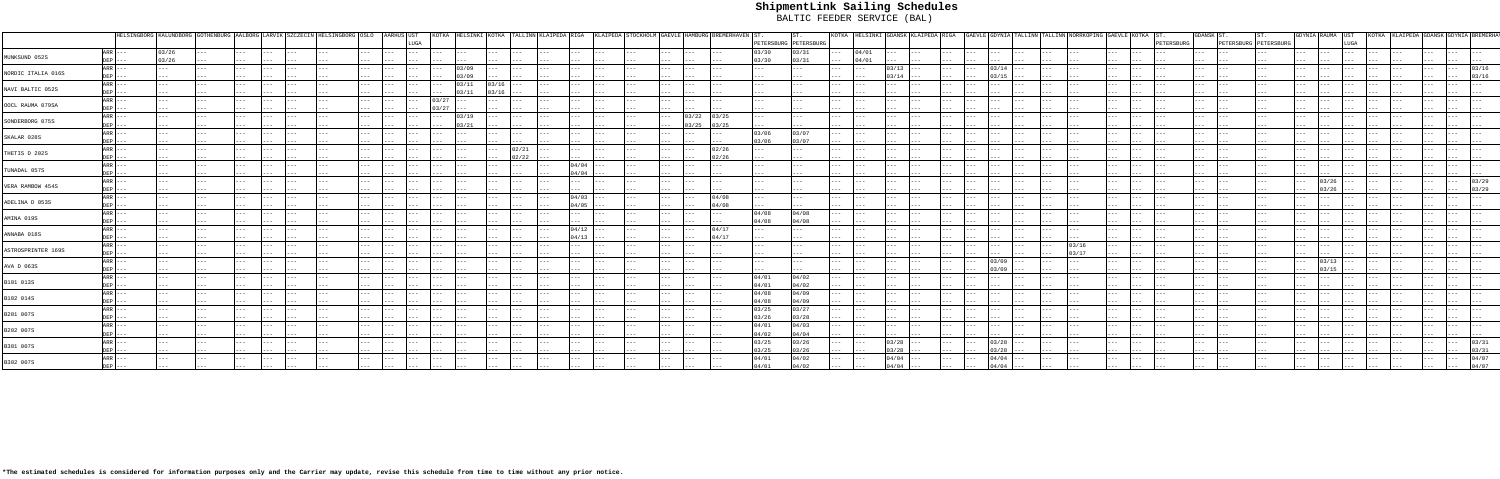|                    |                      | HELSINGBORG KALUNDBORG | GOTHENBURG 1 | <b>AALBORG LARVIK</b> | ;ZCZECIN | HELSINGBORG |  |       | KOTKA I<br>HELSINKI KOTKA |             |       | TALLINN KLAIPEDA RIGA |                              |       | KLAIPEDA   STOCKHOLM   GAEVLE |                  | HAMBURG BREMERHAVEN |                |                       |       | KOTKA HELSINKI |                                                                                                                                                                                                                                                                                                                                                                                              |         | GDANSK IKLAIPEDA IRIGA |       |                | GAEVLE GDYNIA TALLINN TALLINN NORRKOPING GAEVLE KOTKA |       |                                                                                                                                                                                                                                                                                                                                                                                              |            | GDANSK I |                       | DYNIA RAUMA | UST           | KOTKA<br>KLAIPEDA |  |
|--------------------|----------------------|------------------------|--------------|-----------------------|----------|-------------|--|-------|---------------------------|-------------|-------|-----------------------|------------------------------|-------|-------------------------------|------------------|---------------------|----------------|-----------------------|-------|----------------|----------------------------------------------------------------------------------------------------------------------------------------------------------------------------------------------------------------------------------------------------------------------------------------------------------------------------------------------------------------------------------------------|---------|------------------------|-------|----------------|-------------------------------------------------------|-------|----------------------------------------------------------------------------------------------------------------------------------------------------------------------------------------------------------------------------------------------------------------------------------------------------------------------------------------------------------------------------------------------|------------|----------|-----------------------|-------------|---------------|-------------------|--|
|                    |                      |                        |              |                       |          |             |  | LUGA  |                           |             |       |                       |                              |       |                               |                  |                     |                | PETERSBURG PETERSBURG |       |                |                                                                                                                                                                                                                                                                                                                                                                                              |         |                        |       |                |                                                       |       |                                                                                                                                                                                                                                                                                                                                                                                              | PETERSBURG |          | PETERSBURG PETERSBURG |             | <b>LIIGA</b>  |                   |  |
| MUNKSUND 052S      | $ARR$ $---$          | 03/26                  |              |                       |          |             |  | $- -$ |                           | $--$        |       | $-- -$                |                              |       |                               |                  |                     | 03/30          | 03/31                 | $- -$ | 04/01<br>04/01 |                                                                                                                                                                                                                                                                                                                                                                                              |         | --- -                  | $- -$ | $- - -$        | $- -$<br>$1 - - -$                                    | $---$ |                                                                                                                                                                                                                                                                                                                                                                                              | $- - -$    |          |                       |             | $- - -$       |                   |  |
|                    | $ARR$ $---$          | 03/26<br>$- - -$       |              |                       |          |             |  |       | 3/09                      |             |       |                       |                              |       |                               |                  |                     | 3/30           | 3/31                  | $- -$ |                | $03/13$ $---$                                                                                                                                                                                                                                                                                                                                                                                |         | $---$                  | $- -$ | 03/14          | $- -$<br>$---$                                        |       |                                                                                                                                                                                                                                                                                                                                                                                              |            |          |                       |             |               |                   |  |
| NORDIC ITALIA 016S |                      |                        |              |                       |          |             |  |       | 3/09                      |             |       |                       |                              |       |                               |                  |                     |                |                       |       |                | 03/14                                                                                                                                                                                                                                                                                                                                                                                        |         |                        |       | 3/15           |                                                       |       |                                                                                                                                                                                                                                                                                                                                                                                              |            |          |                       |             |               |                   |  |
|                    | $\texttt{ARR}$ $---$ | $---$                  |              |                       |          |             |  |       | 03/11                     | $03/16$ --- |       |                       |                              |       |                               |                  |                     |                |                       | $- -$ |                | $\frac{1}{2}$                                                                                                                                                                                                                                                                                                                                                                                | $-- -$  | $---$                  | $- -$ |                | $- -$                                                 |       |                                                                                                                                                                                                                                                                                                                                                                                              |            |          |                       |             |               |                   |  |
| NAVI BALTIC 052S   |                      |                        |              |                       |          |             |  |       | 2/11                      | 12/16       |       |                       |                              |       |                               |                  |                     |                |                       |       |                |                                                                                                                                                                                                                                                                                                                                                                                              |         |                        |       |                |                                                       |       |                                                                                                                                                                                                                                                                                                                                                                                              |            |          |                       |             |               |                   |  |
|                    | $ARR$ $---$          | $---$                  |              |                       |          |             |  |       | 03/27                     |             |       |                       |                              |       |                               |                  |                     |                |                       |       |                | $\frac{1}{2} \frac{1}{2} \frac{1}{2} \frac{1}{2} \frac{1}{2} \frac{1}{2} \frac{1}{2} \frac{1}{2} \frac{1}{2} \frac{1}{2} \frac{1}{2} \frac{1}{2} \frac{1}{2} \frac{1}{2} \frac{1}{2} \frac{1}{2} \frac{1}{2} \frac{1}{2} \frac{1}{2} \frac{1}{2} \frac{1}{2} \frac{1}{2} \frac{1}{2} \frac{1}{2} \frac{1}{2} \frac{1}{2} \frac{1}{2} \frac{1}{2} \frac{1}{2} \frac{1}{2} \frac{1}{2} \frac{$ |         | $---$                  | $- -$ |                | $-$                                                   |       |                                                                                                                                                                                                                                                                                                                                                                                              |            |          |                       |             |               |                   |  |
| OOCL RAUMA 079SA   |                      |                        |              |                       |          |             |  |       |                           |             |       |                       |                              |       |                               |                  |                     |                |                       |       |                |                                                                                                                                                                                                                                                                                                                                                                                              |         |                        |       |                |                                                       |       |                                                                                                                                                                                                                                                                                                                                                                                              |            |          |                       |             |               |                   |  |
| SONDERBORG 075S    | $APR$ $---$          |                        |              |                       |          |             |  |       | 03/19<br>3/21             |             | $---$ |                       |                              |       |                               | 03/22<br>0.3/2.5 | 03/25<br>03/25      |                |                       |       |                | $---$                                                                                                                                                                                                                                                                                                                                                                                        |         |                        |       |                |                                                       |       |                                                                                                                                                                                                                                                                                                                                                                                              | $- - -$    |          |                       |             |               |                   |  |
|                    | $ARR$ $---$          | $---$                  |              |                       |          |             |  |       |                           |             |       |                       |                              |       |                               |                  | $-- -$              | 03/06          | 03/07                 |       |                | --- -                                                                                                                                                                                                                                                                                                                                                                                        |         | $- - -$                | $- -$ |                |                                                       |       |                                                                                                                                                                                                                                                                                                                                                                                              |            |          |                       |             |               |                   |  |
| SKALAR 028S        |                      |                        |              |                       |          |             |  |       |                           |             |       |                       |                              |       |                               |                  |                     | 3/06           | 3/07                  |       |                |                                                                                                                                                                                                                                                                                                                                                                                              |         |                        |       |                |                                                       |       |                                                                                                                                                                                                                                                                                                                                                                                              |            |          |                       |             |               |                   |  |
| THETIS D 202S      | $ARR$ $---$          |                        |              |                       |          |             |  |       |                           | $- - -$     | 02/21 |                       | $---$                        | $---$ |                               |                  | 02/26               |                |                       | $ -$  | $- - -$        | $---$                                                                                                                                                                                                                                                                                                                                                                                        | $- -$   | $- - -$                | $ -$  |                | $ -$                                                  |       |                                                                                                                                                                                                                                                                                                                                                                                              | $- -$      |          |                       |             |               |                   |  |
|                    |                      |                        |              |                       |          |             |  |       |                           |             | 02/22 |                       |                              |       |                               |                  | 02/26               |                |                       |       |                |                                                                                                                                                                                                                                                                                                                                                                                              |         |                        |       |                |                                                       |       |                                                                                                                                                                                                                                                                                                                                                                                              |            |          |                       |             |               |                   |  |
| TUNADAL 057S       | $ARR$ $---$          |                        |              |                       |          |             |  |       |                           |             |       |                       | $04/04$ $---$<br>$04/04$ $-$ |       |                               |                  |                     |                |                       |       |                | $- - -$                                                                                                                                                                                                                                                                                                                                                                                      |         | $- - -$                | $- -$ |                |                                                       |       |                                                                                                                                                                                                                                                                                                                                                                                              | $- -$      |          |                       |             |               |                   |  |
| VERA RAMBOW 454S   | $ARR$ $---$          | $- - -$                |              |                       |          |             |  |       |                           |             |       |                       | $- -$                        | ---   |                               |                  |                     |                |                       |       |                | $---$                                                                                                                                                                                                                                                                                                                                                                                        | $- - -$ | $- - -$                | $- -$ |                | $- -$                                                 |       |                                                                                                                                                                                                                                                                                                                                                                                              | $- - -$    |          |                       |             | $03/26$ ---   |                   |  |
|                    | $ARR$ $---$          |                        |              |                       |          |             |  |       |                           |             |       |                       | $ 04/03 $ ---                |       |                               |                  | 04/08               |                |                       |       |                | $---$                                                                                                                                                                                                                                                                                                                                                                                        |         |                        |       |                |                                                       |       |                                                                                                                                                                                                                                                                                                                                                                                              |            |          |                       | 03/26       |               |                   |  |
| ADELINA D 053S     |                      |                        |              |                       |          |             |  |       |                           |             |       |                       | 04/05                        |       |                               |                  | 04/08               |                |                       |       |                |                                                                                                                                                                                                                                                                                                                                                                                              |         |                        |       |                |                                                       |       |                                                                                                                                                                                                                                                                                                                                                                                              |            |          |                       |             |               |                   |  |
|                    | $ARR$ $---$          |                        |              |                       |          |             |  |       |                           |             |       |                       | $- - -$                      |       |                               |                  | $- -$               | 04/08          | 04/08                 |       |                | $---$                                                                                                                                                                                                                                                                                                                                                                                        | $- - -$ | $- - -$                | $- -$ |                | $ -$                                                  |       |                                                                                                                                                                                                                                                                                                                                                                                              | $---$      |          |                       |             |               |                   |  |
| AMINA 019S         |                      |                        |              |                       |          |             |  |       |                           |             |       |                       |                              |       |                               |                  |                     | 04/08          | 04/08                 |       |                |                                                                                                                                                                                                                                                                                                                                                                                              |         |                        |       |                |                                                       |       |                                                                                                                                                                                                                                                                                                                                                                                              |            |          |                       |             |               |                   |  |
| ANNABA 018S        |                      |                        |              |                       |          |             |  |       |                           |             |       |                       | $04/12$ $---$<br>04/13       |       |                               |                  | 04/17<br>04/17      |                |                       |       | $-- -$         | $---$                                                                                                                                                                                                                                                                                                                                                                                        |         |                        | $- -$ |                |                                                       |       |                                                                                                                                                                                                                                                                                                                                                                                              | $---$      |          |                       |             |               |                   |  |
|                    | $APR$ $---$          |                        |              |                       |          |             |  |       |                           |             |       |                       |                              |       |                               |                  |                     |                |                       |       |                |                                                                                                                                                                                                                                                                                                                                                                                              |         |                        | $- -$ |                | $ -$                                                  | 03/16 |                                                                                                                                                                                                                                                                                                                                                                                              | $- - -$    |          |                       |             |               |                   |  |
| ASTROSPRINTER 169S |                      |                        |              |                       |          |             |  |       |                           |             |       |                       |                              |       |                               |                  |                     |                |                       |       |                |                                                                                                                                                                                                                                                                                                                                                                                              |         |                        |       |                |                                                       | 03/17 |                                                                                                                                                                                                                                                                                                                                                                                              |            |          |                       |             |               |                   |  |
| AVA D 063S         | $ARR$ $---$          |                        |              |                       |          |             |  |       |                           |             |       |                       |                              |       |                               |                  |                     |                |                       |       |                | $---$                                                                                                                                                                                                                                                                                                                                                                                        |         |                        | $- -$ | 03/09<br>13/09 | $- -$                                                 |       |                                                                                                                                                                                                                                                                                                                                                                                              | $- -$      |          |                       | 03/15       | $ 03/13 $ --- |                   |  |
|                    | $ARR$ $---$          |                        |              |                       |          |             |  |       |                           |             |       |                       |                              |       |                               |                  |                     | 04/01          | 04/02                 |       |                | $\frac{1}{2} \frac{1}{2} \frac{1}{2} \frac{1}{2} \frac{1}{2} \frac{1}{2} \frac{1}{2} \frac{1}{2} \frac{1}{2} \frac{1}{2} \frac{1}{2} \frac{1}{2} \frac{1}{2} \frac{1}{2} \frac{1}{2} \frac{1}{2} \frac{1}{2} \frac{1}{2} \frac{1}{2} \frac{1}{2} \frac{1}{2} \frac{1}{2} \frac{1}{2} \frac{1}{2} \frac{1}{2} \frac{1}{2} \frac{1}{2} \frac{1}{2} \frac{1}{2} \frac{1}{2} \frac{1}{2} \frac{$ |         | $-- -$                 | $- -$ | $- -$          | $- -$<br>$---$                                        |       |                                                                                                                                                                                                                                                                                                                                                                                              | $- - -$    |          |                       | $---$       |               |                   |  |
| B101 013S          |                      |                        |              |                       |          |             |  |       |                           |             |       |                       |                              |       |                               |                  |                     | 04/01          | 04/02                 |       |                |                                                                                                                                                                                                                                                                                                                                                                                              |         |                        |       |                |                                                       |       |                                                                                                                                                                                                                                                                                                                                                                                              |            |          |                       |             |               |                   |  |
|                    | $ARR$ $---$          |                        |              | $ -$                  |          |             |  | $ -$  |                           |             |       | $- - -$               | $-- -$                       |       |                               |                  |                     | 04/08          | 04/09                 | $--$  | --- -          | $---$                                                                                                                                                                                                                                                                                                                                                                                        |         | $---$                  | $- -$ |                | $- -$<br>$-- -$                                       |       |                                                                                                                                                                                                                                                                                                                                                                                              | $--$       |          |                       |             |               |                   |  |
| B102 014S          |                      |                        |              |                       |          |             |  |       |                           |             |       |                       |                              |       |                               |                  |                     | 04/08          | 04/09                 |       |                |                                                                                                                                                                                                                                                                                                                                                                                              |         |                        |       |                |                                                       |       |                                                                                                                                                                                                                                                                                                                                                                                              |            |          |                       |             |               |                   |  |
| B201 007S          | $ARR$ $---$          | $-- -$                 |              |                       |          |             |  |       |                           |             |       |                       | $---$                        |       |                               |                  |                     | 03/25<br>03/26 | 03/27<br>3128         | $- -$ | $--$           | <b>Service</b>                                                                                                                                                                                                                                                                                                                                                                               | $---$   | $---$                  | $- -$ |                | $- -$<br>$---$                                        |       | $\frac{1}{2} \frac{1}{2} \frac{1}{2} \frac{1}{2} \frac{1}{2} \frac{1}{2} \frac{1}{2} \frac{1}{2} \frac{1}{2} \frac{1}{2} \frac{1}{2} \frac{1}{2} \frac{1}{2} \frac{1}{2} \frac{1}{2} \frac{1}{2} \frac{1}{2} \frac{1}{2} \frac{1}{2} \frac{1}{2} \frac{1}{2} \frac{1}{2} \frac{1}{2} \frac{1}{2} \frac{1}{2} \frac{1}{2} \frac{1}{2} \frac{1}{2} \frac{1}{2} \frac{1}{2} \frac{1}{2} \frac{$ | $---$      |          |                       |             |               |                   |  |
|                    | $ARR$ $---$          |                        |              |                       |          |             |  |       |                           |             |       |                       |                              |       |                               |                  |                     | 04/01          | 04/03                 |       | $---$          | $\frac{1}{2}$                                                                                                                                                                                                                                                                                                                                                                                |         | $---$                  | $- -$ |                | $-$                                                   |       |                                                                                                                                                                                                                                                                                                                                                                                              | $- -$      |          |                       |             |               |                   |  |
| B202 007S          |                      |                        |              |                       |          |             |  |       |                           |             |       |                       |                              |       |                               |                  |                     | 04/02          | 04/04                 |       |                |                                                                                                                                                                                                                                                                                                                                                                                              |         |                        |       |                |                                                       |       |                                                                                                                                                                                                                                                                                                                                                                                              |            |          |                       |             |               |                   |  |
|                    | $ARR$ $---$          | $---$                  |              | $- -$                 |          |             |  |       |                           |             |       |                       |                              |       |                               |                  |                     | 03/25          | 03/26                 | $- -$ |                | $03/28$ $---$                                                                                                                                                                                                                                                                                                                                                                                |         | $---$                  | $- -$ | 03/28          | $- -$<br>$\frac{1}{2}$                                |       | $\frac{1}{2} \frac{1}{2} \frac{1}{2} \frac{1}{2} \frac{1}{2} \frac{1}{2} \frac{1}{2} \frac{1}{2} \frac{1}{2} \frac{1}{2} \frac{1}{2} \frac{1}{2} \frac{1}{2} \frac{1}{2} \frac{1}{2} \frac{1}{2} \frac{1}{2} \frac{1}{2} \frac{1}{2} \frac{1}{2} \frac{1}{2} \frac{1}{2} \frac{1}{2} \frac{1}{2} \frac{1}{2} \frac{1}{2} \frac{1}{2} \frac{1}{2} \frac{1}{2} \frac{1}{2} \frac{1}{2} \frac{$ | $- - -$    | $- - -$  |                       |             |               |                   |  |
| B301 007S          |                      |                        |              |                       |          |             |  |       |                           |             |       |                       |                              |       |                               |                  |                     | 03/25          | 3/26                  |       |                | 03/28                                                                                                                                                                                                                                                                                                                                                                                        |         |                        |       | 3/28           |                                                       |       |                                                                                                                                                                                                                                                                                                                                                                                              |            |          |                       |             |               |                   |  |
| B302 007S          | $ARR$ $---$          |                        |              |                       |          |             |  |       |                           |             |       |                       |                              |       |                               |                  |                     | 04/01          | 04/02                 | $- -$ | $-- -$         | $04/04$ $---$                                                                                                                                                                                                                                                                                                                                                                                |         | $---$                  | $- -$ | 04/04          | $- -$                                                 |       |                                                                                                                                                                                                                                                                                                                                                                                              |            |          |                       |             |               |                   |  |
|                    |                      |                        |              |                       |          |             |  |       |                           |             |       |                       |                              |       |                               |                  |                     | 14/01          | 14/02                 |       |                | 04/04                                                                                                                                                                                                                                                                                                                                                                                        |         |                        |       |                |                                                       |       |                                                                                                                                                                                                                                                                                                                                                                                              |            |          |                       |             |               |                   |  |

| GDYNIA                     |                          |
|----------------------------|--------------------------|
|                            | <b>BREMERHA</b>          |
| $\overline{\phantom{a}}$ . | <u>.</u>                 |
| $\equiv$                   |                          |
| $ -$                       | 03/16                    |
| $ -$                       | 03/16                    |
| $\overline{a}$             |                          |
| į<br>ŗ,                    | $\frac{1}{2}$<br>ŗ,      |
| $ -$                       | $ -$                     |
| $\equiv$                   | $\equiv$                 |
| $= -$                      | $\overline{a}$           |
| ı.                         | $\ddot{\phantom{0}}$     |
| $\frac{1}{2}$              | $\overline{\phantom{a}}$ |
| ÷                          | ÷                        |
|                            |                          |
|                            | $\equiv$                 |
| $\overline{a}$             | $\Box$                   |
| $---$                      | $rac{1}{2}$              |
| $ -$                       | 03/29                    |
|                            | 03/29                    |
| $\overline{a}$             | $ -$                     |
| $ -$                       | $\equiv$                 |
|                            | Ξ.                       |
| $\frac{1}{1}$              | $\frac{1}{1}$            |
|                            |                          |
| $rac{1}{\sqrt{2}}$         | $\equiv$                 |
| $\overline{a}$             | $- -$                    |
|                            |                          |
| $\overline{\phantom{a}}$   | $\overline{a}$           |
| $\frac{1}{2}$              | $\frac{1}{2}$            |
| $\overline{a}$             | $---$                    |
|                            | $\frac{1}{1}$            |
| ÷.                         |                          |
|                            |                          |
| $ -$                       | $\frac{1}{1}$            |
|                            | $\equiv$                 |
| Ξ.                         | ---                      |
|                            | $\cdot$ $-$              |
| $\frac{1}{1}$              | 03/31                    |
| $\equiv$                   | 03/31                    |
| $\overline{a}$             | 04/07                    |
| $\pm$                      | 04/07                    |
|                            |                          |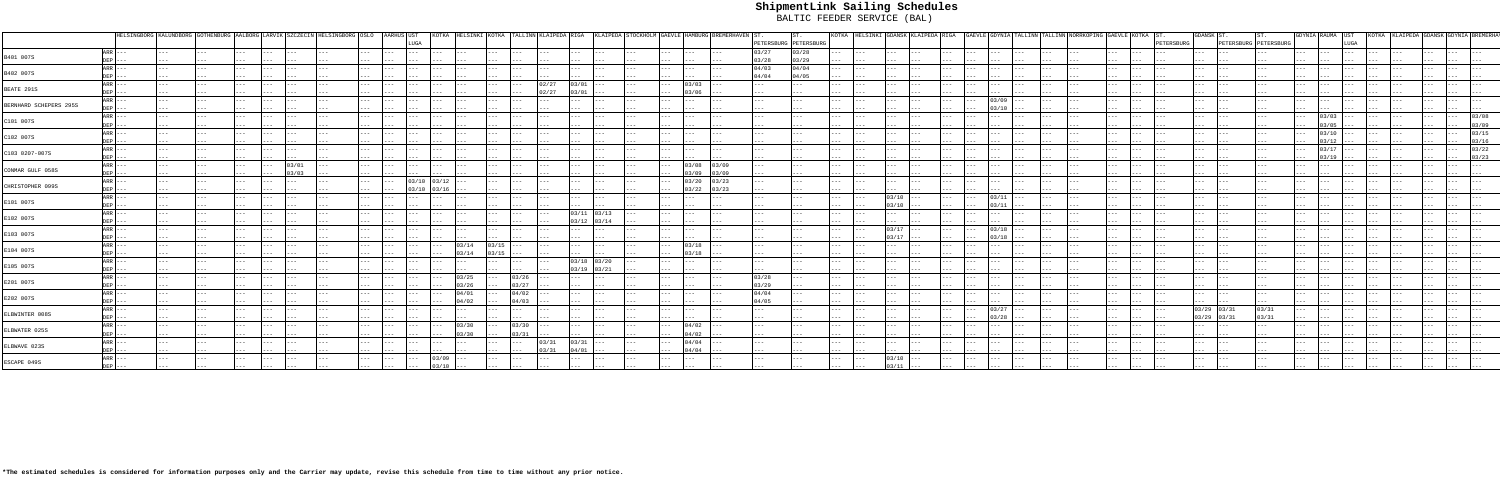|                        |             |       |       | HELSINGBORG KALUNDBORG GOTHENBURG AALBORG LARVIK |       | SZCZECIN HELSINGBORG  <br>SLO |         | AARHUS UST |                     | KOTKA HELSINKI KOTKA            |                  |                |                                                                                                                                                                                                                                                                                                                                                                                                       |  |                             | TALLINN KLAIPEDA RIGA KLAIPEDA STOCKHOLM GAEVLE HAMBURG BREMERHAVEN |                |                       |       | KOTKA   HELSINKI GDANSK KLAIPEDA RIGA |                                                                                                                                                                                                                                                                                                                                                                                              |        |                |                | GAEVLE GDYNIA TALLINN TALLINN NORRKOPING GAEVLE KOTKA ST. |       |            | GDANSK                 |                       |                | DYNIA RAUMA |                         | OTKA         | KLAIPEDA GDANSP |  |
|------------------------|-------------|-------|-------|--------------------------------------------------|-------|-------------------------------|---------|------------|---------------------|---------------------------------|------------------|----------------|-------------------------------------------------------------------------------------------------------------------------------------------------------------------------------------------------------------------------------------------------------------------------------------------------------------------------------------------------------------------------------------------------------|--|-----------------------------|---------------------------------------------------------------------|----------------|-----------------------|-------|---------------------------------------|----------------------------------------------------------------------------------------------------------------------------------------------------------------------------------------------------------------------------------------------------------------------------------------------------------------------------------------------------------------------------------------------|--------|----------------|----------------|-----------------------------------------------------------|-------|------------|------------------------|-----------------------|----------------|-------------|-------------------------|--------------|-----------------|--|
|                        |             |       |       |                                                  |       |                               |         | LIIGA      |                     |                                 |                  |                |                                                                                                                                                                                                                                                                                                                                                                                                       |  |                             |                                                                     |                | PETERSBURG PETERSBURG |       |                                       |                                                                                                                                                                                                                                                                                                                                                                                              |        |                |                |                                                           |       | PETERSBURG |                        | PETERSBURG PETERSBURG |                |             |                         | <b>APIT.</b> |                 |  |
| B401 007S              | $ARR$ $---$ |       |       |                                                  |       | $- -$                         |         | $- -$      | $--$                | $\qquad \qquad - - -$<br>$--$   | $---$            | $---$          |                                                                                                                                                                                                                                                                                                                                                                                                       |  |                             |                                                                     | 03/27<br>03/28 | 03/28<br>03/29        | $- -$ | $- - -$                               | $---$                                                                                                                                                                                                                                                                                                                                                                                        | --- -  | $- -$<br>$--$  | $- -$          | $---$                                                     | $---$ | $- -$      |                        |                       |                | $--$        |                         | $- -$        |                 |  |
| B402 007S              | $ARR$ $---$ |       |       |                                                  |       |                               |         |            |                     |                                 |                  |                |                                                                                                                                                                                                                                                                                                                                                                                                       |  |                             |                                                                     | 04/03<br>04/04 | 04/04<br>04/05        |       |                                       | $  -$                                                                                                                                                                                                                                                                                                                                                                                        |        |                | $-$            |                                                           |       |            |                        |                       |                |             |                         |              |                 |  |
| BEATE 291S             | $ARR$ ---   |       |       | $ -$                                             |       |                               |         |            |                     |                                 |                  | 02/27<br>02/27 | 03/01<br>3/01                                                                                                                                                                                                                                                                                                                                                                                         |  | 03/03<br>$---$<br>03/06     |                                                                     | $- -$          | $- -$                 | $ -$  | $- - -$                               |                                                                                                                                                                                                                                                                                                                                                                                              |        | $- -$          | $-$            |                                                           |       |            |                        |                       |                |             |                         |              |                 |  |
| BERNHARD SCHEPERS 295S | $ARR$ $---$ | $- -$ |       |                                                  |       |                               |         |            |                     | $---$                           |                  | $---$          | $---$<br>$---$                                                                                                                                                                                                                                                                                                                                                                                        |  | $---$                       | $- - -$                                                             |                |                       | $- -$ |                                       | $\frac{1}{2} \frac{1}{2} \frac{1}{2} \frac{1}{2} \frac{1}{2} \frac{1}{2} \frac{1}{2} \frac{1}{2} \frac{1}{2} \frac{1}{2} \frac{1}{2} \frac{1}{2} \frac{1}{2} \frac{1}{2} \frac{1}{2} \frac{1}{2} \frac{1}{2} \frac{1}{2} \frac{1}{2} \frac{1}{2} \frac{1}{2} \frac{1}{2} \frac{1}{2} \frac{1}{2} \frac{1}{2} \frac{1}{2} \frac{1}{2} \frac{1}{2} \frac{1}{2} \frac{1}{2} \frac{1}{2} \frac{$ | $- -$  | $- -$          | 03/09<br>$- -$ |                                                           |       | $- - -$    |                        |                       |                |             |                         |              |                 |  |
| C101 007S              | $ARR$ $---$ |       |       |                                                  |       |                               |         |            |                     | $- -$                           |                  | $---$          | $- - -$                                                                                                                                                                                                                                                                                                                                                                                               |  | $- -$                       |                                                                     |                |                       |       |                                       | $  -$                                                                                                                                                                                                                                                                                                                                                                                        |        | $- -$          |                |                                                           |       | $- -$      |                        |                       |                |             | 03/03                   |              |                 |  |
| C102 007S              | $ARR$ $---$ |       |       |                                                  |       |                               |         |            |                     |                                 |                  |                |                                                                                                                                                                                                                                                                                                                                                                                                       |  | $-- -$                      |                                                                     |                |                       |       |                                       | $---$                                                                                                                                                                                                                                                                                                                                                                                        |        |                |                |                                                           |       |            |                        |                       |                |             | 03/05<br>$03/10$ ---    |              |                 |  |
|                        | $ARR$ $---$ |       |       |                                                  |       |                               |         |            |                     | $- -$                           |                  | $---$          |                                                                                                                                                                                                                                                                                                                                                                                                       |  | $- -$                       |                                                                     |                |                       |       |                                       | $- - -$                                                                                                                                                                                                                                                                                                                                                                                      |        |                |                |                                                           |       | $- -$      |                        |                       |                |             | $3/12$<br>$03/17$ $---$ |              |                 |  |
| C103 0207-007S         | $ARR$ $---$ |       |       |                                                  | 03/01 |                               |         |            |                     |                                 |                  |                |                                                                                                                                                                                                                                                                                                                                                                                                       |  | 03/08                       | 03/09                                                               |                |                       |       |                                       |                                                                                                                                                                                                                                                                                                                                                                                              |        |                |                |                                                           |       |            |                        |                       |                |             | 03/19                   |              |                 |  |
| CONMAR GULF 058S       | $ARR$ ---   |       |       |                                                  | 3/03  |                               |         |            | $03/10$ $03/12$ --- | $--$                            |                  | $---$          | $--$<br>$---$                                                                                                                                                                                                                                                                                                                                                                                         |  | 0 1 / 2 0<br>03/20<br>$- -$ | 03/09<br>03/23                                                      |                |                       |       | $- - -$                               | $- - -$                                                                                                                                                                                                                                                                                                                                                                                      |        | $-$            |                |                                                           |       | $- -$      |                        |                       |                |             | $---$                   |              |                 |  |
| CHRISTOPHER 099S       | $ARR$ $---$ |       |       |                                                  |       |                               |         | 3/10       |                     |                                 |                  |                |                                                                                                                                                                                                                                                                                                                                                                                                       |  | 03/22                       | 03/23                                                               |                |                       |       |                                       | 03/10                                                                                                                                                                                                                                                                                                                                                                                        |        | 03/11          |                |                                                           |       |            |                        |                       |                |             |                         |              |                 |  |
| E101 007S              |             |       |       |                                                  |       |                               |         |            |                     |                                 |                  |                |                                                                                                                                                                                                                                                                                                                                                                                                       |  |                             |                                                                     |                |                       |       |                                       | 03/10                                                                                                                                                                                                                                                                                                                                                                                        |        |                | 2/11           |                                                           |       |            |                        |                       |                |             |                         |              |                 |  |
| E102 007S              | $ARR$ $---$ |       |       |                                                  |       |                               |         |            |                     | $- - -$                         |                  |                | $03/11$ $03/13$<br>$03/12$ $03/14$                                                                                                                                                                                                                                                                                                                                                                    |  | $- -$                       |                                                                     |                |                       | $ -$  |                                       | $---$                                                                                                                                                                                                                                                                                                                                                                                        |        |                |                |                                                           |       |            |                        |                       |                |             |                         |              |                 |  |
| E103 007S              | $ARR$ $---$ |       |       |                                                  |       |                               |         |            |                     |                                 |                  |                |                                                                                                                                                                                                                                                                                                                                                                                                       |  | $-- -$                      |                                                                     |                |                       |       |                                       | 03/17<br>03/17                                                                                                                                                                                                                                                                                                                                                                               |        |                | 03/18<br>3/18  |                                                           |       |            |                        |                       |                |             |                         |              |                 |  |
| E104 007S              | $ARR$ $---$ |       |       |                                                  |       |                               |         | $-$        |                     | 03/14<br>03/15<br>3/14<br>13/15 |                  |                |                                                                                                                                                                                                                                                                                                                                                                                                       |  | 03/18<br>$--$<br>03/18      |                                                                     |                |                       | $ -$  |                                       | $---$                                                                                                                                                                                                                                                                                                                                                                                        |        | $-$            |                |                                                           |       |            |                        |                       |                |             |                         |              |                 |  |
| E105 007S              | $ARR$ $---$ |       |       |                                                  |       |                               |         |            |                     | $--$                            |                  |                | $03/18$ 03/20<br>03/19 03/21                                                                                                                                                                                                                                                                                                                                                                          |  | $-- -$                      |                                                                     |                |                       |       |                                       |                                                                                                                                                                                                                                                                                                                                                                                              |        | $-$            |                |                                                           |       |            |                        |                       |                |             |                         |              |                 |  |
| E201 007S              | $ARR$ $---$ |       |       | $- -$                                            |       |                               |         | $-$        |                     | 03/25<br>3/26                   | 03/26<br>0.3/2.7 |                | $--$                                                                                                                                                                                                                                                                                                                                                                                                  |  | $---$                       |                                                                     | 03/28<br>03/29 |                       | $- -$ |                                       | $\frac{1}{2} \frac{1}{2} \frac{1}{2} \frac{1}{2} \frac{1}{2} \frac{1}{2} \frac{1}{2} \frac{1}{2} \frac{1}{2} \frac{1}{2} \frac{1}{2} \frac{1}{2} \frac{1}{2} \frac{1}{2} \frac{1}{2} \frac{1}{2} \frac{1}{2} \frac{1}{2} \frac{1}{2} \frac{1}{2} \frac{1}{2} \frac{1}{2} \frac{1}{2} \frac{1}{2} \frac{1}{2} \frac{1}{2} \frac{1}{2} \frac{1}{2} \frac{1}{2} \frac{1}{2} \frac{1}{2} \frac{$ |        | $- -$          | $ -$           | $- -$                                                     |       | $- - -$    |                        |                       |                |             |                         |              |                 |  |
| E202 007S              | $ARR$ $---$ | $ -$  | $ -$  | $--$                                             |       | $ -$                          | $--$    | $ -$       | 04/01<br>$--$       | 4/02                            | 04/02<br>04/03   |                | $- -$                                                                                                                                                                                                                                                                                                                                                                                                 |  | $- -$                       | $-- -$                                                              | 04/04<br>04/05 | $--$                  | $--$  |                                       | --- -                                                                                                                                                                                                                                                                                                                                                                                        |        | $- -$          | $ -$           |                                                           |       | $- -$      |                        |                       |                |             |                         |              |                 |  |
| ELBWINTER 008S         | $ARR$ $---$ | $--$  |       | $- -$                                            |       |                               |         | $- -$      |                     | $--$<br>$- -$                   | $---$            | $---$          | $---$                                                                                                                                                                                                                                                                                                                                                                                                 |  | $---$<br>$---$              |                                                                     | $--$           | $- - -$               | $---$ |                                       | $---$                                                                                                                                                                                                                                                                                                                                                                                        | $- -$  | $- -$          | 03/27<br>$- -$ | $- -$                                                     |       | $- -$      | $03/29$ 03/31<br>03/29 | 12/31                 | 03/31<br>13/31 | $--$        | $---$                   | $---$        |                 |  |
| ELBWATER 025S          | $ARR$ $---$ |       |       | $- -$                                            |       | $ -$                          | $- - -$ | $- -$      | $---$               | 03/30<br>$---$<br>3 / 3 N       | 03/30<br>03/31   | $---$          | $- - -$                                                                                                                                                                                                                                                                                                                                                                                               |  | 04/02<br>$---$<br>04/02     |                                                                     |                |                       | $- -$ | $- - -$                               | $\frac{1}{2} \frac{1}{2} \frac{1}{2} \frac{1}{2} \frac{1}{2} \frac{1}{2} \frac{1}{2} \frac{1}{2} \frac{1}{2} \frac{1}{2} \frac{1}{2} \frac{1}{2} \frac{1}{2} \frac{1}{2} \frac{1}{2} \frac{1}{2} \frac{1}{2} \frac{1}{2} \frac{1}{2} \frac{1}{2} \frac{1}{2} \frac{1}{2} \frac{1}{2} \frac{1}{2} \frac{1}{2} \frac{1}{2} \frac{1}{2} \frac{1}{2} \frac{1}{2} \frac{1}{2} \frac{1}{2} \frac{$ |        | $-$            | $-$            | $- -$                                                     |       | $- - -$    |                        |                       |                |             | $- -$<br>$- - -$        |              |                 |  |
| ELBWAVE 023S           | $ARR$ $---$ | $--$  | $- -$ | $- -$                                            |       | $- -$                         |         | $- -$      | $- - -$             | $--$<br>$- -$                   | $---$            | 03/31          | $03/31$ $---$                                                                                                                                                                                                                                                                                                                                                                                         |  | 04/04<br>$---$              |                                                                     | $- -$          | $--$                  | $---$ |                                       | $\qquad \qquad - - -$                                                                                                                                                                                                                                                                                                                                                                        | $-- -$ | $\alpha = 1$ . | $ -$           | $- - -$                                                   |       |            | $- - -$                |                       |                |             |                         |              |                 |  |
| ESCAPE 049S            | $ARR$ $---$ |       |       |                                                  |       | $ -$                          | $- - -$ | $--$       | $03/09$ $---$       | $---$                           |                  | 03/31<br>$---$ | 04/01<br>$\frac{1}{2} \frac{1}{2} \frac{1}{2} \frac{1}{2} \frac{1}{2} \frac{1}{2} \frac{1}{2} \frac{1}{2} \frac{1}{2} \frac{1}{2} \frac{1}{2} \frac{1}{2} \frac{1}{2} \frac{1}{2} \frac{1}{2} \frac{1}{2} \frac{1}{2} \frac{1}{2} \frac{1}{2} \frac{1}{2} \frac{1}{2} \frac{1}{2} \frac{1}{2} \frac{1}{2} \frac{1}{2} \frac{1}{2} \frac{1}{2} \frac{1}{2} \frac{1}{2} \frac{1}{2} \frac{1}{2} \frac{$ |  | 04/04<br>$---$<br>$---$     |                                                                     |                |                       |       |                                       | 03/10                                                                                                                                                                                                                                                                                                                                                                                        | $-- -$ |                |                |                                                           |       |            |                        |                       |                |             |                         |              |                 |  |
|                        |             |       |       |                                                  |       |                               |         |            |                     |                                 |                  |                |                                                                                                                                                                                                                                                                                                                                                                                                       |  |                             |                                                                     |                |                       |       |                                       | 0.3/11                                                                                                                                                                                                                                                                                                                                                                                       |        |                |                |                                                           |       |            |                        |                       |                |             |                         |              |                 |  |

| GDYNIA                                      | <b>BREMERHA</b>            |
|---------------------------------------------|----------------------------|
|                                             |                            |
| $\overline{\phantom{a}}$                    | $-1$                       |
| $\frac{1}{2}$                               | $\equiv$                   |
| $\overline{a}$                              | $-1$                       |
| $\frac{---}{---}$                           | $\equiv$                   |
|                                             | Ξ                          |
|                                             | $\frac{1}{1}$              |
|                                             |                            |
| $\frac{1}{1}$                               | $\frac{1}{2}$              |
|                                             | 03/08                      |
| þ                                           | 03/09                      |
| $ -$                                        | 03/15                      |
| $\frac{1}{1}$                               | 03/16                      |
|                                             | $\frac{1}{03}/22$<br>03/23 |
|                                             |                            |
| $- - -$<br>$\frac{1}{\sqrt{1-\frac{1}{2}}}$ | $- - -$<br>$- - -$         |
| $- - -$                                     |                            |
| .,<br>ŗ,                                    | $---$<br>J,<br>.,          |
| $- - -$                                     | $- - -$                    |
|                                             | J,<br>Ļ,                   |
| $\frac{1}{1}$                               | Ξ                          |
|                                             |                            |
|                                             | ŗ,                         |
| ÷                                           | __<br>---                  |
| $ -$                                        | $\pm$                      |
| $\overline{a}$                              | $\overline{a}$             |
| þ                                           | Ξ.                         |
| $\overline{a}$                              | $ -$                       |
| $---$                                       | $\frac{1}{2}$              |
| $---$                                       | $ -$<br>.,                 |
| $\equiv$                                    |                            |
|                                             |                            |
|                                             |                            |
|                                             |                            |
|                                             |                            |
| $- - -$                                     | $-$                        |
| J,                                          | Ξ.                         |
|                                             | ċ                          |
|                                             |                            |
|                                             |                            |
| $- -$                                       |                            |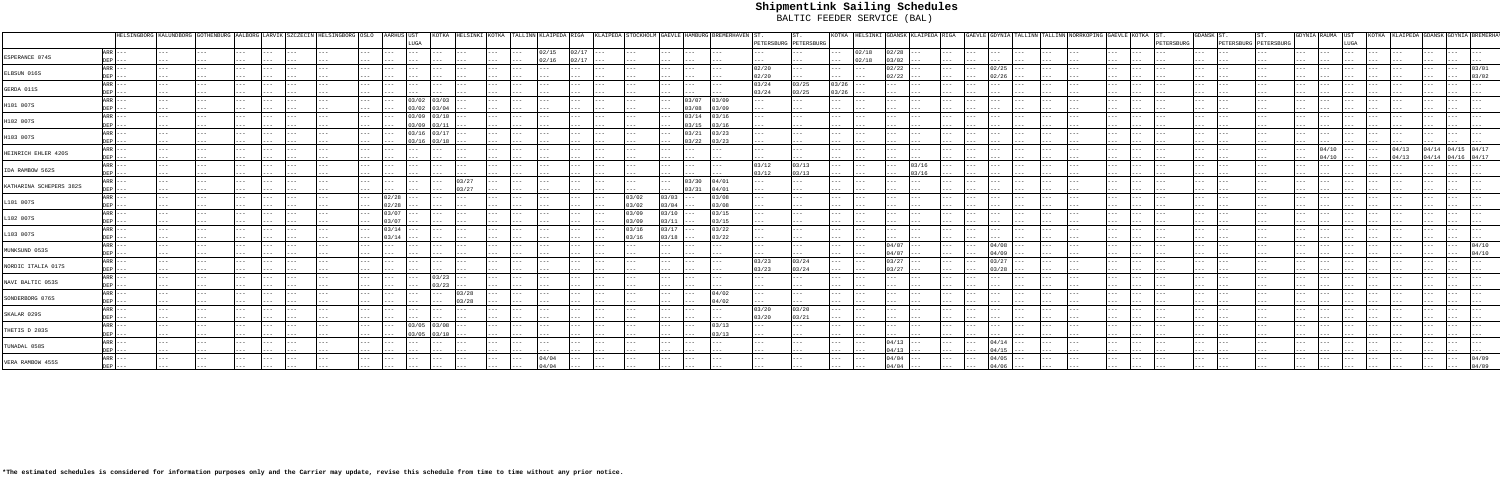|                         |             |                |         |         | HELSINGBORG KALUNDBORG GOTHENBURG AALBORG LARVIK SZCZECIN HELSINGBORG OSLO |                                                                                                                                                                                                                                                                                                                                                                                              | AARHUS UST                                                                                                                                                                                                                                                                                                                                                                                            | KOTKA IHELSINKI         | KOTKA | ALLINN KLAIPEDA RIGA |                | KLAIPEDA |                  |               | TOCKHOLM GAEVLE HAMBURG BREMERHAVEN IST |                |                       |                | KOTKA HELSINKI |                | KLAIPEDA I    |       |       | GAEVLE   GDYNIA   TALLIN | LLINN   NORRKOPIN | AEVLE IKOTKA |            | IDANSK I ST |                       | GDYNIA RAUMA |             | KOTKA |       |  |
|-------------------------|-------------|----------------|---------|---------|----------------------------------------------------------------------------|----------------------------------------------------------------------------------------------------------------------------------------------------------------------------------------------------------------------------------------------------------------------------------------------------------------------------------------------------------------------------------------------|-------------------------------------------------------------------------------------------------------------------------------------------------------------------------------------------------------------------------------------------------------------------------------------------------------------------------------------------------------------------------------------------------------|-------------------------|-------|----------------------|----------------|----------|------------------|---------------|-----------------------------------------|----------------|-----------------------|----------------|----------------|----------------|---------------|-------|-------|--------------------------|-------------------|--------------|------------|-------------|-----------------------|--------------|-------------|-------|-------|--|
|                         |             |                |         |         |                                                                            |                                                                                                                                                                                                                                                                                                                                                                                              | LUGA                                                                                                                                                                                                                                                                                                                                                                                                  |                         |       |                      |                |          |                  |               |                                         |                | PETERSBURG PETERSBURG |                |                |                |               |       |       |                          |                   |              | PETERSBURG |             | PETERSBURG PETERSBURG |              | <b>JIGA</b> |       |       |  |
| ESPERANCE 074S          | $ARR$ $---$ | $1 - - -$      |         |         |                                                                            | $- -$                                                                                                                                                                                                                                                                                                                                                                                        | $---$<br>$-- -$                                                                                                                                                                                                                                                                                                                                                                                       |                         |       | 02/15<br>02/16       | 02/17<br>02/17 |          |                  |               |                                         | $---$          |                       | $--$           | 02/18<br>12/18 | 02/28<br>03/02 |               |       |       | --- -                    |                   |              |            |             |                       | $---$        |             |       |       |  |
|                         | $ARR$ $---$ | $1 - - -$      |         |         |                                                                            |                                                                                                                                                                                                                                                                                                                                                                                              |                                                                                                                                                                                                                                                                                                                                                                                                       |                         |       |                      |                |          |                  |               |                                         | 02/20          |                       | $---$          |                | 02/22          |               |       |       | $02/25$ $---$            |                   |              |            |             |                       |              |             |       |       |  |
| ELBSUN 016S             |             |                |         |         |                                                                            |                                                                                                                                                                                                                                                                                                                                                                                              |                                                                                                                                                                                                                                                                                                                                                                                                       |                         |       |                      |                |          |                  |               |                                         | 02/20          |                       |                |                | 02/22          |               |       |       |                          |                   |              |            |             |                       |              |             |       |       |  |
| GERDA 011S              | $APR$ $---$ | $---$          | $- - -$ | $---$   |                                                                            |                                                                                                                                                                                                                                                                                                                                                                                              |                                                                                                                                                                                                                                                                                                                                                                                                       |                         |       |                      |                |          |                  |               |                                         | 03/24<br>03/24 | 03/25<br>03/25        | 03/26<br>03/26 |                | $ -$           |               |       |       |                          |                   |              |            |             |                       |              |             |       |       |  |
| H101 007S               | $ARR$ $---$ | $1 - - -$      |         |         |                                                                            |                                                                                                                                                                                                                                                                                                                                                                                              | 03/02 03/03<br>$---$                                                                                                                                                                                                                                                                                                                                                                                  |                         |       |                      |                |          |                  |               | 0.3/0.7<br>03/09                        | $---$          |                       | $- - -$        |                |                |               |       |       |                          |                   |              |            |             |                       |              |             |       |       |  |
|                         | $APR$ $---$ | <u>  _ _ _</u> |         | $- - -$ |                                                                            |                                                                                                                                                                                                                                                                                                                                                                                              |                                                                                                                                                                                                                                                                                                                                                                                                       |                         |       |                      |                |          |                  |               | 13/09                                   |                |                       |                |                |                |               |       |       |                          |                   |              |            |             |                       |              |             |       |       |  |
| H102 007S               |             |                |         |         | $- -$                                                                      |                                                                                                                                                                                                                                                                                                                                                                                              | $03/09$ $03/10$<br>03/09                                                                                                                                                                                                                                                                                                                                                                              | 03/11                   |       |                      |                |          |                  |               | 03/16<br>03/14<br>03/15<br>03/16        |                |                       |                |                |                |               |       |       |                          |                   |              |            |             |                       |              |             |       |       |  |
| H103 007S               | $ARR$ $---$ | $---$          |         |         |                                                                            | $---$                                                                                                                                                                                                                                                                                                                                                                                        | $03/16$ $03/17$<br>03/16                                                                                                                                                                                                                                                                                                                                                                              |                         |       | $---$                |                |          |                  |               | 03/23<br>03/21<br>03/22<br>03/23        |                |                       |                |                |                |               |       |       |                          |                   |              |            |             |                       |              |             |       |       |  |
|                         | $ARR$ $---$ | $---$          |         |         | $- - -$                                                                    |                                                                                                                                                                                                                                                                                                                                                                                              | $- - -$                                                                                                                                                                                                                                                                                                                                                                                               | 03/18                   | $- -$ | $- - -$              |                |          |                  |               | $---$                                   | $---$          |                       |                |                |                |               |       |       |                          |                   |              |            |             |                       | $---$        | 04/10       |       | 04/13 |  |
| HEINRICH EHLER 420S     |             |                |         |         |                                                                            |                                                                                                                                                                                                                                                                                                                                                                                              |                                                                                                                                                                                                                                                                                                                                                                                                       |                         |       |                      |                |          |                  |               |                                         |                |                       |                |                |                |               |       |       |                          |                   |              |            |             |                       |              | 04/10       |       | 4/13  |  |
| IDA RAMBOW 562S         | $ARR$ $---$ | $---$          |         |         | ---                                                                        |                                                                                                                                                                                                                                                                                                                                                                                              | $- - -$                                                                                                                                                                                                                                                                                                                                                                                               |                         |       | $- - -$              |                |          |                  |               | $- - -$                                 | 03/12<br>03/12 | 03/13<br>03/13        |                |                |                | 03/16<br>3/16 |       |       |                          |                   |              |            |             |                       | $- -$        |             |       |       |  |
| KATHARINA SCHEPERS 382S | $ARR$ $---$ | $---$          | $--$    | $---$   | $---$                                                                      | $- - -$                                                                                                                                                                                                                                                                                                                                                                                      | $\frac{1}{2} \frac{1}{2} \frac{1}{2} \frac{1}{2} \frac{1}{2} \frac{1}{2} \frac{1}{2} \frac{1}{2} \frac{1}{2} \frac{1}{2} \frac{1}{2} \frac{1}{2} \frac{1}{2} \frac{1}{2} \frac{1}{2} \frac{1}{2} \frac{1}{2} \frac{1}{2} \frac{1}{2} \frac{1}{2} \frac{1}{2} \frac{1}{2} \frac{1}{2} \frac{1}{2} \frac{1}{2} \frac{1}{2} \frac{1}{2} \frac{1}{2} \frac{1}{2} \frac{1}{2} \frac{1}{2} \frac{$<br>$---$ | 03/27<br>$- -$<br>13/27 |       |                      |                |          |                  | $- -$         | 03/30<br>04/01<br>0.3 / 31<br>04/01     |                |                       |                |                |                |               |       |       |                          |                   |              |            |             |                       | $--$         |             |       |       |  |
| L101 007S               | $ARR$ $---$ |                |         |         | $-- -$                                                                     |                                                                                                                                                                                                                                                                                                                                                                                              | $02/28$ $---$                                                                                                                                                                                                                                                                                                                                                                                         |                         |       |                      |                |          | 03/02            | 03/03         | 03/08                                   |                |                       |                |                |                |               |       |       |                          |                   |              |            |             |                       |              |             |       |       |  |
|                         | $ARR$ $---$ |                |         |         |                                                                            |                                                                                                                                                                                                                                                                                                                                                                                              | 02/28<br>03/07                                                                                                                                                                                                                                                                                                                                                                                        |                         |       |                      |                |          | 0.3/0.2<br>03/09 | 3/04<br>03/10 | 0.3 / 0.8<br>03/15                      |                |                       |                |                |                |               |       |       |                          |                   |              |            |             |                       |              |             |       |       |  |
| L102 007S               |             |                |         |         |                                                                            |                                                                                                                                                                                                                                                                                                                                                                                              | 03/07                                                                                                                                                                                                                                                                                                                                                                                                 |                         |       |                      |                |          | 03/09            | 13/11         | 03/15                                   |                |                       |                |                |                |               |       |       |                          |                   |              |            |             |                       | $---$        |             |       |       |  |
| L103 007S               | $ARR$ $---$ | $- - -$        |         |         | $---$                                                                      |                                                                                                                                                                                                                                                                                                                                                                                              | $03/14$ $---$<br>03/14                                                                                                                                                                                                                                                                                                                                                                                |                         |       |                      |                |          | 03/16<br>03/16   | 03/17<br>3/18 | 03/22<br>0.3/2.2                        |                |                       |                |                |                |               |       |       |                          |                   |              |            |             |                       |              |             |       |       |  |
| MUNKSUND 053S           | $APR$ $---$ | $---$          | $ -$    |         |                                                                            |                                                                                                                                                                                                                                                                                                                                                                                              | $---$                                                                                                                                                                                                                                                                                                                                                                                                 |                         |       |                      |                |          |                  | $- -$         | $---$                                   | $---$          |                       |                |                | 04/07          |               | $- -$ | $ -$  | 04/08<br>$-- -$          |                   |              |            |             |                       | $- - -$      |             |       |       |  |
|                         | $ARR$ $---$ | $---$          |         |         | $- - -$                                                                    |                                                                                                                                                                                                                                                                                                                                                                                              | $---$                                                                                                                                                                                                                                                                                                                                                                                                 |                         |       |                      |                |          |                  |               |                                         | 03/23          | 03/24                 |                |                | 04/07<br>03/27 |               |       | $ -$  | 04/09<br>03/27<br>$---$  |                   |              |            |             |                       |              |             |       |       |  |
| NORDIC ITALIA 017S      |             |                |         |         |                                                                            |                                                                                                                                                                                                                                                                                                                                                                                              |                                                                                                                                                                                                                                                                                                                                                                                                       |                         |       |                      |                |          |                  |               |                                         | 03/23          | 03/24                 |                |                | 03/27          |               |       |       | 3/28                     |                   |              |            |             |                       |              |             |       |       |  |
| NAVI BALTIC 053S        | $APR$ $---$ | $---$          | $ -$    |         |                                                                            | $- -$                                                                                                                                                                                                                                                                                                                                                                                        | ---                                                                                                                                                                                                                                                                                                                                                                                                   | 03/23<br>3/23           |       |                      |                |          |                  |               |                                         | $---$          |                       |                |                | $- - -$        |               | $- -$ |       | $- - -$<br>$- -$         |                   |              |            |             |                       | $- - -$      |             |       |       |  |
| SONDERBORG 076S         | $ARR$ $---$ | $---$          | $--$    | $---$   | $-- -$                                                                     | --- -                                                                                                                                                                                                                                                                                                                                                                                        | $---$<br>$---$                                                                                                                                                                                                                                                                                                                                                                                        | 03/28<br>$---$          |       | $-- -$               |                |          |                  |               | 04/02<br>04/02                          | $---$          |                       |                |                |                |               |       | $- -$ | $- -$                    |                   |              |            |             |                       |              |             |       |       |  |
| SKALAR 029S             | $ARR$ $---$ | $1 - - -$      | $---$   | $---$   | $---$                                                                      | $- - -$                                                                                                                                                                                                                                                                                                                                                                                      | $- - -$<br>$---$                                                                                                                                                                                                                                                                                                                                                                                      |                         | $- -$ |                      |                |          |                  |               | $- -$                                   | 03/20          | 03/20                 | $ -$           |                |                |               |       |       |                          |                   |              |            |             |                       |              |             |       |       |  |
|                         |             |                |         |         |                                                                            |                                                                                                                                                                                                                                                                                                                                                                                              |                                                                                                                                                                                                                                                                                                                                                                                                       |                         |       |                      |                |          |                  |               |                                         | $03/20$        | $03/21$               |                |                |                |               |       |       |                          |                   |              |            |             |                       |              |             |       |       |  |
| THETIS D 203S           | $ARR$ $---$ | $1 - - -$      | $- - -$ | $---$   |                                                                            | $\frac{1}{2} \frac{1}{2} \frac{1}{2} \frac{1}{2} \frac{1}{2} \frac{1}{2} \frac{1}{2} \frac{1}{2} \frac{1}{2} \frac{1}{2} \frac{1}{2} \frac{1}{2} \frac{1}{2} \frac{1}{2} \frac{1}{2} \frac{1}{2} \frac{1}{2} \frac{1}{2} \frac{1}{2} \frac{1}{2} \frac{1}{2} \frac{1}{2} \frac{1}{2} \frac{1}{2} \frac{1}{2} \frac{1}{2} \frac{1}{2} \frac{1}{2} \frac{1}{2} \frac{1}{2} \frac{1}{2} \frac{$ | $03/05$ 03/08 ---<br>$---$<br>03/05                                                                                                                                                                                                                                                                                                                                                                   | 03/10                   | $- -$ | $---$                |                |          |                  |               | 03/13<br>03/13                          | $---$          | $---$                 |                |                | $- -$          |               |       |       |                          |                   |              |            |             |                       |              |             |       |       |  |
| TUNADAL 058S            | $ARR$ $---$ | $---$          |         |         |                                                                            |                                                                                                                                                                                                                                                                                                                                                                                              |                                                                                                                                                                                                                                                                                                                                                                                                       |                         |       |                      |                |          |                  |               |                                         |                |                       |                |                | 04/13<br>04/13 |               |       |       | 04/14                    |                   |              |            |             |                       |              |             |       |       |  |
| VERA RAMBOW 455S        | $ARR$ $---$ |                |         |         |                                                                            |                                                                                                                                                                                                                                                                                                                                                                                              |                                                                                                                                                                                                                                                                                                                                                                                                       |                         |       | 04/04                |                |          |                  |               |                                         |                |                       |                |                | 04/04          |               |       |       | 04/05                    |                   |              |            |             |                       |              |             |       |       |  |
|                         |             |                |         |         |                                                                            |                                                                                                                                                                                                                                                                                                                                                                                              |                                                                                                                                                                                                                                                                                                                                                                                                       |                         |       | 14/04                |                |          |                  |               |                                         |                |                       |                |                |                |               |       |       |                          |                   |              |            |             |                       |              |             |       |       |  |

| $- - -$<br>J,<br>Ξ,<br>.,<br>I.,<br>$\frac{1}{03/01}$<br>03/02<br>$\frac{1}{1}$<br>$\overline{a}$<br>$\overline{a}$<br>$\equiv$<br>$\equiv$<br>$ -$<br>-7<br>ŀ.<br>$\overline{\phantom{a}}$<br>$\overline{}$<br>$\equiv$<br>04/15<br>04/17<br>04/16<br>04/17<br>$\overline{a}$<br>$ -$<br>$\equiv$<br>$ -$<br>$ -$<br>$  -$<br>ċ<br>$\overline{\phantom{a}}$<br>$\overline{a}$<br>$---$<br>$ -$<br>Ξ,<br>þ<br>$\overline{\phantom{a}}$<br>$\overline{\phantom{a}}$<br>$ -$<br>$\equiv$<br>04/10<br>J,<br>04/10<br>---<br>$\equiv$<br>$rac{1}{\sqrt{2}}$<br>$  -$<br>J.<br>J.<br>ŀ,<br>ŀ,<br>ł,<br>ŀ,<br>$\overline{\phantom{a}}$<br>Ξ.<br>$--$<br>÷<br>ŀ,<br>$  -$<br>$ -$<br>į,<br>$ -$<br>$ -$ | GDYNIA | <b>BREMERHA</b> |
|--------------------------------------------------------------------------------------------------------------------------------------------------------------------------------------------------------------------------------------------------------------------------------------------------------------------------------------------------------------------------------------------------------------------------------------------------------------------------------------------------------------------------------------------------------------------------------------------------------------------------------------------------------------------------------------------------|--------|-----------------|
|                                                                                                                                                                                                                                                                                                                                                                                                                                                                                                                                                                                                                                                                                                  |        |                 |
|                                                                                                                                                                                                                                                                                                                                                                                                                                                                                                                                                                                                                                                                                                  |        |                 |
|                                                                                                                                                                                                                                                                                                                                                                                                                                                                                                                                                                                                                                                                                                  |        |                 |
|                                                                                                                                                                                                                                                                                                                                                                                                                                                                                                                                                                                                                                                                                                  |        |                 |
|                                                                                                                                                                                                                                                                                                                                                                                                                                                                                                                                                                                                                                                                                                  |        |                 |
|                                                                                                                                                                                                                                                                                                                                                                                                                                                                                                                                                                                                                                                                                                  |        |                 |
|                                                                                                                                                                                                                                                                                                                                                                                                                                                                                                                                                                                                                                                                                                  |        |                 |
|                                                                                                                                                                                                                                                                                                                                                                                                                                                                                                                                                                                                                                                                                                  |        |                 |
|                                                                                                                                                                                                                                                                                                                                                                                                                                                                                                                                                                                                                                                                                                  |        |                 |
|                                                                                                                                                                                                                                                                                                                                                                                                                                                                                                                                                                                                                                                                                                  |        |                 |
|                                                                                                                                                                                                                                                                                                                                                                                                                                                                                                                                                                                                                                                                                                  |        |                 |
|                                                                                                                                                                                                                                                                                                                                                                                                                                                                                                                                                                                                                                                                                                  |        |                 |
|                                                                                                                                                                                                                                                                                                                                                                                                                                                                                                                                                                                                                                                                                                  |        |                 |
|                                                                                                                                                                                                                                                                                                                                                                                                                                                                                                                                                                                                                                                                                                  |        |                 |
|                                                                                                                                                                                                                                                                                                                                                                                                                                                                                                                                                                                                                                                                                                  |        |                 |
|                                                                                                                                                                                                                                                                                                                                                                                                                                                                                                                                                                                                                                                                                                  |        |                 |
|                                                                                                                                                                                                                                                                                                                                                                                                                                                                                                                                                                                                                                                                                                  |        |                 |
|                                                                                                                                                                                                                                                                                                                                                                                                                                                                                                                                                                                                                                                                                                  |        |                 |
|                                                                                                                                                                                                                                                                                                                                                                                                                                                                                                                                                                                                                                                                                                  |        |                 |
|                                                                                                                                                                                                                                                                                                                                                                                                                                                                                                                                                                                                                                                                                                  |        |                 |
|                                                                                                                                                                                                                                                                                                                                                                                                                                                                                                                                                                                                                                                                                                  |        |                 |
|                                                                                                                                                                                                                                                                                                                                                                                                                                                                                                                                                                                                                                                                                                  |        |                 |
|                                                                                                                                                                                                                                                                                                                                                                                                                                                                                                                                                                                                                                                                                                  |        |                 |
|                                                                                                                                                                                                                                                                                                                                                                                                                                                                                                                                                                                                                                                                                                  |        |                 |
|                                                                                                                                                                                                                                                                                                                                                                                                                                                                                                                                                                                                                                                                                                  |        |                 |
|                                                                                                                                                                                                                                                                                                                                                                                                                                                                                                                                                                                                                                                                                                  |        |                 |
|                                                                                                                                                                                                                                                                                                                                                                                                                                                                                                                                                                                                                                                                                                  |        |                 |
|                                                                                                                                                                                                                                                                                                                                                                                                                                                                                                                                                                                                                                                                                                  |        |                 |
|                                                                                                                                                                                                                                                                                                                                                                                                                                                                                                                                                                                                                                                                                                  |        |                 |
|                                                                                                                                                                                                                                                                                                                                                                                                                                                                                                                                                                                                                                                                                                  |        |                 |
|                                                                                                                                                                                                                                                                                                                                                                                                                                                                                                                                                                                                                                                                                                  |        |                 |
|                                                                                                                                                                                                                                                                                                                                                                                                                                                                                                                                                                                                                                                                                                  |        |                 |
|                                                                                                                                                                                                                                                                                                                                                                                                                                                                                                                                                                                                                                                                                                  |        |                 |
|                                                                                                                                                                                                                                                                                                                                                                                                                                                                                                                                                                                                                                                                                                  |        |                 |
|                                                                                                                                                                                                                                                                                                                                                                                                                                                                                                                                                                                                                                                                                                  |        |                 |
|                                                                                                                                                                                                                                                                                                                                                                                                                                                                                                                                                                                                                                                                                                  |        |                 |
| $\blacksquare$<br>ŗ,                                                                                                                                                                                                                                                                                                                                                                                                                                                                                                                                                                                                                                                                             |        |                 |
| $---$<br>$\overline{a}$                                                                                                                                                                                                                                                                                                                                                                                                                                                                                                                                                                                                                                                                          |        |                 |
| Ξ,                                                                                                                                                                                                                                                                                                                                                                                                                                                                                                                                                                                                                                                                                               |        |                 |
| $\overline{a}$<br>04/09                                                                                                                                                                                                                                                                                                                                                                                                                                                                                                                                                                                                                                                                          |        |                 |
| 04/09<br>$\frac{1}{2}$                                                                                                                                                                                                                                                                                                                                                                                                                                                                                                                                                                                                                                                                           |        |                 |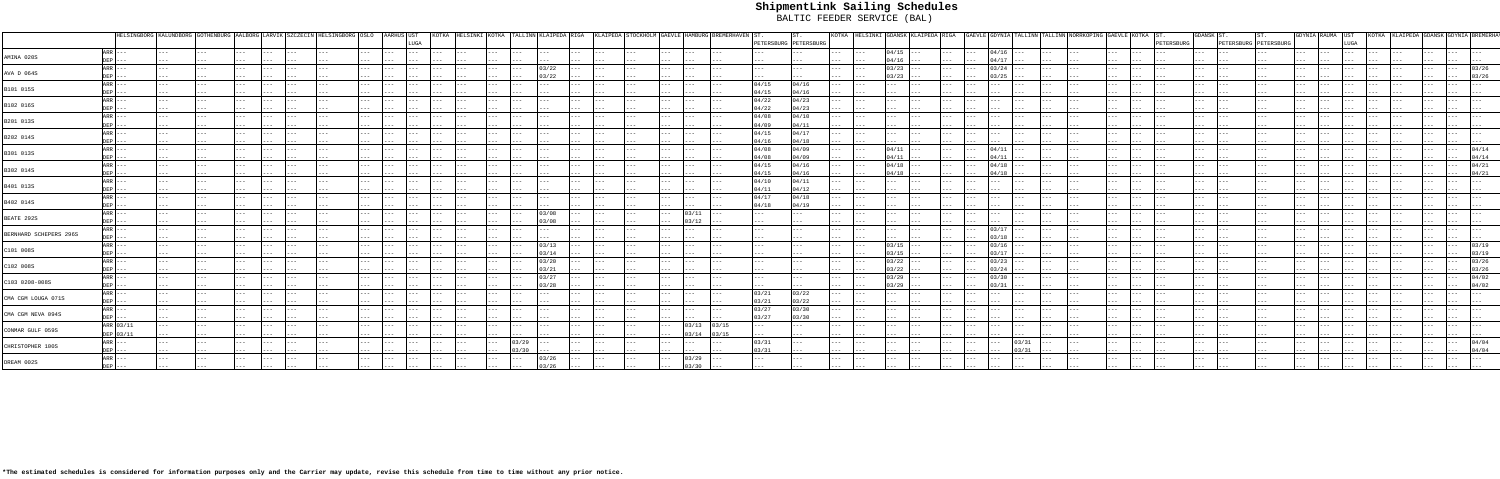|                        | HELSINGBORG KALUNDBORG        |       | GOTHENBURG   AALBORG   LARVIK | ZCZECIN HELSINGBORG |      | AARHUS LUST |      | OTKA  HELSINKI KOTKA |                | TALLINN KLAIPEDA RIGA     |         |  |                         | KLAIPEDA STOCKHOLM GAEVLE HAMBURG BREMERHAVEN |                |                       |       | KOTKA   HELSINKI   GDANSK   KLAIPEDA   RIGA                                                                                                                                                                                                                                                                                                                                                  |                                                                                                                                                                                                                                                                                                                                                                                              |                  |                       | GAEVLE   GDYNIA   TALLINN   TALLINN   NORRKOPING   GAEVLE   KOTKA   ST. |           |         |            | <b>FDANSK</b> |                       | DYNIA RAUMA | ОТКА         |  |
|------------------------|-------------------------------|-------|-------------------------------|---------------------|------|-------------|------|----------------------|----------------|---------------------------|---------|--|-------------------------|-----------------------------------------------|----------------|-----------------------|-------|----------------------------------------------------------------------------------------------------------------------------------------------------------------------------------------------------------------------------------------------------------------------------------------------------------------------------------------------------------------------------------------------|----------------------------------------------------------------------------------------------------------------------------------------------------------------------------------------------------------------------------------------------------------------------------------------------------------------------------------------------------------------------------------------------|------------------|-----------------------|-------------------------------------------------------------------------|-----------|---------|------------|---------------|-----------------------|-------------|--------------|--|
|                        |                               |       |                               |                     |      | <b>JICA</b> |      |                      |                |                           |         |  |                         |                                               |                | PETERSBURG PETERSBURG |       |                                                                                                                                                                                                                                                                                                                                                                                              |                                                                                                                                                                                                                                                                                                                                                                                              |                  |                       |                                                                         |           |         | PETERSBURG |               | PETERSBURG PETERSBURG |             | <b>APIT.</b> |  |
| AMINA 020S             | $ARR$ $---$                   |       |                               |                     | $ -$ | $- -$       | $--$ | $- - -$<br>$---$     |                | $---$                     |         |  |                         |                                               |                |                       | $--$  | $\frac{1}{2} \frac{1}{2} \frac{1}{2} \frac{1}{2} \frac{1}{2} \frac{1}{2} \frac{1}{2} \frac{1}{2} \frac{1}{2} \frac{1}{2} \frac{1}{2} \frac{1}{2} \frac{1}{2} \frac{1}{2} \frac{1}{2} \frac{1}{2} \frac{1}{2} \frac{1}{2} \frac{1}{2} \frac{1}{2} \frac{1}{2} \frac{1}{2} \frac{1}{2} \frac{1}{2} \frac{1}{2} \frac{1}{2} \frac{1}{2} \frac{1}{2} \frac{1}{2} \frac{1}{2} \frac{1}{2} \frac{$ | $04/15$ ---<br>04/16                                                                                                                                                                                                                                                                                                                                                                         | --- 1--- -       | 14/17                 | $04/16$ ---                                                             | $1 - - -$ | $- - -$ |            |               |                       |             |              |  |
| AVA D 064S             | $ARR$ $---$                   |       |                               |                     |      |             |      |                      |                | 03/22<br>03/22            |         |  |                         |                                               |                |                       |       |                                                                                                                                                                                                                                                                                                                                                                                              | $03/23$ $---$<br>03/23                                                                                                                                                                                                                                                                                                                                                                       | $- - -$<br>$ -$  | 03/24<br>3/25         | $ -$                                                                    |           |         |            |               |                       |             |              |  |
| B101 015S              | $ARR$ $---$                   |       |                               |                     |      |             |      |                      |                | $---$                     |         |  |                         |                                               | 04/15          | 04/16                 | $ -$  | $- - -$                                                                                                                                                                                                                                                                                                                                                                                      | $\frac{1}{2} \frac{1}{2} \frac{1}{2} \frac{1}{2} \frac{1}{2} \frac{1}{2} \frac{1}{2} \frac{1}{2} \frac{1}{2} \frac{1}{2} \frac{1}{2} \frac{1}{2} \frac{1}{2} \frac{1}{2} \frac{1}{2} \frac{1}{2} \frac{1}{2} \frac{1}{2} \frac{1}{2} \frac{1}{2} \frac{1}{2} \frac{1}{2} \frac{1}{2} \frac{1}{2} \frac{1}{2} \frac{1}{2} \frac{1}{2} \frac{1}{2} \frac{1}{2} \frac{1}{2} \frac{1}{2} \frac{$ | $- - -$<br>$- -$ |                       | $-$                                                                     |           |         |            |               |                       |             |              |  |
| B102 016S              | $ARR$ $---$                   |       |                               |                     |      |             |      |                      |                |                           |         |  |                         |                                               | 04/15<br>04/22 | 04/16<br>04/23        |       | $---$                                                                                                                                                                                                                                                                                                                                                                                        | $---$                                                                                                                                                                                                                                                                                                                                                                                        |                  |                       |                                                                         |           |         |            |               |                       |             |              |  |
|                        | $ARR$ $---$                   |       |                               |                     |      |             |      |                      |                |                           |         |  |                         |                                               | 04/22<br>04/08 | 04/23<br>04/10        |       | $- - -$                                                                                                                                                                                                                                                                                                                                                                                      | $  -$                                                                                                                                                                                                                                                                                                                                                                                        | $- -$            |                       |                                                                         |           |         |            |               |                       |             |              |  |
| B201 013S              | $ARR$ $---$                   |       |                               |                     |      |             |      |                      |                |                           |         |  |                         |                                               | 04/09<br>04/15 | 04/11<br>04/17        |       |                                                                                                                                                                                                                                                                                                                                                                                              | $---$                                                                                                                                                                                                                                                                                                                                                                                        |                  |                       |                                                                         |           |         |            |               |                       |             |              |  |
| B202 014S              | $ARR$ $---$                   |       |                               |                     |      |             |      |                      |                | $- - -$                   |         |  |                         |                                               | 04/16<br>04/08 | 04/18<br>04/09        | $- -$ | $---$                                                                                                                                                                                                                                                                                                                                                                                        | 04/11                                                                                                                                                                                                                                                                                                                                                                                        | $-$              | 04/11                 |                                                                         |           | $- -$   |            |               |                       |             |              |  |
| B301 013S              |                               |       |                               |                     |      |             |      |                      |                |                           |         |  |                         |                                               | 04/08          | 04/09                 |       |                                                                                                                                                                                                                                                                                                                                                                                              | 04/11                                                                                                                                                                                                                                                                                                                                                                                        |                  | 14/11                 |                                                                         |           |         |            |               |                       |             |              |  |
| B302 014S              | $ARR$ $---$                   |       |                               |                     |      |             |      |                      |                |                           |         |  |                         |                                               | 04/15<br>04/15 | 04/16<br>04/16        |       |                                                                                                                                                                                                                                                                                                                                                                                              | $04/18$ $---$<br>04/18                                                                                                                                                                                                                                                                                                                                                                       |                  | 04/18<br>4/18         |                                                                         |           |         |            |               |                       |             |              |  |
| B401 013S              | $ARR$ $---$                   |       |                               |                     |      |             |      |                      |                |                           |         |  |                         |                                               | 04/10<br>04/11 | 04/11<br>04/12        |       | $---$                                                                                                                                                                                                                                                                                                                                                                                        | $\frac{1}{2} \frac{1}{2} \frac{1}{2} \frac{1}{2} \frac{1}{2} \frac{1}{2} \frac{1}{2} \frac{1}{2} \frac{1}{2} \frac{1}{2} \frac{1}{2} \frac{1}{2} \frac{1}{2} \frac{1}{2} \frac{1}{2} \frac{1}{2} \frac{1}{2} \frac{1}{2} \frac{1}{2} \frac{1}{2} \frac{1}{2} \frac{1}{2} \frac{1}{2} \frac{1}{2} \frac{1}{2} \frac{1}{2} \frac{1}{2} \frac{1}{2} \frac{1}{2} \frac{1}{2} \frac{1}{2} \frac{$ | $-$              |                       | $ -$                                                                    |           |         |            |               |                       |             |              |  |
| B402 014S              | $ARR$ $---$                   |       |                               |                     |      |             |      |                      |                |                           |         |  |                         |                                               | 04/17<br>04/18 | 04/18<br>04/19        |       |                                                                                                                                                                                                                                                                                                                                                                                              |                                                                                                                                                                                                                                                                                                                                                                                              |                  |                       |                                                                         |           |         |            |               |                       |             |              |  |
| BEATE 292S             | $ARR$ $---$                   |       |                               |                     |      |             |      | $--$                 |                | 03/08<br>03/08            |         |  | 03/11<br>$---$<br>03/12 |                                               | $- -$          | $- -$                 | $ -$  |                                                                                                                                                                                                                                                                                                                                                                                              |                                                                                                                                                                                                                                                                                                                                                                                              | $ -$             |                       |                                                                         |           |         |            |               |                       |             |              |  |
| BERNHARD SCHEPERS 296S | $ARR$ $---$                   |       |                               |                     |      |             |      |                      |                | $---$                     |         |  |                         |                                               |                |                       | $- -$ | $---$                                                                                                                                                                                                                                                                                                                                                                                        | $- - -$                                                                                                                                                                                                                                                                                                                                                                                      |                  | 13/17                 |                                                                         |           |         |            |               |                       |             |              |  |
| C101 008S              | $ARR$ $---$                   |       |                               |                     |      |             |      |                      |                | 03/13<br>0.3/14           |         |  |                         |                                               |                |                       | $- -$ |                                                                                                                                                                                                                                                                                                                                                                                              | 03/15<br>03/15                                                                                                                                                                                                                                                                                                                                                                               | $- -$<br>$- -$   | 03/16<br>3/17         |                                                                         |           |         |            |               |                       |             |              |  |
| C102 008S              | $ARR$ $---$                   |       |                               |                     |      |             |      |                      |                | 03/20                     |         |  |                         |                                               |                |                       | $ -$  |                                                                                                                                                                                                                                                                                                                                                                                              | $03/22$ $---$                                                                                                                                                                                                                                                                                                                                                                                | $- -$            | $03/23$               |                                                                         |           |         |            |               |                       |             |              |  |
| C103 0208-008S         | $ARR$ ---                     |       |                               |                     |      |             |      |                      |                | 03/21<br>$03/27$<br>03/28 |         |  | $---$                   |                                               |                |                       | $- -$ |                                                                                                                                                                                                                                                                                                                                                                                              | 03/22<br>03/29<br>03/29                                                                                                                                                                                                                                                                                                                                                                      | $- - -$<br>$- -$ | 3/24<br>03/30<br>3/31 | $- -$<br>$- -$                                                          |           | $- - -$ |            |               |                       |             |              |  |
| CMA CGM LOUGA 071S     | $ARR$ $---$                   |       |                               |                     |      |             |      |                      |                | $\qquad \qquad - - -$     | $---$   |  | $-- -$                  | $---$                                         | 03/21<br>3/21  | 03/22<br>3/22         | $ -$  |                                                                                                                                                                                                                                                                                                                                                                                              | $\frac{1}{2} \frac{1}{2} \frac{1}{2} \frac{1}{2} \frac{1}{2} \frac{1}{2} \frac{1}{2} \frac{1}{2} \frac{1}{2} \frac{1}{2} \frac{1}{2} \frac{1}{2} \frac{1}{2} \frac{1}{2} \frac{1}{2} \frac{1}{2} \frac{1}{2} \frac{1}{2} \frac{1}{2} \frac{1}{2} \frac{1}{2} \frac{1}{2} \frac{1}{2} \frac{1}{2} \frac{1}{2} \frac{1}{2} \frac{1}{2} \frac{1}{2} \frac{1}{2} \frac{1}{2} \frac{1}{2} \frac{$ | $-$              |                       | $ -$                                                                    |           | $- -$   |            |               |                       |             |              |  |
| CMA CGM NEVA 094S      | $ARR$ $---$                   | $--$  |                               |                     |      |             |      | $--$                 |                |                           | $- - -$ |  | $---$                   |                                               | 03/27<br>13/27 | 03/30<br>3/30         | $- -$ | $---$                                                                                                                                                                                                                                                                                                                                                                                        | $\frac{1}{2} \frac{1}{2} \frac{1}{2} \frac{1}{2} \frac{1}{2} \frac{1}{2} \frac{1}{2} \frac{1}{2} \frac{1}{2} \frac{1}{2} \frac{1}{2} \frac{1}{2} \frac{1}{2} \frac{1}{2} \frac{1}{2} \frac{1}{2} \frac{1}{2} \frac{1}{2} \frac{1}{2} \frac{1}{2} \frac{1}{2} \frac{1}{2} \frac{1}{2} \frac{1}{2} \frac{1}{2} \frac{1}{2} \frac{1}{2} \frac{1}{2} \frac{1}{2} \frac{1}{2} \frac{1}{2} \frac{$ | $ -$             |                       | $- -$<br>$ -$                                                           |           | $- - -$ |            |               |                       |             |              |  |
| CONMAR GULF 059S       | ARR 03/11                     |       |                               |                     |      |             |      | $--$                 |                | $- - -$                   | $---$   |  | 03/13<br>$---$          | 03/15                                         |                | $- -$                 | $- -$ | $- - -$                                                                                                                                                                                                                                                                                                                                                                                      | $\frac{1}{2} \frac{1}{2} \frac{1}{2} \frac{1}{2} \frac{1}{2} \frac{1}{2} \frac{1}{2} \frac{1}{2} \frac{1}{2} \frac{1}{2} \frac{1}{2} \frac{1}{2} \frac{1}{2} \frac{1}{2} \frac{1}{2} \frac{1}{2} \frac{1}{2} \frac{1}{2} \frac{1}{2} \frac{1}{2} \frac{1}{2} \frac{1}{2} \frac{1}{2} \frac{1}{2} \frac{1}{2} \frac{1}{2} \frac{1}{2} \frac{1}{2} \frac{1}{2} \frac{1}{2} \frac{1}{2} \frac{$ | $- -$            |                       |                                                                         |           | $- - -$ |            |               |                       |             |              |  |
| CHRISTOPHER 100S       | 11 / ר∩ ∎פ הדר<br>$ARR$ $---$ | $- -$ |                               |                     |      |             |      | $--$                 | 03/29<br>03/30 |                           | $---$   |  | 03/14                   | 03/15<br>$---$                                | 03/31<br>03/31 | $--$                  | $---$ |                                                                                                                                                                                                                                                                                                                                                                                              | $\qquad \qquad - - -$                                                                                                                                                                                                                                                                                                                                                                        | $- -$<br>$- - -$ |                       | 3/31                                                                    |           |         |            |               |                       |             |              |  |
| DREAM 002S             | $ARR$ ---                     |       |                               |                     |      |             |      |                      |                | 03/26                     |         |  | 03/29                   |                                               |                |                       |       |                                                                                                                                                                                                                                                                                                                                                                                              | $---$                                                                                                                                                                                                                                                                                                                                                                                        |                  |                       |                                                                         |           |         |            |               |                       |             |              |  |
|                        |                               |       |                               |                     |      |             |      |                      |                |                           |         |  |                         |                                               |                |                       |       |                                                                                                                                                                                                                                                                                                                                                                                              |                                                                                                                                                                                                                                                                                                                                                                                              |                  |                       |                                                                         |           |         |            |               |                       |             |              |  |

| GDYNIA                               | <b>BREMERHA</b>            |
|--------------------------------------|----------------------------|
|                                      |                            |
| $- -$                                | $---$                      |
| $\ddot{\phantom{0}}$<br>ŗ,           | į,<br>ŗ,                   |
| $---$                                | 03/26                      |
| $---$                                | 03/26                      |
| $ -$                                 | $  -$                      |
| ĺ.<br>ŗ,                             | ŗ,<br>ÿ                    |
| $ -$                                 | $ -$                       |
| $\overline{a}$                       | $\equiv$                   |
| $-$                                  | $- - -$                    |
| Ç<br>ċ,                              | $\frac{1}{2}$              |
| $- - -$                              | $ -$                       |
| $\overline{a}$<br>į,                 | щ,                         |
| $ -$                                 | 04/14                      |
| .,<br>J,                             | 04/14                      |
| -<br>---                             | 04/21                      |
| $\equiv$                             | 04/21                      |
| $- - -$                              | $ -$                       |
| J                                    | $\cdot$<br>į,              |
| $\overline{a}$                       | $ -$                       |
| .,<br>.,<br>$\overline{\phantom{a}}$ | J,<br>Ļ,<br>$\equiv$       |
|                                      |                            |
| į,                                   | $\ddot{\phantom{0}}$<br>., |
| $-$                                  | $\overline{a}$             |
| ¢<br>$-$                             | $\overline{a}$             |
|                                      | 03/19                      |
| J<br>$\overline{a}$                  | 03/19                      |
|                                      | 03/26                      |
| $\frac{1}{1}$                        | 03/26                      |
|                                      | 04/02                      |
|                                      | 04/02                      |
| $\overline{a}$                       | $  -$                      |
| J.                                   | J,                         |
| $-$                                  | $\overline{a}$             |
| $\overline{a}$                       | $ -$                       |
|                                      |                            |
| $-$                                  | t.<br>04/04                |
|                                      |                            |
| $\overline{a}$                       | 04/04                      |
|                                      |                            |
|                                      |                            |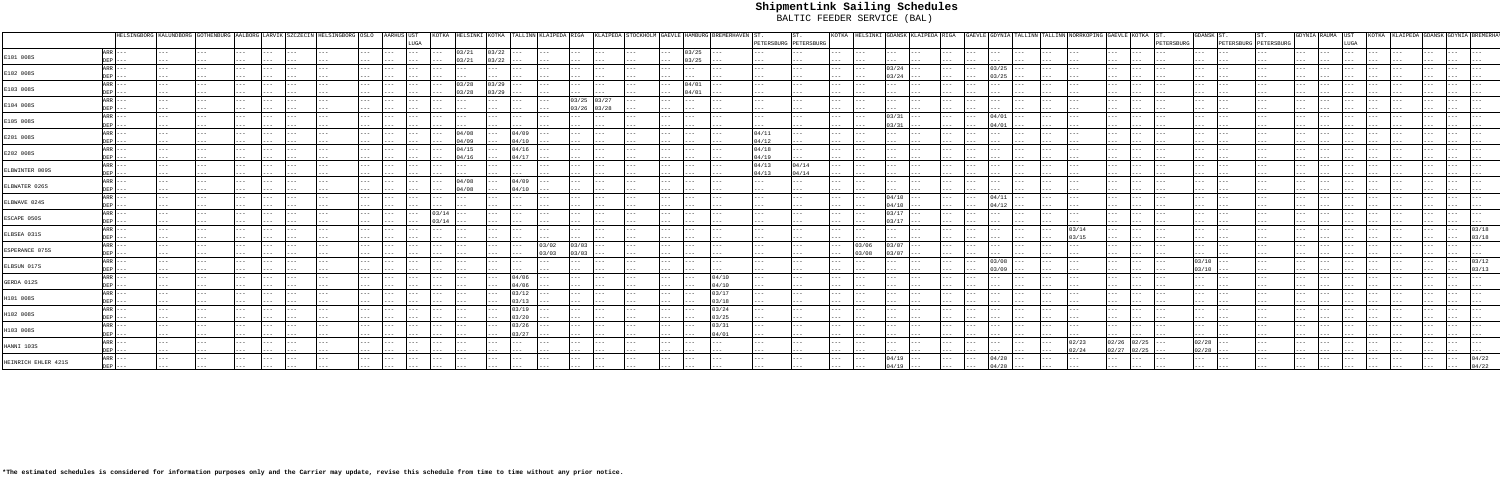|                     | HELSINGBORG KALUNDBORG |       | OTHENBURG   AALBORG   LARVIK | ZCZECIN HELSINGBORG | AARHUS LUST |       |                          | OTKA  HELSINKI KOTKA                                                                                                                                                                                                                                                                                                                                                                                  |                | TALLINN KLAIPEDA RIGA                                                                                                                                                                                                                                                                                                                                                                        |                                                                                                                                                                                                                                                                                                                                                                                                       |                                                                                                                                                                                                                                                                                                                                                                                                                    | KLAIPEDA STOCKHOLM GAEVLE HAMBURG BREMERHAVEN |                |                       |       | COTKA HELSINKI |                                                                                                                                                                                                                                                                                                                                                                                                          | GDANSK KLLAIPEDA IRIGA |                  | GDYNIA         |                                                                                                                                                                                                                                                                                                                                                                                                      |                | 'ALLINN TALLINN NORRKOPING GAEVLE KOTKA   ST.                                                                                                                                                                                                                                                                                                                                                                          |            | <b>FDANSK</b>   |                       |      | DYNIA RAUMA |              |  |
|---------------------|------------------------|-------|------------------------------|---------------------|-------------|-------|--------------------------|-------------------------------------------------------------------------------------------------------------------------------------------------------------------------------------------------------------------------------------------------------------------------------------------------------------------------------------------------------------------------------------------------------|----------------|----------------------------------------------------------------------------------------------------------------------------------------------------------------------------------------------------------------------------------------------------------------------------------------------------------------------------------------------------------------------------------------------|-------------------------------------------------------------------------------------------------------------------------------------------------------------------------------------------------------------------------------------------------------------------------------------------------------------------------------------------------------------------------------------------------------|--------------------------------------------------------------------------------------------------------------------------------------------------------------------------------------------------------------------------------------------------------------------------------------------------------------------------------------------------------------------------------------------------------------------|-----------------------------------------------|----------------|-----------------------|-------|----------------|----------------------------------------------------------------------------------------------------------------------------------------------------------------------------------------------------------------------------------------------------------------------------------------------------------------------------------------------------------------------------------------------------------|------------------------|------------------|----------------|------------------------------------------------------------------------------------------------------------------------------------------------------------------------------------------------------------------------------------------------------------------------------------------------------------------------------------------------------------------------------------------------------|----------------|------------------------------------------------------------------------------------------------------------------------------------------------------------------------------------------------------------------------------------------------------------------------------------------------------------------------------------------------------------------------------------------------------------------------|------------|-----------------|-----------------------|------|-------------|--------------|--|
|                     |                        |       |                              |                     |             | LIIGA |                          |                                                                                                                                                                                                                                                                                                                                                                                                       |                |                                                                                                                                                                                                                                                                                                                                                                                              |                                                                                                                                                                                                                                                                                                                                                                                                       |                                                                                                                                                                                                                                                                                                                                                                                                                    |                                               |                | PETERSBURG PETERSBURG |       |                |                                                                                                                                                                                                                                                                                                                                                                                                          |                        |                  |                |                                                                                                                                                                                                                                                                                                                                                                                                      |                |                                                                                                                                                                                                                                                                                                                                                                                                                        | PETERSBURG |                 | PETERSBURG PETERSBURG |      |             | <b>APIT.</b> |  |
| E101 008S           | $ARR$ $---$            |       |                              | $ -$                | --- 1       | $---$ | $---$<br>3/21            | $03/21$ $03/22$ $---$<br>03/22                                                                                                                                                                                                                                                                                                                                                                        |                | $\frac{1}{2} \left( \frac{1}{2} \left( \frac{1}{2} \right) - \frac{1}{2} \left( \frac{1}{2} \right) \right) + \frac{1}{2} \left( \frac{1}{2} \left( \frac{1}{2} \right) - \frac{1}{2} \left( \frac{1}{2} \right) \right)$                                                                                                                                                                    | $---$<br>$---$                                                                                                                                                                                                                                                                                                                                                                                        | 03/25<br>$---$                                                                                                                                                                                                                                                                                                                                                                                                     | 0.3/2.5                                       |                |                       | $---$ | $- - -$        | $\frac{1}{2} \frac{1}{2} \frac{1}{2} \frac{1}{2} \frac{1}{2} \frac{1}{2} \frac{1}{2} \frac{1}{2} \frac{1}{2} \frac{1}{2} \frac{1}{2} \frac{1}{2} \frac{1}{2} \frac{1}{2} \frac{1}{2} \frac{1}{2} \frac{1}{2} \frac{1}{2} \frac{1}{2} \frac{1}{2} \frac{1}{2} \frac{1}{2} \frac{1}{2} \frac{1}{2} \frac{1}{2} \frac{1}{2} \frac{1}{2} \frac{1}{2} \frac{1}{2} \frac{1}{2} \frac{1}{2} \frac{$             |                        | --- -<br>$- -$   | $- - -$        | $ -$<br>$\frac{1}{2} \frac{1}{2} \frac{1}{2} \frac{1}{2} \frac{1}{2} \frac{1}{2} \frac{1}{2} \frac{1}{2} \frac{1}{2} \frac{1}{2} \frac{1}{2} \frac{1}{2} \frac{1}{2} \frac{1}{2} \frac{1}{2} \frac{1}{2} \frac{1}{2} \frac{1}{2} \frac{1}{2} \frac{1}{2} \frac{1}{2} \frac{1}{2} \frac{1}{2} \frac{1}{2} \frac{1}{2} \frac{1}{2} \frac{1}{2} \frac{1}{2} \frac{1}{2} \frac{1}{2} \frac{1}{2} \frac{$ | $---$          | $- -$                                                                                                                                                                                                                                                                                                                                                                                                                  |            |                 |                       | $--$ |             |              |  |
| E102 008S           | $ARR$ $---$            |       |                              |                     |             |       |                          | $\frac{1}{2} \frac{1}{2} \frac{1}{2} \frac{1}{2} \frac{1}{2} \frac{1}{2} \frac{1}{2} \frac{1}{2} \frac{1}{2} \frac{1}{2} \frac{1}{2} \frac{1}{2} \frac{1}{2} \frac{1}{2} \frac{1}{2} \frac{1}{2} \frac{1}{2} \frac{1}{2} \frac{1}{2} \frac{1}{2} \frac{1}{2} \frac{1}{2} \frac{1}{2} \frac{1}{2} \frac{1}{2} \frac{1}{2} \frac{1}{2} \frac{1}{2} \frac{1}{2} \frac{1}{2} \frac{1}{2} \frac{$          |                |                                                                                                                                                                                                                                                                                                                                                                                              |                                                                                                                                                                                                                                                                                                                                                                                                       |                                                                                                                                                                                                                                                                                                                                                                                                                    |                                               |                |                       |       |                | $03/24$ $---$<br>03/24                                                                                                                                                                                                                                                                                                                                                                                   |                        | $- -$<br>$ -$    | 03/25<br>3/25  | $ -$                                                                                                                                                                                                                                                                                                                                                                                                 |                |                                                                                                                                                                                                                                                                                                                                                                                                                        |            |                 |                       |      |             |              |  |
| E103 008S           | $ARR$ $---$            |       |                              |                     |             | $ -$  | 03/28                    | $03/29$ $---$                                                                                                                                                                                                                                                                                                                                                                                         |                | $\frac{1}{2} \frac{1}{2} \frac{1}{2} \frac{1}{2} \frac{1}{2} \frac{1}{2} \frac{1}{2} \frac{1}{2} \frac{1}{2} \frac{1}{2} \frac{1}{2} \frac{1}{2} \frac{1}{2} \frac{1}{2} \frac{1}{2} \frac{1}{2} \frac{1}{2} \frac{1}{2} \frac{1}{2} \frac{1}{2} \frac{1}{2} \frac{1}{2} \frac{1}{2} \frac{1}{2} \frac{1}{2} \frac{1}{2} \frac{1}{2} \frac{1}{2} \frac{1}{2} \frac{1}{2} \frac{1}{2} \frac{$ | $---$                                                                                                                                                                                                                                                                                                                                                                                                 | 04/01<br>$---$                                                                                                                                                                                                                                                                                                                                                                                                     |                                               |                |                       | $ -$  | $- - -$        | $- - -$                                                                                                                                                                                                                                                                                                                                                                                                  |                        | $- - -$<br>$- -$ | $- -$          | $ -$                                                                                                                                                                                                                                                                                                                                                                                                 |                |                                                                                                                                                                                                                                                                                                                                                                                                                        |            |                 |                       |      |             |              |  |
| E104 008S           | $ARR$ $---$            |       |                              |                     |             |       | 3/28                     | 03/29<br>$\frac{1}{2} \frac{1}{2} \frac{1}{2} \frac{1}{2} \frac{1}{2} \frac{1}{2} \frac{1}{2} \frac{1}{2} \frac{1}{2} \frac{1}{2} \frac{1}{2} \frac{1}{2} \frac{1}{2} \frac{1}{2} \frac{1}{2} \frac{1}{2} \frac{1}{2} \frac{1}{2} \frac{1}{2} \frac{1}{2} \frac{1}{2} \frac{1}{2} \frac{1}{2} \frac{1}{2} \frac{1}{2} \frac{1}{2} \frac{1}{2} \frac{1}{2} \frac{1}{2} \frac{1}{2} \frac{1}{2} \frac{$ | $---$          | $- - -$                                                                                                                                                                                                                                                                                                                                                                                      | $03/25$ 03/27                                                                                                                                                                                                                                                                                                                                                                                         | 04/01<br>$\frac{1}{2} \frac{1}{2} \frac{1}{2} \frac{1}{2} \frac{1}{2} \frac{1}{2} \frac{1}{2} \frac{1}{2} \frac{1}{2} \frac{1}{2} \frac{1}{2} \frac{1}{2} \frac{1}{2} \frac{1}{2} \frac{1}{2} \frac{1}{2} \frac{1}{2} \frac{1}{2} \frac{1}{2} \frac{1}{2} \frac{1}{2} \frac{1}{2} \frac{1}{2} \frac{1}{2} \frac{1}{2} \frac{1}{2} \frac{1}{2} \frac{1}{2} \frac{1}{2} \frac{1}{2} \frac{1}{2} \frac{$<br>$1 - - -$ | $---$                                         |                |                       |       |                | $\frac{1}{2} \frac{1}{2} \frac{1}{2} \frac{1}{2} \frac{1}{2} \frac{1}{2} \frac{1}{2} \frac{1}{2} \frac{1}{2} \frac{1}{2} \frac{1}{2} \frac{1}{2} \frac{1}{2} \frac{1}{2} \frac{1}{2} \frac{1}{2} \frac{1}{2} \frac{1}{2} \frac{1}{2} \frac{1}{2} \frac{1}{2} \frac{1}{2} \frac{1}{2} \frac{1}{2} \frac{1}{2} \frac{1}{2} \frac{1}{2} \frac{1}{2} \frac{1}{2} \frac{1}{2} \frac{1}{2} \frac{$             | $- -$                  | $- -$<br>$- - -$ |                |                                                                                                                                                                                                                                                                                                                                                                                                      |                |                                                                                                                                                                                                                                                                                                                                                                                                                        |            |                 |                       |      |             |              |  |
| E105 008S           | $ARR$ $---$            |       |                              |                     |             |       |                          | $---$                                                                                                                                                                                                                                                                                                                                                                                                 |                |                                                                                                                                                                                                                                                                                                                                                                                              | 03/26<br>03/28                                                                                                                                                                                                                                                                                                                                                                                        | $---$                                                                                                                                                                                                                                                                                                                                                                                                              |                                               |                |                       |       |                | 03/31                                                                                                                                                                                                                                                                                                                                                                                                    |                        | $--$<br>$ -$     | 04/01          | $ -$                                                                                                                                                                                                                                                                                                                                                                                                 |                | $- -$                                                                                                                                                                                                                                                                                                                                                                                                                  |            |                 |                       |      |             |              |  |
|                     | $ARR$ $---$            |       |                              |                     |             | $- -$ | 04/08<br>$--$            |                                                                                                                                                                                                                                                                                                                                                                                                       | 04/09          |                                                                                                                                                                                                                                                                                                                                                                                              |                                                                                                                                                                                                                                                                                                                                                                                                       |                                                                                                                                                                                                                                                                                                                                                                                                                    |                                               | 04/11          |                       |       |                | 0.3 / 31<br>$\frac{1}{2} \frac{1}{2} \frac{1}{2} \frac{1}{2} \frac{1}{2} \frac{1}{2} \frac{1}{2} \frac{1}{2} \frac{1}{2} \frac{1}{2} \frac{1}{2} \frac{1}{2} \frac{1}{2} \frac{1}{2} \frac{1}{2} \frac{1}{2} \frac{1}{2} \frac{1}{2} \frac{1}{2} \frac{1}{2} \frac{1}{2} \frac{1}{2} \frac{1}{2} \frac{1}{2} \frac{1}{2} \frac{1}{2} \frac{1}{2} \frac{1}{2} \frac{1}{2} \frac{1}{2} \frac{1}{2} \frac{$ | $- - -$                |                  | 14/01          |                                                                                                                                                                                                                                                                                                                                                                                                      |                |                                                                                                                                                                                                                                                                                                                                                                                                                        |            |                 |                       |      |             |              |  |
| E201 008S           | $ARR$ ---              |       |                              |                     |             | $ -$  | 4/09<br>04/15<br>$- - -$ | $---$                                                                                                                                                                                                                                                                                                                                                                                                 | 04/10<br>04/16 | $---$                                                                                                                                                                                                                                                                                                                                                                                        | $---$<br>$---$                                                                                                                                                                                                                                                                                                                                                                                        |                                                                                                                                                                                                                                                                                                                                                                                                                    |                                               | 04/12<br>04/18 |                       |       | $- - -$        | $  -$                                                                                                                                                                                                                                                                                                                                                                                                    |                        | $- -$            |                | $-$                                                                                                                                                                                                                                                                                                                                                                                                  |                | $- -$                                                                                                                                                                                                                                                                                                                                                                                                                  |            |                 |                       |      |             |              |  |
| E202 008S           | $ARR$ $---$            |       |                              |                     |             |       | 04/16                    | $--$                                                                                                                                                                                                                                                                                                                                                                                                  | 04/17          |                                                                                                                                                                                                                                                                                                                                                                                              |                                                                                                                                                                                                                                                                                                                                                                                                       |                                                                                                                                                                                                                                                                                                                                                                                                                    |                                               | 04/19<br>04/13 | 04/14                 |       |                |                                                                                                                                                                                                                                                                                                                                                                                                          |                        |                  |                |                                                                                                                                                                                                                                                                                                                                                                                                      |                |                                                                                                                                                                                                                                                                                                                                                                                                                        |            |                 |                       |      |             |              |  |
| ELBWINTER 009S      |                        |       |                              |                     |             |       |                          |                                                                                                                                                                                                                                                                                                                                                                                                       |                |                                                                                                                                                                                                                                                                                                                                                                                              |                                                                                                                                                                                                                                                                                                                                                                                                       |                                                                                                                                                                                                                                                                                                                                                                                                                    |                                               | 04/13          | 04/14                 |       |                |                                                                                                                                                                                                                                                                                                                                                                                                          |                        |                  |                |                                                                                                                                                                                                                                                                                                                                                                                                      |                |                                                                                                                                                                                                                                                                                                                                                                                                                        |            |                 |                       |      |             |              |  |
| ELBWATER 026S       | $ARR$ $---$            |       |                              |                     |             | $- -$ | 04/08<br>$---$<br>04/08  | $---$                                                                                                                                                                                                                                                                                                                                                                                                 | 04/09<br>04/10 | $---$                                                                                                                                                                                                                                                                                                                                                                                        | $\frac{1}{2} \frac{1}{2} \frac{1}{2} \frac{1}{2} \frac{1}{2} \frac{1}{2} \frac{1}{2} \frac{1}{2} \frac{1}{2} \frac{1}{2} \frac{1}{2} \frac{1}{2} \frac{1}{2} \frac{1}{2} \frac{1}{2} \frac{1}{2} \frac{1}{2} \frac{1}{2} \frac{1}{2} \frac{1}{2} \frac{1}{2} \frac{1}{2} \frac{1}{2} \frac{1}{2} \frac{1}{2} \frac{1}{2} \frac{1}{2} \frac{1}{2} \frac{1}{2} \frac{1}{2} \frac{1}{2} \frac{$<br>$---$ |                                                                                                                                                                                                                                                                                                                                                                                                                    |                                               |                |                       | $- -$ | $---$          | $\frac{1}{2} \frac{1}{2} \frac{1}{2} \frac{1}{2} \frac{1}{2} \frac{1}{2} \frac{1}{2} \frac{1}{2} \frac{1}{2} \frac{1}{2} \frac{1}{2} \frac{1}{2} \frac{1}{2} \frac{1}{2} \frac{1}{2} \frac{1}{2} \frac{1}{2} \frac{1}{2} \frac{1}{2} \frac{1}{2} \frac{1}{2} \frac{1}{2} \frac{1}{2} \frac{1}{2} \frac{1}{2} \frac{1}{2} \frac{1}{2} \frac{1}{2} \frac{1}{2} \frac{1}{2} \frac{1}{2} \frac{$             |                        | $- -$            |                |                                                                                                                                                                                                                                                                                                                                                                                                      |                | $- -$                                                                                                                                                                                                                                                                                                                                                                                                                  |            |                 |                       |      |             |              |  |
| ELBWAVE 024S        | $ARR$ $---$            |       |                              |                     |             |       |                          |                                                                                                                                                                                                                                                                                                                                                                                                       |                |                                                                                                                                                                                                                                                                                                                                                                                              |                                                                                                                                                                                                                                                                                                                                                                                                       |                                                                                                                                                                                                                                                                                                                                                                                                                    |                                               |                |                       |       |                | 04/10<br>04/10                                                                                                                                                                                                                                                                                                                                                                                           |                        |                  | 04/11<br>04/12 |                                                                                                                                                                                                                                                                                                                                                                                                      |                |                                                                                                                                                                                                                                                                                                                                                                                                                        |            |                 |                       |      |             |              |  |
| ESCAPE 050S         | $ARR$ $---$            |       |                              |                     |             |       | $03/14$ $---$<br>3/14    | $- -$                                                                                                                                                                                                                                                                                                                                                                                                 |                |                                                                                                                                                                                                                                                                                                                                                                                              |                                                                                                                                                                                                                                                                                                                                                                                                       | $-- -$                                                                                                                                                                                                                                                                                                                                                                                                             |                                               |                |                       | $--$  |                | 03/17<br>$03/17$                                                                                                                                                                                                                                                                                                                                                                                         |                        | $- -$            |                | $-$<br>$--$                                                                                                                                                                                                                                                                                                                                                                                          |                |                                                                                                                                                                                                                                                                                                                                                                                                                        |            |                 |                       |      |             |              |  |
| ELBSEA 031S         | $ARR$ ---              |       |                              |                     |             |       |                          |                                                                                                                                                                                                                                                                                                                                                                                                       |                | $---$                                                                                                                                                                                                                                                                                                                                                                                        |                                                                                                                                                                                                                                                                                                                                                                                                       |                                                                                                                                                                                                                                                                                                                                                                                                                    |                                               |                |                       |       | $-- -$         | $---$                                                                                                                                                                                                                                                                                                                                                                                                    |                        |                  |                |                                                                                                                                                                                                                                                                                                                                                                                                      | 03/14<br>03/15 |                                                                                                                                                                                                                                                                                                                                                                                                                        |            |                 |                       |      |             |              |  |
| ESPERANCE 075S      | $ARR$ $---$            |       |                              |                     |             |       |                          | $--$                                                                                                                                                                                                                                                                                                                                                                                                  |                | 03/02<br>03/03                                                                                                                                                                                                                                                                                                                                                                               | 03/03<br>03/03                                                                                                                                                                                                                                                                                                                                                                                        | $---$                                                                                                                                                                                                                                                                                                                                                                                                              |                                               |                |                       | $- -$ | 03/06<br>03/08 | 03/07<br>$03/07$                                                                                                                                                                                                                                                                                                                                                                                         |                        | $- -$            |                |                                                                                                                                                                                                                                                                                                                                                                                                      |                |                                                                                                                                                                                                                                                                                                                                                                                                                        |            |                 |                       |      |             |              |  |
| ELBSUN 017S         | $ARR$ $---$            |       |                              |                     |             |       |                          | $--$                                                                                                                                                                                                                                                                                                                                                                                                  |                | $---$                                                                                                                                                                                                                                                                                                                                                                                        | $--$                                                                                                                                                                                                                                                                                                                                                                                                  |                                                                                                                                                                                                                                                                                                                                                                                                                    |                                               |                |                       |       | $-- -$         | $\qquad \qquad - - -$                                                                                                                                                                                                                                                                                                                                                                                    |                        | $- -$            | 03/08<br>3/09  | $- -$                                                                                                                                                                                                                                                                                                                                                                                                |                | $--$                                                                                                                                                                                                                                                                                                                                                                                                                   |            | 03/10<br>0.3/10 |                       |      |             |              |  |
| GERDA 012S          | $ARR$ $---$            |       |                              |                     |             |       |                          | $--$                                                                                                                                                                                                                                                                                                                                                                                                  | 04/06<br>04/06 |                                                                                                                                                                                                                                                                                                                                                                                              | $--$                                                                                                                                                                                                                                                                                                                                                                                                  | $---$                                                                                                                                                                                                                                                                                                                                                                                                              | 04/10<br>04/10                                |                |                       | $- -$ |                | $\frac{1}{2} \frac{1}{2} \frac{1}{2} \frac{1}{2} \frac{1}{2} \frac{1}{2} \frac{1}{2} \frac{1}{2} \frac{1}{2} \frac{1}{2} \frac{1}{2} \frac{1}{2} \frac{1}{2} \frac{1}{2} \frac{1}{2} \frac{1}{2} \frac{1}{2} \frac{1}{2} \frac{1}{2} \frac{1}{2} \frac{1}{2} \frac{1}{2} \frac{1}{2} \frac{1}{2} \frac{1}{2} \frac{1}{2} \frac{1}{2} \frac{1}{2} \frac{1}{2} \frac{1}{2} \frac{1}{2} \frac{$             |                        | $- -$            |                | $- -$<br>$---$                                                                                                                                                                                                                                                                                                                                                                                       |                | $- -$                                                                                                                                                                                                                                                                                                                                                                                                                  |            |                 |                       |      |             |              |  |
| H101 008S           | $ARR$ $---$            |       |                              |                     |             | $ -$  | $--$<br>$- -$            | $--$                                                                                                                                                                                                                                                                                                                                                                                                  | 03/12<br>03/13 |                                                                                                                                                                                                                                                                                                                                                                                              | --- -                                                                                                                                                                                                                                                                                                                                                                                                 | $---$                                                                                                                                                                                                                                                                                                                                                                                                              | 03/17<br>0.3 / 1.8                            |                | $- -$                 | $--$  | $-- -$         | $\frac{1}{2} \frac{1}{2} \frac{1}{2} \frac{1}{2} \frac{1}{2} \frac{1}{2} \frac{1}{2} \frac{1}{2} \frac{1}{2} \frac{1}{2} \frac{1}{2} \frac{1}{2} \frac{1}{2} \frac{1}{2} \frac{1}{2} \frac{1}{2} \frac{1}{2} \frac{1}{2} \frac{1}{2} \frac{1}{2} \frac{1}{2} \frac{1}{2} \frac{1}{2} \frac{1}{2} \frac{1}{2} \frac{1}{2} \frac{1}{2} \frac{1}{2} \frac{1}{2} \frac{1}{2} \frac{1}{2} \frac{$             |                        | $- -$<br>$---$   |                | $- -$<br>$- -$                                                                                                                                                                                                                                                                                                                                                                                       |                | $- -$                                                                                                                                                                                                                                                                                                                                                                                                                  |            |                 |                       |      |             |              |  |
| H102 008S           | $ARR$ $---$            | $- -$ |                              |                     |             | $ -$  |                          | $--$                                                                                                                                                                                                                                                                                                                                                                                                  | 03/19          |                                                                                                                                                                                                                                                                                                                                                                                              | $\frac{1}{2} \frac{1}{2} \frac{1}{2} \frac{1}{2} \frac{1}{2} \frac{1}{2} \frac{1}{2} \frac{1}{2} \frac{1}{2} \frac{1}{2} \frac{1}{2} \frac{1}{2} \frac{1}{2} \frac{1}{2} \frac{1}{2} \frac{1}{2} \frac{1}{2} \frac{1}{2} \frac{1}{2} \frac{1}{2} \frac{1}{2} \frac{1}{2} \frac{1}{2} \frac{1}{2} \frac{1}{2} \frac{1}{2} \frac{1}{2} \frac{1}{2} \frac{1}{2} \frac{1}{2} \frac{1}{2} \frac{$          | $---$<br>$---$                                                                                                                                                                                                                                                                                                                                                                                                     | 03/24                                         |                |                       | $ -$  |                | <b>Service</b>                                                                                                                                                                                                                                                                                                                                                                                           |                        | $- -$<br>$- - -$ |                | $- -$<br>$---$                                                                                                                                                                                                                                                                                                                                                                                       |                | $---$                                                                                                                                                                                                                                                                                                                                                                                                                  |            |                 |                       |      |             |              |  |
| H103 008S           | $ARR$ $---$            |       |                              |                     |             |       | $- - -$<br>$- -$         | $\frac{1}{2} \frac{1}{2} \frac{1}{2} \frac{1}{2} \frac{1}{2} \frac{1}{2} \frac{1}{2} \frac{1}{2} \frac{1}{2} \frac{1}{2} \frac{1}{2} \frac{1}{2} \frac{1}{2} \frac{1}{2} \frac{1}{2} \frac{1}{2} \frac{1}{2} \frac{1}{2} \frac{1}{2} \frac{1}{2} \frac{1}{2} \frac{1}{2} \frac{1}{2} \frac{1}{2} \frac{1}{2} \frac{1}{2} \frac{1}{2} \frac{1}{2} \frac{1}{2} \frac{1}{2} \frac{1}{2} \frac{$          | 03/26          |                                                                                                                                                                                                                                                                                                                                                                                              | $- - -$                                                                                                                                                                                                                                                                                                                                                                                               | $\frac{1}{2} \frac{1}{2} \frac{1}{2} \frac{1}{2} \frac{1}{2} \frac{1}{2} \frac{1}{2} \frac{1}{2} \frac{1}{2} \frac{1}{2} \frac{1}{2} \frac{1}{2} \frac{1}{2} \frac{1}{2} \frac{1}{2} \frac{1}{2} \frac{1}{2} \frac{1}{2} \frac{1}{2} \frac{1}{2} \frac{1}{2} \frac{1}{2} \frac{1}{2} \frac{1}{2} \frac{1}{2} \frac{1}{2} \frac{1}{2} \frac{1}{2} \frac{1}{2} \frac{1}{2} \frac{1}{2} \frac{$                       | 03/25<br>03/31                                |                |                       | $- -$ | $- - -$        | $\frac{1}{2}$                                                                                                                                                                                                                                                                                                                                                                                            |                        | $- -$            |                | $- -$                                                                                                                                                                                                                                                                                                                                                                                                |                | $- - -$                                                                                                                                                                                                                                                                                                                                                                                                                |            |                 |                       |      | $- - -$     | $---$        |  |
| HANNI 103S          | $ARR$ $---$            |       | $- -$                        |                     |             |       |                          | $---$                                                                                                                                                                                                                                                                                                                                                                                                 | 03/27          |                                                                                                                                                                                                                                                                                                                                                                                              | $---$                                                                                                                                                                                                                                                                                                                                                                                                 | $---$                                                                                                                                                                                                                                                                                                                                                                                                              | 04/01<br>$-- -$                               |                |                       | $- -$ |                | <b>Service</b>                                                                                                                                                                                                                                                                                                                                                                                           |                        | $- -$<br>$- - -$ |                | $- -$<br>$---$                                                                                                                                                                                                                                                                                                                                                                                       | 02/23          | $02/26$ $02/25$ $---$                                                                                                                                                                                                                                                                                                                                                                                                  |            | 02/28           |                       |      |             |              |  |
| HEINRICH EHLER 421S | $ARR$ $---$            |       |                              |                     |             |       |                          |                                                                                                                                                                                                                                                                                                                                                                                                       |                |                                                                                                                                                                                                                                                                                                                                                                                              |                                                                                                                                                                                                                                                                                                                                                                                                       |                                                                                                                                                                                                                                                                                                                                                                                                                    |                                               |                |                       |       |                | $04/19$ $---$                                                                                                                                                                                                                                                                                                                                                                                            |                        | $---$<br>$- -$   | 04/20          | $- -$                                                                                                                                                                                                                                                                                                                                                                                                | 02/24          | $02/27$ 02/25<br>$\frac{1}{2} \frac{1}{2} \frac{1}{2} \frac{1}{2} \frac{1}{2} \frac{1}{2} \frac{1}{2} \frac{1}{2} \frac{1}{2} \frac{1}{2} \frac{1}{2} \frac{1}{2} \frac{1}{2} \frac{1}{2} \frac{1}{2} \frac{1}{2} \frac{1}{2} \frac{1}{2} \frac{1}{2} \frac{1}{2} \frac{1}{2} \frac{1}{2} \frac{1}{2} \frac{1}{2} \frac{1}{2} \frac{1}{2} \frac{1}{2} \frac{1}{2} \frac{1}{2} \frac{1}{2} \frac{1}{2} \frac{$<br>$- -$ |            | 02/28           |                       |      |             |              |  |
|                     |                        |       |                              |                     |             |       |                          |                                                                                                                                                                                                                                                                                                                                                                                                       |                |                                                                                                                                                                                                                                                                                                                                                                                              |                                                                                                                                                                                                                                                                                                                                                                                                       |                                                                                                                                                                                                                                                                                                                                                                                                                    |                                               |                |                       |       |                | 04/19                                                                                                                                                                                                                                                                                                                                                                                                    |                        |                  |                |                                                                                                                                                                                                                                                                                                                                                                                                      |                |                                                                                                                                                                                                                                                                                                                                                                                                                        |            |                 |                       |      |             |              |  |

| GDYNIA                                       | <b>BREMERHA</b>          |
|----------------------------------------------|--------------------------|
|                                              |                          |
| $\overline{}$                                | $\overline{a}$           |
|                                              | .,                       |
| $---$                                        | $---$                    |
| $-$                                          | $\equiv$                 |
| $ -$                                         | $---$                    |
|                                              | $\equiv$                 |
| $- - -$                                      |                          |
| $\equiv$                                     | $\frac{1}{2}$            |
| $-$                                          | $ -$<br>$\ddot{\cdot}$   |
| ij<br>į,                                     | .,                       |
| $\overline{\phantom{a}}$                     | $\overline{\phantom{a}}$ |
| ÷                                            | $\frac{1}{1}$            |
|                                              |                          |
|                                              | $\ddot{\phantom{0}}$     |
| Ξ.                                           | Ξ.                       |
| $- - -$                                      | $\equiv$                 |
| $\overline{a}$                               | $\overline{a}$           |
| ij                                           | $\cdot$ – $\cdot$        |
| $-1$                                         | $\overline{\phantom{a}}$ |
| $ -$                                         | $---$                    |
| $\overline{a}$                               |                          |
| $\frac{1}{1}$                                | t.                       |
|                                              | $\frac{1}{03/18}$        |
| $\equiv$                                     | 03/18                    |
| $\overline{a}$                               | $ -$                     |
| $\frac{1}{1}$                                | $\equiv$                 |
|                                              | 03/12                    |
| $\equiv$                                     | 03/13                    |
| $-$                                          | $ -$                     |
| $\frac{1}{1}$                                | $\frac{1}{1}$            |
|                                              |                          |
| $\ddot{\phantom{0}}$                         | $\overline{\phantom{0}}$ |
| Ξ.                                           | $\overline{a}$           |
| Ç                                            | .,<br>Ξ,                 |
| $\overline{a}$                               | ---                      |
| $\overline{\phantom{a}}$                     | $\overline{\phantom{0}}$ |
|                                              |                          |
| $\equiv$                                     | $\overline{z}$           |
|                                              | 04/22                    |
| $\frac{1}{\sqrt{2}}$<br>$\ddot{\phantom{0}}$ | 04/22                    |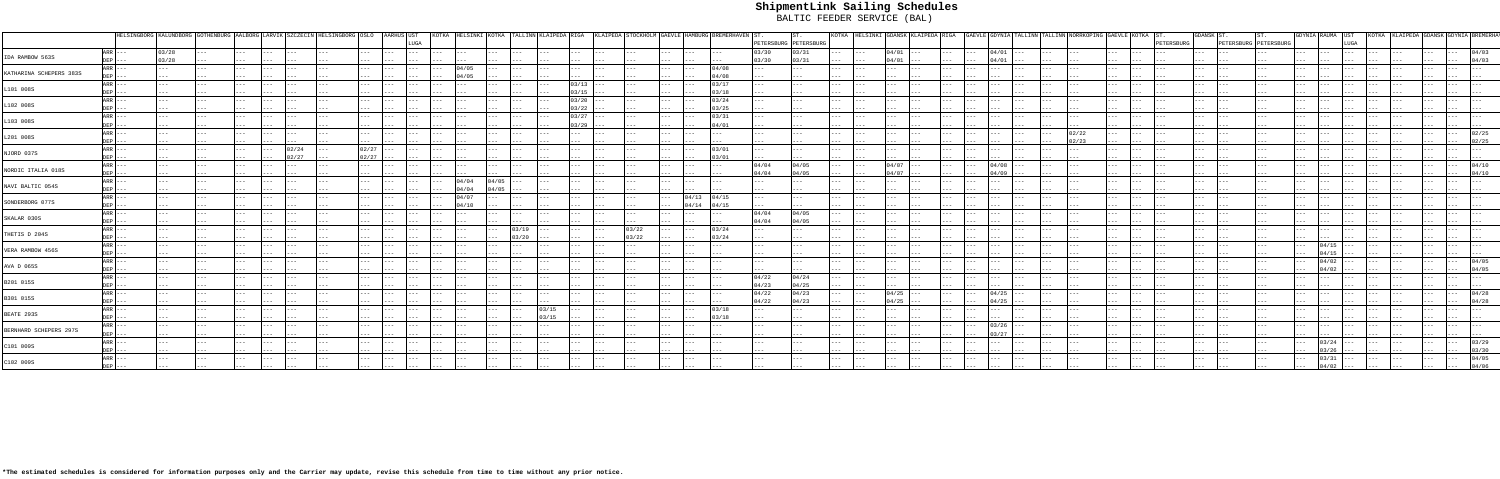|                         |             | HELSINGBORG KALUNDBORG GOTHENBURG AALBORG LARVIK SZCZECIN |       |         |       | HELSINGBORG OSLO |       | AARHUS UST |       | KOTKA HELSINKI   | KOTKA |       | TALLINN KLAIPEDA RIGA |       | KLAIPEDA |       |       | TOCKHOLM GAEVLE HAMBURG BREMERHAVEN ST. |                | IST.                  |       | KOTKA HELSINKI | DANSK KLAIPEDA RIGA |         |       | GAEVLE GDYNIA TALLINN |                                                                                                                                                                                                                                                                                                                                                                                              | ALLINN INORRKOPING: | AEVLE KOTKA ST. |       | GDANSK ST. |                       |         | GDYNIA RAUMA | UST            | KOTKA | KLAIPEDA GDANSK |
|-------------------------|-------------|-----------------------------------------------------------|-------|---------|-------|------------------|-------|------------|-------|------------------|-------|-------|-----------------------|-------|----------|-------|-------|-----------------------------------------|----------------|-----------------------|-------|----------------|---------------------|---------|-------|-----------------------|----------------------------------------------------------------------------------------------------------------------------------------------------------------------------------------------------------------------------------------------------------------------------------------------------------------------------------------------------------------------------------------------|---------------------|-----------------|-------|------------|-----------------------|---------|--------------|----------------|-------|-----------------|
|                         |             |                                                           |       |         |       |                  |       |            | LUGA  |                  |       |       |                       |       |          |       |       |                                         |                | PETERSBURG PETERSBURG |       |                |                     |         |       |                       |                                                                                                                                                                                                                                                                                                                                                                                              |                     |                 |       | PETERSBURG | PETERSBURG PETERSBURG |         |              | <b>TIGA</b>    |       |                 |
|                         | $ARR$ ---   | 03/28                                                     |       | $---$   |       |                  |       |            | $- -$ |                  |       |       |                       |       |          |       |       |                                         | 03/30          | 03/31                 | $- -$ |                | 04/01               | $- - -$ | $- -$ | $04/01$ $---$         | $\frac{1}{2} \frac{1}{2} \frac{1}{2} \frac{1}{2} \frac{1}{2} \frac{1}{2} \frac{1}{2} \frac{1}{2} \frac{1}{2} \frac{1}{2} \frac{1}{2} \frac{1}{2} \frac{1}{2} \frac{1}{2} \frac{1}{2} \frac{1}{2} \frac{1}{2} \frac{1}{2} \frac{1}{2} \frac{1}{2} \frac{1}{2} \frac{1}{2} \frac{1}{2} \frac{1}{2} \frac{1}{2} \frac{1}{2} \frac{1}{2} \frac{1}{2} \frac{1}{2} \frac{1}{2} \frac{1}{2} \frac{$ |                     |                 |       |            |                       |         | $- - -$      |                |       |                 |
| IDA RAMBOW 563S         |             | 03/28                                                     |       |         |       |                  |       |            |       |                  |       |       |                       |       |          |       |       |                                         | 03/30          | 0.3 / 31              |       |                | 04/01               |         |       | 04/01                 |                                                                                                                                                                                                                                                                                                                                                                                              |                     |                 |       |            |                       |         |              |                |       |                 |
|                         | $ARR$ $---$ | $---$                                                     |       | $- - -$ |       |                  |       |            |       | 04/05            |       |       |                       |       |          |       |       | 04/08                                   | $- - -$        |                       |       |                |                     |         |       |                       |                                                                                                                                                                                                                                                                                                                                                                                              |                     |                 |       |            |                       |         |              |                |       |                 |
| KATHARINA SCHEPERS 383S |             |                                                           |       |         |       |                  |       |            |       | 4/05             |       |       |                       |       |          |       |       | 04/08                                   |                |                       |       |                |                     |         |       |                       |                                                                                                                                                                                                                                                                                                                                                                                              |                     |                 |       |            |                       |         |              |                |       |                 |
|                         | $ARR$ $---$ | $---$                                                     |       | $- -$   |       |                  |       |            |       |                  |       |       |                       | 03/13 |          |       |       | 03/17                                   |                |                       |       |                |                     |         | $ -$  |                       | $- -$                                                                                                                                                                                                                                                                                                                                                                                        |                     |                 |       |            |                       |         |              |                |       |                 |
| L101 008S               |             |                                                           |       |         |       |                  |       |            |       |                  |       |       |                       | 03/15 |          |       |       | 03/18                                   |                |                       |       |                |                     |         |       |                       |                                                                                                                                                                                                                                                                                                                                                                                              |                     |                 |       |            |                       |         |              |                |       |                 |
|                         | $ARR$ $---$ |                                                           |       |         |       |                  |       |            |       |                  |       |       |                       |       |          |       |       |                                         |                |                       |       |                |                     |         |       |                       |                                                                                                                                                                                                                                                                                                                                                                                              |                     |                 |       |            |                       |         |              |                |       |                 |
| L102 008S               |             | $---$                                                     |       |         |       |                  |       |            |       |                  |       |       |                       | 03/20 |          |       |       | 03/24                                   |                |                       |       |                |                     |         |       |                       |                                                                                                                                                                                                                                                                                                                                                                                              |                     |                 |       |            |                       |         |              |                |       |                 |
|                         |             |                                                           |       |         |       |                  |       |            |       |                  |       |       |                       | 03/22 |          |       |       | 3/25                                    |                |                       |       |                |                     |         |       |                       |                                                                                                                                                                                                                                                                                                                                                                                              |                     |                 |       |            |                       |         |              |                |       |                 |
| L103 008S               | $ARR$ $---$ |                                                           |       |         |       |                  |       |            |       |                  |       |       |                       | 03/27 |          |       |       | 03/31                                   |                |                       |       |                |                     |         |       |                       |                                                                                                                                                                                                                                                                                                                                                                                              |                     |                 |       |            |                       |         |              |                |       |                 |
|                         |             |                                                           |       |         |       |                  |       |            |       |                  |       |       |                       | 03/29 |          |       |       | 04/01                                   |                |                       |       |                |                     |         |       |                       |                                                                                                                                                                                                                                                                                                                                                                                              |                     |                 |       |            |                       |         |              |                |       |                 |
| L201 008S               | $ARR$ $---$ | ---                                                       |       |         |       |                  |       |            |       |                  |       |       |                       |       |          |       |       | $- - -$                                 |                |                       |       |                |                     |         |       |                       |                                                                                                                                                                                                                                                                                                                                                                                              | 02/22               |                 |       |            |                       |         |              |                |       |                 |
|                         |             |                                                           |       |         |       |                  |       |            |       |                  |       |       |                       |       |          |       |       |                                         |                |                       |       |                |                     |         |       |                       |                                                                                                                                                                                                                                                                                                                                                                                              | 02/23               |                 |       |            |                       |         |              |                |       |                 |
| NJORD 037S              | $ARR$ $---$ |                                                           |       | $- -$   | 02/24 |                  | 02/27 |            | $ -$  |                  |       |       |                       |       |          |       |       | 03/01                                   |                |                       |       |                |                     |         |       |                       |                                                                                                                                                                                                                                                                                                                                                                                              |                     |                 | $- -$ |            |                       |         |              |                |       |                 |
|                         |             |                                                           |       |         | 2/27  |                  | 02/27 |            |       |                  |       |       |                       |       |          |       |       | 3/01                                    |                |                       |       |                |                     |         |       |                       |                                                                                                                                                                                                                                                                                                                                                                                              |                     |                 |       |            |                       |         |              |                |       |                 |
|                         | $APR$ $---$ | $- - -$                                                   |       | $ -$    |       |                  |       |            |       |                  |       |       |                       |       |          |       |       |                                         | 04/04          | 04/05                 |       |                | 04/07               | $- -$   | $ -$  | 04/08                 |                                                                                                                                                                                                                                                                                                                                                                                              |                     |                 |       |            |                       |         | $- - -$      |                |       |                 |
| NORDIC ITALIA 018S      |             |                                                           |       |         |       |                  |       |            |       |                  |       |       |                       |       |          |       |       |                                         | 04/04          | 04/05                 |       |                | 04/07               |         |       | 04/09                 |                                                                                                                                                                                                                                                                                                                                                                                              |                     |                 |       |            |                       |         |              |                |       |                 |
|                         | $ARR$ $---$ | $---$                                                     |       | $- -$   | $- -$ |                  |       |            | $- -$ | 04/04<br>$- - -$ | 04/05 |       |                       |       |          |       |       |                                         |                |                       |       |                |                     |         |       |                       |                                                                                                                                                                                                                                                                                                                                                                                              |                     |                 | $- -$ |            | $- - -$               | $- - -$ | $- - -$      |                |       |                 |
| NAVI BALTIC 054S        |             |                                                           |       |         |       |                  |       |            |       | 4/04             |       |       |                       |       |          |       |       |                                         |                |                       |       |                |                     |         |       |                       |                                                                                                                                                                                                                                                                                                                                                                                              |                     |                 |       |            |                       |         |              |                |       |                 |
|                         | $ARR$ $---$ |                                                           |       |         |       |                  |       | $- - -$    | $- -$ | 04/07            |       |       |                       |       |          |       | 04/13 | 04/15                                   |                |                       |       |                |                     |         |       |                       |                                                                                                                                                                                                                                                                                                                                                                                              |                     |                 |       |            |                       |         |              |                |       |                 |
| SONDERBORG 077S         |             |                                                           |       |         |       |                  |       |            |       | 04/10            |       |       |                       |       |          |       | 04/14 | 04/15                                   |                |                       |       |                |                     |         |       |                       |                                                                                                                                                                                                                                                                                                                                                                                              |                     |                 |       |            |                       |         |              |                |       |                 |
|                         | $ARR$ $---$ |                                                           |       | $ -$    |       |                  |       |            |       |                  |       |       |                       |       |          |       |       | $- -$                                   | 04/04          | 04/05                 |       |                |                     |         |       |                       |                                                                                                                                                                                                                                                                                                                                                                                              |                     |                 |       |            |                       |         |              |                |       |                 |
| SKALAR 030S             |             |                                                           |       |         |       |                  |       |            |       |                  |       |       |                       |       |          |       |       |                                         | 04/04          | 04/05                 |       |                |                     |         |       |                       |                                                                                                                                                                                                                                                                                                                                                                                              |                     |                 |       |            |                       |         |              |                |       |                 |
|                         | $ARR$ $---$ |                                                           |       |         |       |                  |       |            |       |                  |       | 03/19 |                       |       |          | 03/22 |       | 03/24                                   |                |                       |       |                |                     |         |       |                       |                                                                                                                                                                                                                                                                                                                                                                                              |                     |                 |       |            |                       |         |              |                |       |                 |
| THETIS D 204S           |             |                                                           |       |         |       |                  |       |            |       |                  |       | 3/20  |                       |       |          | 3/22  |       | 03/24                                   |                |                       |       |                |                     |         |       |                       |                                                                                                                                                                                                                                                                                                                                                                                              |                     |                 |       |            |                       |         |              |                |       |                 |
|                         | $ARR$ $---$ |                                                           |       |         |       |                  |       |            |       |                  |       |       |                       |       |          |       |       |                                         |                |                       |       |                |                     |         |       |                       |                                                                                                                                                                                                                                                                                                                                                                                              |                     |                 |       |            |                       |         | $- - -$      | 04/15          |       |                 |
| VERA RAMBOW 456S        |             |                                                           |       |         |       |                  |       |            |       |                  |       |       |                       |       |          |       |       |                                         |                |                       |       |                |                     |         |       |                       |                                                                                                                                                                                                                                                                                                                                                                                              |                     |                 |       |            |                       |         |              | 04/15          |       |                 |
|                         |             |                                                           |       |         |       |                  |       |            |       |                  |       |       |                       |       |          |       |       |                                         |                |                       |       |                |                     |         |       |                       |                                                                                                                                                                                                                                                                                                                                                                                              |                     |                 |       |            |                       |         |              |                |       |                 |
| AVA D 065S              | $ARR$ $---$ |                                                           |       |         |       |                  |       |            |       |                  |       |       |                       |       |          |       |       |                                         |                |                       |       |                |                     |         |       |                       |                                                                                                                                                                                                                                                                                                                                                                                              |                     |                 |       |            |                       |         |              | 04/02<br>04/02 |       |                 |
|                         |             |                                                           |       |         |       |                  |       |            |       |                  |       |       |                       |       |          |       |       |                                         |                |                       |       |                |                     |         |       |                       |                                                                                                                                                                                                                                                                                                                                                                                              |                     |                 |       |            |                       |         |              |                |       |                 |
| B201 015S               | $ARR$ $---$ |                                                           |       | $- -$   |       |                  |       |            |       |                  |       |       |                       |       |          |       |       |                                         | 04/22<br>04/23 | 04/24                 |       |                |                     |         |       |                       |                                                                                                                                                                                                                                                                                                                                                                                              |                     |                 | $- -$ | $- -$      |                       | $- -$   | $---$        | $- -$          |       |                 |
|                         |             |                                                           |       |         |       |                  |       |            |       |                  |       |       |                       |       |          |       |       |                                         |                | 04/25                 |       |                |                     |         |       |                       |                                                                                                                                                                                                                                                                                                                                                                                              |                     |                 |       |            |                       |         |              |                |       |                 |
| B301 015S               | $ARR$ $---$ |                                                           | $- -$ | $- -$   |       |                  |       | $- - -$    | $-$   |                  |       |       | $--$                  |       |          |       |       |                                         | 04/22          | 04/23                 | $- -$ | $--$           | 04/25               | $---$   | $- -$ | 04/25<br>$- - -$      |                                                                                                                                                                                                                                                                                                                                                                                              |                     |                 |       |            |                       |         | $- - -$      |                |       |                 |
|                         |             |                                                           |       |         |       |                  |       |            |       |                  |       |       |                       |       |          |       |       |                                         | 04/22          | 04/23                 |       |                | 04/25               |         |       | 04/25                 |                                                                                                                                                                                                                                                                                                                                                                                              |                     |                 |       |            |                       |         |              |                |       |                 |
| BEATE 293S              | $ARR$ $---$ | $---$                                                     |       | $- -$   |       |                  | $- -$ |            |       |                  |       |       | 03/15                 |       |          |       |       | 03/18                                   | $- - -$        | $---$                 | $- -$ |                | $- -$               | $- -$   | $ -$  |                       | $- -$                                                                                                                                                                                                                                                                                                                                                                                        |                     |                 |       | $- - -$    |                       |         | $- - -$      |                |       |                 |
|                         |             |                                                           |       |         |       |                  |       |            |       |                  |       |       | 3/15                  |       |          |       |       | 3/18                                    |                |                       |       |                |                     |         |       |                       |                                                                                                                                                                                                                                                                                                                                                                                              |                     |                 |       |            |                       |         |              |                |       |                 |
| BERNHARD SCHEPERS 297S  | $ARR$ $---$ |                                                           |       |         |       |                  |       | $- -$      |       |                  |       |       | $- -$                 |       |          |       |       |                                         |                |                       |       |                |                     | $---$   | $- -$ | $03/26$ $---$         |                                                                                                                                                                                                                                                                                                                                                                                              |                     |                 |       |            |                       |         |              |                |       |                 |
|                         |             |                                                           |       |         |       |                  |       |            |       |                  |       |       |                       |       |          |       |       |                                         |                |                       |       |                |                     |         |       | 3/27                  |                                                                                                                                                                                                                                                                                                                                                                                              |                     |                 |       |            |                       |         |              |                |       |                 |
|                         | $ARR$ $---$ | ---                                                       | $---$ | $- -$   |       |                  |       |            |       |                  |       |       |                       |       |          |       |       |                                         |                |                       |       |                |                     |         | $ -$  | $-- -$                | --- -                                                                                                                                                                                                                                                                                                                                                                                        |                     |                 |       | $- - -$    |                       |         | $--$         | 03/24          |       |                 |
| C101 009S               |             |                                                           |       |         |       |                  |       |            |       |                  |       |       |                       |       |          |       |       |                                         |                |                       |       |                |                     |         |       |                       |                                                                                                                                                                                                                                                                                                                                                                                              |                     |                 |       |            |                       |         |              |                |       |                 |
|                         | $ARR$ $---$ |                                                           |       |         |       |                  |       |            |       |                  |       |       |                       |       |          |       |       |                                         |                |                       |       |                |                     |         |       |                       |                                                                                                                                                                                                                                                                                                                                                                                              |                     |                 |       |            |                       |         | $- - -$      | 03/31          |       |                 |
| C102 009S               |             |                                                           |       |         |       |                  |       |            |       |                  |       |       |                       |       |          |       |       |                                         |                |                       |       |                |                     |         |       |                       |                                                                                                                                                                                                                                                                                                                                                                                              |                     |                 |       |            |                       |         |              |                |       |                 |
|                         |             |                                                           |       |         |       |                  |       |            |       |                  |       |       |                       |       |          |       |       |                                         |                |                       |       |                |                     |         |       |                       |                                                                                                                                                                                                                                                                                                                                                                                              |                     |                 |       |            |                       |         |              |                |       |                 |

| GDYNIA                   | <b>BREMERHA</b>          |
|--------------------------|--------------------------|
|                          |                          |
|                          | 04/03                    |
| .,<br>j.                 | 04/03                    |
| Ξ.                       | $  -$                    |
| $\frac{1}{1}$            | $\frac{1}{1}$            |
|                          |                          |
|                          | $\equiv$                 |
| ===                      |                          |
| $---$                    | $\equiv$                 |
| $-$                      | $\ddotsc$                |
| $\equiv$                 | $\pm$                    |
| $ -$                     | 02/25                    |
| $---$                    | 02/25                    |
|                          | $\overline{\phantom{a}}$ |
|                          |                          |
| $\overline{\phantom{a}}$ | 04/10                    |
|                          | 04/10                    |
|                          |                          |
|                          | $\equiv$                 |
|                          |                          |
| $rac{1}{\sqrt{2}}$       | $rac{1}{\sqrt{2}}$       |
| J.<br>Ξ.                 | $- -$                    |
| $\frac{-}{ }$            | $\equiv$                 |
| $-$ -                    | $---$                    |
| $\cdot$ $ \cdot$         | $\cdot$ – $\cdot$        |
| $ -$                     | $ -$                     |
| Ę                        | $\equiv$                 |
| $\overline{a}$           | 04/05                    |
|                          | 04/05                    |
| $- - -$                  | $- - -$                  |
| $\equiv$                 | $\equiv$                 |
|                          | $\frac{1}{04}$ /28       |
|                          | 04/28                    |
| $ -$                     | $  -$                    |
| $\ddot{\phantom{0}}$     | ŀ,<br>Ľ,                 |
| $\Box$                   | 드                        |
|                          | .,                       |
|                          | 03/29                    |
| $\overline{\phantom{a}}$ | 03/30                    |
|                          | 04/05                    |
| --                       | 04/06                    |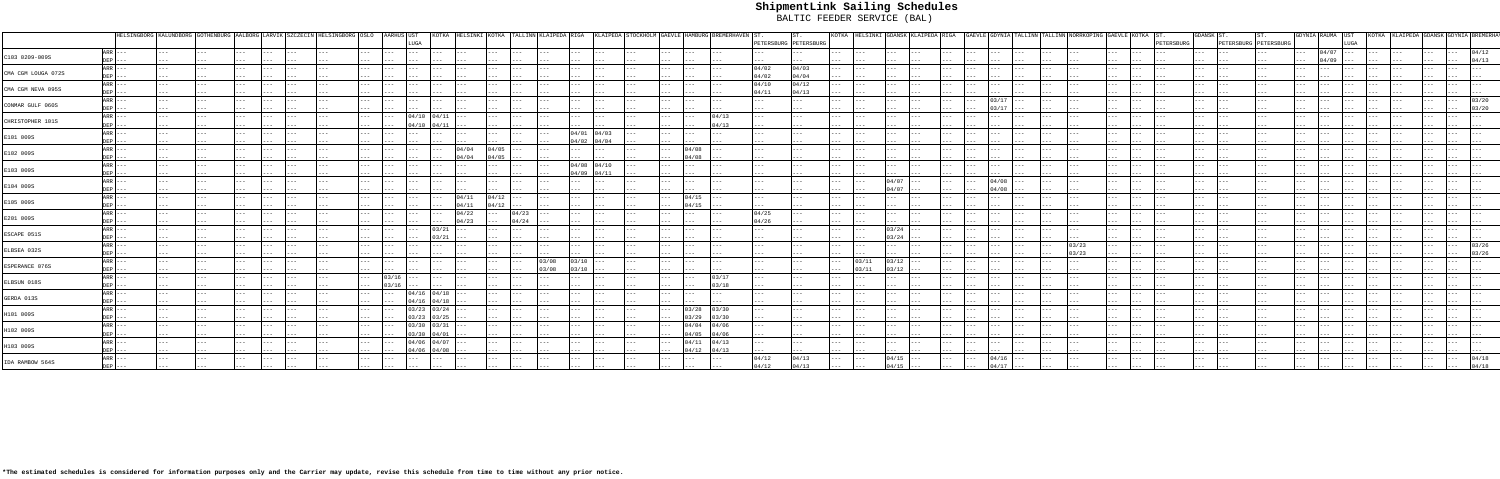|                    | HELSINGBORG KALUNDBORG |       |      | GOTHENBURG   AALBORG   LARVIK |  | ZCZECIN HELSINGBORG | AARHUS UST |                           |                                | (OTKA  HELSINKI KOTKA                                                                                                                                                                                                                                                                                                                                                                        |             | TALLINN KLAIPEDA RIGA |                                  |       |                                                                                                                                                                                                                                                                                                                                                                                              |                | KLAIPEDA STOCKHOLM GAEVLE HAMBURG BREMERHAVEN |                       |                |       | KOTKA HELSINKI |                                                                                                                                                                                                                                                                                                                                                                                              | GDANSK KLAIPEDA RIGA |       |                | GAEVLE   GDYNIA   TALLINN   TALLINN   NORRKOPING   GAEVLE   KOTKA   ST. |                |       |            | <b>FDANSK</b> |                       |         | DYNIA RAUMA    |              | ОТКА<br>KLAIPEDA G |  |
|--------------------|------------------------|-------|------|-------------------------------|--|---------------------|------------|---------------------------|--------------------------------|----------------------------------------------------------------------------------------------------------------------------------------------------------------------------------------------------------------------------------------------------------------------------------------------------------------------------------------------------------------------------------------------|-------------|-----------------------|----------------------------------|-------|----------------------------------------------------------------------------------------------------------------------------------------------------------------------------------------------------------------------------------------------------------------------------------------------------------------------------------------------------------------------------------------------|----------------|-----------------------------------------------|-----------------------|----------------|-------|----------------|----------------------------------------------------------------------------------------------------------------------------------------------------------------------------------------------------------------------------------------------------------------------------------------------------------------------------------------------------------------------------------------------|----------------------|-------|----------------|-------------------------------------------------------------------------|----------------|-------|------------|---------------|-----------------------|---------|----------------|--------------|--------------------|--|
|                    |                        |       |      |                               |  |                     |            | LIIGA                     |                                |                                                                                                                                                                                                                                                                                                                                                                                              |             |                       |                                  |       |                                                                                                                                                                                                                                                                                                                                                                                              |                |                                               | PETERSBURG PETERSBURG |                |       |                |                                                                                                                                                                                                                                                                                                                                                                                              |                      |       |                |                                                                         |                |       | PETERSBURG |               | PETERSBURG PETERSBURG |         |                | <b>APIT.</b> |                    |  |
| C103 0209-009S     | $ARR$ ---              |       |      |                               |  |                     |            | $- -$                     | $--$                           | $- -$<br>$---$                                                                                                                                                                                                                                                                                                                                                                               |             | $---$                 |                                  |       |                                                                                                                                                                                                                                                                                                                                                                                              |                |                                               |                       |                | $- -$ |                |                                                                                                                                                                                                                                                                                                                                                                                              |                      | $- -$ |                | $-$<br>$---$                                                            |                | $- -$ |            |               |                       | $--$    | 04/07<br>04/09 | $---$        |                    |  |
| CMA CGM LOUGA 072S | $ARR$ $---$            |       |      |                               |  |                     |            |                           |                                |                                                                                                                                                                                                                                                                                                                                                                                              |             |                       |                                  |       |                                                                                                                                                                                                                                                                                                                                                                                              |                |                                               | 04/02<br>04/02        | 04/03<br>04/04 |       |                | $  -$                                                                                                                                                                                                                                                                                                                                                                                        |                      |       |                |                                                                         |                |       |            |               |                       |         |                |              |                    |  |
| CMA CGM NEVA 095S  | $ARR$ $---$            |       |      |                               |  |                     |            |                           |                                | $- -$                                                                                                                                                                                                                                                                                                                                                                                        |             | $---$                 |                                  |       |                                                                                                                                                                                                                                                                                                                                                                                              |                |                                               | 04/10                 | 04/12          | $ -$  | $---$          | $---$                                                                                                                                                                                                                                                                                                                                                                                        |                      | $- -$ |                | $-$                                                                     |                |       |            |               |                       |         |                |              |                    |  |
| CONMAR GULF 060S   | $ARR$ $---$            | $- -$ |      |                               |  |                     |            |                           |                                |                                                                                                                                                                                                                                                                                                                                                                                              |             |                       |                                  |       |                                                                                                                                                                                                                                                                                                                                                                                              |                | $---$                                         | 04/11                 | 04/13          | $- -$ | $---$          | $\frac{1}{2} \frac{1}{2} \frac{1}{2} \frac{1}{2} \frac{1}{2} \frac{1}{2} \frac{1}{2} \frac{1}{2} \frac{1}{2} \frac{1}{2} \frac{1}{2} \frac{1}{2} \frac{1}{2} \frac{1}{2} \frac{1}{2} \frac{1}{2} \frac{1}{2} \frac{1}{2} \frac{1}{2} \frac{1}{2} \frac{1}{2} \frac{1}{2} \frac{1}{2} \frac{1}{2} \frac{1}{2} \frac{1}{2} \frac{1}{2} \frac{1}{2} \frac{1}{2} \frac{1}{2} \frac{1}{2} \frac{$ | $- - -$              | $- -$ | 03/17          | $- -$                                                                   |                | $- -$ |            |               |                       |         |                |              |                    |  |
|                    | $ARR$ $---$            |       |      |                               |  |                     |            | $04/10$ 04/11             |                                | $---$                                                                                                                                                                                                                                                                                                                                                                                        |             |                       |                                  |       | $- -$                                                                                                                                                                                                                                                                                                                                                                                        |                | 04/13                                         |                       |                |       |                | $- - -$                                                                                                                                                                                                                                                                                                                                                                                      |                      | $- -$ |                |                                                                         |                |       |            |               |                       |         |                |              |                    |  |
| CHRISTOPHER 101S   |                        |       |      |                               |  |                     |            | 04/10                     | 04/11                          |                                                                                                                                                                                                                                                                                                                                                                                              |             |                       |                                  |       |                                                                                                                                                                                                                                                                                                                                                                                              |                | 04/13                                         |                       |                |       |                |                                                                                                                                                                                                                                                                                                                                                                                              |                      |       |                |                                                                         |                |       |            |               |                       |         |                |              |                    |  |
| E101 009S          | $ARR$ ---              |       |      |                               |  |                     |            | $ -$                      | $-- -$                         | $---$                                                                                                                                                                                                                                                                                                                                                                                        |             |                       | $04/01$ 04/03<br>$04/02$ 04/04   |       | $---$                                                                                                                                                                                                                                                                                                                                                                                        |                | $---$                                         |                       |                |       |                | $---$                                                                                                                                                                                                                                                                                                                                                                                        |                      |       |                |                                                                         |                |       |            |               |                       |         |                |              |                    |  |
| E102 009S          | $ARR$ $---$            |       |      |                               |  |                     |            | $-$                       | $---$                          | 04/04<br>04/04<br>04/05                                                                                                                                                                                                                                                                                                                                                                      | $04/05$ --- | $---$                 | $- - -$                          | $---$ | $\frac{1}{2} \frac{1}{2} \frac{1}{2} \frac{1}{2} \frac{1}{2} \frac{1}{2} \frac{1}{2} \frac{1}{2} \frac{1}{2} \frac{1}{2} \frac{1}{2} \frac{1}{2} \frac{1}{2} \frac{1}{2} \frac{1}{2} \frac{1}{2} \frac{1}{2} \frac{1}{2} \frac{1}{2} \frac{1}{2} \frac{1}{2} \frac{1}{2} \frac{1}{2} \frac{1}{2} \frac{1}{2} \frac{1}{2} \frac{1}{2} \frac{1}{2} \frac{1}{2} \frac{1}{2} \frac{1}{2} \frac{$ | 04/08<br>04/08 |                                               |                       |                |       |                | $---$                                                                                                                                                                                                                                                                                                                                                                                        |                      | $-$   |                |                                                                         |                | $- -$ |            |               |                       | $- - -$ |                |              |                    |  |
| E103 009S          | $ARR$ $---$            |       |      |                               |  |                     |            |                           |                                | $--$                                                                                                                                                                                                                                                                                                                                                                                         |             |                       | $04/08$ 04/10<br>$04/09$ $04/11$ |       |                                                                                                                                                                                                                                                                                                                                                                                              |                |                                               |                       |                |       |                |                                                                                                                                                                                                                                                                                                                                                                                              |                      |       |                |                                                                         |                |       |            |               |                       |         |                |              |                    |  |
| E104 009S          | $ARR$ $---$            |       |      |                               |  |                     |            |                           |                                | $--$                                                                                                                                                                                                                                                                                                                                                                                         |             |                       | --- -                            | $---$ | $---$                                                                                                                                                                                                                                                                                                                                                                                        |                |                                               |                       |                |       | $- - -$        | 04/07<br>04/07                                                                                                                                                                                                                                                                                                                                                                               |                      | $ -$  | 04/08<br>04/08 | $- -$                                                                   |                |       |            |               |                       |         |                |              |                    |  |
| E105 009S          | $ARR$ $---$            |       |      |                               |  |                     |            |                           |                                | 04/11<br>04/12                                                                                                                                                                                                                                                                                                                                                                               |             |                       |                                  |       |                                                                                                                                                                                                                                                                                                                                                                                              | 04/15          |                                               |                       |                |       |                | $- - -$                                                                                                                                                                                                                                                                                                                                                                                      |                      |       |                |                                                                         |                |       |            |               |                       |         |                |              |                    |  |
| E201 009S          | $ARR$ $---$            |       |      |                               |  |                     |            |                           | $---$                          | 14/11<br>04/12<br>04/22                                                                                                                                                                                                                                                                                                                                                                      | 04/23       |                       | $- -$                            |       | $- -$                                                                                                                                                                                                                                                                                                                                                                                        | 04/15          |                                               | 04/25                 |                | $ -$  |                | $\frac{1}{2} \frac{1}{2} \frac{1}{2} \frac{1}{2} \frac{1}{2} \frac{1}{2} \frac{1}{2} \frac{1}{2} \frac{1}{2} \frac{1}{2} \frac{1}{2} \frac{1}{2} \frac{1}{2} \frac{1}{2} \frac{1}{2} \frac{1}{2} \frac{1}{2} \frac{1}{2} \frac{1}{2} \frac{1}{2} \frac{1}{2} \frac{1}{2} \frac{1}{2} \frac{1}{2} \frac{1}{2} \frac{1}{2} \frac{1}{2} \frac{1}{2} \frac{1}{2} \frac{1}{2} \frac{1}{2} \frac{$ |                      | $-$   |                |                                                                         |                |       |            |               |                       |         |                |              |                    |  |
|                    |                        |       |      |                               |  |                     |            |                           |                                | 04/23                                                                                                                                                                                                                                                                                                                                                                                        | 04/24       |                       |                                  |       |                                                                                                                                                                                                                                                                                                                                                                                              |                |                                               | 04/26                 |                |       |                |                                                                                                                                                                                                                                                                                                                                                                                              |                      |       |                |                                                                         |                |       |            |               |                       |         |                |              |                    |  |
| ESCAPE 051S        | $ARR$ $---$            |       |      |                               |  |                     | $--$       |                           | $03/21$ ---                    | $--$                                                                                                                                                                                                                                                                                                                                                                                         |             |                       |                                  |       |                                                                                                                                                                                                                                                                                                                                                                                              |                |                                               |                       |                | $--$  |                | 03/24<br>03/24                                                                                                                                                                                                                                                                                                                                                                               |                      |       |                |                                                                         |                |       |            |               |                       |         |                |              |                    |  |
| ELBSEA 032S        | $ARR$ $---$            |       |      |                               |  |                     |            |                           |                                | $---$                                                                                                                                                                                                                                                                                                                                                                                        |             |                       |                                  |       |                                                                                                                                                                                                                                                                                                                                                                                              |                |                                               |                       |                | $ -$  |                | $---$                                                                                                                                                                                                                                                                                                                                                                                        |                      | $- -$ |                | $-$                                                                     | 03/23<br>03/23 | $- -$ |            |               |                       |         |                |              |                    |  |
| ESPERANCE 076S     | $ARR$ $---$            |       |      |                               |  |                     |            |                           |                                | $- -$                                                                                                                                                                                                                                                                                                                                                                                        |             | 03/08<br>03/08        | $03/10$ $---$<br>3/10            |       | $-- -$                                                                                                                                                                                                                                                                                                                                                                                       |                |                                               |                       |                | $ -$  | 03/11<br>03/11 | 03/12<br>03/12                                                                                                                                                                                                                                                                                                                                                                               |                      | $- -$ |                |                                                                         |                |       |            |               |                       |         |                |              |                    |  |
| ELBSUN 018S        | $ARR$ $---$            |       |      | $- -$                         |  |                     | 03/16      | $--$                      |                                | $--$                                                                                                                                                                                                                                                                                                                                                                                         |             | $---$                 | $--$                             |       | $---$                                                                                                                                                                                                                                                                                                                                                                                        |                | 03/17<br>03/18                                |                       |                | $- -$ |                | $\frac{1}{2} \frac{1}{2} \frac{1}{2} \frac{1}{2} \frac{1}{2} \frac{1}{2} \frac{1}{2} \frac{1}{2} \frac{1}{2} \frac{1}{2} \frac{1}{2} \frac{1}{2} \frac{1}{2} \frac{1}{2} \frac{1}{2} \frac{1}{2} \frac{1}{2} \frac{1}{2} \frac{1}{2} \frac{1}{2} \frac{1}{2} \frac{1}{2} \frac{1}{2} \frac{1}{2} \frac{1}{2} \frac{1}{2} \frac{1}{2} \frac{1}{2} \frac{1}{2} \frac{1}{2} \frac{1}{2} \frac{$ |                      | $- -$ |                | $- -$<br>$ -$                                                           |                | $- -$ |            |               |                       |         |                |              |                    |  |
| GERDA 013S         | $ARR$ ---              | $- -$ | $ -$ | $--$                          |  | $ -$                | $- - -$    | $04/16$ $04/18$ -<br>4/16 |                                | $- -$                                                                                                                                                                                                                                                                                                                                                                                        |             | $\qquad \qquad - - -$ | $--$                             |       | $---$                                                                                                                                                                                                                                                                                                                                                                                        | $---$          | $---$                                         |                       | $ -$           | $--$  | $- - -$        | $---$                                                                                                                                                                                                                                                                                                                                                                                        | $- - -$              | $- -$ |                | $-$<br>$- -$                                                            |                | $- -$ |            |               |                       |         | $- - -$        |              |                    |  |
| H101 009S          | $ARR$ $---$            | $- -$ |      | $- -$                         |  |                     |            |                           | 04/18<br>$03/23$ $03/24$ $---$ | $\frac{1}{2} \frac{1}{2} \frac{1}{2} \frac{1}{2} \frac{1}{2} \frac{1}{2} \frac{1}{2} \frac{1}{2} \frac{1}{2} \frac{1}{2} \frac{1}{2} \frac{1}{2} \frac{1}{2} \frac{1}{2} \frac{1}{2} \frac{1}{2} \frac{1}{2} \frac{1}{2} \frac{1}{2} \frac{1}{2} \frac{1}{2} \frac{1}{2} \frac{1}{2} \frac{1}{2} \frac{1}{2} \frac{1}{2} \frac{1}{2} \frac{1}{2} \frac{1}{2} \frac{1}{2} \frac{1}{2} \frac{$ | $---$       | $---$                 | $---$                            | $---$ | $\frac{1}{2} \frac{1}{2} \frac{1}{2} \frac{1}{2} \frac{1}{2} \frac{1}{2} \frac{1}{2} \frac{1}{2} \frac{1}{2} \frac{1}{2} \frac{1}{2} \frac{1}{2} \frac{1}{2} \frac{1}{2} \frac{1}{2} \frac{1}{2} \frac{1}{2} \frac{1}{2} \frac{1}{2} \frac{1}{2} \frac{1}{2} \frac{1}{2} \frac{1}{2} \frac{1}{2} \frac{1}{2} \frac{1}{2} \frac{1}{2} \frac{1}{2} \frac{1}{2} \frac{1}{2} \frac{1}{2} \frac{$ | 03/28          | 03/30                                         |                       |                | $ -$  |                | $\frac{1}{2} \frac{1}{2} \frac{1}{2} \frac{1}{2} \frac{1}{2} \frac{1}{2} \frac{1}{2} \frac{1}{2} \frac{1}{2} \frac{1}{2} \frac{1}{2} \frac{1}{2} \frac{1}{2} \frac{1}{2} \frac{1}{2} \frac{1}{2} \frac{1}{2} \frac{1}{2} \frac{1}{2} \frac{1}{2} \frac{1}{2} \frac{1}{2} \frac{1}{2} \frac{1}{2} \frac{1}{2} \frac{1}{2} \frac{1}{2} \frac{1}{2} \frac{1}{2} \frac{1}{2} \frac{1}{2} \frac{$ | $-- -$               | $- -$ |                | $-$<br>$---$                                                            |                | $---$ |            |               |                       |         |                |              |                    |  |
|                    | $ARR$ $---$            |       |      | $- -$                         |  | $ -$                |            | 3/23<br>03/30 03/31       | 13/25                          | $---$                                                                                                                                                                                                                                                                                                                                                                                        |             | $---$                 | $- - -$                          |       | $---$                                                                                                                                                                                                                                                                                                                                                                                        | 03/29<br>04/04 | 03/30<br>04/06                                |                       |                | $- -$ |                | $\frac{1}{2} \frac{1}{2} \frac{1}{2} \frac{1}{2} \frac{1}{2} \frac{1}{2} \frac{1}{2} \frac{1}{2} \frac{1}{2} \frac{1}{2} \frac{1}{2} \frac{1}{2} \frac{1}{2} \frac{1}{2} \frac{1}{2} \frac{1}{2} \frac{1}{2} \frac{1}{2} \frac{1}{2} \frac{1}{2} \frac{1}{2} \frac{1}{2} \frac{1}{2} \frac{1}{2} \frac{1}{2} \frac{1}{2} \frac{1}{2} \frac{1}{2} \frac{1}{2} \frac{1}{2} \frac{1}{2} \frac{$ |                      | $- -$ |                |                                                                         |                | $---$ |            |               |                       |         |                |              |                    |  |
| H102 009S          |                        |       |      |                               |  |                     |            | 3/30                      | 04/01                          |                                                                                                                                                                                                                                                                                                                                                                                              |             |                       |                                  |       |                                                                                                                                                                                                                                                                                                                                                                                              | 04/05          | 04/06                                         |                       |                |       |                |                                                                                                                                                                                                                                                                                                                                                                                              |                      |       |                |                                                                         |                |       |            |               |                       |         |                |              |                    |  |
| H103 009S          | $ARR$ ---              | $--$  |      | $- -$                         |  | $- -$               |            | 4/06                      | $04/06$ $04/07$ ---<br>04/08   | $--$                                                                                                                                                                                                                                                                                                                                                                                         | $---$       |                       | $---$                            |       | $---$                                                                                                                                                                                                                                                                                                                                                                                        | 04/11<br>04/12 | 04/13<br>04/13                                |                       | $--$           | $- -$ |                | $\qquad \qquad - - -$                                                                                                                                                                                                                                                                                                                                                                        | $-- -$               | $- -$ |                | $ -$<br>$- - -$                                                         |                | $- -$ |            | $- -$         |                       |         |                |              |                    |  |
| IDA RAMBOW 564S    | $ARR$ $---$            |       |      |                               |  |                     |            |                           | $-- -$                         |                                                                                                                                                                                                                                                                                                                                                                                              |             |                       |                                  |       |                                                                                                                                                                                                                                                                                                                                                                                              | $---$          | $---$                                         | 04/12                 | 04/13<br>14/13 | $- -$ | $-- -$         | 04/15<br>04/15                                                                                                                                                                                                                                                                                                                                                                               | $---$                | $- -$ | 04/16          | $- -$<br>$-- -$                                                         |                |       |            |               |                       |         |                |              |                    |  |
|                    |                        |       |      |                               |  |                     |            |                           |                                |                                                                                                                                                                                                                                                                                                                                                                                              |             |                       |                                  |       |                                                                                                                                                                                                                                                                                                                                                                                              |                |                                               |                       |                |       |                |                                                                                                                                                                                                                                                                                                                                                                                              |                      |       |                |                                                                         |                |       |            |               |                       |         |                |              |                    |  |

| GDYNIA                         | <b>BREMERHA</b>      |
|--------------------------------|----------------------|
|                                |                      |
| $\overline{\phantom{a}}$ .     | 04/12                |
| .,<br>.,                       | 04/13                |
| $ -$                           | $\overline{a}$       |
| $\frac{1}{1}$                  | $\frac{1}{1}$        |
|                                |                      |
|                                |                      |
| m                              | 03/20                |
| $---$                          | 03/20                |
| $\overline{a}$                 | $ -$                 |
| $-$                            | $=$                  |
| $ -$                           | Д                    |
| $---$                          | $ -$                 |
| $\overline{a}$                 | $\overline{a}$       |
|                                | Ė                    |
| $\equiv$                       | Ξ.                   |
| $rac{1}{\sqrt{2}}$             | $---$                |
|                                |                      |
|                                |                      |
| $ -$                           | $\equiv$             |
| $\frac{1}{2}$                  | $\equiv$             |
| $ -$                           | $- -$                |
|                                | $\equiv$             |
| $\frac{1}{1}$                  | .                    |
| $\frac{1}{\sqrt{2}}$           | $-$                  |
| $- - -$                        | 03/26                |
| Ç                              | 03/26                |
| $\frac{1}{2}$                  | ---                  |
| $rac{1}{\sqrt{1-\frac{1}{2}}}$ |                      |
| $---$                          | $\frac{1}{1}$        |
|                                |                      |
| $\frac{1}{1}$                  | $\frac{1}{1}$        |
|                                |                      |
| $\equiv$                       | Д                    |
| Ç<br>.,                        | .,<br>Ξ,             |
| $\overline{a}$                 | $\overline{a}$       |
|                                | $\ddot{\phantom{0}}$ |
|                                | $ -$                 |
| $\equiv$                       | $\equiv$             |
|                                | 04/18                |
| --<br>÷                        | 04/18                |
|                                |                      |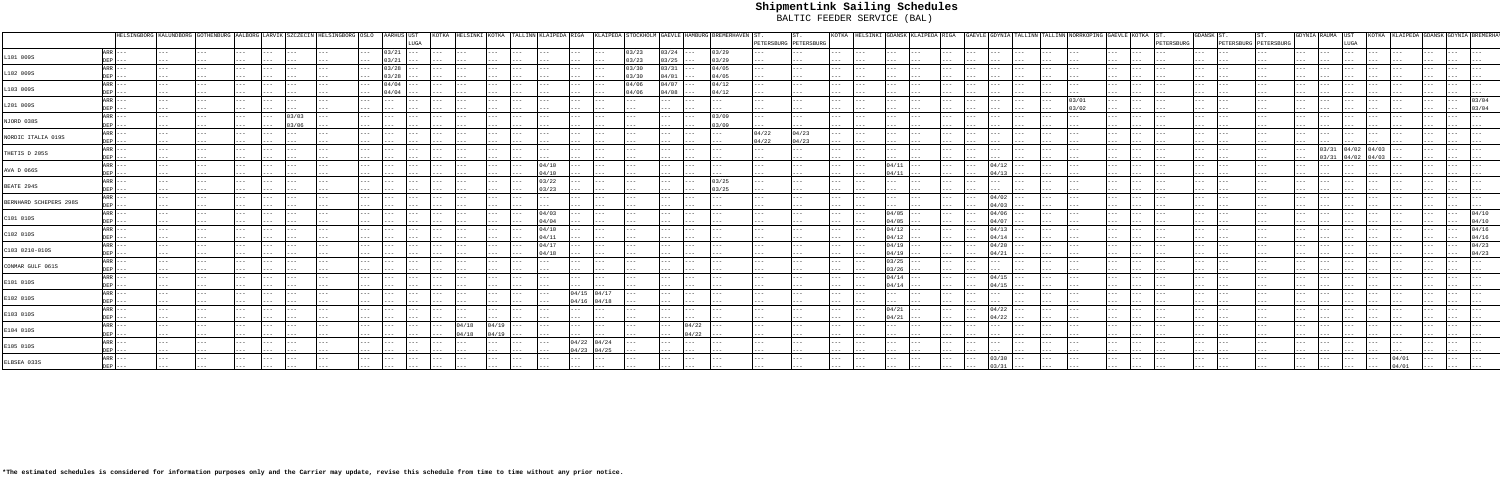|                        | HELSINGBORG KALUNDBORG |       |      | OTHENBURG   AALBORG   LARVIK |                | ZCZECIN HELSINGBORG |                    | AARHUS UST                                                                                                                                                                                                                                                                                                                                                                                   |       | KOTKA  HELSINKI KOTKA                                                                                                                                                                                                                                                                                                                                                                                                 |               | TALLINN KLAIPEDA RIGA |                                                                                                                                                                                                                                                                                                                                                                                              |       |                  | KLAIPEDA STOCKHOLM GAEVLE HAMBURG BREMERHAVEN                                                                                                                                                                                                                                                                                                                                                                  |                |                |                       |       | OTKA  HELSINKI |                                                                                                                                                                                                                                                                                                                                                                                              | GDANSK KLAIPEDA RIGA |         | GAEVLE   GDYNIA   T |                | 'ALLINN TALLINN NORRKOPING GAEVLE KOTKA   ST. |       |            | <b>FDANSK</b> |                       | DYNIA RAUMA |              | ОТКА                                               |  |
|------------------------|------------------------|-------|------|------------------------------|----------------|---------------------|--------------------|----------------------------------------------------------------------------------------------------------------------------------------------------------------------------------------------------------------------------------------------------------------------------------------------------------------------------------------------------------------------------------------------|-------|-----------------------------------------------------------------------------------------------------------------------------------------------------------------------------------------------------------------------------------------------------------------------------------------------------------------------------------------------------------------------------------------------------------------------|---------------|-----------------------|----------------------------------------------------------------------------------------------------------------------------------------------------------------------------------------------------------------------------------------------------------------------------------------------------------------------------------------------------------------------------------------------|-------|------------------|----------------------------------------------------------------------------------------------------------------------------------------------------------------------------------------------------------------------------------------------------------------------------------------------------------------------------------------------------------------------------------------------------------------|----------------|----------------|-----------------------|-------|----------------|----------------------------------------------------------------------------------------------------------------------------------------------------------------------------------------------------------------------------------------------------------------------------------------------------------------------------------------------------------------------------------------------|----------------------|---------|---------------------|----------------|-----------------------------------------------|-------|------------|---------------|-----------------------|-------------|--------------|----------------------------------------------------|--|
|                        |                        |       |      |                              |                |                     |                    | LIIGA                                                                                                                                                                                                                                                                                                                                                                                        |       |                                                                                                                                                                                                                                                                                                                                                                                                                       |               |                       |                                                                                                                                                                                                                                                                                                                                                                                              |       |                  |                                                                                                                                                                                                                                                                                                                                                                                                                |                |                | PETERSBURG PETERSBURG |       |                |                                                                                                                                                                                                                                                                                                                                                                                              |                      |         |                     |                |                                               |       | PETERSBURG |               | PETERSBURG PETERSBURG |             | <b>APIT.</b> |                                                    |  |
| L101 009S              | $ARR$ ---              |       |      |                              |                |                     | $03/21$  <br>03/21 | $\frac{1}{2} \frac{1}{2} \frac{1}{2} \frac{1}{2} \frac{1}{2} \frac{1}{2} \frac{1}{2} \frac{1}{2} \frac{1}{2} \frac{1}{2} \frac{1}{2} \frac{1}{2} \frac{1}{2} \frac{1}{2} \frac{1}{2} \frac{1}{2} \frac{1}{2} \frac{1}{2} \frac{1}{2} \frac{1}{2} \frac{1}{2} \frac{1}{2} \frac{1}{2} \frac{1}{2} \frac{1}{2} \frac{1}{2} \frac{1}{2} \frac{1}{2} \frac{1}{2} \frac{1}{2} \frac{1}{2} \frac{$ | $---$ | $\qquad \qquad - - -$<br>$\frac{1}{2} \frac{1}{2} \frac{1}{2} \frac{1}{2} \frac{1}{2} \frac{1}{2} \frac{1}{2} \frac{1}{2} \frac{1}{2} \frac{1}{2} \frac{1}{2} \frac{1}{2} \frac{1}{2} \frac{1}{2} \frac{1}{2} \frac{1}{2} \frac{1}{2} \frac{1}{2} \frac{1}{2} \frac{1}{2} \frac{1}{2} \frac{1}{2} \frac{1}{2} \frac{1}{2} \frac{1}{2} \frac{1}{2} \frac{1}{2} \frac{1}{2} \frac{1}{2} \frac{1}{2} \frac{1}{2} \frac{$ |               | $- - -$               | $--$                                                                                                                                                                                                                                                                                                                                                                                         |       | 03/23<br>0.3/2.3 | $03/24$ ---<br>03/25                                                                                                                                                                                                                                                                                                                                                                                           | 03/29<br>03/29 |                |                       | $- -$ |                |                                                                                                                                                                                                                                                                                                                                                                                              |                      |         | $- -$               |                | $- -$<br>$---$                                |       | $- -$      |               |                       | $--$        |              |                                                    |  |
| L102 009S              | $ARR$ $---$            |       |      |                              |                |                     | 03/28<br>3/28      |                                                                                                                                                                                                                                                                                                                                                                                              |       |                                                                                                                                                                                                                                                                                                                                                                                                                       |               |                       |                                                                                                                                                                                                                                                                                                                                                                                              |       | 03/30<br>03/30   | 03/31<br>04/01                                                                                                                                                                                                                                                                                                                                                                                                 | 04/05<br>04/05 |                |                       |       |                |                                                                                                                                                                                                                                                                                                                                                                                              |                      |         |                     |                |                                               |       |            |               |                       |             |              |                                                    |  |
| L103 009S              | $ARR$ $---$            |       |      |                              |                |                     | 04/04              |                                                                                                                                                                                                                                                                                                                                                                                              |       | $- -$                                                                                                                                                                                                                                                                                                                                                                                                                 |               |                       |                                                                                                                                                                                                                                                                                                                                                                                              |       | 04/06            | 04/07                                                                                                                                                                                                                                                                                                                                                                                                          | 04/12          |                | $ -$                  | $ -$  | $- - -$        | $---$                                                                                                                                                                                                                                                                                                                                                                                        |                      |         | $- -$               |                | $-$                                           |       |            |               |                       |             |              |                                                    |  |
| L201 009S              | $ARR$ $---$            |       |      |                              |                |                     | 04/04              |                                                                                                                                                                                                                                                                                                                                                                                              |       | $---$                                                                                                                                                                                                                                                                                                                                                                                                                 |               |                       |                                                                                                                                                                                                                                                                                                                                                                                              |       | 04/06            | 04/08<br>$---$<br>$- - - -$                                                                                                                                                                                                                                                                                                                                                                                    | 04/12<br>$---$ |                |                       |       |                | $\frac{1}{2} \frac{1}{2} \frac{1}{2} \frac{1}{2} \frac{1}{2} \frac{1}{2} \frac{1}{2} \frac{1}{2} \frac{1}{2} \frac{1}{2} \frac{1}{2} \frac{1}{2} \frac{1}{2} \frac{1}{2} \frac{1}{2} \frac{1}{2} \frac{1}{2} \frac{1}{2} \frac{1}{2} \frac{1}{2} \frac{1}{2} \frac{1}{2} \frac{1}{2} \frac{1}{2} \frac{1}{2} \frac{1}{2} \frac{1}{2} \frac{1}{2} \frac{1}{2} \frac{1}{2} \frac{1}{2} \frac{$ |                      |         | $- -$               |                | $ -$<br>$---$                                 | 03/01 | $- - -$    |               |                       |             |              |                                                    |  |
|                        |                        |       |      |                              |                |                     |                    |                                                                                                                                                                                                                                                                                                                                                                                              |       |                                                                                                                                                                                                                                                                                                                                                                                                                       |               |                       |                                                                                                                                                                                                                                                                                                                                                                                              |       |                  |                                                                                                                                                                                                                                                                                                                                                                                                                |                |                |                       |       |                |                                                                                                                                                                                                                                                                                                                                                                                              |                      |         |                     |                |                                               | 03/02 |            |               |                       |             |              |                                                    |  |
| NJORD 038S             | $ARR$ $---$            |       |      |                              | 03/03<br>13/06 |                     |                    |                                                                                                                                                                                                                                                                                                                                                                                              |       |                                                                                                                                                                                                                                                                                                                                                                                                                       |               |                       |                                                                                                                                                                                                                                                                                                                                                                                              |       |                  | $- -$                                                                                                                                                                                                                                                                                                                                                                                                          | 03/09<br>03/09 |                |                       |       |                |                                                                                                                                                                                                                                                                                                                                                                                              |                      |         | $- -$               |                |                                               |       |            |               |                       |             |              |                                                    |  |
| NORDIC ITALIA 019S     | $ARR$ ---              |       |      |                              |                |                     |                    |                                                                                                                                                                                                                                                                                                                                                                                              |       |                                                                                                                                                                                                                                                                                                                                                                                                                       |               |                       |                                                                                                                                                                                                                                                                                                                                                                                              |       |                  | $---$                                                                                                                                                                                                                                                                                                                                                                                                          | $---$          | 04/22<br>04/22 | 04/23<br>04/23        |       |                | $---$                                                                                                                                                                                                                                                                                                                                                                                        |                      |         |                     |                |                                               |       |            |               |                       |             | $---$        |                                                    |  |
| THETIS D 205S          | $ARR$ $---$            |       |      |                              |                |                     |                    |                                                                                                                                                                                                                                                                                                                                                                                              |       | $- -$                                                                                                                                                                                                                                                                                                                                                                                                                 |               | $---$                 |                                                                                                                                                                                                                                                                                                                                                                                              |       |                  | $- -$                                                                                                                                                                                                                                                                                                                                                                                                          | $- - -$        |                |                       |       | $- - -$        | $---$                                                                                                                                                                                                                                                                                                                                                                                        |                      |         |                     |                |                                               |       | $- -$      |               |                       |             |              | $03/31$ $04/02$ $04/03$<br>$03/31$ $04/02$ $04/03$ |  |
| AVA D 066S             | $ARR$ $---$            |       |      |                              |                |                     |                    |                                                                                                                                                                                                                                                                                                                                                                                              |       |                                                                                                                                                                                                                                                                                                                                                                                                                       |               | 04/10<br>04/10        |                                                                                                                                                                                                                                                                                                                                                                                              |       |                  |                                                                                                                                                                                                                                                                                                                                                                                                                |                |                |                       |       |                | 04/11<br>04/11                                                                                                                                                                                                                                                                                                                                                                               |                      |         | $- -$               | 04/12<br>4/13  | $- -$                                         |       |            |               |                       |             |              |                                                    |  |
| BEATE 294S             | $ARR$ $---$            |       |      |                              |                |                     |                    |                                                                                                                                                                                                                                                                                                                                                                                              |       | $- -$                                                                                                                                                                                                                                                                                                                                                                                                                 |               | $03/22$<br>03/23      |                                                                                                                                                                                                                                                                                                                                                                                              | $---$ |                  | $---$                                                                                                                                                                                                                                                                                                                                                                                                          | 03/25<br>03/25 |                |                       | $- -$ | $- - -$        | $- - -$                                                                                                                                                                                                                                                                                                                                                                                      |                      |         | $-$                 |                |                                               |       |            |               |                       |             | $---$        |                                                    |  |
| BERNHARD SCHEPERS 298S | $ARR$ $---$            |       |      |                              |                |                     |                    |                                                                                                                                                                                                                                                                                                                                                                                              |       |                                                                                                                                                                                                                                                                                                                                                                                                                       |               | $-- -$                |                                                                                                                                                                                                                                                                                                                                                                                              |       |                  |                                                                                                                                                                                                                                                                                                                                                                                                                |                |                |                       |       |                | $---$                                                                                                                                                                                                                                                                                                                                                                                        |                      |         |                     | 04/02          |                                               |       |            |               |                       |             |              |                                                    |  |
| C101 010S              | $ARR$ $---$            |       |      |                              |                |                     |                    |                                                                                                                                                                                                                                                                                                                                                                                              |       |                                                                                                                                                                                                                                                                                                                                                                                                                       |               | 04/03                 |                                                                                                                                                                                                                                                                                                                                                                                              |       |                  | $-- -$                                                                                                                                                                                                                                                                                                                                                                                                         |                |                |                       | $ -$  |                | 04/05                                                                                                                                                                                                                                                                                                                                                                                        |                      |         | $-$                 | 04/03<br>04/06 |                                               |       |            |               |                       |             |              |                                                    |  |
|                        | $ARR$ $---$            |       |      |                              |                |                     |                    |                                                                                                                                                                                                                                                                                                                                                                                              |       | $- -$                                                                                                                                                                                                                                                                                                                                                                                                                 |               | 04/04<br>04/10        |                                                                                                                                                                                                                                                                                                                                                                                              |       |                  |                                                                                                                                                                                                                                                                                                                                                                                                                |                |                |                       | $- -$ |                | 04/05<br>04/12                                                                                                                                                                                                                                                                                                                                                                               |                      |         |                     | 14/07<br>04/13 |                                               |       |            |               |                       |             |              |                                                    |  |
| C102 010S              | $ARR$ $---$            |       |      |                              |                |                     |                    |                                                                                                                                                                                                                                                                                                                                                                                              |       |                                                                                                                                                                                                                                                                                                                                                                                                                       |               | 04/11<br>04/17        |                                                                                                                                                                                                                                                                                                                                                                                              |       |                  | $-- -$                                                                                                                                                                                                                                                                                                                                                                                                         |                |                |                       | $ -$  |                | 04/12<br>04/19                                                                                                                                                                                                                                                                                                                                                                               |                      |         | $\sim$              | 14/14<br>04/20 |                                               |       |            |               |                       |             |              |                                                    |  |
| C103 0210-010S         | $ARR$ $---$            |       |      |                              |                |                     |                    |                                                                                                                                                                                                                                                                                                                                                                                              |       |                                                                                                                                                                                                                                                                                                                                                                                                                       |               | 04/18<br>$--$         |                                                                                                                                                                                                                                                                                                                                                                                              |       |                  |                                                                                                                                                                                                                                                                                                                                                                                                                |                |                |                       | $ -$  |                | 04/19<br>03/25                                                                                                                                                                                                                                                                                                                                                                               |                      |         | $- -$               | 14/21          |                                               |       |            |               |                       |             |              |                                                    |  |
| CONMAR GULF 061S       |                        |       |      |                              |                |                     |                    |                                                                                                                                                                                                                                                                                                                                                                                              |       |                                                                                                                                                                                                                                                                                                                                                                                                                       |               |                       |                                                                                                                                                                                                                                                                                                                                                                                              |       |                  |                                                                                                                                                                                                                                                                                                                                                                                                                |                |                |                       |       |                | 03/26                                                                                                                                                                                                                                                                                                                                                                                        |                      |         |                     |                |                                               |       |            |               |                       |             |              |                                                    |  |
| E101 010S              | $ARR$ $---$            |       |      |                              |                |                     |                    |                                                                                                                                                                                                                                                                                                                                                                                              |       | $--$                                                                                                                                                                                                                                                                                                                                                                                                                  |               |                       | $- -$                                                                                                                                                                                                                                                                                                                                                                                        |       |                  | $---$                                                                                                                                                                                                                                                                                                                                                                                                          |                |                |                       | $- -$ |                | 04/14<br>04/14                                                                                                                                                                                                                                                                                                                                                                               |                      | $- -$   | $- -$               | 04/15<br>14/15 | $- -$<br>$---$                                |       | $- -$      |               |                       |             |              |                                                    |  |
| E102 010S              | $ARR$ ---              |       | $ -$ | $--$                         |                | $ -$                |                    | $ -$                                                                                                                                                                                                                                                                                                                                                                                         |       | $--$                                                                                                                                                                                                                                                                                                                                                                                                                  |               | $- - -$               | $04/15$ 04/17<br>$04/16$ $04/18$                                                                                                                                                                                                                                                                                                                                                             |       |                  | $---$                                                                                                                                                                                                                                                                                                                                                                                                          | $-- -$         |                | $ -$                  | $--$  | ---            | $\frac{1}{2} \frac{1}{2} \frac{1}{2} \frac{1}{2} \frac{1}{2} \frac{1}{2} \frac{1}{2} \frac{1}{2} \frac{1}{2} \frac{1}{2} \frac{1}{2} \frac{1}{2} \frac{1}{2} \frac{1}{2} \frac{1}{2} \frac{1}{2} \frac{1}{2} \frac{1}{2} \frac{1}{2} \frac{1}{2} \frac{1}{2} \frac{1}{2} \frac{1}{2} \frac{1}{2} \frac{1}{2} \frac{1}{2} \frac{1}{2} \frac{1}{2} \frac{1}{2} \frac{1}{2} \frac{1}{2} \frac{$ |                      | $- -$   | $- -$               |                | $- -$<br>$- -$                                |       | $- -$      |               |                       |             |              |                                                    |  |
| E103 010S              | $ARR$ $---$            | $- -$ |      | $- -$                        |                |                     |                    | $-$                                                                                                                                                                                                                                                                                                                                                                                          |       | $\frac{1}{2} \frac{1}{2} \frac{1}{2} \frac{1}{2} \frac{1}{2} \frac{1}{2} \frac{1}{2} \frac{1}{2} \frac{1}{2} \frac{1}{2} \frac{1}{2} \frac{1}{2} \frac{1}{2} \frac{1}{2} \frac{1}{2} \frac{1}{2} \frac{1}{2} \frac{1}{2} \frac{1}{2} \frac{1}{2} \frac{1}{2} \frac{1}{2} \frac{1}{2} \frac{1}{2} \frac{1}{2} \frac{1}{2} \frac{1}{2} \frac{1}{2} \frac{1}{2} \frac{1}{2} \frac{1}{2} \frac{$                          | $---$         | $- - -$               | <b>Service</b>                                                                                                                                                                                                                                                                                                                                                                               | $---$ |                  | $\qquad \qquad - -$<br>$---$                                                                                                                                                                                                                                                                                                                                                                                   |                |                |                       | $---$ |                | 04/21<br>04/21                                                                                                                                                                                                                                                                                                                                                                               |                      | $- - -$ | $- -$               | 04/22          | $- -$<br>$---$                                |       | $---$      |               |                       |             |              |                                                    |  |
| E104 010S              | $ARR$ $---$            |       |      |                              |                |                     |                    | $ -$                                                                                                                                                                                                                                                                                                                                                                                         | $---$ | 04/18<br>04/18<br>04/19                                                                                                                                                                                                                                                                                                                                                                                               | $04/19$ $---$ | $- - -$               | $\frac{1}{2} \frac{1}{2} \frac{1}{2} \frac{1}{2} \frac{1}{2} \frac{1}{2} \frac{1}{2} \frac{1}{2} \frac{1}{2} \frac{1}{2} \frac{1}{2} \frac{1}{2} \frac{1}{2} \frac{1}{2} \frac{1}{2} \frac{1}{2} \frac{1}{2} \frac{1}{2} \frac{1}{2} \frac{1}{2} \frac{1}{2} \frac{1}{2} \frac{1}{2} \frac{1}{2} \frac{1}{2} \frac{1}{2} \frac{1}{2} \frac{1}{2} \frac{1}{2} \frac{1}{2} \frac{1}{2} \frac{$ | $---$ |                  | 04/22<br>$\frac{1}{2} \frac{1}{2} \frac{1}{2} \frac{1}{2} \frac{1}{2} \frac{1}{2} \frac{1}{2} \frac{1}{2} \frac{1}{2} \frac{1}{2} \frac{1}{2} \frac{1}{2} \frac{1}{2} \frac{1}{2} \frac{1}{2} \frac{1}{2} \frac{1}{2} \frac{1}{2} \frac{1}{2} \frac{1}{2} \frac{1}{2} \frac{1}{2} \frac{1}{2} \frac{1}{2} \frac{1}{2} \frac{1}{2} \frac{1}{2} \frac{1}{2} \frac{1}{2} \frac{1}{2} \frac{1}{2} \frac{$<br>04/22 |                |                |                       | $- -$ |                | $\frac{1}{2} \frac{1}{2} \frac{1}{2} \frac{1}{2} \frac{1}{2} \frac{1}{2} \frac{1}{2} \frac{1}{2} \frac{1}{2} \frac{1}{2} \frac{1}{2} \frac{1}{2} \frac{1}{2} \frac{1}{2} \frac{1}{2} \frac{1}{2} \frac{1}{2} \frac{1}{2} \frac{1}{2} \frac{1}{2} \frac{1}{2} \frac{1}{2} \frac{1}{2} \frac{1}{2} \frac{1}{2} \frac{1}{2} \frac{1}{2} \frac{1}{2} \frac{1}{2} \frac{1}{2} \frac{1}{2} \frac{$ |                      | $- - -$ | $- -$               | $- -$          | $-$<br>$- -$                                  |       | $---$      |               |                       |             |              |                                                    |  |
| E105 010S              | $ARR$ ---              |       |      | $- -$                        |                |                     |                    | $-$                                                                                                                                                                                                                                                                                                                                                                                          |       | $\qquad \qquad - - -$                                                                                                                                                                                                                                                                                                                                                                                                 | $---$         |                       | $04/22$ 04/24<br>$04/23$ 04/25                                                                                                                                                                                                                                                                                                                                                               |       |                  | $\frac{1}{2} \frac{1}{2} \frac{1}{2} \frac{1}{2} \frac{1}{2} \frac{1}{2} \frac{1}{2} \frac{1}{2} \frac{1}{2} \frac{1}{2} \frac{1}{2} \frac{1}{2} \frac{1}{2} \frac{1}{2} \frac{1}{2} \frac{1}{2} \frac{1}{2} \frac{1}{2} \frac{1}{2} \frac{1}{2} \frac{1}{2} \frac{1}{2} \frac{1}{2} \frac{1}{2} \frac{1}{2} \frac{1}{2} \frac{1}{2} \frac{1}{2} \frac{1}{2} \frac{1}{2} \frac{1}{2} \frac{$<br>$---$          | $-- -$         | $- -$          | $--$                  | $---$ |                | $\qquad \qquad - - -$                                                                                                                                                                                                                                                                                                                                                                        |                      | $-- -$  | $- -$               |                | $- -$<br>$- - -$                              |       | $- -$      |               |                       |             |              |                                                    |  |
| ELBSEA 033S            | $ARR$ $---$            |       |      |                              |                |                     |                    |                                                                                                                                                                                                                                                                                                                                                                                              |       |                                                                                                                                                                                                                                                                                                                                                                                                                       |               |                       | $- - -$                                                                                                                                                                                                                                                                                                                                                                                      |       |                  |                                                                                                                                                                                                                                                                                                                                                                                                                |                |                |                       |       |                | $\frac{1}{2} \frac{1}{2} \frac{1}{2} \frac{1}{2} \frac{1}{2} \frac{1}{2} \frac{1}{2} \frac{1}{2} \frac{1}{2} \frac{1}{2} \frac{1}{2} \frac{1}{2} \frac{1}{2} \frac{1}{2} \frac{1}{2} \frac{1}{2} \frac{1}{2} \frac{1}{2} \frac{1}{2} \frac{1}{2} \frac{1}{2} \frac{1}{2} \frac{1}{2} \frac{1}{2} \frac{1}{2} \frac{1}{2} \frac{1}{2} \frac{1}{2} \frac{1}{2} \frac{1}{2} \frac{1}{2} \frac{$ |                      | $--$    | $- -$               | 03/30          | $- -$                                         |       |            |               |                       |             | $---$        | 04/01<br>$- - -$                                   |  |
|                        |                        |       |      |                              |                |                     |                    |                                                                                                                                                                                                                                                                                                                                                                                              |       |                                                                                                                                                                                                                                                                                                                                                                                                                       |               |                       |                                                                                                                                                                                                                                                                                                                                                                                              |       |                  |                                                                                                                                                                                                                                                                                                                                                                                                                |                |                |                       |       |                |                                                                                                                                                                                                                                                                                                                                                                                              |                      |         |                     |                |                                               |       |            |               |                       |             |              |                                                    |  |

| GDYNIA                     | <b>BREMERHA</b>                                              |
|----------------------------|--------------------------------------------------------------|
| $\overline{\phantom{a}}$ . | Щ                                                            |
| ÷                          | ÷                                                            |
| $---$                      | $- - -$                                                      |
| $ -$                       | $ -$                                                         |
| ò,                         | $\sim$                                                       |
| ij                         | J                                                            |
|                            | 03/04                                                        |
| $\overline{\phantom{0}}$   | 03/04                                                        |
| ò.                         | $\ddotsc$                                                    |
| i,                         | ŗ,                                                           |
| $\overline{a}$             | $\overline{\phantom{a}}$                                     |
| $\overline{a}$             | $\frac{1}{1}$                                                |
|                            | ŗ,                                                           |
| $\overline{a}$             | $\overline{a}$                                               |
| $\equiv$                   | $\pm$                                                        |
| $\overline{a}$             | ---                                                          |
|                            | i,                                                           |
| $\overline{a}$             | $\overline{a}$                                               |
|                            |                                                              |
| $---$                      | $---$                                                        |
| $ -$                       | 04/10                                                        |
|                            | 04/10                                                        |
| $\overline{a}$             | 04/16                                                        |
|                            | 04/16                                                        |
| $\overline{a}$             | 04/23                                                        |
|                            | 04/23                                                        |
|                            | Ξ                                                            |
| $\equiv$                   | $rac{1}{\sqrt{1-\frac{1}{2}}}$                               |
| J.                         | $- - -$                                                      |
| $\frac{1}{1}$              | $\ddot{\phantom{0}}$                                         |
|                            |                                                              |
|                            | $\pm$                                                        |
| $\overline{a}$<br>J        | $---$<br>J,                                                  |
|                            |                                                              |
| $\overline{a}$<br>J,<br>J. | $\overline{\phantom{a}}$<br>$\ddot{\phantom{0}}$<br>J,<br>J. |
|                            |                                                              |
|                            | Ξ,                                                           |
|                            |                                                              |
|                            |                                                              |
|                            |                                                              |
|                            |                                                              |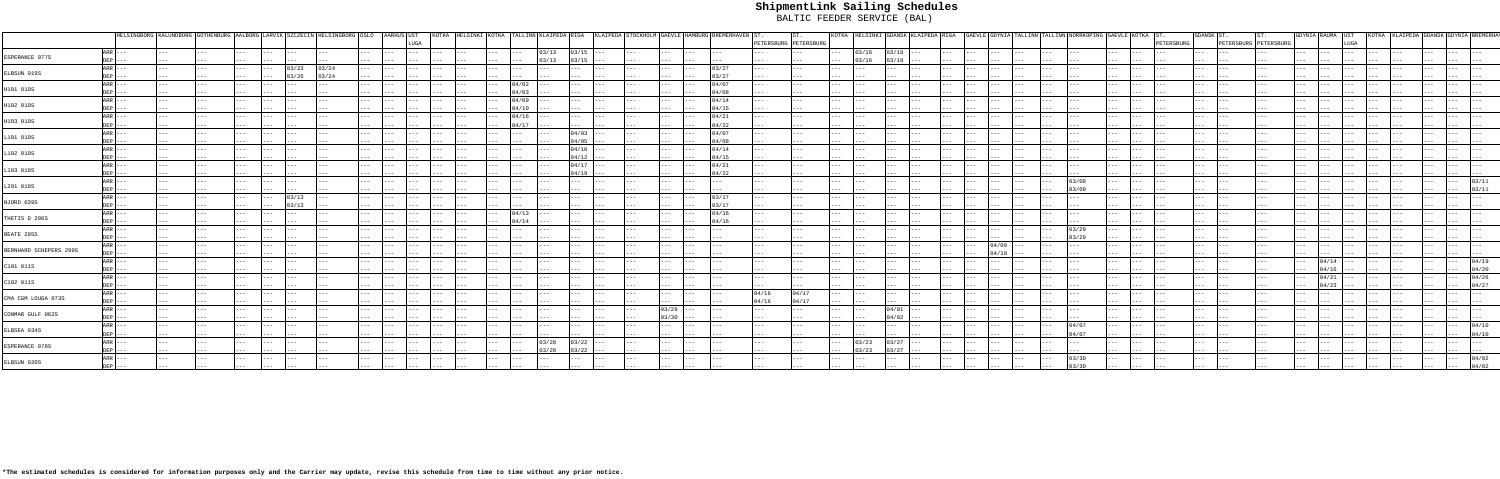|                        |             | HELSINGBORG KALUNDBORG GOTHENBURG AALBORG LARVIK SZCZECIN |       |         |       |                  | HELSINGBORG |         |         |       | ОТКА | KOTKA | 'ALLINN        |                | KLAIPEDA RIGA          | KLAIPEDA | STOCKHOLM IGAEVLE | HAMBURG BREMERHAVEN I |                  |                       | KOTKA   |               |                                                                                                                                                                                                                                                                                                                                                                                              | GDANSK IKLAIPEDA IRIGA |                                                                                                                                                                                                                                                                                                                                                                                                                                                                            |                                                                                                                                                                                                                                                                                                                                                                                              |                | GAEVLE GDYNIA TALLINN TALLINN NORRKOPING GAEVLE KOTKA |                |                                                                                                                                                                                                                                                                                                                                                                                                                                                                            |                                                                                                                                                                                                                                                                                                                                                                                              | GDANSK I |                       |      | DYNIA RAUMA                                                                                                                                                                                                                                                                                                                                                                                  |              |  |
|------------------------|-------------|-----------------------------------------------------------|-------|---------|-------|------------------|-------------|---------|---------|-------|------|-------|----------------|----------------|------------------------|----------|-------------------|-----------------------|------------------|-----------------------|---------|---------------|----------------------------------------------------------------------------------------------------------------------------------------------------------------------------------------------------------------------------------------------------------------------------------------------------------------------------------------------------------------------------------------------|------------------------|----------------------------------------------------------------------------------------------------------------------------------------------------------------------------------------------------------------------------------------------------------------------------------------------------------------------------------------------------------------------------------------------------------------------------------------------------------------------------|----------------------------------------------------------------------------------------------------------------------------------------------------------------------------------------------------------------------------------------------------------------------------------------------------------------------------------------------------------------------------------------------|----------------|-------------------------------------------------------|----------------|----------------------------------------------------------------------------------------------------------------------------------------------------------------------------------------------------------------------------------------------------------------------------------------------------------------------------------------------------------------------------------------------------------------------------------------------------------------------------|----------------------------------------------------------------------------------------------------------------------------------------------------------------------------------------------------------------------------------------------------------------------------------------------------------------------------------------------------------------------------------------------|----------|-----------------------|------|----------------------------------------------------------------------------------------------------------------------------------------------------------------------------------------------------------------------------------------------------------------------------------------------------------------------------------------------------------------------------------------------|--------------|--|
|                        |             |                                                           |       |         |       |                  |             |         |         | LUGA  |      |       |                |                |                        |          |                   |                       |                  | PETERSBURG PETERSBURG |         |               |                                                                                                                                                                                                                                                                                                                                                                                              |                        |                                                                                                                                                                                                                                                                                                                                                                                                                                                                            |                                                                                                                                                                                                                                                                                                                                                                                              |                |                                                       |                |                                                                                                                                                                                                                                                                                                                                                                                                                                                                            | <b>PETERSBURG</b>                                                                                                                                                                                                                                                                                                                                                                            |          | PETERSBURG PETERSBURG |      |                                                                                                                                                                                                                                                                                                                                                                                              | <b>LIIGA</b> |  |
| ESPERANCE 077S         | $ARR$ $---$ |                                                           |       |         |       |                  |             |         | $- - -$ | --- - |      |       |                | 03/13<br>03/13 | $03/15$ $---$<br>03/15 |          |                   |                       |                  |                       |         | 03/16<br>3/16 | 03/19                                                                                                                                                                                                                                                                                                                                                                                        | $03/19$ $---$          | $\begin{tabular}{lllllllllll} \toprule & $\mathcal{N}_1$ & $\mathcal{N}_2$ & $\mathcal{N}_3$ \\ \hline \end{tabular}$                                                                                                                                                                                                                                                                                                                                                      | $\frac{1}{2} \frac{1}{2} \frac{1}{2} \frac{1}{2} \frac{1}{2} \frac{1}{2} \frac{1}{2} \frac{1}{2} \frac{1}{2} \frac{1}{2} \frac{1}{2} \frac{1}{2} \frac{1}{2} \frac{1}{2} \frac{1}{2} \frac{1}{2} \frac{1}{2} \frac{1}{2} \frac{1}{2} \frac{1}{2} \frac{1}{2} \frac{1}{2} \frac{1}{2} \frac{1}{2} \frac{1}{2} \frac{1}{2} \frac{1}{2} \frac{1}{2} \frac{1}{2} \frac{1}{2} \frac{1}{2} \frac{$ | --- - -        | --- - --                                              | $- - -$        | $- - -$                                                                                                                                                                                                                                                                                                                                                                                                                                                                    | $---$                                                                                                                                                                                                                                                                                                                                                                                        |          |                       |      | $\frac{1}{2} \frac{1}{2} \frac{1}{2} \frac{1}{2} \frac{1}{2} \frac{1}{2} \frac{1}{2} \frac{1}{2} \frac{1}{2} \frac{1}{2} \frac{1}{2} \frac{1}{2} \frac{1}{2} \frac{1}{2} \frac{1}{2} \frac{1}{2} \frac{1}{2} \frac{1}{2} \frac{1}{2} \frac{1}{2} \frac{1}{2} \frac{1}{2} \frac{1}{2} \frac{1}{2} \frac{1}{2} \frac{1}{2} \frac{1}{2} \frac{1}{2} \frac{1}{2} \frac{1}{2} \frac{1}{2} \frac{$ | $---$        |  |
| ELBSUN 019S            | $ARR$ $---$ |                                                           | $---$ |         |       | 03/23            | 03/24       |         |         |       |      |       |                |                |                        |          |                   | 03/27                 |                  |                       |         |               | <b>Service</b>                                                                                                                                                                                                                                                                                                                                                                               | $1 - - -$              | $- - -$                                                                                                                                                                                                                                                                                                                                                                                                                                                                    | $\frac{1}{2} \frac{1}{2} \frac{1}{2} \frac{1}{2} \frac{1}{2} \frac{1}{2} \frac{1}{2} \frac{1}{2} \frac{1}{2} \frac{1}{2} \frac{1}{2} \frac{1}{2} \frac{1}{2} \frac{1}{2} \frac{1}{2} \frac{1}{2} \frac{1}{2} \frac{1}{2} \frac{1}{2} \frac{1}{2} \frac{1}{2} \frac{1}{2} \frac{1}{2} \frac{1}{2} \frac{1}{2} \frac{1}{2} \frac{1}{2} \frac{1}{2} \frac{1}{2} \frac{1}{2} \frac{1}{2} \frac{$ |                | $-$ - $-$<br>$- - -$                                  |                |                                                                                                                                                                                                                                                                                                                                                                                                                                                                            | $- -$                                                                                                                                                                                                                                                                                                                                                                                        |          |                       |      |                                                                                                                                                                                                                                                                                                                                                                                              |              |  |
|                        | $ARR$ $---$ |                                                           |       |         | $---$ | 03/26<br>$---$   | 3/24        |         |         |       |      |       | 04/02          |                |                        |          |                   | 03/27<br>04/07        |                  |                       |         |               | $\frac{1}{2} \frac{1}{2} \frac{1}{2} \frac{1}{2} \frac{1}{2} \frac{1}{2} \frac{1}{2} \frac{1}{2} \frac{1}{2} \frac{1}{2} \frac{1}{2} \frac{1}{2} \frac{1}{2} \frac{1}{2} \frac{1}{2} \frac{1}{2} \frac{1}{2} \frac{1}{2} \frac{1}{2} \frac{1}{2} \frac{1}{2} \frac{1}{2} \frac{1}{2} \frac{1}{2} \frac{1}{2} \frac{1}{2} \frac{1}{2} \frac{1}{2} \frac{1}{2} \frac{1}{2} \frac{1}{2} \frac{$ | $--$                   | $\frac{1}{2} \frac{1}{2} \frac{1}{2} \frac{1}{2} \frac{1}{2} \frac{1}{2} \frac{1}{2} \frac{1}{2} \frac{1}{2} \frac{1}{2} \frac{1}{2} \frac{1}{2} \frac{1}{2} \frac{1}{2} \frac{1}{2} \frac{1}{2} \frac{1}{2} \frac{1}{2} \frac{1}{2} \frac{1}{2} \frac{1}{2} \frac{1}{2} \frac{1}{2} \frac{1}{2} \frac{1}{2} \frac{1}{2} \frac{1}{2} \frac{1}{2} \frac{1}{2} \frac{1}{2} \frac{1}{2} \frac{$                                                                               | المسترد                                                                                                                                                                                                                                                                                                                                                                                      | $- - -$        | $- -$                                                 |                |                                                                                                                                                                                                                                                                                                                                                                                                                                                                            | $- -$                                                                                                                                                                                                                                                                                                                                                                                        |          |                       |      |                                                                                                                                                                                                                                                                                                                                                                                              |              |  |
| H101 010S              | $ARR$ $---$ |                                                           | $---$ |         |       |                  |             |         |         |       |      |       | 04/03<br>04/09 |                |                        |          |                   | 04/08<br>04/14        |                  |                       |         |               |                                                                                                                                                                                                                                                                                                                                                                                              |                        | $\frac{1}{2} \frac{1}{2} \frac{1}{2} \frac{1}{2} \frac{1}{2} \frac{1}{2} \frac{1}{2} \frac{1}{2} \frac{1}{2} \frac{1}{2} \frac{1}{2} \frac{1}{2} \frac{1}{2} \frac{1}{2} \frac{1}{2} \frac{1}{2} \frac{1}{2} \frac{1}{2} \frac{1}{2} \frac{1}{2} \frac{1}{2} \frac{1}{2} \frac{1}{2} \frac{1}{2} \frac{1}{2} \frac{1}{2} \frac{1}{2} \frac{1}{2} \frac{1}{2} \frac{1}{2} \frac{1}{2} \frac{$                                                                               | $---$                                                                                                                                                                                                                                                                                                                                                                                        |                | $- -$                                                 |                |                                                                                                                                                                                                                                                                                                                                                                                                                                                                            | $---$                                                                                                                                                                                                                                                                                                                                                                                        |          |                       |      |                                                                                                                                                                                                                                                                                                                                                                                              |              |  |
| H102 010S              | $ARR$ $---$ |                                                           |       |         |       |                  |             |         |         |       |      |       | 04/16          |                |                        |          |                   | 04/15<br>04/21        |                  |                       |         |               |                                                                                                                                                                                                                                                                                                                                                                                              |                        |                                                                                                                                                                                                                                                                                                                                                                                                                                                                            | $- - -$                                                                                                                                                                                                                                                                                                                                                                                      | $- - -$        |                                                       |                |                                                                                                                                                                                                                                                                                                                                                                                                                                                                            | $- - -$                                                                                                                                                                                                                                                                                                                                                                                      |          |                       |      |                                                                                                                                                                                                                                                                                                                                                                                              | $---$        |  |
| H103 010S              |             |                                                           |       |         |       |                  |             |         |         |       |      |       | 04/17          |                |                        |          |                   | 04/22                 |                  |                       |         |               |                                                                                                                                                                                                                                                                                                                                                                                              |                        |                                                                                                                                                                                                                                                                                                                                                                                                                                                                            |                                                                                                                                                                                                                                                                                                                                                                                              |                |                                                       |                |                                                                                                                                                                                                                                                                                                                                                                                                                                                                            |                                                                                                                                                                                                                                                                                                                                                                                              |          |                       |      |                                                                                                                                                                                                                                                                                                                                                                                              |              |  |
| L101 010S              | $ARR$ $---$ |                                                           | $---$ |         |       |                  |             |         |         |       |      |       |                |                | 04/03<br>04/05         |          |                   | 04/07<br>04/08        |                  |                       |         |               |                                                                                                                                                                                                                                                                                                                                                                                              |                        | $\frac{1}{2} \frac{1}{2} \frac{1}{2} \frac{1}{2} \frac{1}{2} \frac{1}{2} \frac{1}{2} \frac{1}{2} \frac{1}{2} \frac{1}{2} \frac{1}{2} \frac{1}{2} \frac{1}{2} \frac{1}{2} \frac{1}{2} \frac{1}{2} \frac{1}{2} \frac{1}{2} \frac{1}{2} \frac{1}{2} \frac{1}{2} \frac{1}{2} \frac{1}{2} \frac{1}{2} \frac{1}{2} \frac{1}{2} \frac{1}{2} \frac{1}{2} \frac{1}{2} \frac{1}{2} \frac{1}{2} \frac{$                                                                               | $---$                                                                                                                                                                                                                                                                                                                                                                                        |                | $ -$                                                  |                |                                                                                                                                                                                                                                                                                                                                                                                                                                                                            | $- - -$                                                                                                                                                                                                                                                                                                                                                                                      |          |                       |      |                                                                                                                                                                                                                                                                                                                                                                                              |              |  |
| L102 010S              | $ARR$ $---$ |                                                           |       |         |       |                  |             |         |         |       |      |       |                | $---$          | 04/10<br>04/12         |          |                   | 04/14<br>04/15        |                  |                       |         | $--$          | $\frac{1}{2} \frac{1}{2} \frac{1}{2} \frac{1}{2} \frac{1}{2} \frac{1}{2} \frac{1}{2} \frac{1}{2} \frac{1}{2} \frac{1}{2} \frac{1}{2} \frac{1}{2} \frac{1}{2} \frac{1}{2} \frac{1}{2} \frac{1}{2} \frac{1}{2} \frac{1}{2} \frac{1}{2} \frac{1}{2} \frac{1}{2} \frac{1}{2} \frac{1}{2} \frac{1}{2} \frac{1}{2} \frac{1}{2} \frac{1}{2} \frac{1}{2} \frac{1}{2} \frac{1}{2} \frac{1}{2} \frac{$ | $---$                  | $\frac{1}{2} \frac{1}{2} \frac{1}{2} \frac{1}{2} \frac{1}{2} \frac{1}{2} \frac{1}{2} \frac{1}{2} \frac{1}{2} \frac{1}{2} \frac{1}{2} \frac{1}{2} \frac{1}{2} \frac{1}{2} \frac{1}{2} \frac{1}{2} \frac{1}{2} \frac{1}{2} \frac{1}{2} \frac{1}{2} \frac{1}{2} \frac{1}{2} \frac{1}{2} \frac{1}{2} \frac{1}{2} \frac{1}{2} \frac{1}{2} \frac{1}{2} \frac{1}{2} \frac{1}{2} \frac{1}{2} \frac{$                                                                               | $\frac{1}{2} \frac{1}{2} \frac{1}{2} \frac{1}{2} \frac{1}{2} \frac{1}{2} \frac{1}{2} \frac{1}{2} \frac{1}{2} \frac{1}{2} \frac{1}{2} \frac{1}{2} \frac{1}{2} \frac{1}{2} \frac{1}{2} \frac{1}{2} \frac{1}{2} \frac{1}{2} \frac{1}{2} \frac{1}{2} \frac{1}{2} \frac{1}{2} \frac{1}{2} \frac{1}{2} \frac{1}{2} \frac{1}{2} \frac{1}{2} \frac{1}{2} \frac{1}{2} \frac{1}{2} \frac{1}{2} \frac{$ | $---$          | $ -$<br>$- - -$                                       |                | $- - -$                                                                                                                                                                                                                                                                                                                                                                                                                                                                    | $---$                                                                                                                                                                                                                                                                                                                                                                                        |          |                       |      |                                                                                                                                                                                                                                                                                                                                                                                              | $---$        |  |
| L103 010S              | $APR$ $---$ |                                                           |       |         |       |                  |             |         |         |       |      |       |                |                | $04/17$<br>04/19       |          |                   | 04/21<br>04/22        |                  |                       |         |               |                                                                                                                                                                                                                                                                                                                                                                                              |                        | $- - -$                                                                                                                                                                                                                                                                                                                                                                                                                                                                    | $---$                                                                                                                                                                                                                                                                                                                                                                                        |                | $ -$                                                  |                |                                                                                                                                                                                                                                                                                                                                                                                                                                                                            | $---$                                                                                                                                                                                                                                                                                                                                                                                        |          |                       |      |                                                                                                                                                                                                                                                                                                                                                                                              |              |  |
| L201 010S              | $ARR$ $---$ |                                                           |       | $- -$   |       | $---$            |             |         |         |       |      |       |                |                |                        |          |                   | $- -$                 |                  |                       |         |               | $- - -$                                                                                                                                                                                                                                                                                                                                                                                      | $---$                  | $\frac{1}{2} \left( \frac{1}{2} \right) \left( \frac{1}{2} \right) \left( \frac{1}{2} \right) \left( \frac{1}{2} \right) \left( \frac{1}{2} \right) \left( \frac{1}{2} \right) \left( \frac{1}{2} \right) \left( \frac{1}{2} \right) \left( \frac{1}{2} \right) \left( \frac{1}{2} \right) \left( \frac{1}{2} \right) \left( \frac{1}{2} \right) \left( \frac{1}{2} \right) \left( \frac{1}{2} \right) \left( \frac{1}{2} \right) \left( \frac{1}{2} \right) \left( \frac$ | $---$                                                                                                                                                                                                                                                                                                                                                                                        | --- -          |                                                       | 03/08          | _ _ _ _ _ _ _ _ _ _ _ _ _                                                                                                                                                                                                                                                                                                                                                                                                                                                  | $- - -$                                                                                                                                                                                                                                                                                                                                                                                      |          |                       | $--$ | $---$                                                                                                                                                                                                                                                                                                                                                                                        | $---$        |  |
| NJORD 039S             | $ARR$ $---$ |                                                           |       |         |       | 03/13            |             |         |         |       |      |       |                |                |                        |          |                   | 03/17                 |                  |                       |         |               |                                                                                                                                                                                                                                                                                                                                                                                              |                        |                                                                                                                                                                                                                                                                                                                                                                                                                                                                            | $- -$                                                                                                                                                                                                                                                                                                                                                                                        |                |                                                       | 03/09          |                                                                                                                                                                                                                                                                                                                                                                                                                                                                            | $- - -$                                                                                                                                                                                                                                                                                                                                                                                      |          |                       |      |                                                                                                                                                                                                                                                                                                                                                                                              |              |  |
| THETIS D 206S          | $ARR$ $---$ |                                                           |       |         |       | 03/13<br>$- - -$ |             | $- - -$ | $- -$   | $- -$ |      | $- -$ | 04/13          |                |                        |          |                   | 03/17<br>04/16        |                  |                       |         | $---$         | $--$                                                                                                                                                                                                                                                                                                                                                                                         | $- - -$                | $\frac{1}{2} \frac{1}{2} \frac{1}{2} \frac{1}{2} \frac{1}{2} \frac{1}{2} \frac{1}{2} \frac{1}{2} \frac{1}{2} \frac{1}{2} \frac{1}{2} \frac{1}{2} \frac{1}{2} \frac{1}{2} \frac{1}{2} \frac{1}{2} \frac{1}{2} \frac{1}{2} \frac{1}{2} \frac{1}{2} \frac{1}{2} \frac{1}{2} \frac{1}{2} \frac{1}{2} \frac{1}{2} \frac{1}{2} \frac{1}{2} \frac{1}{2} \frac{1}{2} \frac{1}{2} \frac{1}{2} \frac{$                                                                               | $---$                                                                                                                                                                                                                                                                                                                                                                                        | $---$          | $- -$<br>$- - -$                                      | $---$          | $---$                                                                                                                                                                                                                                                                                                                                                                                                                                                                      | $\frac{1}{2} \frac{1}{2} \frac{1}{2} \frac{1}{2} \frac{1}{2} \frac{1}{2} \frac{1}{2} \frac{1}{2} \frac{1}{2} \frac{1}{2} \frac{1}{2} \frac{1}{2} \frac{1}{2} \frac{1}{2} \frac{1}{2} \frac{1}{2} \frac{1}{2} \frac{1}{2} \frac{1}{2} \frac{1}{2} \frac{1}{2} \frac{1}{2} \frac{1}{2} \frac{1}{2} \frac{1}{2} \frac{1}{2} \frac{1}{2} \frac{1}{2} \frac{1}{2} \frac{1}{2} \frac{1}{2} \frac{$ |          |                       |      |                                                                                                                                                                                                                                                                                                                                                                                              | $- - -$      |  |
|                        |             |                                                           | $---$ |         |       |                  |             |         |         |       |      |       | 04/14          |                |                        |          |                   | 04/16                 |                  |                       |         |               |                                                                                                                                                                                                                                                                                                                                                                                              |                        | $---$                                                                                                                                                                                                                                                                                                                                                                                                                                                                      | $---$                                                                                                                                                                                                                                                                                                                                                                                        | $---$          | $---$<br>$ -$                                         | 03/29          |                                                                                                                                                                                                                                                                                                                                                                                                                                                                            | $---$                                                                                                                                                                                                                                                                                                                                                                                        |          |                       |      |                                                                                                                                                                                                                                                                                                                                                                                              |              |  |
| BEATE 295S             |             |                                                           |       |         |       |                  |             |         |         |       |      |       |                |                |                        |          |                   |                       |                  |                       |         |               |                                                                                                                                                                                                                                                                                                                                                                                              |                        |                                                                                                                                                                                                                                                                                                                                                                                                                                                                            |                                                                                                                                                                                                                                                                                                                                                                                              |                |                                                       |                |                                                                                                                                                                                                                                                                                                                                                                                                                                                                            |                                                                                                                                                                                                                                                                                                                                                                                              |          |                       |      |                                                                                                                                                                                                                                                                                                                                                                                              |              |  |
| BERNHARD SCHEPERS 299S |             |                                                           |       |         |       |                  |             |         |         |       |      |       |                |                |                        |          |                   |                       |                  |                       |         |               |                                                                                                                                                                                                                                                                                                                                                                                              | $- -$                  | $\frac{1}{2} \frac{1}{2} \frac{1}{2} \frac{1}{2} \frac{1}{2} \frac{1}{2} \frac{1}{2} \frac{1}{2} \frac{1}{2} \frac{1}{2} \frac{1}{2} \frac{1}{2} \frac{1}{2} \frac{1}{2} \frac{1}{2} \frac{1}{2} \frac{1}{2} \frac{1}{2} \frac{1}{2} \frac{1}{2} \frac{1}{2} \frac{1}{2} \frac{1}{2} \frac{1}{2} \frac{1}{2} \frac{1}{2} \frac{1}{2} \frac{1}{2} \frac{1}{2} \frac{1}{2} \frac{1}{2} \frac{$                                                                               | $- - -$                                                                                                                                                                                                                                                                                                                                                                                      | 04/09<br>04/10 | $ -$<br>$\sim$ $-$                                    |                |                                                                                                                                                                                                                                                                                                                                                                                                                                                                            | $---$                                                                                                                                                                                                                                                                                                                                                                                        |          |                       |      |                                                                                                                                                                                                                                                                                                                                                                                              |              |  |
| C101 011S              | $ARR$ $---$ |                                                           |       |         |       |                  |             |         |         |       |      |       |                |                |                        |          |                   |                       |                  |                       |         |               |                                                                                                                                                                                                                                                                                                                                                                                              | $---$                  | $\qquad \qquad - - -$                                                                                                                                                                                                                                                                                                                                                                                                                                                      | $--$                                                                                                                                                                                                                                                                                                                                                                                         | $---$          | $ -$                                                  |                |                                                                                                                                                                                                                                                                                                                                                                                                                                                                            | $---$                                                                                                                                                                                                                                                                                                                                                                                        |          |                       |      | $04/14$ ---<br>04/16                                                                                                                                                                                                                                                                                                                                                                         |              |  |
| C102 011S              | $APR$ $---$ |                                                           |       |         |       |                  |             |         |         |       |      |       |                |                |                        |          |                   |                       |                  |                       |         |               | $\frac{1}{2} \frac{1}{2} \frac{1}{2} \frac{1}{2} \frac{1}{2} \frac{1}{2} \frac{1}{2} \frac{1}{2} \frac{1}{2} \frac{1}{2} \frac{1}{2} \frac{1}{2} \frac{1}{2} \frac{1}{2} \frac{1}{2} \frac{1}{2} \frac{1}{2} \frac{1}{2} \frac{1}{2} \frac{1}{2} \frac{1}{2} \frac{1}{2} \frac{1}{2} \frac{1}{2} \frac{1}{2} \frac{1}{2} \frac{1}{2} \frac{1}{2} \frac{1}{2} \frac{1}{2} \frac{1}{2} \frac{$ | $---$                  | $\frac{1}{2} \left( \frac{1}{2} \right) \left( \frac{1}{2} \right) \left( \frac{1}{2} \right) \left( \frac{1}{2} \right) \left( \frac{1}{2} \right) \left( \frac{1}{2} \right) \left( \frac{1}{2} \right) \left( \frac{1}{2} \right) \left( \frac{1}{2} \right) \left( \frac{1}{2} \right) \left( \frac{1}{2} \right) \left( \frac{1}{2} \right) \left( \frac{1}{2} \right) \left( \frac{1}{2} \right) \left( \frac{1}{2} \right) \left( \frac{1}{2} \right) \left( \frac$ | $\frac{1}{2} \frac{1}{2} \frac{1}{2} \frac{1}{2} \frac{1}{2} \frac{1}{2} \frac{1}{2} \frac{1}{2} \frac{1}{2} \frac{1}{2} \frac{1}{2} \frac{1}{2} \frac{1}{2} \frac{1}{2} \frac{1}{2} \frac{1}{2} \frac{1}{2} \frac{1}{2} \frac{1}{2} \frac{1}{2} \frac{1}{2} \frac{1}{2} \frac{1}{2} \frac{1}{2} \frac{1}{2} \frac{1}{2} \frac{1}{2} \frac{1}{2} \frac{1}{2} \frac{1}{2} \frac{1}{2} \frac{$ | $---$          | $- -$<br>$- - -$                                      |                | $\frac{1}{2} \frac{1}{2} \frac{1}{2} \frac{1}{2} \frac{1}{2} \frac{1}{2} \frac{1}{2} \frac{1}{2} \frac{1}{2} \frac{1}{2} \frac{1}{2} \frac{1}{2} \frac{1}{2} \frac{1}{2} \frac{1}{2} \frac{1}{2} \frac{1}{2} \frac{1}{2} \frac{1}{2} \frac{1}{2} \frac{1}{2} \frac{1}{2} \frac{1}{2} \frac{1}{2} \frac{1}{2} \frac{1}{2} \frac{1}{2} \frac{1}{2} \frac{1}{2} \frac{1}{2} \frac{1}{2} \frac{$                                                                               | $\qquad \qquad - -$                                                                                                                                                                                                                                                                                                                                                                          |          |                       |      | $04/21$ ---<br>04/23                                                                                                                                                                                                                                                                                                                                                                         |              |  |
| CMA CGM LOUGA 073S     | $ARR$ $---$ |                                                           | $---$ | $- -$   |       | $- - -$          |             |         | $- - -$ | $- -$ |      |       |                | $--$           |                        |          | $- -$             | $-- -$                | $04/16$<br>04/16 | 04/17<br>04/17        | $- -$   | $--$          | $\frac{1}{2} \frac{1}{2} \frac{1}{2} \frac{1}{2} \frac{1}{2} \frac{1}{2} \frac{1}{2} \frac{1}{2} \frac{1}{2} \frac{1}{2} \frac{1}{2} \frac{1}{2} \frac{1}{2} \frac{1}{2} \frac{1}{2} \frac{1}{2} \frac{1}{2} \frac{1}{2} \frac{1}{2} \frac{1}{2} \frac{1}{2} \frac{1}{2} \frac{1}{2} \frac{1}{2} \frac{1}{2} \frac{1}{2} \frac{1}{2} \frac{1}{2} \frac{1}{2} \frac{1}{2} \frac{1}{2} \frac{$ | $- - -$                | $---$                                                                                                                                                                                                                                                                                                                                                                                                                                                                      | $\frac{1}{2} \frac{1}{2} \frac{1}{2} \frac{1}{2} \frac{1}{2} \frac{1}{2} \frac{1}{2} \frac{1}{2} \frac{1}{2} \frac{1}{2} \frac{1}{2} \frac{1}{2} \frac{1}{2} \frac{1}{2} \frac{1}{2} \frac{1}{2} \frac{1}{2} \frac{1}{2} \frac{1}{2} \frac{1}{2} \frac{1}{2} \frac{1}{2} \frac{1}{2} \frac{1}{2} \frac{1}{2} \frac{1}{2} \frac{1}{2} \frac{1}{2} \frac{1}{2} \frac{1}{2} \frac{1}{2} \frac{$ | --- -          | $- -$<br>$\sim$ $-$                                   |                | $---$                                                                                                                                                                                                                                                                                                                                                                                                                                                                      | $---$                                                                                                                                                                                                                                                                                                                                                                                        |          |                       |      | $---$                                                                                                                                                                                                                                                                                                                                                                                        | $- - -$      |  |
| CONMAR GULF 062S       | $ARR$ $---$ |                                                           | $---$ | $- -$   |       |                  |             |         |         |       |      |       |                |                |                        |          | $03/29$ -         |                       | $- - -$          |                       | $ -$    | $--$          | $04/01$ $---$<br>04/02                                                                                                                                                                                                                                                                                                                                                                       |                        | $---$                                                                                                                                                                                                                                                                                                                                                                                                                                                                      | $---$                                                                                                                                                                                                                                                                                                                                                                                        | $---$          | $ -$<br>$\sim$ $ -$                                   |                | $\frac{1}{2} \left( \frac{1}{2} \right) \left( \frac{1}{2} \right) \left( \frac{1}{2} \right) \left( \frac{1}{2} \right) \left( \frac{1}{2} \right) \left( \frac{1}{2} \right) \left( \frac{1}{2} \right) \left( \frac{1}{2} \right) \left( \frac{1}{2} \right) \left( \frac{1}{2} \right) \left( \frac{1}{2} \right) \left( \frac{1}{2} \right) \left( \frac{1}{2} \right) \left( \frac{1}{2} \right) \left( \frac{1}{2} \right) \left( \frac{1}{2} \right) \left( \frac$ | $1 - - -$                                                                                                                                                                                                                                                                                                                                                                                    | $- - -$  |                       |      |                                                                                                                                                                                                                                                                                                                                                                                              |              |  |
| ELBSEA 034S            | $ARR$ $---$ |                                                           |       |         |       |                  |             |         |         |       |      |       |                |                |                        |          |                   |                       |                  |                       |         | $---$         | <b>Service</b>                                                                                                                                                                                                                                                                                                                                                                               | $- - -$                | $\frac{1}{2} \left( \frac{1}{2} \right) \left( \frac{1}{2} \right) \left( \frac{1}{2} \right) \left( \frac{1}{2} \right) \left( \frac{1}{2} \right) \left( \frac{1}{2} \right) \left( \frac{1}{2} \right) \left( \frac{1}{2} \right) \left( \frac{1}{2} \right) \left( \frac{1}{2} \right) \left( \frac{1}{2} \right) \left( \frac{1}{2} \right) \left( \frac{1}{2} \right) \left( \frac{1}{2} \right) \left( \frac{1}{2} \right) \left( \frac{1}{2} \right) \left( \frac$ | $\frac{1}{2} \frac{1}{2} \frac{1}{2} \frac{1}{2} \frac{1}{2} \frac{1}{2} \frac{1}{2} \frac{1}{2} \frac{1}{2} \frac{1}{2} \frac{1}{2} \frac{1}{2} \frac{1}{2} \frac{1}{2} \frac{1}{2} \frac{1}{2} \frac{1}{2} \frac{1}{2} \frac{1}{2} \frac{1}{2} \frac{1}{2} \frac{1}{2} \frac{1}{2} \frac{1}{2} \frac{1}{2} \frac{1}{2} \frac{1}{2} \frac{1}{2} \frac{1}{2} \frac{1}{2} \frac{1}{2} \frac{$ | $- - -$        | $  -$<br>$- - -$                                      | 04/07          | <b>Service</b> Contractor                                                                                                                                                                                                                                                                                                                                                                                                                                                  | $\sim$ $-$<br>$1 - - -$                                                                                                                                                                                                                                                                                                                                                                      |          |                       |      |                                                                                                                                                                                                                                                                                                                                                                                              |              |  |
|                        | $ARR$ $---$ |                                                           | $---$ | $- - -$ |       |                  |             |         |         |       |      |       |                | 03/20          | $03/22$ $---$          |          |                   |                       |                  |                       | $- - -$ | 03/23         | $03/27$ ---                                                                                                                                                                                                                                                                                                                                                                                  |                        |                                                                                                                                                                                                                                                                                                                                                                                                                                                                            | --- 1--- -                                                                                                                                                                                                                                                                                                                                                                                   | $- - -$        | $---$<br>$- - - -$                                    | 04/07<br>$---$ | $\frac{1}{2} \left( \frac{1}{2} \right) \left( \frac{1}{2} \right) \left( \frac{1}{2} \right) \left( \frac{1}{2} \right) \left( \frac{1}{2} \right) \left( \frac{1}{2} \right) \left( \frac{1}{2} \right) \left( \frac{1}{2} \right) \left( \frac{1}{2} \right) \left( \frac{1}{2} \right) \left( \frac{1}{2} \right) \left( \frac{1}{2} \right) \left( \frac{1}{2} \right) \left( \frac{1}{2} \right) \left( \frac{1}{2} \right) \left( \frac{1}{2} \right) \left( \frac$ | $---$                                                                                                                                                                                                                                                                                                                                                                                        | $---$    |                       |      |                                                                                                                                                                                                                                                                                                                                                                                              |              |  |
| ESPERANCE 078S         | $ARR$ $---$ |                                                           |       |         |       |                  |             |         |         |       |      |       |                | 03/20          | 03/22                  |          |                   |                       |                  |                       |         | 3/23          | 03/27                                                                                                                                                                                                                                                                                                                                                                                        |                        |                                                                                                                                                                                                                                                                                                                                                                                                                                                                            |                                                                                                                                                                                                                                                                                                                                                                                              |                | $ -$<br>$---$                                         | 03/30          |                                                                                                                                                                                                                                                                                                                                                                                                                                                                            | $---$                                                                                                                                                                                                                                                                                                                                                                                        |          |                       |      |                                                                                                                                                                                                                                                                                                                                                                                              |              |  |
| ELBSUN 020S            |             |                                                           |       |         |       |                  |             |         |         |       |      |       |                |                |                        |          |                   |                       |                  |                       |         |               |                                                                                                                                                                                                                                                                                                                                                                                              |                        |                                                                                                                                                                                                                                                                                                                                                                                                                                                                            |                                                                                                                                                                                                                                                                                                                                                                                              |                |                                                       |                |                                                                                                                                                                                                                                                                                                                                                                                                                                                                            |                                                                                                                                                                                                                                                                                                                                                                                              |          |                       |      |                                                                                                                                                                                                                                                                                                                                                                                              |              |  |

| GDYNIA                         | <b>BREMERHA</b>                |
|--------------------------------|--------------------------------|
|                                |                                |
| $\overline{\phantom{a}}$       | Ц.,                            |
| $\frac{1}{2}$                  | $\equiv$                       |
| $- - -$                        | $ -$                           |
| $ -$                           | $- - -$                        |
| $- - -$                        | $ -$                           |
|                                | ł,                             |
| $ -$                           | $\overline{a}$                 |
| Ç                              | $\equiv$                       |
| $---$                          | $ -$                           |
|                                | J                              |
| ÷                              | $\overline{\phantom{a}}$       |
| $rac{1}{\sqrt{1-\frac{1}{2}}}$ | $rac{1}{\sqrt{1-\frac{1}{2}}}$ |
| $\overline{a}$                 | $ -$                           |
| ÷                              | ÷                              |
| $\overline{a}$                 | $\overline{\phantom{a}}$       |
|                                | $ -$                           |
| Ξ.                             | 03/11                          |
|                                | 03/11                          |
| $-1$                           | $ -$                           |
| $---$                          | $\equiv$                       |
| ۵.                             | $ -$                           |
| $\equiv$                       | $\frac{1}{1}$                  |
|                                |                                |
| $-\,-$                         | $---$                          |
| $-$                            | $\ddotsc$                      |
| .,                             | $\pm$                          |
| $\overline{\phantom{a}}$       | 04/19                          |
| $\frac{1}{1}$                  | 04/20                          |
|                                | 04/26                          |
| $\frac{1}{1}$                  | $\frac{04/27}{---}$            |
|                                |                                |
| $\equiv$                       | $\frac{1}{1}$                  |
|                                |                                |
| ċ<br>$\ddot{\phantom{0}}$      | $\equiv$                       |
| ---                            | 04/10                          |
| .,                             | 04/10                          |
| $- -$                          | $ -$                           |
| $\equiv$                       | $\equiv$                       |
| $\overline{\phantom{a}}$       | 04/02                          |
| $\overline{a}$<br>ŀ,           | 04/02                          |
|                                |                                |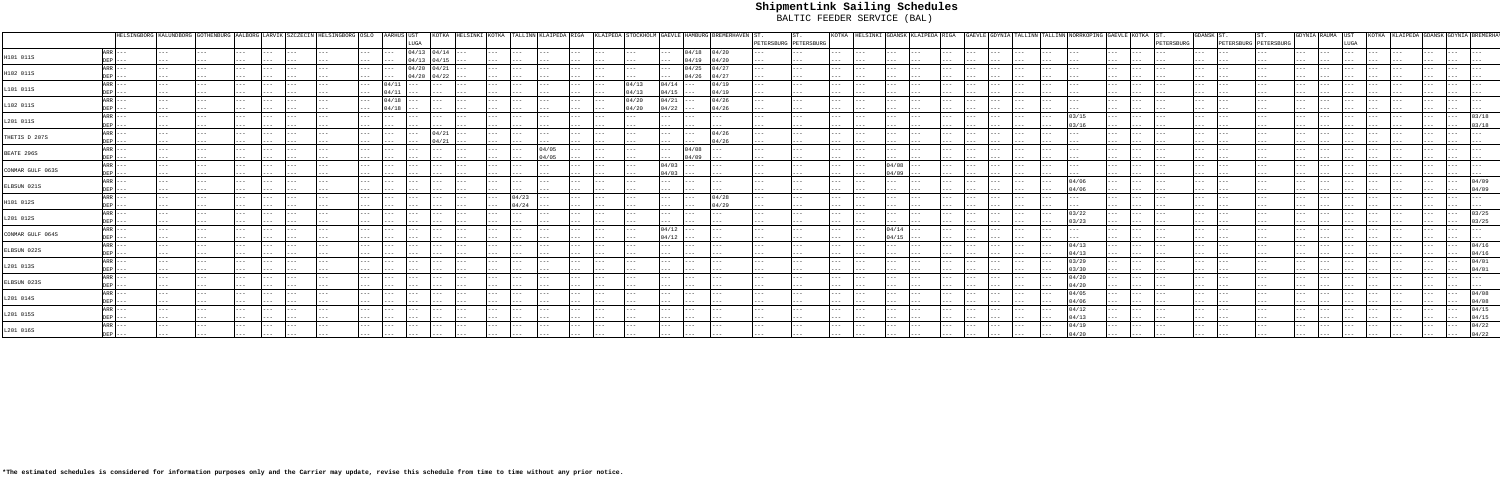|                  |             |       | HELSINGBORG KALUNDBORG GOTHENBURG AALBORG LARVIK |       |  | SZCZECIN HELSINGBORG OSLO | AARHUS UST     |             |                       |           |                                                                                                                                                                                                                                                                                                                                                                                              |       |                                                                                                                                                                                                                                                                                                                                                                                              |         |                | KOTKA HELSINKI KOTKA TALLINN KLAIPEDA RIGA KLAIPEDA STOCKHOLM GAEVLE HAMBURG BREMERHAVEN ST                                                                                                                                                                                                                                                                                                           |                |                       |       |         | KOTKA HELSINKI GDANSK KLAIPEDA RIGA |                                                                                                                                                                                                                                                                                                                                                                                              |         |         |       |       | GAEVLE GDYNIA TALLINN TALLINN NORRKOPING GAEVLE KOTKA ST. |                |                                                                                                                                                                                                                                                                                                                                                                                              |         |            | <b>GDANSK</b> |                       |         | GDYNIA RAUMA UST |             | KOTKA KLAIPEDA GDANSP |  |
|------------------|-------------|-------|--------------------------------------------------|-------|--|---------------------------|----------------|-------------|-----------------------|-----------|----------------------------------------------------------------------------------------------------------------------------------------------------------------------------------------------------------------------------------------------------------------------------------------------------------------------------------------------------------------------------------------------|-------|----------------------------------------------------------------------------------------------------------------------------------------------------------------------------------------------------------------------------------------------------------------------------------------------------------------------------------------------------------------------------------------------|---------|----------------|-------------------------------------------------------------------------------------------------------------------------------------------------------------------------------------------------------------------------------------------------------------------------------------------------------------------------------------------------------------------------------------------------------|----------------|-----------------------|-------|---------|-------------------------------------|----------------------------------------------------------------------------------------------------------------------------------------------------------------------------------------------------------------------------------------------------------------------------------------------------------------------------------------------------------------------------------------------|---------|---------|-------|-------|-----------------------------------------------------------|----------------|----------------------------------------------------------------------------------------------------------------------------------------------------------------------------------------------------------------------------------------------------------------------------------------------------------------------------------------------------------------------------------------------|---------|------------|---------------|-----------------------|---------|------------------|-------------|-----------------------|--|
|                  |             |       |                                                  |       |  |                           |                | <b>TIGA</b> |                       |           |                                                                                                                                                                                                                                                                                                                                                                                              |       |                                                                                                                                                                                                                                                                                                                                                                                              |         |                |                                                                                                                                                                                                                                                                                                                                                                                                       |                | PETERSBURG PETERSBURG |       |         |                                     |                                                                                                                                                                                                                                                                                                                                                                                              |         |         |       |       |                                                           |                |                                                                                                                                                                                                                                                                                                                                                                                              |         | PETERSBURG |               | PETERSBURG PETERSBURG |         |                  | <b>JICA</b> |                       |  |
|                  | $ARR$ $---$ |       |                                                  |       |  |                           |                |             | $04/13$ $04/14$ $---$ | $1 - - -$ | $---$                                                                                                                                                                                                                                                                                                                                                                                        |       | $---$                                                                                                                                                                                                                                                                                                                                                                                        |         |                | $\frac{1}{2} \frac{1}{2} \frac{1}{2} \frac{1}{2} \frac{1}{2} \frac{1}{2} \frac{1}{2} \frac{1}{2} \frac{1}{2} \frac{1}{2} \frac{1}{2} \frac{1}{2} \frac{1}{2} \frac{1}{2} \frac{1}{2} \frac{1}{2} \frac{1}{2} \frac{1}{2} \frac{1}{2} \frac{1}{2} \frac{1}{2} \frac{1}{2} \frac{1}{2} \frac{1}{2} \frac{1}{2} \frac{1}{2} \frac{1}{2} \frac{1}{2} \frac{1}{2} \frac{1}{2} \frac{1}{2} \frac{$          | $04/18$ 04/20  |                       |       | $- -$   | $---$                               | $---$                                                                                                                                                                                                                                                                                                                                                                                        |         |         |       |       |                                                           |                |                                                                                                                                                                                                                                                                                                                                                                                              | $- -$   |            |               |                       | $---$   |                  | $- - -$     |                       |  |
| H101 011S        |             |       |                                                  |       |  |                           |                | 14/13       | 04/15                 |           |                                                                                                                                                                                                                                                                                                                                                                                              |       |                                                                                                                                                                                                                                                                                                                                                                                              |         |                | 04/19                                                                                                                                                                                                                                                                                                                                                                                                 | 04/20          |                       |       |         |                                     |                                                                                                                                                                                                                                                                                                                                                                                              |         |         |       |       |                                                           |                |                                                                                                                                                                                                                                                                                                                                                                                              |         |            |               |                       |         |                  |             |                       |  |
| H102 011S        | $ARR$ $---$ | $--$  |                                                  | $- -$ |  | $- -$                     |                |             | $04/20$ $04/21$ $---$ | $---$     | $1 - - -$                                                                                                                                                                                                                                                                                                                                                                                    | $---$ | $---$                                                                                                                                                                                                                                                                                                                                                                                        | $- - -$ |                | 04/25<br>$---$                                                                                                                                                                                                                                                                                                                                                                                        | $04/27$        |                       |       | $- - -$ |                                     | $---$                                                                                                                                                                                                                                                                                                                                                                                        |         | $- - -$ | $ -$  |       | $- - -$                                                   |                | $\frac{1}{2} \frac{1}{2} \frac{1}{2} \frac{1}{2} \frac{1}{2} \frac{1}{2} \frac{1}{2} \frac{1}{2} \frac{1}{2} \frac{1}{2} \frac{1}{2} \frac{1}{2} \frac{1}{2} \frac{1}{2} \frac{1}{2} \frac{1}{2} \frac{1}{2} \frac{1}{2} \frac{1}{2} \frac{1}{2} \frac{1}{2} \frac{1}{2} \frac{1}{2} \frac{1}{2} \frac{1}{2} \frac{1}{2} \frac{1}{2} \frac{1}{2} \frac{1}{2} \frac{1}{2} \frac{1}{2} \frac{$ | $- - -$ |            |               |                       |         |                  |             |                       |  |
|                  |             |       |                                                  |       |  |                           |                | 04/20       | 04/22                 |           |                                                                                                                                                                                                                                                                                                                                                                                              |       |                                                                                                                                                                                                                                                                                                                                                                                              |         |                | 04/26                                                                                                                                                                                                                                                                                                                                                                                                 | 04/27          |                       |       |         |                                     |                                                                                                                                                                                                                                                                                                                                                                                              |         |         |       |       |                                                           |                |                                                                                                                                                                                                                                                                                                                                                                                              |         |            |               |                       |         |                  |             |                       |  |
| L101 011S        | $ARR$ $---$ |       |                                                  | $- -$ |  |                           | 04/11          | $- - -$     | $--$                  | $- - -$   |                                                                                                                                                                                                                                                                                                                                                                                              |       | $- - -$                                                                                                                                                                                                                                                                                                                                                                                      |         | 04/13          | $04/14$ $---$                                                                                                                                                                                                                                                                                                                                                                                         | 04/19          |                       |       | $- -$   |                                     |                                                                                                                                                                                                                                                                                                                                                                                              |         |         | $-$   |       |                                                           |                |                                                                                                                                                                                                                                                                                                                                                                                              | $- -$   |            |               |                       |         |                  |             |                       |  |
|                  |             |       |                                                  |       |  |                           | 14/11          |             |                       |           |                                                                                                                                                                                                                                                                                                                                                                                              |       |                                                                                                                                                                                                                                                                                                                                                                                              |         | 04/13          | 04/15                                                                                                                                                                                                                                                                                                                                                                                                 | 04/19          |                       |       |         |                                     |                                                                                                                                                                                                                                                                                                                                                                                              |         |         |       |       |                                                           |                |                                                                                                                                                                                                                                                                                                                                                                                              |         |            |               |                       |         |                  |             |                       |  |
| L102 011S        | $ARR$ $---$ |       |                                                  |       |  |                           | 04/18<br>14/18 | $- -$       | $--$                  | $--$      |                                                                                                                                                                                                                                                                                                                                                                                              |       | $---$                                                                                                                                                                                                                                                                                                                                                                                        |         | 04/20<br>04/20 | $04/21$ ---<br>04/22                                                                                                                                                                                                                                                                                                                                                                                  | 04/26          |                       |       | $ -$    | $---$                               | $\frac{1}{2} \frac{1}{2} \frac{1}{2} \frac{1}{2} \frac{1}{2} \frac{1}{2} \frac{1}{2} \frac{1}{2} \frac{1}{2} \frac{1}{2} \frac{1}{2} \frac{1}{2} \frac{1}{2} \frac{1}{2} \frac{1}{2} \frac{1}{2} \frac{1}{2} \frac{1}{2} \frac{1}{2} \frac{1}{2} \frac{1}{2} \frac{1}{2} \frac{1}{2} \frac{1}{2} \frac{1}{2} \frac{1}{2} \frac{1}{2} \frac{1}{2} \frac{1}{2} \frac{1}{2} \frac{1}{2} \frac{$ |         |         | $- -$ |       | $-$<br>$- -$                                              |                |                                                                                                                                                                                                                                                                                                                                                                                              | $- -$   |            |               |                       | $- - -$ | $---$            | $- - -$     |                       |  |
|                  | $ARR$ $---$ |       |                                                  |       |  |                           |                |             |                       | $- -$     |                                                                                                                                                                                                                                                                                                                                                                                              | $---$ | $- - -$                                                                                                                                                                                                                                                                                                                                                                                      | $- - -$ |                | $\frac{1}{2} \frac{1}{2} \frac{1}{2} \frac{1}{2} \frac{1}{2} \frac{1}{2} \frac{1}{2} \frac{1}{2} \frac{1}{2} \frac{1}{2} \frac{1}{2} \frac{1}{2} \frac{1}{2} \frac{1}{2} \frac{1}{2} \frac{1}{2} \frac{1}{2} \frac{1}{2} \frac{1}{2} \frac{1}{2} \frac{1}{2} \frac{1}{2} \frac{1}{2} \frac{1}{2} \frac{1}{2} \frac{1}{2} \frac{1}{2} \frac{1}{2} \frac{1}{2} \frac{1}{2} \frac{1}{2} \frac{$<br>$---$ | 04/26<br>$---$ |                       |       |         | $- - -$                             | $- - -$                                                                                                                                                                                                                                                                                                                                                                                      |         |         | $- -$ |       | $-$                                                       | 03/15          |                                                                                                                                                                                                                                                                                                                                                                                              | $- -$   |            |               |                       |         |                  | $--$        |                       |  |
| L201 011S        | $DFP$ $---$ |       |                                                  |       |  |                           |                |             |                       |           |                                                                                                                                                                                                                                                                                                                                                                                              |       |                                                                                                                                                                                                                                                                                                                                                                                              |         |                |                                                                                                                                                                                                                                                                                                                                                                                                       |                |                       |       |         |                                     |                                                                                                                                                                                                                                                                                                                                                                                              |         |         |       |       |                                                           | 03/16          |                                                                                                                                                                                                                                                                                                                                                                                              |         |            |               |                       |         |                  |             |                       |  |
|                  | $ARR$ $---$ |       |                                                  |       |  | $ -$                      | $- - -$        | $ -$        | 04/21                 | $---$     | $\frac{1}{2} \frac{1}{2} \frac{1}{2} \frac{1}{2} \frac{1}{2} \frac{1}{2} \frac{1}{2} \frac{1}{2} \frac{1}{2} \frac{1}{2} \frac{1}{2} \frac{1}{2} \frac{1}{2} \frac{1}{2} \frac{1}{2} \frac{1}{2} \frac{1}{2} \frac{1}{2} \frac{1}{2} \frac{1}{2} \frac{1}{2} \frac{1}{2} \frac{1}{2} \frac{1}{2} \frac{1}{2} \frac{1}{2} \frac{1}{2} \frac{1}{2} \frac{1}{2} \frac{1}{2} \frac{1}{2} \frac{$ | $---$ | $- - -$                                                                                                                                                                                                                                                                                                                                                                                      |         |                | $- - -$                                                                                                                                                                                                                                                                                                                                                                                               | 04/26          |                       |       | $- -$   | $---$                               | $\frac{1}{2} \frac{1}{2} \frac{1}{2} \frac{1}{2} \frac{1}{2} \frac{1}{2} \frac{1}{2} \frac{1}{2} \frac{1}{2} \frac{1}{2} \frac{1}{2} \frac{1}{2} \frac{1}{2} \frac{1}{2} \frac{1}{2} \frac{1}{2} \frac{1}{2} \frac{1}{2} \frac{1}{2} \frac{1}{2} \frac{1}{2} \frac{1}{2} \frac{1}{2} \frac{1}{2} \frac{1}{2} \frac{1}{2} \frac{1}{2} \frac{1}{2} \frac{1}{2} \frac{1}{2} \frac{1}{2} \frac{$ |         | $- -$   | $- -$ |       | $ -$<br>$- -$                                             |                |                                                                                                                                                                                                                                                                                                                                                                                              | $- -$   |            |               |                       |         |                  |             |                       |  |
| THETIS D 207S    |             |       |                                                  |       |  |                           |                |             | 04/21                 |           |                                                                                                                                                                                                                                                                                                                                                                                              |       |                                                                                                                                                                                                                                                                                                                                                                                              |         |                |                                                                                                                                                                                                                                                                                                                                                                                                       | 04/26          |                       |       |         |                                     |                                                                                                                                                                                                                                                                                                                                                                                              |         |         |       |       |                                                           |                |                                                                                                                                                                                                                                                                                                                                                                                              |         |            |               |                       |         |                  |             |                       |  |
|                  | $ARR$ $---$ |       |                                                  |       |  | $ -$                      |                |             |                       | $--$      |                                                                                                                                                                                                                                                                                                                                                                                              | 04/05 |                                                                                                                                                                                                                                                                                                                                                                                              |         |                | 04/08<br>$\frac{1}{2} \frac{1}{2} \frac{1}{2} \frac{1}{2} \frac{1}{2} \frac{1}{2} \frac{1}{2} \frac{1}{2} \frac{1}{2} \frac{1}{2} \frac{1}{2} \frac{1}{2} \frac{1}{2} \frac{1}{2} \frac{1}{2} \frac{1}{2} \frac{1}{2} \frac{1}{2} \frac{1}{2} \frac{1}{2} \frac{1}{2} \frac{1}{2} \frac{1}{2} \frac{1}{2} \frac{1}{2} \frac{1}{2} \frac{1}{2} \frac{1}{2} \frac{1}{2} \frac{1}{2} \frac{1}{2} \frac{$ |                |                       |       | $- -$   |                                     | $\frac{1}{2} \frac{1}{2} \frac{1}{2} \frac{1}{2} \frac{1}{2} \frac{1}{2} \frac{1}{2} \frac{1}{2} \frac{1}{2} \frac{1}{2} \frac{1}{2} \frac{1}{2} \frac{1}{2} \frac{1}{2} \frac{1}{2} \frac{1}{2} \frac{1}{2} \frac{1}{2} \frac{1}{2} \frac{1}{2} \frac{1}{2} \frac{1}{2} \frac{1}{2} \frac{1}{2} \frac{1}{2} \frac{1}{2} \frac{1}{2} \frac{1}{2} \frac{1}{2} \frac{1}{2} \frac{1}{2} \frac{$ |         |         | $- -$ |       |                                                           |                |                                                                                                                                                                                                                                                                                                                                                                                              |         |            |               |                       |         |                  |             |                       |  |
| BEATE 296S       | $DEP$ $---$ |       |                                                  |       |  |                           |                |             |                       |           |                                                                                                                                                                                                                                                                                                                                                                                              | 04/05 |                                                                                                                                                                                                                                                                                                                                                                                              |         |                | 04/09<br>$---$                                                                                                                                                                                                                                                                                                                                                                                        |                |                       |       |         |                                     | $---$                                                                                                                                                                                                                                                                                                                                                                                        |         |         |       |       |                                                           |                |                                                                                                                                                                                                                                                                                                                                                                                              |         |            |               |                       |         |                  |             |                       |  |
|                  | $ARR$ $---$ |       |                                                  |       |  |                           |                |             |                       | $--$      |                                                                                                                                                                                                                                                                                                                                                                                              | $---$ | $- - -$                                                                                                                                                                                                                                                                                                                                                                                      |         |                | 04/03                                                                                                                                                                                                                                                                                                                                                                                                 | $- - -$        |                       |       |         |                                     | 04/08                                                                                                                                                                                                                                                                                                                                                                                        |         |         | $ -$  |       | $ -$                                                      |                |                                                                                                                                                                                                                                                                                                                                                                                              | $- -$   |            |               |                       |         | $- - -$          |             |                       |  |
| CONMAR GULF 063S |             |       |                                                  |       |  |                           |                |             |                       |           |                                                                                                                                                                                                                                                                                                                                                                                              |       |                                                                                                                                                                                                                                                                                                                                                                                              |         |                | 04/03                                                                                                                                                                                                                                                                                                                                                                                                 |                |                       |       |         |                                     | 04/09                                                                                                                                                                                                                                                                                                                                                                                        |         |         |       |       |                                                           |                |                                                                                                                                                                                                                                                                                                                                                                                              |         |            |               |                       |         |                  |             |                       |  |
| ELBSUN 021S      | $ARR$ $---$ |       |                                                  |       |  |                           |                |             |                       |           |                                                                                                                                                                                                                                                                                                                                                                                              |       |                                                                                                                                                                                                                                                                                                                                                                                              |         |                | $--$                                                                                                                                                                                                                                                                                                                                                                                                  |                |                       |       |         |                                     | $---$                                                                                                                                                                                                                                                                                                                                                                                        |         |         | $-$   |       | $ -$<br>$---$                                             | 04/06          |                                                                                                                                                                                                                                                                                                                                                                                              |         |            |               |                       |         |                  |             |                       |  |
|                  |             |       |                                                  |       |  |                           |                |             |                       |           |                                                                                                                                                                                                                                                                                                                                                                                              |       |                                                                                                                                                                                                                                                                                                                                                                                              |         |                |                                                                                                                                                                                                                                                                                                                                                                                                       |                |                       |       |         |                                     |                                                                                                                                                                                                                                                                                                                                                                                              |         |         |       |       |                                                           | 04/06          |                                                                                                                                                                                                                                                                                                                                                                                              |         |            |               |                       |         |                  |             |                       |  |
| H101 012S        | $ARR$ $---$ |       |                                                  |       |  |                           |                |             |                       | $---$     | 04/23                                                                                                                                                                                                                                                                                                                                                                                        | $---$ | $\frac{1}{2} \frac{1}{2} \frac{1}{2} \frac{1}{2} \frac{1}{2} \frac{1}{2} \frac{1}{2} \frac{1}{2} \frac{1}{2} \frac{1}{2} \frac{1}{2} \frac{1}{2} \frac{1}{2} \frac{1}{2} \frac{1}{2} \frac{1}{2} \frac{1}{2} \frac{1}{2} \frac{1}{2} \frac{1}{2} \frac{1}{2} \frac{1}{2} \frac{1}{2} \frac{1}{2} \frac{1}{2} \frac{1}{2} \frac{1}{2} \frac{1}{2} \frac{1}{2} \frac{1}{2} \frac{1}{2} \frac{$ | $- - -$ |                | $\frac{1}{2} \frac{1}{2} \frac{1}{2} \frac{1}{2} \frac{1}{2} \frac{1}{2} \frac{1}{2} \frac{1}{2} \frac{1}{2} \frac{1}{2} \frac{1}{2} \frac{1}{2} \frac{1}{2} \frac{1}{2} \frac{1}{2} \frac{1}{2} \frac{1}{2} \frac{1}{2} \frac{1}{2} \frac{1}{2} \frac{1}{2} \frac{1}{2} \frac{1}{2} \frac{1}{2} \frac{1}{2} \frac{1}{2} \frac{1}{2} \frac{1}{2} \frac{1}{2} \frac{1}{2} \frac{1}{2} \frac{$<br>$---$ | 04/28          |                       |       |         | $- - -$                             | $\frac{1}{2} \frac{1}{2} \frac{1}{2} \frac{1}{2} \frac{1}{2} \frac{1}{2} \frac{1}{2} \frac{1}{2} \frac{1}{2} \frac{1}{2} \frac{1}{2} \frac{1}{2} \frac{1}{2} \frac{1}{2} \frac{1}{2} \frac{1}{2} \frac{1}{2} \frac{1}{2} \frac{1}{2} \frac{1}{2} \frac{1}{2} \frac{1}{2} \frac{1}{2} \frac{1}{2} \frac{1}{2} \frac{1}{2} \frac{1}{2} \frac{1}{2} \frac{1}{2} \frac{1}{2} \frac{1}{2} \frac{$ | $- - -$ | $- - -$ | $- -$ |       | $ -$<br>$---$                                             | $---$          |                                                                                                                                                                                                                                                                                                                                                                                              | $- -$   |            |               |                       |         |                  | $- - -$     |                       |  |
|                  |             |       |                                                  |       |  |                           |                |             |                       |           | 04/24                                                                                                                                                                                                                                                                                                                                                                                        |       |                                                                                                                                                                                                                                                                                                                                                                                              |         |                |                                                                                                                                                                                                                                                                                                                                                                                                       | 04/29          |                       |       |         |                                     |                                                                                                                                                                                                                                                                                                                                                                                              |         |         |       |       |                                                           |                |                                                                                                                                                                                                                                                                                                                                                                                              |         |            |               |                       |         |                  |             |                       |  |
| L201 012S        | $ARR$ $---$ |       |                                                  |       |  |                           |                |             |                       | $--$      | $\frac{1}{2} \frac{1}{2} \frac{1}{2} \frac{1}{2} \frac{1}{2} \frac{1}{2} \frac{1}{2} \frac{1}{2} \frac{1}{2} \frac{1}{2} \frac{1}{2} \frac{1}{2} \frac{1}{2} \frac{1}{2} \frac{1}{2} \frac{1}{2} \frac{1}{2} \frac{1}{2} \frac{1}{2} \frac{1}{2} \frac{1}{2} \frac{1}{2} \frac{1}{2} \frac{1}{2} \frac{1}{2} \frac{1}{2} \frac{1}{2} \frac{1}{2} \frac{1}{2} \frac{1}{2} \frac{1}{2} \frac{$ | $---$ | $- - -$                                                                                                                                                                                                                                                                                                                                                                                      | $- - -$ |                | $---$<br>$---$                                                                                                                                                                                                                                                                                                                                                                                        | $---$          |                       |       |         |                                     | $---$                                                                                                                                                                                                                                                                                                                                                                                        |         | $- - -$ | $ -$  | $- -$ | $ -$<br>$---$                                             | 03/22<br>03/23 |                                                                                                                                                                                                                                                                                                                                                                                              | $- - -$ |            |               |                       |         |                  |             |                       |  |
|                  | $ARR$ $---$ | $--$  |                                                  |       |  |                           |                |             |                       | $- - -$   |                                                                                                                                                                                                                                                                                                                                                                                              |       | $\frac{1}{2} \frac{1}{2} \frac{1}{2} \frac{1}{2} \frac{1}{2} \frac{1}{2} \frac{1}{2} \frac{1}{2} \frac{1}{2} \frac{1}{2} \frac{1}{2} \frac{1}{2} \frac{1}{2} \frac{1}{2} \frac{1}{2} \frac{1}{2} \frac{1}{2} \frac{1}{2} \frac{1}{2} \frac{1}{2} \frac{1}{2} \frac{1}{2} \frac{1}{2} \frac{1}{2} \frac{1}{2} \frac{1}{2} \frac{1}{2} \frac{1}{2} \frac{1}{2} \frac{1}{2} \frac{1}{2} \frac{$ |         |                | $04/12$ $---$                                                                                                                                                                                                                                                                                                                                                                                         | $-- -$         | $- -$                 | $- -$ | $- -$   |                                     | $04/14$ $---$                                                                                                                                                                                                                                                                                                                                                                                |         | $- - -$ | $- -$ |       | $---$<br>$ -$                                             | $---$          | $\frac{1}{2} \frac{1}{2} \frac{1}{2} \frac{1}{2} \frac{1}{2} \frac{1}{2} \frac{1}{2} \frac{1}{2} \frac{1}{2} \frac{1}{2} \frac{1}{2} \frac{1}{2} \frac{1}{2} \frac{1}{2} \frac{1}{2} \frac{1}{2} \frac{1}{2} \frac{1}{2} \frac{1}{2} \frac{1}{2} \frac{1}{2} \frac{1}{2} \frac{1}{2} \frac{1}{2} \frac{1}{2} \frac{1}{2} \frac{1}{2} \frac{1}{2} \frac{1}{2} \frac{1}{2} \frac{1}{2} \frac{$ | $- -$   |            | $- - -$       |                       |         |                  |             |                       |  |
| CONMAR GULF 064S |             |       |                                                  |       |  |                           |                |             |                       |           |                                                                                                                                                                                                                                                                                                                                                                                              |       |                                                                                                                                                                                                                                                                                                                                                                                              |         |                | 04/12                                                                                                                                                                                                                                                                                                                                                                                                 |                |                       |       |         |                                     | 04/15                                                                                                                                                                                                                                                                                                                                                                                        |         |         |       |       |                                                           |                |                                                                                                                                                                                                                                                                                                                                                                                              |         |            |               |                       |         |                  |             |                       |  |
|                  | $ARR$ $---$ | $- -$ |                                                  |       |  |                           |                |             |                       | $- -$     |                                                                                                                                                                                                                                                                                                                                                                                              |       | $---$                                                                                                                                                                                                                                                                                                                                                                                        |         |                | $\frac{1}{2} \frac{1}{2} \frac{1}{2} \frac{1}{2} \frac{1}{2} \frac{1}{2} \frac{1}{2} \frac{1}{2} \frac{1}{2} \frac{1}{2} \frac{1}{2} \frac{1}{2} \frac{1}{2} \frac{1}{2} \frac{1}{2} \frac{1}{2} \frac{1}{2} \frac{1}{2} \frac{1}{2} \frac{1}{2} \frac{1}{2} \frac{1}{2} \frac{1}{2} \frac{1}{2} \frac{1}{2} \frac{1}{2} \frac{1}{2} \frac{1}{2} \frac{1}{2} \frac{1}{2} \frac{1}{2} \frac{$          |                |                       |       | $- -$   |                                     | $---$                                                                                                                                                                                                                                                                                                                                                                                        |         | $- - -$ | $ -$  |       | $ -$<br>$---$                                             | 04/13          |                                                                                                                                                                                                                                                                                                                                                                                              | $- -$   |            |               |                       |         |                  |             |                       |  |
| ELBSUN 022S      |             |       |                                                  |       |  |                           |                |             |                       |           |                                                                                                                                                                                                                                                                                                                                                                                              |       |                                                                                                                                                                                                                                                                                                                                                                                              |         |                |                                                                                                                                                                                                                                                                                                                                                                                                       |                |                       |       |         |                                     |                                                                                                                                                                                                                                                                                                                                                                                              |         |         |       |       |                                                           | 04/13          |                                                                                                                                                                                                                                                                                                                                                                                              |         |            |               |                       |         |                  |             |                       |  |
|                  | $ARR$ $---$ |       |                                                  | $ -$  |  |                           |                | $ -$        |                       | $- - -$   |                                                                                                                                                                                                                                                                                                                                                                                              |       | $- - -$                                                                                                                                                                                                                                                                                                                                                                                      |         |                | $---$                                                                                                                                                                                                                                                                                                                                                                                                 |                |                       |       | $- -$   |                                     | $---$                                                                                                                                                                                                                                                                                                                                                                                        |         | $- -$   | $- -$ |       | $ -$<br>$- -$                                             | 03/29          |                                                                                                                                                                                                                                                                                                                                                                                              | $- -$   |            |               |                       |         |                  |             |                       |  |
| L201 013S        |             |       |                                                  |       |  |                           |                |             |                       |           |                                                                                                                                                                                                                                                                                                                                                                                              |       |                                                                                                                                                                                                                                                                                                                                                                                              |         |                |                                                                                                                                                                                                                                                                                                                                                                                                       |                |                       |       |         |                                     |                                                                                                                                                                                                                                                                                                                                                                                              |         |         |       |       |                                                           |                |                                                                                                                                                                                                                                                                                                                                                                                              |         |            |               |                       |         |                  |             |                       |  |
|                  | $ARR$ $---$ |       |                                                  |       |  |                           |                |             |                       |           |                                                                                                                                                                                                                                                                                                                                                                                              | $---$ |                                                                                                                                                                                                                                                                                                                                                                                              |         |                | $-- -$                                                                                                                                                                                                                                                                                                                                                                                                |                |                       |       |         |                                     | ---                                                                                                                                                                                                                                                                                                                                                                                          |         |         | $- -$ |       | $---$                                                     | 04/20          |                                                                                                                                                                                                                                                                                                                                                                                              | $- -$   |            |               |                       |         |                  | $--$        |                       |  |
| ELBSUN 023S      |             |       |                                                  |       |  |                           |                |             |                       |           |                                                                                                                                                                                                                                                                                                                                                                                              |       |                                                                                                                                                                                                                                                                                                                                                                                              |         |                |                                                                                                                                                                                                                                                                                                                                                                                                       |                |                       |       |         |                                     |                                                                                                                                                                                                                                                                                                                                                                                              |         |         |       |       |                                                           | 04/20          |                                                                                                                                                                                                                                                                                                                                                                                              |         |            |               |                       |         |                  |             |                       |  |
| L201 014S        | $ARR$ $---$ | $- -$ |                                                  |       |  |                           |                |             |                       |           |                                                                                                                                                                                                                                                                                                                                                                                              |       |                                                                                                                                                                                                                                                                                                                                                                                              |         |                | $- -$                                                                                                                                                                                                                                                                                                                                                                                                 |                |                       |       |         | $- - -$                             | $- - -$                                                                                                                                                                                                                                                                                                                                                                                      |         | $- -$   | $- -$ |       | $-$<br>$- -$                                              | 04/05          |                                                                                                                                                                                                                                                                                                                                                                                              | $- -$   |            |               |                       |         |                  |             |                       |  |
|                  |             |       |                                                  |       |  |                           |                |             |                       |           |                                                                                                                                                                                                                                                                                                                                                                                              |       |                                                                                                                                                                                                                                                                                                                                                                                              |         |                |                                                                                                                                                                                                                                                                                                                                                                                                       |                |                       |       |         |                                     |                                                                                                                                                                                                                                                                                                                                                                                              |         |         |       |       |                                                           | 04/06          |                                                                                                                                                                                                                                                                                                                                                                                              |         |            |               |                       |         |                  |             |                       |  |
| L201 015S        | $ARR$ $---$ |       |                                                  |       |  |                           |                |             |                       |           |                                                                                                                                                                                                                                                                                                                                                                                              |       |                                                                                                                                                                                                                                                                                                                                                                                              |         |                |                                                                                                                                                                                                                                                                                                                                                                                                       |                |                       |       |         |                                     |                                                                                                                                                                                                                                                                                                                                                                                              |         |         | $- -$ |       | $- -$                                                     | 04/12          |                                                                                                                                                                                                                                                                                                                                                                                              |         |            |               |                       |         |                  |             |                       |  |
|                  |             |       |                                                  |       |  |                           |                |             |                       |           |                                                                                                                                                                                                                                                                                                                                                                                              |       |                                                                                                                                                                                                                                                                                                                                                                                              |         |                |                                                                                                                                                                                                                                                                                                                                                                                                       |                |                       |       |         |                                     |                                                                                                                                                                                                                                                                                                                                                                                              |         |         |       |       |                                                           | 04/13          |                                                                                                                                                                                                                                                                                                                                                                                              |         |            |               |                       |         |                  |             |                       |  |
| L201 016S        | $ARR$ $---$ |       |                                                  |       |  |                           |                |             |                       |           |                                                                                                                                                                                                                                                                                                                                                                                              |       |                                                                                                                                                                                                                                                                                                                                                                                              |         |                |                                                                                                                                                                                                                                                                                                                                                                                                       |                |                       |       |         |                                     |                                                                                                                                                                                                                                                                                                                                                                                              |         |         |       |       |                                                           | 04/19          |                                                                                                                                                                                                                                                                                                                                                                                              |         |            |               |                       |         |                  |             |                       |  |
|                  |             |       |                                                  |       |  |                           |                |             |                       |           |                                                                                                                                                                                                                                                                                                                                                                                              |       |                                                                                                                                                                                                                                                                                                                                                                                              |         |                |                                                                                                                                                                                                                                                                                                                                                                                                       |                |                       |       |         |                                     |                                                                                                                                                                                                                                                                                                                                                                                              |         |         |       |       |                                                           |                |                                                                                                                                                                                                                                                                                                                                                                                              |         |            |               |                       |         |                  |             |                       |  |

# ShipmentLink Sailing Schedules<br>BALTIC FEEDER SERVICE (BAL)

| GDYNIA                         | <b>BREMERHA</b>          |
|--------------------------------|--------------------------|
|                                |                          |
| $\sim$                         | $-$                      |
| $--$                           | $-1$                     |
|                                | $-$                      |
| $--$                           | $\overline{\phantom{0}}$ |
|                                |                          |
| $ -$                           | $\equiv$                 |
|                                | $\overline{a}$           |
| ŗ,<br>ċ,                       | Ċ.                       |
|                                | 03/18                    |
|                                | 03/18                    |
| $---$                          | $---$                    |
| ŗ,                             | $\cdot$ – $\cdot$        |
|                                | Д.                       |
| $\ddot{\phantom{0}}$<br>ċ,     | Ξ.                       |
|                                | $-$                      |
| $\overline{\phantom{a}}$<br>ċ, | $--$                     |
| $\overline{a}$                 | 04/09                    |
| $ -$                           | 04/09                    |
| $---$                          | $- - -$                  |
| $-$                            | $-$                      |
|                                | 03/25                    |
| $\equiv$                       | 03/25                    |
| $- - -$                        | $- -$                    |
| Ç                              | $\equiv$                 |
|                                | 04/16                    |
| Ľ,                             | 04/16                    |
|                                | 04/01                    |
|                                | 04/01                    |
| $\equiv$                       |                          |
| ŀ                              |                          |
|                                | 04/08                    |
|                                | 04/08                    |
|                                | 04/15                    |
|                                | 04/15                    |
|                                | 04/22                    |
|                                | 04/22                    |
|                                |                          |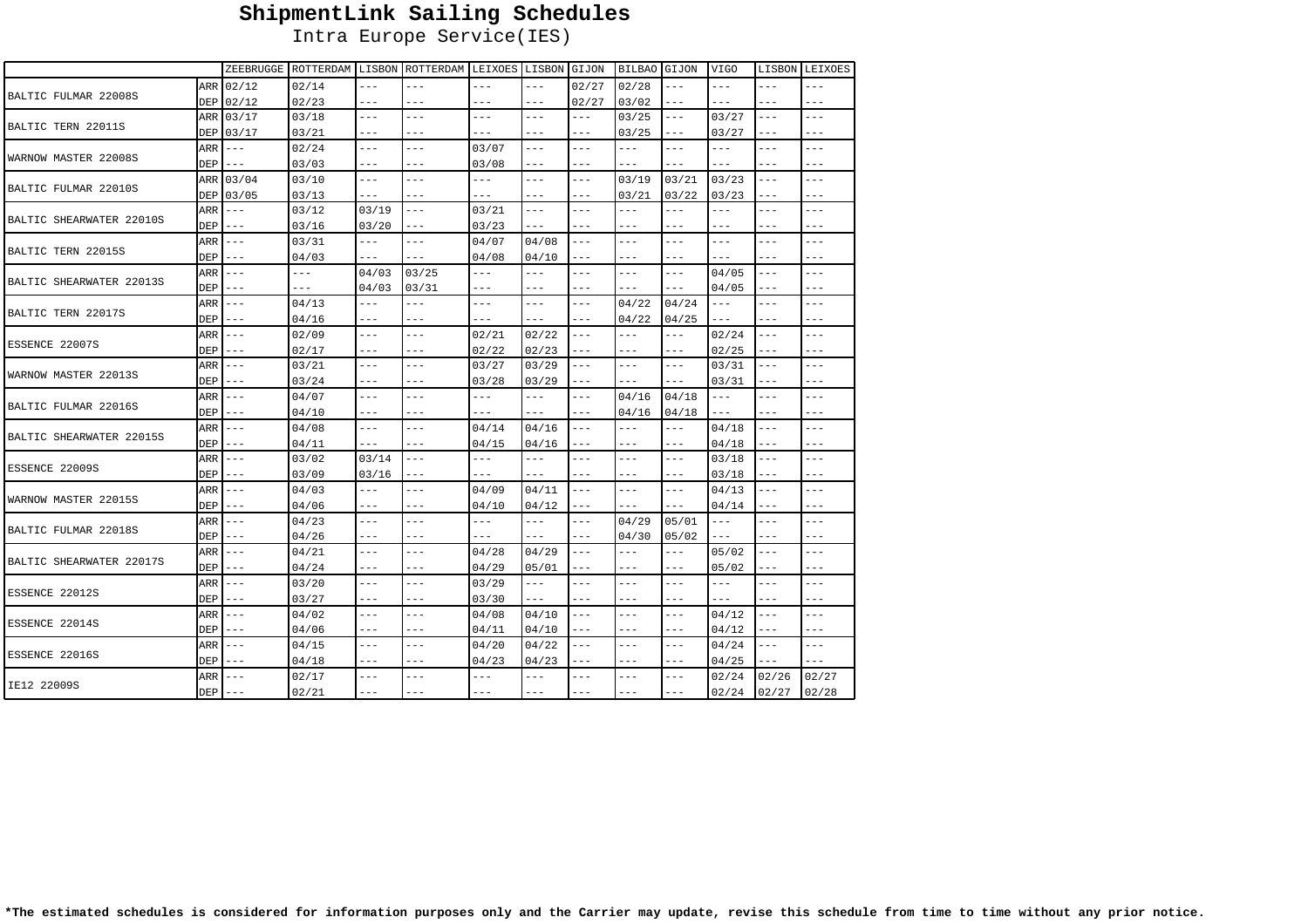Intra Europe Service(IES)

|                          |            |           | ZEEBRUGGE ROTTERDAM LISBON ROTTERDAM LEIXOES LISBON GIJON |         |         |         |         |         | <b>BILBAO</b> | GIJON   | <b>VIGO</b> |         | LISBON LEIXOES |
|--------------------------|------------|-----------|-----------------------------------------------------------|---------|---------|---------|---------|---------|---------------|---------|-------------|---------|----------------|
|                          |            | ARR 02/12 | 02/14                                                     | $- - -$ | $---$   | $- - -$ | $- - -$ | 02/27   | 02/28         |         | $---$       |         |                |
| BALTIC FULMAR 22008S     | DEP        | 02/12     | 02/23                                                     | $---$   | $---$   | $---$   | $---$   | 02/27   | 03/02         | $- - -$ | $- - -$     | $---$   | $-- -$         |
|                          | <b>ARR</b> | 03/17     | 03/18                                                     | $---$   | $---$   | $- - -$ | $- - -$ | $---$   | 03/25         | $- - -$ | 03/27       | $- - -$ | $- - -$        |
| BALTIC TERN 22011S       | DEP        | 03/17     | 03/21                                                     | $- - -$ | $---$   | $- - -$ | $- - -$ | $- - -$ | 03/25         | $- - -$ | 03/27       |         | $- - -$        |
|                          | <b>ARR</b> | $- - -$   | 02/24                                                     | $---$   | $---$   | 03/07   | $- - -$ | $- - -$ | $- - -$       | $- - -$ | $- - -$     | $- - -$ | $- - -$        |
| WARNOW MASTER 22008S     | <b>DEP</b> | $- - -$   | 03/03                                                     | $- - -$ | $--$    | 03/08   | $- - -$ | $- -$   |               |         |             |         |                |
|                          |            | ARR 03/04 | 03/10                                                     | $---$   | $---$   | $---$   | $- - -$ | $- - -$ | 03/19         | 03/21   | 03/23       | $- - -$ | $- - -$        |
| BALTIC FULMAR 22010S     |            | DEP 03/05 | 03/13                                                     | $---$   | $---$   | $---$   | $- - -$ | $- - -$ | 03/21         | 03/22   | 03/23       | $- - -$ | $- - -$        |
|                          | <b>ARR</b> | $- - -$   | 03/12                                                     | 03/19   | $---$   | 03/21   | $---$   | $- - -$ | $---$         | $---$   | $- - -$     | $- - -$ | $- - -$        |
| BALTIC SHEARWATER 22010S | DEP        | $---$     | 03/16                                                     | 03/20   | $- - -$ | 03/23   | $- - -$ | $- -$   | $- - -$       | $- - -$ | $- - -$     |         | $- - -$        |
|                          | <b>ARR</b> | $- - -$   | 03/31                                                     | $- - -$ | $- - -$ | 04/07   | 04/08   |         | $- - -$       | $- - -$ | $- - -$     |         | $- - -$        |
| BALTIC TERN 22015S       | <b>DEP</b> | $-- -$    | 04/03                                                     | $---$   | $---$   | 04/08   | 04/10   | $- - -$ | $- - -$       | $- - -$ | $- - -$     |         | $- - -$        |
|                          | <b>ARR</b> | $---$     | $---$                                                     | 04/03   | 03/25   | $---$   | $---$   | $- - -$ | $- - -$       | $---$   | 04/05       | $- - -$ | $-- -$         |
| BALTIC SHEARWATER 22013S | <b>DEP</b> | $---$     | $---$                                                     | 04/03   | 03/31   | $---$   | $---$   | $--$    | $--$          | $- - -$ | 04/05       | $- - -$ | $-- -$         |
|                          | <b>ARR</b> | $---$     | 04/13                                                     | $---$   | $---$   | $- - -$ | $---$   | $---$   | 04/22         | 04/24   | $---$       | $- - -$ | $- - -$        |
| BALTIC TERN 22017S       | <b>DEP</b> | $-- -$    | 04/16                                                     | $- - -$ | $---$   | $- - -$ | $- - -$ | $- -$   | 04/22         | 04/25   | $- - -$     |         | $- - -$        |
|                          | <b>ARR</b> | $- - -$   | 02/09                                                     | $- - -$ | $---$   | 02/21   | 02/22   | $--$    | $- - -$       | $- - -$ | 02/24       | $- - -$ | $- - -$        |
| ESSENCE 22007S           | DEP        |           | 02/17                                                     | $- - -$ | $---$   | 02/22   | 02/23   | $- -$   | $- - -$       | $- - -$ | 02/25       |         | $- - -$        |
|                          | <b>ARR</b> | $- - -$   | 03/21                                                     | $---$   | $---$   | 03/27   | 03/29   | $- - -$ | $---$         | $---$   | 03/31       | $- - -$ | $- - -$        |
| WARNOW MASTER 22013S     | <b>DEP</b> | $-- -$    | 03/24                                                     | $---$   | $- - -$ | 03/28   | 03/29   | $--$    | $---$         | $--$    | 03/31       | ---     | $- - -$        |
|                          | <b>ARR</b> | $-- -$    | 04/07                                                     | $---$   | $---$   | $---$   | $- - -$ | $- - -$ | 04/16         | 04/18   | $---$       | $- - -$ | $- - -$        |
| BALTIC FULMAR 22016S     | DEP        | $-- -$    | 04/10                                                     | $- - -$ | $- - -$ | ---     | $--$    | $--$    | 04/16         | 04/18   | $- - -$     | $- - -$ | $- -$          |
|                          | <b>ARR</b> | $-- -$    | 04/08                                                     | $---$   | $- - -$ | 04/14   | 04/16   | $- - -$ | $---$         | $---$   | 04/18       | $- - -$ | $- - -$        |
| BALTIC SHEARWATER 22015S | DEP        | $- - -$   | 04/11                                                     | $---$   | $---$   | 04/15   | 04/16   | $- -$   | $- - -$       | $- - -$ | 04/18       |         | $- - -$        |
|                          | <b>ARR</b> | $-- -$    | 03/02                                                     | 03/14   | $---$   | $---$   | $---$   | $- - -$ | $---$         | $- - -$ | 03/18       | $- - -$ | $- - -$        |
| ESSENCE 22009S           | <b>DEP</b> | $- - -$   | 03/09                                                     | 03/16   | $- - -$ | $---$   | $- - -$ | $- - -$ | $- - -$       | $- - -$ | 03/18       |         | $- - -$        |
|                          | <b>ARR</b> | $---$     | 04/03                                                     | $---$   | $---$   | 04/09   | 04/11   | $- - -$ | $- - -$       | $- - -$ | 04/13       | $- - -$ | $---$          |
| WARNOW MASTER 22015S     | <b>DEP</b> | $-- -$    | 04/06                                                     | $- - -$ | $---$   | 04/10   | 04/12   | $- - -$ | $- - -$       | $- - -$ | 04/14       | $- - -$ | $- - -$        |
|                          | <b>ARR</b> | $---$     | 04/23                                                     | $---$   | $---$   | $---$   | $---$   | $- - -$ | 04/29         | 05/01   | $---$       | $- - -$ | $-- -$         |
| BALTIC FULMAR 22018S     | <b>DEP</b> | $-- -$    | 04/26                                                     | $---$   | $---$   | $---$   | $---$   | $- - -$ | 04/30         | 05/02   | $-- -$      | $- - -$ | $- - -$        |
|                          | <b>ARR</b> | $-- -$    | 04/21                                                     | $---$   | $---$   | 04/28   | 04/29   | $- - -$ | $---$         | $---$   | 05/02       | $- - -$ | $- - -$        |
| BALTIC SHEARWATER 22017S | <b>DEP</b> | $-- -$    | 04/24                                                     | $- - -$ | $- - -$ | 04/29   | 05/01   | $- - -$ | $- - -$       | $- - -$ | 05/02       |         | $- - -$        |
|                          | <b>ARR</b> | $-- -$    | 03/20                                                     | $---$   | $---$   | 03/29   | $---$   | $- - -$ | $- - -$       | $- - -$ | $- - -$     |         |                |
| ESSENCE 22012S           | DEP        | $-- -$    | 03/27                                                     | $- - -$ | $- - -$ | 03/30   | $---$   | $- -$   | $- - -$       | $- - -$ | $- - -$     |         | $- - -$        |
|                          | <b>ARR</b> | $---$     | 04/02                                                     | $---$   | $---$   | 04/08   | 04/10   | $---$   | $---$         | $---$   | 04/12       | $- - -$ | $- - -$        |
| ESSENCE 22014S           | DEP        | $- - -$   | 04/06                                                     | $- - -$ | $---$   | 04/11   | 04/10   | $- - -$ | $- - -$       | $- - -$ | 04/12       | $- - -$ | $- - -$        |
|                          | <b>ARR</b> | $- - -$   | 04/15                                                     | $---$   | $---$   | 04/20   | 04/22   | $--$    | $- - -$       | $- - -$ | 04/24       | $---$   | $- - -$        |
| ESSENCE 22016S           | DEP        | $- - -$   | 04/18                                                     | $- - -$ | $- - -$ | 04/23   | 04/23   | $- - -$ | $- - -$       | $- - -$ | 04/25       |         | $- - -$        |
|                          | <b>ARR</b> | $- - -$   | 02/17                                                     | $---$   | $---$   | $- - -$ | $- - -$ | $- -$   | $- - -$       | $- - -$ | 02/24       | 02/26   | 02/27          |
| IE12 22009S              | DEP        | $- - -$   | 02/21                                                     | $- - -$ | $- - -$ | $- - -$ | $- - -$ | $- -$   | $- - -$       | $- - -$ | 02/24       | 02/27   | 02/28          |
|                          |            |           |                                                           |         |         |         |         |         |               |         |             |         |                |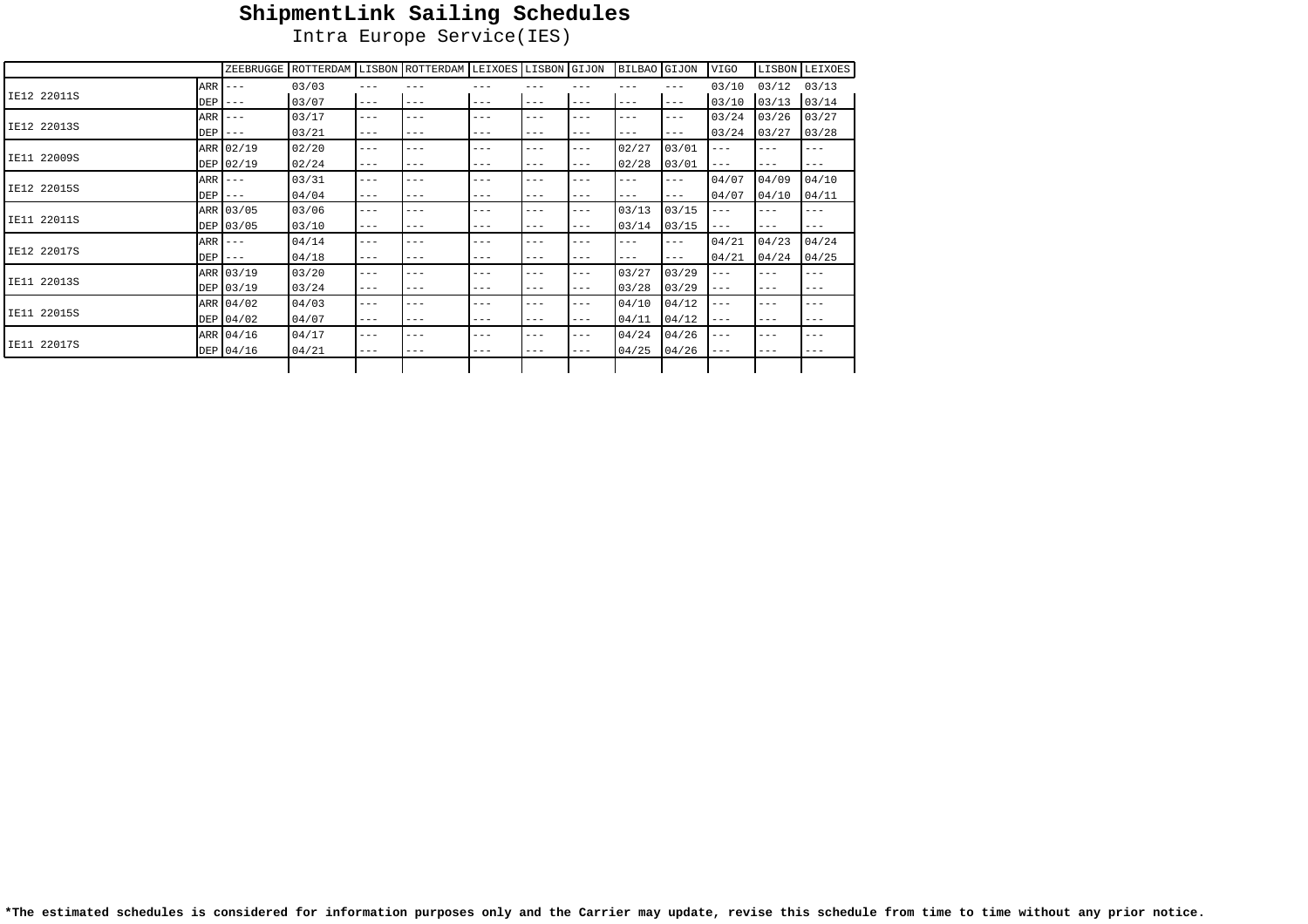Intra Europe Service(IES)

|             |            | ZEEBRUGGE   |       |         | ROTTERDAM LISBON ROTTERDAM LEIXOES LISBON GIJON |         |         |         | BILBAO GIJON |         | <b>VIGO</b> |         | LISBON LEIXOES |
|-------------|------------|-------------|-------|---------|-------------------------------------------------|---------|---------|---------|--------------|---------|-------------|---------|----------------|
|             |            | $ARR$ $---$ | 03/03 | $---$   | $- - -$                                         |         |         |         |              | $- - -$ | 03/10       | 03/12   | 03/13          |
| IE12 22011S |            | $DEP$ ---   | 03/07 | $---$   | $---$                                           | $---$   | $- - -$ | $- - -$ | $- - -$      | $- - -$ | 03/10       | 03/13   | 03/14          |
|             | <b>ARR</b> | $- - -$     | 03/17 | $---$   | $---$                                           | $- - -$ | $- - -$ | $- - -$ | $- - -$      | $- - -$ | 03/24       | 03/26   | 03/27          |
| IE12 22013S |            | $DEP$ $---$ | 03/21 | $---$   | $---$                                           | $---$   | $- - -$ | $- - -$ | $- - -$      | $---$   | 03/24       | 03/27   | 03/28          |
|             |            | ARR 02/19   | 02/20 | $- - -$ | $- - -$                                         | $- - -$ | $- - -$ | $- - -$ | 02/27        | 03/01   | $-- -$      | ---     | $- - -$        |
| IE11 22009S |            | DEP 02/19   | 02/24 | $---$   | $---$                                           | $- - -$ | $- - -$ | $- - -$ | 02/28        | 03/01   | $---$       | $---$   | $- - -$        |
|             |            | $ARR$ $---$ | 03/31 | $---$   | $- - -$                                         | $- - -$ | $- - -$ | $- - -$ | $- - -$      | $- - -$ | 04/07       | 04/09   | 04/10          |
| IE12 22015S |            | $DEP$ ---   | 04/04 | $---$   | $---$                                           | $---$   | $---$   | $---$   | $---$        | $---$   | 04/07       | 04/10   | 04/11          |
|             |            | ARR 03/05   | 03/06 | $---$   | $- - -$                                         | $- - -$ | $- - -$ | $---$   | 03/13        | 03/15   | $---$       | $- - -$ | $- - -$        |
| IE11 22011S |            | DEP 03/05   | 03/10 | $---$   | $---$                                           | $- - -$ | $- - -$ | $- - -$ | 03/14        | 03/15   | $- - -$     | $---$   | $---$          |
|             |            | $ARR$ $---$ | 04/14 | $---$   | $- - -$                                         | $- - -$ | $- - -$ | ---     | $- - -$      | $- - -$ | 04/21       | 04/23   | 04/24          |
| IE12 22017S |            | $DEP$ $---$ | 04/18 | $---$   | $---$                                           | $---$   | $- - -$ | $---$   | $---$        | $- - -$ | 04/21       | 04/24   | 04/25          |
|             |            | ARR 03/19   | 03/20 | $- - -$ | $- - -$                                         | $- - -$ | $- - -$ | $- - -$ | 03/27        | 03/29   | $-- -$      | $- - -$ | $---$          |
| IE11 22013S |            | DEP 03/19   | 03/24 | $---$   | $---$                                           | $- - -$ | $- - -$ | $- - -$ | 03/28        | 03/29   | $---$       | $- - -$ | $- - -$        |
|             |            | ARR 04/02   | 04/03 | $---$   | $- - -$                                         | $- - -$ | $- - -$ | $- - -$ | 04/10        | 04/12   | $- - -$     | ---     | ---            |
| IE11 22015S |            | DEP 04/02   | 04/07 | ---     | $---$                                           | ---     | $- - -$ | $---$   | 04/11        | 04/12   | $---$       | $- - -$ | ---            |
|             |            | ARR 04/16   | 04/17 | $- - -$ | $- - -$                                         | $- - -$ | $- - -$ | $- - -$ | 04/24        | 04/26   | $- - -$     | $- - -$ | $- - -$        |
| IE11 22017S |            | DEP 04/16   | 04/21 | $---$   | $---$                                           | $---$   | $- - -$ | $- - -$ | 04/25        | 04/26   | $---$       | $- - -$ | $---$          |
|             |            |             |       |         |                                                 |         |         |         |              |         |             |         |                |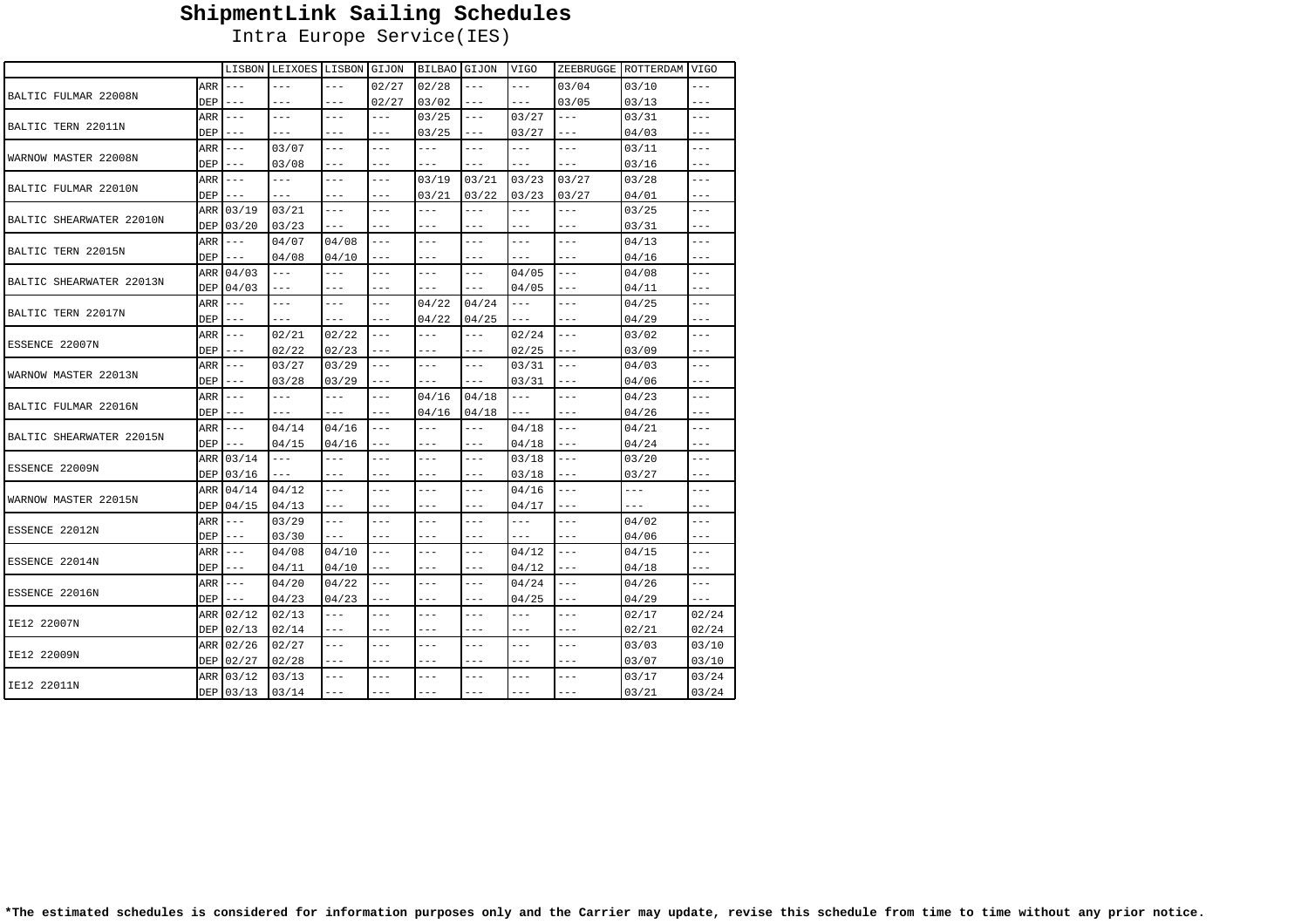Intra Europe Service(IES)

|                          |            |           | LISBON LEIXOES LISBON GIJON |         |         | BILBAO GIJON |         | <b>VIGO</b> |         | ZEEBRUGGE ROTTERDAM | <b>VIGO</b> |
|--------------------------|------------|-----------|-----------------------------|---------|---------|--------------|---------|-------------|---------|---------------------|-------------|
|                          | <b>ARR</b> |           | $- - -$                     | $- - -$ | 02/27   | 02/28        | $- - -$ | $---$       | 03/04   | 03/10               |             |
| BALTIC FULMAR 22008N     | DEP        | $---$     | $---$                       | $---$   | 02/27   | 03/02        | $- - -$ | $---$       | 03/05   | 03/13               | $-- -$      |
|                          | <b>ARR</b> | $---$     | $- - -$                     | $---$   | $---$   | 03/25        | $---$   | 03/27       | $---$   | 03/31               | $- - -$     |
| BALTIC TERN 22011N       | <b>DEP</b> | $-- -$    | $- - -$                     | $- - -$ | $- - -$ | 03/25        | $- - -$ | 03/27       | $- - -$ | 04/03               | $- - -$     |
|                          | <b>ARR</b> | $---$     | 03/07                       | $- - -$ | $---$   | $---$        | $- - -$ | $- - -$     | $---$   | 03/11               | $- - -$     |
| WARNOW MASTER 22008N     | <b>DEP</b> | $---$     | 03/08                       | $- - -$ | $- - -$ |              |         |             |         | 03/16               | $--$        |
|                          | ARR        | $---$     | $---$                       | $- - -$ | $- - -$ | 03/19        | 03/21   | 03/23       | 03/27   | 03/28               | $---$       |
| BALTIC FULMAR 22010N     | DEP        | $- - -$   | $---$                       | $- - -$ | $- - -$ | 03/21        | 03/22   | 03/23       | 03/27   | 04/01               | $- - -$     |
|                          | ARR        | 03/19     | 03/21                       | $- - -$ | $- - -$ | $---$        | $- - -$ | $---$       | $---$   | 03/25               | $- - -$     |
| BALTIC SHEARWATER 22010N | DEP        | 03/20     | 03/23                       |         | $- - -$ | $- - -$      | ---     |             | $- - -$ | 03/31               | ---         |
|                          | ARR        | $- - -$   | 04/07                       | 04/08   |         | $- - -$      | $- - -$ | $- - -$     | $- - -$ | 04/13               |             |
| BALTIC TERN 22015N       | <b>DEP</b> | $---$     | 04/08                       | 04/10   | $- - -$ | $---$        | $- - -$ | $---$       | $- - -$ | 04/16               | $- - -$     |
|                          |            | ARR 04/03 | $---$                       | $---$   | $- - -$ | $---$        | $- - -$ | 04/05       | $---$   | 04/08               | $- - -$     |
| BALTIC SHEARWATER 22013N | <b>DEP</b> | 04/03     | $- - -$                     | $---$   | $- - -$ | $- - -$      | $- - -$ | 04/05       | $---$   | 04/11               | $- - -$     |
|                          | <b>ARR</b> | $- - -$   | $---$                       | $---$   | $---$   | 04/22        | 04/24   | $---$       | $---$   | 04/25               | $---$       |
| BALTIC TERN 22017N       | DEP        | $- - -$   | $- - -$                     | $- - -$ |         | 04/22        | 04/25   |             | $- - -$ | 04/29               |             |
|                          | <b>ARR</b> | $---$     | 02/21                       | 02/22   | $- - -$ | $- - -$      | $--$    | 02/24       | $- - -$ | 03/02               | $- - -$     |
| ESSENCE 22007N           | DEP        | $---$     | 02/22                       | 02/23   | $---$   | $- - -$      | $--$    | 02/25       | $---$   | 03/09               | $- - -$     |
|                          | ARR        | $---$     | 03/27                       | 03/29   | $- - -$ | $---$        | $- - -$ | 03/31       | $---$   | 04/03               |             |
| WARNOW MASTER 22013N     | DEP        | $---$     | 03/28                       | 03/29   | $- - -$ | $- - -$      | $--$    | 03/31       | $---$   | 04/06               | $- - -$     |
|                          | ARR        | $---$     | $---$                       | $---$   | $- - -$ | 04/16        | 04/18   | $---$       | $---$   | 04/23               | $---$       |
| BALTIC FULMAR 22016N     | DEP        | $---$     | $- - -$                     | $---$   | $- - -$ | 04/16        | 04/18   | $- - -$     | $- - -$ | 04/26               | $- - -$     |
|                          | ARR        | $---$     | 04/14                       | 04/16   | $- - -$ | $---$        | $- - -$ | 04/18       | $- - -$ | 04/21               | $- - -$     |
| BALTIC SHEARWATER 22015N | DEP        | $---$     | 04/15                       | 04/16   | $- - -$ | $---$        | $- - -$ | 04/18       | $---$   | 04/24               | $- - -$     |
|                          |            | ARR 03/14 | $---$                       | $---$   | $- - -$ | $---$        | $---$   | 03/18       | $---$   | 03/20               | $- - -$     |
| ESSENCE 22009N           |            | DEP 03/16 | $--$                        | $---$   | $- - -$ | $- - -$      | $--$    | 03/18       | $---$   | 03/27               | $- - -$     |
|                          |            | ARR 04/14 | 04/12                       | $- - -$ | $- - -$ | $- - -$      | $- - -$ | 04/16       | $- - -$ | $---$               |             |
| WARNOW MASTER 22015N     | DEP        | 04/15     | 04/13                       | $---$   | $- - -$ | $- - -$      | $- - -$ | 04/17       | $- - -$ | $- - -$             | $- - -$     |
|                          | <b>ARR</b> | $---$     | 03/29                       | $---$   | $- - -$ | $- - -$      | $- - -$ | $---$       | $- - -$ | 04/02               | $- - -$     |
| ESSENCE 22012N           | DEP        | $---$     | 03/30                       | $- - -$ | $- - -$ | $- - -$      | $- - -$ |             | $- - -$ | 04/06               | $- - -$     |
|                          | <b>ARR</b> | $---$     | 04/08                       | 04/10   | $- - -$ | $---$        | $- - -$ | 04/12       | $---$   | 04/15               | $- - -$     |
| ESSENCE 22014N           | DEP        | $---$     | 04/11                       | 04/10   | $- - -$ | $---$        |         | 04/12       | $- - -$ | 04/18               |             |
|                          | ARR        | $- - -$   | 04/20                       | 04/22   | $---$   | $- - -$      | $- - -$ | 04/24       | $---$   | 04/26               | $- - -$     |
| ESSENCE 22016N           | DEP        | $---$     | 04/23                       | 04/23   | $- - -$ | $- - -$      | $- - -$ | 04/25       | $- - -$ | 04/29               | $- - -$     |
|                          |            | ARR 02/12 | 02/13                       | $---$   | $- - -$ | $---$        | $- - -$ | $---$       | $---$   | 02/17               | 02/24       |
| IE12 22007N              |            | DEP 02/13 | 02/14                       | $---$   | $---$   | $---$        | $- - -$ | $---$       | $- - -$ | 02/21               | 02/24       |
|                          |            | ARR 02/26 | 02/27                       | $- - -$ | $- - -$ | $- - -$      | $- - -$ | $- - -$     | $- - -$ | 03/03               | 03/10       |
| IE12 22009N              |            | DEP 02/27 | 02/28                       | $- - -$ | $- - -$ | $- - -$      | $- - -$ | $- - -$     | $- - -$ | 03/07               | 03/10       |
|                          |            | ARR 03/12 | 03/13                       | $- - -$ |         |              |         |             | $- - -$ | 03/17               | 03/24       |
| IE12 22011N              |            | DEP 03/13 | 03/14                       | $- - -$ | $- - -$ | $- - -$      | $- - -$ | $- - -$     | $- - -$ | 03/21               | 03/24       |